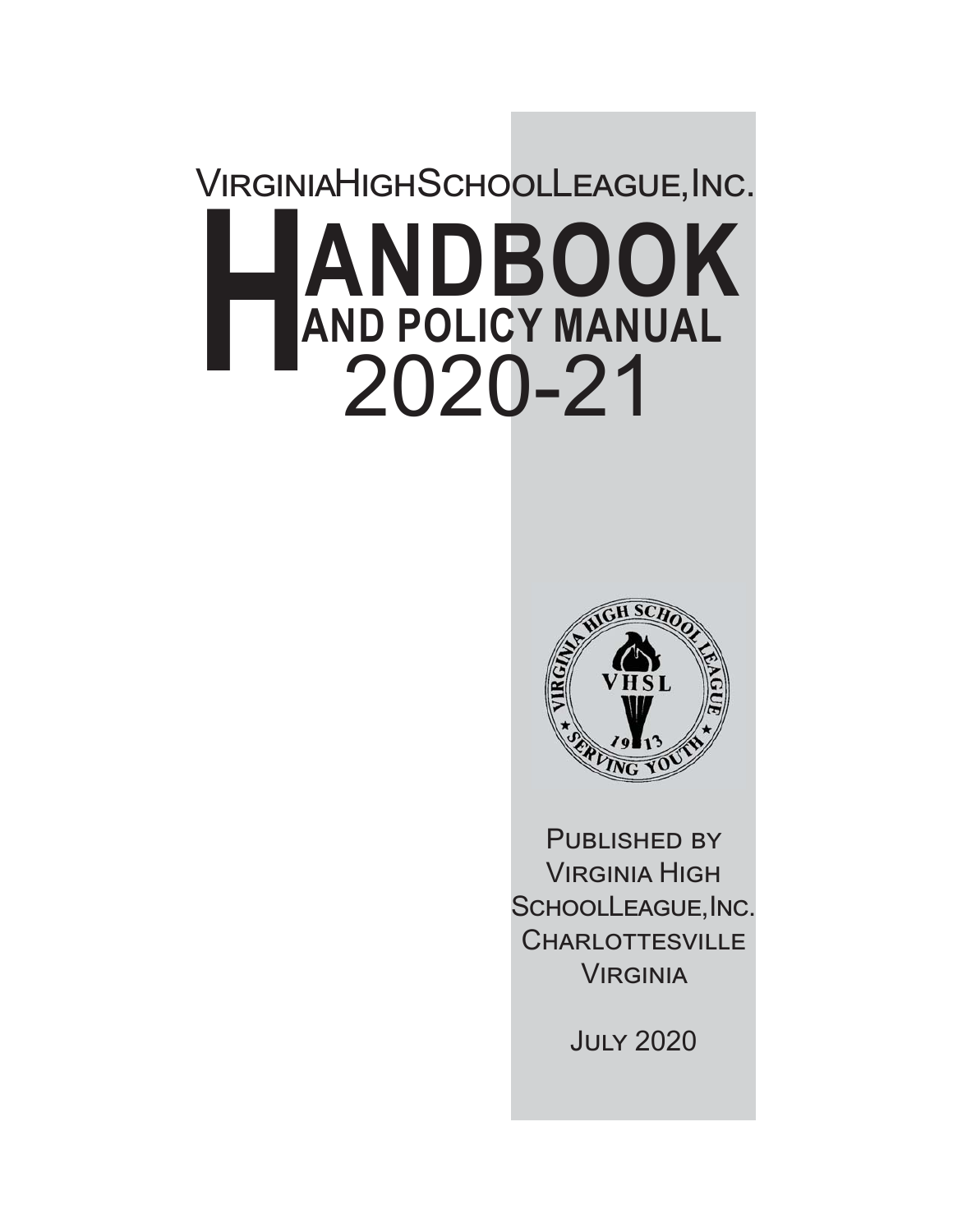# VIRGINIAHIGHSCHOOLLEAGUE, INC. HANDBOOK<br>
AND POLICY MANUAL<br>
2020-21 **AND POLICY MANUAL**



**PUBLISHED BY VIRGINIA HIGH** SCHOOLLEAGUE, INC. CHARLOTTESVILLE VIRGINIA

**JULY 2020**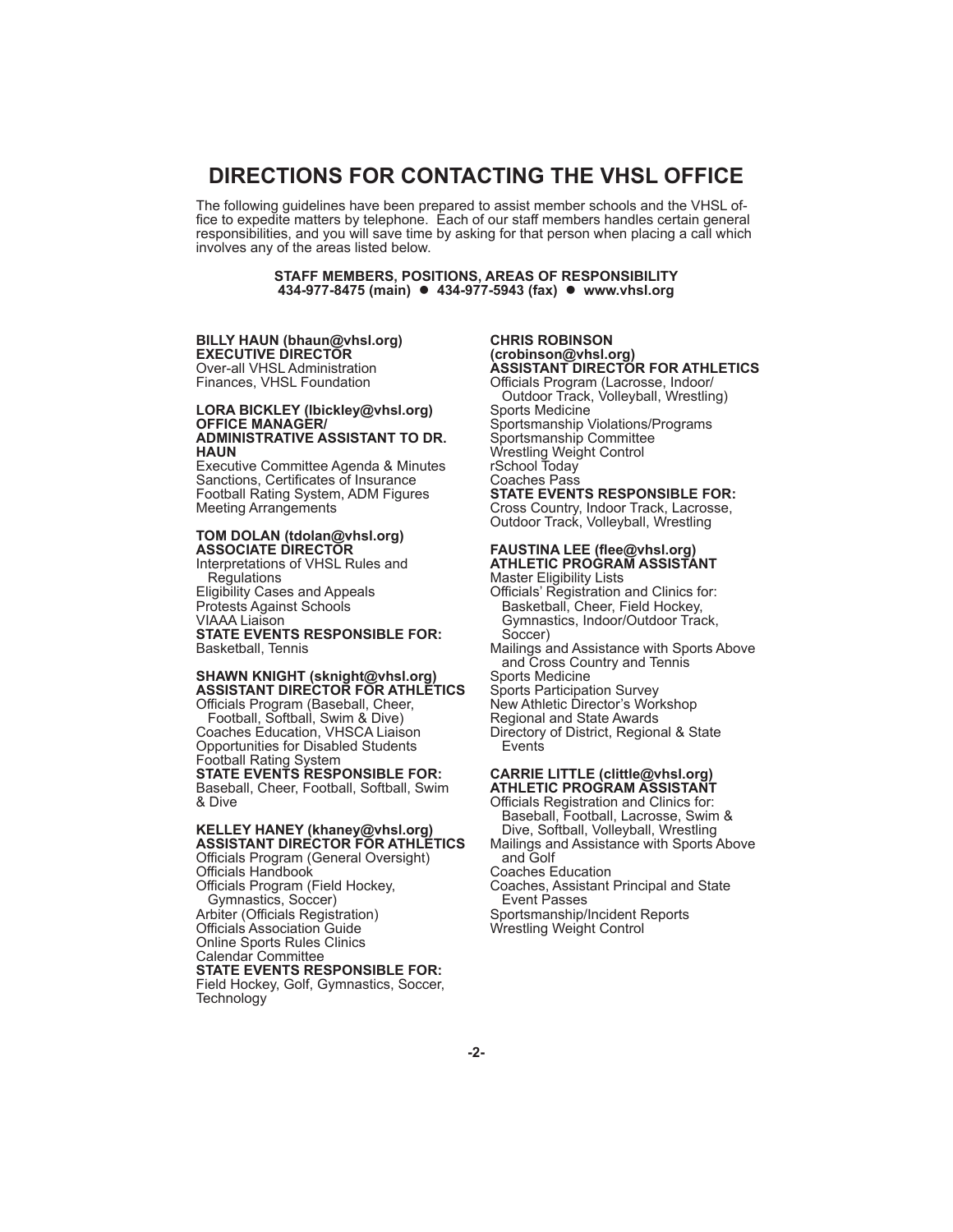# **DIRECTIONS FOR CONTACTING THE VHSL OFFICE**

The following guidelines have been prepared to assist member schools and the VHSL office to expedite matters by telephone. Ëach of our staff members handles certain general responsibilities, and you will save time by asking for that person when placing a call which involves any of the areas listed below.

#### **STAFF MEMBERS, POSITIONS, AREAS OF RESPONSIBILITY 434-977-8475 (main) 434-977-5943 (fax) www.vhsl.org**

#### **BILLY HAUN (bhaun@vhsl.org) EXECUTIVE DIRECTOR**

Over-all VHSL Administration Finances, VHSL Foundation

#### **LORA BICKLEY (lbickley@vhsl.org) OFFICE MANAGER/ ADMINISTRATIVE ASSISTANT TO DR. HAUN**

Executive Committee Agenda & Minutes Sanctions, Certificates of Insurance Football Rating System, ADM Figures Meeting Arrangements

#### **TOM DOLAN (tdolan@vhsl.org) ASSOCIATE DIRECTOR**

Interpretations of VHSL Rules and Regulations Eligibility Cases and Appeals Protests Against Schools VIAAA Liaison **STATE EVENTS RESPONSIBLE FOR:** Basketball, Tennis

#### **SHAWN KNIGHT (sknight@vhsl.org) ASSISTANT DIRECTOR FOR ATHLETICS** Officials Program (Baseball, Cheer,

 Football, Softball, Swim & Dive) Coaches Education, VHSCA Liaison Opportunities for Disabled Students Football Rating System **STATE EVENTS RESPONSIBLE FOR:** Baseball, Cheer, Football, Softball, Swim & Dive

#### **KELLEY HANEY (khaney@vhsl.org)**

**ASSISTANT DIRECTOR FOR ATHLETICS** Officials Program (General Oversight) Officials Handbook Officials Program (Field Hockey, Gymnastics, Soccer) Arbiter (Officials Registration) Officials Association Guide Online Sports Rules Clinics

Calendar Committee **STATE EVENTS RESPONSIBLE FOR:**

Field Hockey, Golf, Gymnastics, Soccer, **Technology** 

#### **CHRIS ROBINSON (crobinson@vhsl.org) ASSISTANT DIRECTOR FOR ATHLETICS**

Officials Program (Lacrosse, Indoor/ Outdoor Track, Volleyball, Wrestling) Sports Medicine Sportsmanship Violations/Programs Sportsmanship Committee Wrestling Weight Control rSchool Today Coaches Pass **STATE EVENTS RESPONSIBLE FOR:** Cross Country, Indoor Track, Lacrosse,

Outdoor Track, Volleyball, Wrestling

#### **FAUSTINA LEE (fl ee@vhsl.org) ATHLETIC PROGRAM ASSISTANT**

- Master Eligibility Lists Officials' Registration and Clinics for: Basketball, Cheer, Field Hockey, Gymnastics, Indoor/Outdoor Track, Soccer)
- Mailings and Assistance with Sports Above and Cross Country and Tennis
- Sports Medicine
- Sports Participation Survey New Athletic Director's Workshop
- Regional and State Awards
- Directory of District, Regional & State **Events**

#### **CARRIE LITTLE (clittle@vhsl.org) ATHLETIC PROGRAM ASSISTANT**

- Officials Registration and Clinics for: Baseball, Football, Lacrosse, Swim & Dive, Softball, Volleyball, Wrestling
- Mailings and Assistance with Sports Above and Golf
- Coaches Education
- Coaches, Assistant Principal and State Event Passes
- Sportsmanship/Incident Reports
- Wrestling Weight Control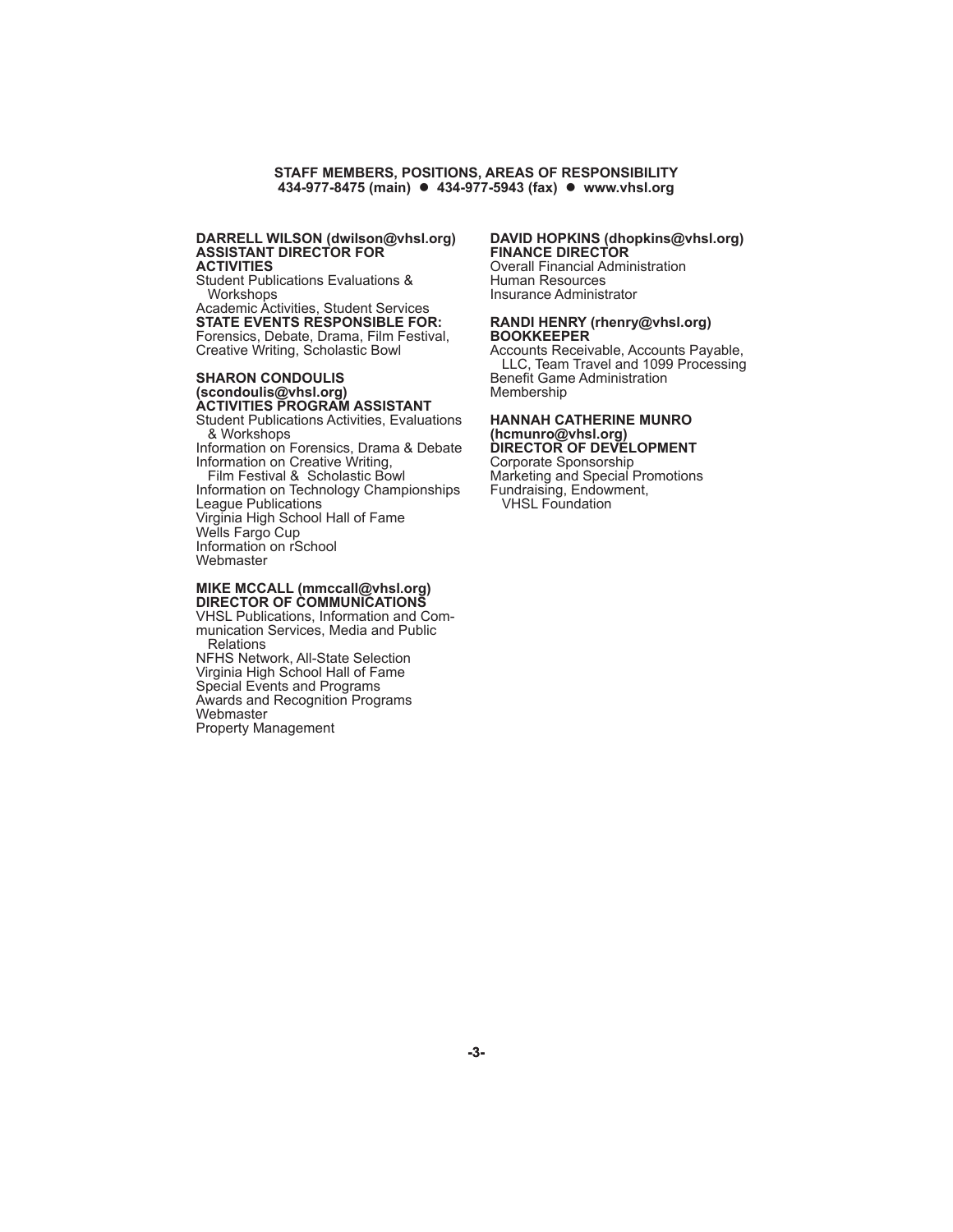#### **STAFF MEMBERS, POSITIONS, AREAS OF RESPONSIBILITY 434-977-8475 (main) 434-977-5943 (fax) www.vhsl.org**

#### **DARRELL WILSON (dwilson@vhsl.org) ASSISTANT DIRECTOR FOR ACTIVITIES**

Student Publications Evaluations & Workshops

Academic Activities, Student Services **STATE EVENTS RESPONSIBLE FOR:** Forensics, Debate, Drama, Film Festival, Creative Writing, Scholastic Bowl

#### **SHARON CONDOULIS (scondoulis@vhsl.org) ACTIVITIES PROGRAM ASSISTANT**

Student Publications Activities, Evaluations & Workshops Information on Forensics, Drama & Debate Information on Creative Writing, Film Festival & Scholastic Bowl

Information on Technology Championships League Publications Virginia High School Hall of Fame Wells Fargo Cup Information on rSchool **Webmaster** 

#### **MIKE MCCALL (mmccall@vhsl.org) DIRECTOR OF COMMUNICATIONS**

VHSL Publications, Information and Communication Services, Media and Public **Relations** 

NFHS Network, All-State Selection Virginia High School Hall of Fame Special Events and Programs Awards and Recognition Programs **Webmaster** 

Property Management

#### **DAVID HOPKINS (dhopkins@vhsl.org) FINANCE DIRECTOR**

Overall Financial Administration Human Resources Insurance Administrator

#### **RANDI HENRY (rhenry@vhsl.org) BOOKKEEPER**

Accounts Receivable, Accounts Payable, LLC, Team Travel and 1099 Processing **Benefit Game Administration** Membership

#### **HANNAH CATHERINE MUNRO (hcmunro@vhsl.org) DIRECTOR OF DEVELOPMENT**

Corporate Sponsorship Marketing and Special Promotions Fundraising, Endowment, VHSL Foundation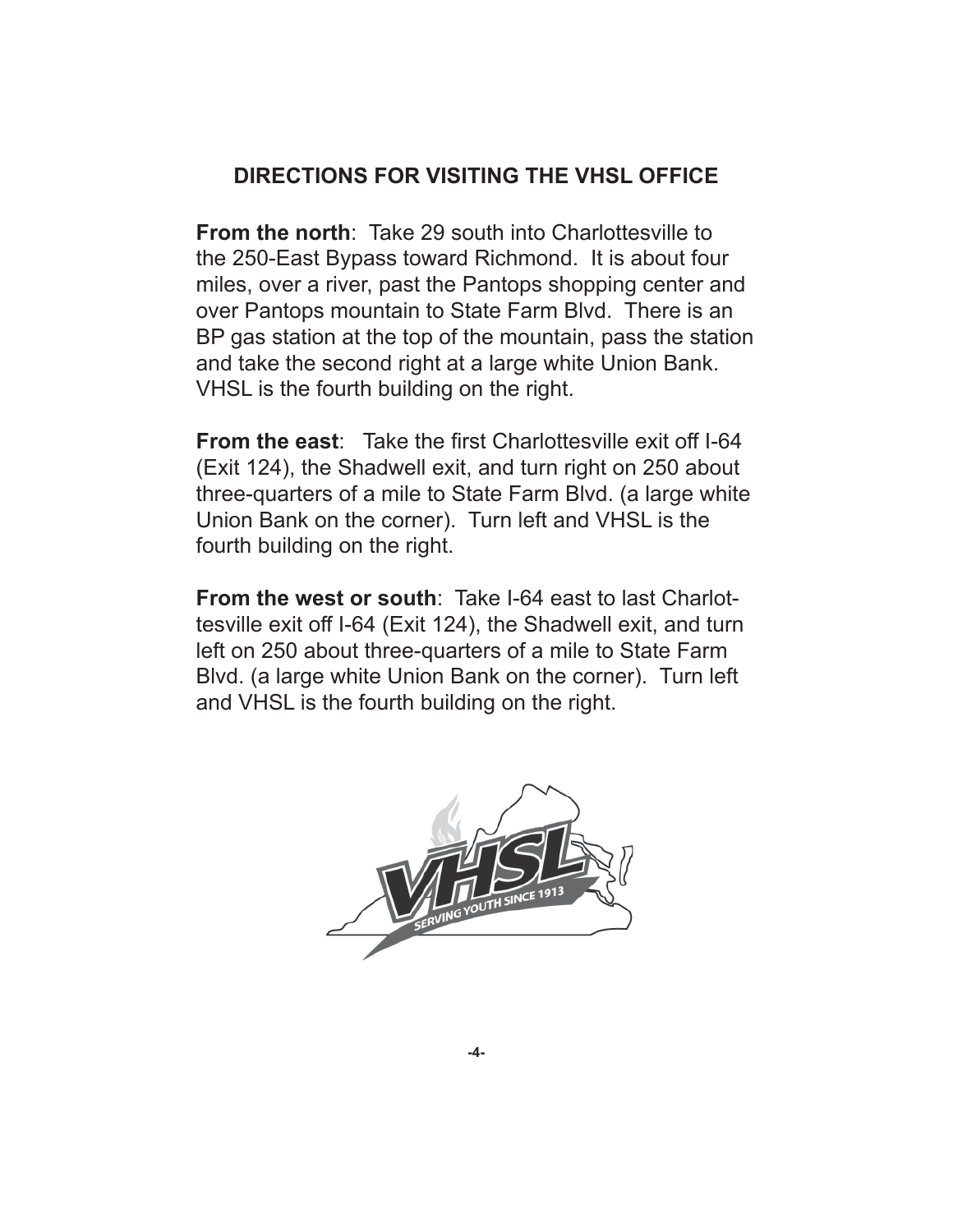# **DIRECTIONS FOR VISITING THE VHSL OFFICE**

**From the north: Take 29 south into Charlottesville to** the 250-East Bypass toward Richmond. It is about four miles, over a river, past the Pantops shopping center and over Pantops mountain to State Farm Blvd. There is an BP gas station at the top of the mountain, pass the station and take the second right at a large white Union Bank. VHSL is the fourth building on the right.

**From the east:** Take the first Charlottesville exit off I-64 (Exit 124), the Shadwell exit, and turn right on 250 about three-quarters of a mile to State Farm Blvd. (a large white Union Bank on the corner). Turn left and VHSL is the fourth building on the right.

**From the west or south**: Take I-64 east to last Charlottesville exit off I-64 (Exit 124), the Shadwell exit, and turn left on 250 about three-quarters of a mile to State Farm Blvd. (a large white Union Bank on the corner). Turn left and VHSL is the fourth building on the right.

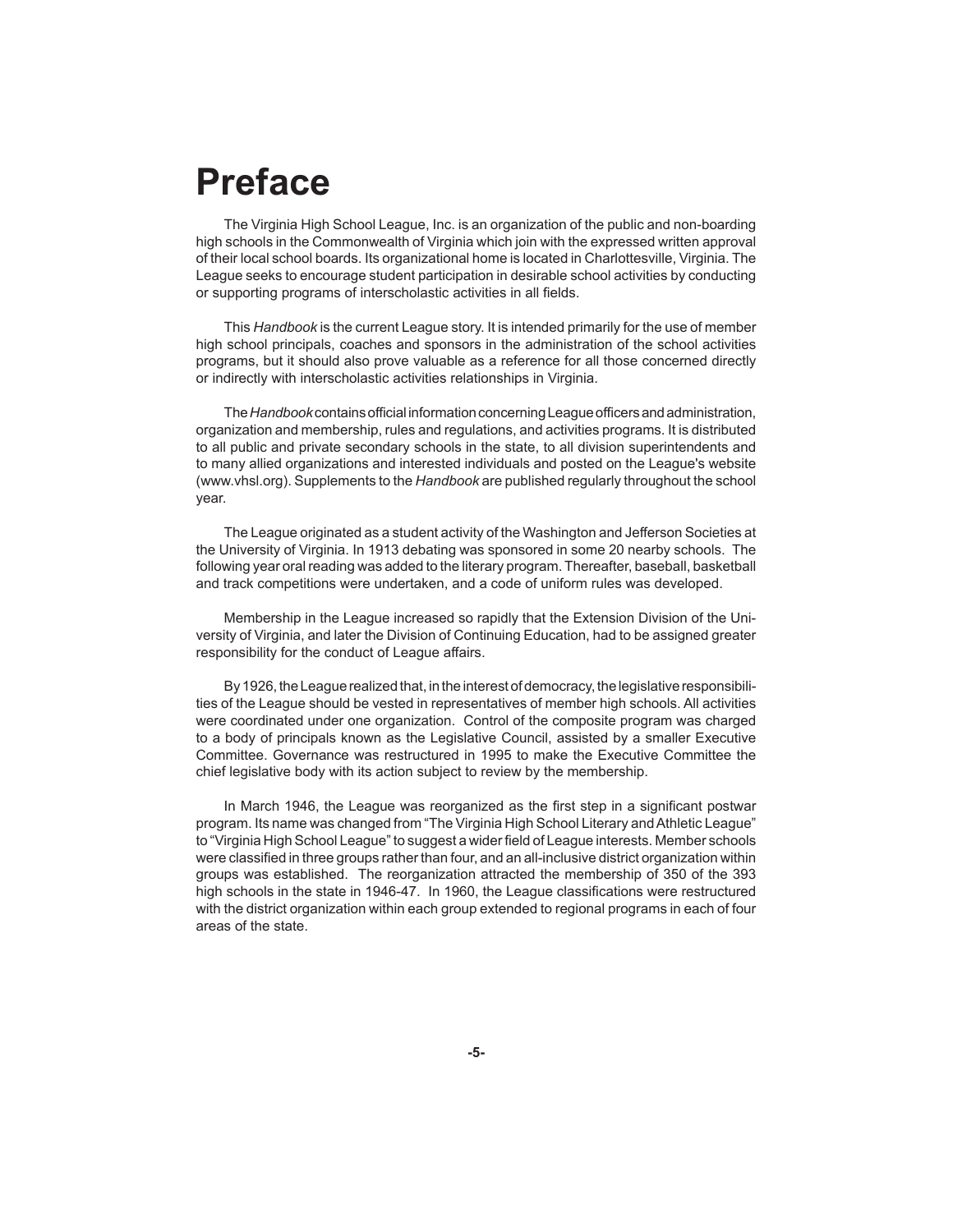# **Preface**

 The Virginia High School League, Inc. is an organization of the public and non-boarding high schools in the Commonwealth of Virginia which join with the expressed written approval of their local school boards. Its organizational home is located in Charlottesville, Virginia. The League seeks to encourage student participation in desirable school activities by conducting or supporting programs of interscholastic activities in all fields.

 This *Handbook* is the current League story. It is intended primarily for the use of member high school principals, coaches and sponsors in the administration of the school activities programs, but it should also prove valuable as a reference for all those concerned directly or indirectly with interscholastic activities relationships in Virginia.

The Handbook contains official information concerning League officers and administration, organization and membership, rules and regulations, and activities programs. It is distributed to all public and private secondary schools in the state, to all division superintendents and to many allied organizations and interested individuals and posted on the League's website (www.vhsl.org). Supplements to the *Handbook* are published regularly throughout the school year.

The League originated as a student activity of the Washington and Jefferson Societies at the University of Virginia. In 1913 debating was sponsored in some 20 nearby schools. The following year oral reading was added to the literary program. Thereafter, baseball, basketball and track competitions were undertaken, and a code of uniform rules was developed.

 Membership in the League increased so rapidly that the Extension Division of the University of Virginia, and later the Division of Continuing Education, had to be assigned greater responsibility for the conduct of League affairs.

 By 1926, the League realized that, in the interest of democracy, the legislative responsibilities of the League should be vested in representatives of member high schools. All activities were coordinated under one organization. Control of the composite program was charged to a body of principals known as the Legislative Council, assisted by a smaller Executive Committee. Governance was restructured in 1995 to make the Executive Committee the chief legislative body with its action subject to review by the membership.

In March 1946, the League was reorganized as the first step in a significant postwar program. Its name was changed from "The Virginia High School Literary and Athletic League" to "Virginia High School League" to suggest a wider field of League interests. Member schools were classified in three groups rather than four, and an all-inclusive district organization within groups was established. The reorganization attracted the membership of 350 of the 393 high schools in the state in 1946-47. In 1960, the League classifications were restructured with the district organization within each group extended to regional programs in each of four areas of the state.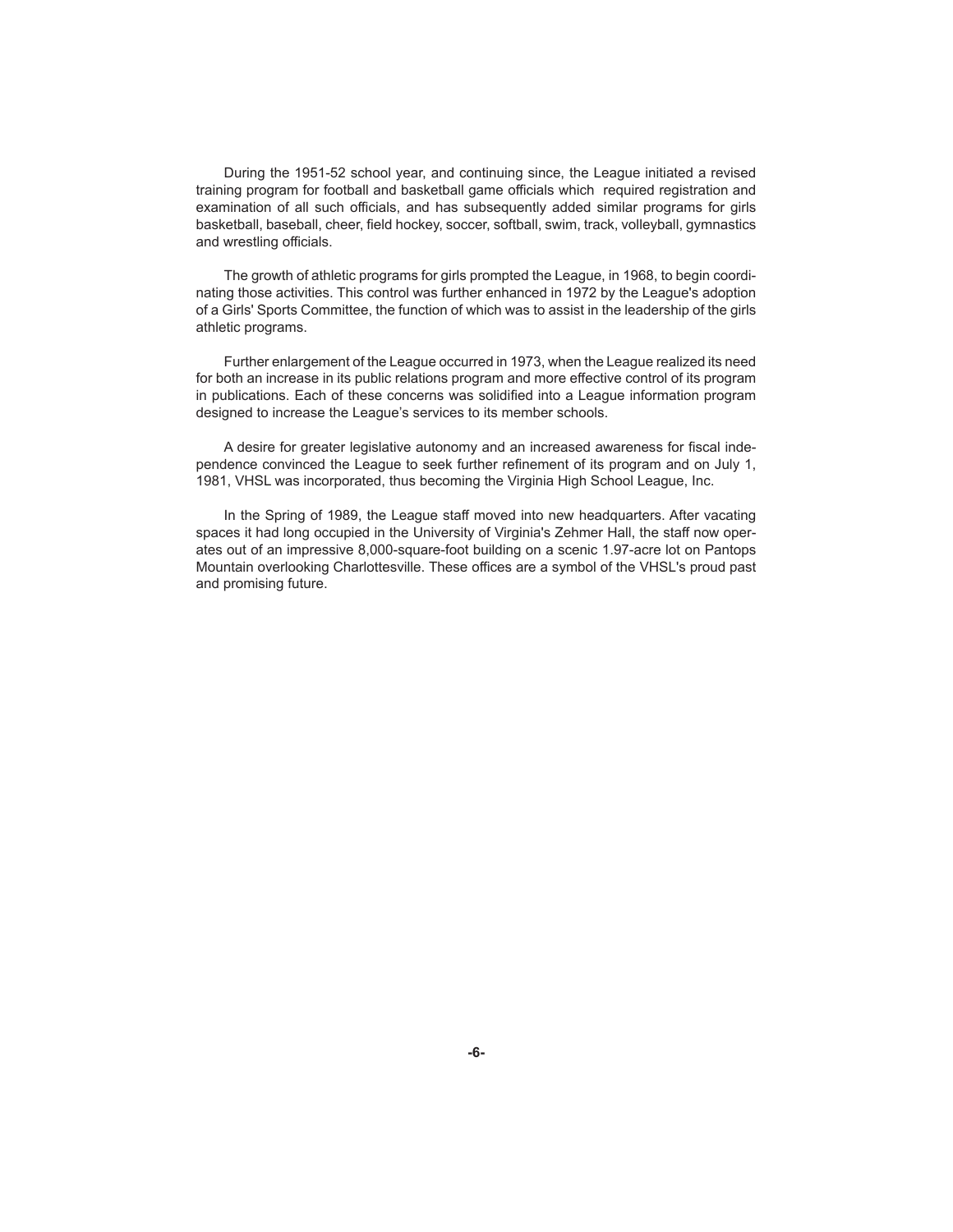During the 1951-52 school year, and continuing since, the League initiated a revised training program for football and basketball game officials which required registration and examination of all such officials, and has subsequently added similar programs for girls basketball, baseball, cheer, field hockey, soccer, softball, swim, track, volleyball, gymnastics and wrestling officials.

 The growth of athletic programs for girls prompted the League, in 1968, to begin coordinating those activities. This control was further enhanced in 1972 by the League's adoption of a Girls' Sports Committee, the function of which was to assist in the leadership of the girls athletic programs.

 Further enlargement of the League occurred in 1973, when the League realized its need for both an increase in its public relations program and more effective control of its program in publications. Each of these concerns was solidified into a League information program designed to increase the League's services to its member schools.

A desire for greater legislative autonomy and an increased awareness for fiscal independence convinced the League to seek further refinement of its program and on July 1, 1981, VHSL was incorporated, thus becoming the Virginia High School League, Inc.

In the Spring of 1989, the League staff moved into new headquarters. After vacating spaces it had long occupied in the University of Virginia's Zehmer Hall, the staff now operates out of an impressive 8,000-square-foot building on a scenic 1.97-acre lot on Pantops Mountain overlooking Charlottesville. These offices are a symbol of the VHSL's proud past and promising future.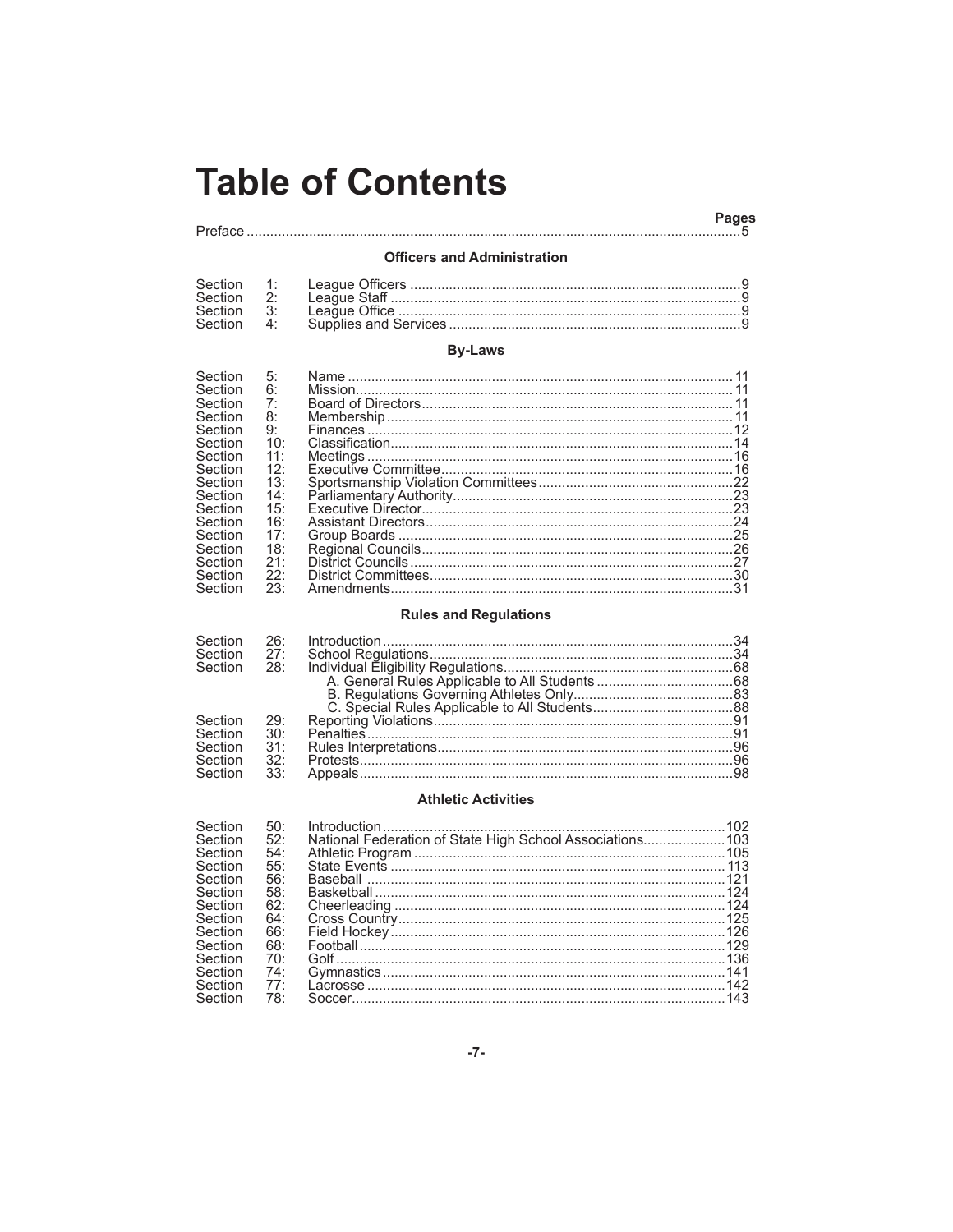# **Table of Contents**

# 

#### **Officers and Administration**

| Section | 3: |  |
|---------|----|--|
| Section | 4: |  |
|         |    |  |

### **By-Laws**

| 5:  |  |
|-----|--|
| 6:  |  |
| 7:  |  |
| 8:  |  |
| 9:  |  |
| 10: |  |
| 11: |  |
| 12: |  |
| 13: |  |
| 14: |  |
| 15: |  |
| 16: |  |
| 17: |  |
| 18: |  |
| 21: |  |
| 22: |  |
| 23: |  |
|     |  |

#### **Rules and Regulations**

| Section | 26:     |  |
|---------|---------|--|
| Section | 27:     |  |
| Section | 28:     |  |
|         |         |  |
|         |         |  |
|         |         |  |
| Section | 29:     |  |
| Section | $-30:$  |  |
| Section | $-31$ : |  |
| Section | 32:     |  |
| Section | 33:     |  |
|         |         |  |

#### **Athletic Activities**

| Section | 50: |                                                          |  |
|---------|-----|----------------------------------------------------------|--|
| Section | 52: | National Federation of State High School Associations103 |  |
| Section | 54: |                                                          |  |
| Section | 55: |                                                          |  |
| Section | 56: |                                                          |  |
| Section | 58: |                                                          |  |
| Section | 62: |                                                          |  |
| Section | 64: |                                                          |  |
| Section | 66: |                                                          |  |
| Section | 68: |                                                          |  |
| Section | 70: |                                                          |  |
| Section | 74: |                                                          |  |
| Section | 77: |                                                          |  |
| Section | 78: |                                                          |  |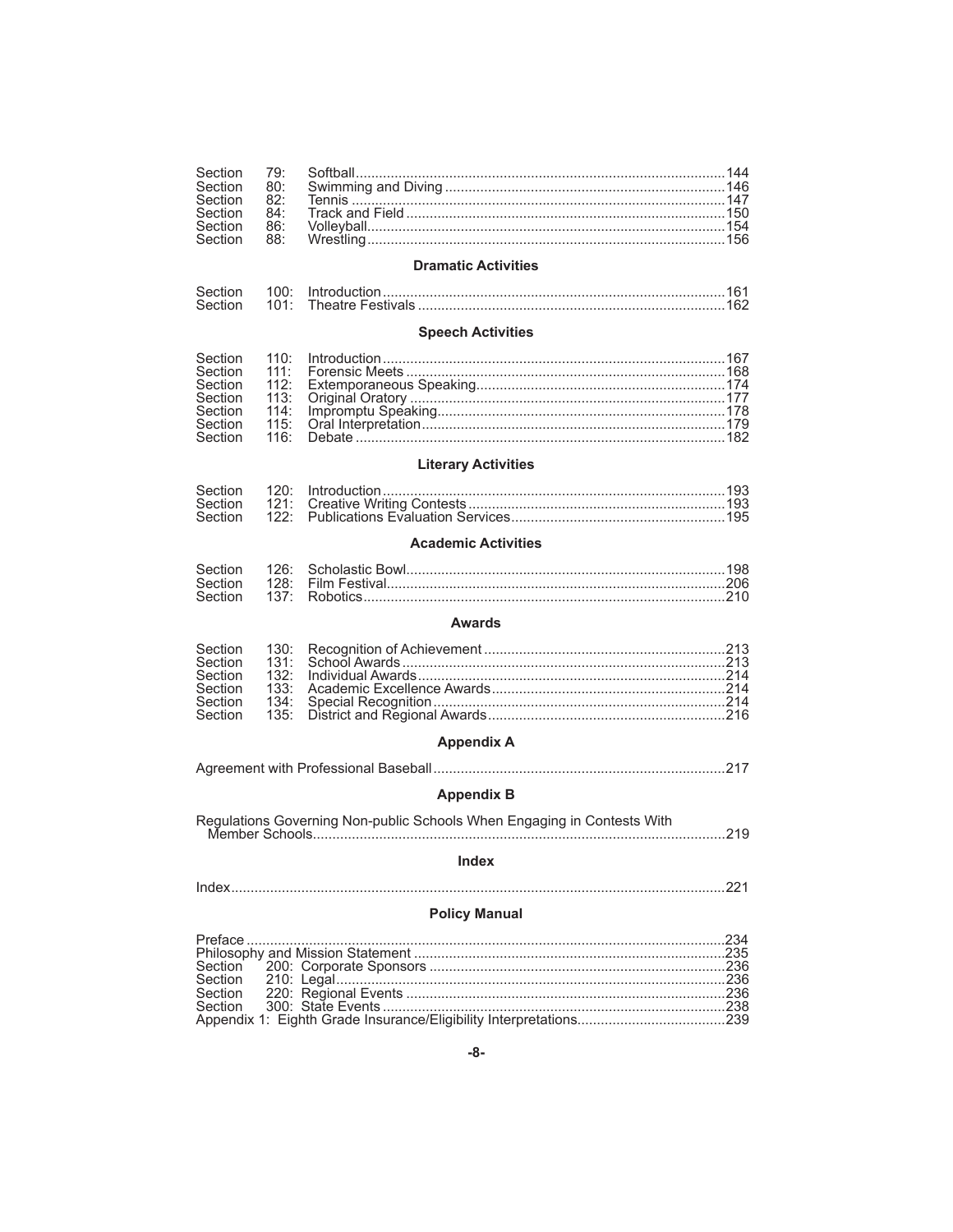#### **Dramatic Activities**

| Section        | 100: |                        |  |
|----------------|------|------------------------|--|
| <b>Section</b> |      | 101: Theatre Festivals |  |

# **Speech Activities**

# **Literary Activities**

#### **Academic Activities**

#### **Awards**

### **Appendix A**

|--|

# **Appendix B**

| Regulations Governing Non-public Schools When Engaging in Contests With |       |
|-------------------------------------------------------------------------|-------|
|                                                                         | . 219 |

### Index

#### 

#### **Policy Manual**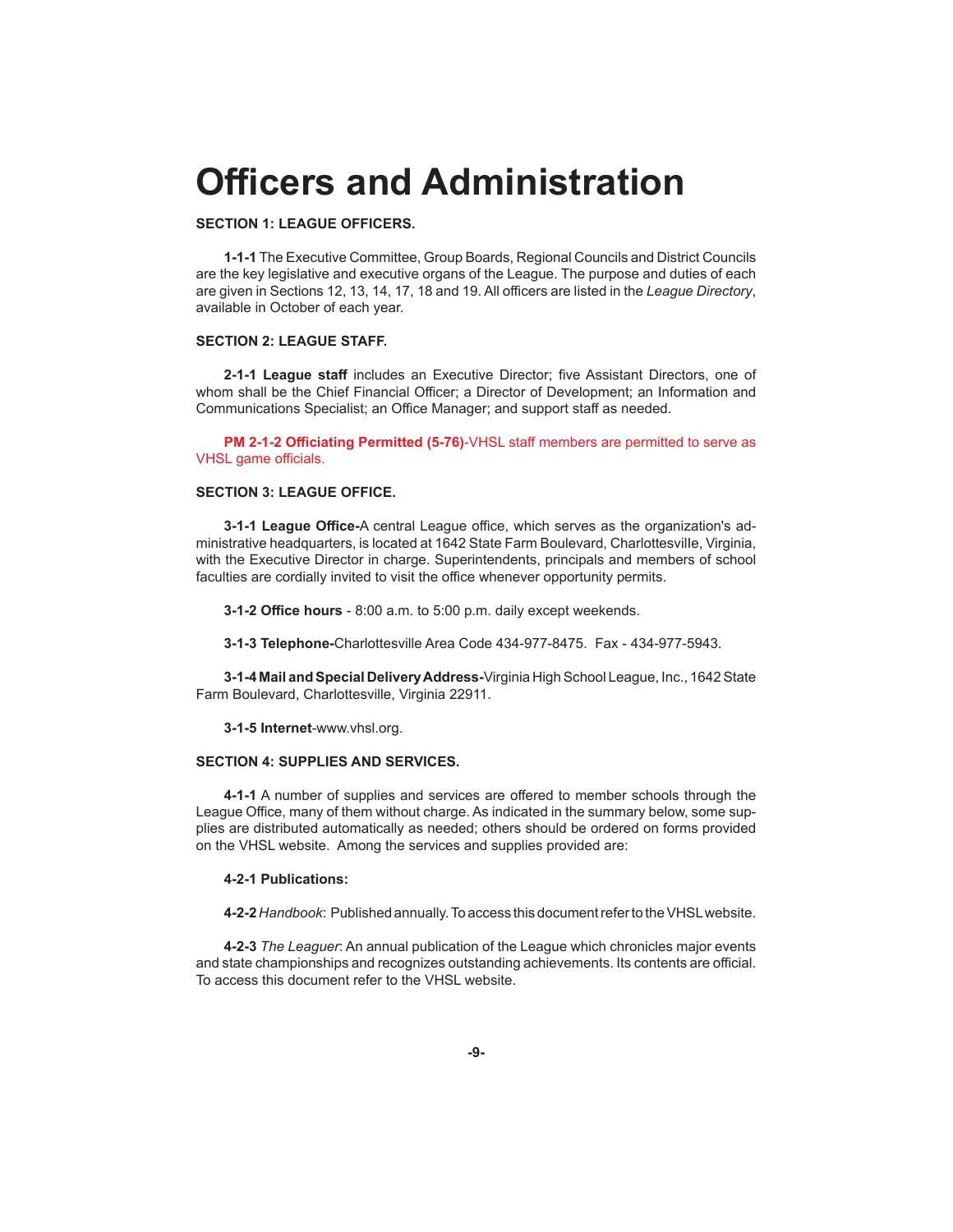# **Offi cers and Administration**

#### **SECTION 1: LEAGUE OFFICERS.**

**1-1-1** The Executive Committee, Group Boards, Regional Councils and District Councils are the key legislative and executive organs of the League. The purpose and duties of each are given in Sections 12, 13, 14, 17, 18 and 19. All officers are listed in the League Directory, available in October of each year.

#### **SECTION 2: LEAGUE STAFF.**

2-1-1 League staff includes an Executive Director; five Assistant Directors, one of whom shall be the Chief Financial Officer; a Director of Development; an Information and Communications Specialist; an Office Manager; and support staff as needed.

**PM 2-1-2 Officiating Permitted (5-76)-VHSL staff members are permitted to serve as** VHSL game officials.

#### **SECTION 3: LEAGUE OFFICE.**

**3-1-1 League Office-A** central League office, which serves as the organization's administrative headquarters, is located at 1642 State Farm Boulevard, CharlottesvilIe, Virginia, with the Executive Director in charge. Superintendents, principals and members of school faculties are cordially invited to visit the office whenever opportunity permits.

**3-1-2 Offi ce hours** - 8:00 a.m. to 5:00 p.m. daily except weekends.

**3-1-3 Telephone-**Charlottesville Area Code 434-977-8475. Fax - 434-977-5943.

**3-1-4 Mail and Special Delivery Address-**Virginia High School League, Inc., 1642 State Farm Boulevard, Charlottesville, Virginia 22911.

**3-1-5 Internet**-www.vhsl.org.

#### **SECTION 4: SUPPLIES AND SERVICES.**

**4-1-1** A number of supplies and services are offered to member schools through the League Office, many of them without charge. As indicated in the summary below, some supplies are distributed automatically as needed; others should be ordered on forms provided on the VHSL website. Among the services and supplies provided are:

#### **4-2-1 Publications:**

**4-2-2** *Handbook*: Published annually. To access this document refer to the VHSL website.

**4-2-3** *The Leaguer*: An annual publication of the League which chronicles major events and state championships and recognizes outstanding achievements. Its contents are official. To access this document refer to the VHSL website.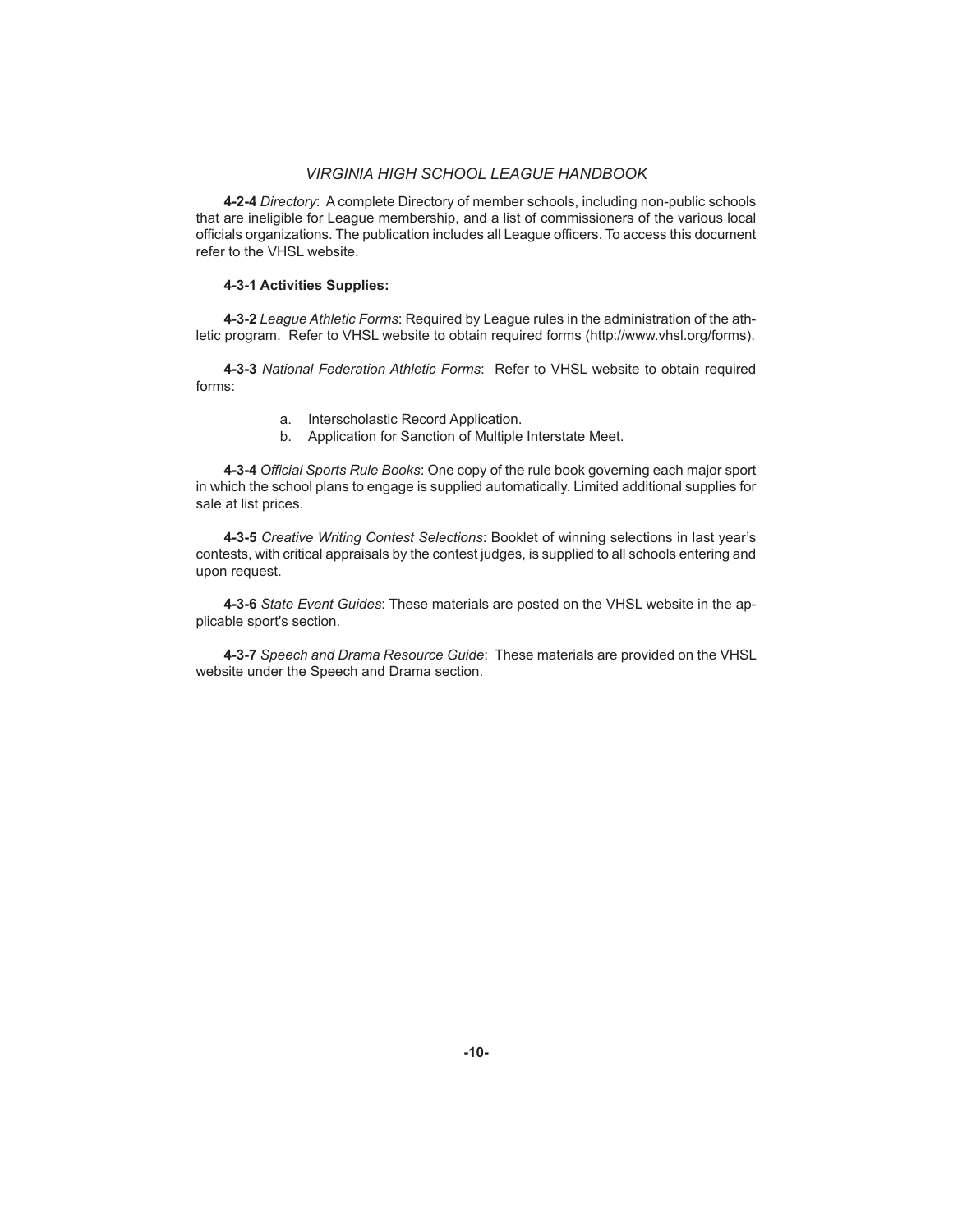**4-2-4** *Directory*: A complete Directory of member schools, including non-public schools that are ineligible for League membership, and a list of commissioners of the various local officials organizations. The publication includes all League officers. To access this document refer to the VHSL website.

#### **4-3-1 Activities Supplies:**

**4-3-2** *League Athletic Forms*: Required by League rules in the administration of the athletic program. Refer to VHSL website to obtain required forms (http://www.vhsl.org/forms).

**4-3-3** *National Federation Athletic Forms*: Refer to VHSL website to obtain required forms:

- a. Interscholastic Record Application.
- b. Application for Sanction of Multiple Interstate Meet.

4-3-4 Official Sports Rule Books: One copy of the rule book governing each major sport in which the school plans to engage is supplied automatically. Limited additional supplies for sale at list prices.

**4-3-5** *Creative Writing Contest Selections*: Booklet of winning selections in last year's contests, with critical appraisals by the contest judges, is supplied to all schools entering and upon request.

**4-3-6** *State Event Guides*: These materials are posted on the VHSL website in the applicable sport's section.

**4-3-7** *Speech and Drama Resource Guide*: These materials are provided on the VHSL website under the Speech and Drama section.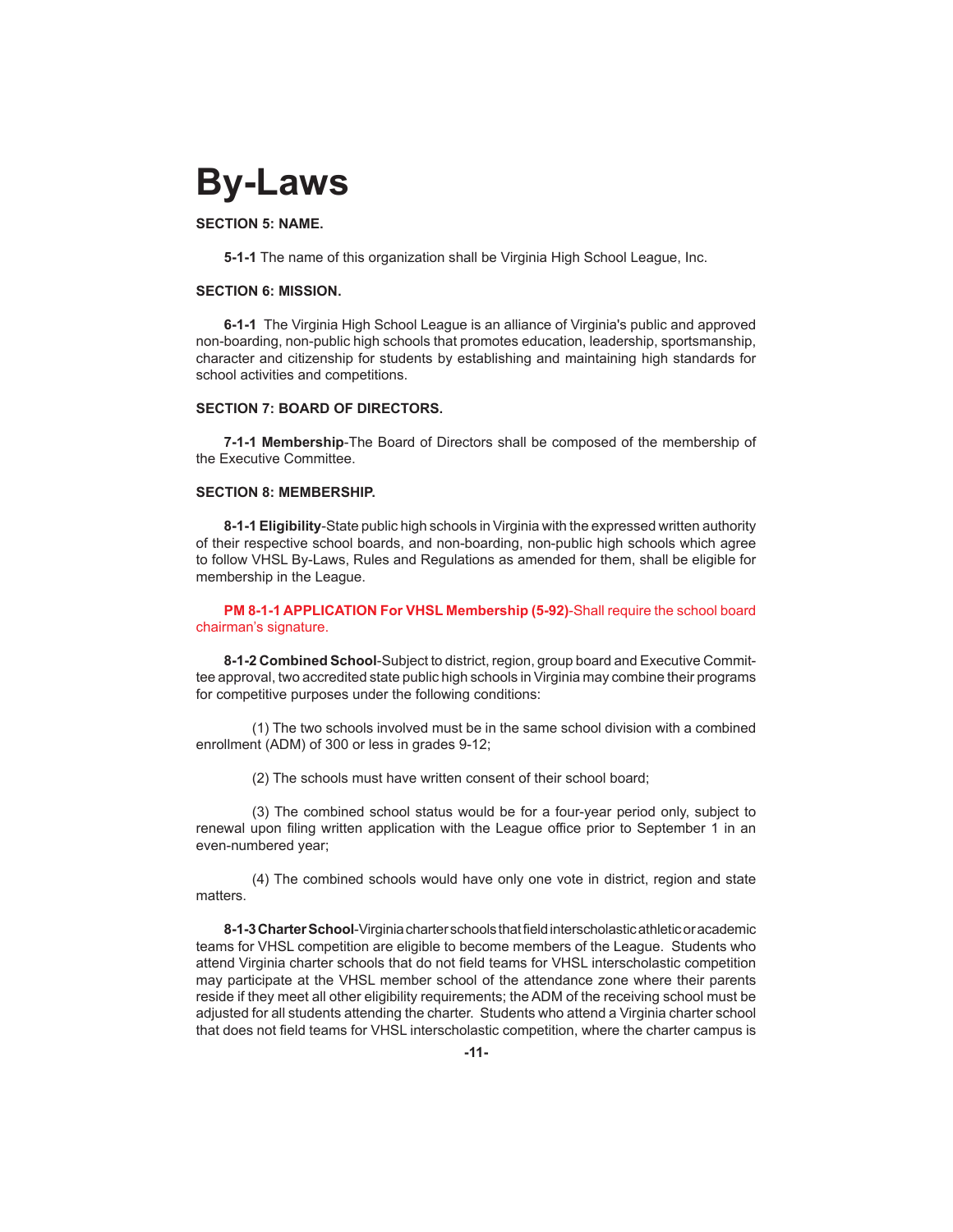# **By-Laws**

#### **SECTION 5: NAME.**

**5-1-1** The name of this organization shall be Virginia High School League, Inc.

#### **SECTION 6: MISSION.**

**6-1-1** The Virginia High School League is an alliance of Virginia's public and approved non-boarding, non-public high schools that promotes education, leadership, sportsmanship, character and citizenship for students by establishing and maintaining high standards for school activities and competitions.

#### **SECTION 7: BOARD OF DIRECTORS.**

**7-1-1 Membership**-The Board of Directors shall be composed of the membership of the Executive Committee.

#### **SECTION 8: MEMBERSHIP.**

**8-1-1 Eligibility**-State public high schools in Virginia with the expressed written authority of their respective school boards, and non-boarding, non-public high schools which agree to follow VHSL By-Laws, Rules and Regulations as amended for them, shall be eligible for membership in the League.

**PM 8-1-1 APPLICATION For VHSL Membership (5-92)**-Shall require the school board chairman's signature.

**8-1-2 Combined School**-Subject to district, region, group board and Executive Committee approval, two accredited state public high schools in Virginia may combine their programs for competitive purposes under the following conditions:

 (1) The two schools involved must be in the same school division with a combined enrollment (ADM) of 300 or less in grades 9-12;

(2) The schools must have written consent of their school board;

 (3) The combined school status would be for a four-year period only, subject to renewal upon filing written application with the League office prior to September 1 in an even-numbered year;

 (4) The combined schools would have only one vote in district, region and state matters.

8-1-3 Charter School-Virginia charter schools that field interscholastic athletic or academic teams for VHSL competition are eligible to become members of the League. Students who attend Virginia charter schools that do not field teams for VHSL interscholastic competition may participate at the VHSL member school of the attendance zone where their parents reside if they meet all other eligibility requirements; the ADM of the receiving school must be adjusted for all students attending the charter. Students who attend a Virginia charter school that does not field teams for VHSL interscholastic competition, where the charter campus is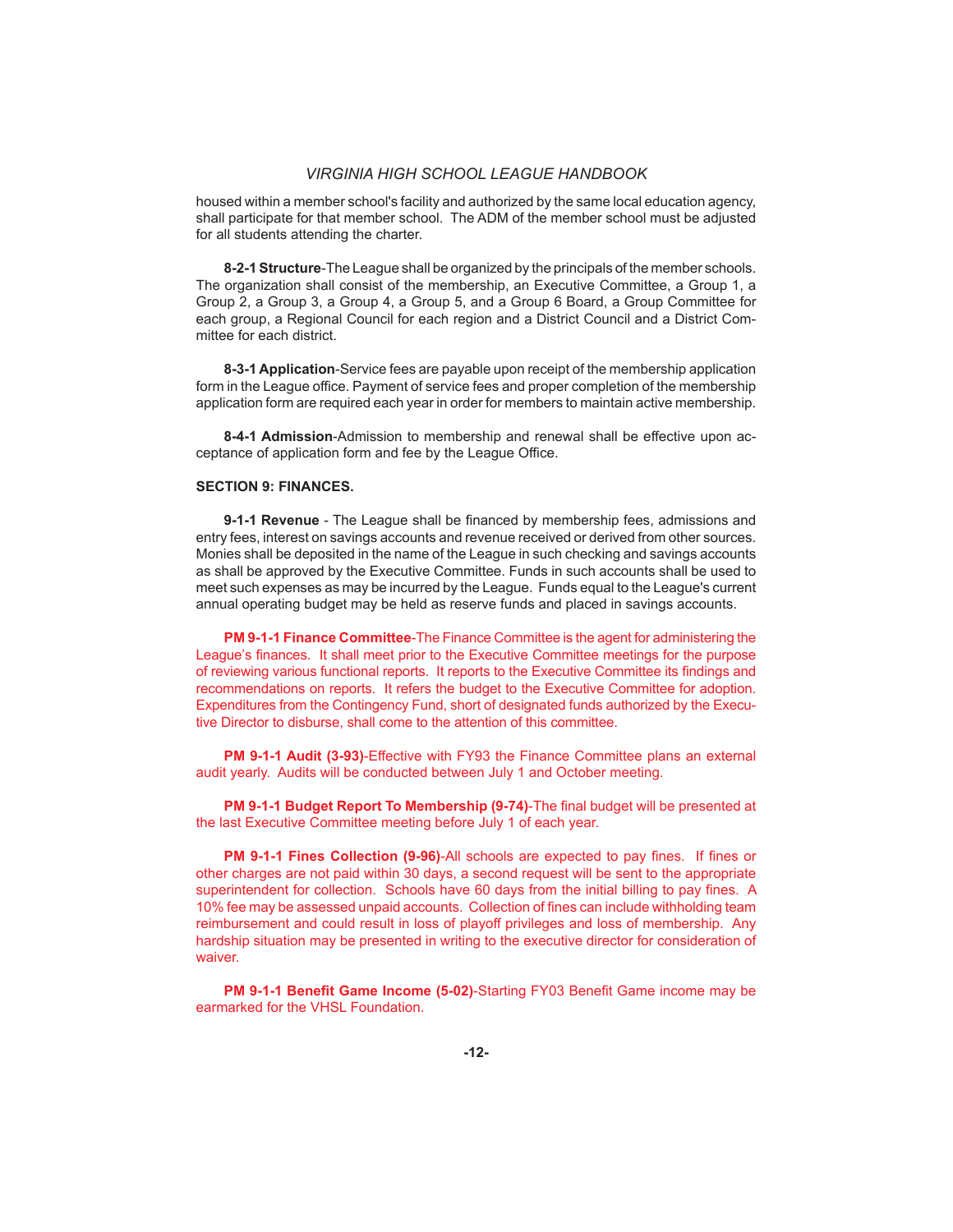housed within a member school's facility and authorized by the same local education agency, shall participate for that member school. The ADM of the member school must be adjusted for all students attending the charter.

**8-2-1 Structure**-The League shall be organized by the principals of the member schools. The organization shall consist of the membership, an Executive Committee, a Group 1, a Group 2, a Group 3, a Group 4, a Group 5, and a Group 6 Board, a Group Committee for each group, a Regional Council for each region and a District Council and a District Committee for each district.

**8-3-1 Application**-Service fees are payable upon receipt of the membership application form in the League office. Payment of service fees and proper completion of the membership application form are required each year in order for members to maintain active membership.

**8-4-1 Admission**-Admission to membership and renewal shall be effective upon acceptance of application form and fee by the League Office.

#### **SECTION 9: FINANCES.**

**9-1-1 Revenue** - The League shall be financed by membership fees, admissions and entry fees, interest on savings accounts and revenue received or derived from other sources. Monies shall be deposited in the name of the League in such checking and savings accounts as shall be approved by the Executive Committee. Funds in such accounts shall be used to meet such expenses as may be incurred by the League. Funds equal to the League's current annual operating budget may be held as reserve funds and placed in savings accounts.

 **PM 9-1-1 Finance Committee**-The Finance Committee is the agent for administering the League's finances. It shall meet prior to the Executive Committee meetings for the purpose of reviewing various functional reports. It reports to the Executive Committee its findings and recommendations on reports. It refers the budget to the Executive Committee for adoption. Expenditures from the Contingency Fund, short of designated funds authorized by the Executive Director to disburse, shall come to the attention of this committee.

**PM 9-1-1 Audit (3-93)-Effective with FY93 the Finance Committee plans an external** audit yearly. Audits will be conducted between July 1 and October meeting.

**PM 9-1-1 Budget Report To Membership (9-74)-The final budget will be presented at** the last Executive Committee meeting before July 1 of each year.

**PM 9-1-1 Fines Collection (9-96)-All schools are expected to pay fines. If fines or** other charges are not paid within 30 days, a second request will be sent to the appropriate superintendent for collection. Schools have 60 days from the initial billing to pay fines. A 10% fee may be assessed unpaid accounts. Collection of fines can include withholding team reimbursement and could result in loss of playoff privileges and loss of membership. Any hardship situation may be presented in writing to the executive director for consideration of waiver.

**PM 9-1-1 Benefit Game Income (5-02)-Starting FY03 Benefit Game income may be** earmarked for the VHSL Foundation.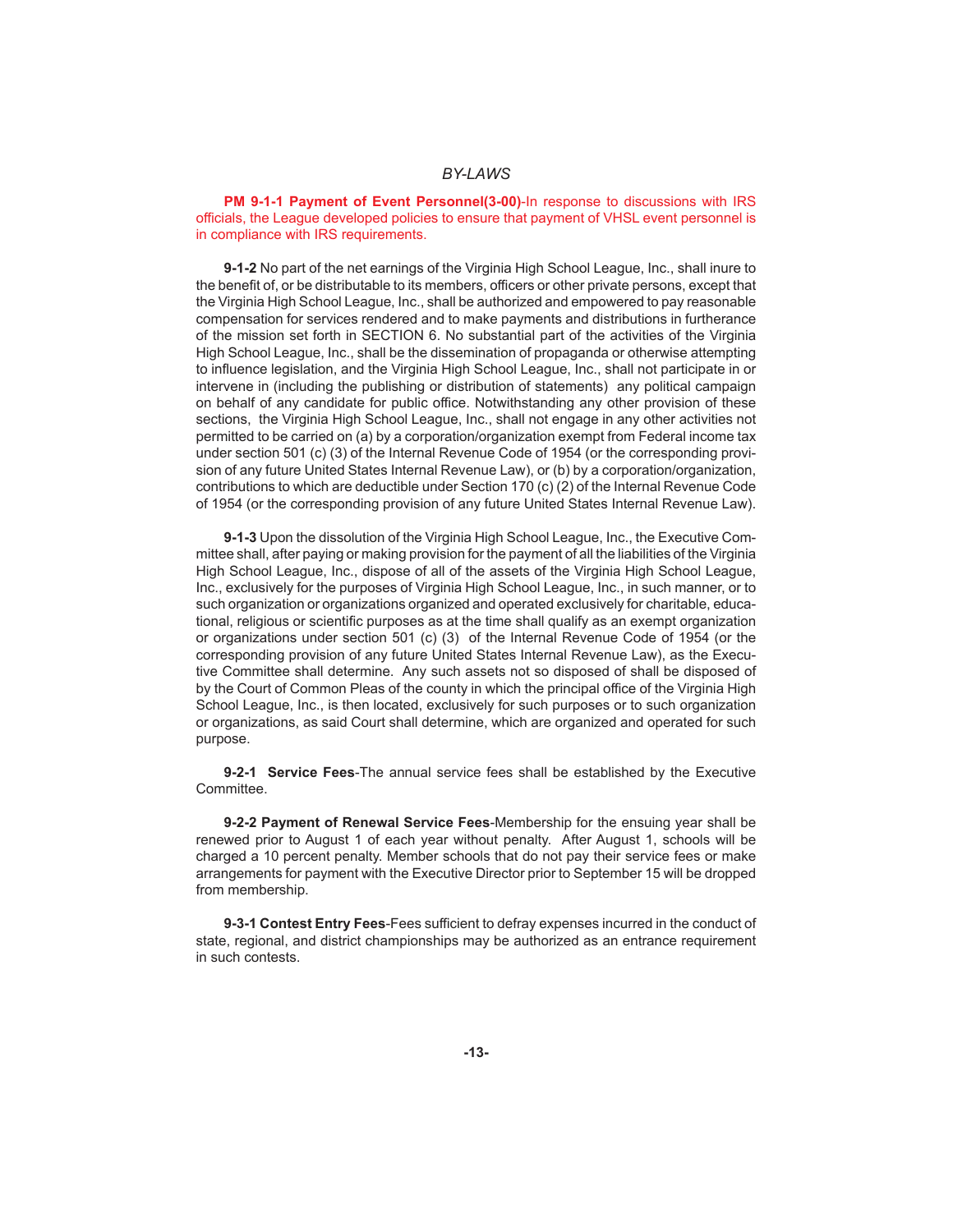**PM 9-1-1 Payment of Event Personnel(3-00)**-In response to discussions with IRS officials, the League developed policies to ensure that payment of VHSL event personnel is in compliance with IRS requirements.

**9-1-2** No part of the net earnings of the Virginia High School League, Inc., shall inure to the benefit of, or be distributable to its members, officers or other private persons, except that the Virginia High School League, Inc., shall be authorized and empowered to pay reasonable compensation for services rendered and to make payments and distributions in furtherance of the mission set forth in SECTION 6. No substantial part of the activities of the Virginia High School League, Inc., shall be the dissemination of propaganda or otherwise attempting to influence legislation, and the Virginia High School League, Inc., shall not participate in or intervene in (including the publishing or distribution of statements) any political campaign on behalf of any candidate for public office. Notwithstanding any other provision of these sections, the Virginia High School League, Inc., shall not engage in any other activities not permitted to be carried on (a) by a corporation/organization exempt from Federal income tax under section 501 (c) (3) of the Internal Revenue Code of 1954 (or the corresponding provision of any future United States Internal Revenue Law), or (b) by a corporation/organization, contributions to which are deductible under Section 170 (c) (2) of the Internal Revenue Code of 1954 (or the corresponding provision of any future United States Internal Revenue Law).

**9-1-3** Upon the dissolution of the Virginia High School League, Inc., the Executive Committee shall, after paying or making provision for the payment of all the liabilities of the Virginia High School League, Inc., dispose of all of the assets of the Virginia High School League, Inc., exclusively for the purposes of Virginia High School League, Inc., in such manner, or to such organization or organizations organized and operated exclusively for charitable, educational, religious or scientific purposes as at the time shall qualify as an exempt organization or organizations under section 501 (c) (3) of the Internal Revenue Code of 1954 (or the corresponding provision of any future United States Internal Revenue Law), as the Executive Committee shall determine. Any such assets not so disposed of shall be disposed of by the Court of Common Pleas of the county in which the principal office of the Virginia High School League, Inc., is then located, exclusively for such purposes or to such organization or organizations, as said Court shall determine, which are organized and operated for such purpose.

**9-2-1 Service Fees**-The annual service fees shall be established by the Executive Committee.

**9-2-2 Payment of Renewal Service Fees**-Membership for the ensuing year shall be renewed prior to August 1 of each year without penalty. After August 1, schools will be charged a 10 percent penalty. Member schools that do not pay their service fees or make arrangements for payment with the Executive Director prior to September 15 will be dropped from membership.

**9-3-1 Contest Entry Fees-Fees sufficient to defray expenses incurred in the conduct of** state, regional, and district championships may be authorized as an entrance requirement in such contests.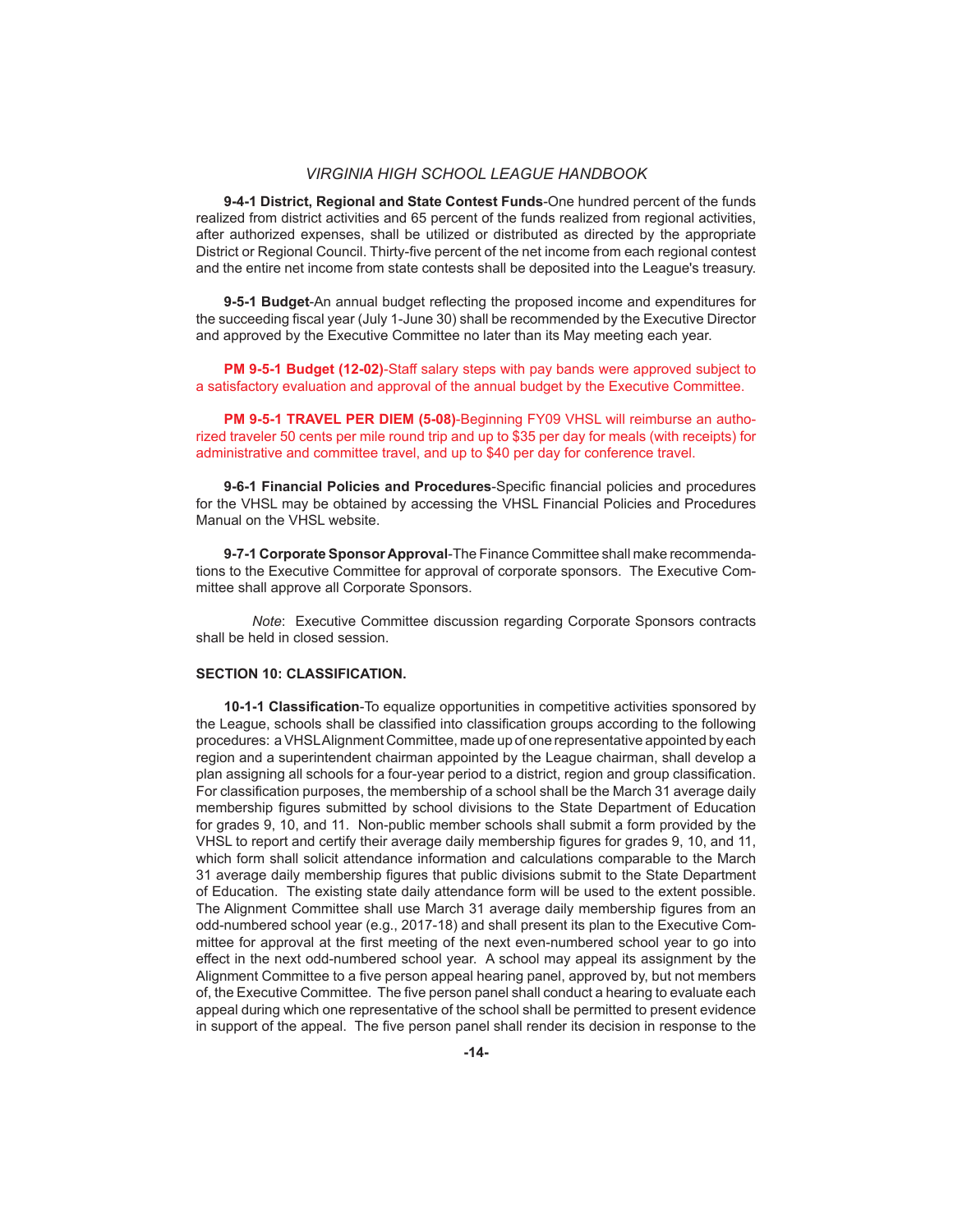**9-4-1 District, Regional and State Contest Funds**-One hundred percent of the funds realized from district activities and 65 percent of the funds realized from regional activities, after authorized expenses, shall be utilized or distributed as directed by the appropriate District or Regional Council. Thirty-five percent of the net income from each regional contest and the entire net income from state contests shall be deposited into the League's treasury.

**9-5-1 Budget**-An annual budget reflecting the proposed income and expenditures for the succeeding fiscal year (July 1-June 30) shall be recommended by the Executive Director and approved by the Executive Committee no later than its May meeting each year.

 **PM 9-5-1 Budget (12-02)**-Staff salary steps with pay bands were approved subject to a satisfactory evaluation and approval of the annual budget by the Executive Committee.

 **PM 9-5-1 TRAVEL PER DIEM (5-08)**-Beginning FY09 VHSL will reimburse an authorized traveler 50 cents per mile round trip and up to \$35 per day for meals (with receipts) for administrative and committee travel, and up to \$40 per day for conference travel.

9-6-1 Financial Policies and Procedures-Specific financial policies and procedures for the VHSL may be obtained by accessing the VHSL Financial Policies and Procedures Manual on the VHSL website.

**9-7-1 Corporate Sponsor Approval**-The Finance Committee shall make recommendations to the Executive Committee for approval of corporate sponsors. The Executive Committee shall approve all Corporate Sponsors.

 *Note*: Executive Committee discussion regarding Corporate Sponsors contracts shall be held in closed session.

#### **SECTION 10: CLASSIFICATION.**

**10-1-1 Classifi cation**-To equalize opportunities in competitive activities sponsored by the League, schools shall be classified into classification groups according to the following procedures: a VHSL Alignment Committee, made up of one representative appointed by each region and a superintendent chairman appointed by the League chairman, shall develop a plan assigning all schools for a four-year period to a district, region and group classification. For classification purposes, the membership of a school shall be the March 31 average daily membership figures submitted by school divisions to the State Department of Education for grades 9, 10, and 11. Non-public member schools shall submit a form provided by the VHSL to report and certify their average daily membership figures for grades 9, 10, and 11, which form shall solicit attendance information and calculations comparable to the March 31 average daily membership figures that public divisions submit to the State Department of Education. The existing state daily attendance form will be used to the extent possible. The Alignment Committee shall use March 31 average daily membership figures from an odd-numbered school year (e.g., 2017-18) and shall present its plan to the Executive Committee for approval at the first meeting of the next even-numbered school year to go into effect in the next odd-numbered school year. A school may appeal its assignment by the Alignment Committee to a five person appeal hearing panel, approved by, but not members of, the Executive Committee. The five person panel shall conduct a hearing to evaluate each appeal during which one representative of the school shall be permitted to present evidence in support of the appeal. The five person panel shall render its decision in response to the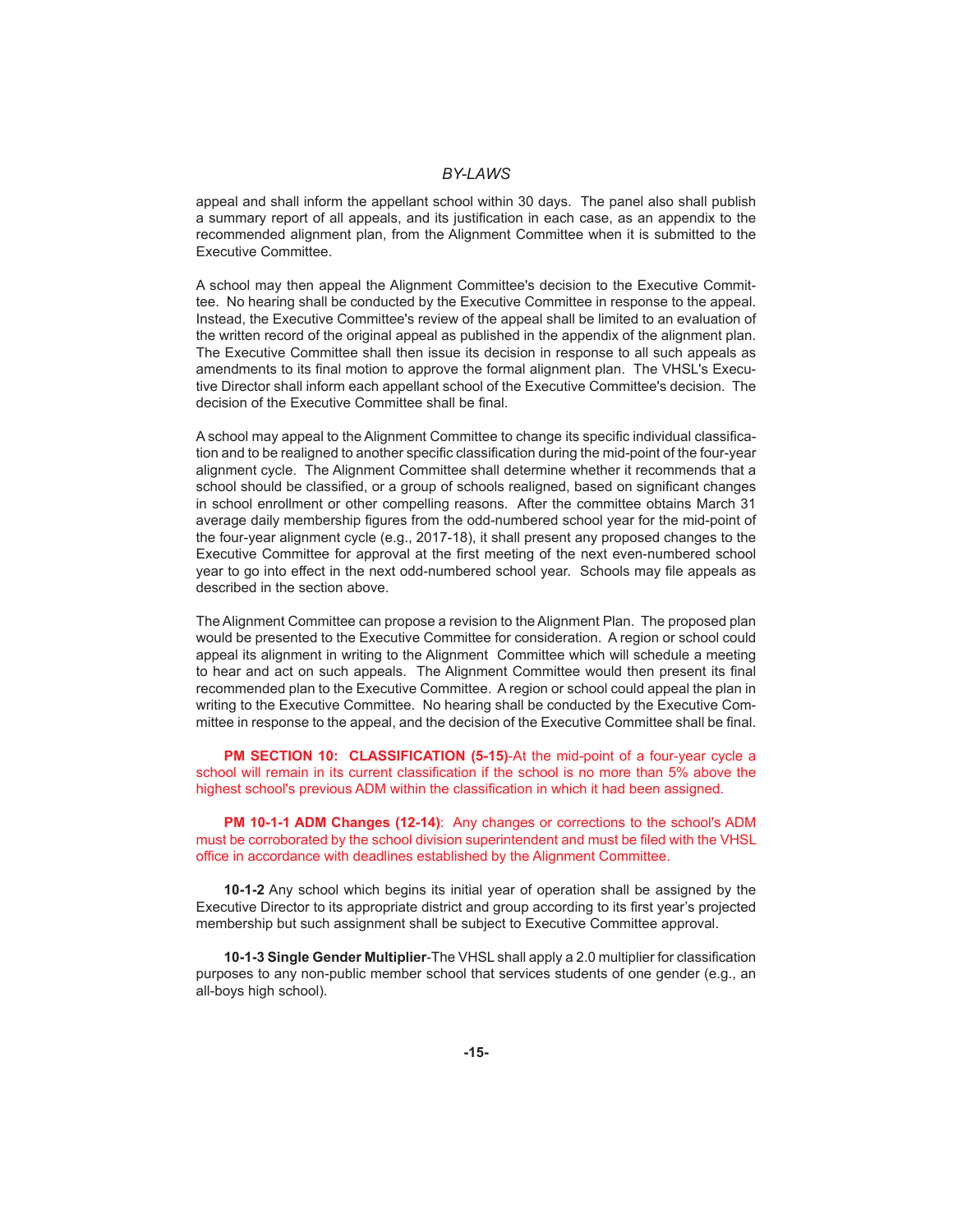appeal and shall inform the appellant school within 30 days. The panel also shall publish a summary report of all appeals, and its justification in each case, as an appendix to the recommended alignment plan, from the Alignment Committee when it is submitted to the Executive Committee.

A school may then appeal the Alignment Committee's decision to the Executive Committee. No hearing shall be conducted by the Executive Committee in response to the appeal. Instead, the Executive Committee's review of the appeal shall be limited to an evaluation of the written record of the original appeal as published in the appendix of the alignment plan. The Executive Committee shall then issue its decision in response to all such appeals as amendments to its final motion to approve the formal alignment plan. The VHSL's Executive Director shall inform each appellant school of the Executive Committee's decision. The decision of the Executive Committee shall be final.

A school may appeal to the Alignment Committee to change its specific individual classification and to be realigned to another specific classification during the mid-point of the four-year alignment cycle. The Alignment Committee shall determine whether it recommends that a school should be classified, or a group of schools realigned, based on significant changes in school enrollment or other compelling reasons. After the committee obtains March 31 average daily membership figures from the odd-numbered school year for the mid-point of the four-year alignment cycle (e.g., 2017-18), it shall present any proposed changes to the Executive Committee for approval at the first meeting of the next even-numbered school year to go into effect in the next odd-numbered school year. Schools may file appeals as described in the section above.

The Alignment Committee can propose a revision to the Alignment Plan. The proposed plan would be presented to the Executive Committee for consideration. A region or school could appeal its alignment in writing to the Alignment Committee which will schedule a meeting to hear and act on such appeals. The Alignment Committee would then present its final recommended plan to the Executive Committee. A region or school could appeal the plan in writing to the Executive Committee. No hearing shall be conducted by the Executive Committee in response to the appeal, and the decision of the Executive Committee shall be final.

**PM SECTION 10: CLASSIFICATION (5-15)**-At the mid-point of a four-year cycle a school will remain in its current classification if the school is no more than 5% above the highest school's previous ADM within the classification in which it had been assigned.

**PM 10-1-1 ADM Changes (12-14)**: Any changes or corrections to the school's ADM must be corroborated by the school division superintendent and must be filed with the VHSL office in accordance with deadlines established by the Alignment Committee.

**10-1-2** Any school which begins its initial year of operation shall be assigned by the Executive Director to its appropriate district and group according to its first year's projected membership but such assignment shall be subject to Executive Committee approval.

**10-1-3 Single Gender Multiplier-**The VHSL shall apply a 2.0 multiplier for classification purposes to any non-public member school that services students of one gender (e.g., an all-boys high school).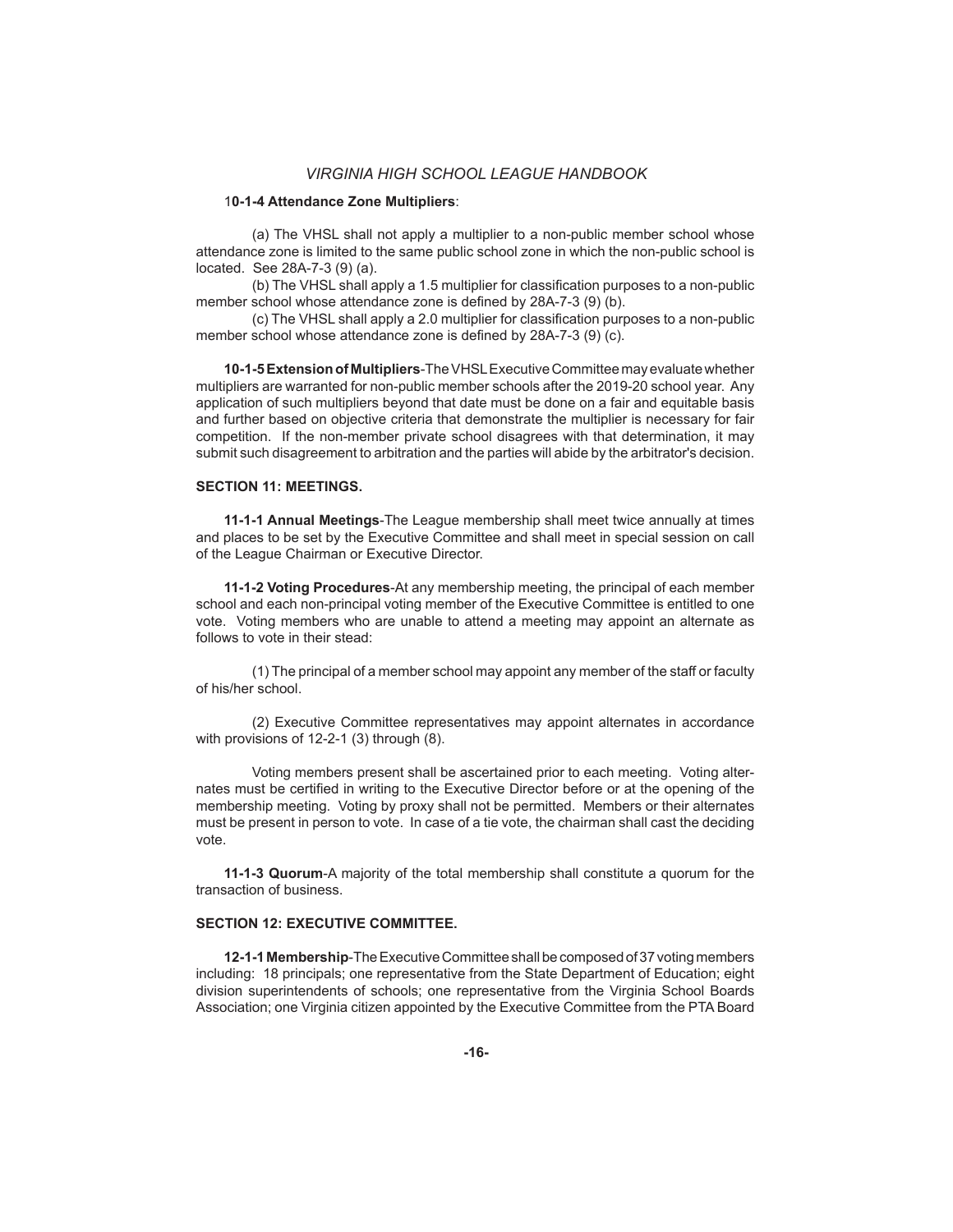#### 1**0-1-4 Attendance Zone Multipliers**:

 (a) The VHSL shall not apply a multiplier to a non-public member school whose attendance zone is limited to the same public school zone in which the non-public school is located. See 28A-7-3 (9) (a).

(b) The VHSL shall apply a 1.5 multiplier for classification purposes to a non-public member school whose attendance zone is defined by 28A-7-3 (9) (b).

(c) The VHSL shall apply a 2.0 multiplier for classification purposes to a non-public member school whose attendance zone is defined by 28A-7-3 (9) (c).

**10-1-5 Extension of Multipliers**-The VHSL Executive Committee may evaluate whether multipliers are warranted for non-public member schools after the 2019-20 school year. Any application of such multipliers beyond that date must be done on a fair and equitable basis and further based on objective criteria that demonstrate the multiplier is necessary for fair competition. If the non-member private school disagrees with that determination, it may submit such disagreement to arbitration and the parties will abide by the arbitrator's decision.

#### **SECTION 11: MEETINGS.**

**11-1-1 Annual Meetings**-The League membership shall meet twice annually at times and places to be set by the Executive Committee and shall meet in special session on call of the League Chairman or Executive Director.

**11-1-2 Voting Procedures**-At any membership meeting, the principal of each member school and each non-principal voting member of the Executive Committee is entitled to one vote. Voting members who are unable to attend a meeting may appoint an alternate as follows to vote in their stead:

 (1) The principal of a member school may appoint any member of the staff or faculty of his/her school.

 (2) Executive Committee representatives may appoint alternates in accordance with provisions of 12-2-1 (3) through (8).

 Voting members present shall be ascertained prior to each meeting. Voting alternates must be certified in writing to the Executive Director before or at the opening of the membership meeting. Voting by proxy shall not be permitted. Members or their alternates must be present in person to vote. In case of a tie vote, the chairman shall cast the deciding vote.

**11-1-3 Quorum**-A majority of the total membership shall constitute a quorum for the transaction of business.

#### **SECTION 12: EXECUTIVE COMMITTEE.**

**12-1-1 Membership**-The Executive Committee shall be composed of 37 voting members including: 18 principals; one representative from the State Department of Education; eight division superintendents of schools; one representative from the Virginia School Boards Association; one Virginia citizen appointed by the Executive Committee from the PTA Board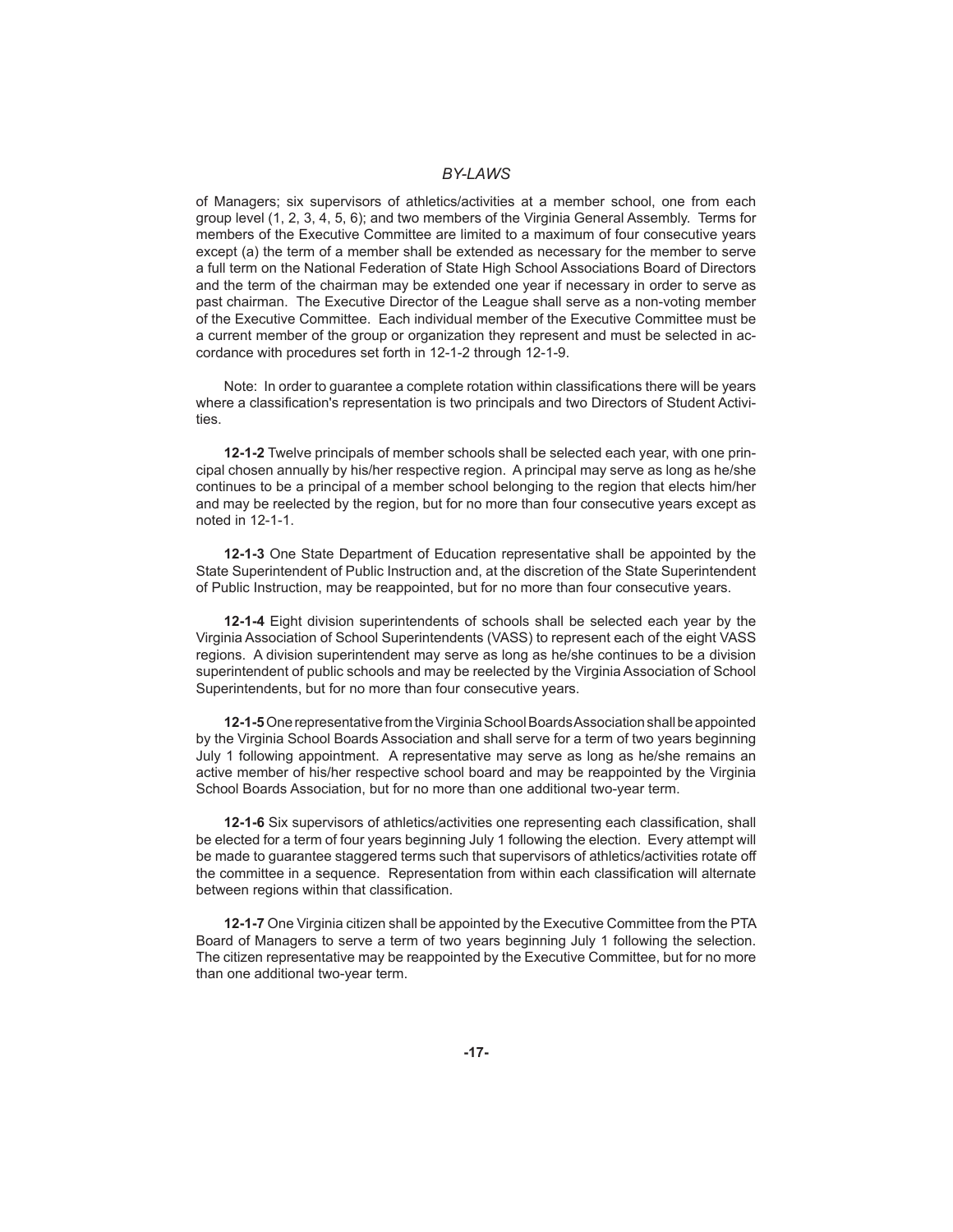of Managers; six supervisors of athletics/activities at a member school, one from each group level (1, 2, 3, 4, 5, 6); and two members of the Virginia General Assembly. Terms for members of the Executive Committee are limited to a maximum of four consecutive years except (a) the term of a member shall be extended as necessary for the member to serve a full term on the National Federation of State High School Associations Board of Directors and the term of the chairman may be extended one year if necessary in order to serve as past chairman. The Executive Director of the League shall serve as a non-voting member of the Executive Committee. Each individual member of the Executive Committee must be a current member of the group or organization they represent and must be selected in accordance with procedures set forth in 12-1-2 through 12-1-9.

Note: In order to guarantee a complete rotation within classifications there will be years where a classification's representation is two principals and two Directors of Student Activities.

**12-1-2** Twelve principals of member schools shall be selected each year, with one principal chosen annually by his/her respective region. A principal may serve as long as he/she continues to be a principal of a member school belonging to the region that elects him/her and may be reelected by the region, but for no more than four consecutive years except as noted in 12-1-1.

**12-1-3** One State Department of Education representative shall be appointed by the State Superintendent of Public Instruction and, at the discretion of the State Superintendent of Public Instruction, may be reappointed, but for no more than four consecutive years.

**12-1-4** Eight division superintendents of schools shall be selected each year by the Virginia Association of School Superintendents (VASS) to represent each of the eight VASS regions. A division superintendent may serve as long as he/she continues to be a division superintendent of public schools and may be reelected by the Virginia Association of School Superintendents, but for no more than four consecutive years.

**12-1-5** One representative from the Virginia School Boards Association shall be appointed by the Virginia School Boards Association and shall serve for a term of two years beginning July 1 following appointment. A representative may serve as long as he/she remains an active member of his/her respective school board and may be reappointed by the Virginia School Boards Association, but for no more than one additional two-year term.

**12-1-6** Six supervisors of athletics/activities one representing each classification, shall be elected for a term of four years beginning July 1 following the election. Every attempt will be made to guarantee staggered terms such that supervisors of athletics/activities rotate off the committee in a sequence. Representation from within each classification will alternate between regions within that classification.

**12-1-7** One Virginia citizen shall be appointed by the Executive Committee from the PTA Board of Managers to serve a term of two years beginning July 1 following the selection. The citizen representative may be reappointed by the Executive Committee, but for no more than one additional two-year term.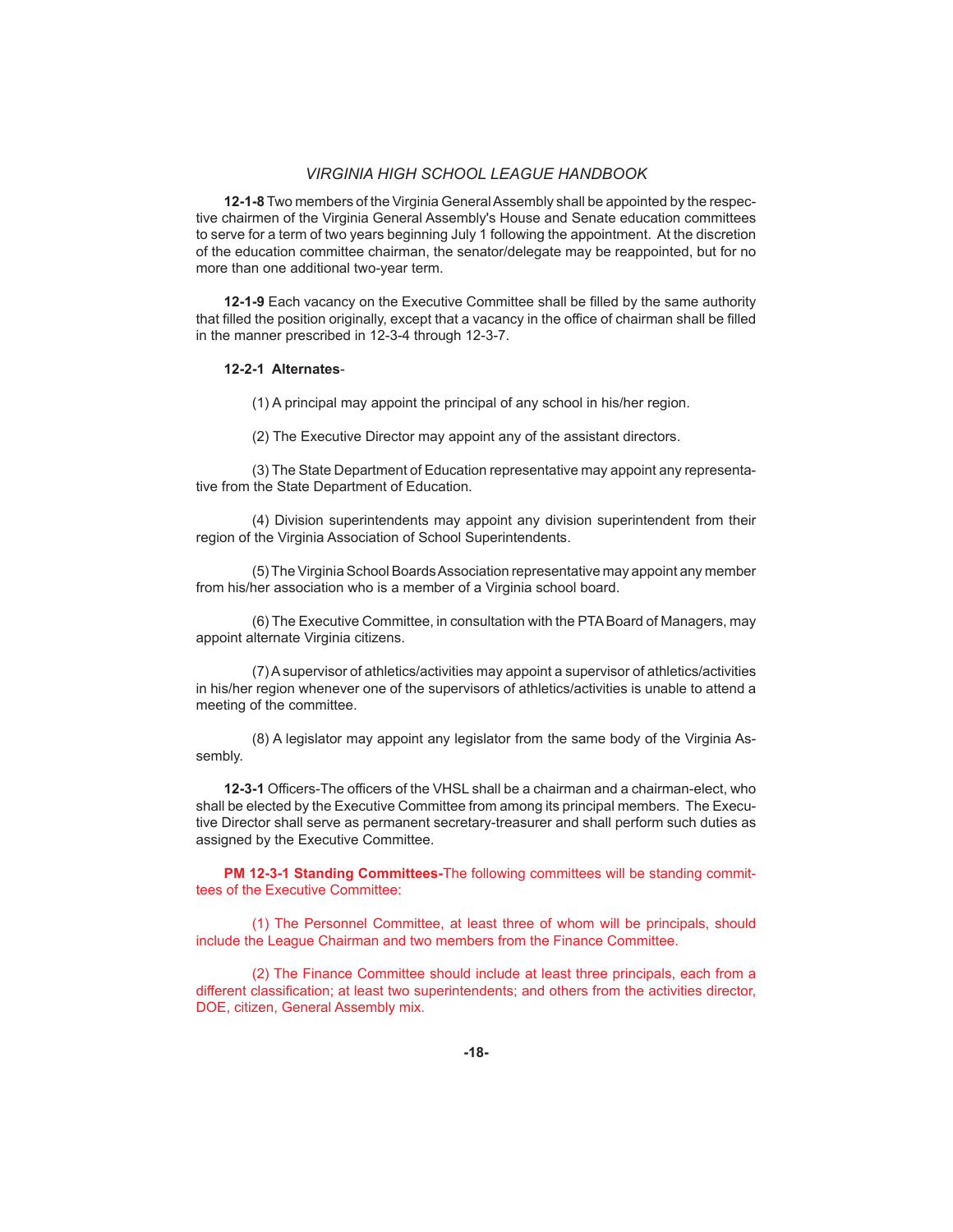**12-1-8** Two members of the Virginia General Assembly shall be appointed by the respective chairmen of the Virginia General Assembly's House and Senate education committees to serve for a term of two years beginning July 1 following the appointment. At the discretion of the education committee chairman, the senator/delegate may be reappointed, but for no more than one additional two-year term.

**12-1-9** Each vacancy on the Executive Committee shall be filled by the same authority that filled the position originally, except that a vacancy in the office of chairman shall be filled in the manner prescribed in 12-3-4 through 12-3-7.

#### **12-2-1 Alternates**-

(1) A principal may appoint the principal of any school in his/her region.

(2) The Executive Director may appoint any of the assistant directors.

 (3) The State Department of Education representative may appoint any representative from the State Department of Education.

 (4) Division superintendents may appoint any division superintendent from their region of the Virginia Association of School Superintendents.

 (5) The Virginia School Boards Association representative may appoint any member from his/her association who is a member of a Virginia school board.

 (6) The Executive Committee, in consultation with the PTA Board of Managers, may appoint alternate Virginia citizens.

 (7) A supervisor of athletics/activities may appoint a supervisor of athletics/activities in his/her region whenever one of the supervisors of athletics/activities is unable to attend a meeting of the committee.

 (8) A legislator may appoint any legislator from the same body of the Virginia Assembly.

**12-3-1** Officers-The officers of the VHSL shall be a chairman and a chairman-elect, who shall be elected by the Executive Committee from among its principal members. The Executive Director shall serve as permanent secretary-treasurer and shall perform such duties as assigned by the Executive Committee.

 **PM 12-3-1 Standing Committees-**The following committees will be standing committees of the Executive Committee:

 (1) The Personnel Committee, at least three of whom will be principals, should include the League Chairman and two members from the Finance Committee.

 (2) The Finance Committee should include at least three principals, each from a different classification; at least two superintendents; and others from the activities director, DOE, citizen, General Assembly mix.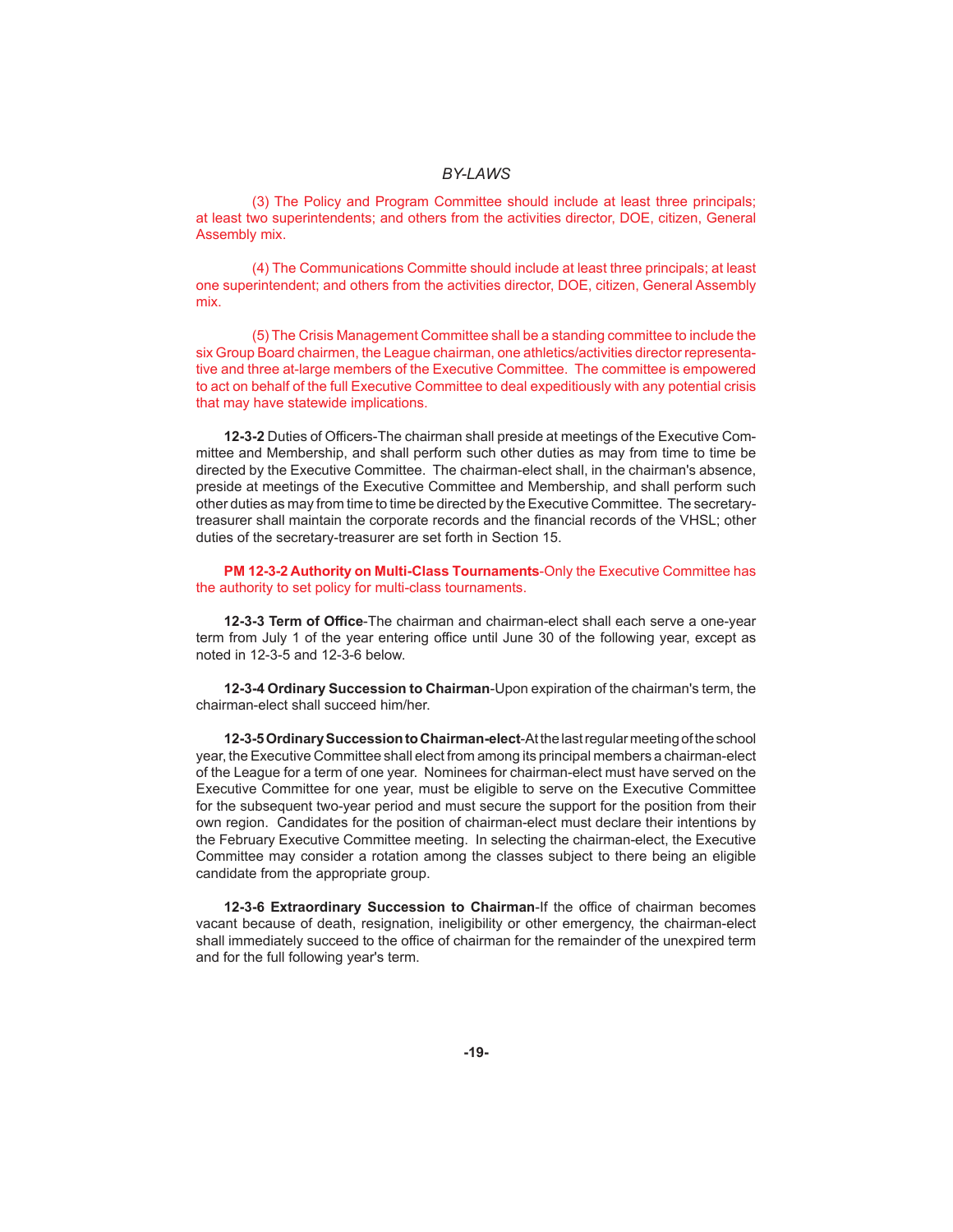(3) The Policy and Program Committee should include at least three principals; at least two superintendents; and others from the activities director, DOE, citizen, General Assembly mix.

 (4) The Communications Committe should include at least three principals; at least one superintendent; and others from the activities director, DOE, citizen, General Assembly mix.

 (5) The Crisis Management Committee shall be a standing committee to include the six Group Board chairmen, the League chairman, one athletics/activities director representative and three at-large members of the Executive Committee. The committee is empowered to act on behalf of the full Executive Committee to deal expeditiously with any potential crisis that may have statewide implications.

**12-3-2** Duties of Officers-The chairman shall preside at meetings of the Executive Committee and Membership, and shall perform such other duties as may from time to time be directed by the Executive Committee. The chairman-elect shall, in the chairman's absence, preside at meetings of the Executive Committee and Membership, and shall perform such other duties as may from time to time be directed by the Executive Committee. The secretarytreasurer shall maintain the corporate records and the financial records of the VHSL; other duties of the secretary-treasurer are set forth in Section 15.

 **PM 12-3-2 Authority on Multi-Class Tournaments**-Only the Executive Committee has the authority to set policy for multi-class tournaments.

**12-3-3 Term of Offi ce**-The chairman and chairman-elect shall each serve a one-year term from July 1 of the year entering office until June 30 of the following year, except as noted in 12-3-5 and 12-3-6 below.

**12-3-4 Ordinary Succession to Chairman**-Upon expiration of the chairman's term, the chairman-elect shall succeed him/her.

**12-3-5 Ordinary Succession to Chairman-elect**-At the last regular meeting of the school year, the Executive Committee shall elect from among its principal members a chairman-elect of the League for a term of one year. Nominees for chairman-elect must have served on the Executive Committee for one year, must be eligible to serve on the Executive Committee for the subsequent two-year period and must secure the support for the position from their own region. Candidates for the position of chairman-elect must declare their intentions by the February Executive Committee meeting. In selecting the chairman-elect, the Executive Committee may consider a rotation among the classes subject to there being an eligible candidate from the appropriate group.

**12-3-6 Extraordinary Succession to Chairman-If the office of chairman becomes** vacant because of death, resignation, ineligibility or other emergency, the chairman-elect shall immediately succeed to the office of chairman for the remainder of the unexpired term and for the full following year's term.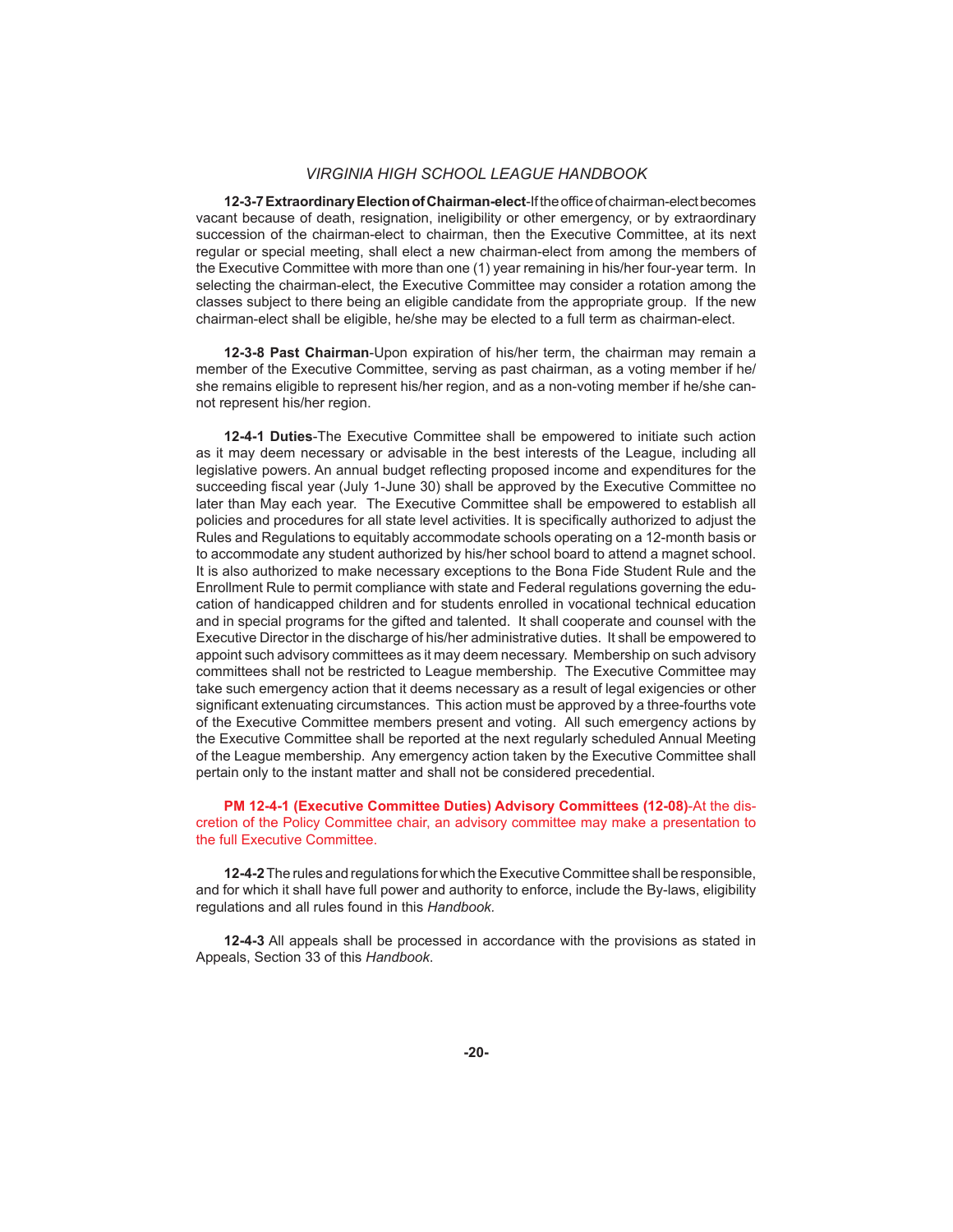**12-3-7 Extraordinary Election of Chairman-elect-**If the office of chairman-elect becomes vacant because of death, resignation, ineligibility or other emergency, or by extraordinary succession of the chairman-elect to chairman, then the Executive Committee, at its next regular or special meeting, shall elect a new chairman-elect from among the members of the Executive Committee with more than one (1) year remaining in his/her four-year term. In selecting the chairman-elect, the Executive Committee may consider a rotation among the classes subject to there being an eligible candidate from the appropriate group. If the new chairman-elect shall be eligible, he/she may be elected to a full term as chairman-elect.

**12-3-8 Past Chairman**-Upon expiration of his/her term, the chairman may remain a member of the Executive Committee, serving as past chairman, as a voting member if he/ she remains eligible to represent his/her region, and as a non-voting member if he/she cannot represent his/her region.

**12-4-1 Duties**-The Executive Committee shall be empowered to initiate such action as it may deem necessary or advisable in the best interests of the League, including all legislative powers. An annual budget reflecting proposed income and expenditures for the succeeding fiscal year (July 1-June 30) shall be approved by the Executive Committee no later than May each year. The Executive Committee shall be empowered to establish all policies and procedures for all state level activities. It is specifically authorized to adjust the Rules and Regulations to equitably accommodate schools operating on a 12-month basis or to accommodate any student authorized by his/her school board to attend a magnet school. It is also authorized to make necessary exceptions to the Bona Fide Student Rule and the Enrollment Rule to permit compliance with state and Federal regulations governing the education of handicapped children and for students enrolled in vocational technical education and in special programs for the gifted and talented. It shall cooperate and counsel with the Executive Director in the discharge of his/her administrative duties. It shall be empowered to appoint such advisory committees as it may deem necessary. Membership on such advisory committees shall not be restricted to League membership. The Executive Committee may take such emergency action that it deems necessary as a result of legal exigencies or other significant extenuating circumstances. This action must be approved by a three-fourths vote of the Executive Committee members present and voting. All such emergency actions by the Executive Committee shall be reported at the next regularly scheduled Annual Meeting of the League membership. Any emergency action taken by the Executive Committee shall pertain only to the instant matter and shall not be considered precedential.

#### **PM 12-4-1 (Executive Committee Duties) Advisory Committees (12-08)**-At the discretion of the Policy Committee chair, an advisory committee may make a presentation to the full Executive Committee.

**12-4-2** The rules and regulations for which the Executive Committee shall be responsible, and for which it shall have full power and authority to enforce, include the By-laws, eligibility regulations and all rules found in this *Handbook.*

**12-4-3** All appeals shall be processed in accordance with the provisions as stated in Appeals, Section 33 of this *Handbook*.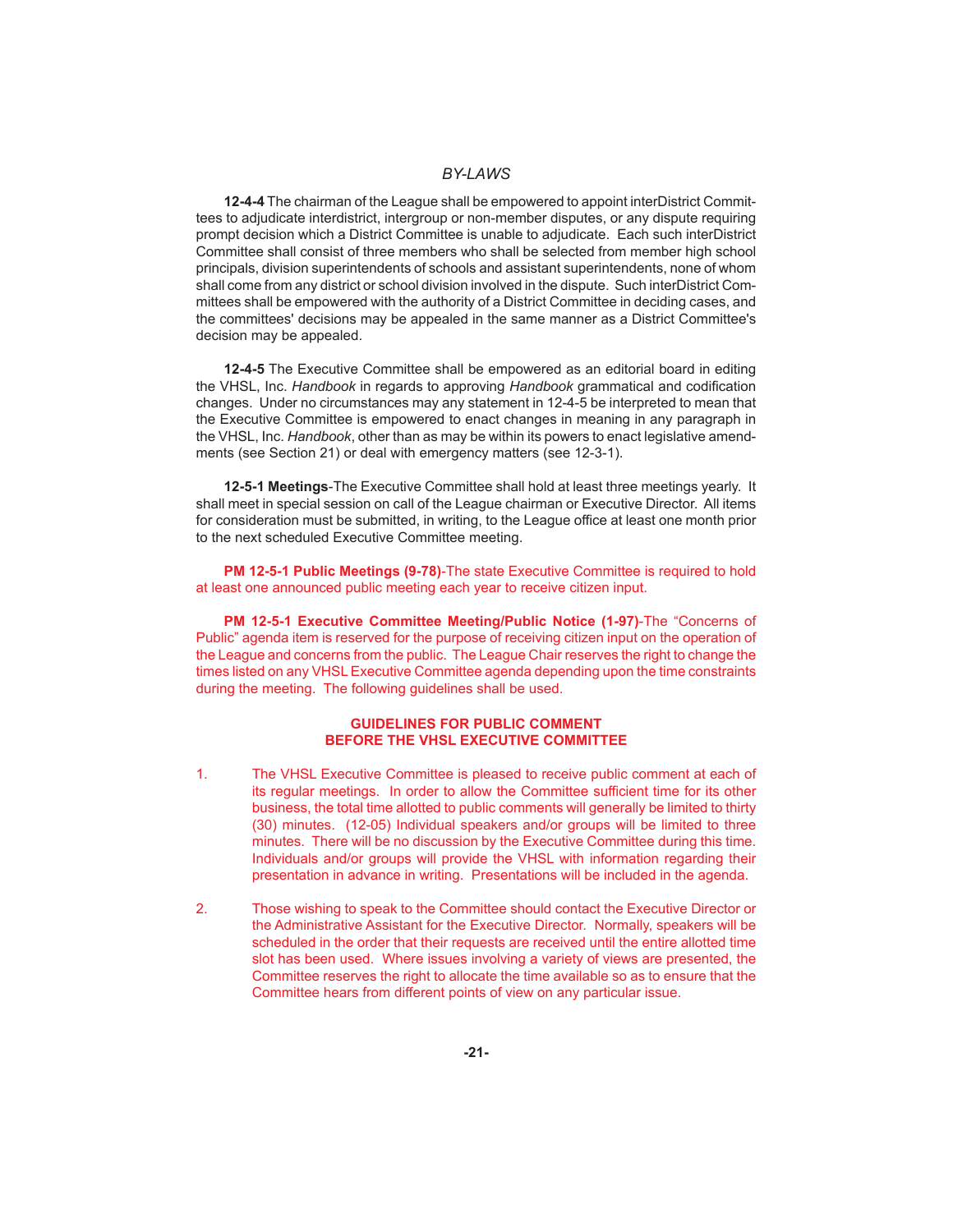**12-4-4** The chairman of the League shall be empowered to appoint interDistrict Committees to adjudicate interdistrict, intergroup or non-member disputes, or any dispute requiring prompt decision which a District Committee is unable to adjudicate. Each such interDistrict Committee shall consist of three members who shall be selected from member high school principals, division superintendents of schools and assistant superintendents, none of whom shall come from any district or school division involved in the dispute. Such interDistrict Committees shall be empowered with the authority of a District Committee in deciding cases, and the committees' decisions may be appealed in the same manner as a District Committee's decision may be appealed.

 **12-4-5** The Executive Committee shall be empowered as an editorial board in editing the VHSL, Inc. *Handbook* in regards to approving *Handbook* grammatical and codification changes. Under no circumstances may any statement in 12-4-5 be interpreted to mean that the Executive Committee is empowered to enact changes in meaning in any paragraph in the VHSL, Inc. *Handbook*, other than as may be within its powers to enact legislative amendments (see Section 21) or deal with emergency matters (see 12-3-1).

**12-5-1 Meetings**-The Executive Committee shall hold at least three meetings yearly. It shall meet in special session on call of the League chairman or Executive Director. All items for consideration must be submitted, in writing, to the League office at least one month prior to the next scheduled Executive Committee meeting.

 **PM 12-5-1 Public Meetings (9-78)**-The state Executive Committee is required to hold at least one announced public meeting each year to receive citizen input.

 **PM 12-5-1 Executive Committee Meeting/Public Notice (1-97)**-The "Concerns of Public" agenda item is reserved for the purpose of receiving citizen input on the operation of the League and concerns from the public. The League Chair reserves the right to change the times listed on any VHSL Executive Committee agenda depending upon the time constraints during the meeting. The following guidelines shall be used.

#### **GUIDELINES FOR PUBLIC COMMENT BEFORE THE VHSL EXECUTIVE COMMITTEE**

- 1. The VHSL Executive Committee is pleased to receive public comment at each of its regular meetings. In order to allow the Committee sufficient time for its other business, the total time allotted to public comments will generally be limited to thirty (30) minutes. (12-05) Individual speakers and/or groups will be limited to three minutes. There will be no discussion by the Executive Committee during this time. Individuals and/or groups will provide the VHSL with information regarding their presentation in advance in writing. Presentations will be included in the agenda.
- 2. Those wishing to speak to the Committee should contact the Executive Director or the Administrative Assistant for the Executive Director. Normally, speakers will be scheduled in the order that their requests are received until the entire allotted time slot has been used. Where issues involving a variety of views are presented, the Committee reserves the right to allocate the time available so as to ensure that the Committee hears from different points of view on any particular issue.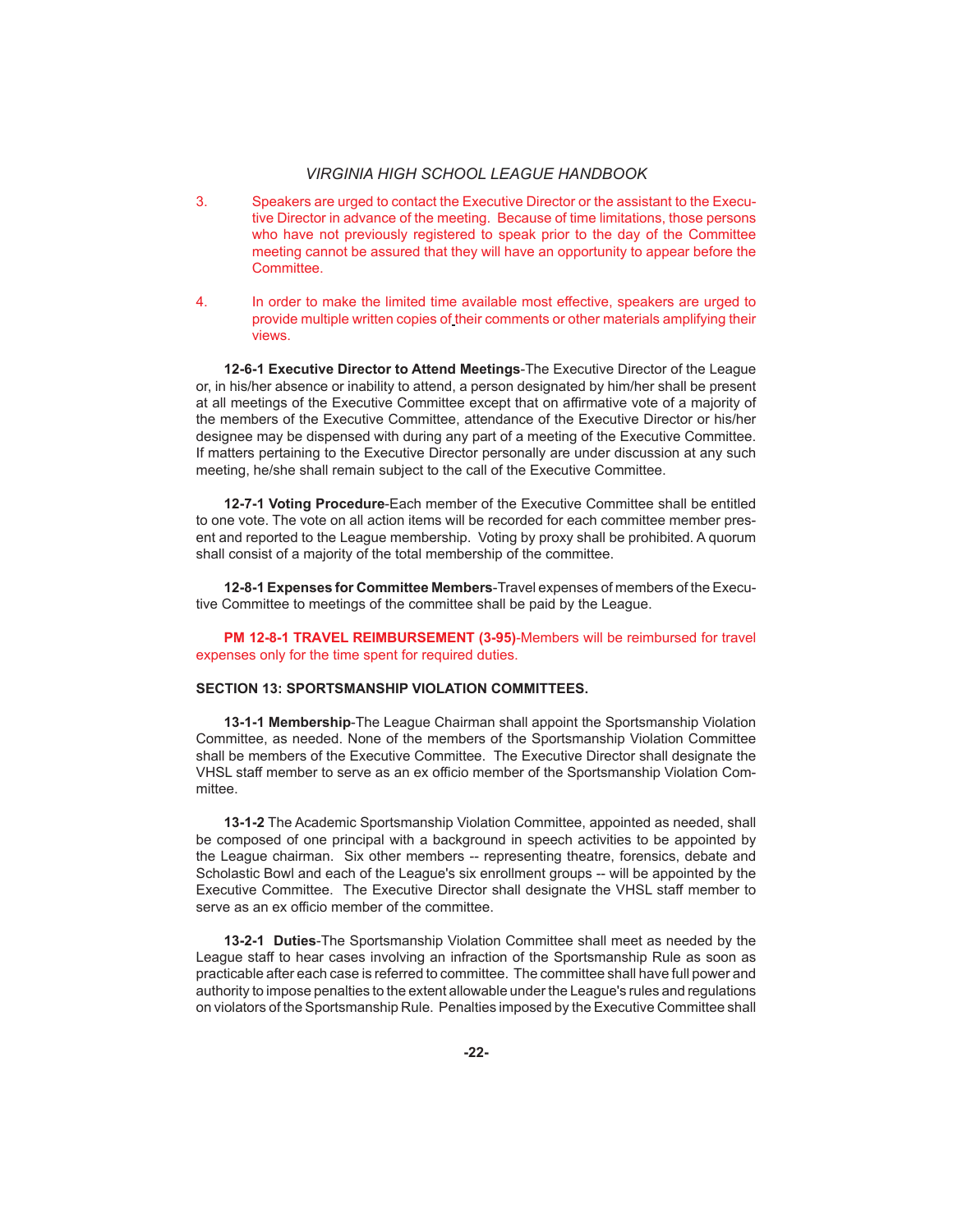- 3. Speakers are urged to contact the Executive Director or the assistant to the Executive Director in advance of the meeting. Because of time limitations, those persons who have not previously registered to speak prior to the day of the Committee meeting cannot be assured that they will have an opportunity to appear before the Committee.
- 4. In order to make the limited time available most effective, speakers are urged to provide multiple written copies of their comments or other materials amplifying their views.

**12-6-1 Executive Director to Attend Meetings**-The Executive Director of the League or, in his/her absence or inability to attend, a person designated by him/her shall be present at all meetings of the Executive Committee except that on affirmative vote of a majority of the members of the Executive Committee, attendance of the Executive Director or his/her designee may be dispensed with during any part of a meeting of the Executive Committee. If matters pertaining to the Executive Director personally are under discussion at any such meeting, he/she shall remain subject to the call of the Executive Committee.

**12-7-1 Voting Procedure**-Each member of the Executive Committee shall be entitled to one vote. The vote on all action items will be recorded for each committee member present and reported to the League membership. Voting by proxy shall be prohibited. A quorum shall consist of a majority of the total membership of the committee.

**12-8-1 Expenses for Committee Members**-Travel expenses of members of the Executive Committee to meetings of the committee shall be paid by the League.

 **PM 12-8-1 TRAVEL REIMBURSEMENT (3-95)**-Members will be reimbursed for travel expenses only for the time spent for required duties.

#### **SECTION 13: SPORTSMANSHIP VIOLATION COMMITTEES.**

**13-1-1 Membership**-The League Chairman shall appoint the Sportsmanship Violation Committee, as needed. None of the members of the Sportsmanship Violation Committee shall be members of the Executive Committee. The Executive Director shall designate the VHSL staff member to serve as an ex officio member of the Sportsmanship Violation Committee.

**13-1-2** The Academic Sportsmanship Violation Committee, appointed as needed, shall be composed of one principal with a background in speech activities to be appointed by the League chairman. Six other members -- representing theatre, forensics, debate and Scholastic Bowl and each of the League's six enrollment groups -- will be appointed by the Executive Committee. The Executive Director shall designate the VHSL staff member to serve as an ex officio member of the committee.

**13-2-1 Duties**-The Sportsmanship Violation Committee shall meet as needed by the League staff to hear cases involving an infraction of the Sportsmanship Rule as soon as practicable after each case is referred to committee. The committee shall have full power and authority to impose penalties to the extent allowable under the League's rules and regulations on violators of the Sportsmanship Rule. Penalties imposed by the Executive Committee shall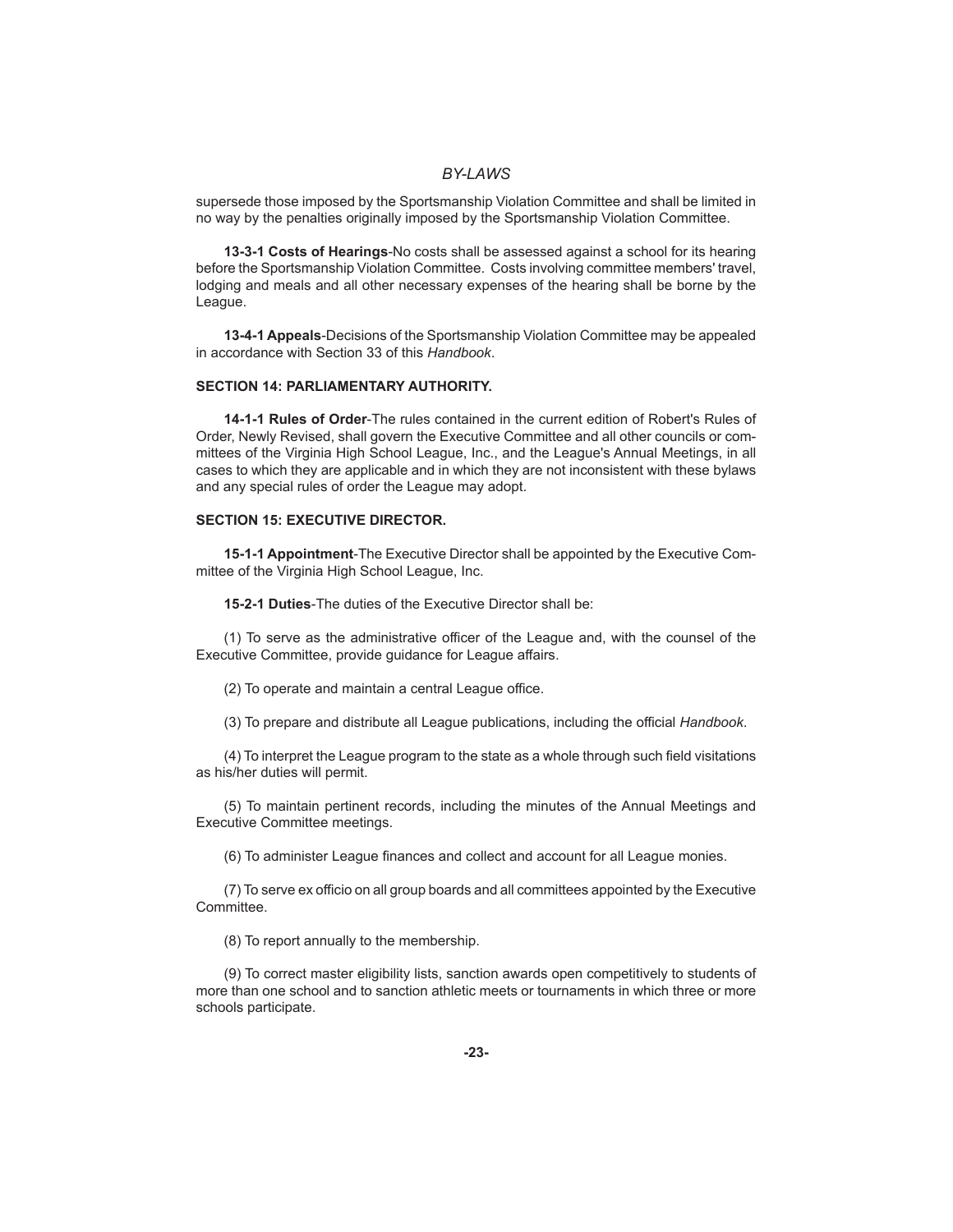supersede those imposed by the Sportsmanship Violation Committee and shall be limited in no way by the penalties originally imposed by the Sportsmanship Violation Committee.

**13-3-1 Costs of Hearings**-No costs shall be assessed against a school for its hearing before the Sportsmanship Violation Committee. Costs involving committee members' travel, lodging and meals and all other necessary expenses of the hearing shall be borne by the League.

**13-4-1 Appeals**-Decisions of the Sportsmanship Violation Committee may be appealed in accordance with Section 33 of this *Handbook*.

#### **SECTION 14: PARLIAMENTARY AUTHORITY.**

**14-1-1 Rules of Order**-The rules contained in the current edition of Robert's Rules of Order, Newly Revised, shall govern the Executive Committee and all other councils or committees of the Virginia High School League, Inc., and the League's Annual Meetings, in all cases to which they are applicable and in which they are not inconsistent with these bylaws and any special rules of order the League may adopt.

#### **SECTION 15: EXECUTIVE DIRECTOR.**

**15-1-1 Appointment**-The Executive Director shall be appointed by the Executive Committee of the Virginia High School League, Inc.

**15-2-1 Duties**-The duties of the Executive Director shall be:

(1) To serve as the administrative officer of the League and, with the counsel of the Executive Committee, provide guidance for League affairs.

(2) To operate and maintain a central League office.

(3) To prepare and distribute all League publications, including the official *Handbook*.

 $(4)$  To interpret the League program to the state as a whole through such field visitations as his/her duties will permit.

 (5) To maintain pertinent records, including the minutes of the Annual Meetings and Executive Committee meetings.

(6) To administer League finances and collect and account for all League monies.

(7) To serve ex officio on all group boards and all committees appointed by the Executive Committee.

(8) To report annually to the membership.

 (9) To correct master eligibility lists, sanction awards open competitively to students of more than one school and to sanction athletic meets or tournaments in which three or more schools participate.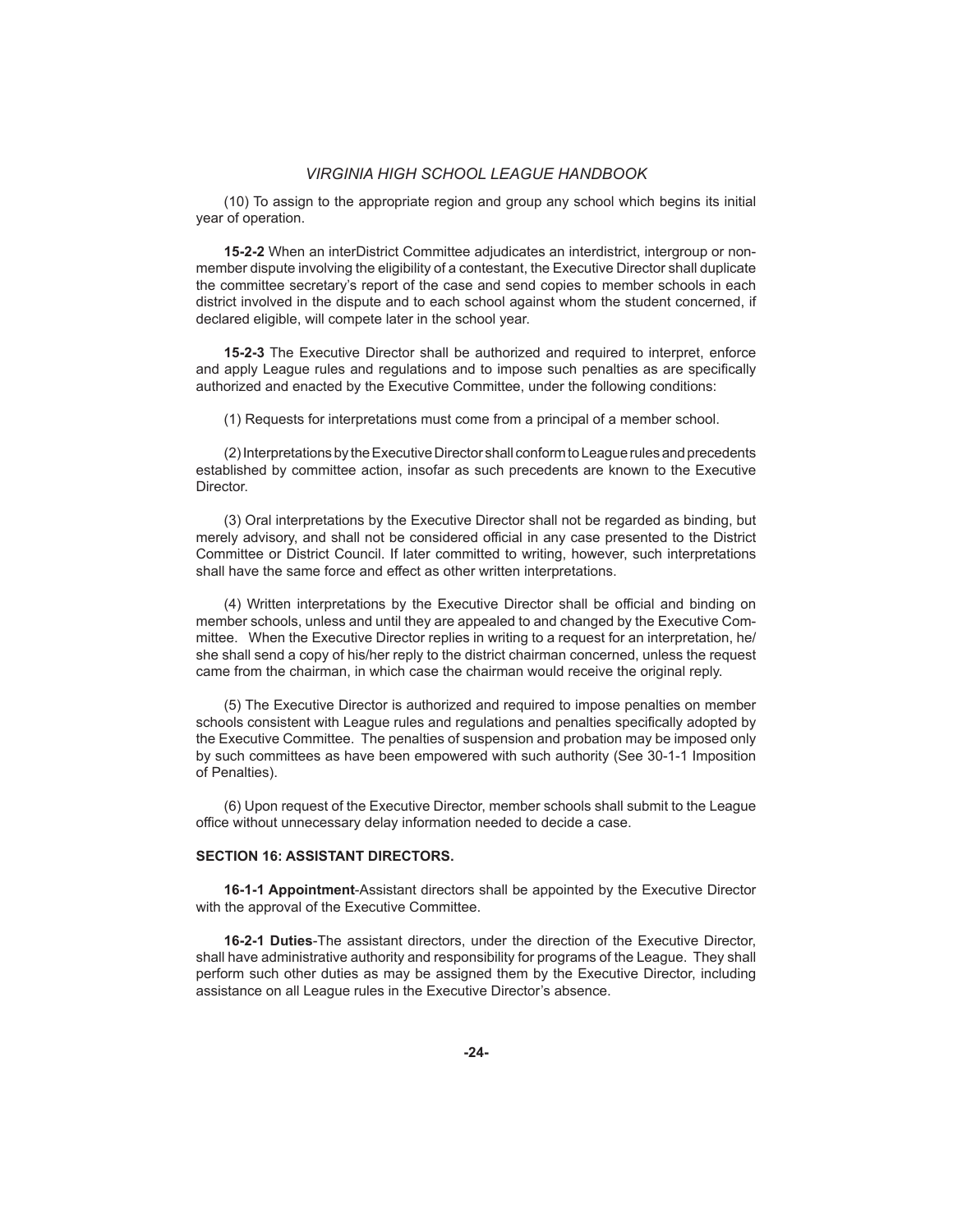(10) To assign to the appropriate region and group any school which begins its initial year of operation.

**15-2-2** When an interDistrict Committee adjudicates an interdistrict, intergroup or nonmember dispute involving the eligibility of a contestant, the Executive Director shall duplicate the committee secretary's report of the case and send copies to member schools in each district involved in the dispute and to each school against whom the student concerned, if declared eligible, will compete later in the school year.

**15-2-3** The Executive Director shall be authorized and required to interpret, enforce and apply League rules and regulations and to impose such penalties as are specifically authorized and enacted by the Executive Committee, under the following conditions:

(1) Requests for interpretations must come from a principal of a member school.

 (2) Interpretations by the Executive Director shall conform to League rules and precedents established by committee action, insofar as such precedents are known to the Executive Director.

 (3) Oral interpretations by the Executive Director shall not be regarded as binding, but merely advisory, and shall not be considered official in any case presented to the District Committee or District Council. If later committed to writing, however, such interpretations shall have the same force and effect as other written interpretations.

(4) Written interpretations by the Executive Director shall be official and binding on member schools, unless and until they are appealed to and changed by the Executive Committee. When the Executive Director replies in writing to a request for an interpretation, he/ she shall send a copy of his/her reply to the district chairman concerned, unless the request came from the chairman, in which case the chairman would receive the original reply.

 (5) The Executive Director is authorized and required to impose penalties on member schools consistent with League rules and regulations and penalties specifically adopted by the Executive Committee. The penalties of suspension and probation may be imposed only by such committees as have been empowered with such authority (See 30-1-1 Imposition of Penalties).

 (6) Upon request of the Executive Director, member schools shall submit to the League office without unnecessary delay information needed to decide a case.

#### **SECTION 16: ASSISTANT DIRECTORS.**

**16-1-1 Appointment**-Assistant directors shall be appointed by the Executive Director with the approval of the Executive Committee.

**16-2-1 Duties**-The assistant directors, under the direction of the Executive Director, shall have administrative authority and responsibility for programs of the League. They shall perform such other duties as may be assigned them by the Executive Director, including assistance on all League rules in the Executive Director's absence.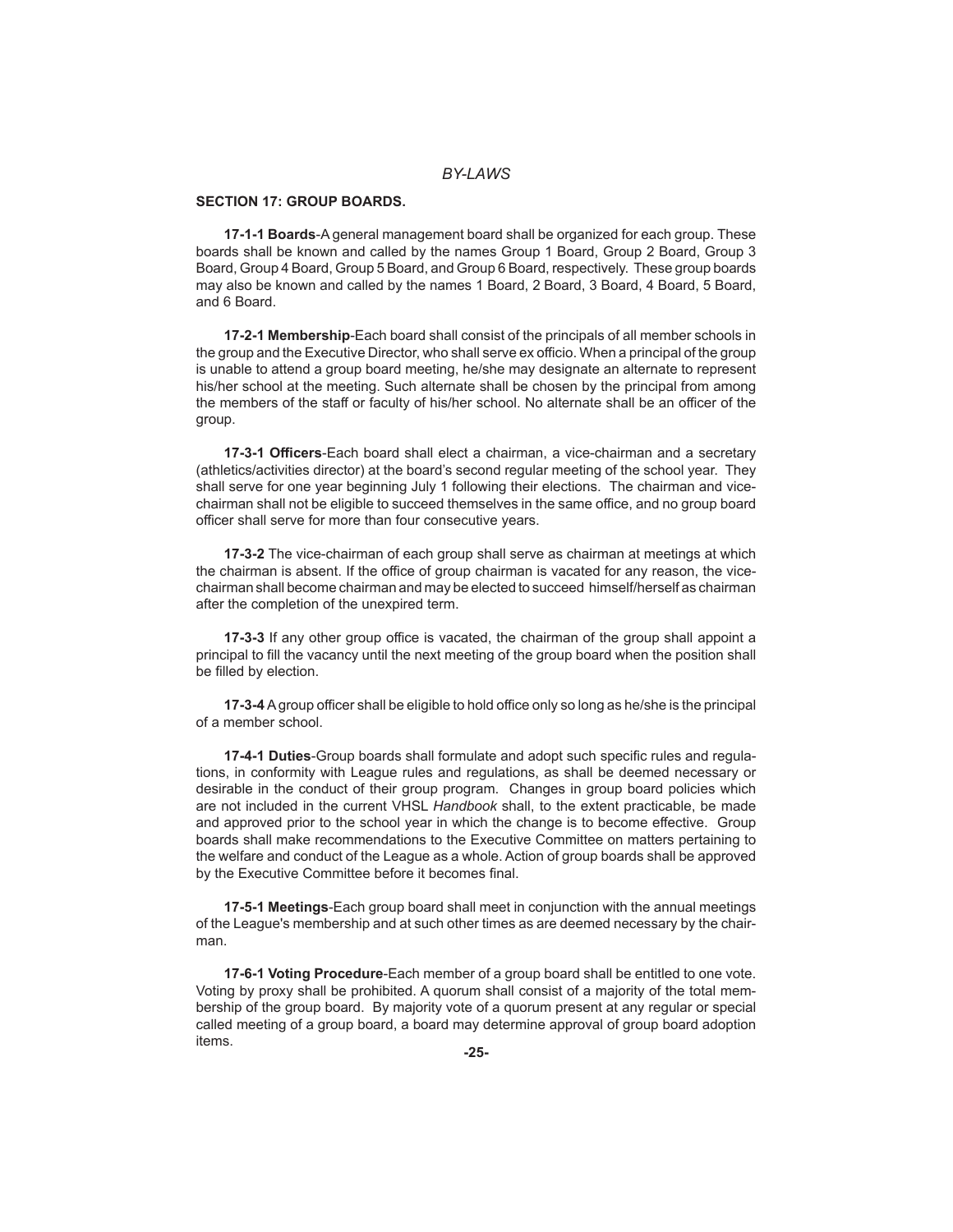#### **SECTION 17: GROUP BOARDS.**

**17-1-1 Boards**-A general management board shall be organized for each group. These boards shall be known and called by the names Group 1 Board, Group 2 Board, Group 3 Board, Group 4 Board, Group 5 Board, and Group 6 Board, respectively. These group boards may also be known and called by the names 1 Board, 2 Board, 3 Board, 4 Board, 5 Board, and 6 Board.

**17-2-1 Membership**-Each board shall consist of the principals of all member schools in the group and the Executive Director, who shall serve ex officio. When a principal of the group is unable to attend a group board meeting, he/she may designate an alternate to represent his/her school at the meeting. Such alternate shall be chosen by the principal from among the members of the staff or faculty of his/her school. No alternate shall be an officer of the group.

**17-3-1 Offi cers**-Each board shall elect a chairman, a vice-chairman and a secretary (athletics/activities director) at the board's second regular meeting of the school year. They shall serve for one year beginning July 1 following their elections. The chairman and vicechairman shall not be eligible to succeed themselves in the same office, and no group board officer shall serve for more than four consecutive years.

 **17-3-2** The vice-chairman of each group shall serve as chairman at meetings at which the chairman is absent. If the office of group chairman is vacated for any reason, the vicechairman shall become chairman and may be elected to succeed himself/herself as chairman after the completion of the unexpired term.

**17-3-3** If any other group office is vacated, the chairman of the group shall appoint a principal to fill the vacancy until the next meeting of the group board when the position shall be filled by election.

**17-3-4** A group officer shall be eligible to hold office only so long as he/she is the principal of a member school.

**17-4-1 Duties-**Group boards shall formulate and adopt such specific rules and regulations, in conformity with League rules and regulations, as shall be deemed necessary or desirable in the conduct of their group program. Changes in group board policies which are not included in the current VHSL *Handbook* shall, to the extent practicable, be made and approved prior to the school year in which the change is to become effective. Group boards shall make recommendations to the Executive Committee on matters pertaining to the welfare and conduct of the League as a whole. Action of group boards shall be approved by the Executive Committee before it becomes final.

**17-5-1 Meetings**-Each group board shall meet in conjunction with the annual meetings of the League's membership and at such other times as are deemed necessary by the chairman.

**17-6-1 Voting Procedure**-Each member of a group board shall be entitled to one vote. Voting by proxy shall be prohibited. A quorum shall consist of a majority of the total membership of the group board. By majority vote of a quorum present at any regular or special called meeting of a group board, a board may determine approval of group board adoption items.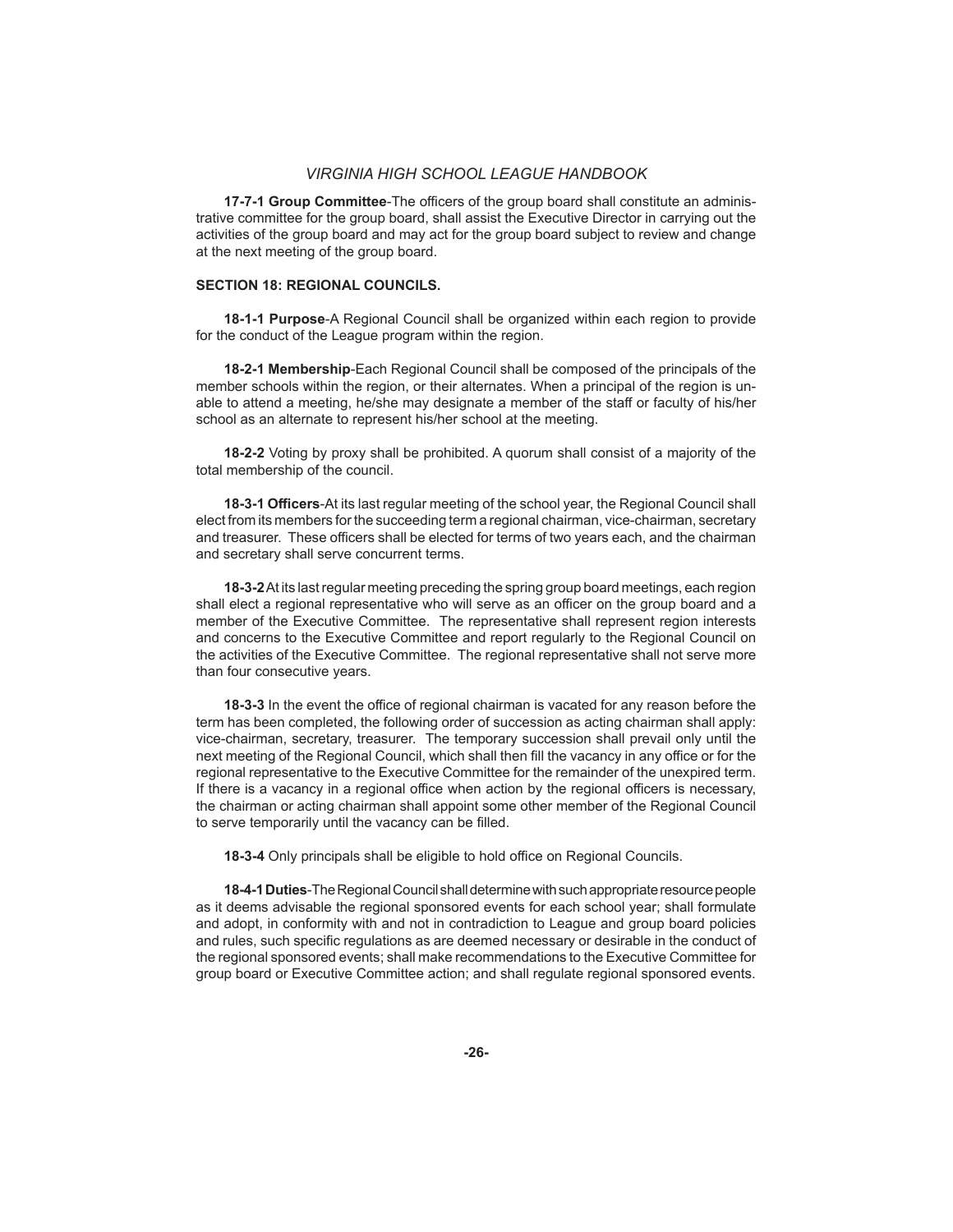**17-7-1 Group Committee-**The officers of the group board shall constitute an administrative committee for the group board, shall assist the Executive Director in carrying out the activities of the group board and may act for the group board subject to review and change at the next meeting of the group board.

#### **SECTION 18: REGIONAL COUNCILS.**

**18-1-1 Purpose**-A Regional Council shall be organized within each region to provide for the conduct of the League program within the region.

**18-2-1 Membership**-Each Regional Council shall be composed of the principals of the member schools within the region, or their alternates. When a principal of the region is unable to attend a meeting, he/she may designate a member of the staff or faculty of his/her school as an alternate to represent his/her school at the meeting.

**18-2-2** Voting by proxy shall be prohibited. A quorum shall consist of a majority of the total membership of the council.

**18-3-1 Offi cers**-At its last regular meeting of the school year, the Regional Council shall elect from its members for the succeeding term a regional chairman, vice-chairman, secretary and treasurer. These officers shall be elected for terms of two years each, and the chairman and secretary shall serve concurrent terms.

**18-3-2** At its last regular meeting preceding the spring group board meetings, each region shall elect a regional representative who will serve as an officer on the group board and a member of the Executive Committee. The representative shall represent region interests and concerns to the Executive Committee and report regularly to the Regional Council on the activities of the Executive Committee. The regional representative shall not serve more than four consecutive years.

**18-3-3** In the event the office of regional chairman is vacated for any reason before the term has been completed, the following order of succession as acting chairman shall apply: vice-chairman, secretary, treasurer. The temporary succession shall prevail only until the next meeting of the Regional Council, which shall then fill the vacancy in any office or for the regional representative to the Executive Committee for the remainder of the unexpired term. If there is a vacancy in a regional office when action by the regional officers is necessary, the chairman or acting chairman shall appoint some other member of the Regional Council to serve temporarily until the vacancy can be filled.

**18-3-4** Only principals shall be eligible to hold office on Regional Councils.

**18-4-1 Duties**-The Regional Council shall determine with such appropriate resource people as it deems advisable the regional sponsored events for each school year; shall formulate and adopt, in conformity with and not in contradiction to League and group board policies and rules, such specific requlations as are deemed necessary or desirable in the conduct of the regional sponsored events; shall make recommendations to the Executive Committee for group board or Executive Committee action; and shall regulate regional sponsored events.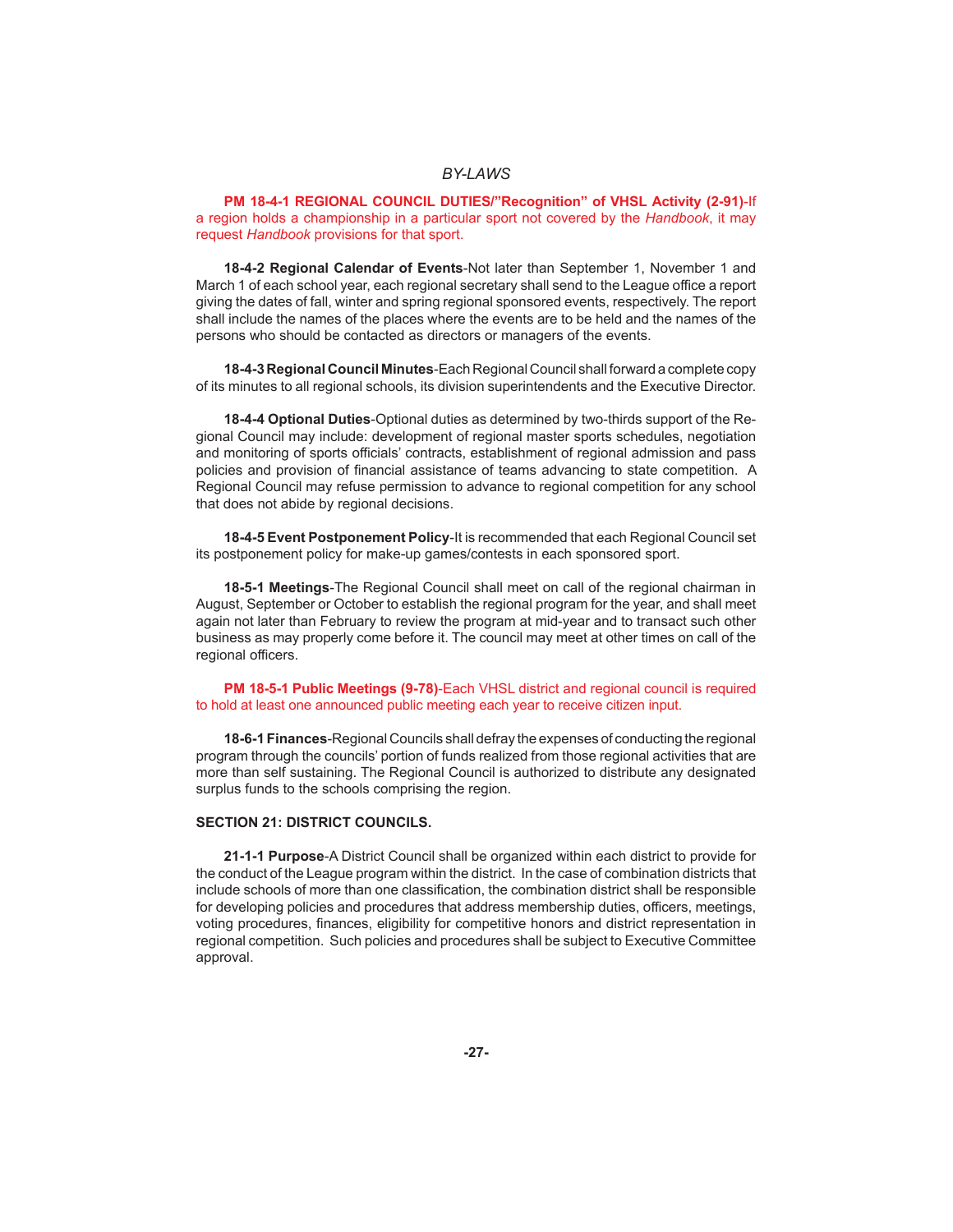**PM 18-4-1 REGIONAL COUNCIL DUTIES/"Recognition" of VHSL Activity (2-91)**-If a region holds a championship in a particular sport not covered by the *Handbook*, it may request *Handbook* provisions for that sport.

**18-4-2 Regional Calendar of Events**-Not later than September 1, November 1 and March 1 of each school year, each regional secretary shall send to the League office a report giving the dates of fall, winter and spring regional sponsored events, respectively. The report shall include the names of the places where the events are to be held and the names of the persons who should be contacted as directors or managers of the events.

**18-4-3 Regional Council Minutes**-Each Regional Council shall forward a complete copy of its minutes to all regional schools, its division superintendents and the Executive Director.

**18-4-4 Optional Duties**-Optional duties as determined by two-thirds support of the Regional Council may include: development of regional master sports schedules, negotiation and monitoring of sports officials' contracts, establishment of regional admission and pass policies and provision of financial assistance of teams advancing to state competition. A Regional Council may refuse permission to advance to regional competition for any school that does not abide by regional decisions.

**18-4-5 Event Postponement Policy**-It is recommended that each Regional Council set its postponement policy for make-up games/contests in each sponsored sport.

**18-5-1 Meetings**-The Regional Council shall meet on call of the regional chairman in August, September or October to establish the regional program for the year, and shall meet again not later than February to review the program at mid-year and to transact such other business as may properly come before it. The council may meet at other times on call of the regional officers.

 **PM 18-5-1 Public Meetings (9-78)**-Each VHSL district and regional council is required to hold at least one announced public meeting each year to receive citizen input.

**18-6-1 Finances**-Regional Councils shall defray the expenses of conducting the regional program through the councils' portion of funds realized from those regional activities that are more than self sustaining. The Regional Council is authorized to distribute any designated surplus funds to the schools comprising the region.

#### **SECTION 21: DISTRICT COUNCILS.**

**21-1-1 Purpose**-A District Council shall be organized within each district to provide for the conduct of the League program within the district. In the case of combination districts that include schools of more than one classification, the combination district shall be responsible for developing policies and procedures that address membership duties, officers, meetings, voting procedures, finances, eligibility for competitive honors and district representation in regional competition. Such policies and procedures shall be subject to Executive Committee approval.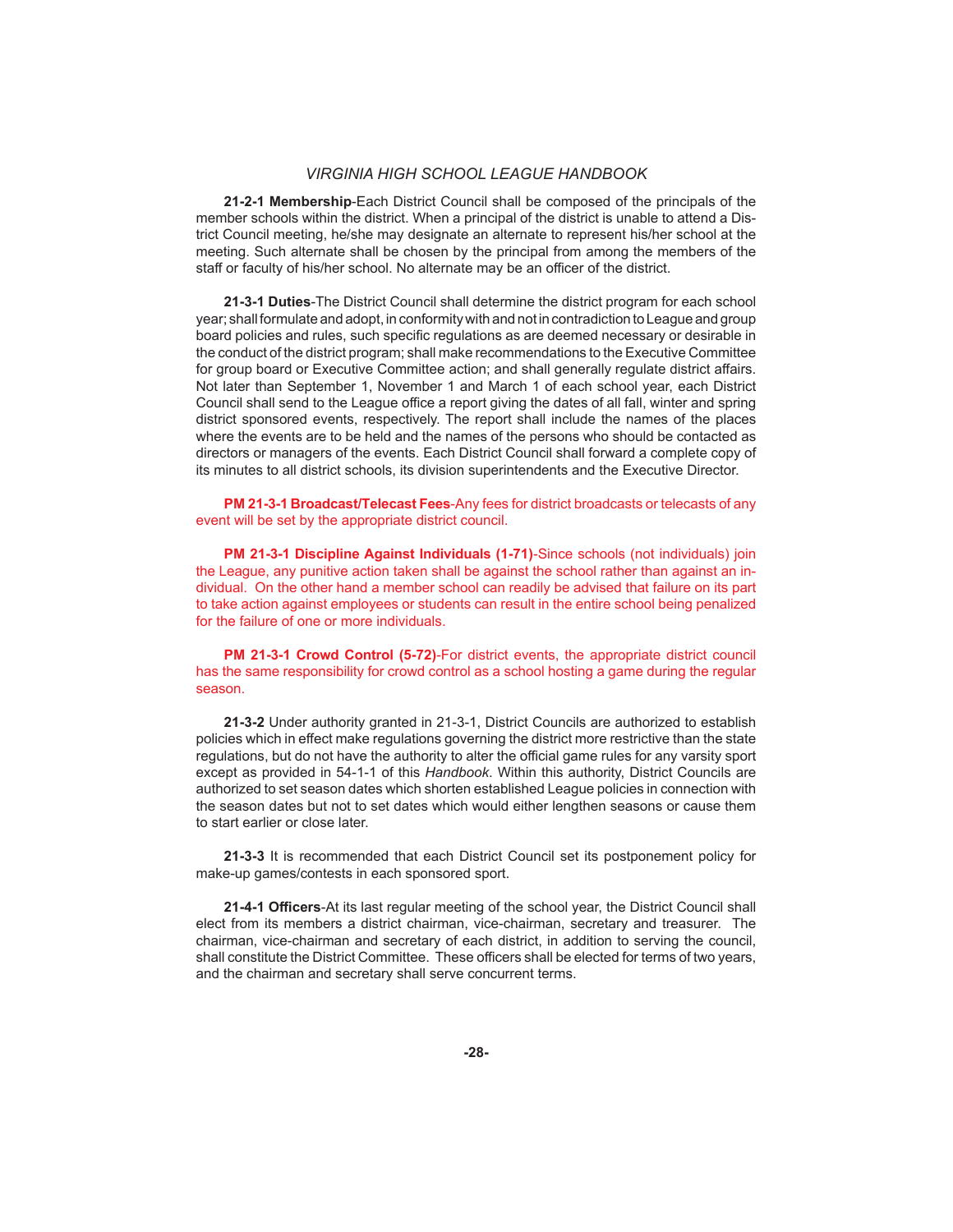**21-2-1 Membership**-Each District Council shall be composed of the principals of the member schools within the district. When a principal of the district is unable to attend a District Council meeting, he/she may designate an alternate to represent his/her school at the meeting. Such alternate shall be chosen by the principal from among the members of the staff or faculty of his/her school. No alternate may be an officer of the district.

**21-3-1 Duties**-The District Council shall determine the district program for each school year; shall formulate and adopt, in conformity with and not in contradiction to League and group board policies and rules, such specific regulations as are deemed necessary or desirable in the conduct of the district program; shall make recommendations to the Executive Committee for group board or Executive Committee action; and shall generally regulate district affairs. Not later than September 1, November 1 and March 1 of each school year, each District Council shall send to the League office a report giving the dates of all fall, winter and spring district sponsored events, respectively. The report shall include the names of the places where the events are to be held and the names of the persons who should be contacted as directors or managers of the events. Each District Council shall forward a complete copy of its minutes to all district schools, its division superintendents and the Executive Director.

 **PM 21-3-1 Broadcast/Telecast Fees**-Any fees for district broadcasts or telecasts of any event will be set by the appropriate district council.

 **PM 21-3-1 Discipline Against Individuals (1-71)**-Since schools (not individuals) join the League, any punitive action taken shall be against the school rather than against an individual. On the other hand a member school can readily be advised that failure on its part to take action against employees or students can result in the entire school being penalized for the failure of one or more individuals.

 **PM 21-3-1 Crowd Control (5-72)**-For district events, the appropriate district council has the same responsibility for crowd control as a school hosting a game during the regular season.

**21-3-2** Under authority granted in 21-3-1, District Councils are authorized to establish policies which in effect make regulations governing the district more restrictive than the state regulations, but do not have the authority to alter the official game rules for any varsity sport except as provided in 54-1-1 of this *Handbook*. Within this authority, District Councils are authorized to set season dates which shorten established League policies in connection with the season dates but not to set dates which would either lengthen seasons or cause them to start earlier or close later.

**21-3-3** It is recommended that each District Council set its postponement policy for make-up games/contests in each sponsored sport.

**21-4-1 Offi cers**-At its last regular meeting of the school year, the District Council shall elect from its members a district chairman, vice-chairman, secretary and treasurer. The chairman, vice-chairman and secretary of each district, in addition to serving the council, shall constitute the District Committee. These officers shall be elected for terms of two years, and the chairman and secretary shall serve concurrent terms.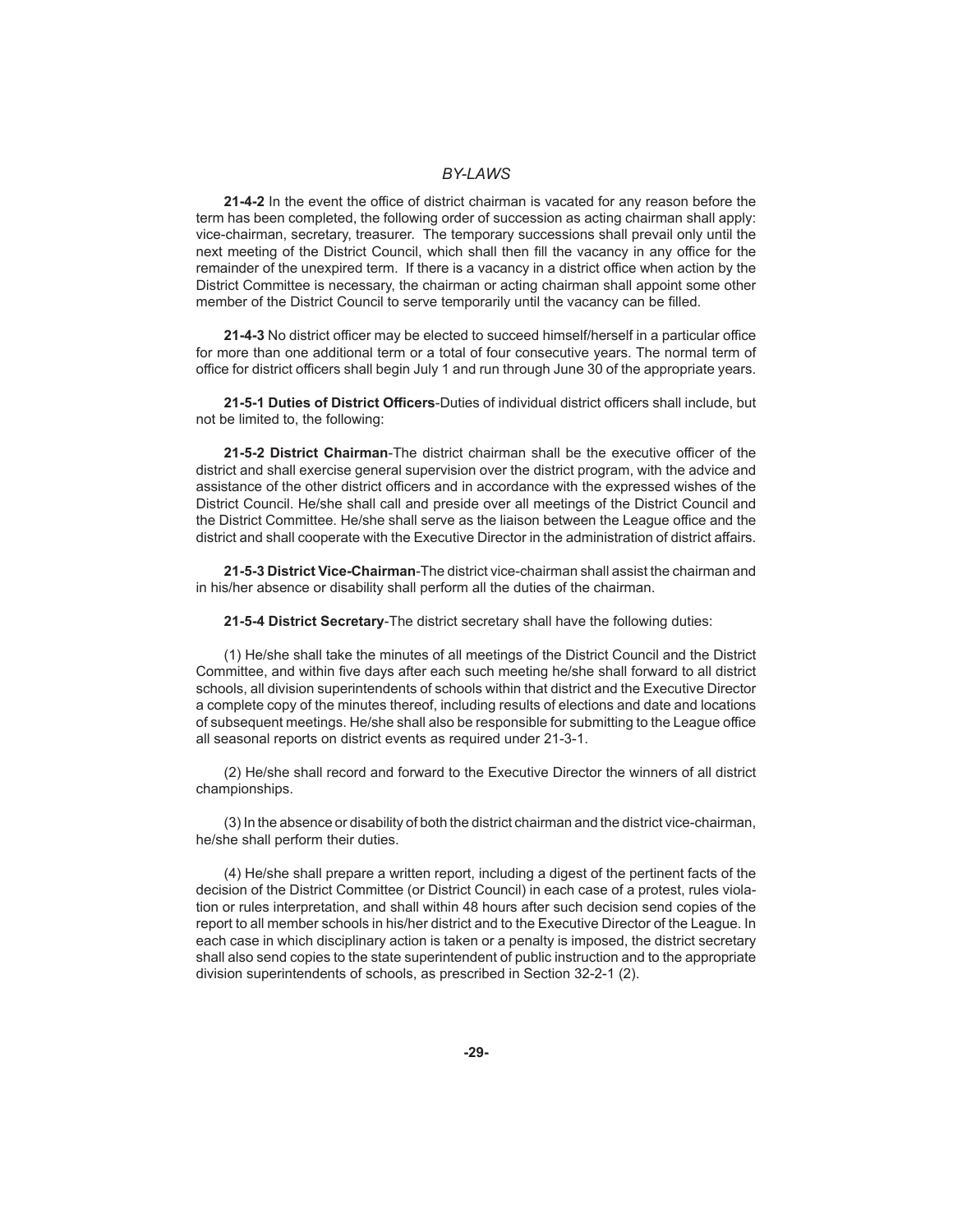**21-4-2** In the event the office of district chairman is vacated for any reason before the term has been completed, the following order of succession as acting chairman shall apply: vice-chairman, secretary, treasurer. The temporary successions shall prevail only until the next meeting of the District Council, which shall then fill the vacancy in any office for the remainder of the unexpired term. If there is a vacancy in a district office when action by the District Committee is necessary, the chairman or acting chairman shall appoint some other member of the District Council to serve temporarily until the vacancy can be filled.

21-4-3 No district officer may be elected to succeed himself/herself in a particular office for more than one additional term or a total of four consecutive years. The normal term of office for district officers shall begin July 1 and run through June 30 of the appropriate years.

21-5-1 Duties of District Officers-Duties of individual district officers shall include, but not be limited to, the following:

21-5-2 District Chairman-The district chairman shall be the executive officer of the district and shall exercise general supervision over the district program, with the advice and assistance of the other district officers and in accordance with the expressed wishes of the District Council. He/she shall call and preside over all meetings of the District Council and the District Committee. He/she shall serve as the liaison between the League office and the district and shall cooperate with the Executive Director in the administration of district affairs.

**21-5-3 District Vice-Chairman**-The district vice-chairman shall assist the chairman and in his/her absence or disability shall perform all the duties of the chairman.

**21-5-4 District Secretary**-The district secretary shall have the following duties:

 (1) He/she shall take the minutes of all meetings of the District Council and the District Committee, and within five days after each such meeting he/she shall forward to all district schools, all division superintendents of schools within that district and the Executive Director a complete copy of the minutes thereof, including results of elections and date and locations of subsequent meetings. He/she shall also be responsible for submitting to the League office all seasonal reports on district events as required under 21-3-1.

 (2) He/she shall record and forward to the Executive Director the winners of all district championships.

 (3) In the absence or disability of both the district chairman and the district vice-chairman, he/she shall perform their duties.

 (4) He/she shall prepare a written report, including a digest of the pertinent facts of the decision of the District Committee (or District Council) in each case of a protest, rules violation or rules interpretation, and shall within 48 hours after such decision send copies of the report to all member schools in his/her district and to the Executive Director of the League. In each case in which disciplinary action is taken or a penalty is imposed, the district secretary shall also send copies to the state superintendent of public instruction and to the appropriate division superintendents of schools, as prescribed in Section 32-2-1 (2).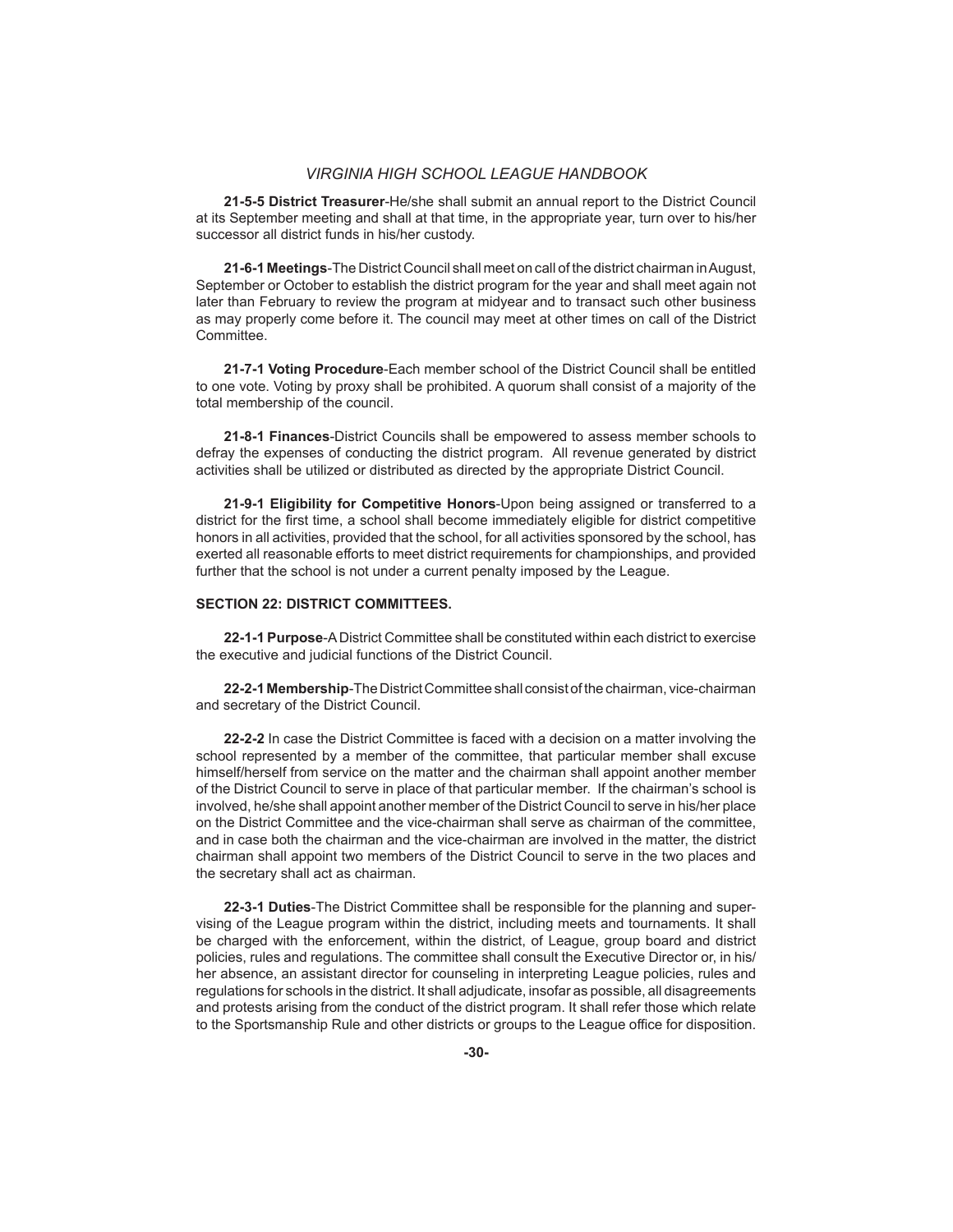**21-5-5 District Treasurer**-He/she shall submit an annual report to the District Council at its September meeting and shall at that time, in the appropriate year, turn over to his/her successor all district funds in his/her custody.

**21-6-1 Meetings**-The District Council shall meet on call of the district chairman in August, September or October to establish the district program for the year and shall meet again not later than February to review the program at midyear and to transact such other business as may properly come before it. The council may meet at other times on call of the District Committee.

**21-7-1 Voting Procedure**-Each member school of the District Council shall be entitled to one vote. Voting by proxy shall be prohibited. A quorum shall consist of a majority of the total membership of the council.

**21-8-1 Finances**-District Councils shall be empowered to assess member schools to defray the expenses of conducting the district program. All revenue generated by district activities shall be utilized or distributed as directed by the appropriate District Council.

**21-9-1 Eligibility for Competitive Honors**-Upon being assigned or transferred to a district for the first time, a school shall become immediately eligible for district competitive honors in all activities, provided that the school, for all activities sponsored by the school, has exerted all reasonable efforts to meet district requirements for championships, and provided further that the school is not under a current penalty imposed by the League.

#### **SECTION 22: DISTRICT COMMITTEES.**

**22-1-1 Purpose**-A District Committee shall be constituted within each district to exercise the executive and judicial functions of the District Council.

**22-2-1 Membership**-The District Committee shall consist of the chairman, vice-chairman and secretary of the District Council.

**22-2-2** In case the District Committee is faced with a decision on a matter involving the school represented by a member of the committee, that particular member shall excuse himself/herself from service on the matter and the chairman shall appoint another member of the District Council to serve in place of that particular member. If the chairman's school is involved, he/she shall appoint another member of the District Council to serve in his/her place on the District Committee and the vice-chairman shall serve as chairman of the committee, and in case both the chairman and the vice-chairman are involved in the matter, the district chairman shall appoint two members of the District Council to serve in the two places and the secretary shall act as chairman.

**22-3-1 Duties**-The District Committee shall be responsible for the planning and supervising of the League program within the district, including meets and tournaments. It shall be charged with the enforcement, within the district, of League, group board and district policies, rules and regulations. The committee shall consult the Executive Director or, in his/ her absence, an assistant director for counseling in interpreting League policies, rules and regulations for schools in the district. It shall adjudicate, insofar as possible, all disagreements and protests arising from the conduct of the district program. It shall refer those which relate to the Sportsmanship Rule and other districts or groups to the League office for disposition.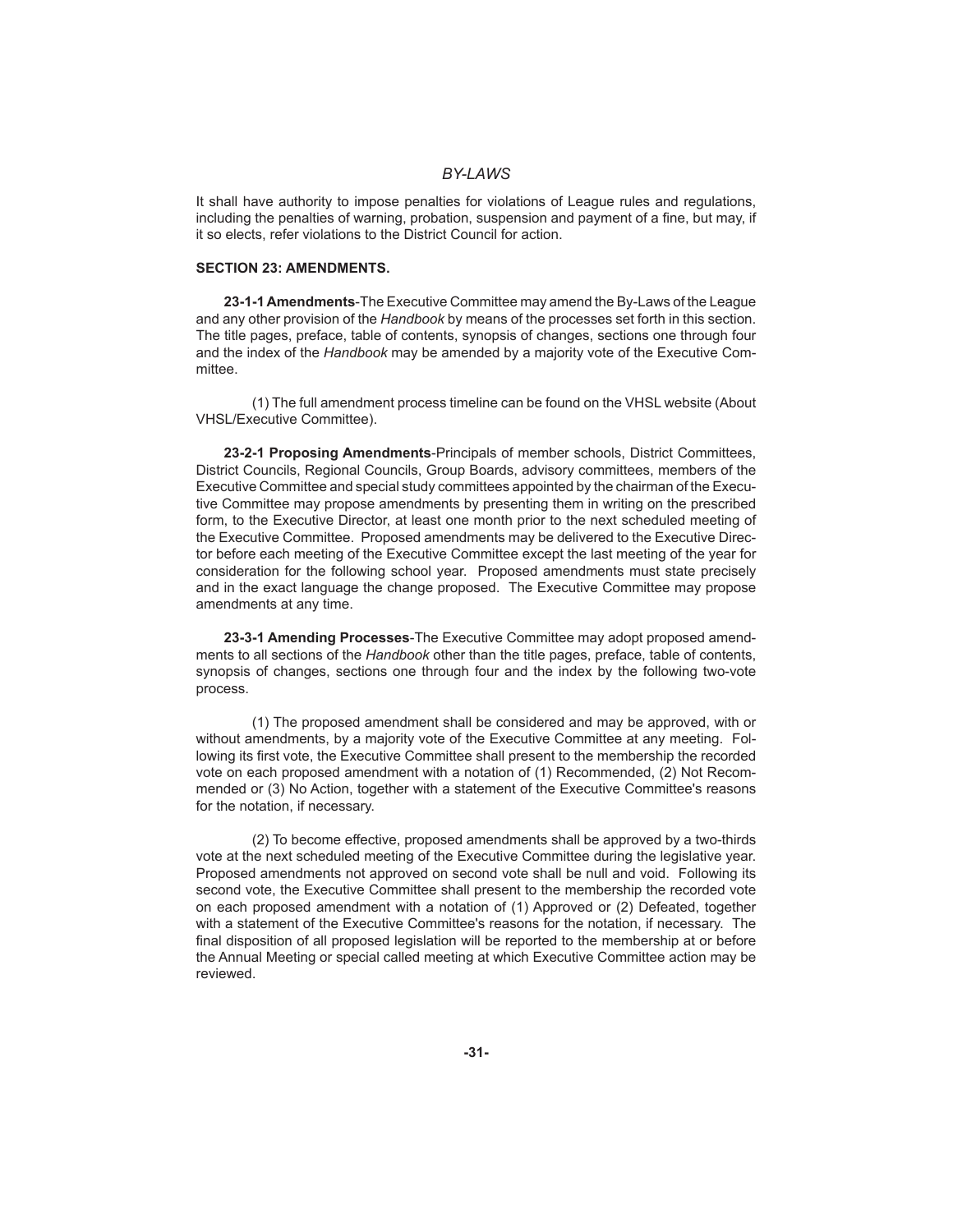It shall have authority to impose penalties for violations of League rules and regulations, including the penalties of warning, probation, suspension and payment of a fine, but may, if it so elects, refer violations to the District Council for action.

#### **SECTION 23: AMENDMENTS.**

**23-1-1 Amendments**-The Executive Committee may amend the By-Laws of the League and any other provision of the *Handbook* by means of the processes set forth in this section. The title pages, preface, table of contents, synopsis of changes, sections one through four and the index of the *Handbook* may be amended by a majority vote of the Executive Committee.

 (1) The full amendment process timeline can be found on the VHSL website (About VHSL/Executive Committee).

**23-2-1 Proposing Amendments**-Principals of member schools, District Committees, District Councils, Regional Councils, Group Boards, advisory committees, members of the Executive Committee and special study committees appointed by the chairman of the Executive Committee may propose amendments by presenting them in writing on the prescribed form, to the Executive Director, at least one month prior to the next scheduled meeting of the Executive Committee. Proposed amendments may be delivered to the Executive Director before each meeting of the Executive Committee except the last meeting of the year for consideration for the following school year. Proposed amendments must state precisely and in the exact language the change proposed. The Executive Committee may propose amendments at any time.

**23-3-1 Amending Processes**-The Executive Committee may adopt proposed amendments to all sections of the *Handbook* other than the title pages, preface, table of contents, synopsis of changes, sections one through four and the index by the following two-vote process.

 (1) The proposed amendment shall be considered and may be approved, with or without amendments, by a majority vote of the Executive Committee at any meeting. Following its first vote, the Executive Committee shall present to the membership the recorded vote on each proposed amendment with a notation of (1) Recommended, (2) Not Recommended or (3) No Action, together with a statement of the Executive Committee's reasons for the notation, if necessary.

(2) To become effective, proposed amendments shall be approved by a two-thirds vote at the next scheduled meeting of the Executive Committee during the legislative year. Proposed amendments not approved on second vote shall be null and void. Following its second vote, the Executive Committee shall present to the membership the recorded vote on each proposed amendment with a notation of (1) Approved or (2) Defeated, together with a statement of the Executive Committee's reasons for the notation, if necessary. The final disposition of all proposed legislation will be reported to the membership at or before the Annual Meeting or special called meeting at which Executive Committee action may be reviewed.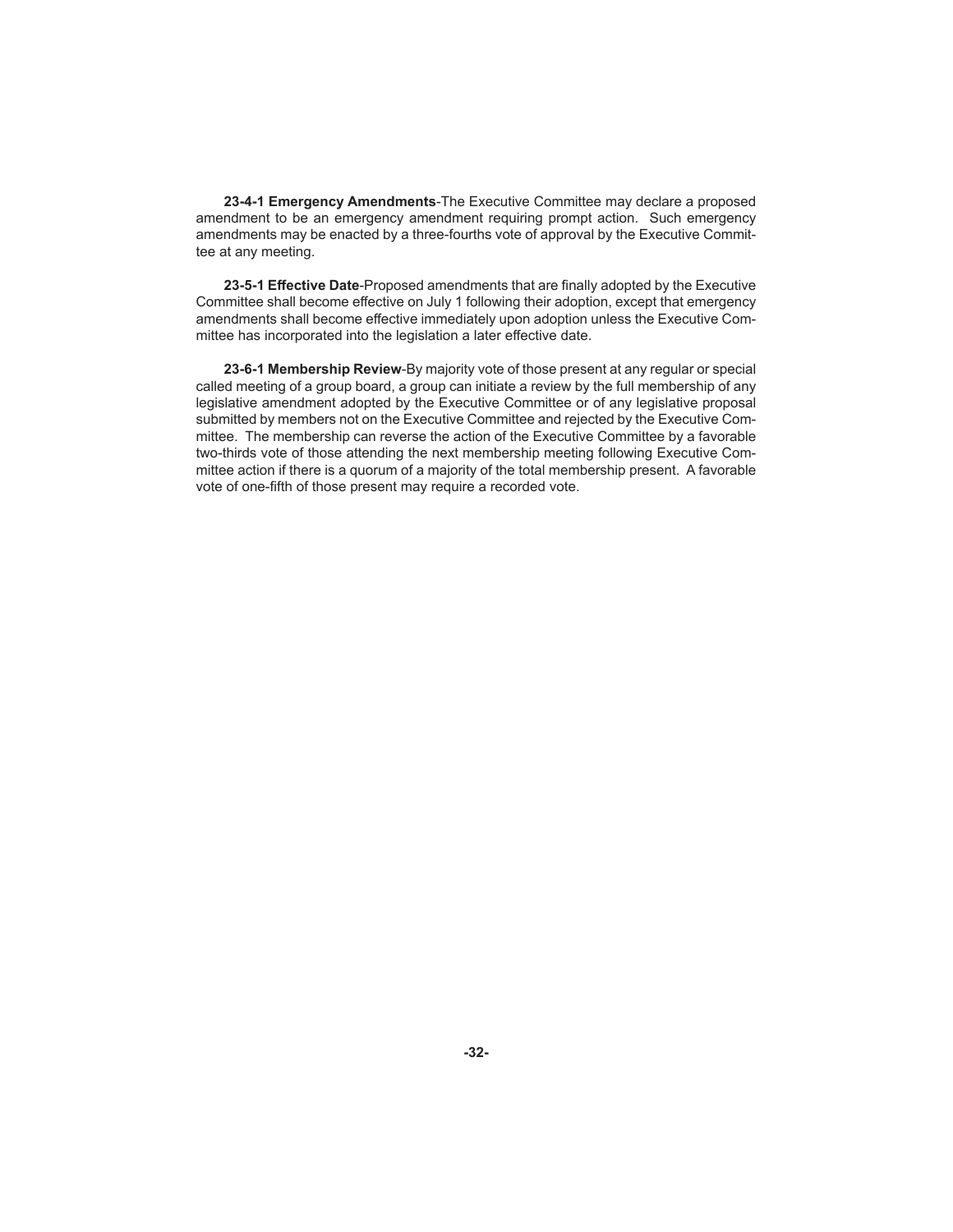**23-4-1 Emergency Amendments**-The Executive Committee may declare a proposed amendment to be an emergency amendment requiring prompt action. Such emergency amendments may be enacted by a three-fourths vote of approval by the Executive Committee at any meeting.

23-5-1 Effective Date-Proposed amendments that are finally adopted by the Executive Committee shall become effective on July 1 following their adoption, except that emergency amendments shall become effective immediately upon adoption unless the Executive Committee has incorporated into the legislation a later effective date.

**23-6-1 Membership Review**-By majority vote of those present at any regular or special called meeting of a group board, a group can initiate a review by the full membership of any legislative amendment adopted by the Executive Committee or of any legislative proposal submitted by members not on the Executive Committee and rejected by the Executive Committee. The membership can reverse the action of the Executive Committee by a favorable two-thirds vote of those attending the next membership meeting following Executive Committee action if there is a quorum of a majority of the total membership present. A favorable vote of one-fifth of those present may require a recorded vote.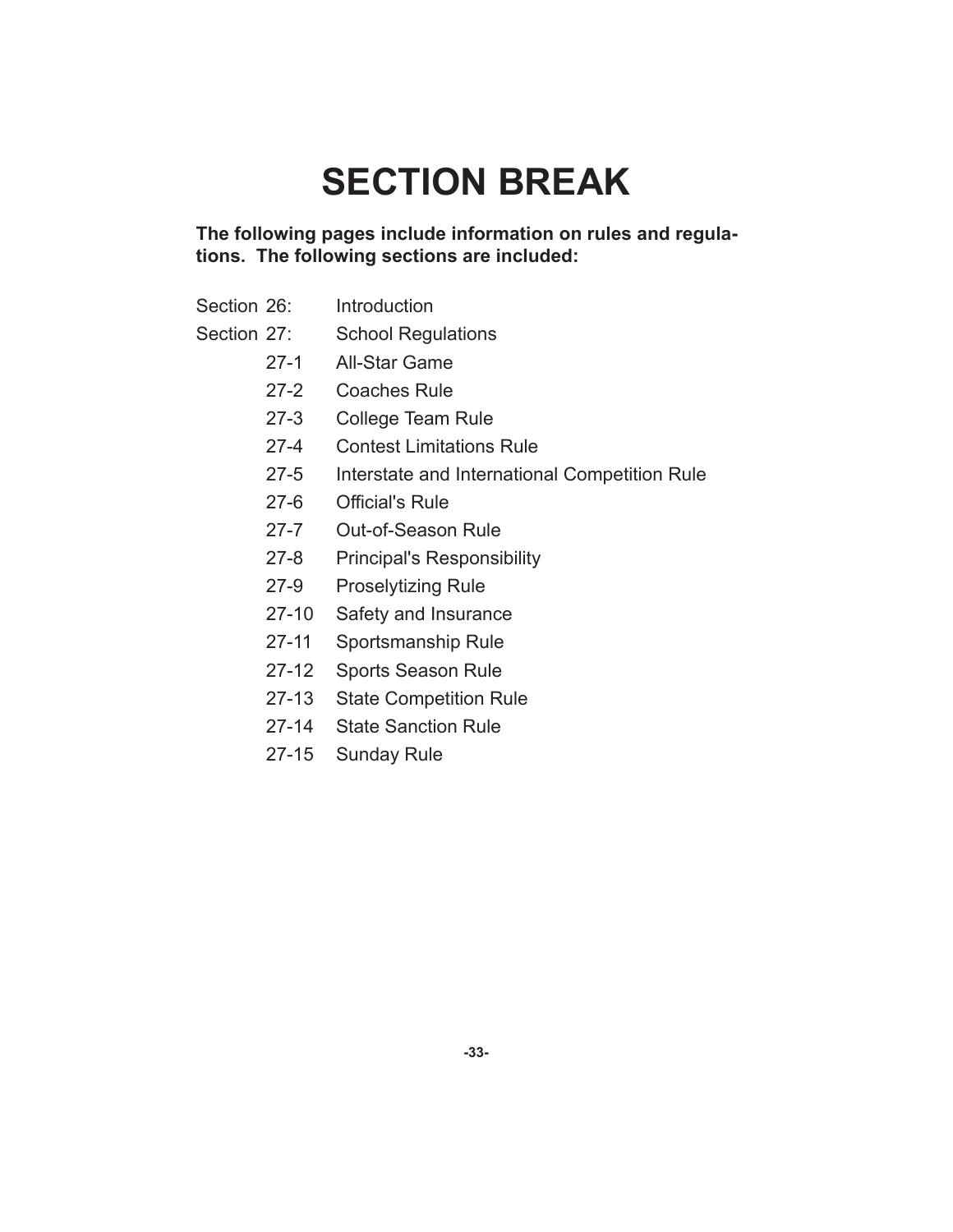# **SECTION BREAK**

# **The following pages include information on rules and regulations. The following sections are included:**

Section 26: Introduction

# Section 27: School Regulations

- 27-1 All-Star Game
- 27-2 Coaches Rule
- 27-3 College Team Rule
- 27-4 Contest Limitations Rule
- 27-5 Interstate and International Competition Rule
- 27-6 Official's Rule
- 27-7 Out-of-Season Rule
- 27-8 Principal's Responsibility
- 27-9 Proselytizing Rule
- 27-10 Safety and Insurance
- 27-11 Sportsmanship Rule
- 27-12 Sports Season Rule
- 27-13 State Competition Rule
- 27-14 State Sanction Rule
- 27-15 Sunday Rule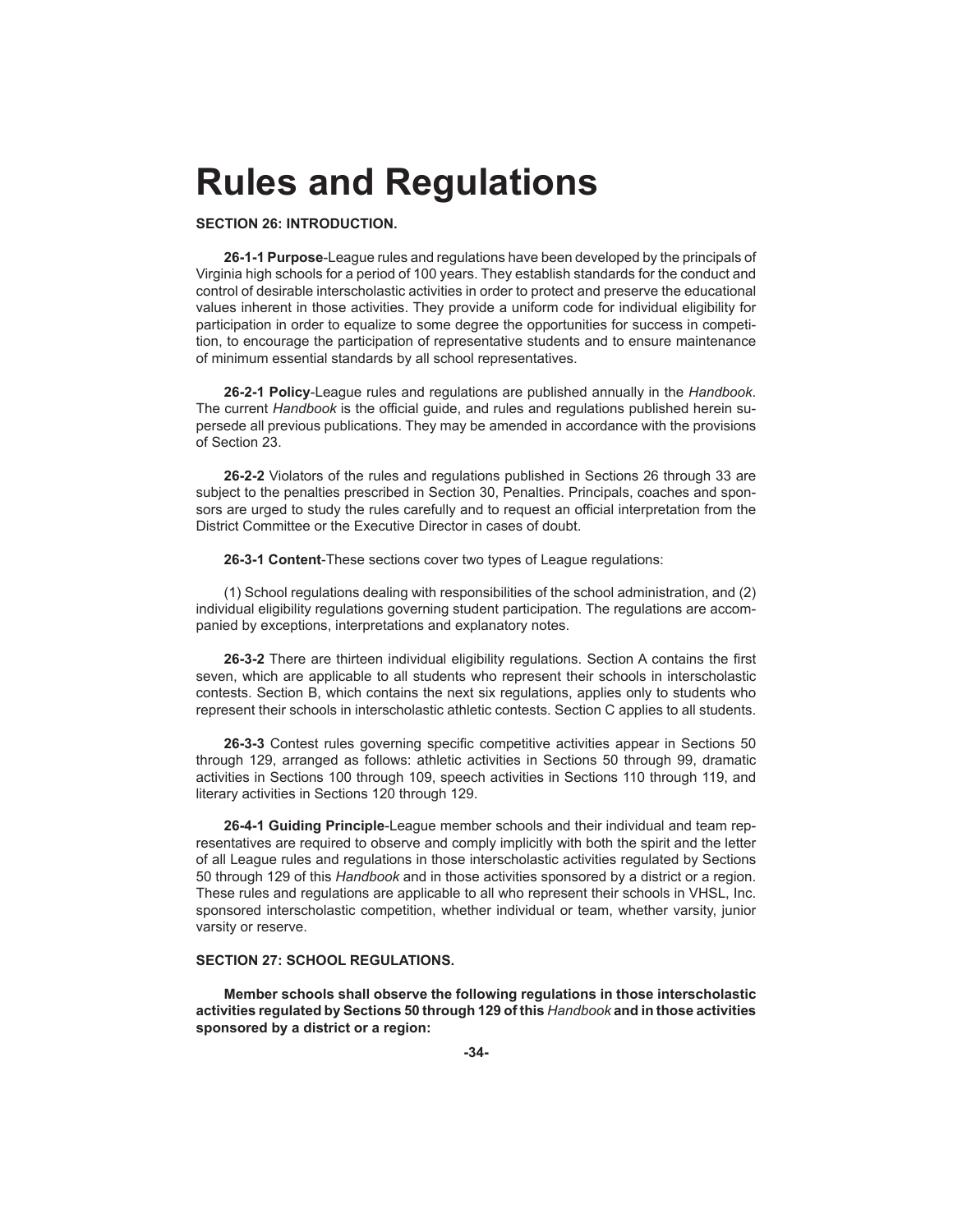# **Rules and Regulations**

#### **SECTION 26: INTRODUCTION.**

**26-1-1 Purpose**-League rules and regulations have been developed by the principals of Virginia high schools for a period of 100 years. They establish standards for the conduct and control of desirable interscholastic activities in order to protect and preserve the educational values inherent in those activities. They provide a uniform code for individual eligibility for participation in order to equalize to some degree the opportunities for success in competition, to encourage the participation of representative students and to ensure maintenance of minimum essential standards by all school representatives.

**26-2-1 Policy**-League rules and regulations are published annually in the *Handbook*. The current *Handbook* is the official guide, and rules and regulations published herein supersede all previous publications. They may be amended in accordance with the provisions of Section 23.

**26-2-2** Violators of the rules and regulations published in Sections 26 through 33 are subject to the penalties prescribed in Section 30, Penalties. Principals, coaches and sponsors are urged to study the rules carefully and to request an official interpretation from the District Committee or the Executive Director in cases of doubt.

**26-3-1 Content**-These sections cover two types of League regulations:

 (1) School regulations dealing with responsibilities of the school administration, and (2) individual eligibility regulations governing student participation. The regulations are accompanied by exceptions, interpretations and explanatory notes.

**26-3-2** There are thirteen individual eligibility regulations. Section A contains the first seven, which are applicable to all students who represent their schools in interscholastic contests. Section B, which contains the next six regulations, applies only to students who represent their schools in interscholastic athletic contests. Section C applies to all students.

**26-3-3** Contest rules governing specific competitive activities appear in Sections 50 through 129, arranged as follows: athletic activities in Sections 50 through 99, dramatic activities in Sections 100 through 109, speech activities in Sections 110 through 119, and literary activities in Sections 120 through 129.

**26-4-1 Guiding Principle**-League member schools and their individual and team representatives are required to observe and comply implicitly with both the spirit and the letter of all League rules and regulations in those interscholastic activities regulated by Sections 50 through 129 of this *Handbook* and in those activities sponsored by a district or a region. These rules and regulations are applicable to all who represent their schools in VHSL, Inc. sponsored interscholastic competition, whether individual or team, whether varsity, junior varsity or reserve.

#### **SECTION 27: SCHOOL REGULATIONS.**

 **Member schools shall observe the following regulations in those interscholastic activities regulated by Sections 50 through 129 of this** *Handbook* **and in those activities sponsored by a district or a region:**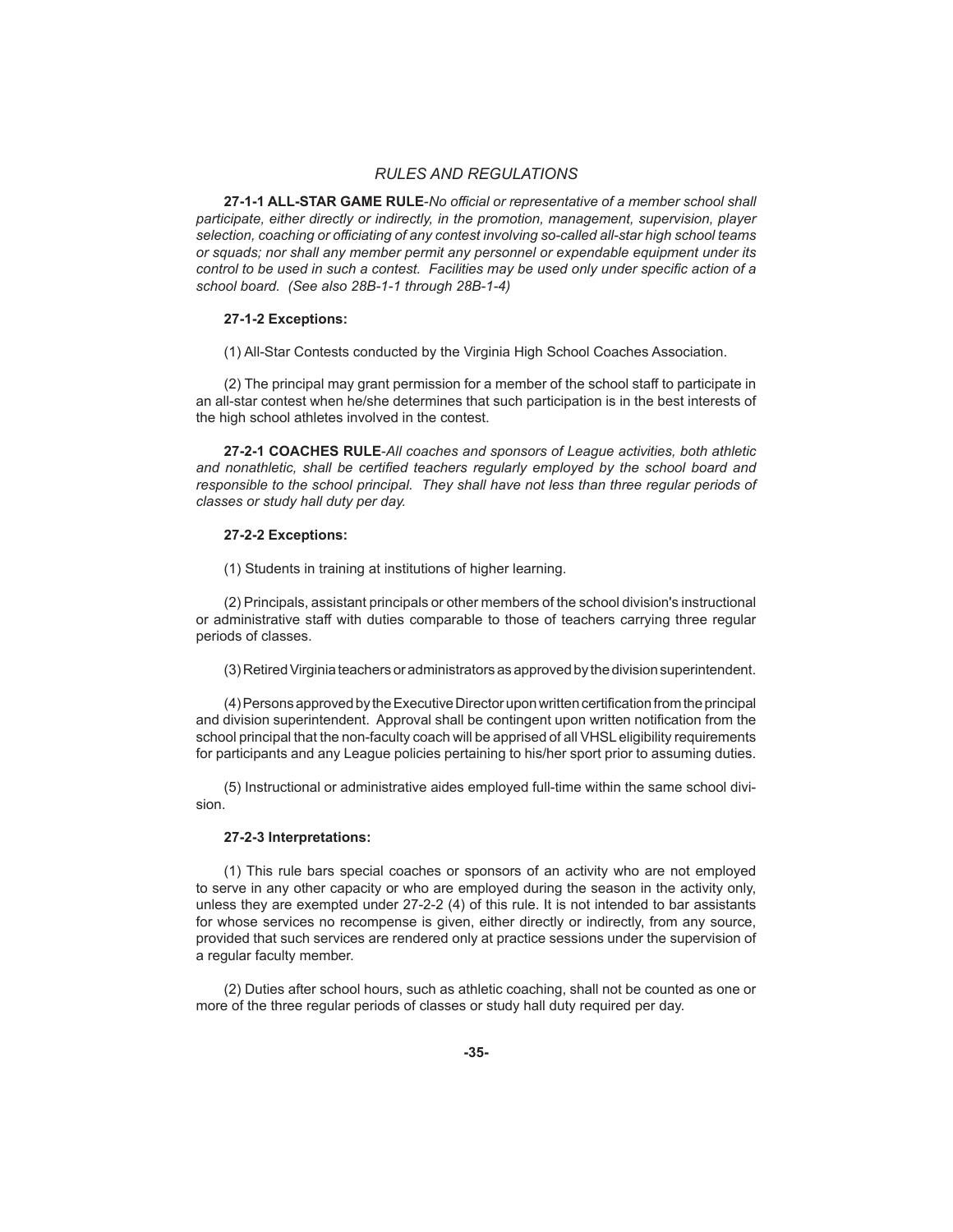### *RULES AND REGULATIONS*

**27-1-1 ALL-STAR GAME RULE**-*No offi cial or representative of a member school shall participate, either directly or indirectly, in the promotion, management, supervision, player selection, coaching or offi ciating of any contest involving so-called all-star high school teams or squads; nor shall any member permit any personnel or expendable equipment under its control to be used in such a contest. Facilities may be used only under specific action of a school board. (See also 28B-1-1 through 28B-1-4)*

#### **27-1-2 Exceptions:**

(1) All-Star Contests conducted by the Virginia High School Coaches Association.

 (2) The principal may grant permission for a member of the school staff to participate in an all-star contest when he/she determines that such participation is in the best interests of the high school athletes involved in the contest.

**27-2-1 COACHES RULE**-*All coaches and sponsors of League activities, both athletic*  and nonathletic, shall be certified teachers regularly employed by the school board and responsible to the school principal. They shall have not less than three regular periods of *classes or study hall duty per day.*

#### **27-2-2 Exceptions:**

(1) Students in training at institutions of higher learning.

 (2) Principals, assistant principals or other members of the school division's instructional or administrative staff with duties comparable to those of teachers carrying three regular periods of classes.

(3) Retired Virginia teachers or administrators as approved by the division superintendent.

(4) Persons approved by the Executive Director upon written certification from the principal and division superintendent. Approval shall be contingent upon written notification from the school principal that the non-faculty coach will be apprised of all VHSL eligibility requirements for participants and any League policies pertaining to his/her sport prior to assuming duties.

 (5) Instructional or administrative aides employed full-time within the same school division.

#### **27-2-3 Interpretations:**

 (1) This rule bars special coaches or sponsors of an activity who are not employed to serve in any other capacity or who are employed during the season in the activity only, unless they are exempted under 27-2-2 (4) of this rule. It is not intended to bar assistants for whose services no recompense is given, either directly or indirectly, from any source, provided that such services are rendered only at practice sessions under the supervision of a regular faculty member.

 (2) Duties after school hours, such as athletic coaching, shall not be counted as one or more of the three regular periods of classes or study hall duty required per day.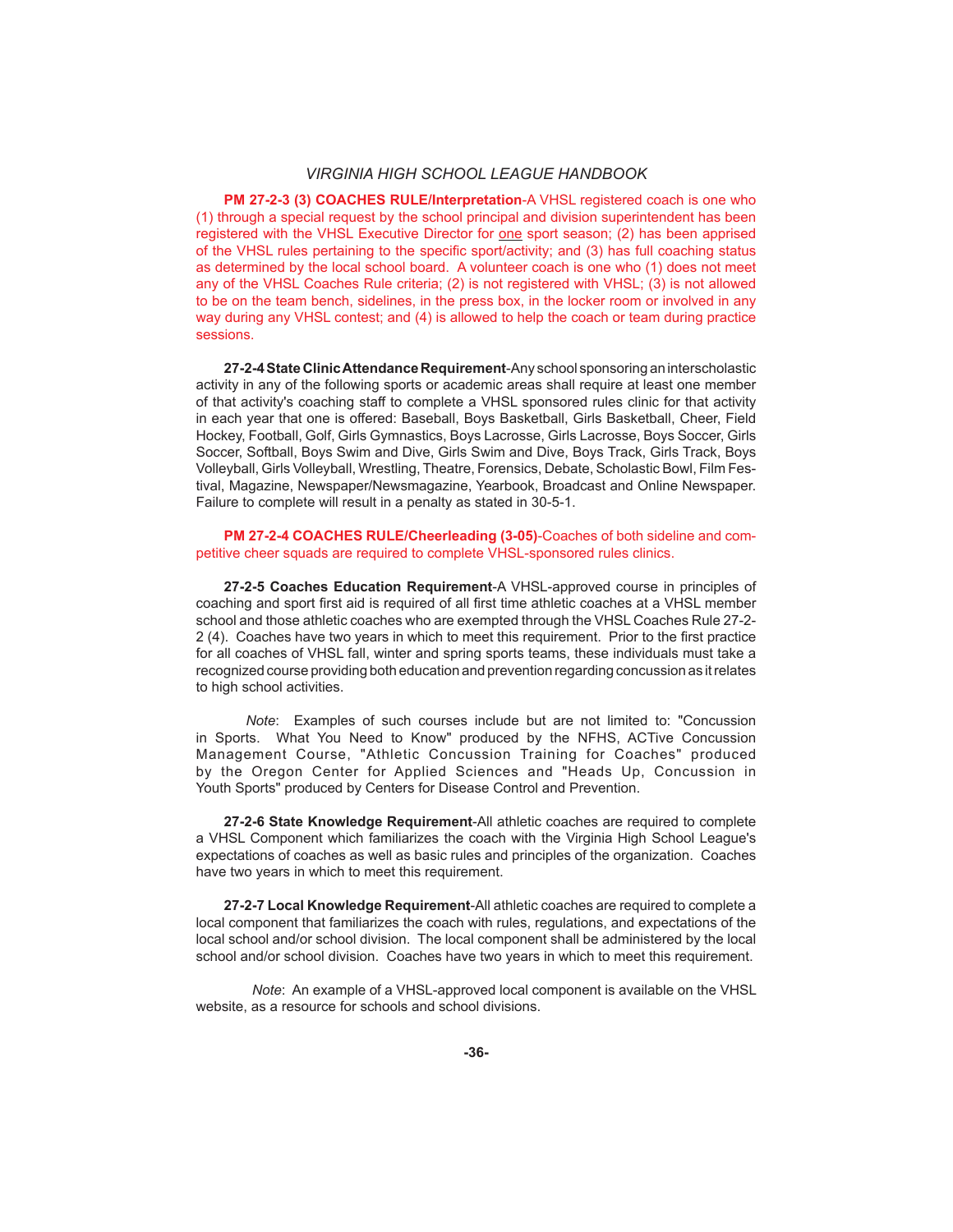**PM 27-2-3 (3) COACHES RULE/Interpretation**-A VHSL registered coach is one who (1) through a special request by the school principal and division superintendent has been registered with the VHSL Executive Director for one sport season; (2) has been apprised of the VHSL rules pertaining to the specific sport/activity; and (3) has full coaching status as determined by the local school board. A volunteer coach is one who (1) does not meet any of the VHSL Coaches Rule criteria; (2) is not registered with VHSL; (3) is not allowed to be on the team bench, sidelines, in the press box, in the locker room or involved in any way during any VHSL contest; and (4) is allowed to help the coach or team during practice sessions.

**27-2-4 State Clinic Attendance Requirement**-Any school sponsoring an interscholastic activity in any of the following sports or academic areas shall require at least one member of that activity's coaching staff to complete a VHSL sponsored rules clinic for that activity in each year that one is offered: Baseball, Boys Basketball, Girls Basketball, Cheer, Field Hockey, Football, Golf, Girls Gymnastics, Boys Lacrosse, Girls Lacrosse, Boys Soccer, Girls Soccer, Softball, Boys Swim and Dive, Girls Swim and Dive, Boys Track, Girls Track, Boys Volleyball, Girls Volleyball, Wrestling, Theatre, Forensics, Debate, Scholastic Bowl, Film Festival, Magazine, Newspaper/Newsmagazine, Yearbook, Broadcast and Online Newspaper. Failure to complete will result in a penalty as stated in 30-5-1.

#### **PM 27-2-4 COACHES RULE/Cheerleading (3-05)**-Coaches of both sideline and competitive cheer squads are required to complete VHSL-sponsored rules clinics.

**27-2-5 Coaches Education Requirement**-A VHSL-approved course in principles of coaching and sport first aid is required of all first time athletic coaches at a VHSL member school and those athletic coaches who are exempted through the VHSL Coaches Rule 27-2- 2 (4). Coaches have two vears in which to meet this requirement. Prior to the first practice for all coaches of VHSL fall, winter and spring sports teams, these individuals must take a recognized course providing both education and prevention regarding concussion as it relates to high school activities.

 *Note*: Examples of such courses include but are not limited to: "Concussion in Sports. What You Need to Know" produced by the NFHS, ACTive Concussion Management Course, "Athletic Concussion Training for Coaches" produced by the Oregon Center for Applied Sciences and "Heads Up, Concussion in Youth Sports" produced by Centers for Disease Control and Prevention.

**27-2-6 State Knowledge Requirement**-All athletic coaches are required to complete a VHSL Component which familiarizes the coach with the Virginia High School League's expectations of coaches as well as basic rules and principles of the organization. Coaches have two years in which to meet this requirement.

**27-2-7 Local Knowledge Requirement**-All athletic coaches are required to complete a local component that familiarizes the coach with rules, regulations, and expectations of the local school and/or school division. The local component shall be administered by the local school and/or school division. Coaches have two years in which to meet this requirement.

 *Note*: An example of a VHSL-approved local component is available on the VHSL website, as a resource for schools and school divisions.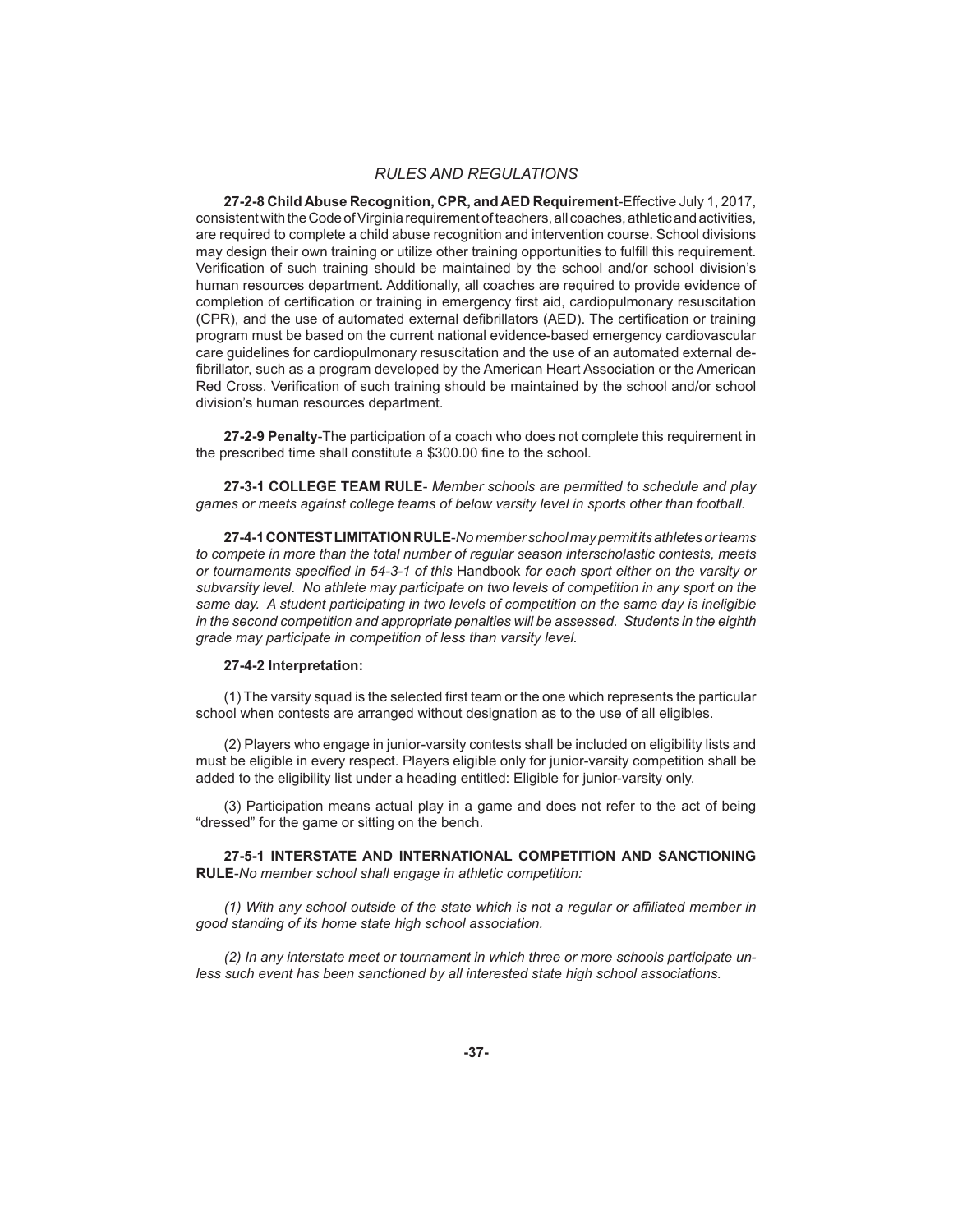**27-2-8 Child Abuse Recognition, CPR, and AED Requirement-Effective July 1, 2017,** consistent with the Code of Virginia requirement of teachers, all coaches, athletic and activities, are required to complete a child abuse recognition and intervention course. School divisions may design their own training or utilize other training opportunities to fulfill this requirement. Verification of such training should be maintained by the school and/or school division's human resources department. Additionally, all coaches are required to provide evidence of completion of certification or training in emergency first aid, cardiopulmonary resuscitation (CPR), and the use of automated external defibrillators (AED). The certification or training program must be based on the current national evidence-based emergency cardiovascular care guidelines for cardiopulmonary resuscitation and the use of an automated external defibrillator, such as a program developed by the American Heart Association or the American Red Cross. Verification of such training should be maintained by the school and/or school division's human resources department.

**27-2-9 Penalty**-The participation of a coach who does not complete this requirement in the prescribed time shall constitute a \$300.00 fine to the school.

**27-3-1 COLLEGE TEAM RULE**- *Member schools are permitted to schedule and play games or meets against college teams of below varsity level in sports other than football.*

**27-4-1 CONTEST LIMITATION RULE**-*No member school may permit its athletes or teams to compete in more than the total number of regular season interscholastic contests, meets or tournaments specifi ed in 54-3-1 of this* Handbook *for each sport either on the varsity or subvarsity level. No athlete may participate on two levels of competition in any sport on the same day. A student participating in two levels of competition on the same day is ineligible in the second competition and appropriate penalties will be assessed. Students in the eighth grade may participate in competition of less than varsity level.*

## **27-4-2 Interpretation:**

(1) The varsity squad is the selected first team or the one which represents the particular school when contests are arranged without designation as to the use of all eligibles.

 (2) Players who engage in junior-varsity contests shall be included on eligibility lists and must be eligible in every respect. Players eligible only for junior-varsity competition shall be added to the eligibility list under a heading entitled: Eligible for junior-varsity only.

 (3) Participation means actual play in a game and does not refer to the act of being "dressed" for the game or sitting on the bench.

 **27-5-1 INTERSTATE AND INTERNATIONAL COMPETITION AND SANCTIONING RULE**-*No member school shall engage in athletic competition:*

*(1) With any school outside of the state which is not a regular or affi liated member in good standing of its home state high school association.* 

 *(2) In any interstate meet or tournament in which three or more schools participate unless such event has been sanctioned by all interested state high school associations.*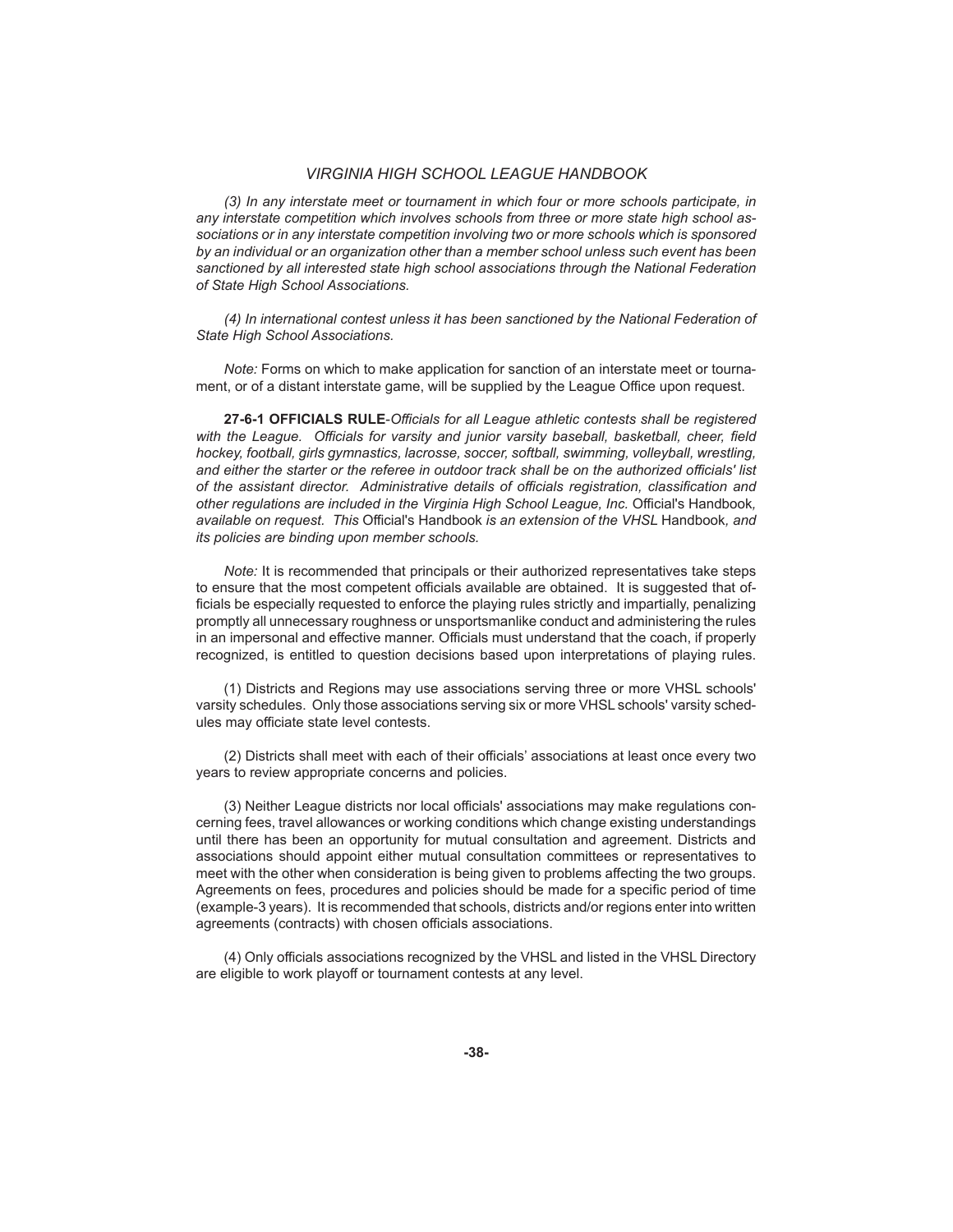*(3) In any interstate meet or tournament in which four or more schools participate, in any interstate competition which involves schools from three or more state high school associations or in any interstate competition involving two or more schools which is sponsored by an individual or an organization other than a member school unless such event has been sanctioned by all interested state high school associations through the National Federation of State High School Associations.* 

 *(4) In international contest unless it has been sanctioned by the National Federation of State High School Associations.*

 *Note:* Forms on which to make application for sanction of an interstate meet or tournament, or of a distant interstate game, will be supplied by the League Office upon request.

27-6-1 OFFICIALS RULE-Officials for all League athletic contests shall be registered with the League. Officials for varsity and junior varsity baseball, basketball, cheer, field *hockey, football, girls gymnastics, lacrosse, soccer, softball, swimming, volleyball, wrestling,*  and either the starter or the referee in outdoor track shall be on the authorized officials' list *of the assistant director. Administrative details of offi cials registration, classifi cation and other regulations are included in the Virginia High School League, Inc. Official's Handbook,* available on request. This Official's Handbook is an extension of the VHSL Handbook, and *its policies are binding upon member schools.*

*Note:* It is recommended that principals or their authorized representatives take steps to ensure that the most competent officials available are obtained. It is suggested that officials be especially requested to enforce the playing rules strictly and impartially, penalizing promptly all unnecessary roughness or unsportsmanlike conduct and administering the rules in an impersonal and effective manner. Officials must understand that the coach, if properly recognized, is entitled to question decisions based upon interpretations of playing rules.

 (1) Districts and Regions may use associations serving three or more VHSL schools' varsity schedules. Only those associations serving six or more VHSL schools' varsity schedules may officiate state level contests.

(2) Districts shall meet with each of their officials' associations at least once every two years to review appropriate concerns and policies.

(3) Neither League districts nor local officials' associations may make regulations concerning fees, travel allowances or working conditions which change existing understandings until there has been an opportunity for mutual consultation and agreement. Districts and associations should appoint either mutual consultation committees or representatives to meet with the other when consideration is being given to problems affecting the two groups. Agreements on fees, procedures and policies should be made for a specific period of time (example-3 years). It is recommended that schools, districts and/or regions enter into written agreements (contracts) with chosen officials associations.

(4) Only officials associations recognized by the VHSL and listed in the VHSL Directory are eligible to work playoff or tournament contests at any level.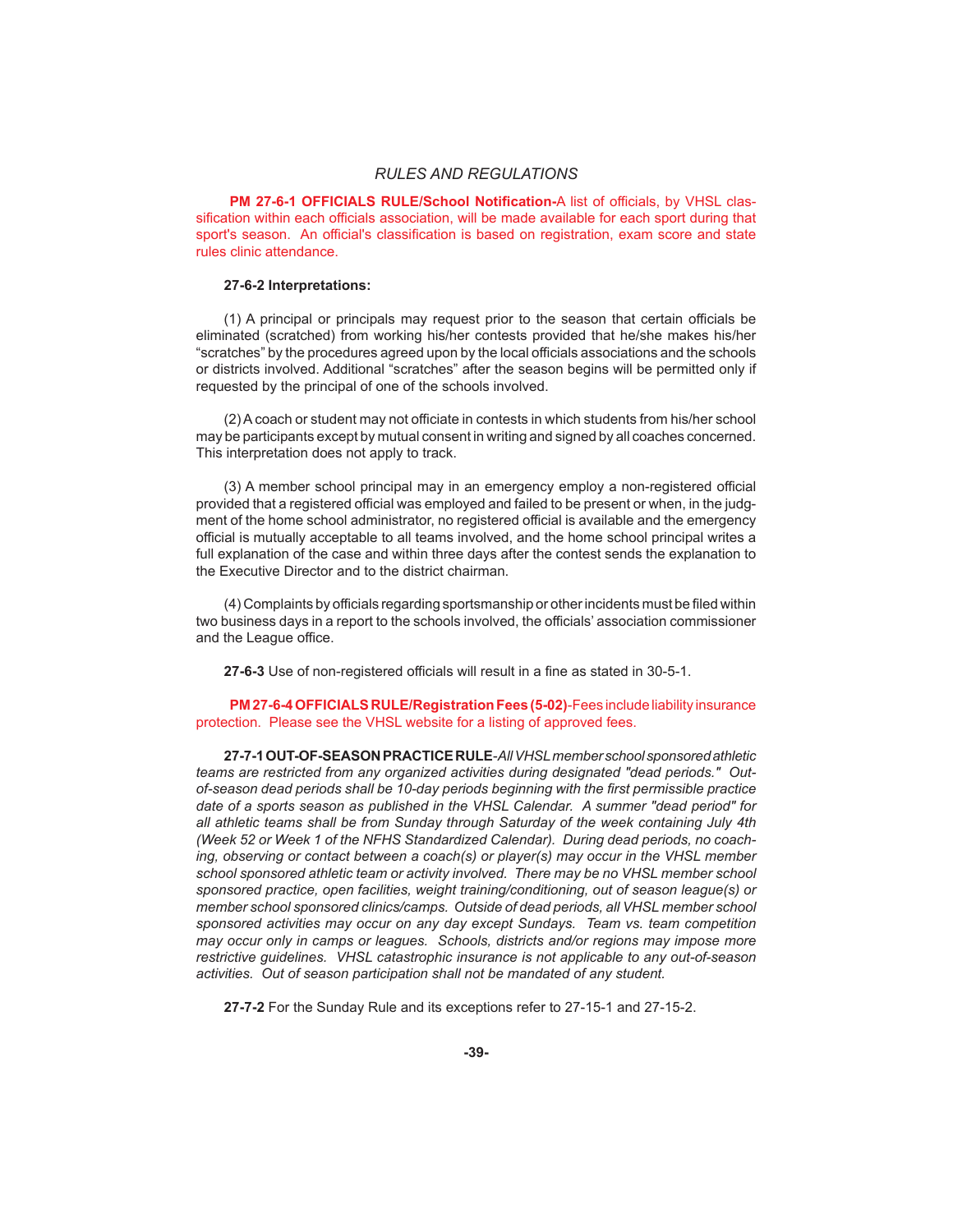**PM 27-6-1 OFFICIALS RULE/School Notification-A list of officials, by VHSL clas**sification within each officials association, will be made available for each sport during that sport's season. An official's classification is based on registration, exam score and state rules clinic attendance.

## **27-6-2 Interpretations:**

 $(1)$  A principal or principals may request prior to the season that certain officials be eliminated (scratched) from working his/her contests provided that he/she makes his/her "scratches" by the procedures agreed upon by the local officials associations and the schools or districts involved. Additional "scratches" after the season begins will be permitted only if requested by the principal of one of the schools involved.

(2) A coach or student may not officiate in contests in which students from his/her school may be participants except by mutual consent in writing and signed by all coaches concerned. This interpretation does not apply to track.

(3) A member school principal may in an emergency employ a non-registered official provided that a registered official was employed and failed to be present or when, in the judgment of the home school administrator, no registered official is available and the emergency official is mutually acceptable to all teams involved, and the home school principal writes a full explanation of the case and within three days after the contest sends the explanation to the Executive Director and to the district chairman.

(4) Complaints by officials regarding sportsmanship or other incidents must be filed within two business days in a report to the schools involved, the officials' association commissioner and the League office.

27-6-3 Use of non-registered officials will result in a fine as stated in 30-5-1.

### **PM 27-6-4 OFFICIALS RULE/Registration Fees (5-02)**-Fees include liability insurance protection. Please see the VHSL website for a listing of approved fees.

**27-7-1 OUT-OF-SEASON PRACTICE RULE**-*All VHSL member school sponsored athletic teams are restricted from any organized activities during designated "dead periods." Out*of-season dead periods shall be 10-day periods beginning with the first permissible practice *date of a sports season as published in the VHSL Calendar. A summer "dead period" for all athletic teams shall be from Sunday through Saturday of the week containing July 4th (Week 52 or Week 1 of the NFHS Standardized Calendar). During dead periods, no coaching, observing or contact between a coach(s) or player(s) may occur in the VHSL member school sponsored athletic team or activity involved. There may be no VHSL member school sponsored practice, open facilities, weight training/conditioning, out of season league(s) or member school sponsored clinics/camps. Outside of dead periods, all VHSL member school sponsored activities may occur on any day except Sundays. Team vs. team competition may occur only in camps or leagues. Schools, districts and/or regions may impose more restrictive guidelines. VHSL catastrophic insurance is not applicable to any out-of-season activities. Out of season participation shall not be mandated of any student.*

**27-7-2** For the Sunday Rule and its exceptions refer to 27-15-1 and 27-15-2.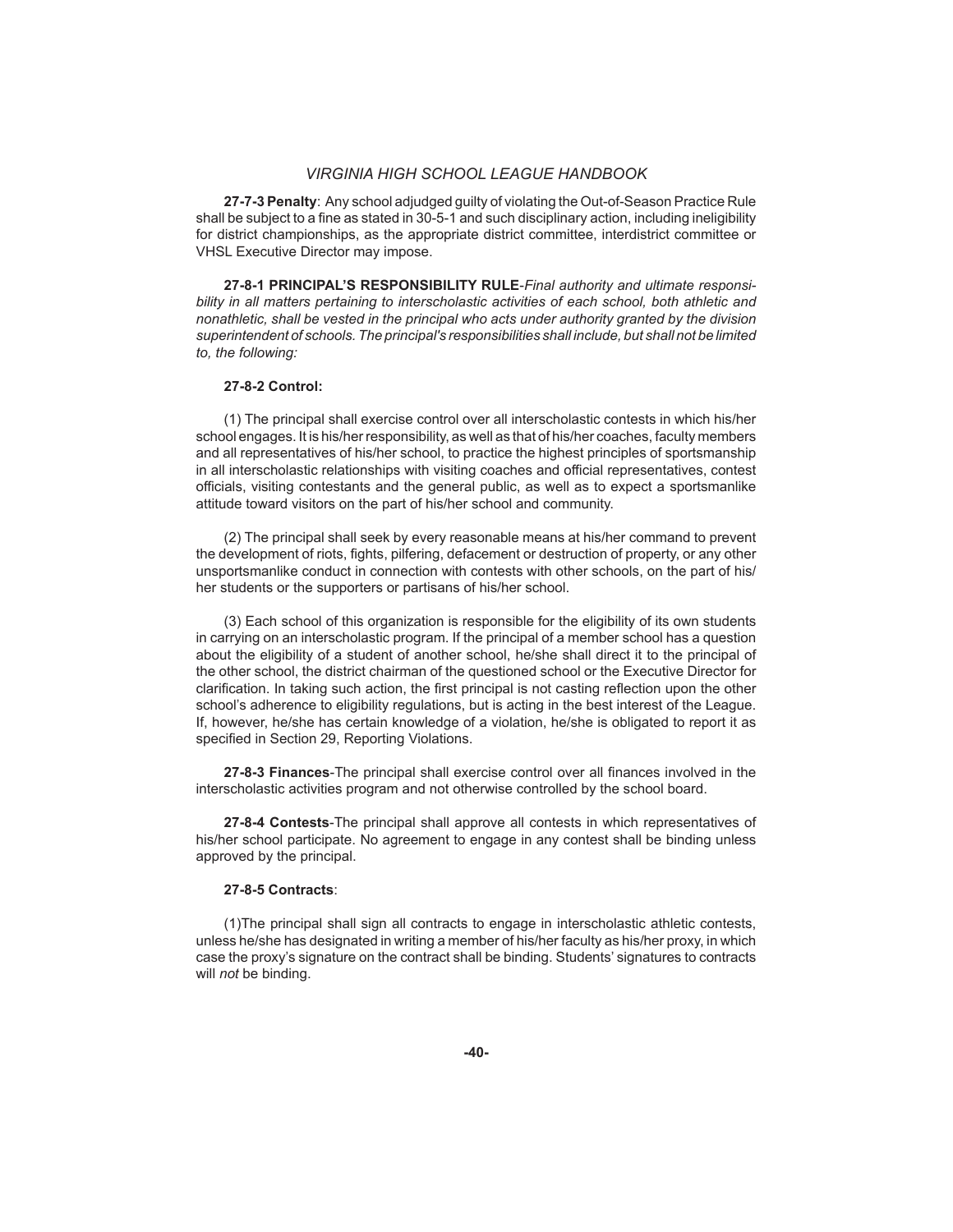**27-7-3 Penalty**: Any school adjudged guilty of violating the Out-of-Season Practice Rule shall be subject to a fine as stated in 30-5-1 and such disciplinary action, including ineligibility for district championships, as the appropriate district committee, interdistrict committee or VHSL Executive Director may impose.

**27-8-1 PRINCIPAL'S RESPONSIBILITY RULE**-*Final authority and ultimate responsibility in all matters pertaining to interscholastic activities of each school, both athletic and nonathletic, shall be vested in the principal who acts under authority granted by the division superintendent of schools. The principal's responsibilities shall include, but shall not be limited to, the following:*

#### **27-8-2 Control:**

 (1) The principal shall exercise control over all interscholastic contests in which his/her school engages. It is his/her responsibility, as well as that of his/her coaches, faculty members and all representatives of his/her school, to practice the highest principles of sportsmanship in all interscholastic relationships with visiting coaches and official representatives, contest officials, visiting contestants and the general public, as well as to expect a sportsmanlike attitude toward visitors on the part of his/her school and community.

 (2) The principal shall seek by every reasonable means at his/her command to prevent the development of riots, fights, pilfering, defacement or destruction of property, or any other unsportsmanlike conduct in connection with contests with other schools, on the part of his/ her students or the supporters or partisans of his/her school.

 (3) Each school of this organization is responsible for the eligibility of its own students in carrying on an interscholastic program. If the principal of a member school has a question about the eligibility of a student of another school, he/she shall direct it to the principal of the other school, the district chairman of the questioned school or the Executive Director for clarification. In taking such action, the first principal is not casting reflection upon the other school's adherence to eligibility regulations, but is acting in the best interest of the League. If, however, he/she has certain knowledge of a violation, he/she is obligated to report it as specified in Section 29, Reporting Violations.

27-8-3 Finances-The principal shall exercise control over all finances involved in the interscholastic activities program and not otherwise controlled by the school board.

**27-8-4 Contests**-The principal shall approve all contests in which representatives of his/her school participate. No agreement to engage in any contest shall be binding unless approved by the principal.

#### **27-8-5 Contracts**:

 (1)The principal shall sign all contracts to engage in interscholastic athletic contests, unless he/she has designated in writing a member of his/her faculty as his/her proxy, in which case the proxy's signature on the contract shall be binding. Students' signatures to contracts will *not* be binding.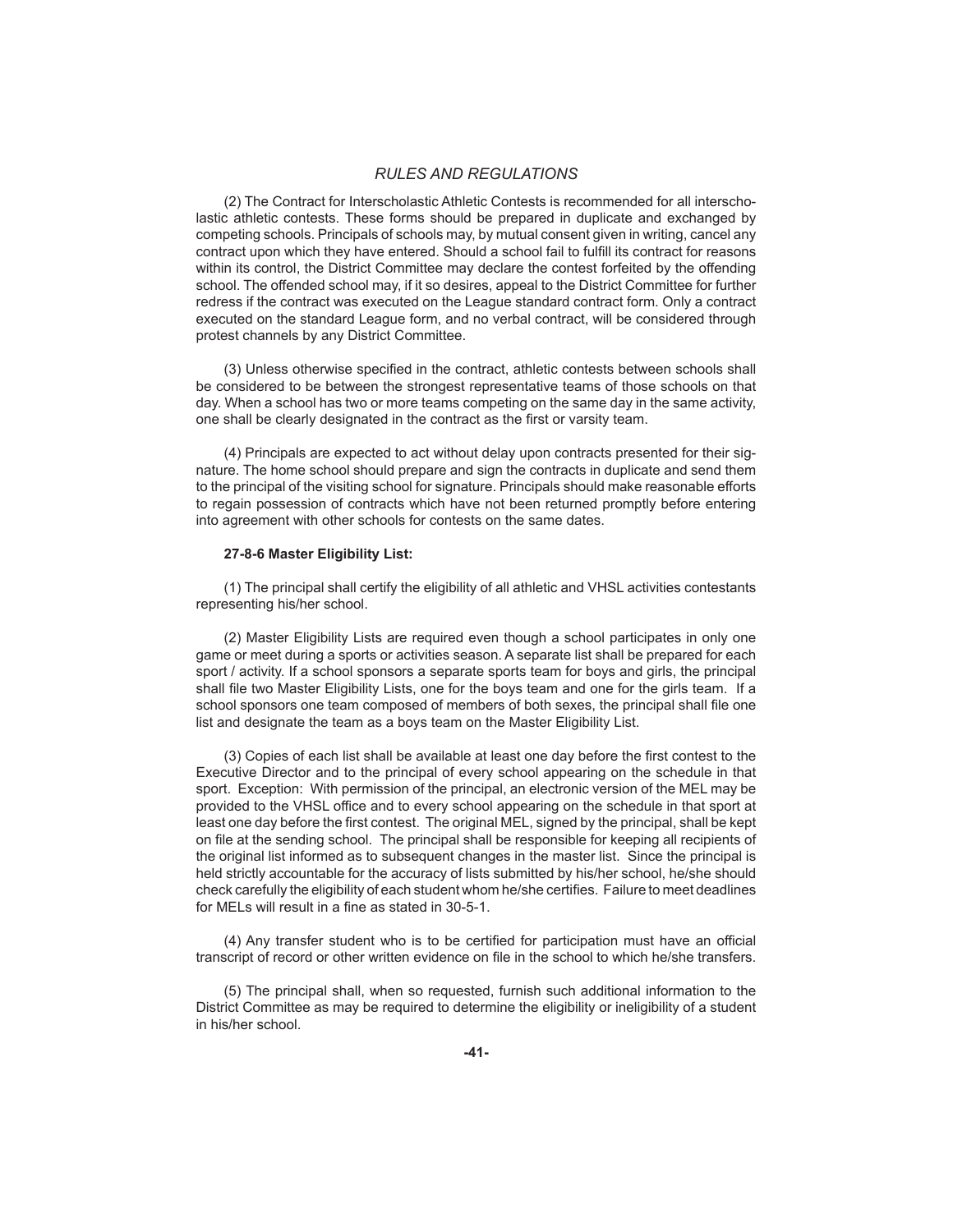(2) The Contract for Interscholastic Athletic Contests is recommended for all interscholastic athletic contests. These forms should be prepared in duplicate and exchanged by competing schools. Principals of schools may, by mutual consent given in writing, cancel any contract upon which they have entered. Should a school fail to fulfill its contract for reasons within its control, the District Committee may declare the contest forfeited by the offending school. The offended school may, if it so desires, appeal to the District Committee for further redress if the contract was executed on the League standard contract form. Only a contract executed on the standard League form, and no verbal contract, will be considered through protest channels by any District Committee.

(3) Unless otherwise specified in the contract, athletic contests between schools shall be considered to be between the strongest representative teams of those schools on that day. When a school has two or more teams competing on the same day in the same activity, one shall be clearly designated in the contract as the first or varsity team.

 (4) Principals are expected to act without delay upon contracts presented for their signature. The home school should prepare and sign the contracts in duplicate and send them to the principal of the visiting school for signature. Principals should make reasonable efforts to regain possession of contracts which have not been returned promptly before entering into agreement with other schools for contests on the same dates.

#### **27-8-6 Master Eligibility List:**

 (1) The principal shall certify the eligibility of all athletic and VHSL activities contestants representing his/her school.

 (2) Master Eligibility Lists are required even though a school participates in only one game or meet during a sports or activities season. A separate list shall be prepared for each sport / activity. If a school sponsors a separate sports team for boys and girls, the principal shall file two Master Eligibility Lists, one for the boys team and one for the girls team. If a school sponsors one team composed of members of both sexes, the principal shall file one list and designate the team as a boys team on the Master Eligibility List.

(3) Copies of each list shall be available at least one day before the first contest to the Executive Director and to the principal of every school appearing on the schedule in that sport. Exception: With permission of the principal, an electronic version of the MEL may be provided to the VHSL office and to every school appearing on the schedule in that sport at least one day before the first contest. The original MEL, signed by the principal, shall be kept on file at the sending school. The principal shall be responsible for keeping all recipients of the original list informed as to subsequent changes in the master list. Since the principal is held strictly accountable for the accuracy of lists submitted by his/her school, he/she should check carefully the eligibility of each student whom he/she certifies. Failure to meet deadlines for MELs will result in a fine as stated in 30-5-1.

(4) Any transfer student who is to be certified for participation must have an official transcript of record or other written evidence on file in the school to which he/she transfers.

 (5) The principal shall, when so requested, furnish such additional information to the District Committee as may be required to determine the eligibility or ineligibility of a student in his/her school.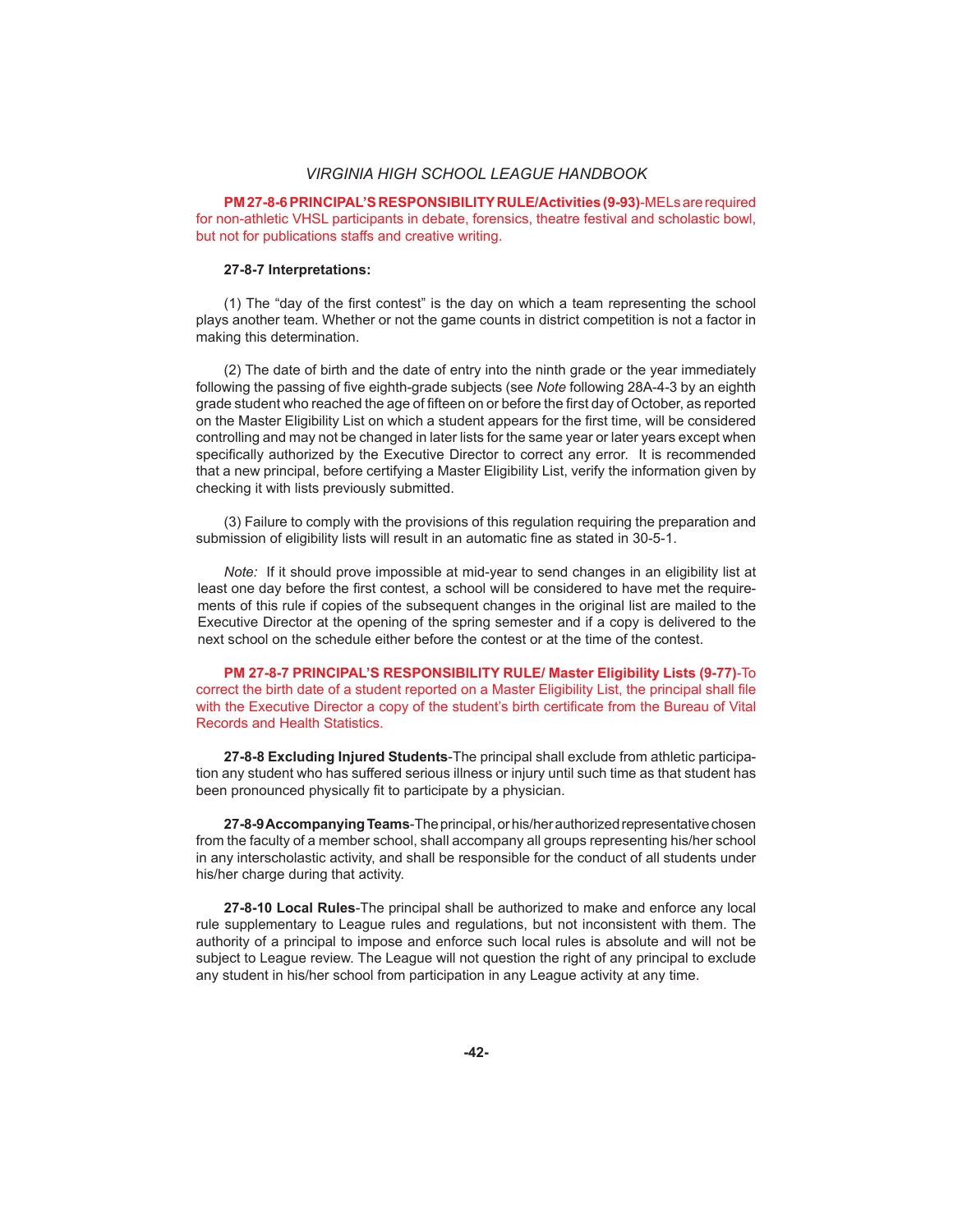**PM 27-8-6 PRINCIPAL'S RESPONSIBILITY RULE/Activities (9-93)**-MELs are required for non-athletic VHSL participants in debate, forensics, theatre festival and scholastic bowl, but not for publications staffs and creative writing.

#### **27-8-7 Interpretations:**

 $(1)$  The "day of the first contest" is the day on which a team representing the school plays another team. Whether or not the game counts in district competition is not a factor in making this determination.

 (2) The date of birth and the date of entry into the ninth grade or the year immediately following the passing of five eighth-grade subjects (see Note following 28A-4-3 by an eighth grade student who reached the age of fifteen on or before the first day of October, as reported on the Master Eligibility List on which a student appears for the first time, will be considered controlling and may not be changed in later lists for the same year or later years except when specifically authorized by the Executive Director to correct any error. It is recommended that a new principal, before certifying a Master Eligibility List, verify the information given by checking it with lists previously submitted.

 (3) Failure to comply with the provisions of this regulation requiring the preparation and submission of eligibility lists will result in an automatic fine as stated in 30-5-1.

 *Note:* If it should prove impossible at mid-year to send changes in an eligibility list at least one day before the first contest, a school will be considered to have met the requirements of this rule if copies of the subsequent changes in the original list are mailed to the Executive Director at the opening of the spring semester and if a copy is delivered to the next school on the schedule either before the contest or at the time of the contest.

**PM 27-8-7 PRINCIPAL'S RESPONSIBILITY RULE/ Master Eligibility Lists (9-77)**-To correct the birth date of a student reported on a Master Eligibility List, the principal shall file with the Executive Director a copy of the student's birth certificate from the Bureau of Vital Records and Health Statistics.

**27-8-8 Excluding Injured Students**-The principal shall exclude from athletic participation any student who has suffered serious illness or injury until such time as that student has been pronounced physically fit to participate by a physician.

**27-8-9 Accompanying Teams**-The principal, or his/her authorized representative chosen from the faculty of a member school, shall accompany all groups representing his/her school in any interscholastic activity, and shall be responsible for the conduct of all students under his/her charge during that activity.

**27-8-10 Local Rules**-The principal shall be authorized to make and enforce any local rule supplementary to League rules and regulations, but not inconsistent with them. The authority of a principal to impose and enforce such local rules is absolute and will not be subject to League review. The League will not question the right of any principal to exclude any student in his/her school from participation in any League activity at any time.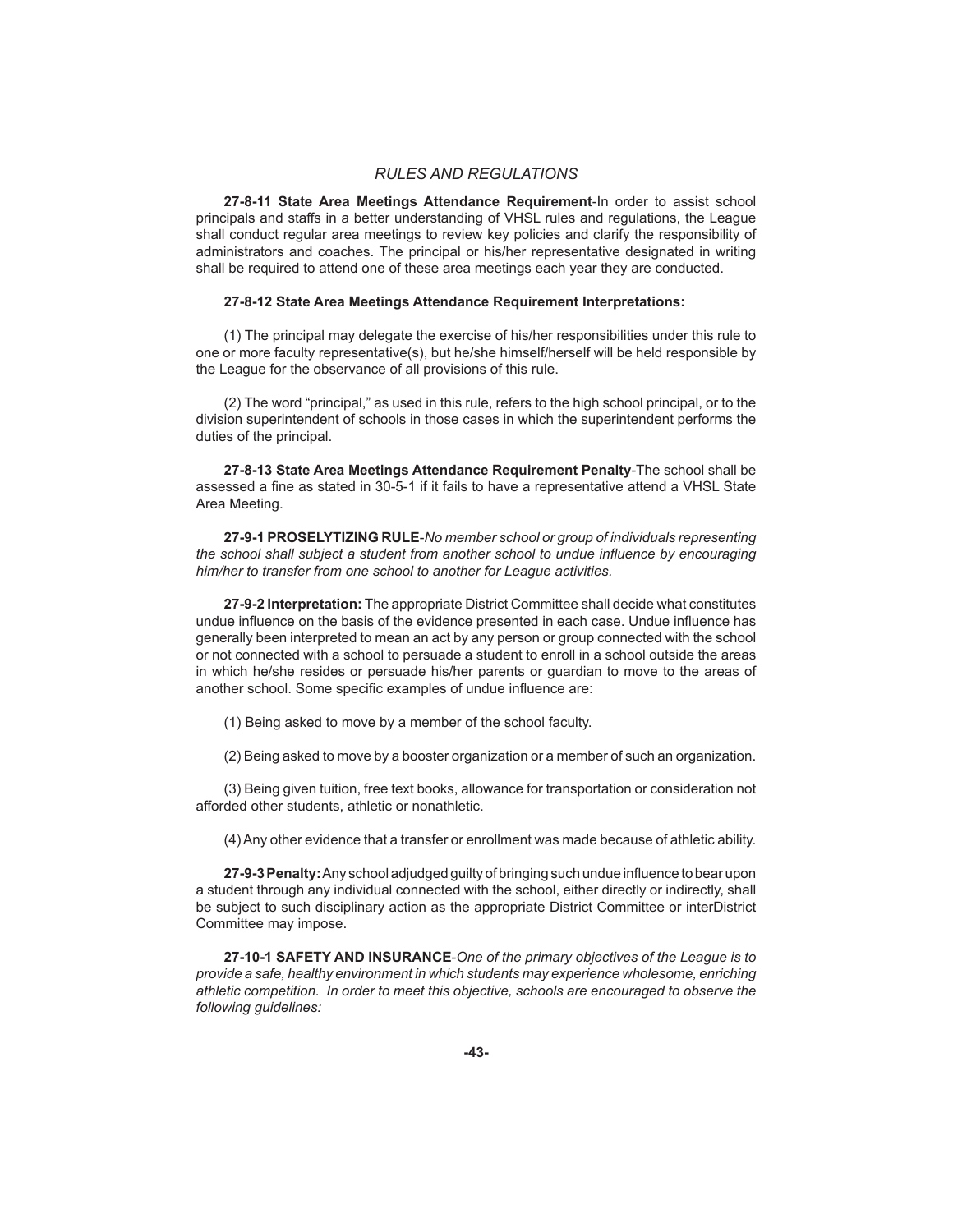**27-8-11 State Area Meetings Attendance Requirement**-In order to assist school principals and staffs in a better understanding of VHSL rules and regulations, the League shall conduct regular area meetings to review key policies and clarify the responsibility of administrators and coaches. The principal or his/her representative designated in writing shall be required to attend one of these area meetings each year they are conducted.

#### **27-8-12 State Area Meetings Attendance Requirement Interpretations:**

 (1) The principal may delegate the exercise of his/her responsibilities under this rule to one or more faculty representative(s), but he/she himself/herself will be held responsible by the League for the observance of all provisions of this rule.

 (2) The word "principal," as used in this rule, refers to the high school principal, or to the division superintendent of schools in those cases in which the superintendent performs the duties of the principal.

**27-8-13 State Area Meetings Attendance Requirement Penalty**-The school shall be assessed a fine as stated in 30-5-1 if it fails to have a representative attend a VHSL State Area Meeting.

**27-9-1 PROSELYTIZING RULE**-*No member school or group of individuals representing the school shall subject a student from another school to undue influence by encouraging him/her to transfer from one school to another for League activities.* 

**27-9-2 Interpretation:** The appropriate District Committee shall decide what constitutes undue influence on the basis of the evidence presented in each case. Undue influence has generally been interpreted to mean an act by any person or group connected with the school or not connected with a school to persuade a student to enroll in a school outside the areas in which he/she resides or persuade his/her parents or guardian to move to the areas of another school. Some specific examples of undue influence are:

(1) Being asked to move by a member of the school faculty.

(2) Being asked to move by a booster organization or a member of such an organization.

 (3) Being given tuition, free text books, allowance for transportation or consideration not afforded other students, athletic or nonathletic.

(4) Any other evidence that a transfer or enrollment was made because of athletic ability.

27-9-3 Penalty: Any school adjudged guilty of bringing such undue influence to bear upon a student through any individual connected with the school, either directly or indirectly, shall be subject to such disciplinary action as the appropriate District Committee or interDistrict Committee may impose.

**27-10-1 SAFETY AND INSURANCE**-*One of the primary objectives of the League is to provide a safe, healthy environment in which students may experience wholesome, enriching athletic competition. In order to meet this objective, schools are encouraged to observe the following guidelines:*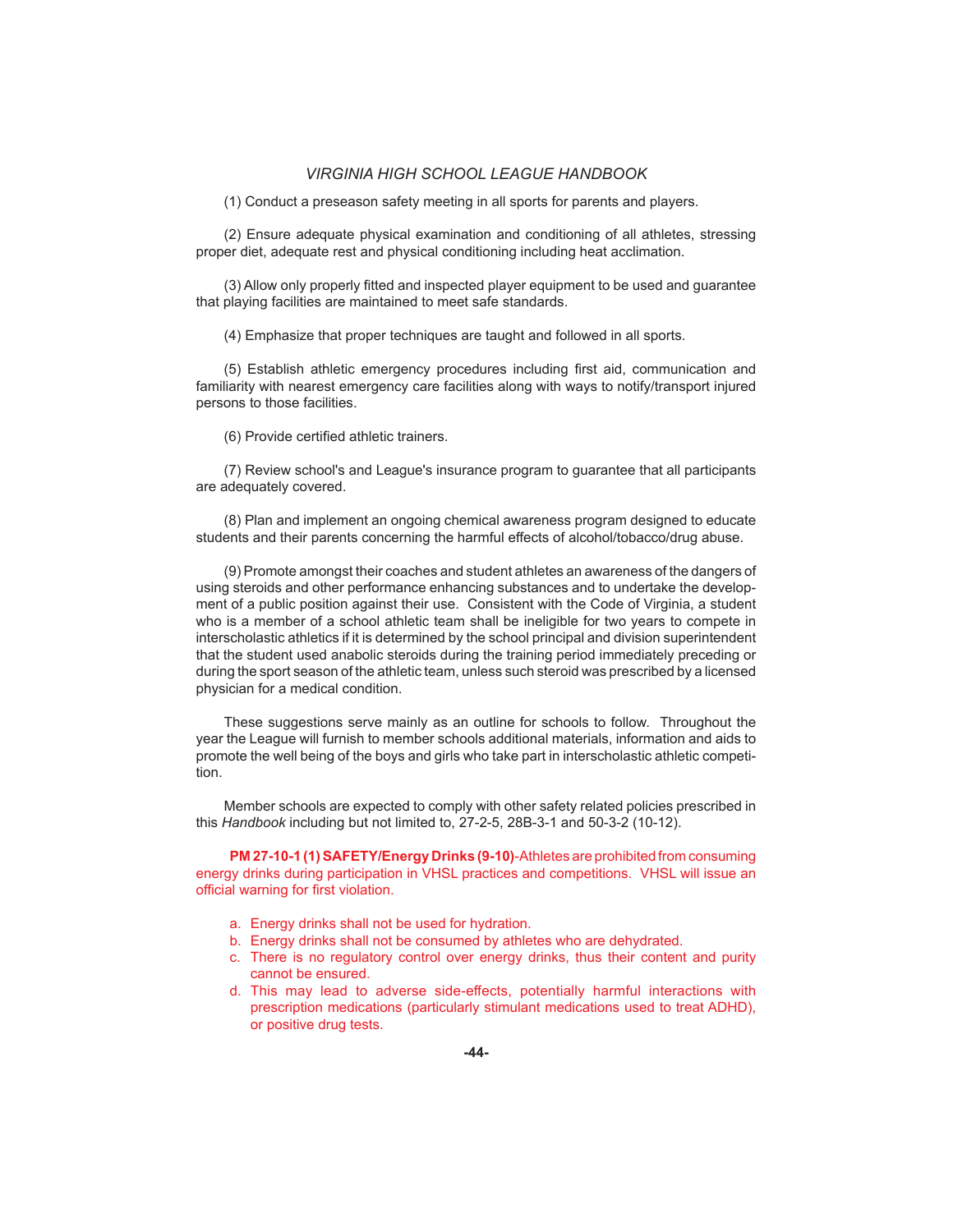(1) Conduct a preseason safety meeting in all sports for parents and players.

 (2) Ensure adequate physical examination and conditioning of all athletes, stressing proper diet, adequate rest and physical conditioning including heat acclimation.

(3) Allow only properly fitted and inspected player equipment to be used and guarantee that playing facilities are maintained to meet safe standards.

(4) Emphasize that proper techniques are taught and followed in all sports.

(5) Establish athletic emergency procedures including first aid, communication and familiarity with nearest emergency care facilities along with ways to notify/transport injured persons to those facilities.

(6) Provide certified athletic trainers.

 (7) Review school's and League's insurance program to guarantee that all participants are adequately covered.

 (8) Plan and implement an ongoing chemical awareness program designed to educate students and their parents concerning the harmful effects of alcohol/tobacco/drug abuse.

 (9) Promote amongst their coaches and student athletes an awareness of the dangers of using steroids and other performance enhancing substances and to undertake the development of a public position against their use. Consistent with the Code of Virginia, a student who is a member of a school athletic team shall be ineligible for two years to compete in interscholastic athletics if it is determined by the school principal and division superintendent that the student used anabolic steroids during the training period immediately preceding or during the sport season of the athletic team, unless such steroid was prescribed by a licensed physician for a medical condition.

 These suggestions serve mainly as an outline for schools to follow. Throughout the year the League will furnish to member schools additional materials, information and aids to promote the well being of the boys and girls who take part in interscholastic athletic competition.

 Member schools are expected to comply with other safety related policies prescribed in this *Handbook* including but not limited to, 27-2-5, 28B-3-1 and 50-3-2 (10-12).

**PM 27-10-1 (1) SAFETY/Energy Drinks (9-10)**-Athletes are prohibited from consuming energy drinks during participation in VHSL practices and competitions. VHSL will issue an official warning for first violation.

- a. Energy drinks shall not be used for hydration.
- b. Energy drinks shall not be consumed by athletes who are dehydrated.
- c. There is no regulatory control over energy drinks, thus their content and purity cannot be ensured.
- d. This may lead to adverse side-effects, potentially harmful interactions with prescription medications (particularly stimulant medications used to treat ADHD), or positive drug tests.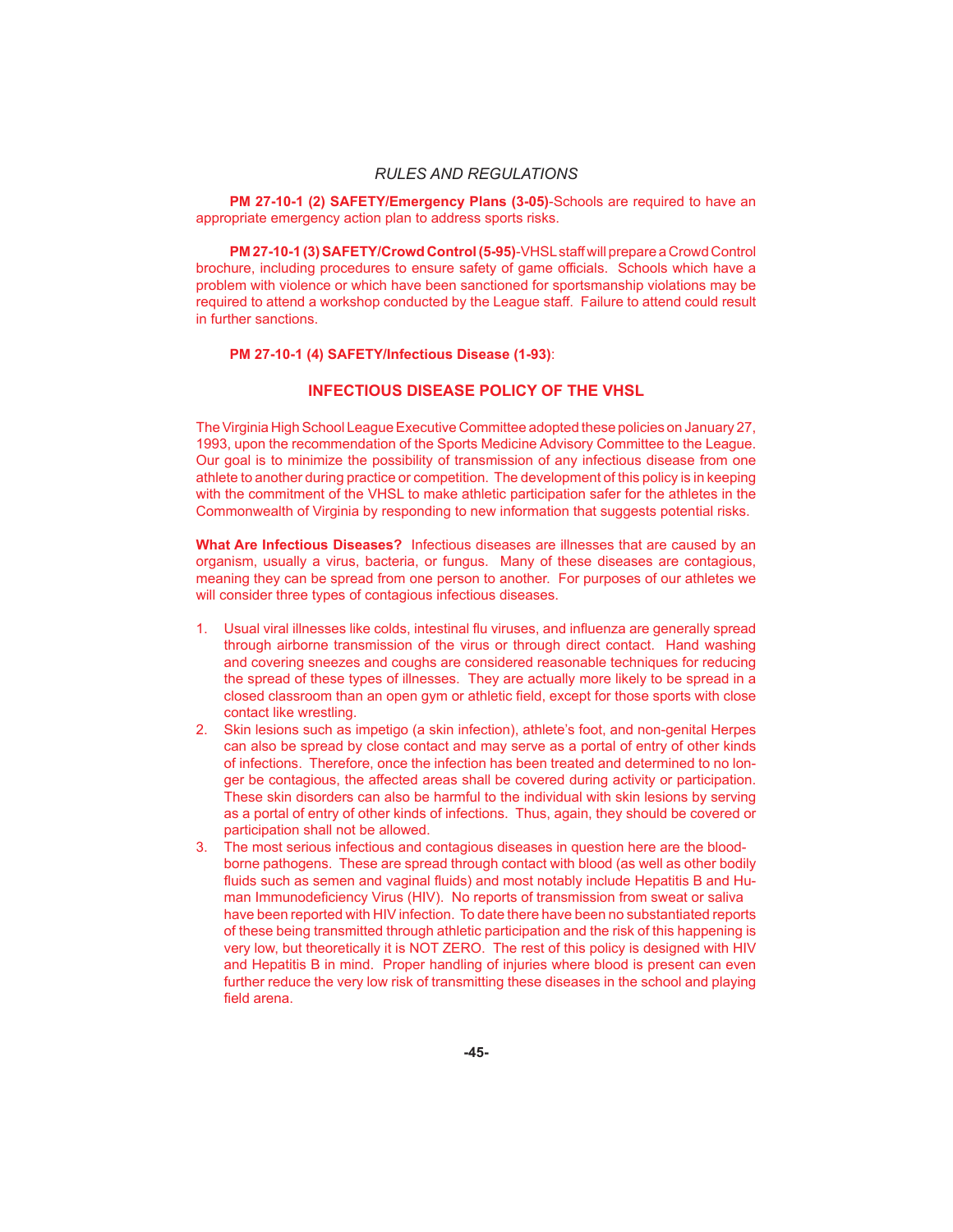**PM 27-10-1 (2) SAFETY/Emergency Plans (3-05)**-Schools are required to have an appropriate emergency action plan to address sports risks.

 **PM 27-10-1 (3) SAFETY/Crowd Control (5-95)**-VHSL staff will prepare a Crowd Control brochure, including procedures to ensure safety of game officials. Schools which have a problem with violence or which have been sanctioned for sportsmanship violations may be required to attend a workshop conducted by the League staff. Failure to attend could result in further sanctions.

## **PM 27-10-1 (4) SAFETY/Infectious Disease (1-93)**:

## **INFECTIOUS DISEASE POLICY OF THE VHSL**

The Virginia High School League Executive Committee adopted these policies on January 27, 1993, upon the recommendation of the Sports Medicine Advisory Committee to the League. Our goal is to minimize the possibility of transmission of any infectious disease from one athlete to another during practice or competition. The development of this policy is in keeping with the commitment of the VHSL to make athletic participation safer for the athletes in the Commonwealth of Virginia by responding to new information that suggests potential risks.

**What Are Infectious Diseases?** Infectious diseases are illnesses that are caused by an organism, usually a virus, bacteria, or fungus. Many of these diseases are contagious, meaning they can be spread from one person to another. For purposes of our athletes we will consider three types of contagious infectious diseases.

- 1. Usual viral illnesses like colds, intestinal flu viruses, and influenza are generally spread through airborne transmission of the virus or through direct contact. Hand washing and covering sneezes and coughs are considered reasonable techniques for reducing the spread of these types of illnesses. They are actually more likely to be spread in a closed classroom than an open gym or athletic field, except for those sports with close contact like wrestling.
- 2. Skin lesions such as impetigo (a skin infection), athlete's foot, and non-genital Herpes can also be spread by close contact and may serve as a portal of entry of other kinds of infections. Therefore, once the infection has been treated and determined to no longer be contagious, the affected areas shall be covered during activity or participation. These skin disorders can also be harmful to the individual with skin lesions by serving as a portal of entry of other kinds of infections. Thus, again, they should be covered or participation shall not be allowed.
- 3. The most serious infectious and contagious diseases in question here are the bloodborne pathogens. These are spread through contact with blood (as well as other bodily fluids such as semen and vaginal fluids) and most notably include Hepatitis B and Human Immunodeficiency Virus (HIV). No reports of transmission from sweat or saliva have been reported with HIV infection. To date there have been no substantiated reports of these being transmitted through athletic participation and the risk of this happening is very low, but theoretically it is NOT ZERO. The rest of this policy is designed with HIV and Hepatitis B in mind. Proper handling of injuries where blood is present can even further reduce the very low risk of transmitting these diseases in the school and playing field arena.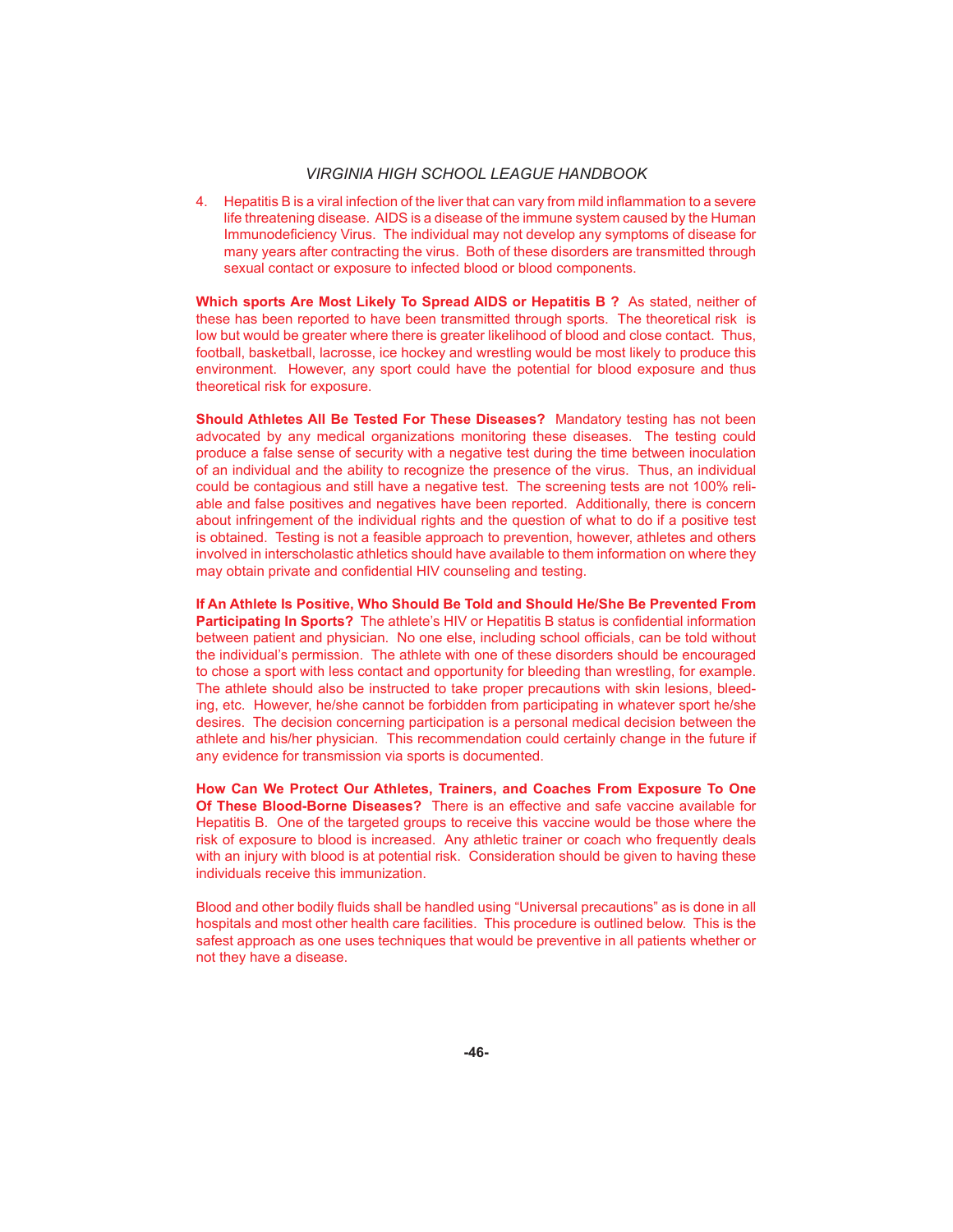4. Hepatitis B is a viral infection of the liver that can vary from mild inflammation to a severe life threatening disease. AIDS is a disease of the immune system caused by the Human Immunodeficiency Virus. The individual may not develop any symptoms of disease for many years after contracting the virus. Both of these disorders are transmitted through sexual contact or exposure to infected blood or blood components.

**Which sports Are Most Likely To Spread AIDS or Hepatitis B ?** As stated, neither of these has been reported to have been transmitted through sports. The theoretical risk is low but would be greater where there is greater likelihood of blood and close contact. Thus, football, basketball, lacrosse, ice hockey and wrestling would be most likely to produce this environment. However, any sport could have the potential for blood exposure and thus theoretical risk for exposure.

**Should Athletes All Be Tested For These Diseases?** Mandatory testing has not been advocated by any medical organizations monitoring these diseases. The testing could produce a false sense of security with a negative test during the time between inoculation of an individual and the ability to recognize the presence of the virus. Thus, an individual could be contagious and still have a negative test. The screening tests are not 100% reliable and false positives and negatives have been reported. Additionally, there is concern about infringement of the individual rights and the question of what to do if a positive test is obtained. Testing is not a feasible approach to prevention, however, athletes and others involved in interscholastic athletics should have available to them information on where they may obtain private and confidential HIV counseling and testing.

**If An Athlete Is Positive, Who Should Be Told and Should He/She Be Prevented From Participating In Sports?** The athlete's HIV or Hepatitis B status is confidential information between patient and physician. No one else, including school officials, can be told without the individual's permission. The athlete with one of these disorders should be encouraged to chose a sport with less contact and opportunity for bleeding than wrestling, for example. The athlete should also be instructed to take proper precautions with skin lesions, bleeding, etc. However, he/she cannot be forbidden from participating in whatever sport he/she desires. The decision concerning participation is a personal medical decision between the athlete and his/her physician. This recommendation could certainly change in the future if any evidence for transmission via sports is documented.

**How Can We Protect Our Athletes, Trainers, and Coaches From Exposure To One Of These Blood-Borne Diseases?** There is an effective and safe vaccine available for Hepatitis B. One of the targeted groups to receive this vaccine would be those where the risk of exposure to blood is increased. Any athletic trainer or coach who frequently deals with an injury with blood is at potential risk. Consideration should be given to having these individuals receive this immunization.

Blood and other bodily fluids shall be handled using "Universal precautions" as is done in all hospitals and most other health care facilities. This procedure is outlined below. This is the safest approach as one uses techniques that would be preventive in all patients whether or not they have a disease.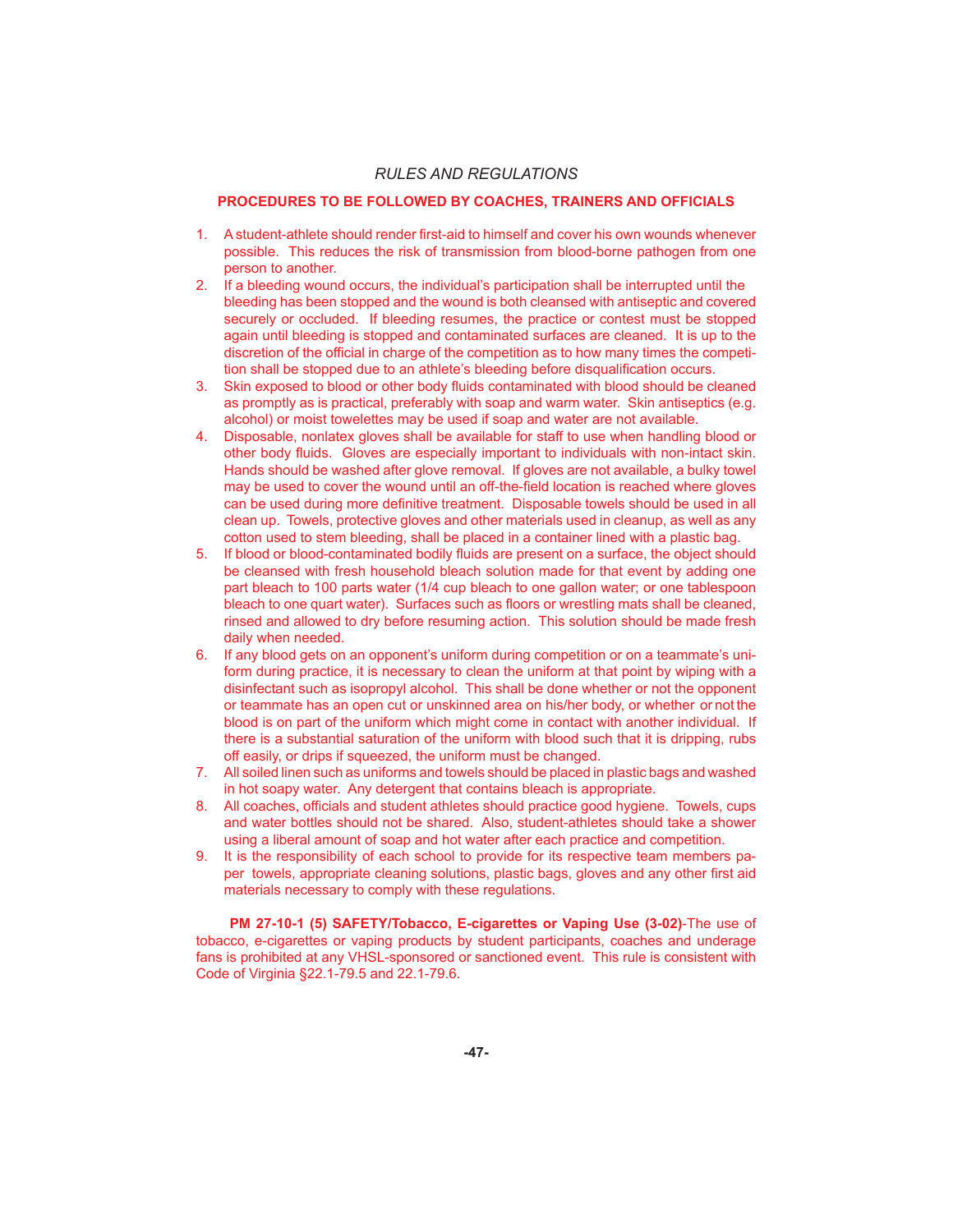## **PROCEDURES TO BE FOLLOWED BY COACHES, TRAINERS AND OFFICIALS**

- 1. A student-athlete should render first-aid to himself and cover his own wounds whenever possible. This reduces the risk of transmission from blood-borne pathogen from one person to another.
- 2. If a bleeding wound occurs, the individual's participation shall be interrupted until the bleeding has been stopped and the wound is both cleansed with antiseptic and covered securely or occluded. If bleeding resumes, the practice or contest must be stopped again until bleeding is stopped and contaminated surfaces are cleaned. It is up to the discretion of the official in charge of the competition as to how many times the competition shall be stopped due to an athlete's bleeding before disqualification occurs.
- 3. Skin exposed to blood or other body fluids contaminated with blood should be cleaned as promptly as is practical, preferably with soap and warm water. Skin antiseptics (e.g. alcohol) or moist towelettes may be used if soap and water are not available.
- 4. Disposable, nonlatex gloves shall be available for staff to use when handling blood or other body fluids. Gloves are especially important to individuals with non-intact skin. Hands should be washed after glove removal. If gloves are not available, a bulky towel may be used to cover the wound until an off-the-field location is reached where gloves can be used during more definitive treatment. Disposable towels should be used in all clean up. Towels, protective gloves and other materials used in cleanup, as well as any cotton used to stem bleeding, shall be placed in a container lined with a plastic bag.
- 5. If blood or blood-contaminated bodily fluids are present on a surface, the object should be cleansed with fresh household bleach solution made for that event by adding one part bleach to 100 parts water (1/4 cup bleach to one gallon water; or one tablespoon bleach to one quart water). Surfaces such as floors or wrestling mats shall be cleaned, rinsed and allowed to dry before resuming action. This solution should be made fresh daily when needed.
- 6. If any blood gets on an opponent's uniform during competition or on a teammate's uniform during practice, it is necessary to clean the uniform at that point by wiping with a disinfectant such as isopropyl alcohol. This shall be done whether or not the opponent or teammate has an open cut or unskinned area on his/her body, or whether or not the blood is on part of the uniform which might come in contact with another individual. If there is a substantial saturation of the uniform with blood such that it is dripping, rubs off easily, or drips if squeezed, the uniform must be changed.
- 7. All soiled linen such as uniforms and towels should be placed in plastic bags and washed in hot soapy water. Any detergent that contains bleach is appropriate.
- 8. All coaches, officials and student athletes should practice good hygiene. Towels, cups and water bottles should not be shared. Also, student-athletes should take a shower using a liberal amount of soap and hot water after each practice and competition.
- 9. It is the responsibility of each school to provide for its respective team members paper towels, appropriate cleaning solutions, plastic bags, gloves and any other first aid materials necessary to comply with these regulations.

 **PM 27-10-1 (5) SAFETY/Tobacco, E-cigarettes or Vaping Use (3-02)**-The use of tobacco, e-cigarettes or vaping products by student participants, coaches and underage fans is prohibited at any VHSL-sponsored or sanctioned event. This rule is consistent with Code of Virginia §22.1-79.5 and 22.1-79.6.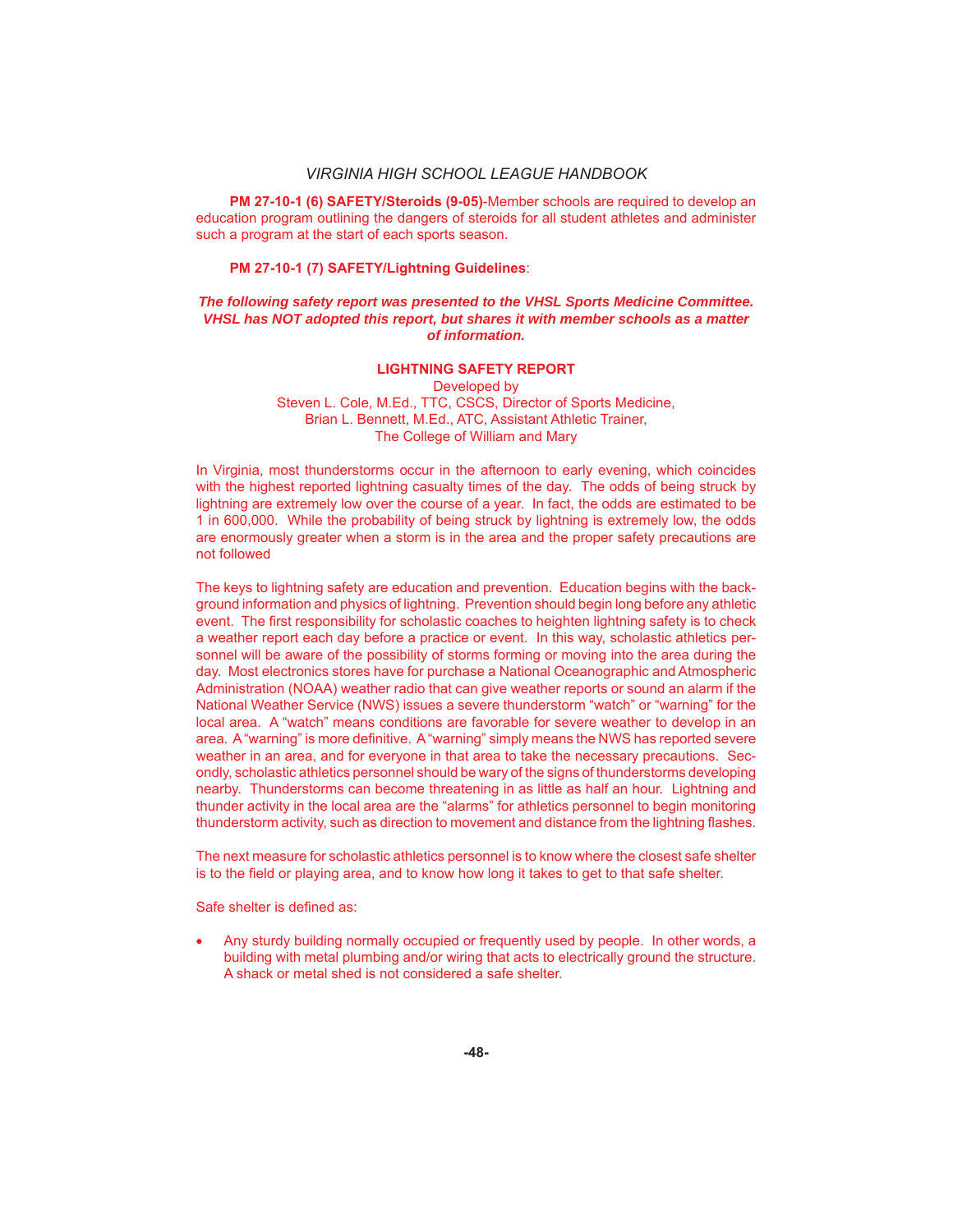**PM 27-10-1 (6) SAFETY/Steroids (9-05)**-Member schools are required to develop an education program outlining the dangers of steroids for all student athletes and administer such a program at the start of each sports season.

## **PM 27-10-1 (7) SAFETY/Lightning Guidelines**:

## *The following safety report was presented to the VHSL Sports Medicine Committee. VHSL has NOT adopted this report, but shares it with member schools as a matter of information.*

## **LIGHTNING SAFETY REPORT**

Developed by

Steven L. Cole, M.Ed., TTC, CSCS, Director of Sports Medicine, Brian L. Bennett, M.Ed., ATC, Assistant Athletic Trainer, The College of William and Mary

In Virginia, most thunderstorms occur in the afternoon to early evening, which coincides with the highest reported lightning casualty times of the day. The odds of being struck by lightning are extremely low over the course of a year. In fact, the odds are estimated to be 1 in 600,000. While the probability of being struck by lightning is extremely low, the odds are enormously greater when a storm is in the area and the proper safety precautions are not followed

The keys to lightning safety are education and prevention. Education begins with the background information and physics of lightning. Prevention should begin long before any athletic event. The first responsibility for scholastic coaches to heighten lightning safety is to check a weather report each day before a practice or event. In this way, scholastic athletics personnel will be aware of the possibility of storms forming or moving into the area during the day. Most electronics stores have for purchase a National Oceanographic and Atmospheric Administration (NOAA) weather radio that can give weather reports or sound an alarm if the National Weather Service (NWS) issues a severe thunderstorm "watch" or "warning" for the local area. A "watch" means conditions are favorable for severe weather to develop in an area. A "warning" is more definitive. A "warning" simply means the NWS has reported severe weather in an area, and for everyone in that area to take the necessary precautions. Secondly, scholastic athletics personnel should be wary of the signs of thunderstorms developing nearby. Thunderstorms can become threatening in as little as half an hour. Lightning and thunder activity in the local area are the "alarms" for athletics personnel to begin monitoring thunderstorm activity, such as direction to movement and distance from the lightning flashes.

The next measure for scholastic athletics personnel is to know where the closest safe shelter is to the field or playing area, and to know how long it takes to get to that safe shelter.

Safe shelter is defined as:

 Any sturdy building normally occupied or frequently used by people. In other words, a building with metal plumbing and/or wiring that acts to electrically ground the structure. A shack or metal shed is not considered a safe shelter.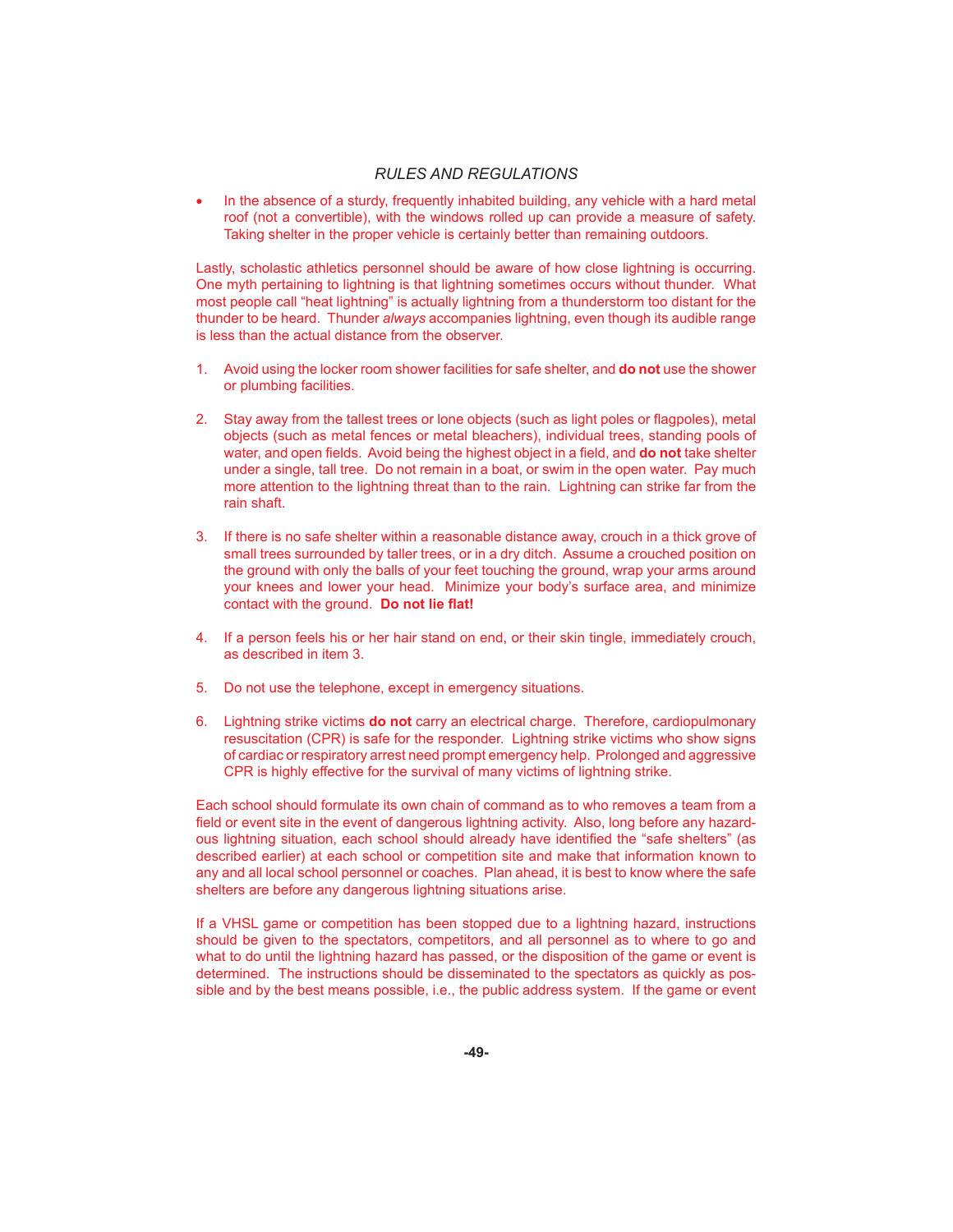In the absence of a sturdy, frequently inhabited building, any vehicle with a hard metal roof (not a convertible), with the windows rolled up can provide a measure of safety. Taking shelter in the proper vehicle is certainly better than remaining outdoors.

Lastly, scholastic athletics personnel should be aware of how close lightning is occurring. One myth pertaining to lightning is that lightning sometimes occurs without thunder. What most people call "heat lightning" is actually lightning from a thunderstorm too distant for the thunder to be heard. Thunder *always* accompanies lightning, even though its audible range is less than the actual distance from the observer.

- 1. Avoid using the locker room shower facilities for safe shelter, and **do not** use the shower or plumbing facilities.
- 2. Stay away from the tallest trees or lone objects (such as light poles or flagpoles), metal objects (such as metal fences or metal bleachers), individual trees, standing pools of water, and open fields. Avoid being the highest object in a field, and **do not** take shelter under a single, tall tree. Do not remain in a boat, or swim in the open water. Pay much more attention to the lightning threat than to the rain. Lightning can strike far from the rain shaft.
- 3. If there is no safe shelter within a reasonable distance away, crouch in a thick grove of small trees surrounded by taller trees, or in a dry ditch. Assume a crouched position on the ground with only the balls of your feet touching the ground, wrap your arms around your knees and lower your head. Minimize your body's surface area, and minimize contact with the ground. Do not lie flat!
- 4. If a person feels his or her hair stand on end, or their skin tingle, immediately crouch, as described in item 3.
- 5. Do not use the telephone, except in emergency situations.
- 6. Lightning strike victims **do not** carry an electrical charge. Therefore, cardiopulmonary resuscitation (CPR) is safe for the responder. Lightning strike victims who show signs of cardiac or respiratory arrest need prompt emergency help. Prolonged and aggressive CPR is highly effective for the survival of many victims of lightning strike.

Each school should formulate its own chain of command as to who removes a team from a field or event site in the event of dangerous lightning activity. Also, long before any hazardous lightning situation, each school should already have identified the "safe shelters" (as described earlier) at each school or competition site and make that information known to any and all local school personnel or coaches. Plan ahead, it is best to know where the safe shelters are before any dangerous lightning situations arise.

If a VHSL game or competition has been stopped due to a lightning hazard, instructions should be given to the spectators, competitors, and all personnel as to where to go and what to do until the lightning hazard has passed, or the disposition of the game or event is determined. The instructions should be disseminated to the spectators as quickly as possible and by the best means possible, i.e., the public address system. If the game or event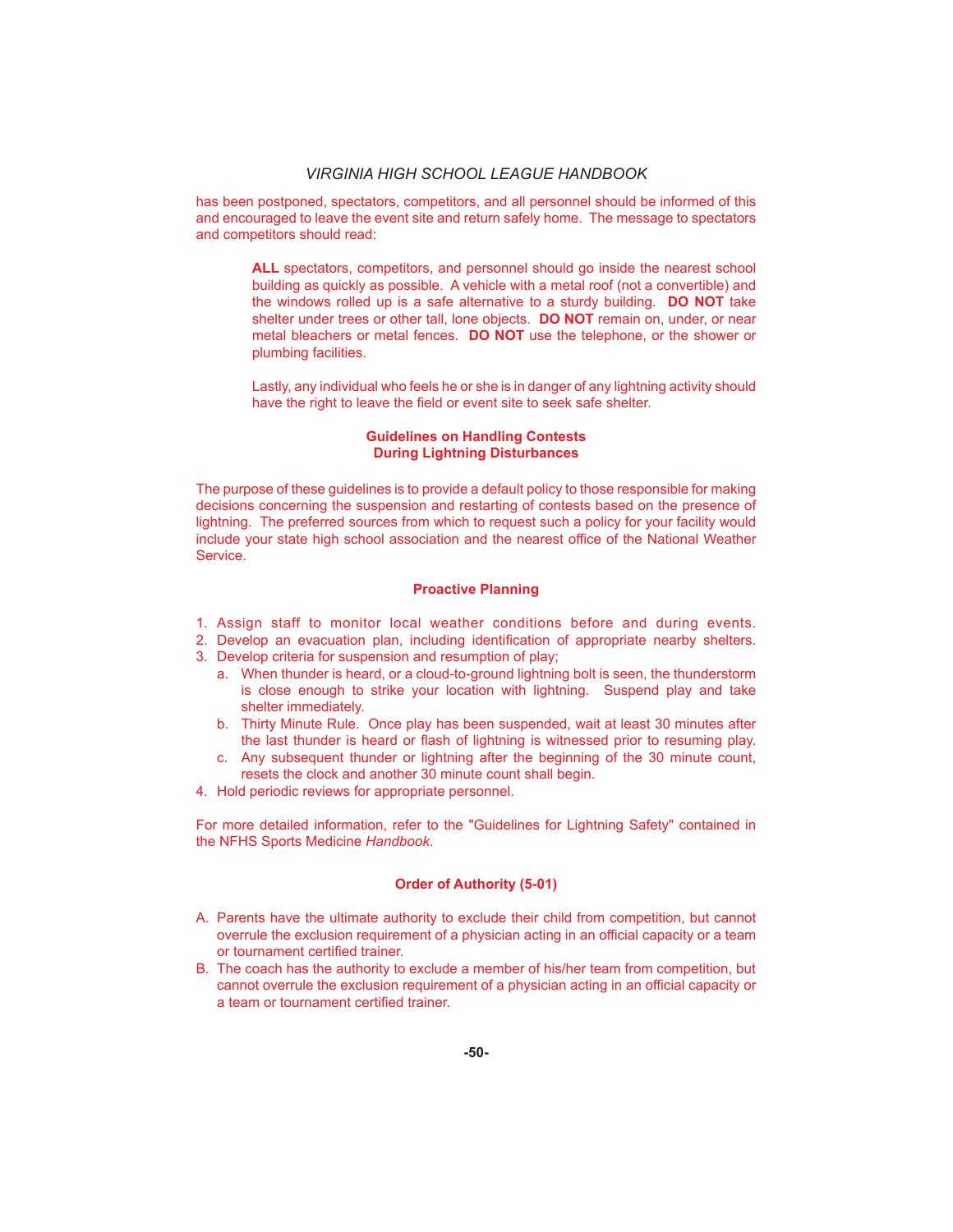has been postponed, spectators, competitors, and all personnel should be informed of this and encouraged to leave the event site and return safely home. The message to spectators and competitors should read:

**ALL** spectators, competitors, and personnel should go inside the nearest school building as quickly as possible. A vehicle with a metal roof (not a convertible) and the windows rolled up is a safe alternative to a sturdy building. **DO NOT** take shelter under trees or other tall, lone objects. **DO NOT** remain on, under, or near metal bleachers or metal fences. **DO NOT** use the telephone, or the shower or plumbing facilities.

Lastly, any individual who feels he or she is in danger of any lightning activity should have the right to leave the field or event site to seek safe shelter.

## **Guidelines on Handling Contests During Lightning Disturbances**

The purpose of these guidelines is to provide a default policy to those responsible for making decisions concerning the suspension and restarting of contests based on the presence of lightning. The preferred sources from which to request such a policy for your facility would include your state high school association and the nearest office of the National Weather **Service** 

### **Proactive Planning**

- 1. Assign staff to monitor local weather conditions before and during events.
- 2. Develop an evacuation plan, including identification of appropriate nearby shelters.
- 3. Develop criteria for suspension and resumption of play;
	- a. When thunder is heard, or a cloud-to-ground lightning bolt is seen, the thunderstorm is close enough to strike your location with lightning. Suspend play and take shelter immediately.
	- b. Thirty Minute Rule. Once play has been suspended, wait at least 30 minutes after the last thunder is heard or flash of lightning is witnessed prior to resuming play.
	- c. Any subsequent thunder or lightning after the beginning of the 30 minute count, resets the clock and another 30 minute count shall begin.
- 4. Hold periodic reviews for appropriate personnel.

For more detailed information, refer to the "Guidelines for Lightning Safety" contained in the NFHS Sports Medicine *Handbook*.

## **Order of Authority (5-01)**

- A. Parents have the ultimate authority to exclude their child from competition, but cannot overrule the exclusion requirement of a physician acting in an official capacity or a team or tournament certified trainer.
- B. The coach has the authority to exclude a member of his/her team from competition, but cannot overrule the exclusion requirement of a physician acting in an official capacity or a team or tournament certified trainer.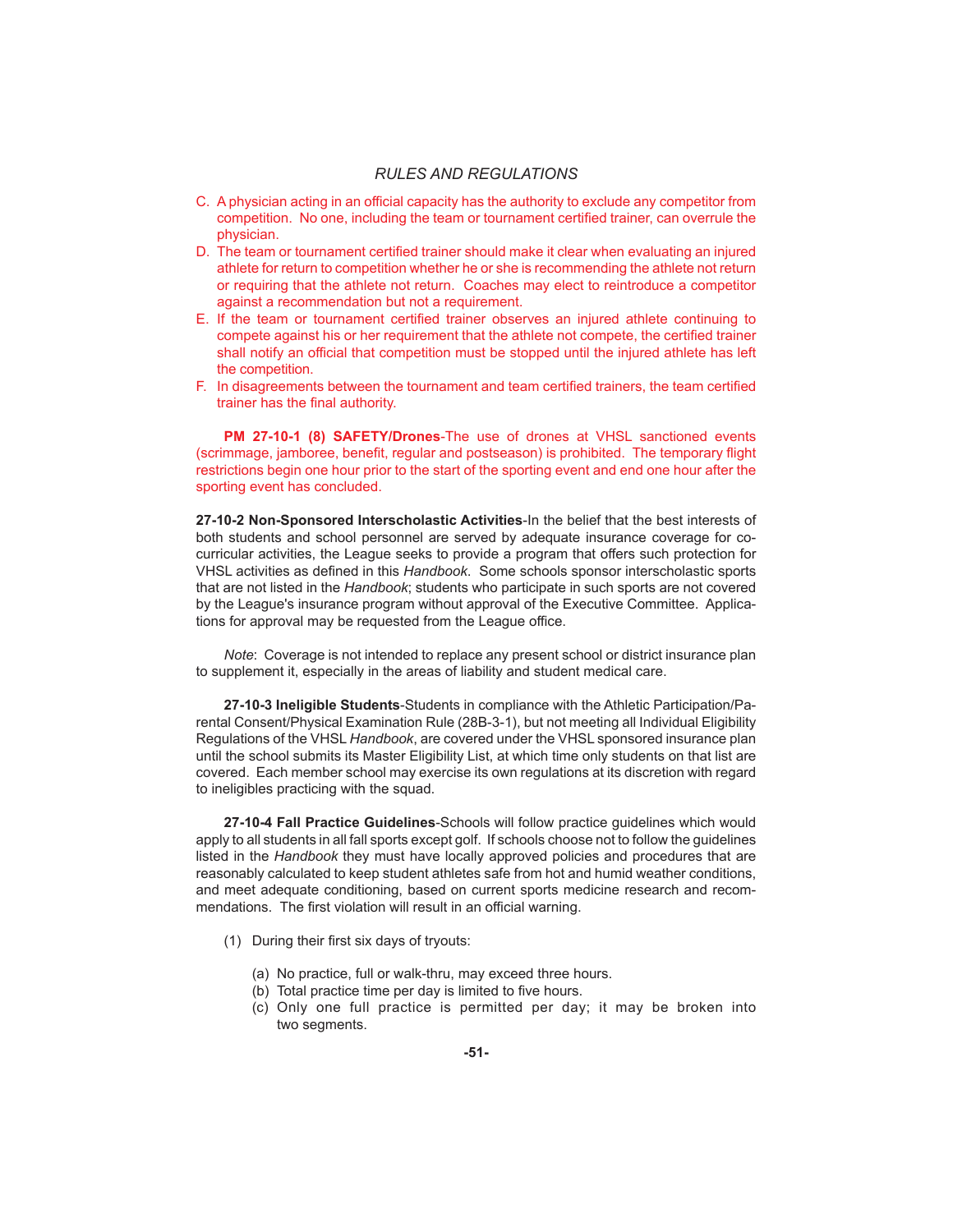- C. A physician acting in an official capacity has the authority to exclude any competitor from competition. No one, including the team or tournament certified trainer, can overrule the physician.
- D. The team or tournament certified trainer should make it clear when evaluating an injured athlete for return to competition whether he or she is recommending the athlete not return or requiring that the athlete not return. Coaches may elect to reintroduce a competitor against a recommendation but not a requirement.
- E. If the team or tournament certified trainer observes an injured athlete continuing to compete against his or her requirement that the athlete not compete, the certified trainer shall notify an official that competition must be stopped until the injured athlete has left the competition.
- F. In disagreements between the tournament and team certified trainers, the team certified trainer has the final authority.

**PM 27-10-1 (8) SAFETY/Drones**-The use of drones at VHSL sanctioned events (scrimmage, jamboree, benefit, regular and postseason) is prohibited. The temporary flight restrictions begin one hour prior to the start of the sporting event and end one hour after the sporting event has concluded.

**27-10-2 Non-Sponsored Interscholastic Activities**-In the belief that the best interests of both students and school personnel are served by adequate insurance coverage for cocurricular activities, the League seeks to provide a program that offers such protection for VHSL activities as defined in this *Handbook*. Some schools sponsor interscholastic sports that are not listed in the *Handbook*; students who participate in such sports are not covered by the League's insurance program without approval of the Executive Committee. Applications for approval may be requested from the League office.

*Note*: Coverage is not intended to replace any present school or district insurance plan to supplement it, especially in the areas of liability and student medical care.

**27-10-3 Ineligible Students**-Students in compliance with the Athletic Participation/Parental Consent/Physical Examination Rule (28B-3-1), but not meeting all Individual Eligibility Regulations of the VHSL *Handbook*, are covered under the VHSL sponsored insurance plan until the school submits its Master Eligibility List, at which time only students on that list are covered. Each member school may exercise its own regulations at its discretion with regard to ineligibles practicing with the squad.

**27-10-4 Fall Practice Guidelines**-Schools will follow practice guidelines which would apply to all students in all fall sports except golf. If schools choose not to follow the guidelines listed in the *Handbook* they must have locally approved policies and procedures that are reasonably calculated to keep student athletes safe from hot and humid weather conditions, and meet adequate conditioning, based on current sports medicine research and recommendations. The first violation will result in an official warning.

- (1) During their first six days of tryouts:
	- (a) No practice, full or walk-thru, may exceed three hours.
	- (b) Total practice time per day is limited to five hours.
	- (c) Only one full practice is permitted per day; it may be broken into two segments.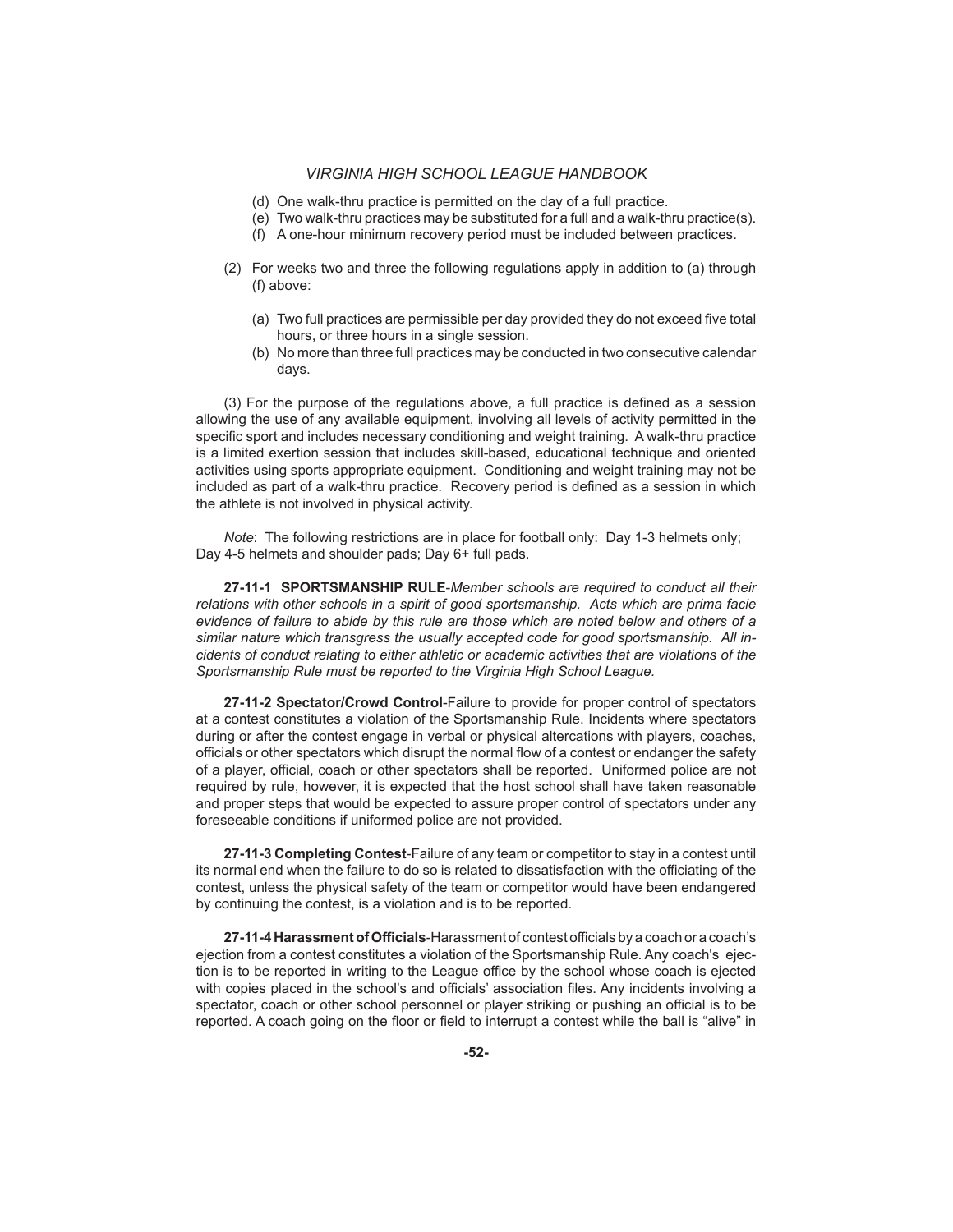- (d) One walk-thru practice is permitted on the day of a full practice.
- (e) Two walk-thru practices may be substituted for a full and a walk-thru practice(s).
- (f) A one-hour minimum recovery period must be included between practices.
- (2) For weeks two and three the following regulations apply in addition to (a) through (f) above:
	- (a) Two full practices are permissible per day provided they do not exceed five total hours, or three hours in a single session.
	- (b) No more than three full practices may be conducted in two consecutive calendar days.

 $(3)$  For the purpose of the regulations above, a full practice is defined as a session allowing the use of any available equipment, involving all levels of activity permitted in the specific sport and includes necessary conditioning and weight training. A walk-thru practice is a limited exertion session that includes skill-based, educational technique and oriented activities using sports appropriate equipment. Conditioning and weight training may not be included as part of a walk-thru practice. Recovery period is defined as a session in which the athlete is not involved in physical activity.

*Note*: The following restrictions are in place for football only: Day 1-3 helmets only; Day 4-5 helmets and shoulder pads; Day 6+ full pads.

**27-11-1 SPORTSMANSHIP RULE**-*Member schools are required to conduct all their relations with other schools in a spirit of good sportsmanship. Acts which are prima facie evidence of failure to abide by this rule are those which are noted below and others of a similar nature which transgress the usually accepted code for good sportsmanship. All incidents of conduct relating to either athletic or academic activities that are violations of the Sportsmanship Rule must be reported to the Virginia High School League.*

**27-11-2 Spectator/Crowd Control**-Failure to provide for proper control of spectators at a contest constitutes a violation of the Sportsmanship Rule. Incidents where spectators during or after the contest engage in verbal or physical altercations with players, coaches, officials or other spectators which disrupt the normal flow of a contest or endanger the safety of a player, official, coach or other spectators shall be reported. Uniformed police are not required by rule, however, it is expected that the host school shall have taken reasonable and proper steps that would be expected to assure proper control of spectators under any foreseeable conditions if uniformed police are not provided.

**27-11-3 Completing Contest**-Failure of any team or competitor to stay in a contest until its normal end when the failure to do so is related to dissatisfaction with the officiating of the contest, unless the physical safety of the team or competitor would have been endangered by continuing the contest, is a violation and is to be reported.

**27-11-4 Harassment of Officials**-Harassment of contest officials by a coach or a coach's ejection from a contest constitutes a violation of the Sportsmanship Rule. Any coach's ejection is to be reported in writing to the League office by the school whose coach is ejected with copies placed in the school's and officials' association files. Any incidents involving a spectator, coach or other school personnel or player striking or pushing an official is to be reported. A coach going on the floor or field to interrupt a contest while the ball is "alive" in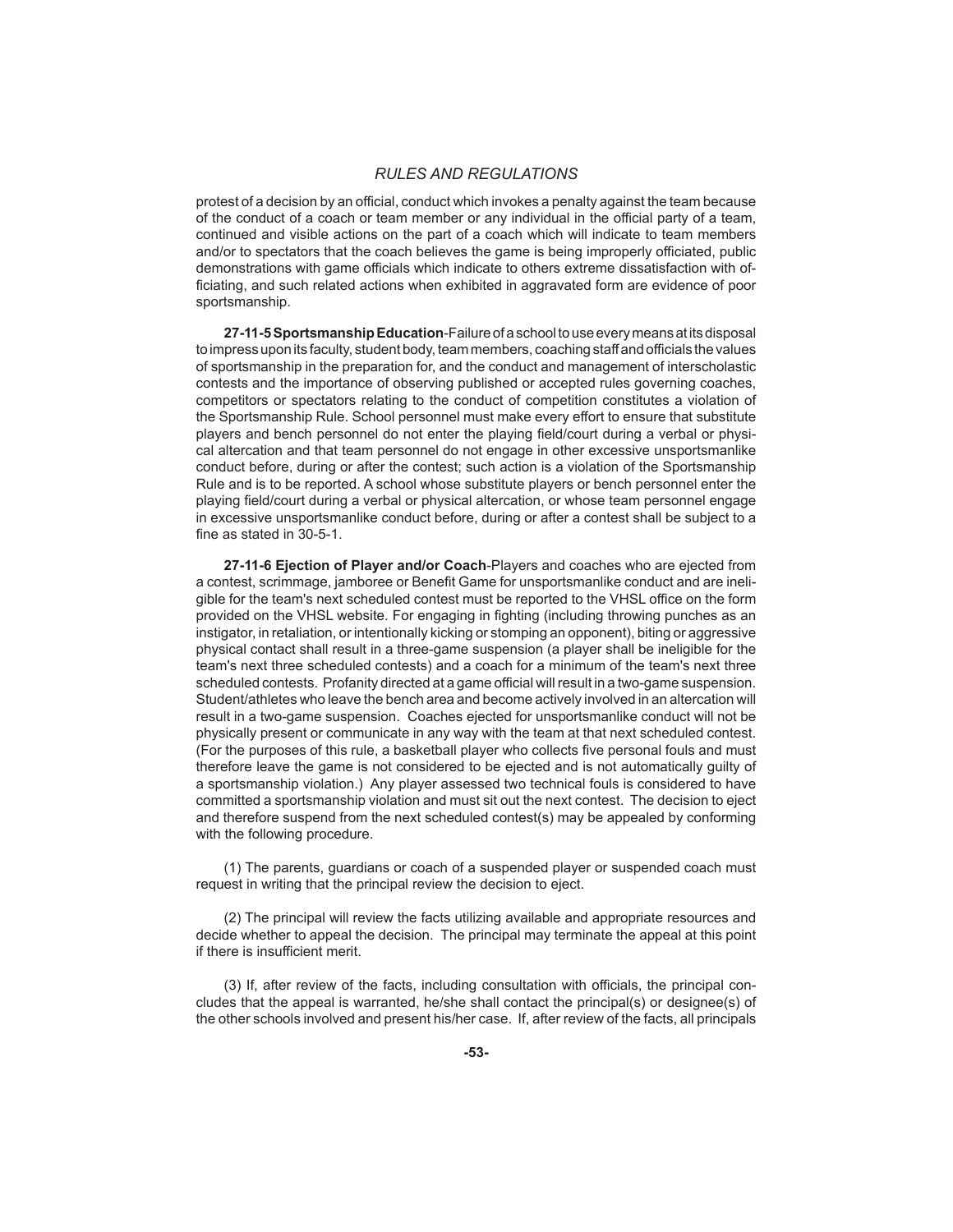protest of a decision by an official, conduct which invokes a penalty against the team because of the conduct of a coach or team member or any individual in the official party of a team, continued and visible actions on the part of a coach which will indicate to team members and/or to spectators that the coach believes the game is being improperly officiated, public demonstrations with game officials which indicate to others extreme dissatisfaction with officiating, and such related actions when exhibited in aggravated form are evidence of poor sportsmanship.

**27-11-5 Sportsmanship Education**-Failure of a school to use every means at its disposal to impress upon its faculty, student body, team members, coaching staff and officials the values of sportsmanship in the preparation for, and the conduct and management of interscholastic contests and the importance of observing published or accepted rules governing coaches, competitors or spectators relating to the conduct of competition constitutes a violation of the Sportsmanship Rule. School personnel must make every effort to ensure that substitute players and bench personnel do not enter the playing field/court during a verbal or physical altercation and that team personnel do not engage in other excessive unsportsmanlike conduct before, during or after the contest; such action is a violation of the Sportsmanship Rule and is to be reported. A school whose substitute players or bench personnel enter the playing field/court during a verbal or physical altercation, or whose team personnel engage in excessive unsportsmanlike conduct before, during or after a contest shall be subject to a fine as stated in 30-5-1.

**27-11-6 Ejection of Player and/or Coach**-Players and coaches who are ejected from a contest, scrimmage, jamboree or Benefit Game for unsportsmanlike conduct and are ineligible for the team's next scheduled contest must be reported to the VHSL office on the form provided on the VHSL website. For engaging in fighting (including throwing punches as an instigator, in retaliation, or intentionally kicking or stomping an opponent), biting or aggressive physical contact shall result in a three-game suspension (a player shall be ineligible for the team's next three scheduled contests) and a coach for a minimum of the team's next three scheduled contests. Profanity directed at a game official will result in a two-game suspension. Student/athletes who leave the bench area and become actively involved in an altercation will result in a two-game suspension. Coaches ejected for unsportsmanlike conduct will not be physically present or communicate in any way with the team at that next scheduled contest. (For the purposes of this rule, a basketball player who collects five personal fouls and must therefore leave the game is not considered to be ejected and is not automatically guilty of a sportsmanship violation.) Any player assessed two technical fouls is considered to have committed a sportsmanship violation and must sit out the next contest. The decision to eject and therefore suspend from the next scheduled contest(s) may be appealed by conforming with the following procedure.

 (1) The parents, guardians or coach of a suspended player or suspended coach must request in writing that the principal review the decision to eject.

 (2) The principal will review the facts utilizing available and appropriate resources and decide whether to appeal the decision. The principal may terminate the appeal at this point if there is insufficient merit.

(3) If, after review of the facts, including consultation with officials, the principal concludes that the appeal is warranted, he/she shall contact the principal(s) or designee(s) of the other schools involved and present his/her case. If, after review of the facts, all principals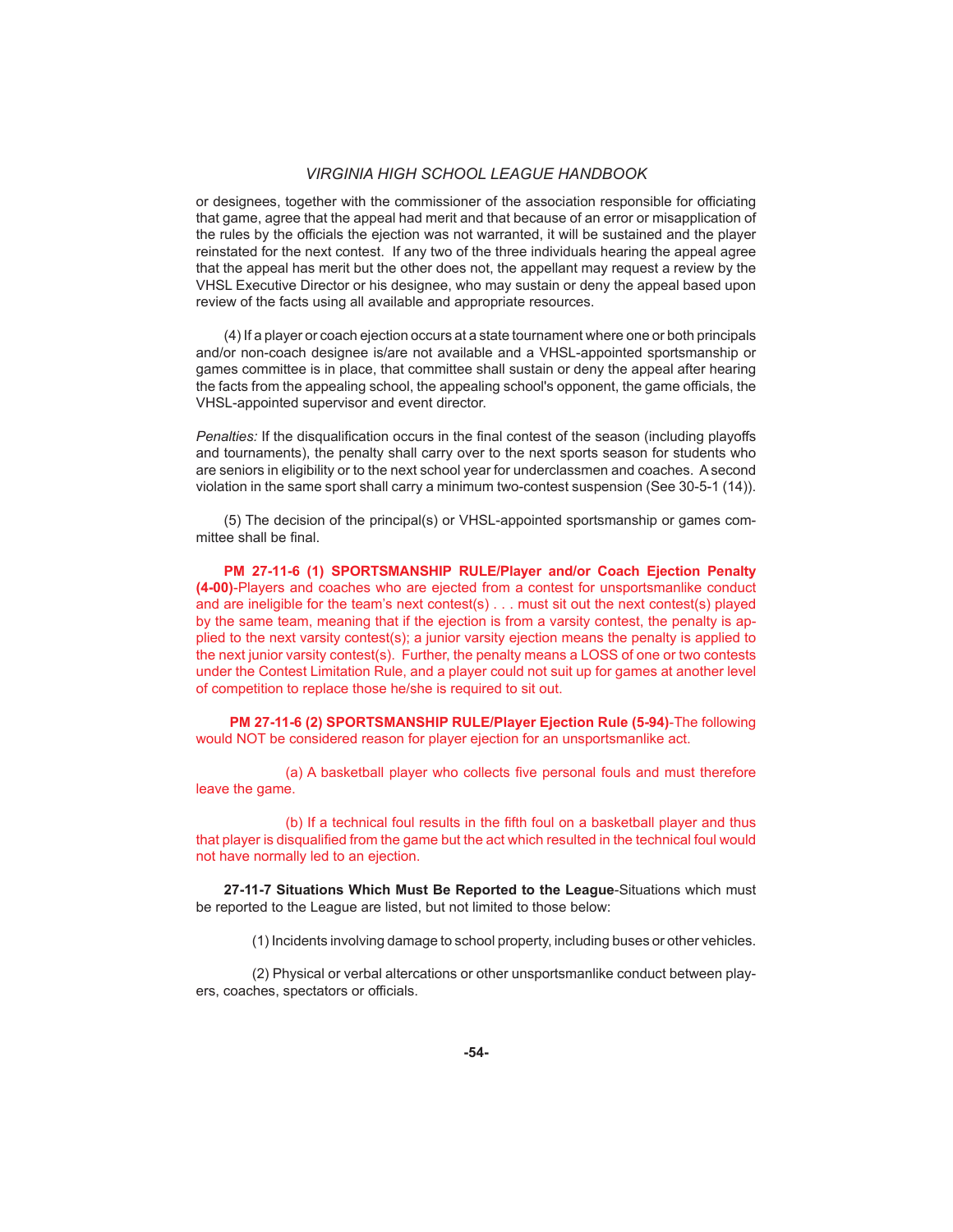or designees, together with the commissioner of the association responsible for officiating that game, agree that the appeal had merit and that because of an error or misapplication of the rules by the officials the ejection was not warranted, it will be sustained and the player reinstated for the next contest. If any two of the three individuals hearing the appeal agree that the appeal has merit but the other does not, the appellant may request a review by the VHSL Executive Director or his designee, who may sustain or deny the appeal based upon review of the facts using all available and appropriate resources.

 (4) If a player or coach ejection occurs at a state tournament where one or both principals and/or non-coach designee is/are not available and a VHSL-appointed sportsmanship or games committee is in place, that committee shall sustain or deny the appeal after hearing the facts from the appealing school, the appealing school's opponent, the game officials, the VHSL-appointed supervisor and event director.

*Penalties:* If the disqualification occurs in the final contest of the season (including playoffs and tournaments), the penalty shall carry over to the next sports season for students who are seniors in eligibility or to the next school year for underclassmen and coaches. A second violation in the same sport shall carry a minimum two-contest suspension (See 30-5-1 (14)).

 (5) The decision of the principal(s) or VHSL-appointed sportsmanship or games committee shall be final.

 **PM 27-11-6 (1) SPORTSMANSHIP RULE/Player and/or Coach Ejection Penalty (4-00)**-Players and coaches who are ejected from a contest for unsportsmanlike conduct and are ineligible for the team's next contest(s) . . . must sit out the next contest(s) played by the same team, meaning that if the ejection is from a varsity contest, the penalty is applied to the next varsity contest(s); a junior varsity ejection means the penalty is applied to the next junior varsity contest(s). Further, the penalty means a LOSS of one or two contests under the Contest Limitation Rule, and a player could not suit up for games at another level of competition to replace those he/she is required to sit out.

 **PM 27-11-6 (2) SPORTSMANSHIP RULE/Player Ejection Rule (5-94)**-The following would NOT be considered reason for player ejection for an unsportsmanlike act.

(a) A basketball player who collects five personal fouls and must therefore leave the game.

(b) If a technical foul results in the fifth foul on a basketball player and thus that player is disqualified from the game but the act which resulted in the technical foul would not have normally led to an ejection.

**27-11-7 Situations Which Must Be Reported to the League**-Situations which must be reported to the League are listed, but not limited to those below:

(1) Incidents involving damage to school property, including buses or other vehicles.

 (2) Physical or verbal altercations or other unsportsmanlike conduct between players, coaches, spectators or officials.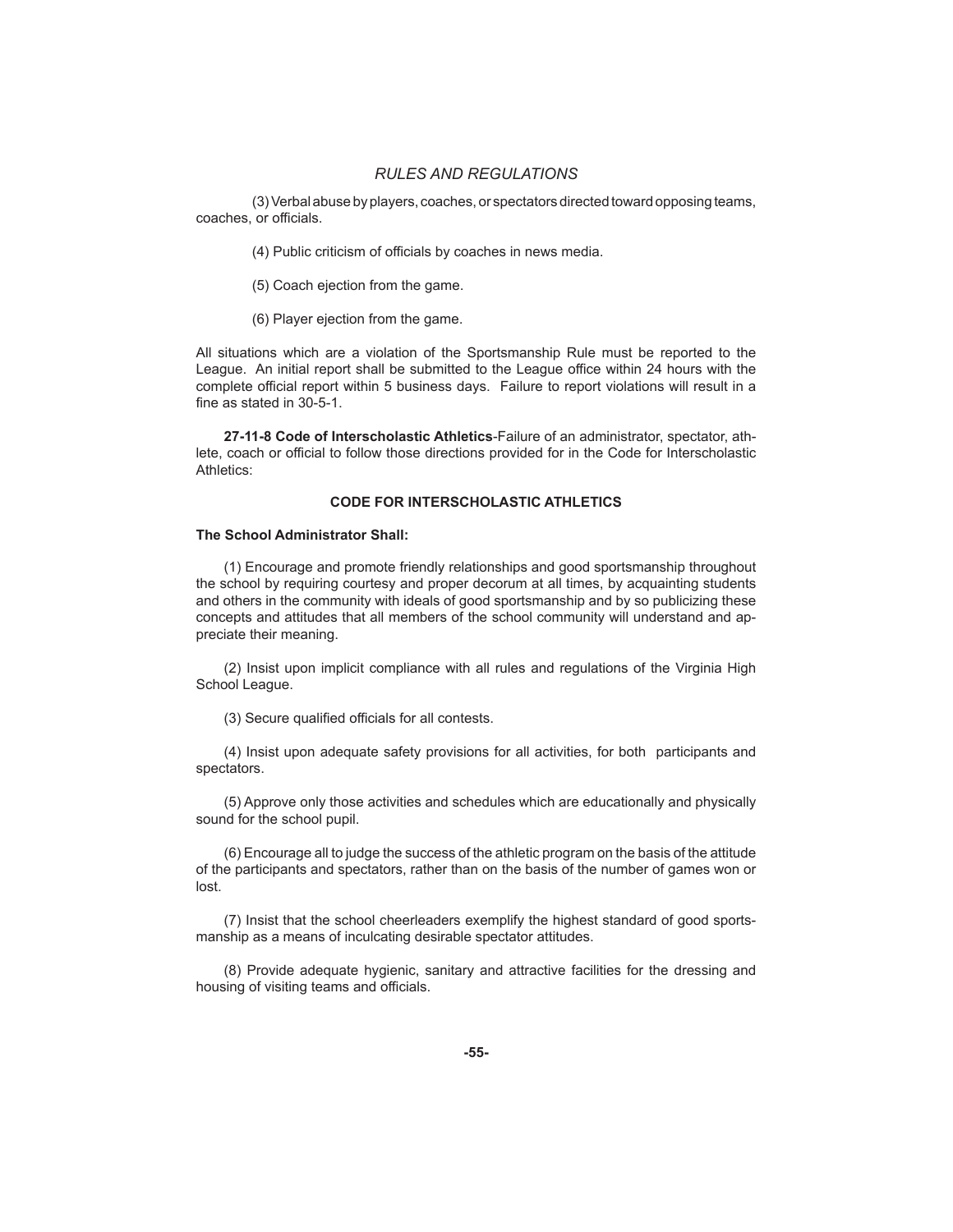(3) Verbal abuse by players, coaches, or spectators directed toward opposing teams, coaches, or officials.

(4) Public criticism of officials by coaches in news media.

(5) Coach ejection from the game.

(6) Player ejection from the game.

All situations which are a violation of the Sportsmanship Rule must be reported to the League. An initial report shall be submitted to the League office within 24 hours with the complete official report within 5 business days. Failure to report violations will result in a fine as stated in 30-5-1.

**27-11-8 Code of Interscholastic Athletics**-Failure of an administrator, spectator, athlete, coach or official to follow those directions provided for in the Code for Interscholastic Athletics:

### **CODE FOR INTERSCHOLASTIC ATHLETICS**

## **The School Administrator Shall:**

 (1) Encourage and promote friendly relationships and good sportsmanship throughout the school by requiring courtesy and proper decorum at all times, by acquainting students and others in the community with ideals of good sportsmanship and by so publicizing these concepts and attitudes that all members of the school community will understand and appreciate their meaning.

 (2) Insist upon implicit compliance with all rules and regulations of the Virginia High School League.

(3) Secure qualified officials for all contests.

 (4) Insist upon adequate safety provisions for all activities, for both participants and spectators.

 (5) Approve only those activities and schedules which are educationally and physically sound for the school pupil.

 (6) Encourage all to judge the success of the athletic program on the basis of the attitude of the participants and spectators, rather than on the basis of the number of games won or lost.

 (7) Insist that the school cheerleaders exemplify the highest standard of good sportsmanship as a means of inculcating desirable spectator attitudes.

 (8) Provide adequate hygienic, sanitary and attractive facilities for the dressing and housing of visiting teams and officials.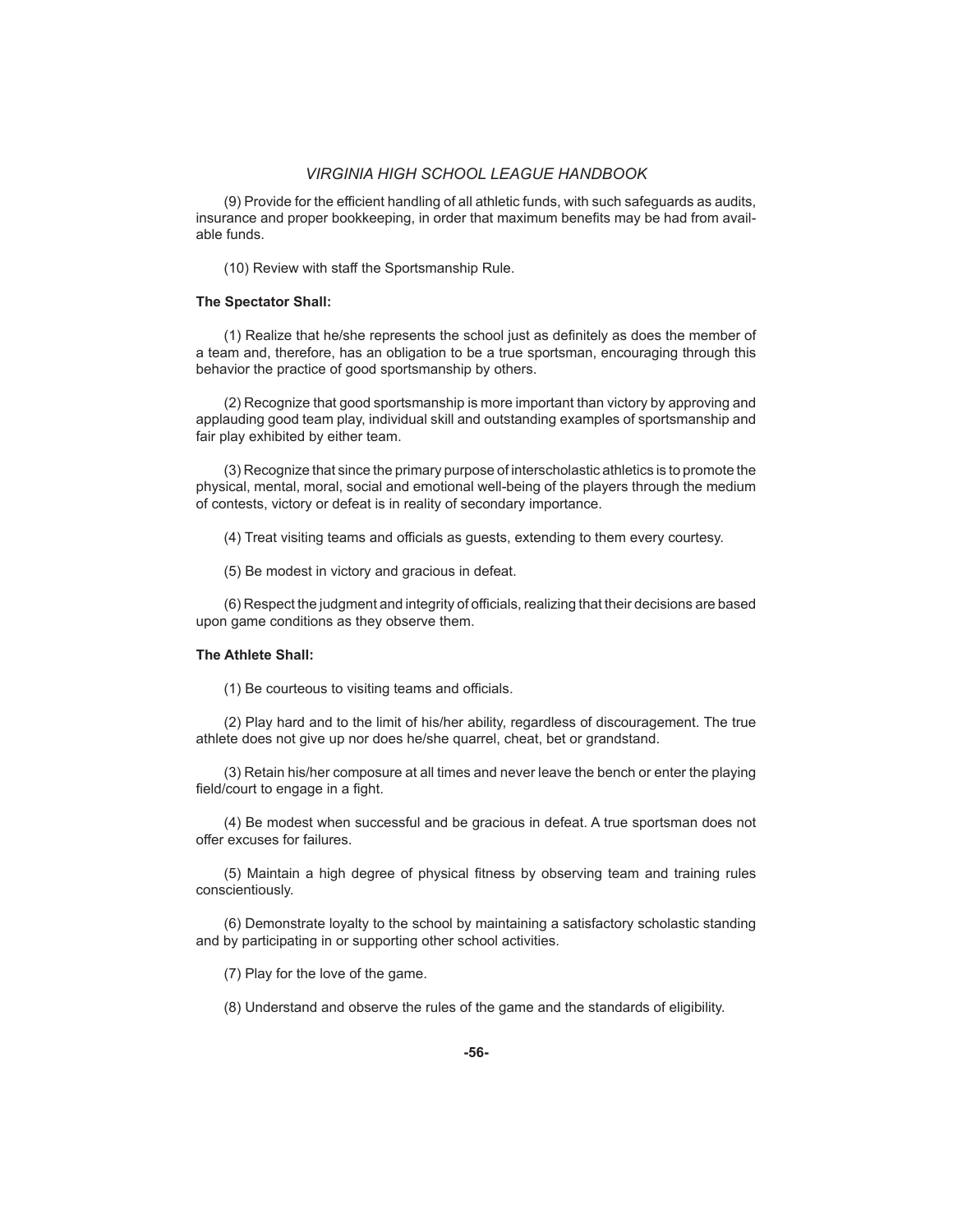(9) Provide for the efficient handling of all athletic funds, with such safeguards as audits, insurance and proper bookkeeping, in order that maximum benefits may be had from available funds.

(10) Review with staff the Sportsmanship Rule.

#### **The Spectator Shall:**

(1) Realize that he/she represents the school just as definitely as does the member of a team and, therefore, has an obligation to be a true sportsman, encouraging through this behavior the practice of good sportsmanship by others.

 (2) Recognize that good sportsmanship is more important than victory by approving and applauding good team play, individual skill and outstanding examples of sportsmanship and fair play exhibited by either team.

 (3) Recognize that since the primary purpose of interscholastic athletics is to promote the physical, mental, moral, social and emotional well-being of the players through the medium of contests, victory or defeat is in reality of secondary importance.

(4) Treat visiting teams and officials as guests, extending to them every courtesy.

(5) Be modest in victory and gracious in defeat.

(6) Respect the judgment and integrity of officials, realizing that their decisions are based upon game conditions as they observe them.

#### **The Athlete Shall:**

(1) Be courteous to visiting teams and officials.

 (2) Play hard and to the limit of his/her ability, regardless of discouragement. The true athlete does not give up nor does he/she quarrel, cheat, bet or grandstand.

 (3) Retain his/her composure at all times and never leave the bench or enter the playing field/court to engage in a fight.

 (4) Be modest when successful and be gracious in defeat. A true sportsman does not offer excuses for failures.

(5) Maintain a high degree of physical fitness by observing team and training rules conscientiously.

 (6) Demonstrate loyalty to the school by maintaining a satisfactory scholastic standing and by participating in or supporting other school activities.

(7) Play for the love of the game.

(8) Understand and observe the rules of the game and the standards of eligibility.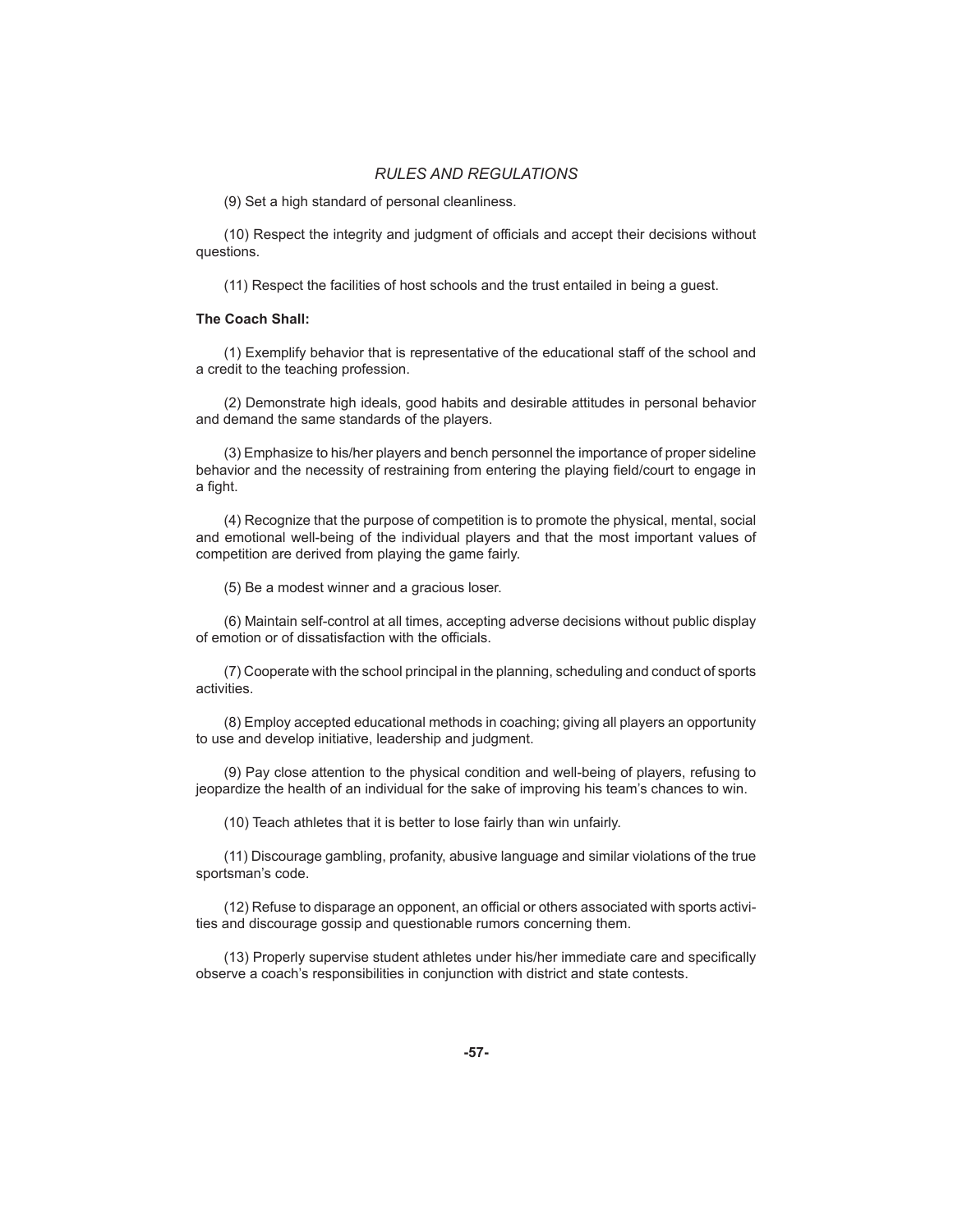(9) Set a high standard of personal cleanliness.

(10) Respect the integrity and judgment of officials and accept their decisions without questions.

(11) Respect the facilities of host schools and the trust entailed in being a guest.

#### **The Coach Shall:**

 (1) Exemplify behavior that is representative of the educational staff of the school and a credit to the teaching profession.

 (2) Demonstrate high ideals, good habits and desirable attitudes in personal behavior and demand the same standards of the players.

 (3) Emphasize to his/her players and bench personnel the importance of proper sideline behavior and the necessity of restraining from entering the playing field/court to engage in a fight.

 (4) Recognize that the purpose of competition is to promote the physical, mental, social and emotional well-being of the individual players and that the most important values of competition are derived from playing the game fairly.

(5) Be a modest winner and a gracious loser.

 (6) Maintain self-control at all times, accepting adverse decisions without public display of emotion or of dissatisfaction with the officials.

 (7) Cooperate with the school principal in the planning, scheduling and conduct of sports activities.

 (8) Employ accepted educational methods in coaching; giving all players an opportunity to use and develop initiative, leadership and judgment.

 (9) Pay close attention to the physical condition and well-being of players, refusing to jeopardize the health of an individual for the sake of improving his team's chances to win.

(10) Teach athletes that it is better to lose fairly than win unfairly.

 (11) Discourage gambling, profanity, abusive language and similar violations of the true sportsman's code.

(12) Refuse to disparage an opponent, an official or others associated with sports activities and discourage gossip and questionable rumors concerning them.

(13) Properly supervise student athletes under his/her immediate care and specifically observe a coach's responsibilities in conjunction with district and state contests.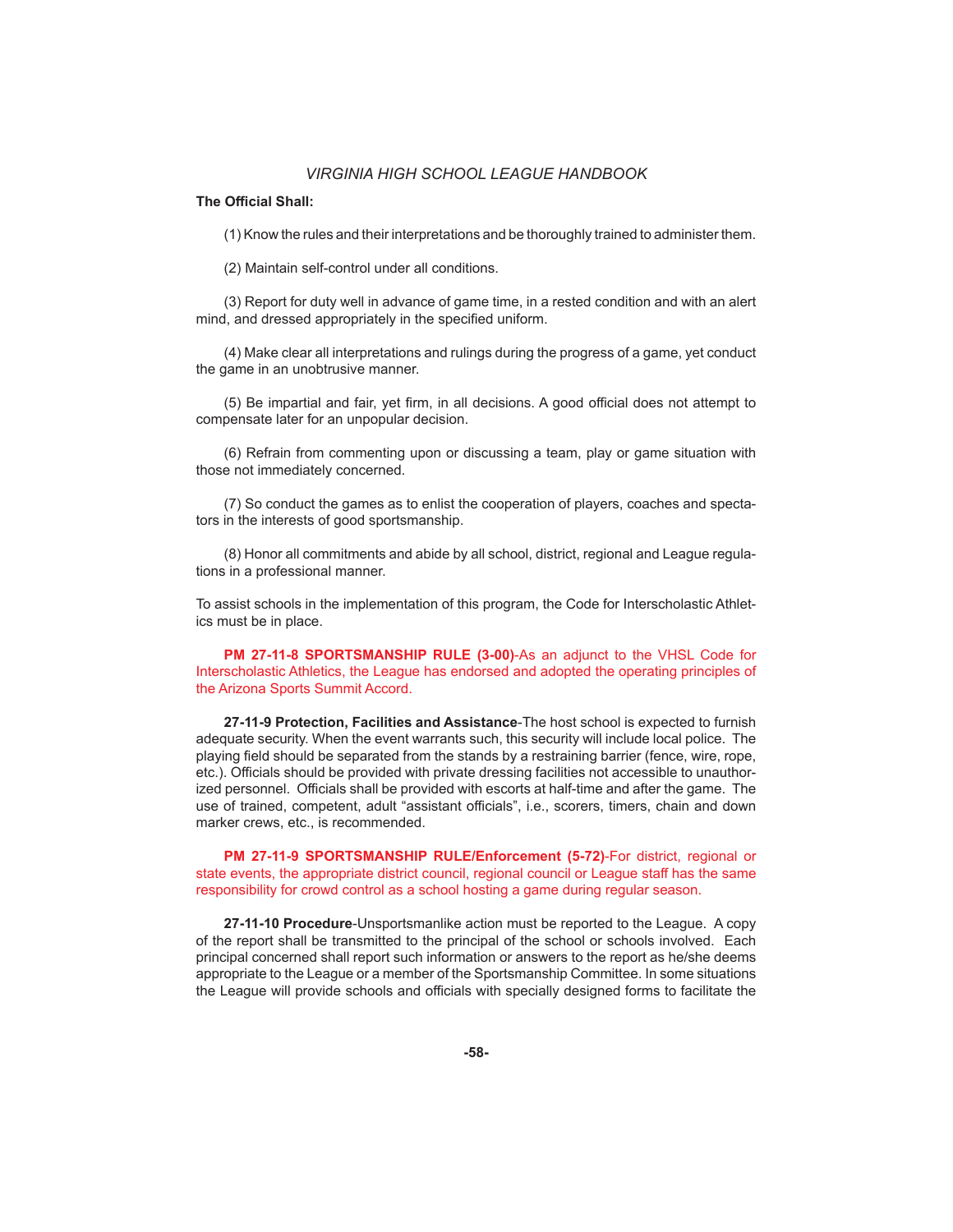#### **The Offi cial Shall:**

(1) Know the rules and their interpretations and be thoroughly trained to administer them.

(2) Maintain self-control under all conditions.

 (3) Report for duty well in advance of game time, in a rested condition and with an alert mind, and dressed appropriately in the specified uniform.

 (4) Make clear all interpretations and rulings during the progress of a game, yet conduct the game in an unobtrusive manner.

(5) Be impartial and fair, yet firm, in all decisions. A good official does not attempt to compensate later for an unpopular decision.

 (6) Refrain from commenting upon or discussing a team, play or game situation with those not immediately concerned.

 (7) So conduct the games as to enlist the cooperation of players, coaches and spectators in the interests of good sportsmanship.

 (8) Honor all commitments and abide by all school, district, regional and League regulations in a professional manner.

To assist schools in the implementation of this program, the Code for Interscholastic Athletics must be in place.

**PM 27-11-8 SPORTSMANSHIP RULE (3-00)**-As an adjunct to the VHSL Code for Interscholastic Athletics, the League has endorsed and adopted the operating principles of the Arizona Sports Summit Accord.

**27-11-9 Protection, Facilities and Assistance**-The host school is expected to furnish adequate security. When the event warrants such, this security will include local police. The playing field should be separated from the stands by a restraining barrier (fence, wire, rope, etc.). Officials should be provided with private dressing facilities not accessible to unauthorized personnel. Officials shall be provided with escorts at half-time and after the game. The use of trained, competent, adult "assistant officials", i.e., scorers, timers, chain and down marker crews, etc., is recommended.

**PM 27-11-9 SPORTSMANSHIP RULE/Enforcement (5-72)**-For district, regional or state events, the appropriate district council, regional council or League staff has the same responsibility for crowd control as a school hosting a game during regular season.

**27-11-10 Procedure**-Unsportsmanlike action must be reported to the League. A copy of the report shall be transmitted to the principal of the school or schools involved. Each principal concerned shall report such information or answers to the report as he/she deems appropriate to the League or a member of the Sportsmanship Committee. In some situations the League will provide schools and officials with specially designed forms to facilitate the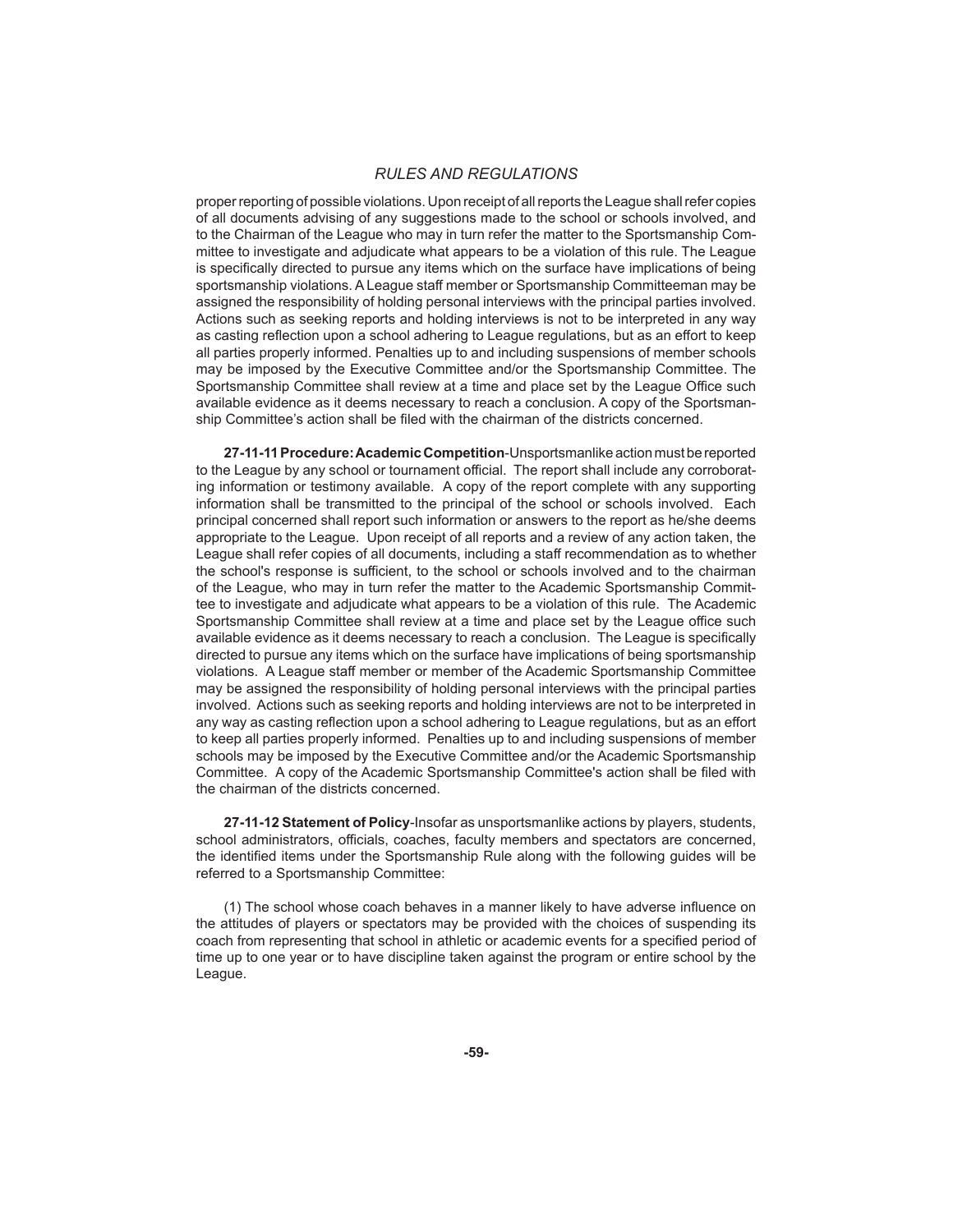proper reporting of possible violations. Upon receipt of all reports the League shall refer copies of all documents advising of any suggestions made to the school or schools involved, and to the Chairman of the League who may in turn refer the matter to the Sportsmanship Committee to investigate and adjudicate what appears to be a violation of this rule. The League is specifically directed to pursue any items which on the surface have implications of being sportsmanship violations. A League staff member or Sportsmanship Committeeman may be assigned the responsibility of holding personal interviews with the principal parties involved. Actions such as seeking reports and holding interviews is not to be interpreted in any way as casting reflection upon a school adhering to League regulations, but as an effort to keep all parties properly informed. Penalties up to and including suspensions of member schools may be imposed by the Executive Committee and/or the Sportsmanship Committee. The Sportsmanship Committee shall review at a time and place set by the League Office such available evidence as it deems necessary to reach a conclusion. A copy of the Sportsmanship Committee's action shall be filed with the chairman of the districts concerned.

**27-11-11 Procedure: Academic Competition**-Unsportsmanlike action must be reported to the League by any school or tournament official. The report shall include any corroborating information or testimony available. A copy of the report complete with any supporting information shall be transmitted to the principal of the school or schools involved. Each principal concerned shall report such information or answers to the report as he/she deems appropriate to the League. Upon receipt of all reports and a review of any action taken, the League shall refer copies of all documents, including a staff recommendation as to whether the school's response is sufficient, to the school or schools involved and to the chairman of the League, who may in turn refer the matter to the Academic Sportsmanship Committee to investigate and adjudicate what appears to be a violation of this rule. The Academic Sportsmanship Committee shall review at a time and place set by the League office such available evidence as it deems necessary to reach a conclusion. The League is specifically directed to pursue any items which on the surface have implications of being sportsmanship violations. A League staff member or member of the Academic Sportsmanship Committee may be assigned the responsibility of holding personal interviews with the principal parties involved. Actions such as seeking reports and holding interviews are not to be interpreted in any way as casting reflection upon a school adhering to League regulations, but as an effort to keep all parties properly informed. Penalties up to and including suspensions of member schools may be imposed by the Executive Committee and/or the Academic Sportsmanship Committee. A copy of the Academic Sportsmanship Committee's action shall be filed with the chairman of the districts concerned.

**27-11-12 Statement of Policy**-Insofar as unsportsmanlike actions by players, students, school administrators, officials, coaches, faculty members and spectators are concerned, the identified items under the Sportsmanship Rule along with the following guides will be referred to a Sportsmanship Committee:

(1) The school whose coach behaves in a manner likely to have adverse influence on the attitudes of players or spectators may be provided with the choices of suspending its coach from representing that school in athletic or academic events for a specified period of time up to one year or to have discipline taken against the program or entire school by the League.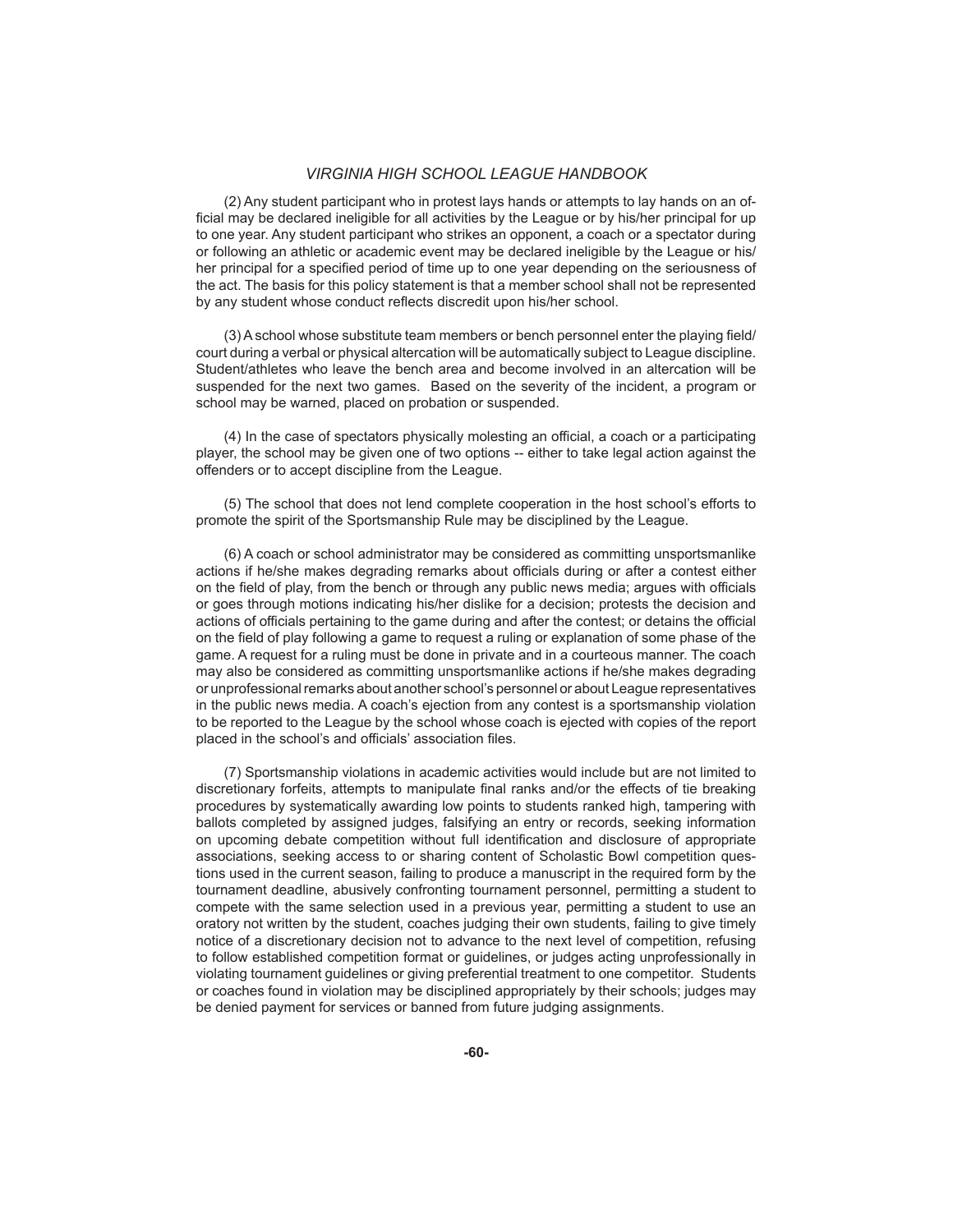(2) Any student participant who in protest lays hands or attempts to lay hands on an official may be declared ineligible for all activities by the League or by his/her principal for up to one year. Any student participant who strikes an opponent, a coach or a spectator during or following an athletic or academic event may be declared ineligible by the League or his/ her principal for a specified period of time up to one year depending on the seriousness of the act. The basis for this policy statement is that a member school shall not be represented by any student whose conduct reflects discredit upon his/her school.

(3) A school whose substitute team members or bench personnel enter the playing field/ court during a verbal or physical altercation will be automatically subject to League discipline. Student/athletes who leave the bench area and become involved in an altercation will be suspended for the next two games. Based on the severity of the incident, a program or school may be warned, placed on probation or suspended.

(4) In the case of spectators physically molesting an official, a coach or a participating player, the school may be given one of two options -- either to take legal action against the offenders or to accept discipline from the League.

(5) The school that does not lend complete cooperation in the host school's efforts to promote the spirit of the Sportsmanship Rule may be disciplined by the League.

 (6) A coach or school administrator may be considered as committing unsportsmanlike actions if he/she makes degrading remarks about officials during or after a contest either on the field of play, from the bench or through any public news media; argues with officials or goes through motions indicating his/her dislike for a decision; protests the decision and actions of officials pertaining to the game during and after the contest; or detains the official on the field of play following a game to request a ruling or explanation of some phase of the game. A request for a ruling must be done in private and in a courteous manner. The coach may also be considered as committing unsportsmanlike actions if he/she makes degrading or unprofessional remarks about another school's personnel or about League representatives in the public news media. A coach's ejection from any contest is a sportsmanship violation to be reported to the League by the school whose coach is ejected with copies of the report placed in the school's and officials' association files.

 (7) Sportsmanship violations in academic activities would include but are not limited to discretionary forfeits, attempts to manipulate final ranks and/or the effects of tie breaking procedures by systematically awarding low points to students ranked high, tampering with ballots completed by assigned judges, falsifying an entry or records, seeking information on upcoming debate competition without full identification and disclosure of appropriate associations, seeking access to or sharing content of Scholastic Bowl competition questions used in the current season, failing to produce a manuscript in the required form by the tournament deadline, abusively confronting tournament personnel, permitting a student to compete with the same selection used in a previous year, permitting a student to use an oratory not written by the student, coaches judging their own students, failing to give timely notice of a discretionary decision not to advance to the next level of competition, refusing to follow established competition format or guidelines, or judges acting unprofessionally in violating tournament guidelines or giving preferential treatment to one competitor. Students or coaches found in violation may be disciplined appropriately by their schools; judges may be denied payment for services or banned from future judging assignments.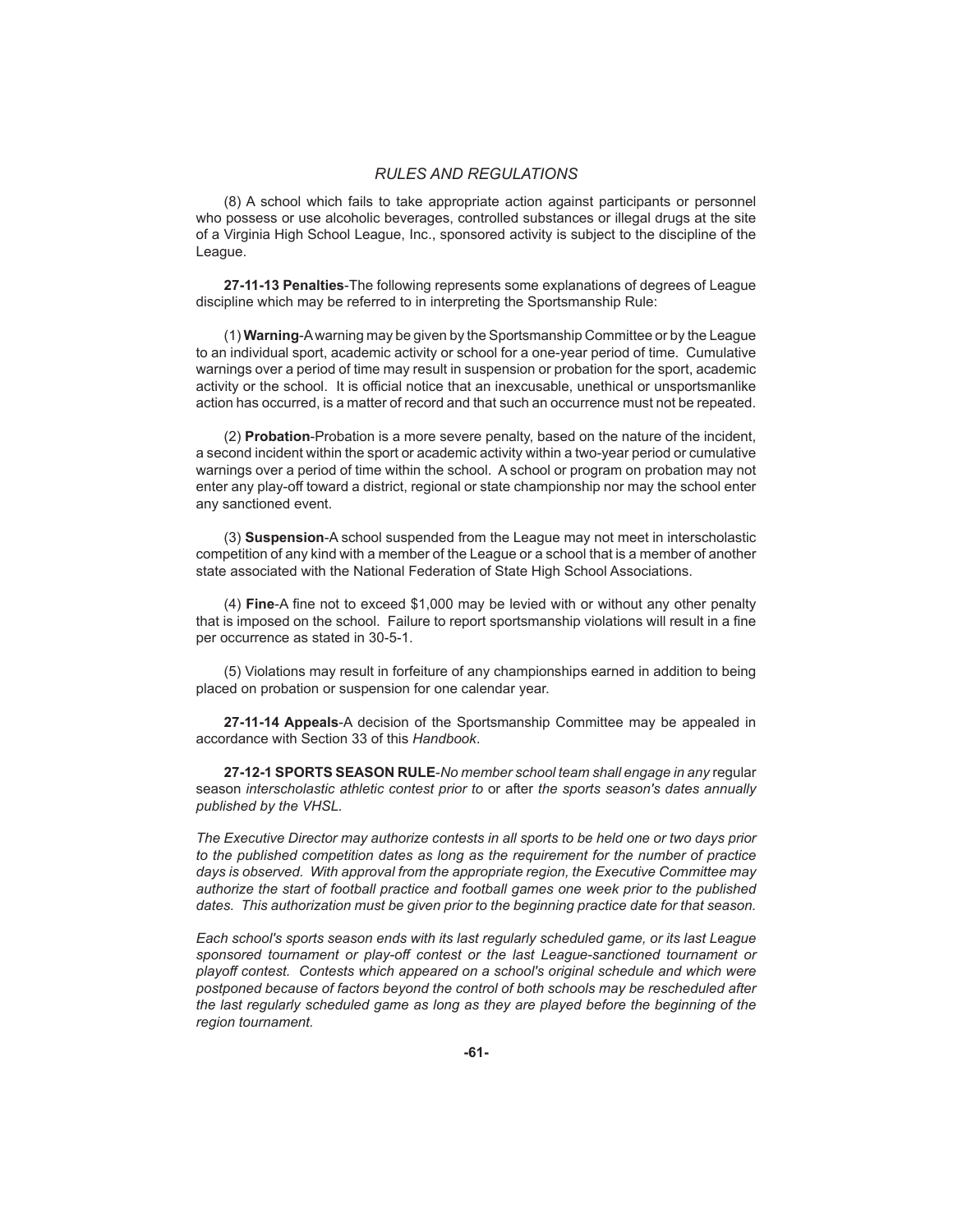(8) A school which fails to take appropriate action against participants or personnel who possess or use alcoholic beverages, controlled substances or illegal drugs at the site of a Virginia High School League, Inc., sponsored activity is subject to the discipline of the League.

**27-11-13 Penalties**-The following represents some explanations of degrees of League discipline which may be referred to in interpreting the Sportsmanship Rule:

 (1) **Warning**-A warning may be given by the Sportsmanship Committee or by the League to an individual sport, academic activity or school for a one-year period of time. Cumulative warnings over a period of time may result in suspension or probation for the sport, academic activity or the school. It is official notice that an inexcusable, unethical or unsportsmanlike action has occurred, is a matter of record and that such an occurrence must not be repeated.

 (2) **Probation**-Probation is a more severe penalty, based on the nature of the incident, a second incident within the sport or academic activity within a two-year period or cumulative warnings over a period of time within the school. A school or program on probation may not enter any play-off toward a district, regional or state championship nor may the school enter any sanctioned event.

 (3) **Suspension**-A school suspended from the League may not meet in interscholastic competition of any kind with a member of the League or a school that is a member of another state associated with the National Federation of State High School Associations.

(4) **Fine-A** fine not to exceed \$1,000 may be levied with or without any other penalty that is imposed on the school. Failure to report sportsmanship violations will result in a fine per occurrence as stated in 30-5-1.

 (5) Violations may result in forfeiture of any championships earned in addition to being placed on probation or suspension for one calendar year.

**27-11-14 Appeals**-A decision of the Sportsmanship Committee may be appealed in accordance with Section 33 of this *Handbook*.

**27-12-1 SPORTS SEASON RULE**-*No member school team shall engage in any* regular season *interscholastic athletic contest prior to* or after *the sports season's dates annually published by the VHSL.*

*The Executive Director may authorize contests in all sports to be held one or two days prior to the published competition dates as long as the requirement for the number of practice days is observed. With approval from the appropriate region, the Executive Committee may authorize the start of football practice and football games one week prior to the published dates. This authorization must be given prior to the beginning practice date for that season.* 

*Each school's sports season ends with its last regularly scheduled game, or its last League sponsored tournament or play-off contest or the last League-sanctioned tournament or playoff contest. Contests which appeared on a school's original schedule and which were postponed because of factors beyond the control of both schools may be rescheduled after the last regularly scheduled game as long as they are played before the beginning of the region tournament.*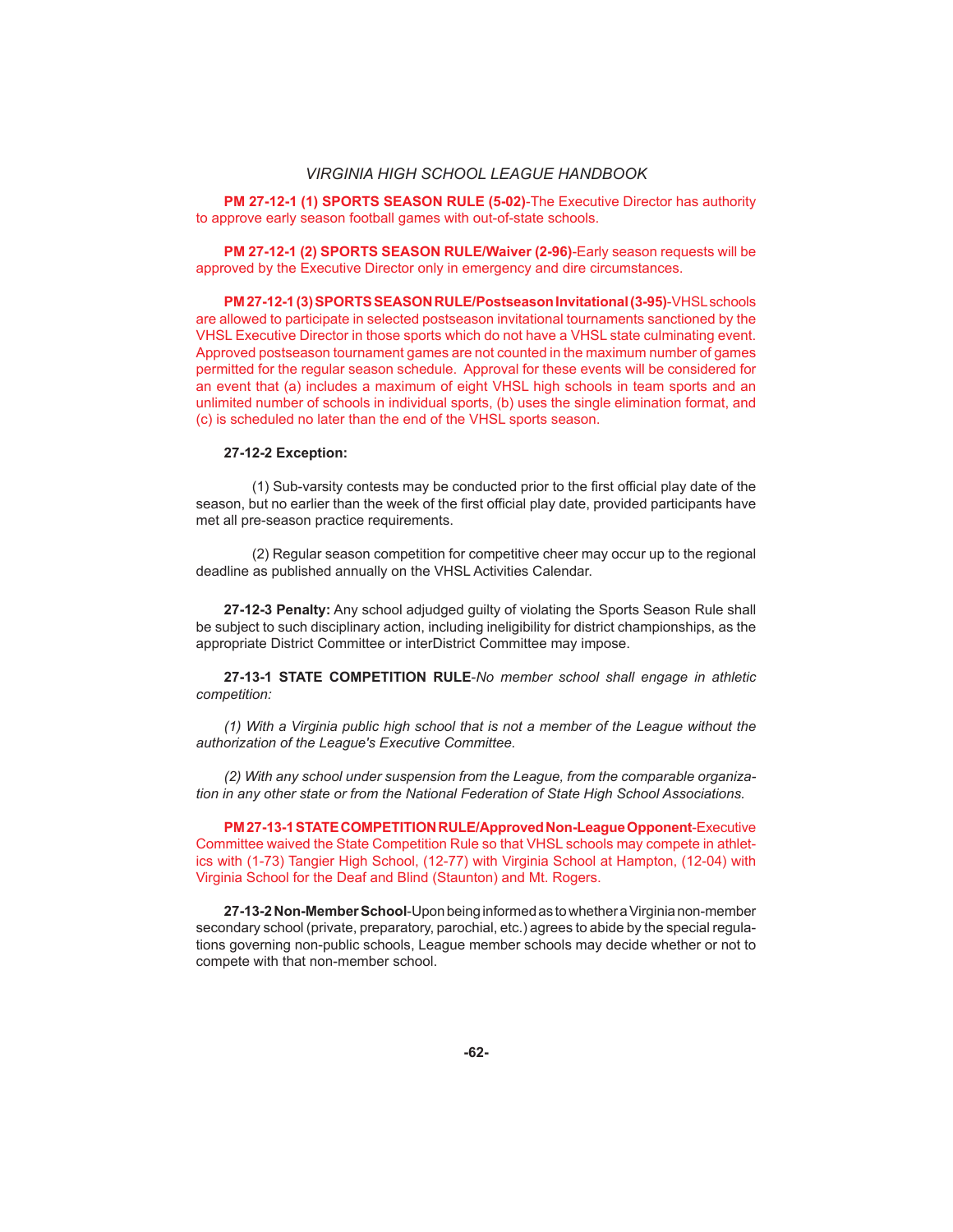**PM 27-12-1 (1) SPORTS SEASON RULE (5-02)**-The Executive Director has authority to approve early season football games with out-of-state schools.

 **PM 27-12-1 (2) SPORTS SEASON RULE/Waiver (2-96)**-Early season requests will be approved by the Executive Director only in emergency and dire circumstances.

 **PM 27-12-1 (3) SPORTS SEASON RULE/Postseason Invitational (3-95)**-VHSL schools are allowed to participate in selected postseason invitational tournaments sanctioned by the VHSL Executive Director in those sports which do not have a VHSL state culminating event. Approved postseason tournament games are not counted in the maximum number of games permitted for the regular season schedule. Approval for these events will be considered for an event that (a) includes a maximum of eight VHSL high schools in team sports and an unlimited number of schools in individual sports, (b) uses the single elimination format, and (c) is scheduled no later than the end of the VHSL sports season.

#### **27-12-2 Exception:**

(1) Sub-varsity contests may be conducted prior to the first official play date of the season, but no earlier than the week of the first official play date, provided participants have met all pre-season practice requirements.

 (2) Regular season competition for competitive cheer may occur up to the regional deadline as published annually on the VHSL Activities Calendar.

**27-12-3 Penalty:** Any school adjudged guilty of violating the Sports Season Rule shall be subject to such disciplinary action, including ineligibility for district championships, as the appropriate District Committee or interDistrict Committee may impose.

**27-13-1 STATE COMPETITION RULE**-*No member school shall engage in athletic competition:* 

 *(1) With a Virginia public high school that is not a member of the League without the authorization of the League's Executive Committee.*

 *(2) With any school under suspension from the League, from the comparable organization in any other state or from the National Federation of State High School Associations.* 

**PM 27-13-1 STATE COMPETITION RULE/Approved Non-League Opponent**-Executive Committee waived the State Competition Rule so that VHSL schools may compete in athletics with (1-73) Tangier High School, (12-77) with Virginia School at Hampton, (12-04) with Virginia School for the Deaf and Blind (Staunton) and Mt. Rogers.

**27-13-2 Non-Member School**-Upon being informed as to whether a Virginia non-member secondary school (private, preparatory, parochial, etc.) agrees to abide by the special regulations governing non-public schools, League member schools may decide whether or not to compete with that non-member school.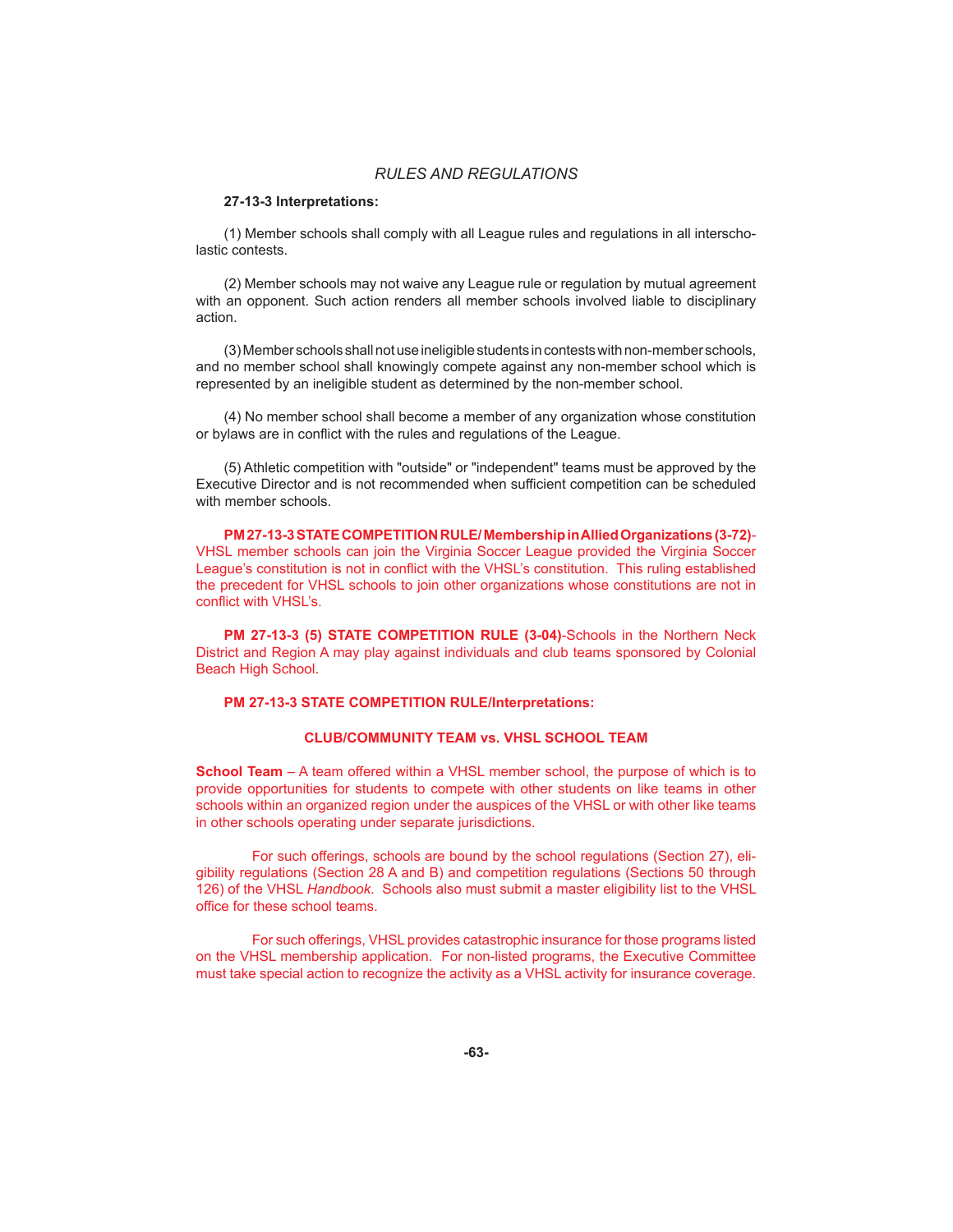## **27-13-3 Interpretations:**

 (1) Member schools shall comply with all League rules and regulations in all interscholastic contests.

 (2) Member schools may not waive any League rule or regulation by mutual agreement with an opponent. Such action renders all member schools involved liable to disciplinary action.

 (3) Member schools shall not use ineligible students in contests with non-member schools, and no member school shall knowingly compete against any non-member school which is represented by an ineligible student as determined by the non-member school.

 (4) No member school shall become a member of any organization whose constitution or bylaws are in conflict with the rules and regulations of the League.

 (5) Athletic competition with "outside" or "independent" teams must be approved by the Executive Director and is not recommended when sufficient competition can be scheduled with member schools.

**PM 27-13-3 STATE COMPETITION RULE/ Membership in Allied Organizations (3-72)**- VHSL member schools can join the Virginia Soccer League provided the Virginia Soccer League's constitution is not in conflict with the VHSL's constitution. This ruling established the precedent for VHSL schools to join other organizations whose constitutions are not in conflict with VHSL's.

**PM 27-13-3 (5) STATE COMPETITION RULE (3-04)**-Schools in the Northern Neck District and Region A may play against individuals and club teams sponsored by Colonial Beach High School.

## **PM 27-13-3 STATE COMPETITION RULE/Interpretations:**

## **CLUB/COMMUNITY TEAM vs. VHSL SCHOOL TEAM**

**School Team** – A team offered within a VHSL member school, the purpose of which is to provide opportunities for students to compete with other students on like teams in other schools within an organized region under the auspices of the VHSL or with other like teams in other schools operating under separate jurisdictions.

For such offerings, schools are bound by the school regulations (Section 27), eligibility regulations (Section 28 A and B) and competition regulations (Sections 50 through 126) of the VHSL *Handbook*. Schools also must submit a master eligibility list to the VHSL office for these school teams.

For such offerings, VHSL provides catastrophic insurance for those programs listed on the VHSL membership application. For non-listed programs, the Executive Committee must take special action to recognize the activity as a VHSL activity for insurance coverage.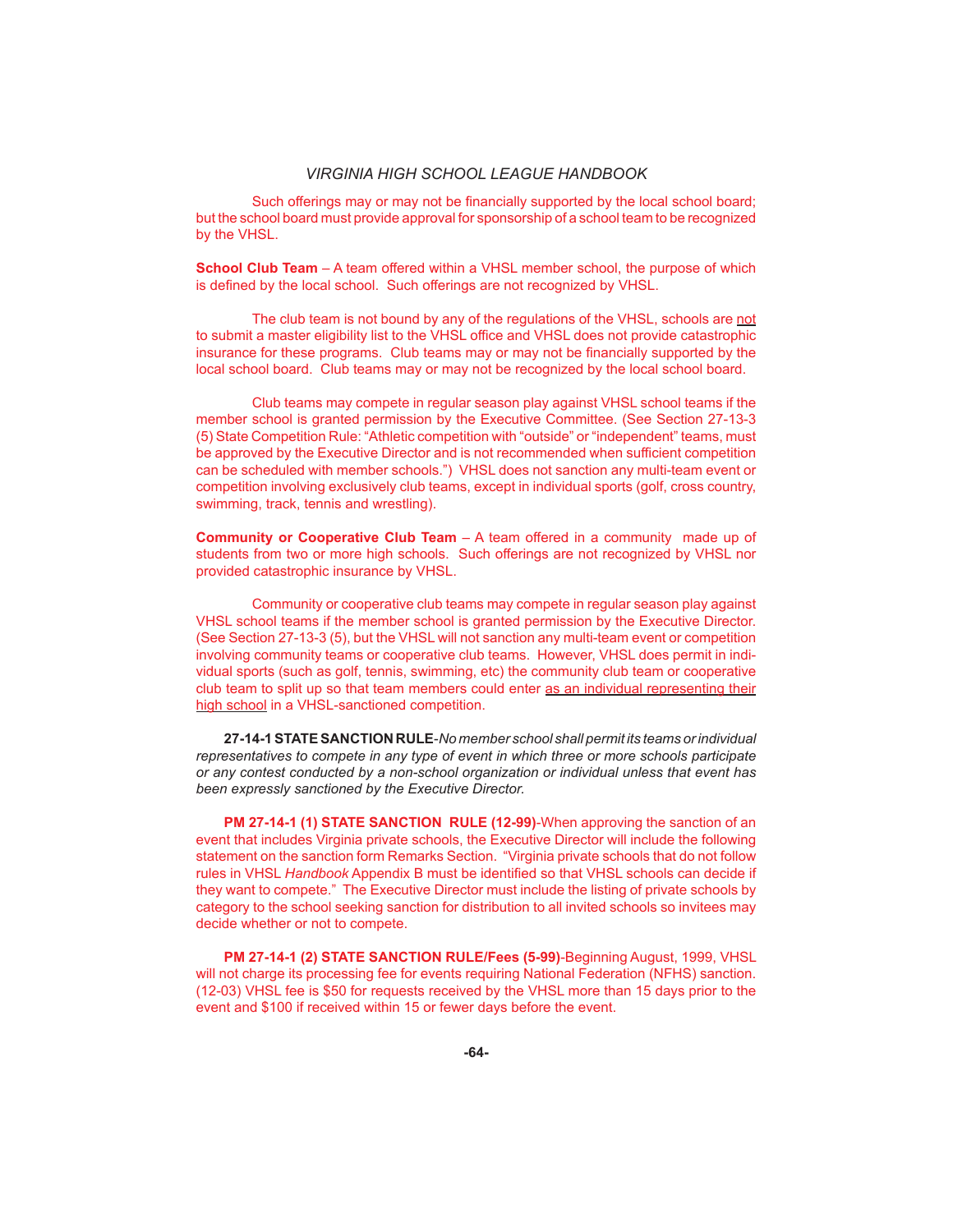Such offerings may or may not be financially supported by the local school board; but the school board must provide approval for sponsorship of a school team to be recognized by the VHSL.

**School Club Team** – A team offered within a VHSL member school, the purpose of which is defined by the local school. Such offerings are not recognized by VHSL.

The club team is not bound by any of the regulations of the VHSL, schools are not to submit a master eligibility list to the VHSL office and VHSL does not provide catastrophic insurance for these programs. Club teams may or may not be financially supported by the local school board. Club teams may or may not be recognized by the local school board.

 Club teams may compete in regular season play against VHSL school teams if the member school is granted permission by the Executive Committee. (See Section 27-13-3 (5) State Competition Rule: "Athletic competition with "outside" or "independent" teams, must be approved by the Executive Director and is not recommended when sufficient competition can be scheduled with member schools.") VHSL does not sanction any multi-team event or competition involving exclusively club teams, except in individual sports (golf, cross country, swimming, track, tennis and wrestling).

**Community or Cooperative Club Team** – A team offered in a community made up of students from two or more high schools. Such offerings are not recognized by VHSL nor provided catastrophic insurance by VHSL.

 Community or cooperative club teams may compete in regular season play against VHSL school teams if the member school is granted permission by the Executive Director. (See Section 27-13-3 (5), but the VHSL will not sanction any multi-team event or competition involving community teams or cooperative club teams. However, VHSL does permit in individual sports (such as golf, tennis, swimming, etc) the community club team or cooperative club team to split up so that team members could enter as an individual representing their high school in a VHSL-sanctioned competition.

**27-14-1 STATE SANCTION RULE**-*No member school shall permit its teams or individual representatives to compete in any type of event in which three or more schools participate or any contest conducted by a non-school organization or individual unless that event has been expressly sanctioned by the Executive Director.*

**PM 27-14-1 (1) STATE SANCTION RULE (12-99)**-When approving the sanction of an event that includes Virginia private schools, the Executive Director will include the following statement on the sanction form Remarks Section. "Virginia private schools that do not follow rules in VHSL Handbook Appendix B must be identified so that VHSL schools can decide if they want to compete." The Executive Director must include the listing of private schools by category to the school seeking sanction for distribution to all invited schools so invitees may decide whether or not to compete.

 **PM 27-14-1 (2) STATE SANCTION RULE/Fees (5-99)**-Beginning August, 1999, VHSL will not charge its processing fee for events requiring National Federation (NFHS) sanction. (12-03) VHSL fee is \$50 for requests received by the VHSL more than 15 days prior to the event and \$100 if received within 15 or fewer days before the event.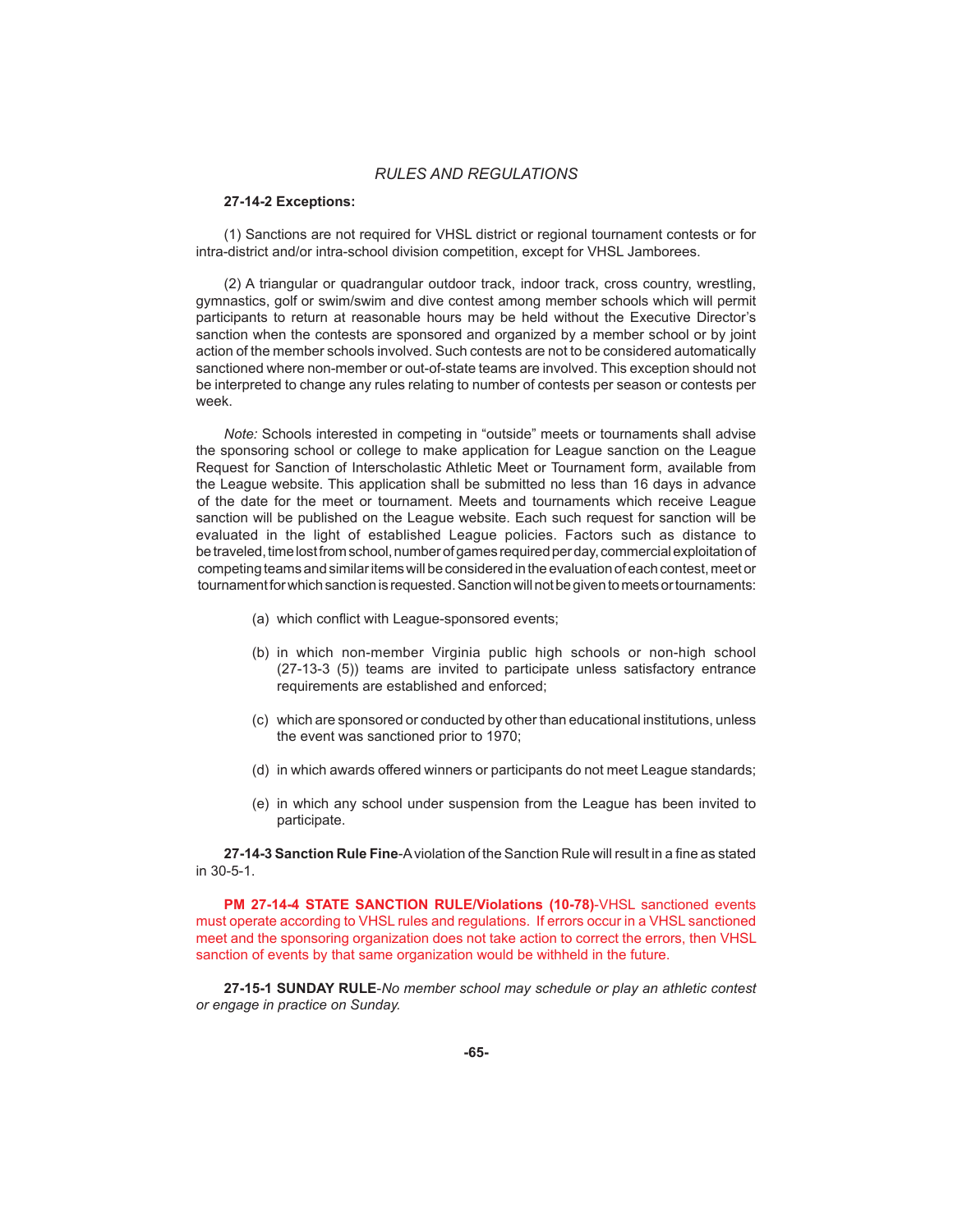## **27-14-2 Exceptions:**

 (1) Sanctions are not required for VHSL district or regional tournament contests or for intra-district and/or intra-school division competition, except for VHSL Jamborees.

 (2) A triangular or quadrangular outdoor track, indoor track, cross country, wrestling, gymnastics, golf or swim/swim and dive contest among member schools which will permit participants to return at reasonable hours may be held without the Executive Director's sanction when the contests are sponsored and organized by a member school or by joint action of the member schools involved. Such contests are not to be considered automatically sanctioned where non-member or out-of-state teams are involved. This exception should not be interpreted to change any rules relating to number of contests per season or contests per week.

 *Note:* Schools interested in competing in "outside" meets or tournaments shall advise the sponsoring school or college to make application for League sanction on the League Request for Sanction of Interscholastic Athletic Meet or Tournament form, available from the League website. This application shall be submitted no less than 16 days in advance of the date for the meet or tournament. Meets and tournaments which receive League sanction will be published on the League website. Each such request for sanction will be evaluated in the light of established League policies. Factors such as distance to be traveled, time lost from school, number of games required per day, commercial exploitation of competing teams and similar items will be considered in the evaluation of each contest, meet or tournament for which sanction is requested. Sanction will not be given to meets or tournaments:

- (a) which conflict with League-sponsored events;
- (b) in which non-member Virginia public high schools or non-high school (27-13-3 (5)) teams are invited to participate unless satisfactory entrance requirements are established and enforced;
- (c) which are sponsored or conducted by other than educational institutions, unless the event was sanctioned prior to 1970;
- (d) in which awards offered winners or participants do not meet League standards;
- (e) in which any school under suspension from the League has been invited to participate.

**27-14-3 Sanction Rule Fine-A** violation of the Sanction Rule will result in a fine as stated in 30-5-1.

**PM 27-14-4 STATE SANCTION RULE/Violations (10-78)**-VHSL sanctioned events must operate according to VHSL rules and regulations. If errors occur in a VHSL sanctioned meet and the sponsoring organization does not take action to correct the errors, then VHSL sanction of events by that same organization would be withheld in the future.

**27-15-1 SUNDAY RULE**-*No member school may schedule or play an athletic contest or engage in practice on Sunday.*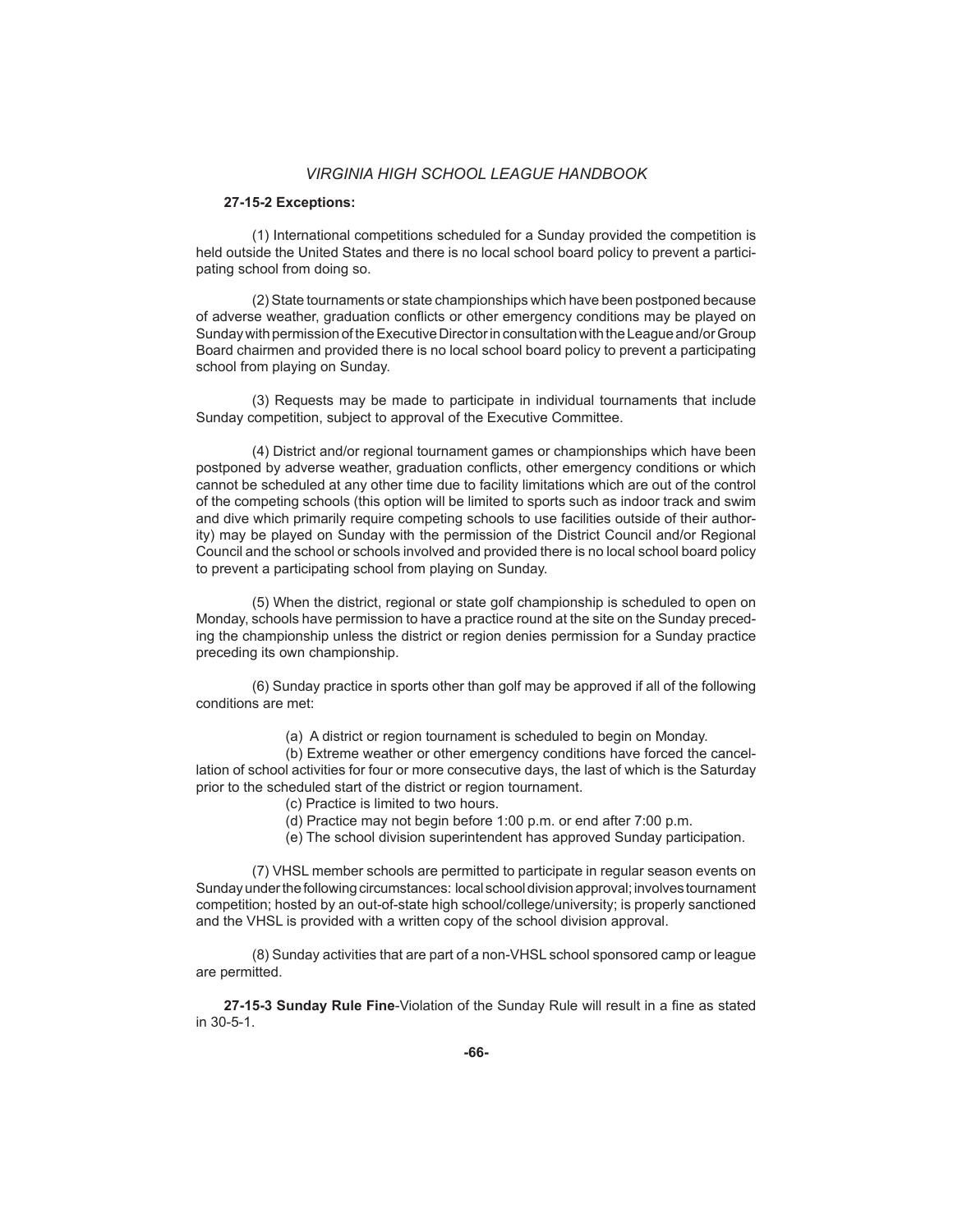### **27-15-2 Exceptions:**

 (1) International competitions scheduled for a Sunday provided the competition is held outside the United States and there is no local school board policy to prevent a participating school from doing so.

 (2) State tournaments or state championships which have been postponed because of adverse weather, graduation conflicts or other emergency conditions may be played on Sunday with permission of the Executive Director in consultation with the League and/or Group Board chairmen and provided there is no local school board policy to prevent a participating school from playing on Sunday.

 (3) Requests may be made to participate in individual tournaments that include Sunday competition, subject to approval of the Executive Committee.

 (4) District and/or regional tournament games or championships which have been postponed by adverse weather, graduation conflicts, other emergency conditions or which cannot be scheduled at any other time due to facility limitations which are out of the control of the competing schools (this option will be limited to sports such as indoor track and swim and dive which primarily require competing schools to use facilities outside of their authority) may be played on Sunday with the permission of the District Council and/or Regional Council and the school or schools involved and provided there is no local school board policy to prevent a participating school from playing on Sunday.

 (5) When the district, regional or state golf championship is scheduled to open on Monday, schools have permission to have a practice round at the site on the Sunday preceding the championship unless the district or region denies permission for a Sunday practice preceding its own championship.

 (6) Sunday practice in sports other than golf may be approved if all of the following conditions are met:

(a) A district or region tournament is scheduled to begin on Monday.

 (b) Extreme weather or other emergency conditions have forced the cancellation of school activities for four or more consecutive days, the last of which is the Saturday prior to the scheduled start of the district or region tournament.

- (c) Practice is limited to two hours.
- (d) Practice may not begin before 1:00 p.m. or end after 7:00 p.m.
- (e) The school division superintendent has approved Sunday participation.

 (7) VHSL member schools are permitted to participate in regular season events on Sunday under the following circumstances: local school division approval; involves tournament competition; hosted by an out-of-state high school/college/university; is properly sanctioned and the VHSL is provided with a written copy of the school division approval.

 (8) Sunday activities that are part of a non-VHSL school sponsored camp or league are permitted.

27-15-3 Sunday Rule Fine-Violation of the Sunday Rule will result in a fine as stated in 30-5-1.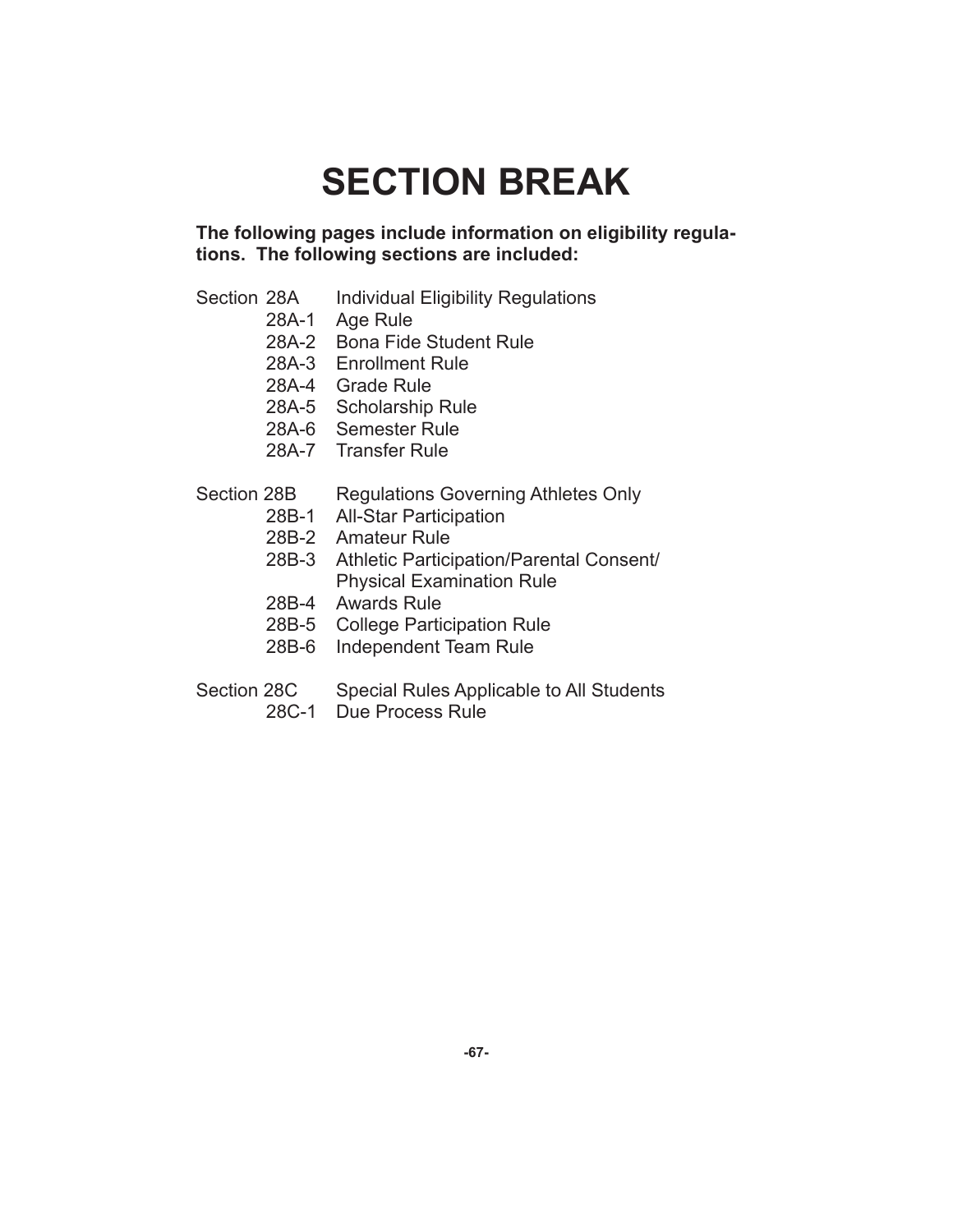# **SECTION BREAK**

**The following pages include information on eligibility regulations. The following sections are included:**

- Section 28A Individual Eligibility Regulations
	- 28A-1 Age Rule
	- 28A-2 Bona Fide Student Rule
	- 28A-3 Enrollment Rule
	- 28A-4 Grade Rule
	- 28A-5 Scholarship Rule
	- 28A-6 Semester Rule
	- 28A-7 Transfer Rule
- Section 28B Regulations Governing Athletes Only
	- 28B-1 All-Star Participation
	- 28B-2 Amateur Rule
	- 28B-3 Athletic Participation/Parental Consent/ Physical Examination Rule
	- 28B-4 Awards Rule
	- 28B-5 College Participation Rule
	- 28B-6 Independent Team Rule
- Section 28C Special Rules Applicable to All Students
	- 28C-1 Due Process Rule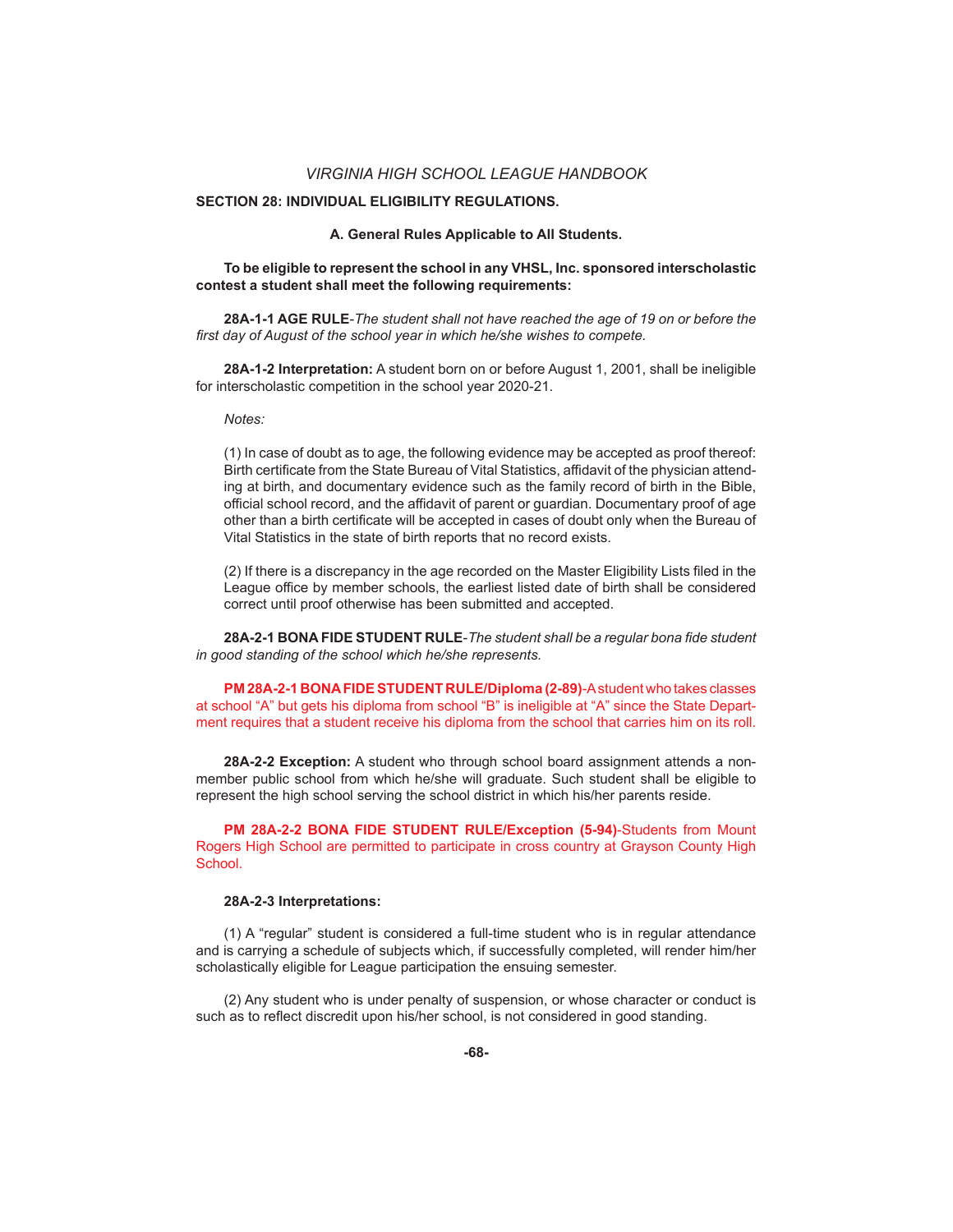#### **SECTION 28: INDIVIDUAL ELIGIBILITY REGULATIONS.**

#### **A. General Rules Applicable to All Students.**

**To be eligible to represent the school in any VHSL, Inc. sponsored interscholastic contest a student shall meet the following requirements:**

**28A-1-1 AGE RULE**-*The student shall not have reached the age of 19 on or before the*  first day of August of the school year in which he/she wishes to compete.

**28A-1-2 Interpretation:** A student born on or before August 1, 2001, shall be ineligible for interscholastic competition in the school year 2020-21.

*Notes:*

 (1) In case of doubt as to age, the following evidence may be accepted as proof thereof: Birth certificate from the State Bureau of Vital Statistics, affidavit of the physician attending at birth, and documentary evidence such as the family record of birth in the Bible, official school record, and the affidavit of parent or guardian. Documentary proof of age other than a birth certificate will be accepted in cases of doubt only when the Bureau of Vital Statistics in the state of birth reports that no record exists.

(2) If there is a discrepancy in the age recorded on the Master Eligibility Lists filed in the League office by member schools, the earliest listed date of birth shall be considered correct until proof otherwise has been submitted and accepted.

**28A-2-1 BONA FIDE STUDENT RULE**-*The student shall be a regular bona fi de student in good standing of the school which he/she represents.*

**PM 28A-2-1 BONA FIDE STUDENT RULE/Diploma (2-89)**-A student who takes classes at school "A" but gets his diploma from school "B" is ineligible at "A" since the State Department requires that a student receive his diploma from the school that carries him on its roll.

**28A-2-2 Exception:** A student who through school board assignment attends a nonmember public school from which he/she will graduate. Such student shall be eligible to represent the high school serving the school district in which his/her parents reside.

 **PM 28A-2-2 BONA FIDE STUDENT RULE/Exception (5-94)**-Students from Mount Rogers High School are permitted to participate in cross country at Grayson County High School.

## **28A-2-3 Interpretations:**

 (1) A "regular" student is considered a full-time student who is in regular attendance and is carrying a schedule of subjects which, if successfully completed, will render him/her scholastically eligible for League participation the ensuing semester.

 (2) Any student who is under penalty of suspension, or whose character or conduct is such as to reflect discredit upon his/her school, is not considered in good standing.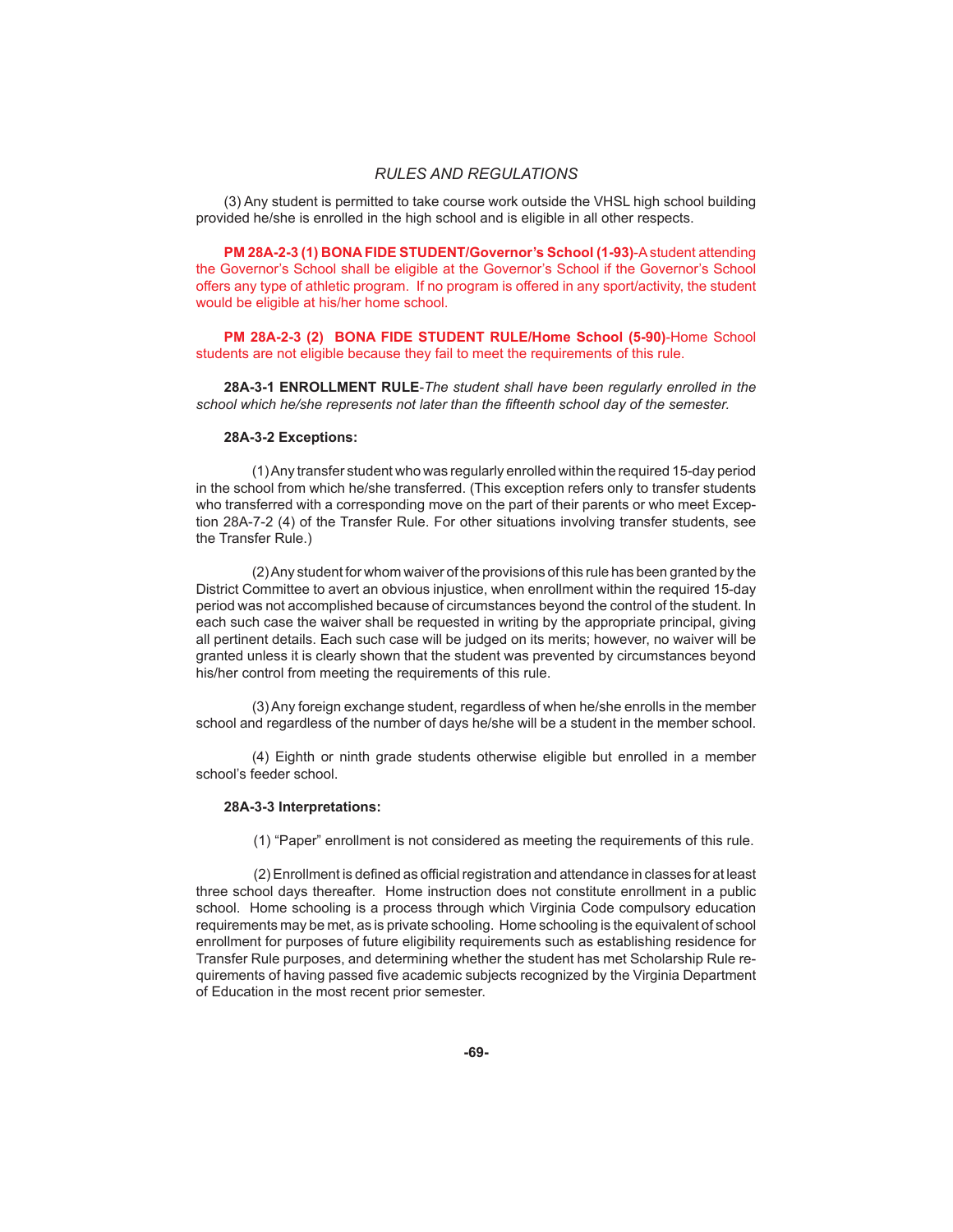(3) Any student is permitted to take course work outside the VHSL high school building provided he/she is enrolled in the high school and is eligible in all other respects.

 **PM 28A-2-3 (1) BONA FIDE STUDENT/Governor's School (1-93)**-A student attending the Governor's School shall be eligible at the Governor's School if the Governor's School offers any type of athletic program. If no program is offered in any sport/activity, the student would be eligible at his/her home school.

 **PM 28A-2-3 (2) BONA FIDE STUDENT RULE/Home School (5-90)**-Home School students are not eligible because they fail to meet the requirements of this rule.

**28A-3-1 ENROLLMENT RULE**-*The student shall have been regularly enrolled in the*  school which he/she represents not later than the fifteenth school day of the semester.

#### **28A-3-2 Exceptions:**

 (1) Any transfer student who was regularly enrolled within the required 15-day period in the school from which he/she transferred. (This exception refers only to transfer students who transferred with a corresponding move on the part of their parents or who meet Exception 28A-7-2 (4) of the Transfer Rule. For other situations involving transfer students, see the Transfer Rule.)

 (2) Any student for whom waiver of the provisions of this rule has been granted by the District Committee to avert an obvious injustice, when enrollment within the required 15-day period was not accomplished because of circumstances beyond the control of the student. In each such case the waiver shall be requested in writing by the appropriate principal, giving all pertinent details. Each such case will be judged on its merits; however, no waiver will be granted unless it is clearly shown that the student was prevented by circumstances beyond his/her control from meeting the requirements of this rule.

 (3) Any foreign exchange student, regardless of when he/she enrolls in the member school and regardless of the number of days he/she will be a student in the member school.

 (4) Eighth or ninth grade students otherwise eligible but enrolled in a member school's feeder school.

#### **28A-3-3 Interpretations:**

(1) "Paper" enrollment is not considered as meeting the requirements of this rule.

(2) Enrollment is defined as official registration and attendance in classes for at least three school days thereafter. Home instruction does not constitute enrollment in a public school. Home schooling is a process through which Virginia Code compulsory education requirements may be met, as is private schooling. Home schooling is the equivalent of school enrollment for purposes of future eligibility requirements such as establishing residence for Transfer Rule purposes, and determining whether the student has met Scholarship Rule requirements of having passed five academic subjects recognized by the Virginia Department of Education in the most recent prior semester.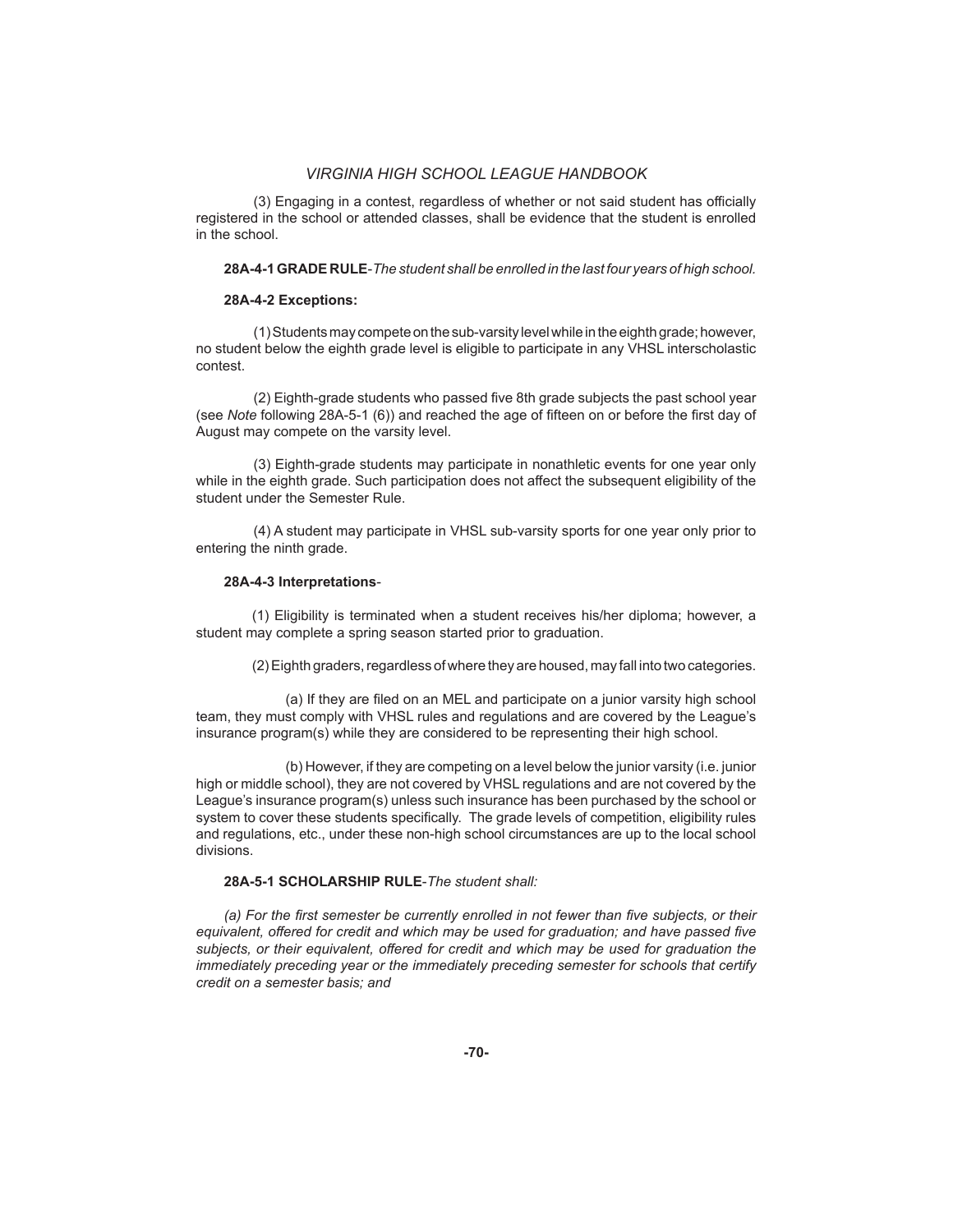(3) Engaging in a contest, regardless of whether or not said student has officially registered in the school or attended classes, shall be evidence that the student is enrolled in the school.

**28A-4-1 GRADE RULE**-*The student shall be enrolled in the last four years of high school.*

### **28A-4-2 Exceptions:**

(1) Students may compete on the sub-varsity level while in the eighth grade; however, no student below the eighth grade level is eligible to participate in any VHSL interscholastic contest.

(2) Eighth-grade students who passed five 8th grade subjects the past school year (see *Note* following 28A-5-1 (6)) and reached the age of fifteen on or before the first day of August may compete on the varsity level.

 (3) Eighth-grade students may participate in nonathletic events for one year only while in the eighth grade. Such participation does not affect the subsequent eligibility of the student under the Semester Rule.

 (4) A student may participate in VHSL sub-varsity sports for one year only prior to entering the ninth grade.

## **28A-4-3 Interpretations**-

 (1) Eligibility is terminated when a student receives his/her diploma; however, a student may complete a spring season started prior to graduation.

(2) Eighth graders, regardless of where they are housed, may fall into two categories.

(a) If they are filed on an MEL and participate on a junior varsity high school team, they must comply with VHSL rules and regulations and are covered by the League's insurance program(s) while they are considered to be representing their high school.

 (b) However, if they are competing on a level below the junior varsity (i.e. junior high or middle school), they are not covered by VHSL regulations and are not covered by the League's insurance program(s) unless such insurance has been purchased by the school or system to cover these students specifically. The grade levels of competition, eligibility rules and regulations, etc., under these non-high school circumstances are up to the local school divisions.

## **28A-5-1 SCHOLARSHIP RULE**-*The student shall:*

*(a) For the first semester be currently enrolled in not fewer than five subjects, or their* equivalent, offered for credit and which may be used for graduation; and have passed five *subjects, or their equivalent, off ered for credit and which may be used for graduation the immediately preceding year or the immediately preceding semester for schools that certify credit on a semester basis; and*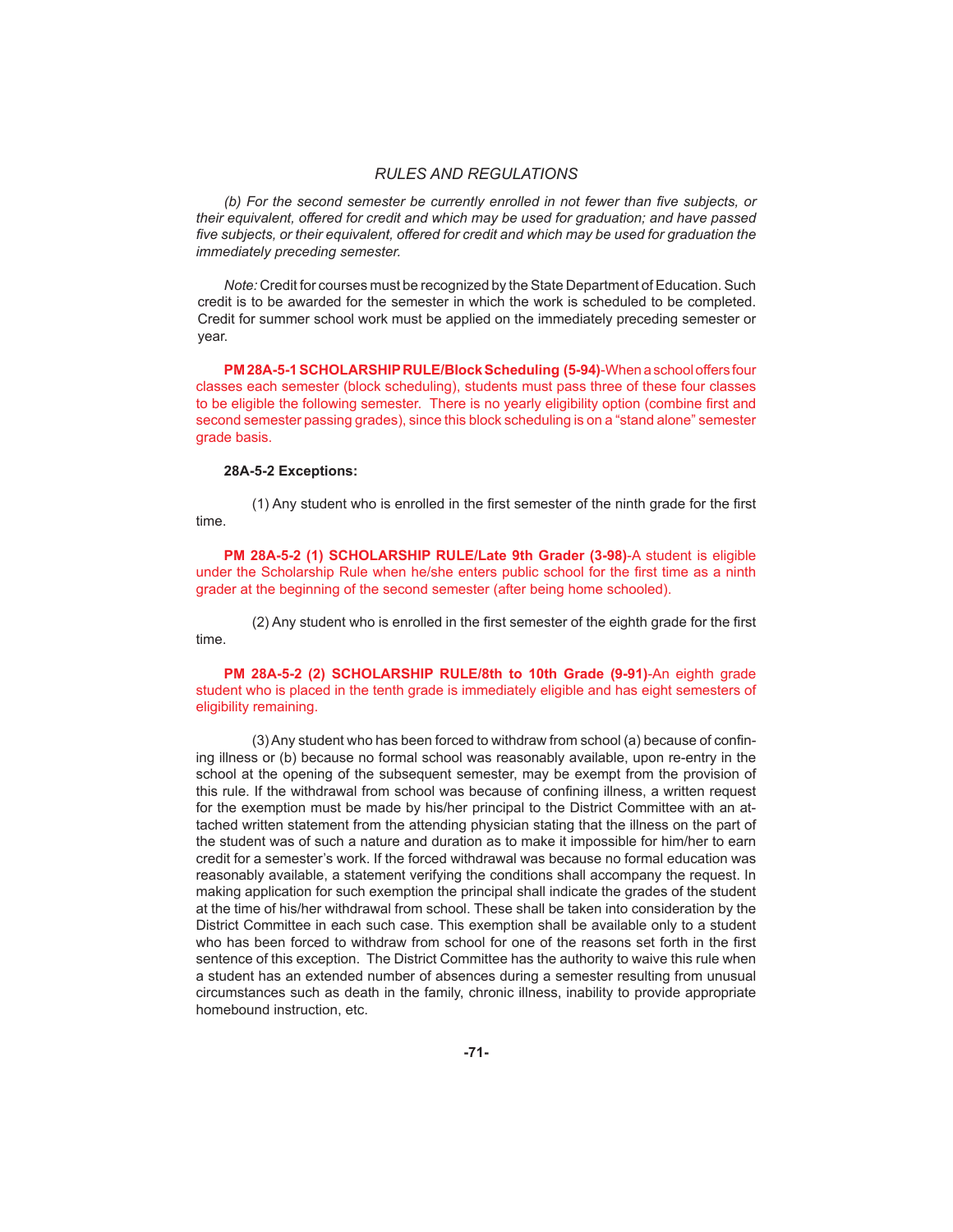*(b)* For the second semester be currently enrolled in not fewer than five subjects, or *their equivalent, off ered for credit and which may be used for graduation; and have passed fi ve subjects, or their equivalent, off ered for credit and which may be used for graduation the immediately preceding semester.*

 *Note:* Credit for courses must be recognized by the State Department of Education. Such credit is to be awarded for the semester in which the work is scheduled to be completed. Credit for summer school work must be applied on the immediately preceding semester or year.

**PM 28A-5-1 SCHOLARSHIP RULE/Block Scheduling (5-94)-When a school offers four** classes each semester (block scheduling), students must pass three of these four classes to be eligible the following semester. There is no yearly eligibility option (combine first and second semester passing grades), since this block scheduling is on a "stand alone" semester grade basis.

### **28A-5-2 Exceptions:**

(1) Any student who is enrolled in the first semester of the ninth grade for the first time.

 **PM 28A-5-2 (1) SCHOLARSHIP RULE/Late 9th Grader (3-98)**-A student is eligible under the Scholarship Rule when he/she enters public school for the first time as a ninth grader at the beginning of the second semester (after being home schooled).

(2) Any student who is enrolled in the first semester of the eighth grade for the first time.

 **PM 28A-5-2 (2) SCHOLARSHIP RULE/8th to 10th Grade (9-91)**-An eighth grade student who is placed in the tenth grade is immediately eligible and has eight semesters of eligibility remaining.

 $(3)$  Any student who has been forced to withdraw from school  $(a)$  because of confining illness or (b) because no formal school was reasonably available, upon re-entry in the school at the opening of the subsequent semester, may be exempt from the provision of this rule. If the withdrawal from school was because of confining illness, a written request for the exemption must be made by his/her principal to the District Committee with an attached written statement from the attending physician stating that the illness on the part of the student was of such a nature and duration as to make it impossible for him/her to earn credit for a semester's work. If the forced withdrawal was because no formal education was reasonably available, a statement verifying the conditions shall accompany the request. In making application for such exemption the principal shall indicate the grades of the student at the time of his/her withdrawal from school. These shall be taken into consideration by the District Committee in each such case. This exemption shall be available only to a student who has been forced to withdraw from school for one of the reasons set forth in the first sentence of this exception. The District Committee has the authority to waive this rule when a student has an extended number of absences during a semester resulting from unusual circumstances such as death in the family, chronic illness, inability to provide appropriate homebound instruction, etc.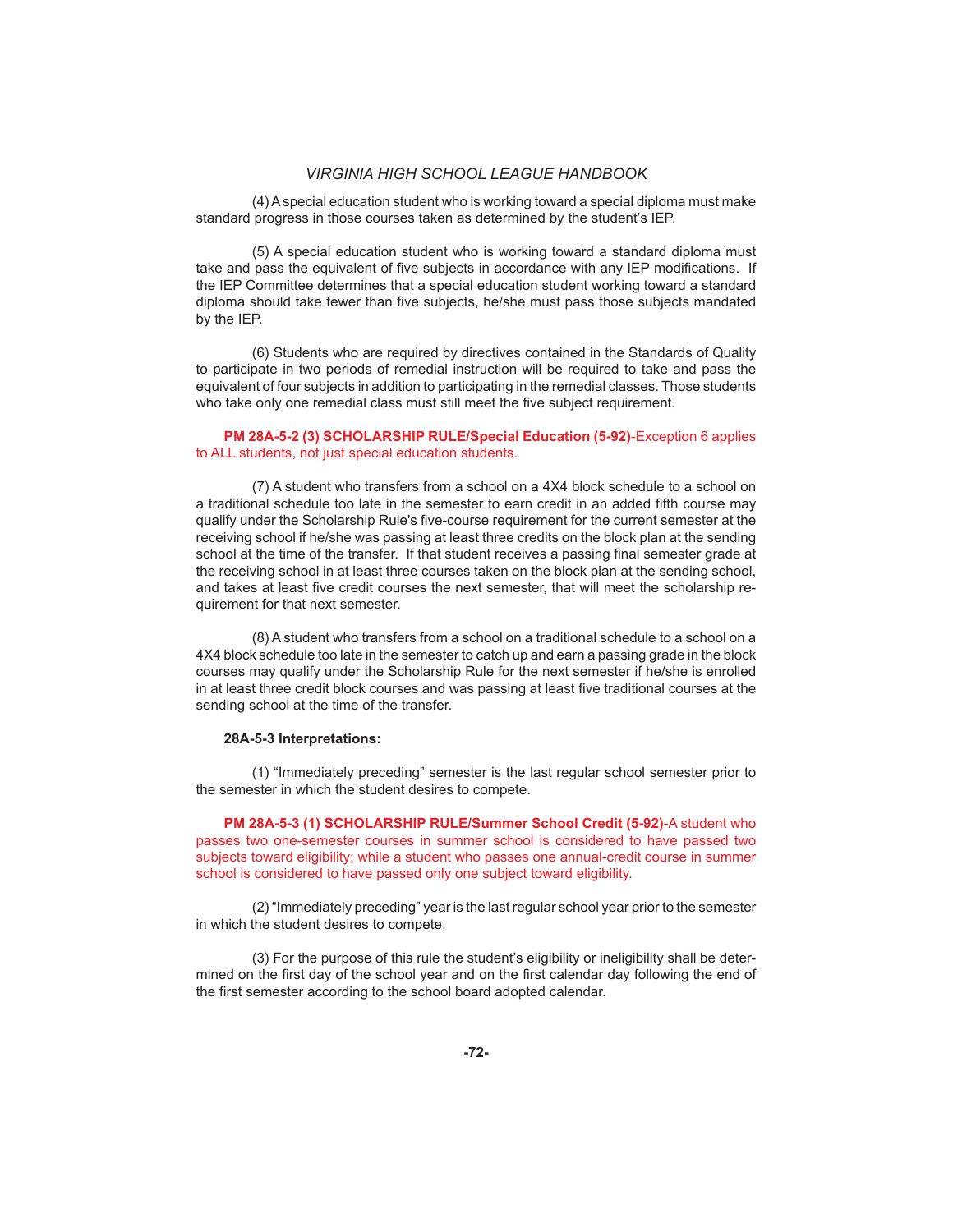(4) A special education student who is working toward a special diploma must make standard progress in those courses taken as determined by the student's IEP.

 (5) A special education student who is working toward a standard diploma must take and pass the equivalent of five subjects in accordance with any IEP modifications. If the IEP Committee determines that a special education student working toward a standard diploma should take fewer than five subjects, he/she must pass those subjects mandated by the IEP.

 (6) Students who are required by directives contained in the Standards of Quality to participate in two periods of remedial instruction will be required to take and pass the equivalent of four subjects in addition to participating in the remedial classes. Those students who take only one remedial class must still meet the five subject requirement.

## **PM 28A-5-2 (3) SCHOLARSHIP RULE/Special Education (5-92)**-Exception 6 applies to ALL students, not just special education students.

 (7) A student who transfers from a school on a 4X4 block schedule to a school on a traditional schedule too late in the semester to earn credit in an added fifth course may qualify under the Scholarship Rule's five-course requirement for the current semester at the receiving school if he/she was passing at least three credits on the block plan at the sending school at the time of the transfer. If that student receives a passing final semester grade at the receiving school in at least three courses taken on the block plan at the sending school, and takes at least five credit courses the next semester, that will meet the scholarship requirement for that next semester.

 (8) A student who transfers from a school on a traditional schedule to a school on a 4X4 block schedule too late in the semester to catch up and earn a passing grade in the block courses may qualify under the Scholarship Rule for the next semester if he/she is enrolled in at least three credit block courses and was passing at least five traditional courses at the sending school at the time of the transfer.

#### **28A-5-3 Interpretations:**

 (1) "Immediately preceding" semester is the last regular school semester prior to the semester in which the student desires to compete.

 **PM 28A-5-3 (1) SCHOLARSHIP RULE/Summer School Credit (5-92)**-A student who passes two one-semester courses in summer school is considered to have passed two subjects toward eligibility; while a student who passes one annual-credit course in summer school is considered to have passed only one subject toward eligibility.

 (2) "Immediately preceding" year is the last regular school year prior to the semester in which the student desires to compete.

 (3) For the purpose of this rule the student's eligibility or ineligibility shall be determined on the first day of the school year and on the first calendar day following the end of the first semester according to the school board adopted calendar.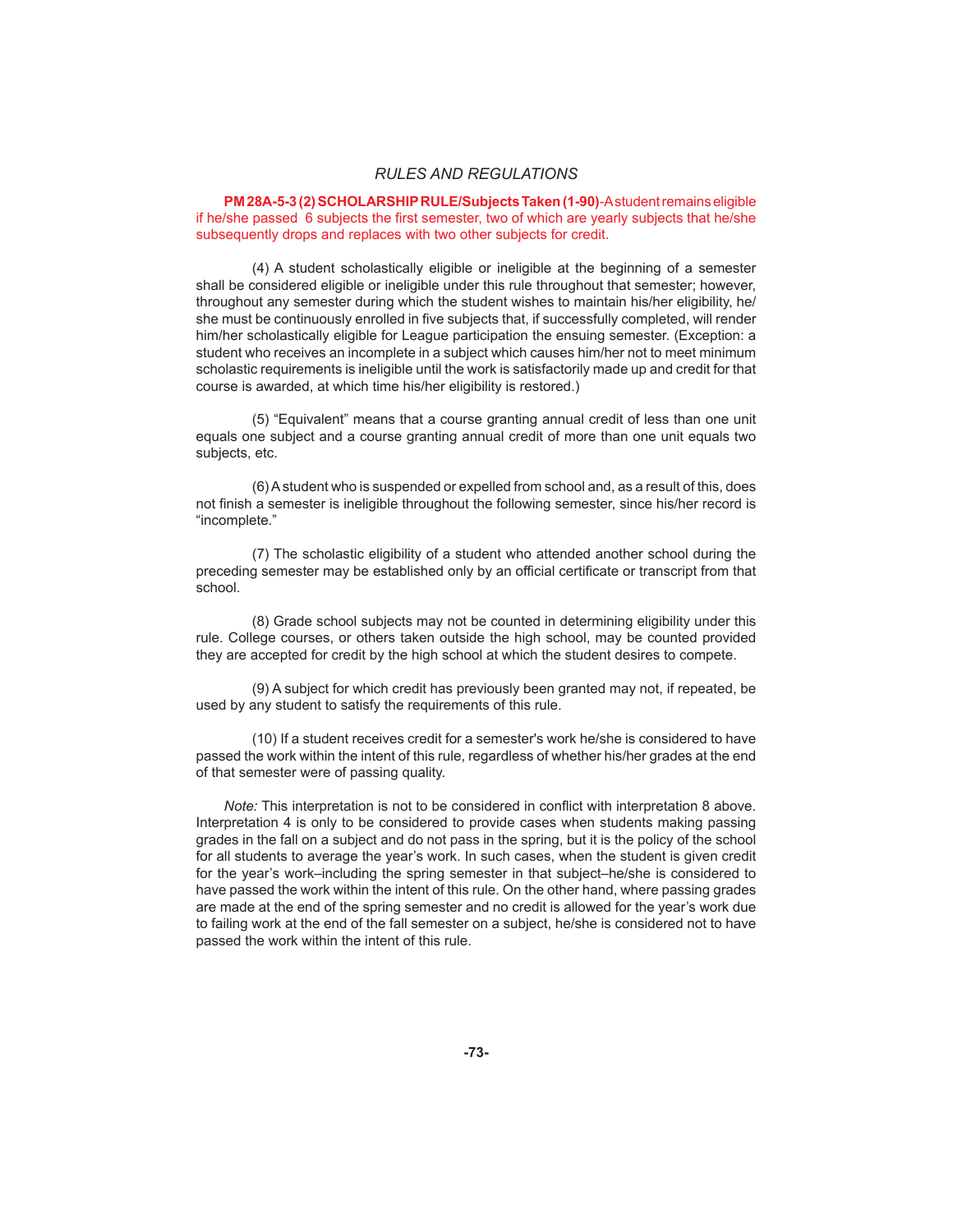**PM 28A-5-3 (2) SCHOLARSHIP RULE/Subjects Taken (1-90)**-A student remains eligible if he/she passed 6 subjects the first semester, two of which are yearly subjects that he/she subsequently drops and replaces with two other subjects for credit.

 (4) A student scholastically eligible or ineligible at the beginning of a semester shall be considered eligible or ineligible under this rule throughout that semester; however, throughout any semester during which the student wishes to maintain his/her eligibility, he/ she must be continuously enrolled in five subjects that, if successfully completed, will render him/her scholastically eligible for League participation the ensuing semester. (Exception: a student who receives an incomplete in a subject which causes him/her not to meet minimum scholastic requirements is ineligible until the work is satisfactorily made up and credit for that course is awarded, at which time his/her eligibility is restored.)

 (5) "Equivalent" means that a course granting annual credit of less than one unit equals one subject and a course granting annual credit of more than one unit equals two subjects, etc.

 (6) A student who is suspended or expelled from school and, as a result of this, does not finish a semester is ineligible throughout the following semester, since his/her record is "incomplete."

 (7) The scholastic eligibility of a student who attended another school during the preceding semester may be established only by an official certificate or transcript from that school.

 (8) Grade school subjects may not be counted in determining eligibility under this rule. College courses, or others taken outside the high school, may be counted provided they are accepted for credit by the high school at which the student desires to compete.

 (9) A subject for which credit has previously been granted may not, if repeated, be used by any student to satisfy the requirements of this rule.

 (10) If a student receives credit for a semester's work he/she is considered to have passed the work within the intent of this rule, regardless of whether his/her grades at the end of that semester were of passing quality.

*Note:* This interpretation is not to be considered in conflict with interpretation 8 above. Interpretation 4 is only to be considered to provide cases when students making passing grades in the fall on a subject and do not pass in the spring, but it is the policy of the school for all students to average the year's work. In such cases, when the student is given credit for the year's work–including the spring semester in that subject–he/she is considered to have passed the work within the intent of this rule. On the other hand, where passing grades are made at the end of the spring semester and no credit is allowed for the year's work due to failing work at the end of the fall semester on a subject, he/she is considered not to have passed the work within the intent of this rule.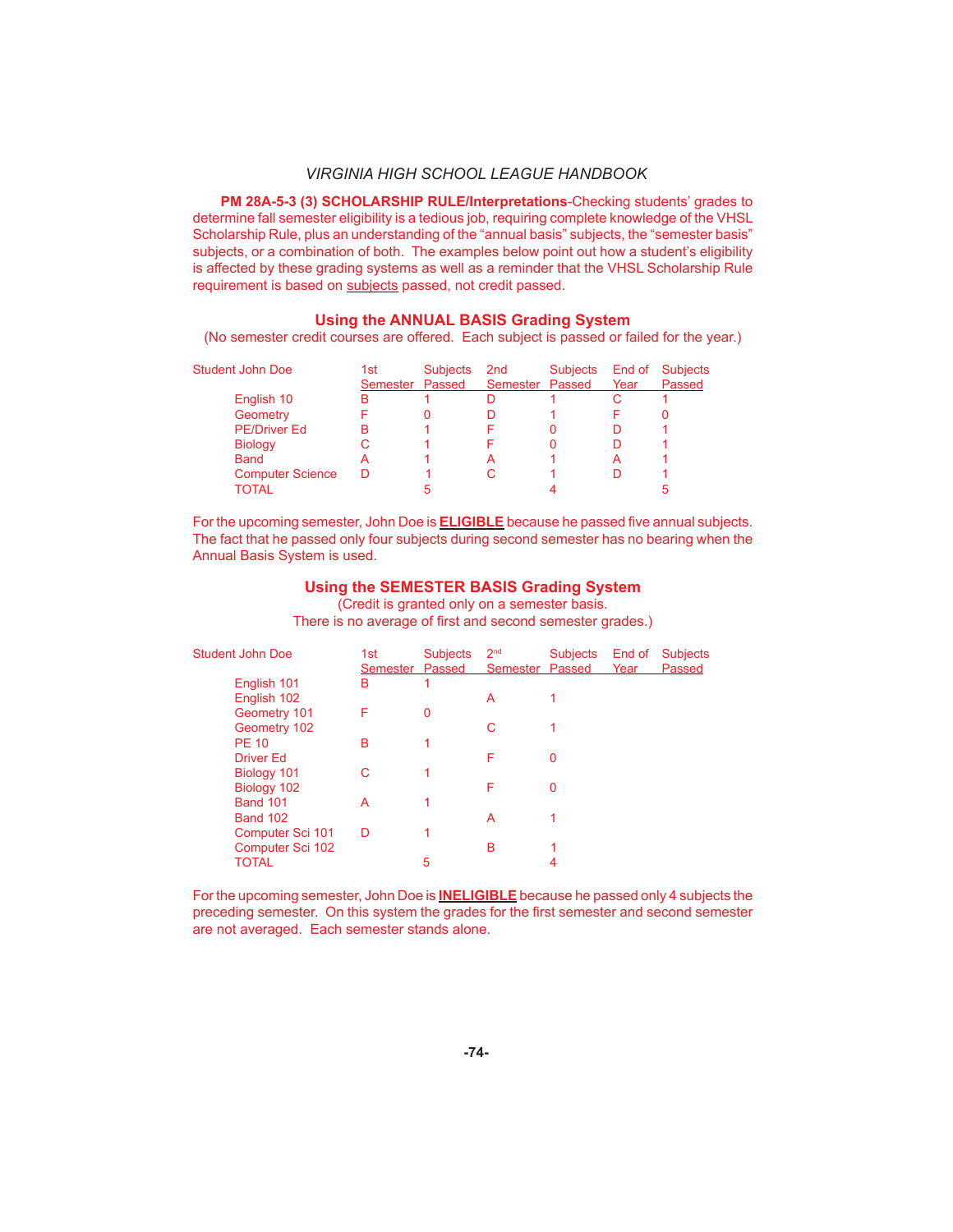**PM 28A-5-3 (3) SCHOLARSHIP RULE/Interpretations**-Checking students' grades to determine fall semester eligibility is a tedious job, requiring complete knowledge of the VHSL Scholarship Rule, plus an understanding of the "annual basis" subjects, the "semester basis" subjects, or a combination of both. The examples below point out how a student's eligibility is affected by these grading systems as well as a reminder that the VHSL Scholarship Rule requirement is based on subjects passed, not credit passed.

#### **Using the ANNUAL BASIS Grading System**

(No semester credit courses are offered. Each subject is passed or failed for the year.)

| <b>Student John Doe</b> | 1st | Subjects        | 2nd             | Subjects End of Subjects |      |        |
|-------------------------|-----|-----------------|-----------------|--------------------------|------|--------|
|                         |     | Semester Passed | Semester Passed |                          | Year | Passed |
| English 10              | в   |                 |                 |                          |      |        |
| Geometry                |     |                 |                 |                          |      |        |
| <b>PE/Driver Ed</b>     | B   |                 |                 |                          |      |        |
| <b>Biology</b>          |     |                 |                 |                          |      |        |
| <b>Band</b>             |     |                 |                 |                          |      |        |
| <b>Computer Science</b> | D   |                 |                 |                          |      |        |
| TOTAL                   |     |                 |                 |                          |      |        |
|                         |     |                 |                 |                          |      |        |

For the upcoming semester, John Doe is **ELIGIBLE** because he passed five annual subjects. The fact that he passed only four subjects during second semester has no bearing when the Annual Basis System is used.

#### **Using the SEMESTER BASIS Grading System**

(Credit is granted only on a semester basis. There is no average of first and second semester grades.)

| <b>Student John Doe</b> | 1st             | <b>Subjects</b> | 2 <sub>nd</sub> | <b>Subjects</b> | End of | <b>Subjects</b> |
|-------------------------|-----------------|-----------------|-----------------|-----------------|--------|-----------------|
|                         | Semester Passed |                 | Semester        | Passed          | Year   | Passed          |
| English 101             | в               |                 |                 |                 |        |                 |
| English 102             |                 |                 | A               |                 |        |                 |
| Geometry 101            | F               | 0               |                 |                 |        |                 |
| Geometry 102            |                 |                 | C               |                 |        |                 |
| <b>PE 10</b>            | B               |                 |                 |                 |        |                 |
| <b>Driver Ed</b>        |                 |                 | F               | 0               |        |                 |
| Biology 101             | C               |                 |                 |                 |        |                 |
| Biology 102             |                 |                 | F               | 0               |        |                 |
| <b>Band 101</b>         | A               |                 |                 |                 |        |                 |
| <b>Band 102</b>         |                 |                 | А               |                 |        |                 |
| Computer Sci 101        | D               |                 |                 |                 |        |                 |
| Computer Sci 102        |                 |                 | B               |                 |        |                 |
| <b>TOTAL</b>            |                 | 5               |                 | 4               |        |                 |
|                         |                 |                 |                 |                 |        |                 |

For the upcoming semester, John Doe is **INELIGIBLE** because he passed only 4 subjects the preceding semester. On this system the grades for the first semester and second semester are not averaged. Each semester stands alone.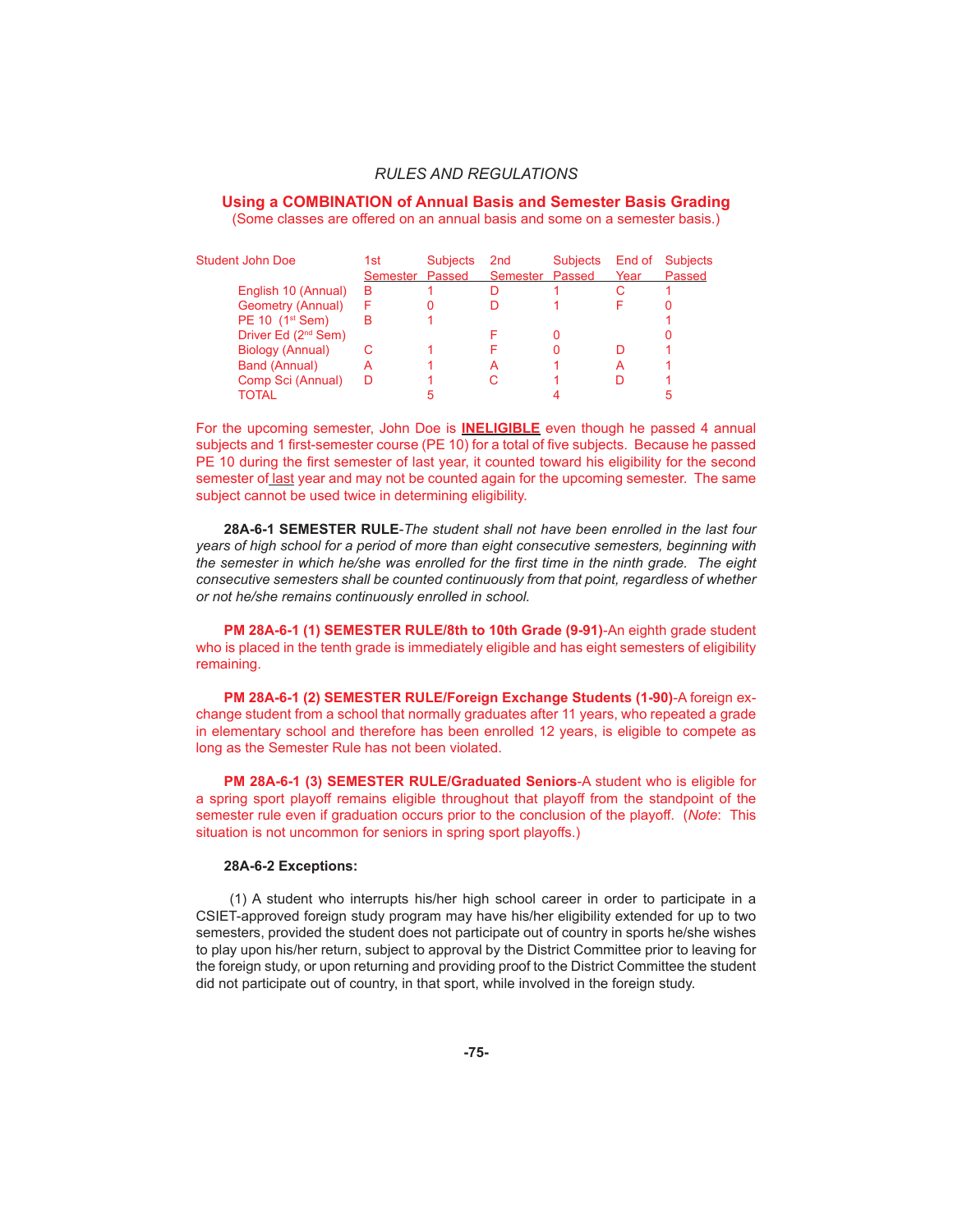**Using a COMBINATION of Annual Basis and Semester Basis Grading** (Some classes are offered on an annual basis and some on a semester basis.)

| <b>Student John Doe</b>         | 1st<br>Semester Passed | <b>Subjects</b> | 2 <sub>nd</sub><br>Semester Passed | <b>Subjects</b> | End of<br>Year | <b>Subjects</b><br>Passed |
|---------------------------------|------------------------|-----------------|------------------------------------|-----------------|----------------|---------------------------|
| English 10 (Annual)             | в                      |                 |                                    |                 |                |                           |
| Geometry (Annual)               | F                      |                 |                                    |                 |                |                           |
| PE 10 (1 <sup>st</sup> Sem)     | B                      |                 |                                    |                 |                |                           |
| Driver Ed (2 <sup>nd</sup> Sem) |                        |                 |                                    |                 |                |                           |
| Biology (Annual)                |                        |                 |                                    |                 |                |                           |
| Band (Annual)                   | А                      |                 |                                    |                 |                |                           |
| Comp Sci (Annual)               | D                      |                 |                                    |                 |                |                           |
| TOTAL                           |                        |                 |                                    |                 |                | 5                         |

For the upcoming semester, John Doe is **INELIGIBLE** even though he passed 4 annual subjects and 1 first-semester course (PE 10) for a total of five subjects. Because he passed PE 10 during the first semester of last year, it counted toward his eligibility for the second semester of last year and may not be counted again for the upcoming semester. The same subject cannot be used twice in determining eligibility.

**28A-6-1 SEMESTER RULE**-*The student shall not have been enrolled in the last four years of high school for a period of more than eight consecutive semesters, beginning with*  the semester in which he/she was enrolled for the first time in the ninth grade. The eight *consecutive semesters shall be counted continuously from that point, regardless of whether or not he/she remains continuously enrolled in school.*

 **PM 28A-6-1 (1) SEMESTER RULE/8th to 10th Grade (9-91)**-An eighth grade student who is placed in the tenth grade is immediately eligible and has eight semesters of eligibility remaining.

 **PM 28A-6-1 (2) SEMESTER RULE/Foreign Exchange Students (1-90)**-A foreign exchange student from a school that normally graduates after 11 years, who repeated a grade in elementary school and therefore has been enrolled 12 years, is eligible to compete as long as the Semester Rule has not been violated.

 **PM 28A-6-1 (3) SEMESTER RULE/Graduated Seniors**-A student who is eligible for a spring sport playoff remains eligible throughout that playoff from the standpoint of the semester rule even if graduation occurs prior to the conclusion of the playoff . (*Note*: This situation is not uncommon for seniors in spring sport playoffs.)

#### **28A-6-2 Exceptions:**

 (1) A student who interrupts his/her high school career in order to participate in a CSIET-approved foreign study program may have his/her eligibility extended for up to two semesters, provided the student does not participate out of country in sports he/she wishes to play upon his/her return, subject to approval by the District Committee prior to leaving for the foreign study, or upon returning and providing proof to the District Committee the student did not participate out of country, in that sport, while involved in the foreign study.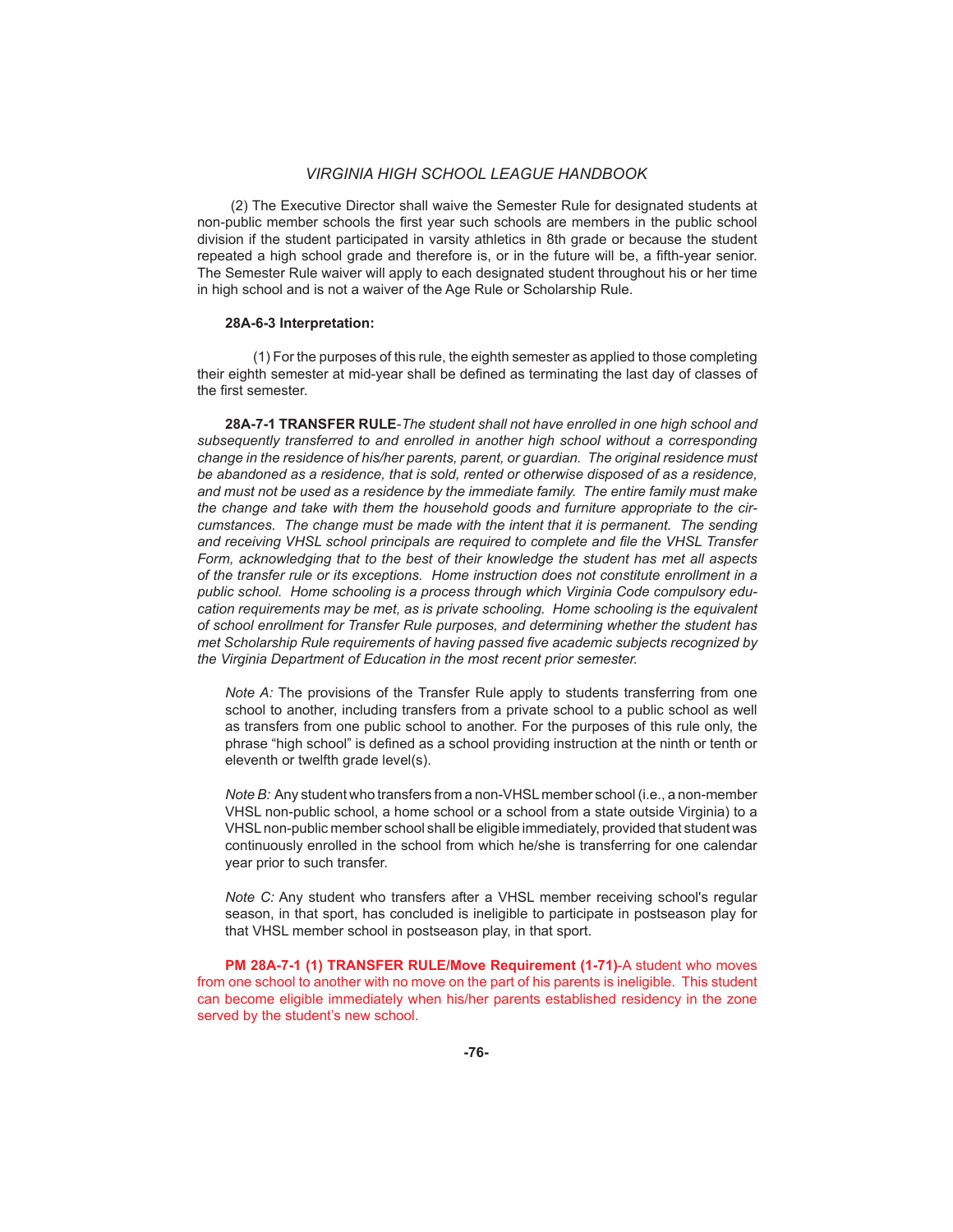(2) The Executive Director shall waive the Semester Rule for designated students at non-public member schools the first year such schools are members in the public school division if the student participated in varsity athletics in 8th grade or because the student repeated a high school grade and therefore is, or in the future will be, a fifth-year senior. The Semester Rule waiver will apply to each designated student throughout his or her time in high school and is not a waiver of the Age Rule or Scholarship Rule.

#### **28A-6-3 Interpretation:**

 (1) For the purposes of this rule, the eighth semester as applied to those completing their eighth semester at mid-year shall be defined as terminating the last day of classes of the first semester.

**28A-7-1 TRANSFER RULE**-*The student shall not have enrolled in one high school and subsequently transferred to and enrolled in another high school without a corresponding change in the residence of his/her parents, parent, or guardian. The original residence must be abandoned as a residence, that is sold, rented or otherwise disposed of as a residence, and must not be used as a residence by the immediate family. The entire family must make the change and take with them the household goods and furniture appropriate to the circumstances. The change must be made with the intent that it is permanent. The sending*  and receiving VHSL school principals are required to complete and file the VHSL Transfer *Form, acknowledging that to the best of their knowledge the student has met all aspects of the transfer rule or its exceptions. Home instruction does not constitute enrollment in a public school. Home schooling is a process through which Virginia Code compulsory education requirements may be met, as is private schooling. Home schooling is the equivalent of school enrollment for Transfer Rule purposes, and determining whether the student has met Scholarship Rule requirements of having passed fi ve academic subjects recognized by the Virginia Department of Education in the most recent prior semester.*

 *Note A:* The provisions of the Transfer Rule apply to students transferring from one school to another, including transfers from a private school to a public school as well as transfers from one public school to another. For the purposes of this rule only, the phrase "high school" is defined as a school providing instruction at the ninth or tenth or eleventh or twelfth grade level(s).

*Note B:* Any student who transfers from a non-VHSL member school (i.e., a non-member VHSL non-public school, a home school or a school from a state outside Virginia) to a VHSL non-public member school shall be eligible immediately, provided that student was continuously enrolled in the school from which he/she is transferring for one calendar year prior to such transfer.

*Note C:* Any student who transfers after a VHSL member receiving school's regular season, in that sport, has concluded is ineligible to participate in postseason play for that VHSL member school in postseason play, in that sport.

 **PM 28A-7-1 (1) TRANSFER RULE/Move Requirement (1-71)**-A student who moves from one school to another with no move on the part of his parents is ineligible. This student can become eligible immediately when his/her parents established residency in the zone served by the student's new school.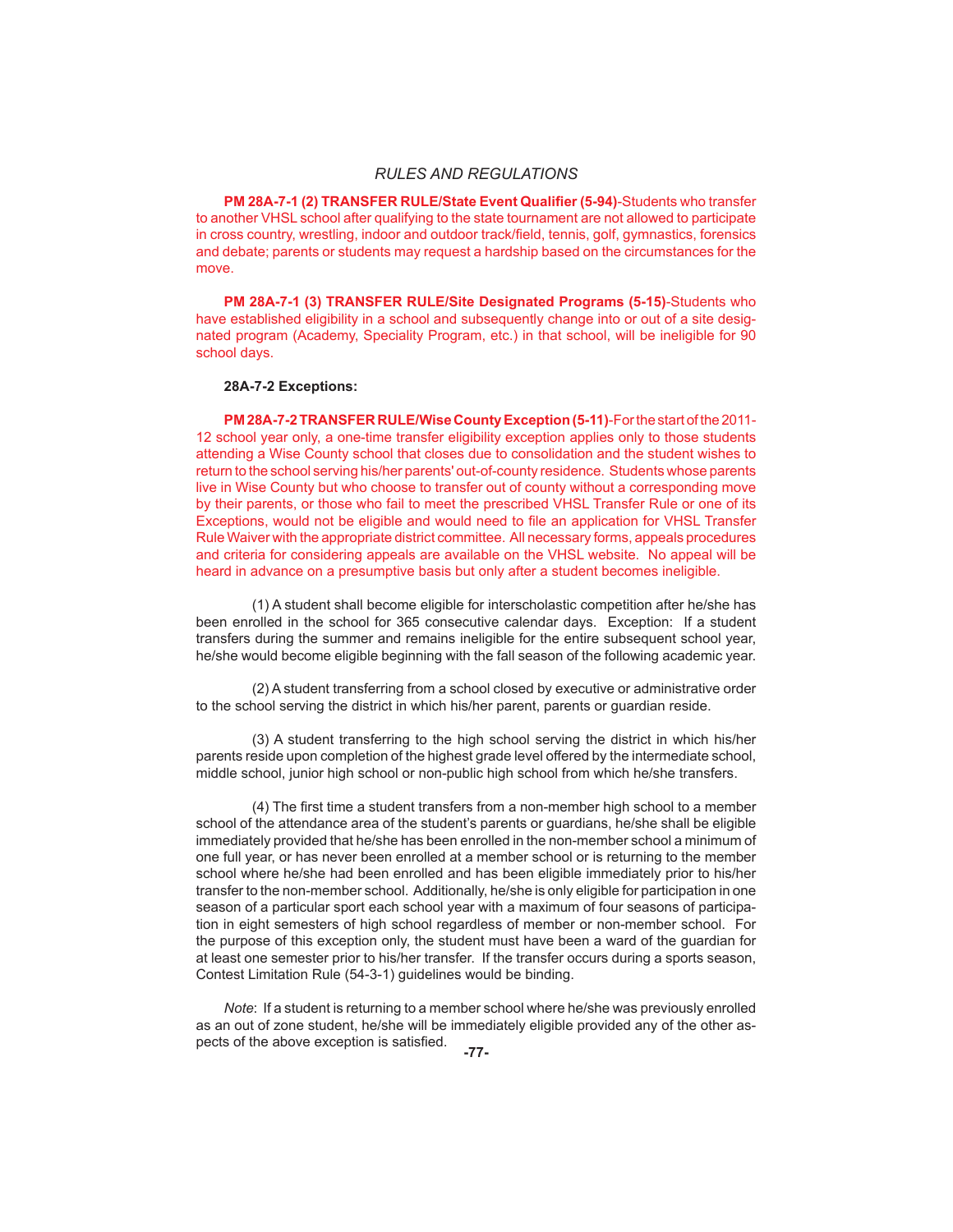**PM 28A-7-1 (2) TRANSFER RULE/State Event Qualifi er (5-94)**-Students who transfer to another VHSL school after qualifying to the state tournament are not allowed to participate in cross country, wrestling, indoor and outdoor track/field, tennis, golf, gymnastics, forensics and debate; parents or students may request a hardship based on the circumstances for the move.

**PM 28A-7-1 (3) TRANSFER RULE/Site Designated Programs (5-15)**-Students who have established eligibility in a school and subsequently change into or out of a site designated program (Academy, Speciality Program, etc.) in that school, will be ineligible for 90 school days.

#### **28A-7-2 Exceptions:**

 **PM 28A-7-2 TRANSFER RULE/Wise County Exception (5-11)**-For the start of the 2011- 12 school year only, a one-time transfer eligibility exception applies only to those students attending a Wise County school that closes due to consolidation and the student wishes to return to the school serving his/her parents' out-of-county residence. Students whose parents live in Wise County but who choose to transfer out of county without a corresponding move by their parents, or those who fail to meet the prescribed VHSL Transfer Rule or one of its Exceptions, would not be eligible and would need to file an application for VHSL Transfer Rule Waiver with the appropriate district committee. All necessary forms, appeals procedures and criteria for considering appeals are available on the VHSL website. No appeal will be heard in advance on a presumptive basis but only after a student becomes ineligible.

 (1) A student shall become eligible for interscholastic competition after he/she has been enrolled in the school for 365 consecutive calendar days. Exception: If a student transfers during the summer and remains ineligible for the entire subsequent school year, he/she would become eligible beginning with the fall season of the following academic year.

 (2) A student transferring from a school closed by executive or administrative order to the school serving the district in which his/her parent, parents or guardian reside.

 (3) A student transferring to the high school serving the district in which his/her parents reside upon completion of the highest grade level offered by the intermediate school, middle school, junior high school or non-public high school from which he/she transfers.

(4) The first time a student transfers from a non-member high school to a member school of the attendance area of the student's parents or guardians, he/she shall be eligible immediately provided that he/she has been enrolled in the non-member school a minimum of one full year, or has never been enrolled at a member school or is returning to the member school where he/she had been enrolled and has been eligible immediately prior to his/her transfer to the non-member school. Additionally, he/she is only eligible for participation in one season of a particular sport each school year with a maximum of four seasons of participation in eight semesters of high school regardless of member or non-member school. For the purpose of this exception only, the student must have been a ward of the guardian for at least one semester prior to his/her transfer. If the transfer occurs during a sports season, Contest Limitation Rule (54-3-1) guidelines would be binding.

*Note*: If a student is returning to a member school where he/she was previously enrolled as an out of zone student, he/she will be immediately eligible provided any of the other aspects of the above exception is satisfied.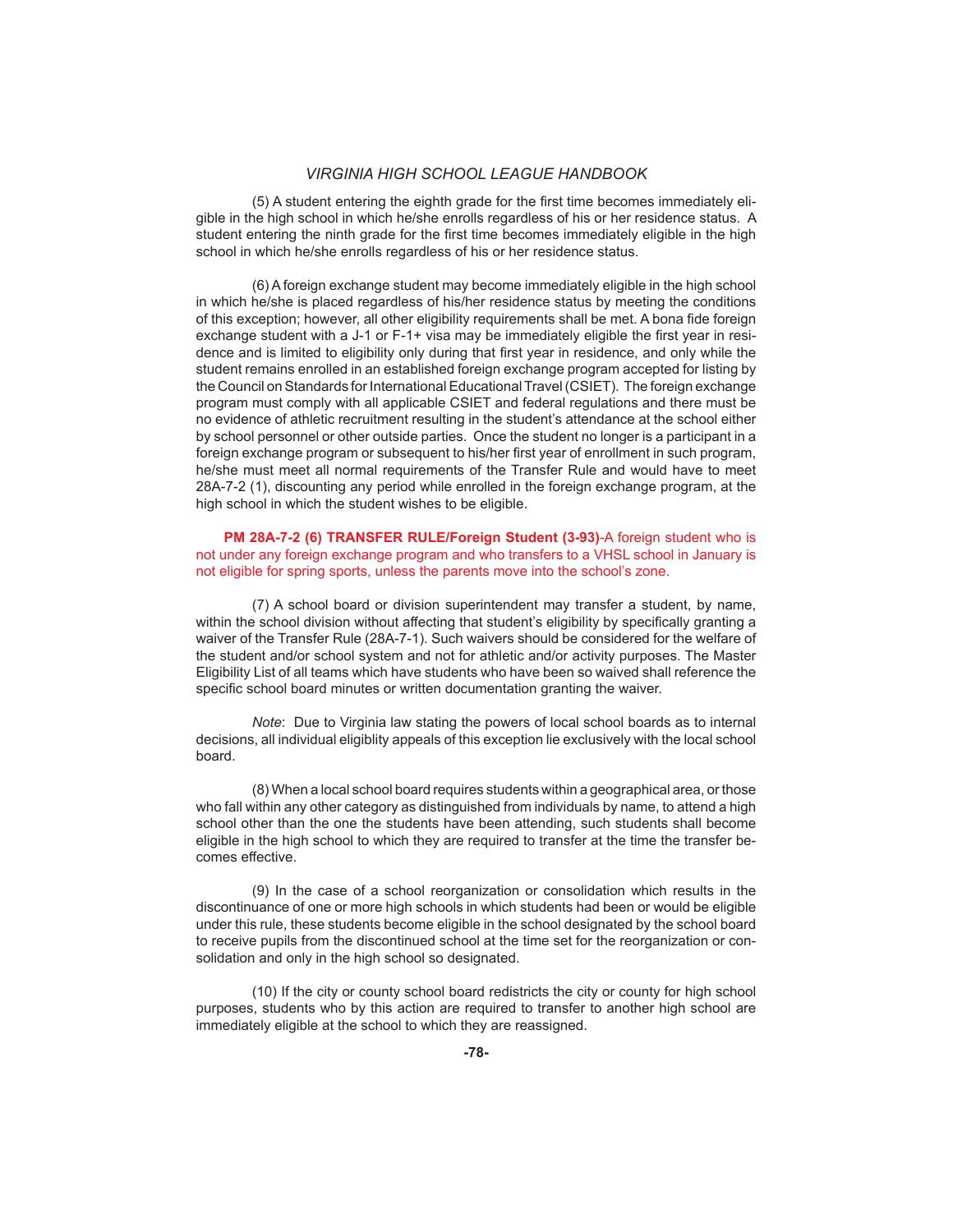(5) A student entering the eighth grade for the first time becomes immediately eligible in the high school in which he/she enrolls regardless of his or her residence status. A student entering the ninth grade for the first time becomes immediately eligible in the high school in which he/she enrolls regardless of his or her residence status.

 (6) A foreign exchange student may become immediately eligible in the high school in which he/she is placed regardless of his/her residence status by meeting the conditions of this exception; however, all other eligibility requirements shall be met. A bona fide foreign exchange student with a J-1 or F-1+ visa may be immediately eligible the first year in residence and is limited to eligibility only during that first year in residence, and only while the student remains enrolled in an established foreign exchange program accepted for listing by the Council on Standards for International Educational Travel (CSIET). The foreign exchange program must comply with all applicable CSIET and federal regulations and there must be no evidence of athletic recruitment resulting in the student's attendance at the school either by school personnel or other outside parties. Once the student no longer is a participant in a foreign exchange program or subsequent to his/her first year of enrollment in such program, he/she must meet all normal requirements of the Transfer Rule and would have to meet 28A-7-2 (1), discounting any period while enrolled in the foreign exchange program, at the high school in which the student wishes to be eligible.

 **PM 28A-7-2 (6) TRANSFER RULE/Foreign Student (3-93)**-A foreign student who is not under any foreign exchange program and who transfers to a VHSL school in January is not eligible for spring sports, unless the parents move into the school's zone.

 (7) A school board or division superintendent may transfer a student, by name, within the school division without affecting that student's eligibility by specifically granting a waiver of the Transfer Rule (28A-7-1). Such waivers should be considered for the welfare of the student and/or school system and not for athletic and/or activity purposes. The Master Eligibility List of all teams which have students who have been so waived shall reference the specific school board minutes or written documentation granting the waiver.

 *Note*: Due to Virginia law stating the powers of local school boards as to internal decisions, all individual eligiblity appeals of this exception lie exclusively with the local school board.

 (8) When a local school board requires students within a geographical area, or those who fall within any other category as distinguished from individuals by name, to attend a high school other than the one the students have been attending, such students shall become eligible in the high school to which they are required to transfer at the time the transfer becomes effective.

 (9) In the case of a school reorganization or consolidation which results in the discontinuance of one or more high schools in which students had been or would be eligible under this rule, these students become eligible in the school designated by the school board to receive pupils from the discontinued school at the time set for the reorganization or consolidation and only in the high school so designated.

 (10) If the city or county school board redistricts the city or county for high school purposes, students who by this action are required to transfer to another high school are immediately eligible at the school to which they are reassigned.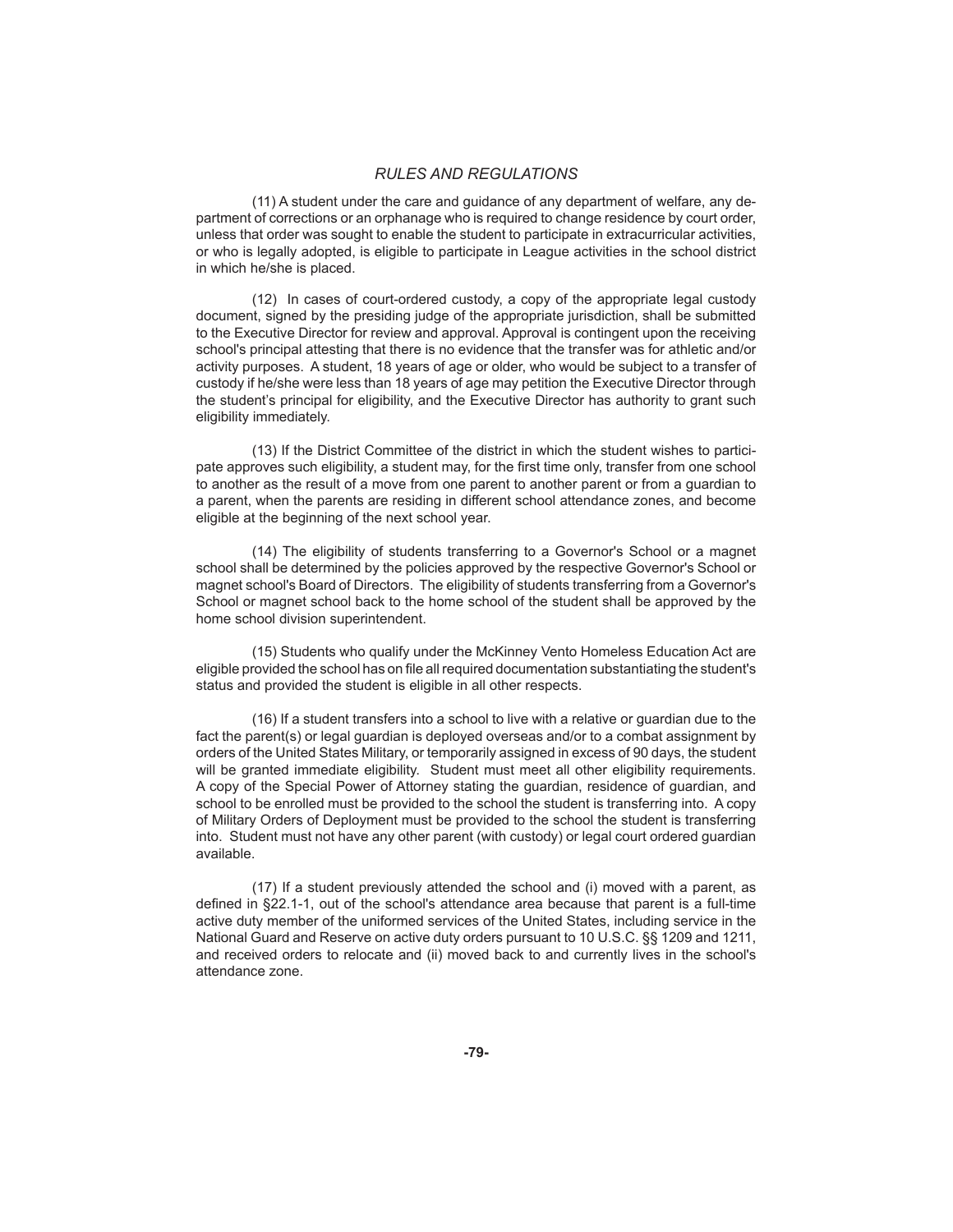(11) A student under the care and guidance of any department of welfare, any department of corrections or an orphanage who is required to change residence by court order, unless that order was sought to enable the student to participate in extracurricular activities, or who is legally adopted, is eligible to participate in League activities in the school district in which he/she is placed.

 (12) In cases of court-ordered custody, a copy of the appropriate legal custody document, signed by the presiding judge of the appropriate jurisdiction, shall be submitted to the Executive Director for review and approval. Approval is contingent upon the receiving school's principal attesting that there is no evidence that the transfer was for athletic and/or activity purposes. A student, 18 years of age or older, who would be subject to a transfer of custody if he/she were less than 18 years of age may petition the Executive Director through the student's principal for eligibility, and the Executive Director has authority to grant such eligibility immediately.

 (13) If the District Committee of the district in which the student wishes to participate approves such eligibility, a student may, for the first time only, transfer from one school to another as the result of a move from one parent to another parent or from a guardian to a parent, when the parents are residing in different school attendance zones, and become eligible at the beginning of the next school year.

 (14) The eligibility of students transferring to a Governor's School or a magnet school shall be determined by the policies approved by the respective Governor's School or magnet school's Board of Directors. The eligibility of students transferring from a Governor's School or magnet school back to the home school of the student shall be approved by the home school division superintendent.

 (15) Students who qualify under the McKinney Vento Homeless Education Act are eligible provided the school has on file all required documentation substantiating the student's status and provided the student is eligible in all other respects.

 (16) If a student transfers into a school to live with a relative or guardian due to the fact the parent(s) or legal guardian is deployed overseas and/or to a combat assignment by orders of the United States Military, or temporarily assigned in excess of 90 days, the student will be granted immediate eligibility. Student must meet all other eligibility requirements. A copy of the Special Power of Attorney stating the guardian, residence of guardian, and school to be enrolled must be provided to the school the student is transferring into. A copy of Military Orders of Deployment must be provided to the school the student is transferring into. Student must not have any other parent (with custody) or legal court ordered guardian available.

 (17) If a student previously attended the school and (i) moved with a parent, as defined in §22.1-1, out of the school's attendance area because that parent is a full-time active duty member of the uniformed services of the United States, including service in the National Guard and Reserve on active duty orders pursuant to 10 U.S.C. §§ 1209 and 1211, and received orders to relocate and (ii) moved back to and currently lives in the school's attendance zone.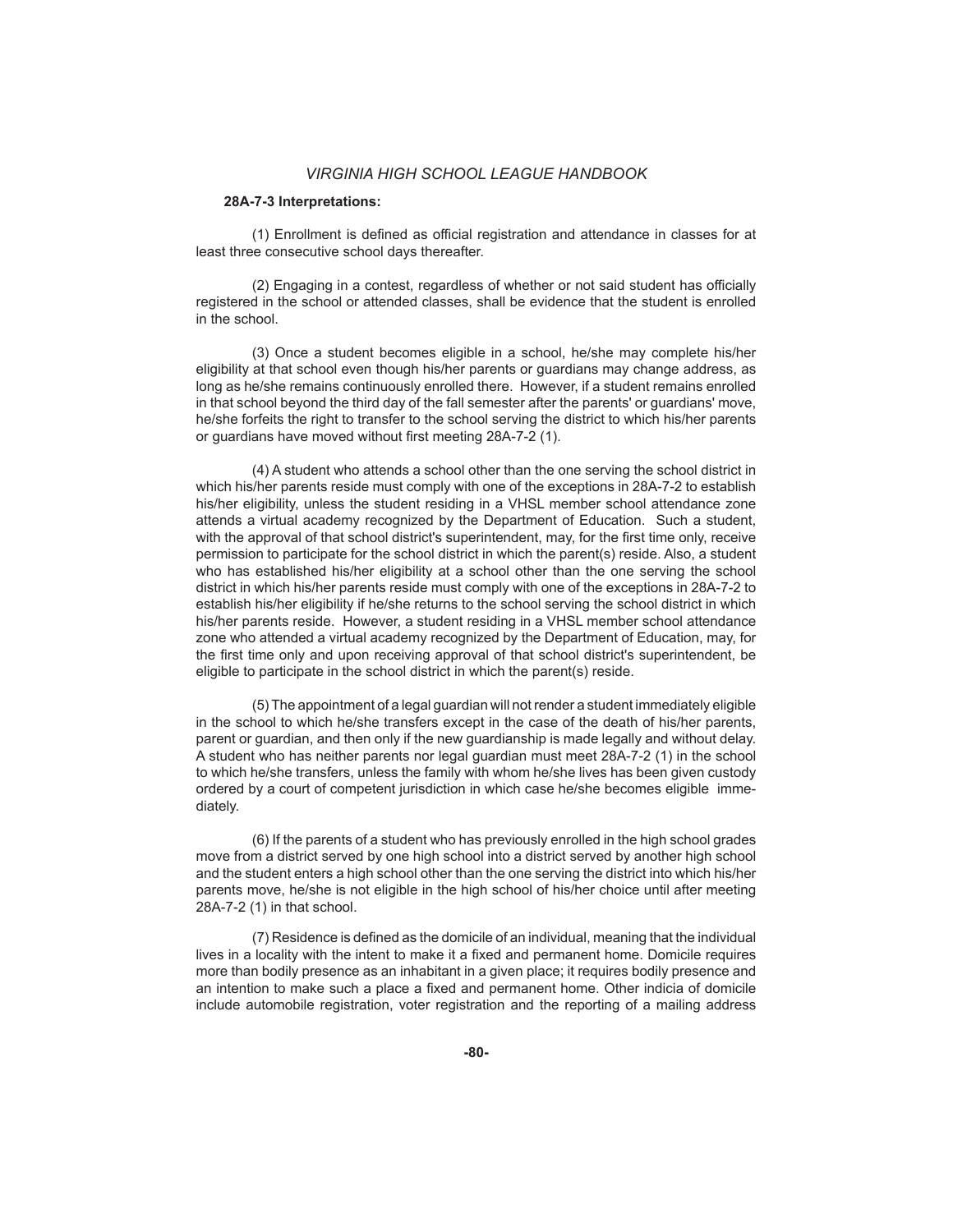#### **28A-7-3 Interpretations:**

(1) Enrollment is defined as official registration and attendance in classes for at least three consecutive school days thereafter.

(2) Engaging in a contest, regardless of whether or not said student has officially registered in the school or attended classes, shall be evidence that the student is enrolled in the school.

 (3) Once a student becomes eligible in a school, he/she may complete his/her eligibility at that school even though his/her parents or guardians may change address, as long as he/she remains continuously enrolled there. However, if a student remains enrolled in that school beyond the third day of the fall semester after the parents' or guardians' move, he/she forfeits the right to transfer to the school serving the district to which his/her parents or guardians have moved without first meeting 28A-7-2 (1).

 (4) A student who attends a school other than the one serving the school district in which his/her parents reside must comply with one of the exceptions in 28A-7-2 to establish his/her eligibility, unless the student residing in a VHSL member school attendance zone attends a virtual academy recognized by the Department of Education. Such a student, with the approval of that school district's superintendent, may, for the first time only, receive permission to participate for the school district in which the parent(s) reside. Also, a student who has established his/her eligibility at a school other than the one serving the school district in which his/her parents reside must comply with one of the exceptions in 28A-7-2 to establish his/her eligibility if he/she returns to the school serving the school district in which his/her parents reside. However, a student residing in a VHSL member school attendance zone who attended a virtual academy recognized by the Department of Education, may, for the first time only and upon receiving approval of that school district's superintendent, be eligible to participate in the school district in which the parent(s) reside.

 (5) The appointment of a legal guardian will not render a student immediately eligible in the school to which he/she transfers except in the case of the death of his/her parents, parent or guardian, and then only if the new guardianship is made legally and without delay. A student who has neither parents nor legal guardian must meet 28A-7-2 (1) in the school to which he/she transfers, unless the family with whom he/she lives has been given custody ordered by a court of competent jurisdiction in which case he/she becomes eligible immediately.

 (6) If the parents of a student who has previously enrolled in the high school grades move from a district served by one high school into a district served by another high school and the student enters a high school other than the one serving the district into which his/her parents move, he/she is not eligible in the high school of his/her choice until after meeting 28A-7-2 (1) in that school.

(7) Residence is defined as the domicile of an individual, meaning that the individual lives in a locality with the intent to make it a fixed and permanent home. Domicile requires more than bodily presence as an inhabitant in a given place; it requires bodily presence and an intention to make such a place a fixed and permanent home. Other indicia of domicile include automobile registration, voter registration and the reporting of a mailing address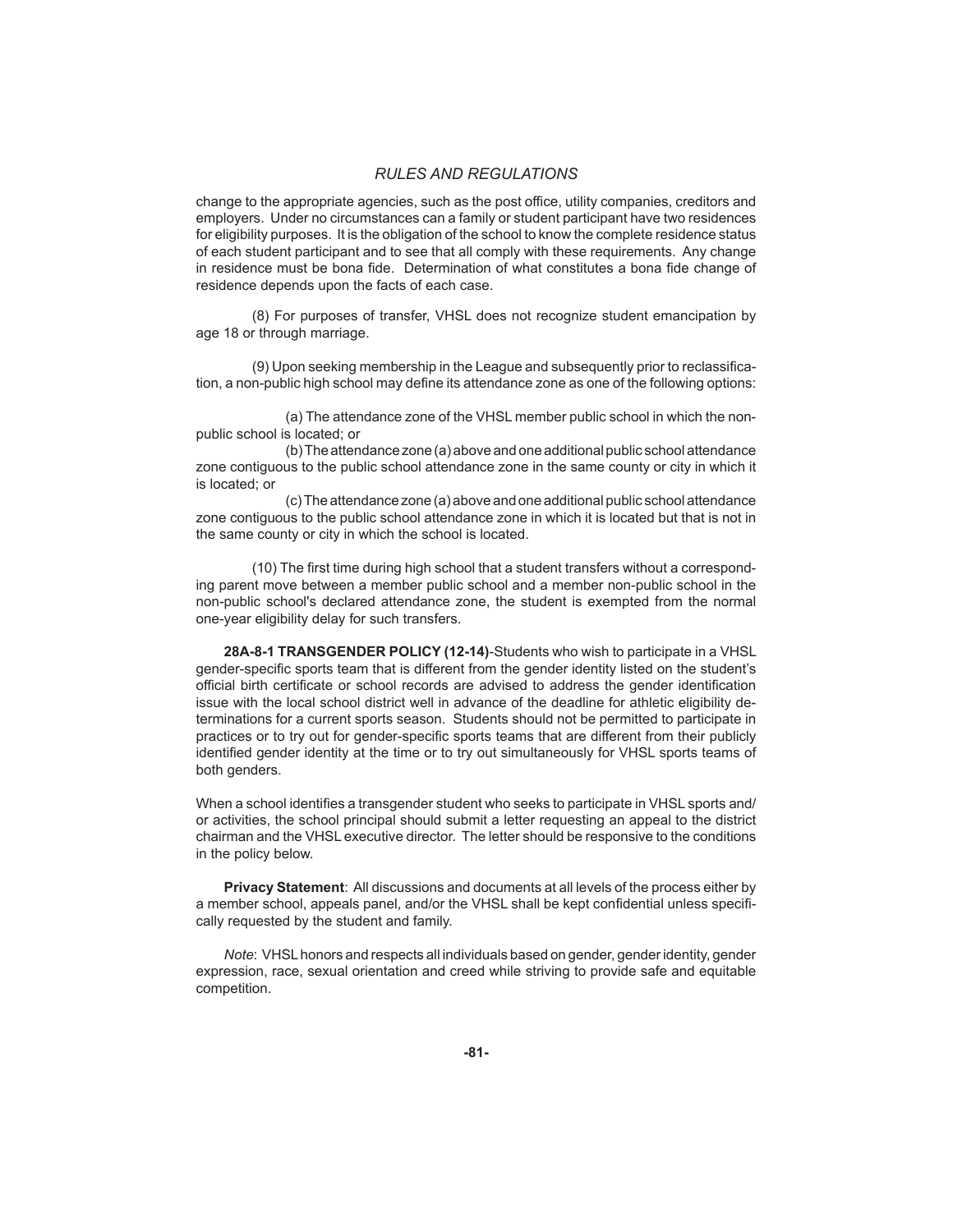change to the appropriate agencies, such as the post office, utility companies, creditors and employers. Under no circumstances can a family or student participant have two residences for eligibility purposes. It is the obligation of the school to know the complete residence status of each student participant and to see that all comply with these requirements. Any change in residence must be bona fide. Determination of what constitutes a bona fide change of residence depends upon the facts of each case.

 (8) For purposes of transfer, VHSL does not recognize student emancipation by age 18 or through marriage.

(9) Upon seeking membership in the League and subsequently prior to reclassification, a non-public high school may define its attendance zone as one of the following options:

 (a) The attendance zone of the VHSL member public school in which the nonpublic school is located; or

 (b) The attendance zone (a) above and one additional public school attendance zone contiguous to the public school attendance zone in the same county or city in which it is located; or

 (c) The attendance zone (a) above and one additional public school attendance zone contiguous to the public school attendance zone in which it is located but that is not in the same county or city in which the school is located.

(10) The first time during high school that a student transfers without a corresponding parent move between a member public school and a member non-public school in the non-public school's declared attendance zone, the student is exempted from the normal one-year eligibility delay for such transfers.

**28A-8-1 TRANSGENDER POLICY (12-14)**-Students who wish to participate in a VHSL gender-specific sports team that is different from the gender identity listed on the student's official birth certificate or school records are advised to address the gender identification issue with the local school district well in advance of the deadline for athletic eligibility determinations for a current sports season. Students should not be permitted to participate in practices or to try out for gender-specific sports teams that are different from their publicly identified gender identity at the time or to try out simultaneously for VHSL sports teams of both genders.

When a school identifies a transgender student who seeks to participate in VHSL sports and/ or activities, the school principal should submit a letter requesting an appeal to the district chairman and the VHSL executive director. The letter should be responsive to the conditions in the policy below.

**Privacy Statement**: All discussions and documents at all levels of the process either by a member school, appeals panel, and/or the VHSL shall be kept confidential unless specifically requested by the student and family.

*Note*: VHSL honors and respects all individuals based on gender, gender identity, gender expression, race, sexual orientation and creed while striving to provide safe and equitable competition.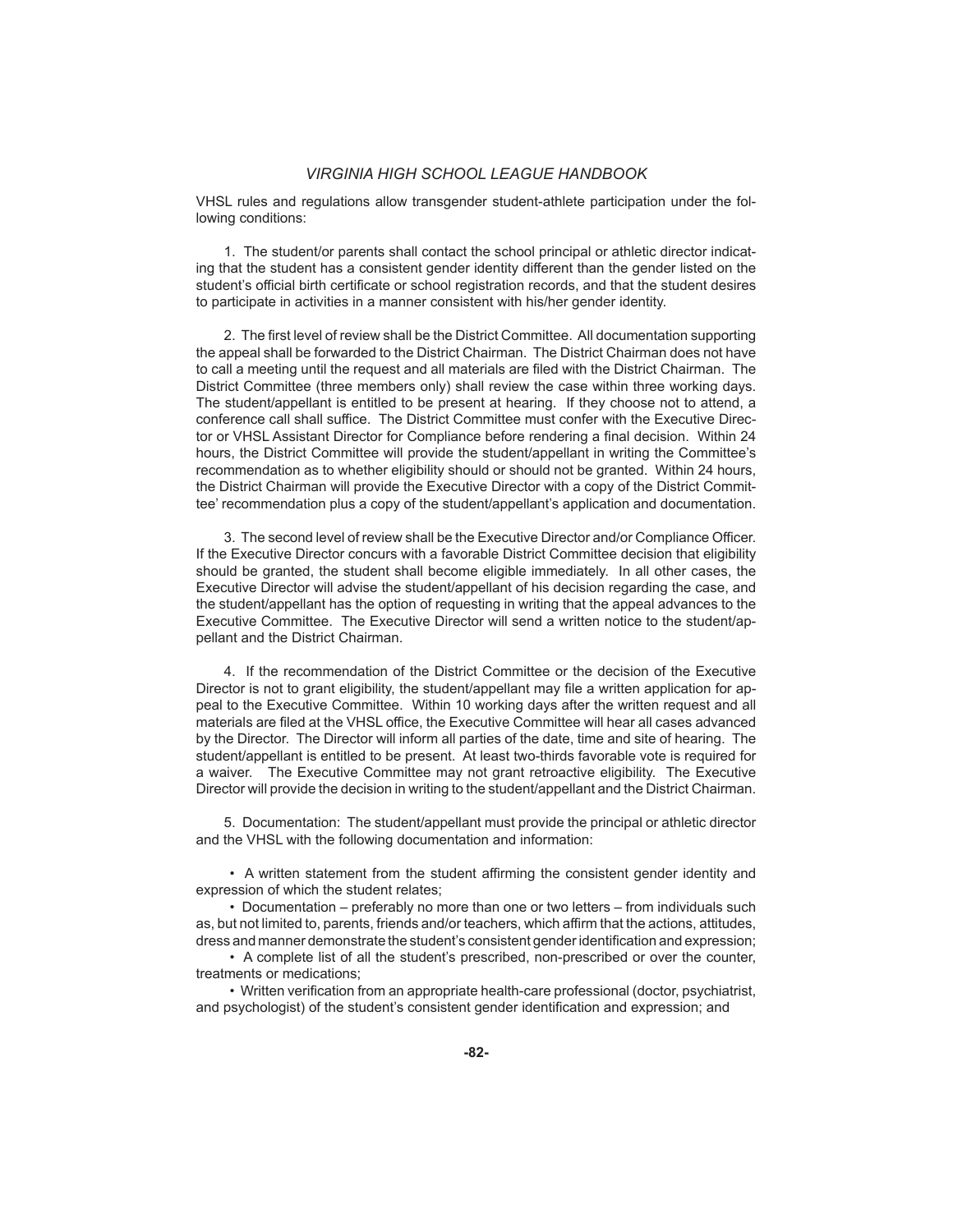VHSL rules and regulations allow transgender student-athlete participation under the following conditions:

 1. The student/or parents shall contact the school principal or athletic director indicating that the student has a consistent gender identity different than the gender listed on the student's official birth certificate or school registration records, and that the student desires to participate in activities in a manner consistent with his/her gender identity.

2. The first level of review shall be the District Committee. All documentation supporting the appeal shall be forwarded to the District Chairman. The District Chairman does not have to call a meeting until the request and all materials are filed with the District Chairman. The District Committee (three members only) shall review the case within three working days. The student/appellant is entitled to be present at hearing. If they choose not to attend, a conference call shall suffice. The District Committee must confer with the Executive Director or VHSL Assistant Director for Compliance before rendering a final decision. Within 24 hours, the District Committee will provide the student/appellant in writing the Committee's recommendation as to whether eligibility should or should not be granted. Within 24 hours, the District Chairman will provide the Executive Director with a copy of the District Committee' recommendation plus a copy of the student/appellant's application and documentation.

3. The second level of review shall be the Executive Director and/or Compliance Officer. If the Executive Director concurs with a favorable District Committee decision that eligibility should be granted, the student shall become eligible immediately. In all other cases, the Executive Director will advise the student/appellant of his decision regarding the case, and the student/appellant has the option of requesting in writing that the appeal advances to the Executive Committee. The Executive Director will send a written notice to the student/appellant and the District Chairman.

 4. If the recommendation of the District Committee or the decision of the Executive Director is not to grant eligibility, the student/appellant may file a written application for appeal to the Executive Committee. Within 10 working days after the written request and all materials are filed at the VHSL office, the Executive Committee will hear all cases advanced by the Director. The Director will inform all parties of the date, time and site of hearing. The student/appellant is entitled to be present. At least two-thirds favorable vote is required for a waiver. The Executive Committee may not grant retroactive eligibility. The Executive Director will provide the decision in writing to the student/appellant and the District Chairman.

 5. Documentation: The student/appellant must provide the principal or athletic director and the VHSL with the following documentation and information:

• A written statement from the student affirming the consistent gender identity and expression of which the student relates;

 • Documentation – preferably no more than one or two letters – from individuals such as, but not limited to, parents, friends and/or teachers, which affirm that the actions, attitudes, dress and manner demonstrate the student's consistent gender identification and expression;

 • A complete list of all the student's prescribed, non-prescribed or over the counter, treatments or medications;

• Written verification from an appropriate health-care professional (doctor, psychiatrist, and psychologist) of the student's consistent gender identification and expression; and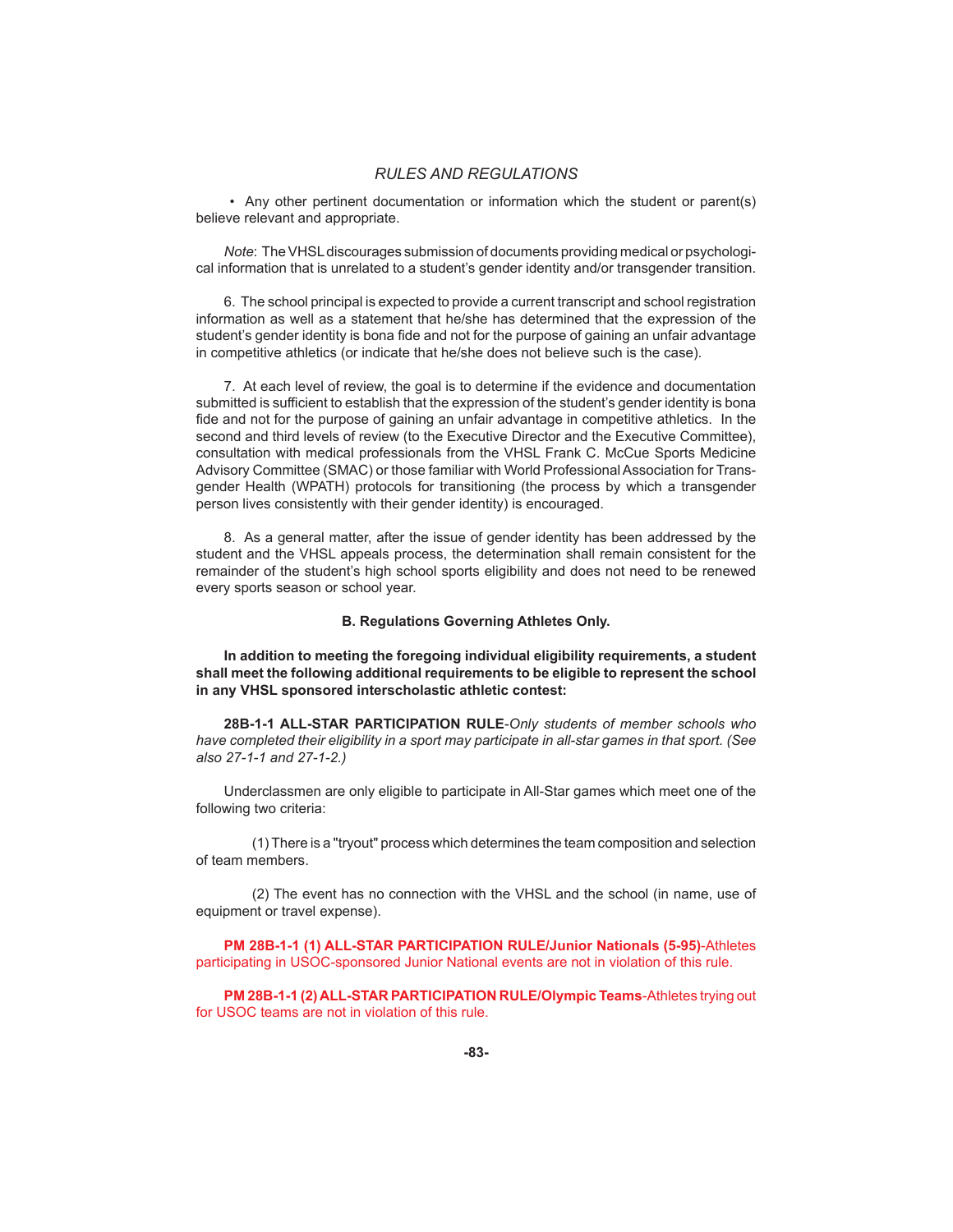• Any other pertinent documentation or information which the student or parent(s) believe relevant and appropriate.

 *Note*: The VHSL discourages submission of documents providing medical or psychological information that is unrelated to a student's gender identity and/or transgender transition.

 6. The school principal is expected to provide a current transcript and school registration information as well as a statement that he/she has determined that the expression of the student's gender identity is bona fide and not for the purpose of gaining an unfair advantage in competitive athletics (or indicate that he/she does not believe such is the case).

 7. At each level of review, the goal is to determine if the evidence and documentation submitted is sufficient to establish that the expression of the student's gender identity is bona fide and not for the purpose of gaining an unfair advantage in competitive athletics. In the second and third levels of review (to the Executive Director and the Executive Committee), consultation with medical professionals from the VHSL Frank C. McCue Sports Medicine Advisory Committee (SMAC) or those familiar with World Professional Association for Transgender Health (WPATH) protocols for transitioning (the process by which a transgender person lives consistently with their gender identity) is encouraged.

 8. As a general matter, after the issue of gender identity has been addressed by the student and the VHSL appeals process, the determination shall remain consistent for the remainder of the student's high school sports eligibility and does not need to be renewed every sports season or school year.

#### **B. Regulations Governing Athletes Only.**

 **In addition to meeting the foregoing individual eligibility requirements, a student shall meet the following additional requirements to be eligible to represent the school in any VHSL sponsored interscholastic athletic contest:**

**28B-1-1 ALL-STAR PARTICIPATION RULE**-*Only students of member schools who have completed their eligibility in a sport may participate in all-star games in that sport. (See also 27-1-1 and 27-1-2.)*

Underclassmen are only eligible to participate in All-Star games which meet one of the following two criteria:

 (1) There is a "tryout" process which determines the team composition and selection of team members.

 (2) The event has no connection with the VHSL and the school (in name, use of equipment or travel expense).

 **PM 28B-1-1 (1) ALL-STAR PARTICIPATION RULE/Junior Nationals (5-95)**-Athletes participating in USOC-sponsored Junior National events are not in violation of this rule.

 **PM 28B-1-1 (2) ALL-STAR PARTICIPATION RULE/Olympic Teams**-Athletes trying out for USOC teams are not in violation of this rule.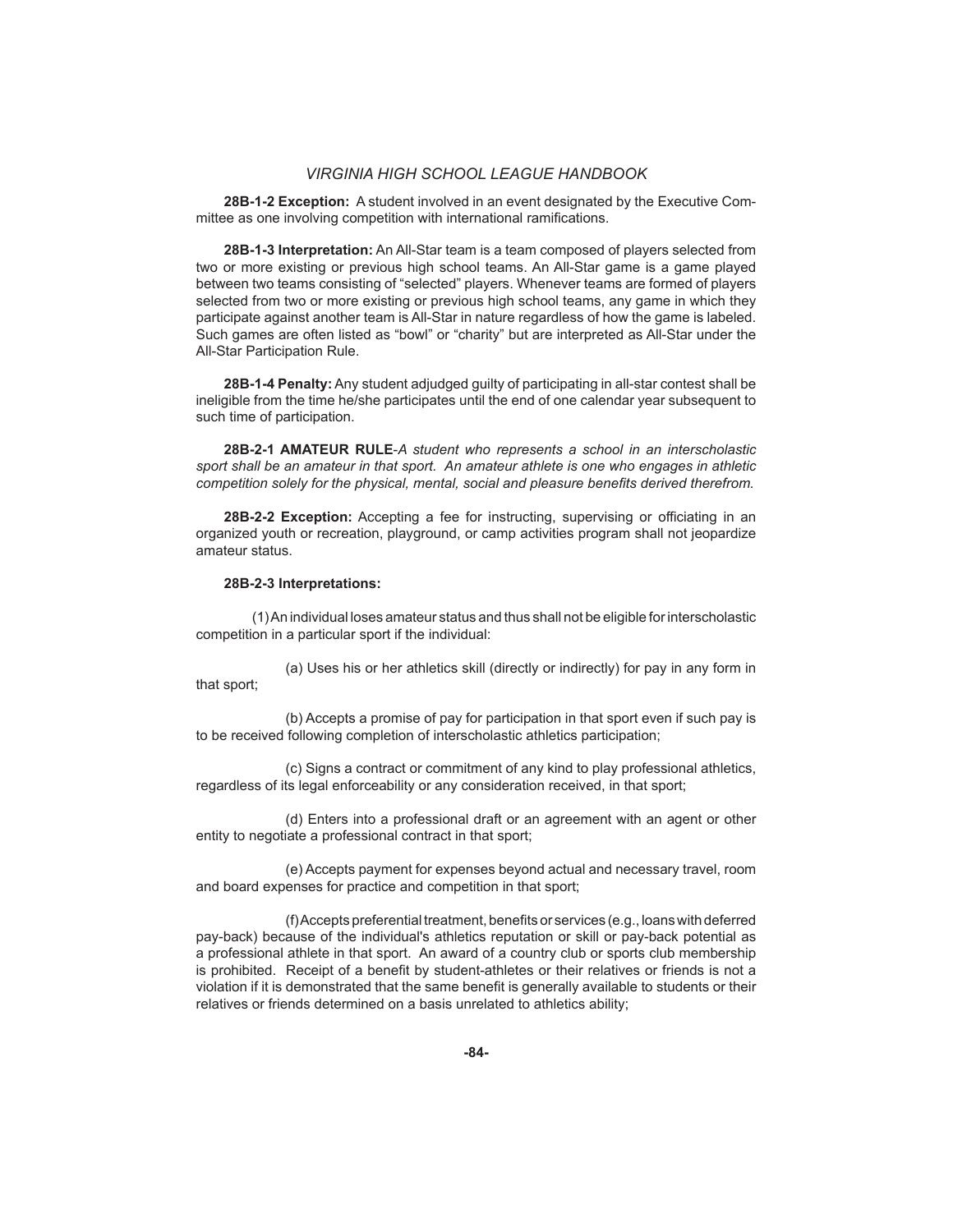**28B-1-2 Exception:** A student involved in an event designated by the Executive Committee as one involving competition with international ramifications.

**28B-1-3 Interpretation:** An All-Star team is a team composed of players selected from two or more existing or previous high school teams. An All-Star game is a game played between two teams consisting of "selected" players. Whenever teams are formed of players selected from two or more existing or previous high school teams, any game in which they participate against another team is All-Star in nature regardless of how the game is labeled. Such games are often listed as "bowl" or "charity" but are interpreted as All-Star under the All-Star Participation Rule.

**28B-1-4 Penalty:** Any student adjudged guilty of participating in all-star contest shall be ineligible from the time he/she participates until the end of one calendar year subsequent to such time of participation.

**28B-2-1 AMATEUR RULE**-*A student who represents a school in an interscholastic sport shall be an amateur in that sport. An amateur athlete is one who engages in athletic competition solely for the physical, mental, social and pleasure benefits derived therefrom.* 

**28B-2-2 Exception:** Accepting a fee for instructing, supervising or officiating in an organized youth or recreation, playground, or camp activities program shall not jeopardize amateur status.

#### **28B-2-3 Interpretations:**

 (1) An individual loses amateur status and thus shall not be eligible for interscholastic competition in a particular sport if the individual:

 (a) Uses his or her athletics skill (directly or indirectly) for pay in any form in that sport;

 (b) Accepts a promise of pay for participation in that sport even if such pay is to be received following completion of interscholastic athletics participation;

 (c) Signs a contract or commitment of any kind to play professional athletics, regardless of its legal enforceability or any consideration received, in that sport;

 (d) Enters into a professional draft or an agreement with an agent or other entity to negotiate a professional contract in that sport;

 (e) Accepts payment for expenses beyond actual and necessary travel, room and board expenses for practice and competition in that sport;

 (f) Accepts preferential treatment, benefi ts or services (e.g., loans with deferred pay-back) because of the individual's athletics reputation or skill or pay-back potential as a professional athlete in that sport. An award of a country club or sports club membership is prohibited. Receipt of a benefit by student-athletes or their relatives or friends is not a violation if it is demonstrated that the same benefit is generally available to students or their relatives or friends determined on a basis unrelated to athletics ability;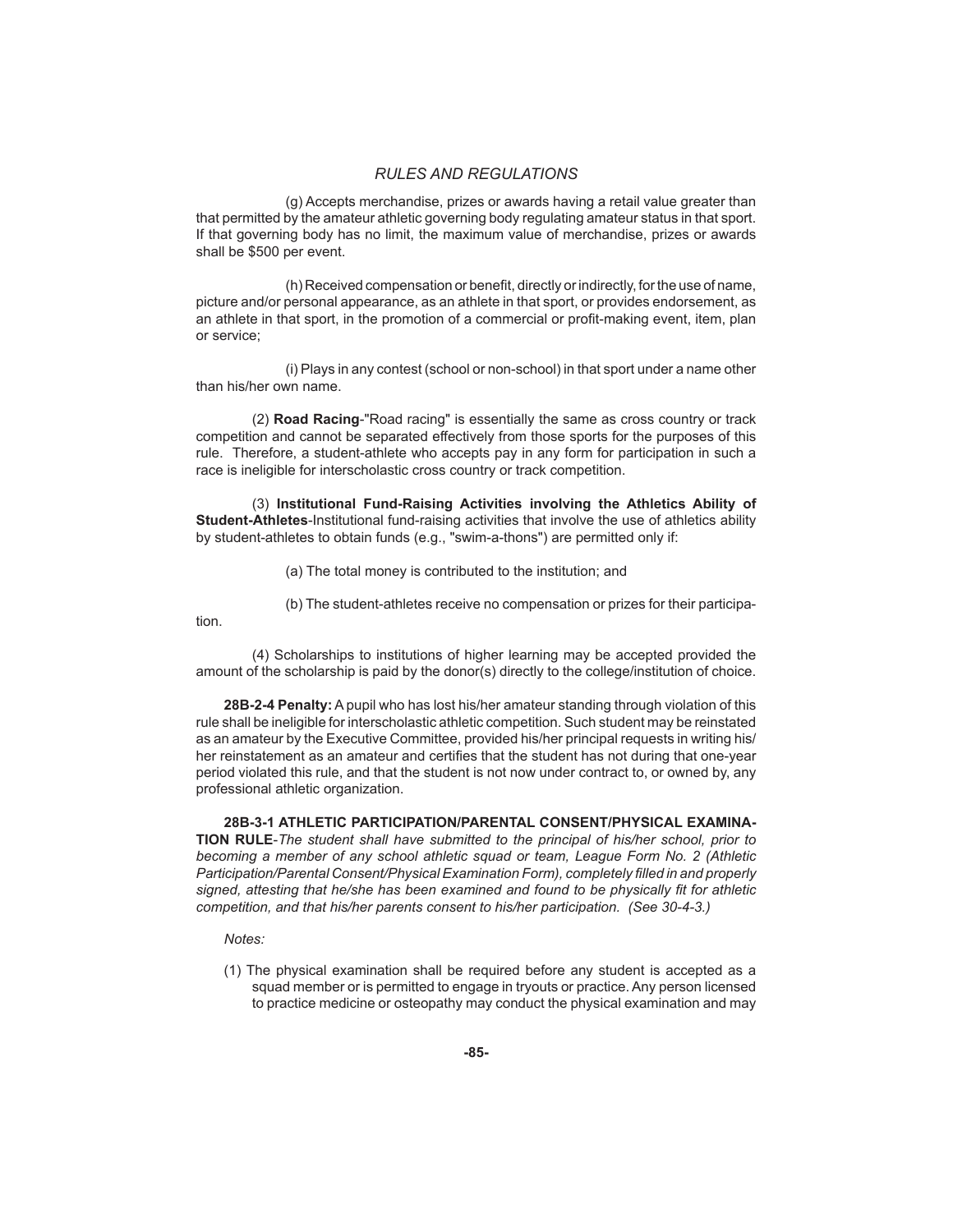(g) Accepts merchandise, prizes or awards having a retail value greater than that permitted by the amateur athletic governing body regulating amateur status in that sport. If that governing body has no limit, the maximum value of merchandise, prizes or awards shall be \$500 per event.

(h) Received compensation or benefit, directly or indirectly, for the use of name, picture and/or personal appearance, as an athlete in that sport, or provides endorsement, as an athlete in that sport, in the promotion of a commercial or profit-making event, item, plan or service;

 (i) Plays in any contest (school or non-school) in that sport under a name other than his/her own name.

 (2) **Road Racing**-"Road racing" is essentially the same as cross country or track competition and cannot be separated effectively from those sports for the purposes of this rule. Therefore, a student-athlete who accepts pay in any form for participation in such a race is ineligible for interscholastic cross country or track competition.

 (3) **Institutional Fund-Raising Activities involving the Athletics Ability of Student-Athletes**-Institutional fund-raising activities that involve the use of athletics ability by student-athletes to obtain funds (e.g., "swim-a-thons") are permitted only if:

(a) The total money is contributed to the institution; and

(b) The student-athletes receive no compensation or prizes for their participa-

tion.

 (4) Scholarships to institutions of higher learning may be accepted provided the amount of the scholarship is paid by the donor(s) directly to the college/institution of choice.

**28B-2-4 Penalty:** A pupil who has lost his/her amateur standing through violation of this rule shall be ineligible for interscholastic athletic competition. Such student may be reinstated as an amateur by the Executive Committee, provided his/her principal requests in writing his/ her reinstatement as an amateur and certifies that the student has not during that one-year period violated this rule, and that the student is not now under contract to, or owned by, any professional athletic organization.

**28B-3-1 ATHLETIC PARTICIPATION/PARENTAL CONSENT/PHYSICAL EXAMINA-TION RULE**-*The student shall have submitted to the principal of his/her school, prior to becoming a member of any school athletic squad or team, League Form No. 2 (Athletic*  Participation/Parental Consent/Physical Examination Form), completely filled in and properly signed, attesting that he/she has been examined and found to be physically fit for athletic *competition, and that his/her parents consent to his/her participation. (See 30-4-3.)*

 *Notes:*

 (1) The physical examination shall be required before any student is accepted as a squad member or is permitted to engage in tryouts or practice. Any person licensed to practice medicine or osteopathy may conduct the physical examination and may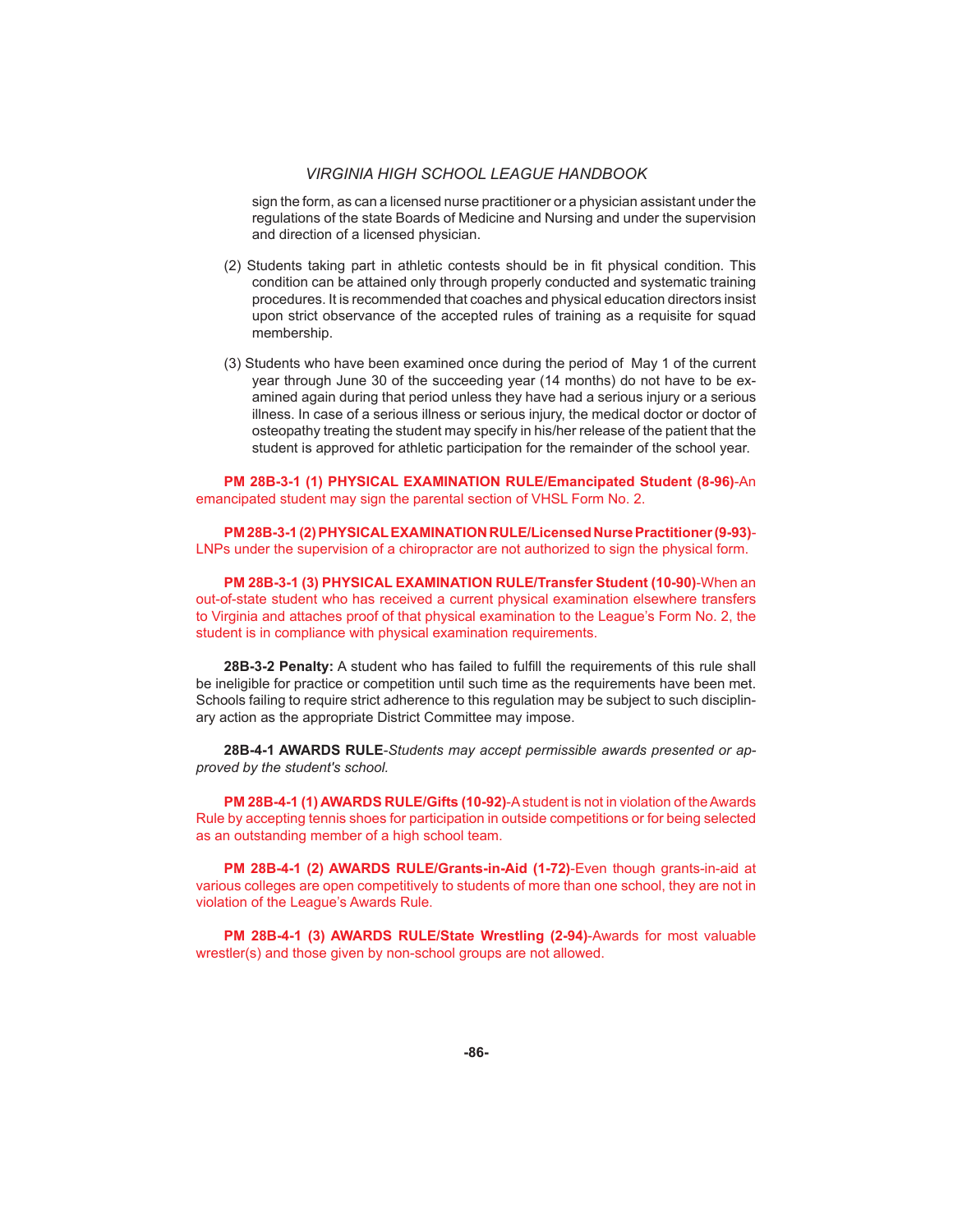sign the form, as can a licensed nurse practitioner or a physician assistant under the regulations of the state Boards of Medicine and Nursing and under the supervision and direction of a licensed physician.

- (2) Students taking part in athletic contests should be in fit physical condition. This condition can be attained only through properly conducted and systematic training procedures. It is recommended that coaches and physical education directors insist upon strict observance of the accepted rules of training as a requisite for squad membership.
- (3) Students who have been examined once during the period of May 1 of the current year through June 30 of the succeeding year (14 months) do not have to be examined again during that period unless they have had a serious injury or a serious illness. In case of a serious illness or serious injury, the medical doctor or doctor of osteopathy treating the student may specify in his/her release of the patient that the student is approved for athletic participation for the remainder of the school year.

 **PM 28B-3-1 (1) PHYSICAL EXAMINATION RULE/Emancipated Student (8-96)**-An emancipated student may sign the parental section of VHSL Form No. 2.

 **PM 28B-3-1 (2) PHYSICAL EXAMINATION RULE/Licensed Nurse Practitioner (9-93)**- LNPs under the supervision of a chiropractor are not authorized to sign the physical form.

 **PM 28B-3-1 (3) PHYSICAL EXAMINATION RULE/Transfer Student (10-90)**-When an out-of-state student who has received a current physical examination elsewhere transfers to Virginia and attaches proof of that physical examination to the League's Form No. 2, the student is in compliance with physical examination requirements.

28B-3-2 Penalty: A student who has failed to fulfill the requirements of this rule shall be ineligible for practice or competition until such time as the requirements have been met. Schools failing to require strict adherence to this regulation may be subject to such disciplinary action as the appropriate District Committee may impose.

**28B-4-1 AWARDS RULE**-*Students may accept permissible awards presented or approved by the student's school.*

 **PM 28B-4-1 (1) AWARDS RULE/Gifts (10-92)**-A student is not in violation of the Awards Rule by accepting tennis shoes for participation in outside competitions or for being selected as an outstanding member of a high school team.

 **PM 28B-4-1 (2) AWARDS RULE/Grants-in-Aid (1-72)**-Even though grants-in-aid at various colleges are open competitively to students of more than one school, they are not in violation of the League's Awards Rule.

 **PM 28B-4-1 (3) AWARDS RULE/State Wrestling (2-94)**-Awards for most valuable wrestler(s) and those given by non-school groups are not allowed.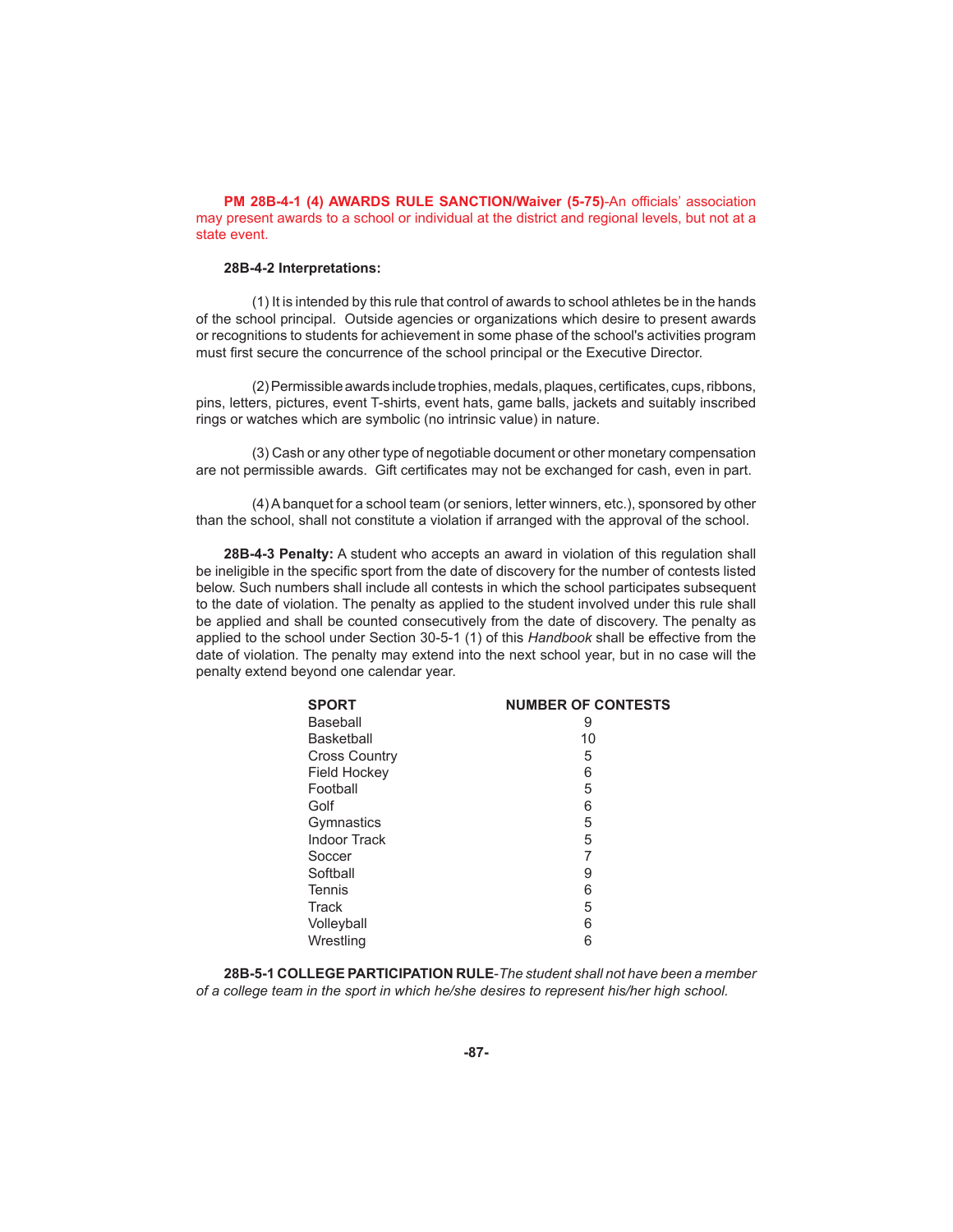**PM 28B-4-1 (4) AWARDS RULE SANCTION/Waiver (5-75)-An officials' association** may present awards to a school or individual at the district and regional levels, but not at a state event.

#### **28B-4-2 Interpretations:**

(1) It is intended by this rule that control of awards to school athletes be in the hands of the school principal. Outside agencies or organizations which desire to present awards or recognitions to students for achievement in some phase of the school's activities program must first secure the concurrence of the school principal or the Executive Director.

(2) Permissible awards include trophies, medals, plaques, certificates, cups, ribbons, pins, letters, pictures, event T-shirts, event hats, game balls, jackets and suitably inscribed rings or watches which are symbolic (no intrinsic value) in nature.

 (3) Cash or any other type of negotiable document or other monetary compensation are not permissible awards. Gift certificates may not be exchanged for cash, even in part.

 (4) A banquet for a school team (or seniors, letter winners, etc.), sponsored by other than the school, shall not constitute a violation if arranged with the approval of the school.

**28B-4-3 Penalty:** A student who accepts an award in violation of this regulation shall be ineligible in the specific sport from the date of discovery for the number of contests listed below. Such numbers shall include all contests in which the school participates subsequent to the date of violation. The penalty as applied to the student involved under this rule shall be applied and shall be counted consecutively from the date of discovery. The penalty as applied to the school under Section 30-5-1 (1) of this Handbook shall be effective from the date of violation. The penalty may extend into the next school year, but in no case will the penalty extend beyond one calendar year.

| <b>SPORT</b>         | <b>NUMBER OF CONTESTS</b> |
|----------------------|---------------------------|
| Baseball             | 9                         |
| <b>Basketball</b>    | 10                        |
| <b>Cross Country</b> | 5                         |
| Field Hockey         | 6                         |
| Football             | 5                         |
| Golf                 | 6                         |
| Gymnastics           | 5                         |
| <b>Indoor Track</b>  | 5                         |
| Soccer               |                           |
| Softball             | 9                         |
| <b>Tennis</b>        | 6                         |
| Track                | 5                         |
| Volleyball           | 6                         |
| Wrestling            | 6                         |

**28B-5-1 COLLEGE PARTICIPATION RULE**-*The student shall not have been a member of a college team in the sport in which he/she desires to represent his/her high school.*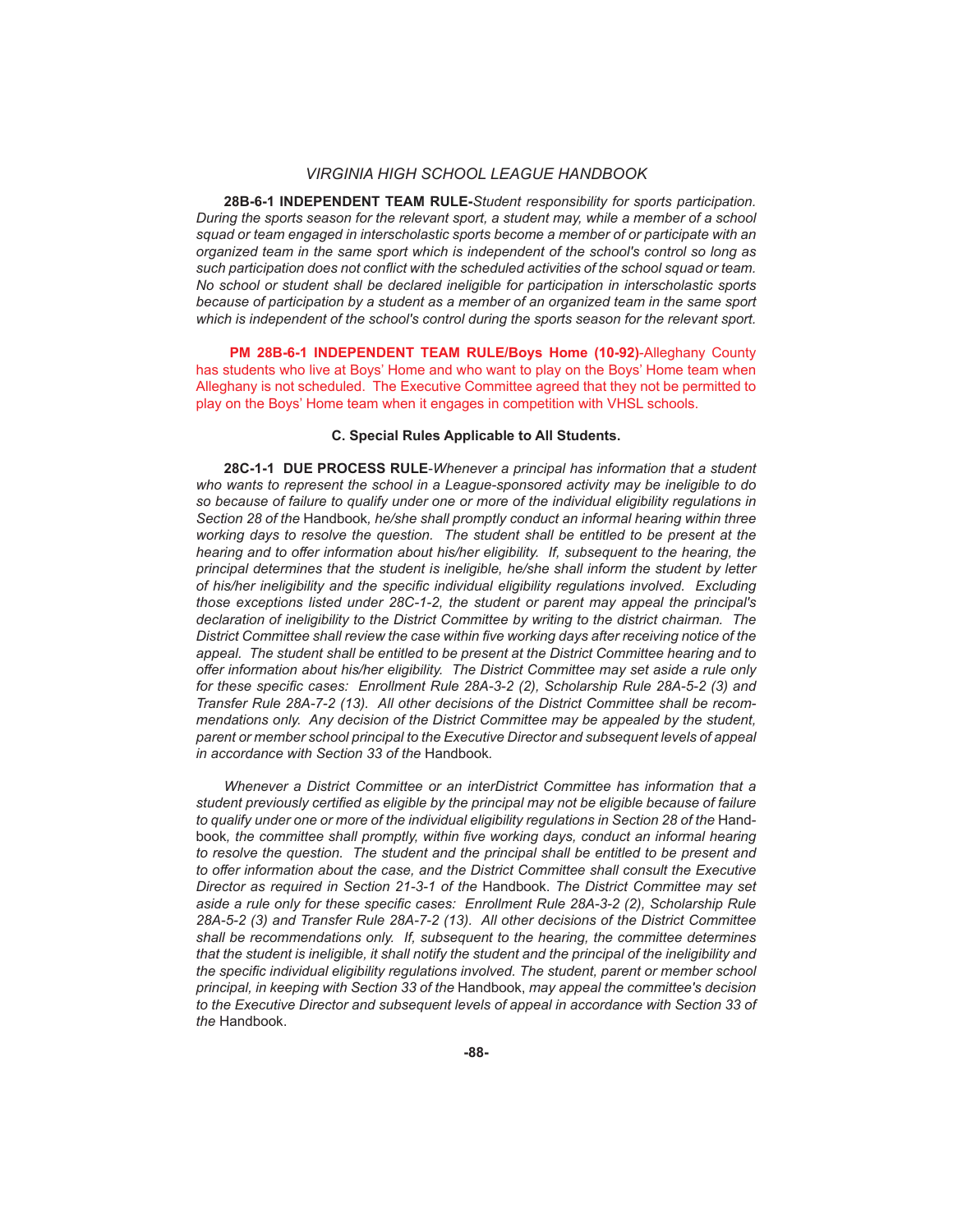**28B-6-1 INDEPENDENT TEAM RULE-***Student responsibility for sports participation. During the sports season for the relevant sport, a student may, while a member of a school squad or team engaged in interscholastic sports become a member of or participate with an organized team in the same sport which is independent of the school's control so long as*  such participation does not conflict with the scheduled activities of the school squad or team. *No school or student shall be declared ineligible for participation in interscholastic sports because of participation by a student as a member of an organized team in the same sport which is independent of the school's control during the sports season for the relevant sport.*

 **PM 28B-6-1 INDEPENDENT TEAM RULE/Boys Home (10-92)**-Alleghany County has students who live at Boys' Home and who want to play on the Boys' Home team when Alleghany is not scheduled. The Executive Committee agreed that they not be permitted to play on the Boys' Home team when it engages in competition with VHSL schools.

#### **C. Special Rules Applicable to All Students.**

**28C-1-1 DUE PROCESS RULE**-*Whenever a principal has information that a student who wants to represent the school in a League-sponsored activity may be ineligible to do so because of failure to qualify under one or more of the individual eligibility regulations in Section 28 of the* Handbook*, he/she shall promptly conduct an informal hearing within three working days to resolve the question. The student shall be entitled to be present at the*  hearing and to offer information about his/her eligibility. If, subsequent to the hearing, the *principal determines that the student is ineligible, he/she shall inform the student by letter*  of his/her ineligibility and the specific individual eligibility regulations involved. Excluding *those exceptions listed under 28C-1-2, the student or parent may appeal the principal's declaration of ineligibility to the District Committee by writing to the district chairman. The District Committee shall review the case within five working days after receiving notice of the appeal. The student shall be entitled to be present at the District Committee hearing and to off er information about his/her eligibility. The District Committee may set aside a rule only*  for these specific cases: Enrollment Rule 28A-3-2 (2), Scholarship Rule 28A-5-2 (3) and *Transfer Rule 28A-7-2 (13). All other decisions of the District Committee shall be recommendations only. Any decision of the District Committee may be appealed by the student, parent or member school principal to the Executive Director and subsequent levels of appeal in accordance with Section 33 of the* Handbook*.* 

 *Whenever a District Committee or an interDistrict Committee has information that a*  student previously certified as eligible by the principal may not be eligible because of failure to qualify under one or more of the individual eligibility regulations in Section 28 of the Handbook, the committee shall promptly, within five working days, conduct an informal hearing *to resolve the question. The student and the principal shall be entitled to be present and to off er information about the case, and the District Committee shall consult the Executive Director as required in Section 21-3-1 of the* Handbook. *The District Committee may set*  aside a rule only for these specific cases: Enrollment Rule 28A-3-2 (2), Scholarship Rule *28A-5-2 (3) and Transfer Rule 28A-7-2 (13). All other decisions of the District Committee shall be recommendations only. If, subsequent to the hearing, the committee determines that the student is ineligible, it shall notify the student and the principal of the ineligibility and*  the specific individual eligibility regulations involved. The student, parent or member school *principal, in keeping with Section 33 of the* Handbook, *may appeal the committee's decision to the Executive Director and subsequent levels of appeal in accordance with Section 33 of the* Handbook.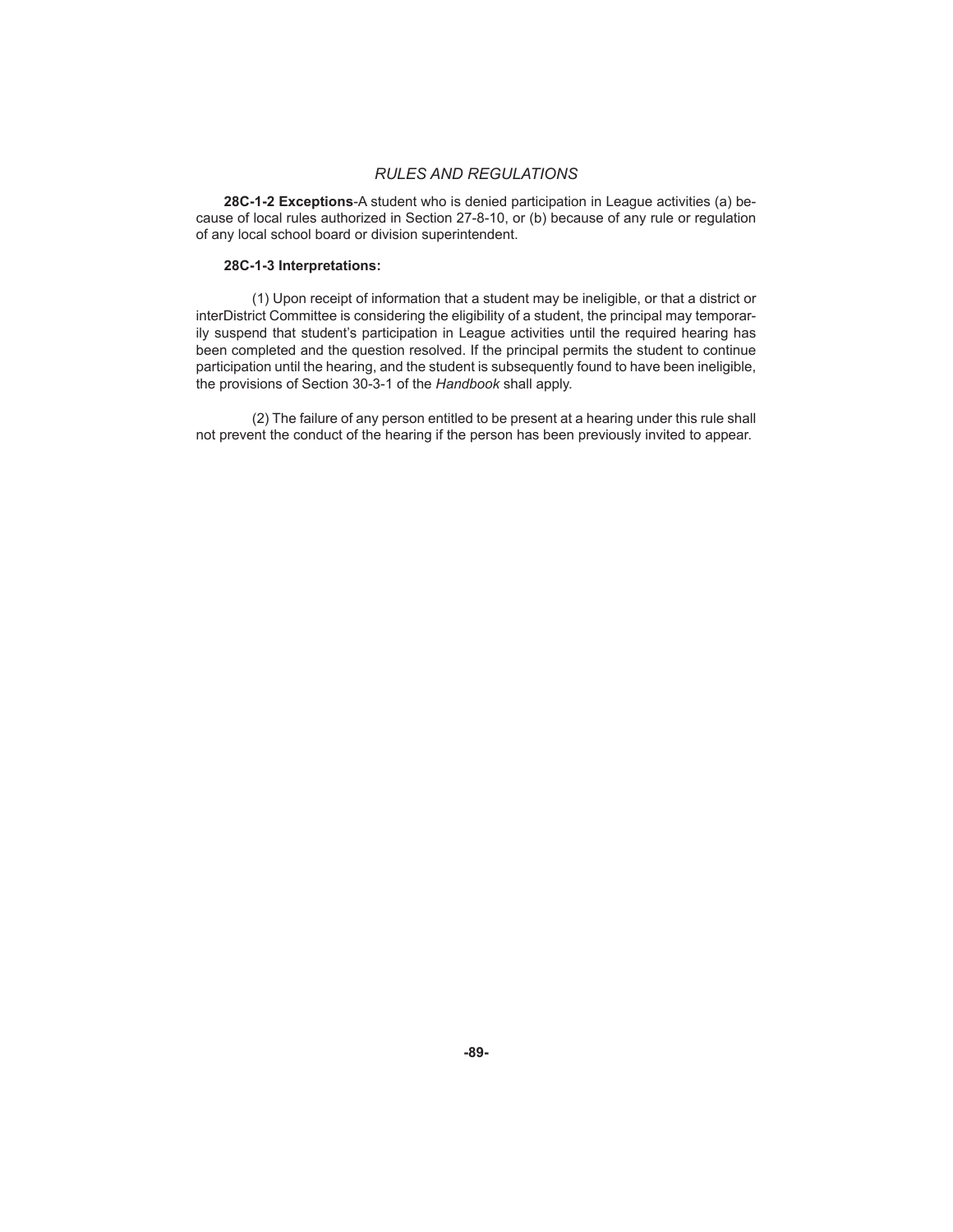**28C-1-2 Exceptions**-A student who is denied participation in League activities (a) because of local rules authorized in Section 27-8-10, or (b) because of any rule or regulation of any local school board or division superintendent.

#### **28C-1-3 Interpretations:**

 (1) Upon receipt of information that a student may be ineligible, or that a district or interDistrict Committee is considering the eligibility of a student, the principal may temporarily suspend that student's participation in League activities until the required hearing has been completed and the question resolved. If the principal permits the student to continue participation until the hearing, and the student is subsequently found to have been ineligible, the provisions of Section 30-3-1 of the *Handbook* shall apply.

 (2) The failure of any person entitled to be present at a hearing under this rule shall not prevent the conduct of the hearing if the person has been previously invited to appear.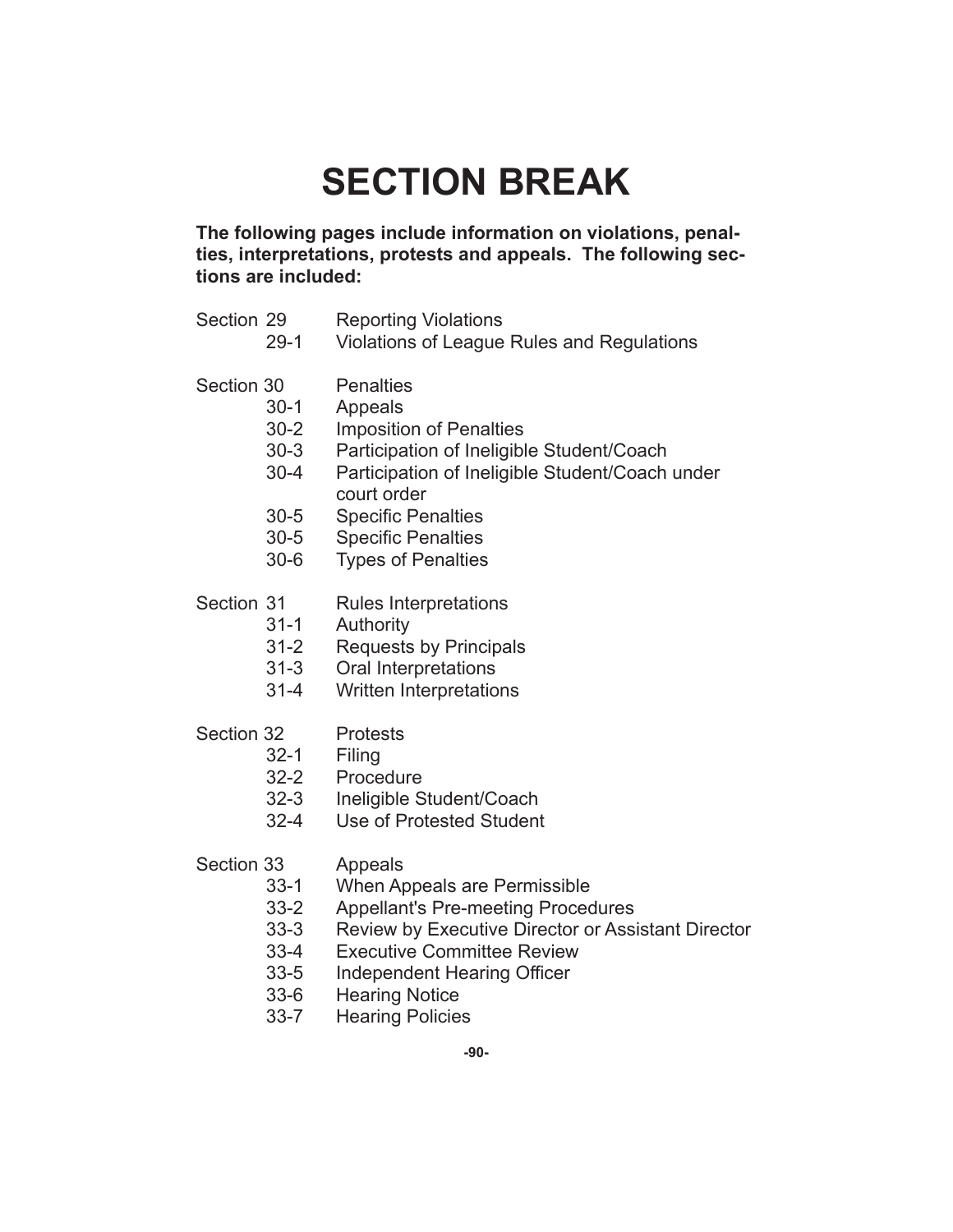## **SECTION BREAK**

**The following pages include information on violations, penalties, interpretations, protests and appeals. The following sections are included:**

- Section 29 Reporting Violations
	- 29-1 Violations of League Rules and Regulations

## Section 30 Penalties

- 30-1 Appeals
- 30-2 Imposition of Penalties
- 30-3 Participation of Ineligible Student/Coach
- 30-4 Participation of Ineligible Student/Coach under court order
- 30-5 Specific Penalties
- 30-5 Specific Penalties
- 30-6 Types of Penalties
- Section 31 Rules Interpretations
	- 31-1 Authority
	- 31-2 Requests by Principals
	- 31-3 Oral Interpretations
	- 31-4 Written Interpretations
- Section 32 Protests
	- 32-1 Filing
	- 32-2 Procedure
	- 32-3 Ineligible Student/Coach
	- 32-4 Use of Protested Student
- Section 33 Appeals
	- 33-1 When Appeals are Permissible
	- 33-2 Appellant's Pre-meeting Procedures
	- 33-3 Review by Executive Director or Assistant Director
	- 33-4 Executive Committee Review
	- 33-5 Independent Hearing Officer
	- 33-6 Hearing Notice
	- 33-7 Hearing Policies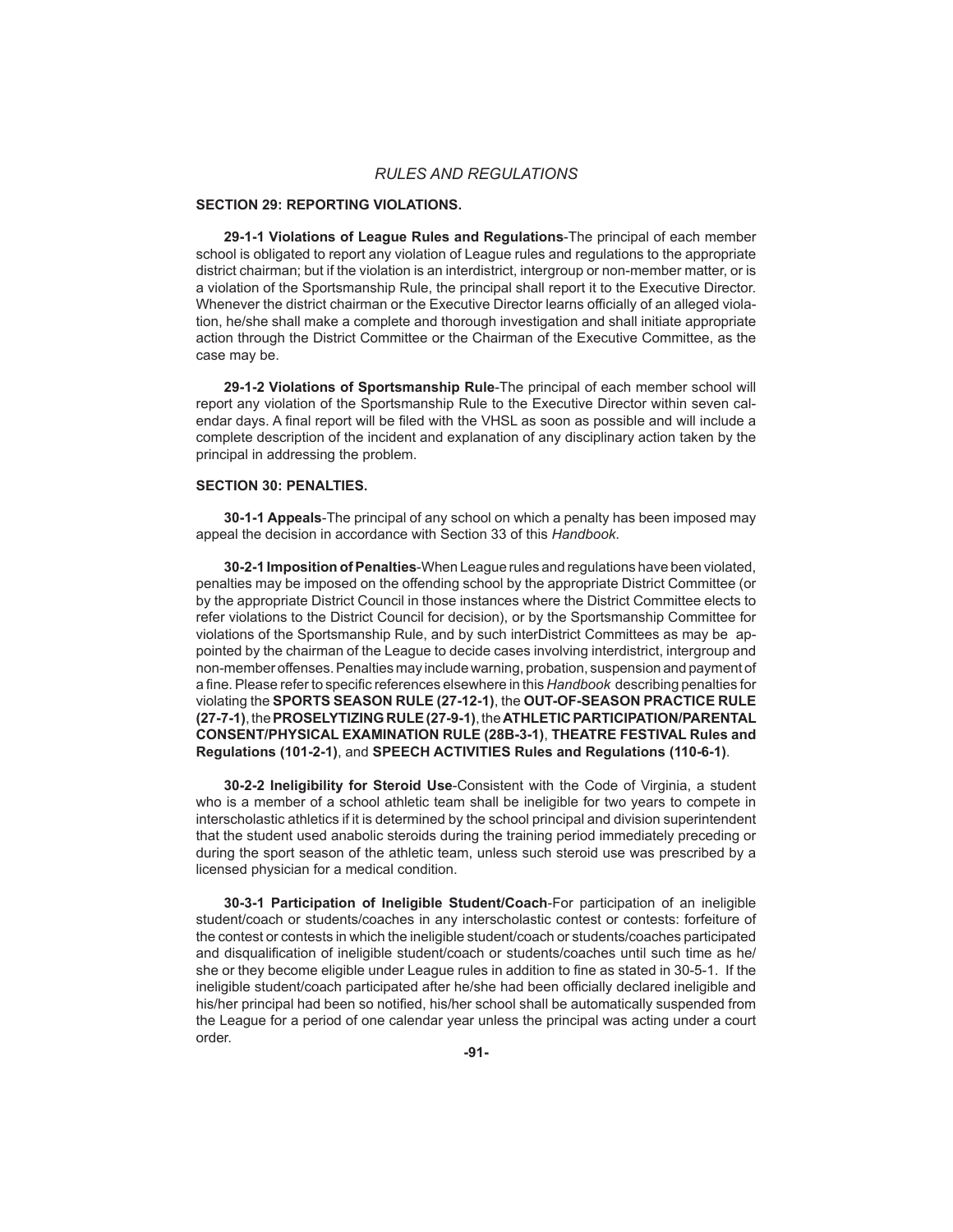#### **SECTION 29: REPORTING VIOLATIONS.**

**29-1-1 Violations of League Rules and Regulations**-The principal of each member school is obligated to report any violation of League rules and regulations to the appropriate district chairman; but if the violation is an interdistrict, intergroup or non-member matter, or is a violation of the Sportsmanship Rule, the principal shall report it to the Executive Director. Whenever the district chairman or the Executive Director learns officially of an alleged violation, he/she shall make a complete and thorough investigation and shall initiate appropriate action through the District Committee or the Chairman of the Executive Committee, as the case may be.

**29-1-2 Violations of Sportsmanship Rule**-The principal of each member school will report any violation of the Sportsmanship Rule to the Executive Director within seven calendar days. A final report will be filed with the VHSL as soon as possible and will include a complete description of the incident and explanation of any disciplinary action taken by the principal in addressing the problem.

#### **SECTION 30: PENALTIES.**

**30-1-1 Appeals**-The principal of any school on which a penalty has been imposed may appeal the decision in accordance with Section 33 of this *Handbook*.

**30-2-1 Imposition of Penalties**-When League rules and regulations have been violated, penalties may be imposed on the offending school by the appropriate District Committee (or by the appropriate District Council in those instances where the District Committee elects to refer violations to the District Council for decision), or by the Sportsmanship Committee for violations of the Sportsmanship Rule, and by such interDistrict Committees as may be appointed by the chairman of the League to decide cases involving interdistrict, intergroup and non-member offenses. Penalties may include warning, probation, suspension and payment of a fine. Please refer to specific references elsewhere in this Handbook describing penalties for violating the **SPORTS SEASON RULE (27-12-1)**, the **OUT-OF-SEASON PRACTICE RULE (27-7-1)**, the **PROSELYTIZING RULE (27-9-1)**, the **ATHLETIC PARTICIPATION/PARENTAL CONSENT/PHYSICAL EXAMINATION RULE (28B-3-1)**, **THEATRE FESTIVAL Rules and Regulations (101-2-1)**, and **SPEECH ACTIVITIES Rules and Regulations (110-6-1)**.

**30-2-2 Ineligibility for Steroid Use**-Consistent with the Code of Virginia, a student who is a member of a school athletic team shall be ineligible for two years to compete in interscholastic athletics if it is determined by the school principal and division superintendent that the student used anabolic steroids during the training period immediately preceding or during the sport season of the athletic team, unless such steroid use was prescribed by a licensed physician for a medical condition.

**30-3-1 Participation of Ineligible Student/Coach**-For participation of an ineligible student/coach or students/coaches in any interscholastic contest or contests: forfeiture of the contest or contests in which the ineligible student/coach or students/coaches participated and disqualification of ineligible student/coach or students/coaches until such time as he/ she or they become eligible under League rules in addition to fine as stated in 30-5-1. If the ineligible student/coach participated after he/she had been officially declared ineligible and his/her principal had been so notified, his/her school shall be automatically suspended from the League for a period of one calendar year unless the principal was acting under a court order.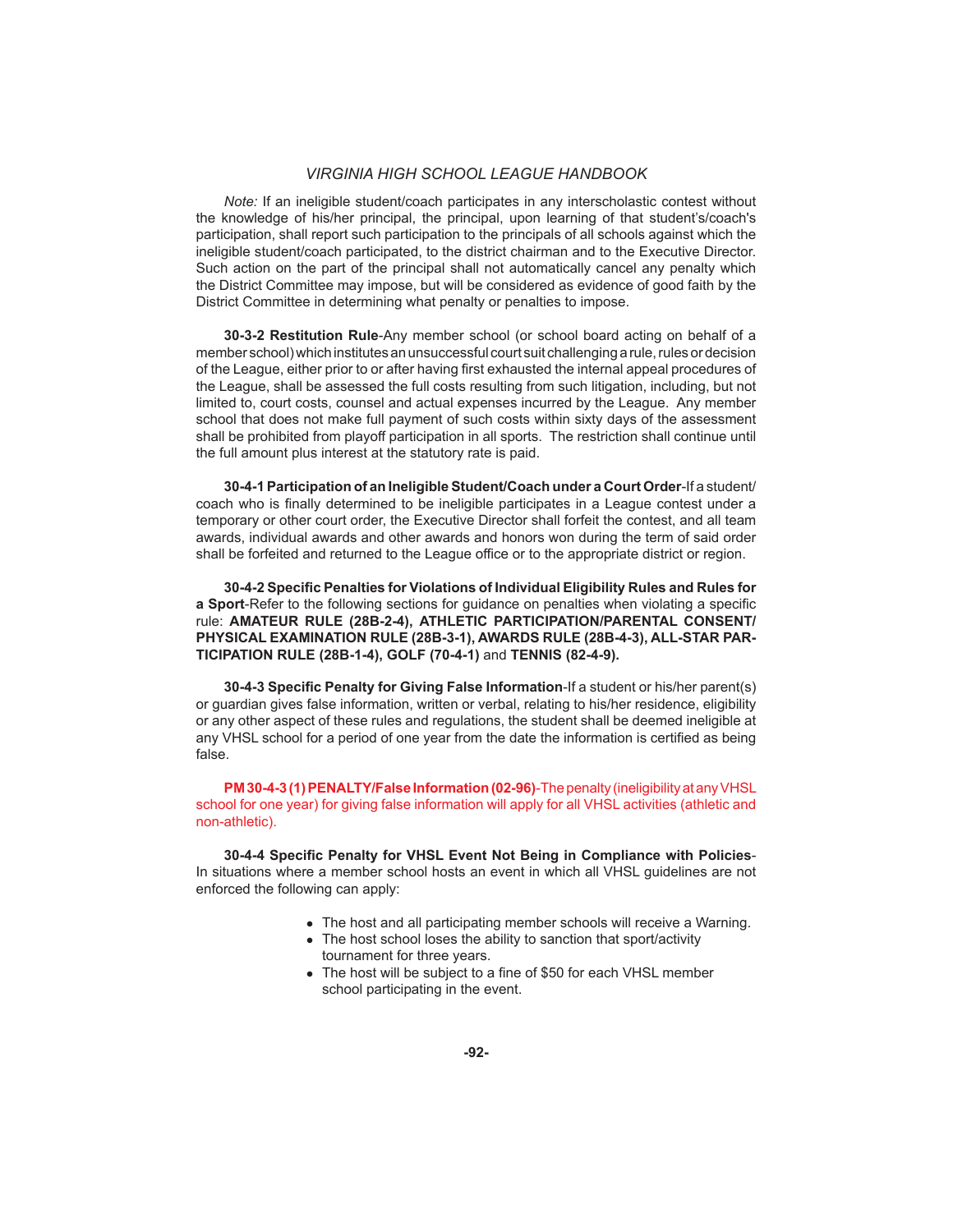*Note:* If an ineligible student/coach participates in any interscholastic contest without the knowledge of his/her principal, the principal, upon learning of that student's/coach's participation, shall report such participation to the principals of all schools against which the ineligible student/coach participated, to the district chairman and to the Executive Director. Such action on the part of the principal shall not automatically cancel any penalty which the District Committee may impose, but will be considered as evidence of good faith by the District Committee in determining what penalty or penalties to impose.

**30-3-2 Restitution Rule**-Any member school (or school board acting on behalf of a member school) which institutes an unsuccessful court suit challenging a rule, rules or decision of the League, either prior to or after having first exhausted the internal appeal procedures of the League, shall be assessed the full costs resulting from such litigation, including, but not limited to, court costs, counsel and actual expenses incurred by the League. Any member school that does not make full payment of such costs within sixty days of the assessment shall be prohibited from playoff participation in all sports. The restriction shall continue until the full amount plus interest at the statutory rate is paid.

**30-4-1 Participation of an Ineligible Student/Coach under a Court Order**-If a student/ coach who is finally determined to be ineligible participates in a League contest under a temporary or other court order, the Executive Director shall forfeit the contest, and all team awards, individual awards and other awards and honors won during the term of said order shall be forfeited and returned to the League office or to the appropriate district or region.

**30-4-2 Specifi c Penalties for Violations of Individual Eligibility Rules and Rules for a Sport-Refer to the following sections for guidance on penalties when violating a specific** rule: **AMATEUR RULE (28B-2-4), ATHLETIC PARTICIPATION/PARENTAL CONSENT/ PHYSICAL EXAMINATION RULE (28B-3-1), AWARDS RULE (28B-4-3), ALL-STAR PAR-TICIPATION RULE (28B-1-4), GOLF (70-4-1)** and **TENNIS (82-4-9).**

**30-4-3 Specifi c Penalty for Giving False Information**-If a student or his/her parent(s) or guardian gives false information, written or verbal, relating to his/her residence, eligibility or any other aspect of these rules and regulations, the student shall be deemed ineligible at any VHSL school for a period of one year from the date the information is certified as being false.

 **PM 30-4-3 (1) PENALTY/False Information (02-96)**-The penalty (ineligibility at any VHSL school for one year) for giving false information will apply for all VHSL activities (athletic and non-athletic).

**30-4-4 Specifi c Penalty for VHSL Event Not Being in Compliance with Policies**-In situations where a member school hosts an event in which all VHSL guidelines are not enforced the following can apply:

- The host and all participating member schools will receive a Warning.
- The host school loses the ability to sanction that sport/activity tournament for three years.
- The host will be subject to a fine of \$50 for each VHSL member school participating in the event.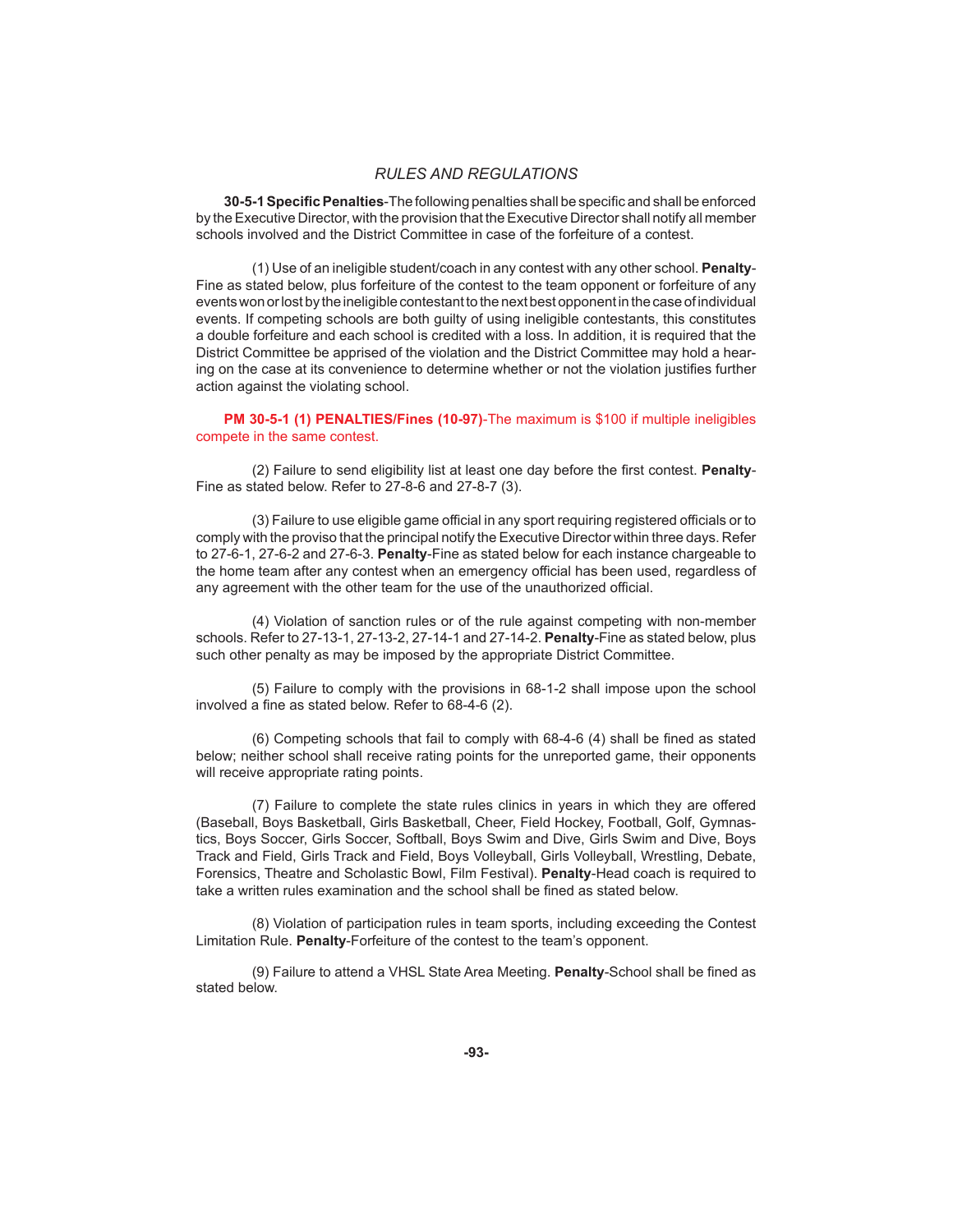**30-5-1 Specifi c Penalties**-The following penalties shall be specifi c and shall be enforced by the Executive Director, with the provision that the Executive Director shall notify all member schools involved and the District Committee in case of the forfeiture of a contest.

 (1) Use of an ineligible student/coach in any contest with any other school. **Penalty**-Fine as stated below, plus forfeiture of the contest to the team opponent or forfeiture of any events won or lost by the ineligible contestant to the next best opponent in the case of individual events. If competing schools are both guilty of using ineligible contestants, this constitutes a double forfeiture and each school is credited with a loss. In addition, it is required that the District Committee be apprised of the violation and the District Committee may hold a hearing on the case at its convenience to determine whether or not the violation justifies further action against the violating school.

#### **PM 30-5-1 (1) PENALTIES/Fines (10-97)**-The maximum is \$100 if multiple ineligibles compete in the same contest.

(2) Failure to send eligibility list at least one day before the first contest. Penalty-Fine as stated below. Refer to 27-8-6 and 27-8-7 (3).

(3) Failure to use eligible game official in any sport requiring registered officials or to comply with the proviso that the principal notify the Executive Director within three days. Refer to 27-6-1, 27-6-2 and 27-6-3. **Penalty**-Fine as stated below for each instance chargeable to the home team after any contest when an emergency official has been used, regardless of any agreement with the other team for the use of the unauthorized official.

 (4) Violation of sanction rules or of the rule against competing with non-member schools. Refer to 27-13-1, 27-13-2, 27-14-1 and 27-14-2. **Penalty**-Fine as stated below, plus such other penalty as may be imposed by the appropriate District Committee.

 (5) Failure to comply with the provisions in 68-1-2 shall impose upon the school involved a fine as stated below. Refer to 68-4-6 (2).

 $(6)$  Competing schools that fail to comply with  $68-4-6$   $(4)$  shall be fined as stated below; neither school shall receive rating points for the unreported game, their opponents will receive appropriate rating points.

(7) Failure to complete the state rules clinics in years in which they are offered (Baseball, Boys Basketball, Girls Basketball, Cheer, Field Hockey, Football, Golf, Gymnastics, Boys Soccer, Girls Soccer, Softball, Boys Swim and Dive, Girls Swim and Dive, Boys Track and Field, Girls Track and Field, Boys Volleyball, Girls Volleyball, Wrestling, Debate, Forensics, Theatre and Scholastic Bowl, Film Festival). **Penalty**-Head coach is required to take a written rules examination and the school shall be fined as stated below.

 (8) Violation of participation rules in team sports, including exceeding the Contest Limitation Rule. **Penalty**-Forfeiture of the contest to the team's opponent.

(9) Failure to attend a VHSL State Area Meeting. **Penalty-**School shall be fined as stated below.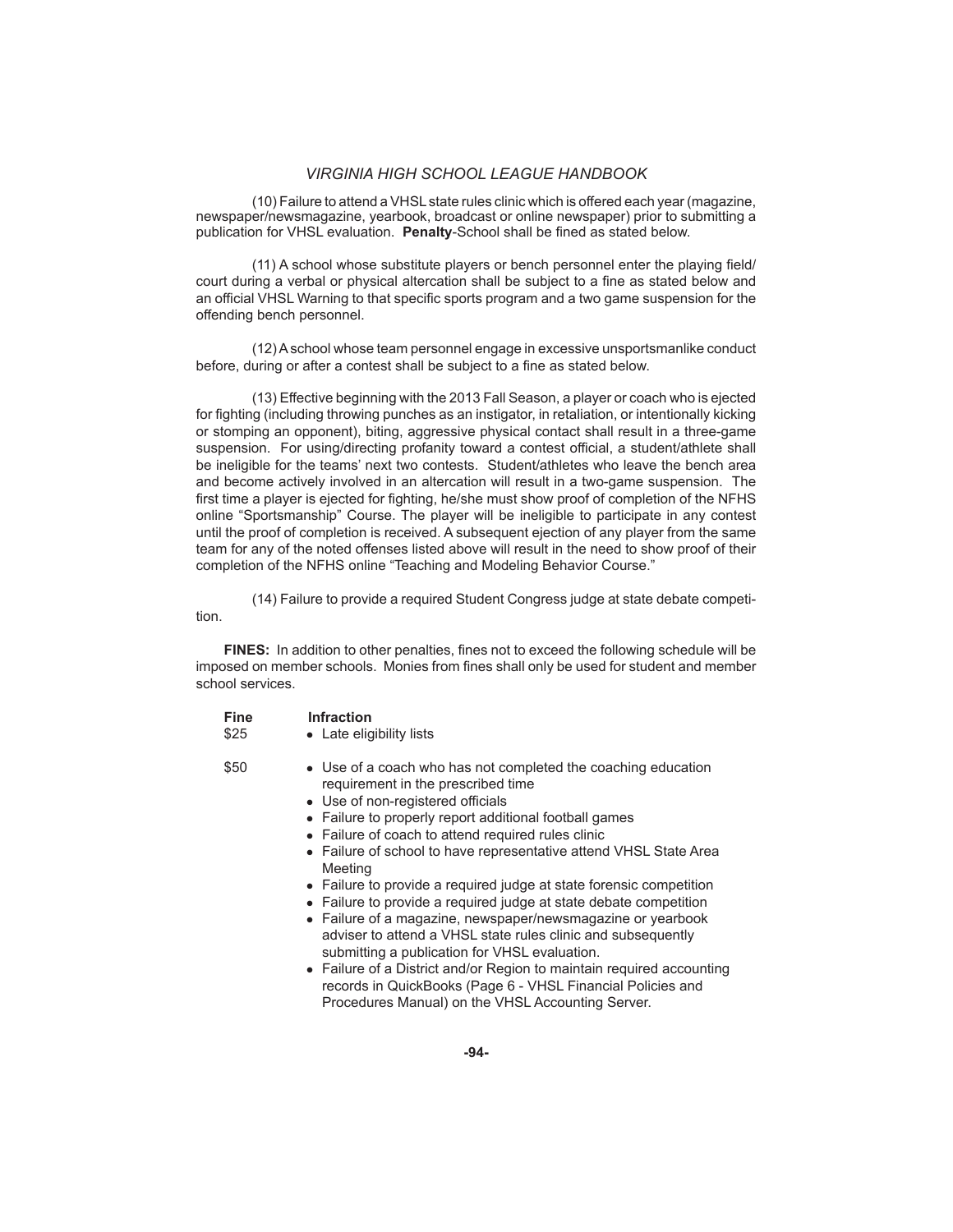(10) Failure to attend a VHSL state rules clinic which is off ered each year (magazine, newspaper/newsmagazine, yearbook, broadcast or online newspaper) prior to submitting a publication for VHSL evaluation. Penalty-School shall be fined as stated below.

(11) A school whose substitute players or bench personnel enter the playing field/ court during a verbal or physical altercation shall be subject to a fine as stated below and an official VHSL Warning to that specific sports program and a two game suspension for the offending bench personnel.

 (12) A school whose team personnel engage in excessive unsportsmanlike conduct before, during or after a contest shall be subject to a fine as stated below.

 $(13)$  Effective beginning with the 2013 Fall Season, a player or coach who is ejected for fighting (including throwing punches as an instigator, in retaliation, or intentionally kicking or stomping an opponent), biting, aggressive physical contact shall result in a three-game suspension. For using/directing profanity toward a contest official, a student/athlete shall be ineligible for the teams' next two contests. Student/athletes who leave the bench area and become actively involved in an altercation will result in a two-game suspension. The first time a player is ejected for fighting, he/she must show proof of completion of the NFHS online "Sportsmanship" Course. The player will be ineligible to participate in any contest until the proof of completion is received. A subsequent ejection of any player from the same team for any of the noted offenses listed above will result in the need to show proof of their completion of the NFHS online "Teaching and Modeling Behavior Course."

 (14) Failure to provide a required Student Congress judge at state debate competition.

**FINES:** In addition to other penalties, fines not to exceed the following schedule will be imposed on member schools. Monies from fines shall only be used for student and member school services.

| <b>Fine</b><br>\$25 | <b>Infraction</b><br>• Late eligibility lists                                                                                                                                                                                                                                                                                                                                                                                                                                                                                                                                                                                                                                                                                                                                                                                                                     |
|---------------------|-------------------------------------------------------------------------------------------------------------------------------------------------------------------------------------------------------------------------------------------------------------------------------------------------------------------------------------------------------------------------------------------------------------------------------------------------------------------------------------------------------------------------------------------------------------------------------------------------------------------------------------------------------------------------------------------------------------------------------------------------------------------------------------------------------------------------------------------------------------------|
| \$50                | • Use of a coach who has not completed the coaching education<br>requirement in the prescribed time<br>• Use of non-registered officials<br>• Failure to properly report additional football games<br>• Failure of coach to attend required rules clinic<br>• Failure of school to have representative attend VHSL State Area<br>Meeting<br>• Failure to provide a required judge at state forensic competition<br>• Failure to provide a required judge at state debate competition<br>• Failure of a magazine, newspaper/newsmagazine or yearbook<br>adviser to attend a VHSL state rules clinic and subsequently<br>submitting a publication for VHSL evaluation.<br>• Failure of a District and/or Region to maintain required accounting<br>records in QuickBooks (Page 6 - VHSL Financial Policies and<br>Procedures Manual) on the VHSL Accounting Server. |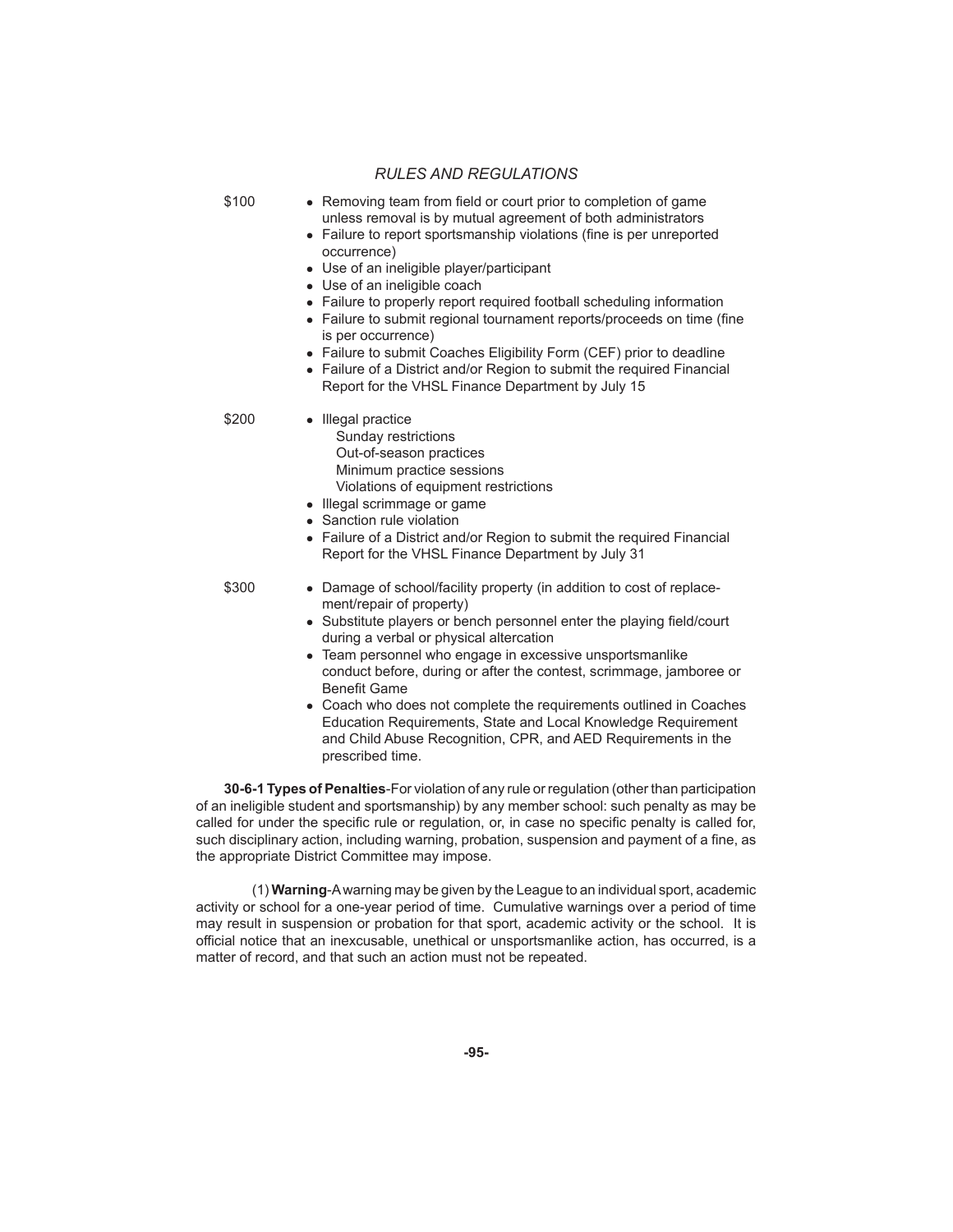- \$100 Removing team from field or court prior to completion of game unless removal is by mutual agreement of both administrators
	- Failure to report sportsmanship violations (fine is per unreported occurrence)
	- Use of an ineligible player/participant
	- Use of an ineligible coach
	- Failure to properly report required football scheduling information
	- Failure to submit regional tournament reports/proceeds on time (fine is per occurrence)
	- Failure to submit Coaches Eligibility Form (CEF) prior to deadline
	- Failure of a District and/or Region to submit the required Financial Report for the VHSL Finance Department by July 15

- \$200 · Illegal practice
	- Sunday restrictions
	- Out-of-season practices
	- Minimum practice sessions
	- Violations of equipment restrictions
	- Illegal scrimmage or game
	- Sanction rule violation
	- Failure of a District and/or Region to submit the required Financial Report for the VHSL Finance Department by July 31

\$300 • Damage of school/facility property (in addition to cost of replacement/repair of property)

- Substitute players or bench personnel enter the playing field/court during a verbal or physical altercation
- Team personnel who engage in excessive unsportsmanlike conduct before, during or after the contest, scrimmage, jamboree or **Benefit Game**
- Coach who does not complete the requirements outlined in Coaches Education Requirements, State and Local Knowledge Requirement and Child Abuse Recognition, CPR, and AED Requirements in the prescribed time.

**30-6-1 Types of Penalties**-For violation of any rule or regulation (other than participation of an ineligible student and sportsmanship) by any member school: such penalty as may be called for under the specific rule or regulation, or, in case no specific penalty is called for, such disciplinary action, including warning, probation, suspension and payment of a fine, as the appropriate District Committee may impose.

 (1) **Warning**-A warning may be given by the League to an individual sport, academic activity or school for a one-year period of time. Cumulative warnings over a period of time may result in suspension or probation for that sport, academic activity or the school. It is official notice that an inexcusable, unethical or unsportsmanlike action, has occurred, is a matter of record, and that such an action must not be repeated.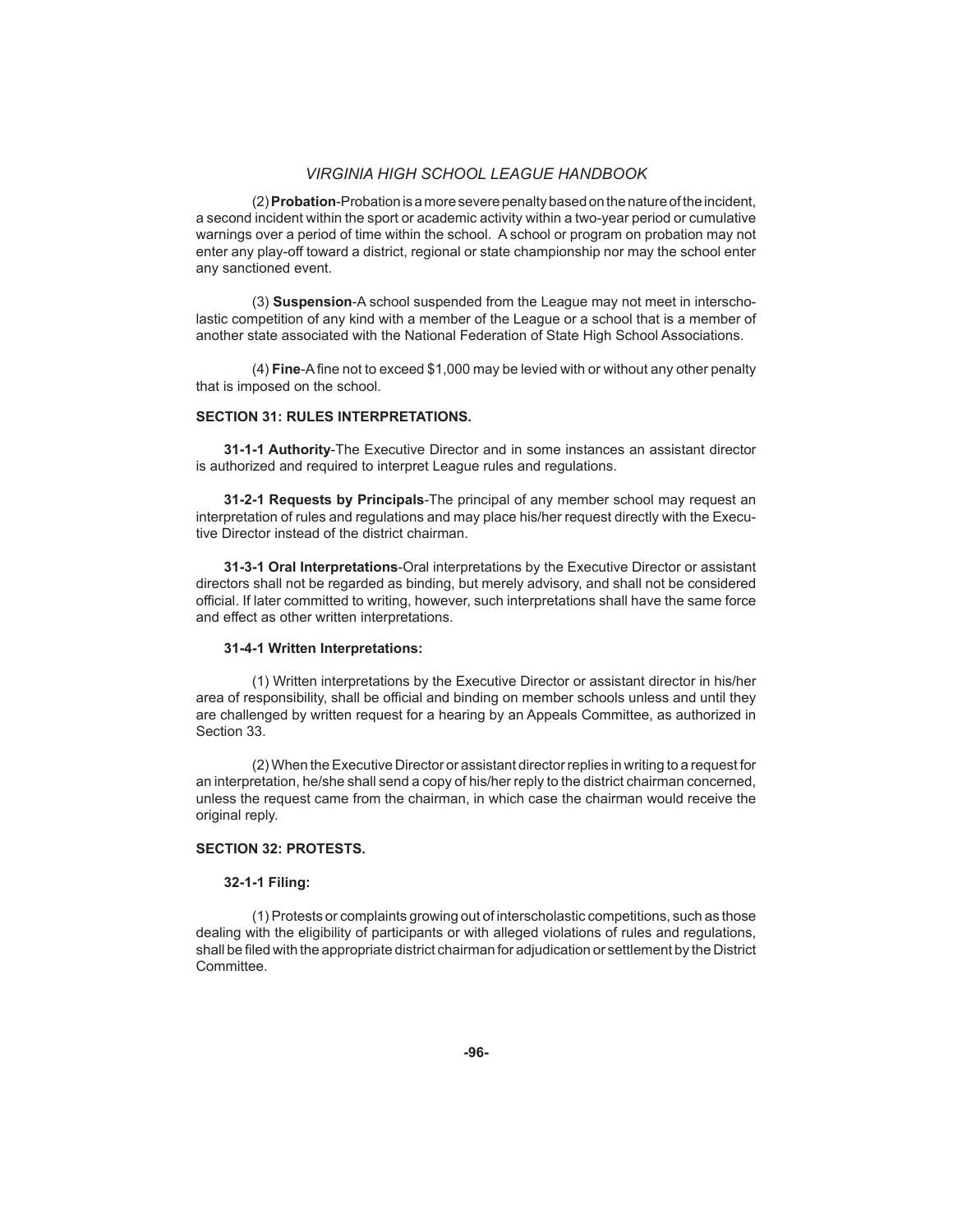(2) **Probation**-Probation is a more severe penalty based on the nature of the incident, a second incident within the sport or academic activity within a two-year period or cumulative warnings over a period of time within the school. A school or program on probation may not enter any play-off toward a district, regional or state championship nor may the school enter any sanctioned event.

 (3) **Suspension**-A school suspended from the League may not meet in interscholastic competition of any kind with a member of the League or a school that is a member of another state associated with the National Federation of State High School Associations.

(4) **Fine**-A fine not to exceed \$1,000 may be levied with or without any other penalty that is imposed on the school.

#### **SECTION 31: RULES INTERPRETATIONS.**

**31-1-1 Authority**-The Executive Director and in some instances an assistant director is authorized and required to interpret League rules and regulations.

**31-2-1 Requests by Principals**-The principal of any member school may request an interpretation of rules and regulations and may place his/her request directly with the Executive Director instead of the district chairman.

**31-3-1 Oral Interpretations**-Oral interpretations by the Executive Director or assistant directors shall not be regarded as binding, but merely advisory, and shall not be considered official. If later committed to writing, however, such interpretations shall have the same force and effect as other written interpretations.

#### **31-4-1 Written Interpretations:**

 (1) Written interpretations by the Executive Director or assistant director in his/her area of responsibility, shall be official and binding on member schools unless and until they are challenged by written request for a hearing by an Appeals Committee, as authorized in Section 33.

 (2) When the Executive Director or assistant director replies in writing to a request for an interpretation, he/she shall send a copy of his/her reply to the district chairman concerned, unless the request came from the chairman, in which case the chairman would receive the original reply.

#### **SECTION 32: PROTESTS.**

#### **32-1-1 Filing:**

 (1) Protests or complaints growing out of interscholastic competitions, such as those dealing with the eligibility of participants or with alleged violations of rules and regulations, shall be filed with the appropriate district chairman for adjudication or settlement by the District Committee.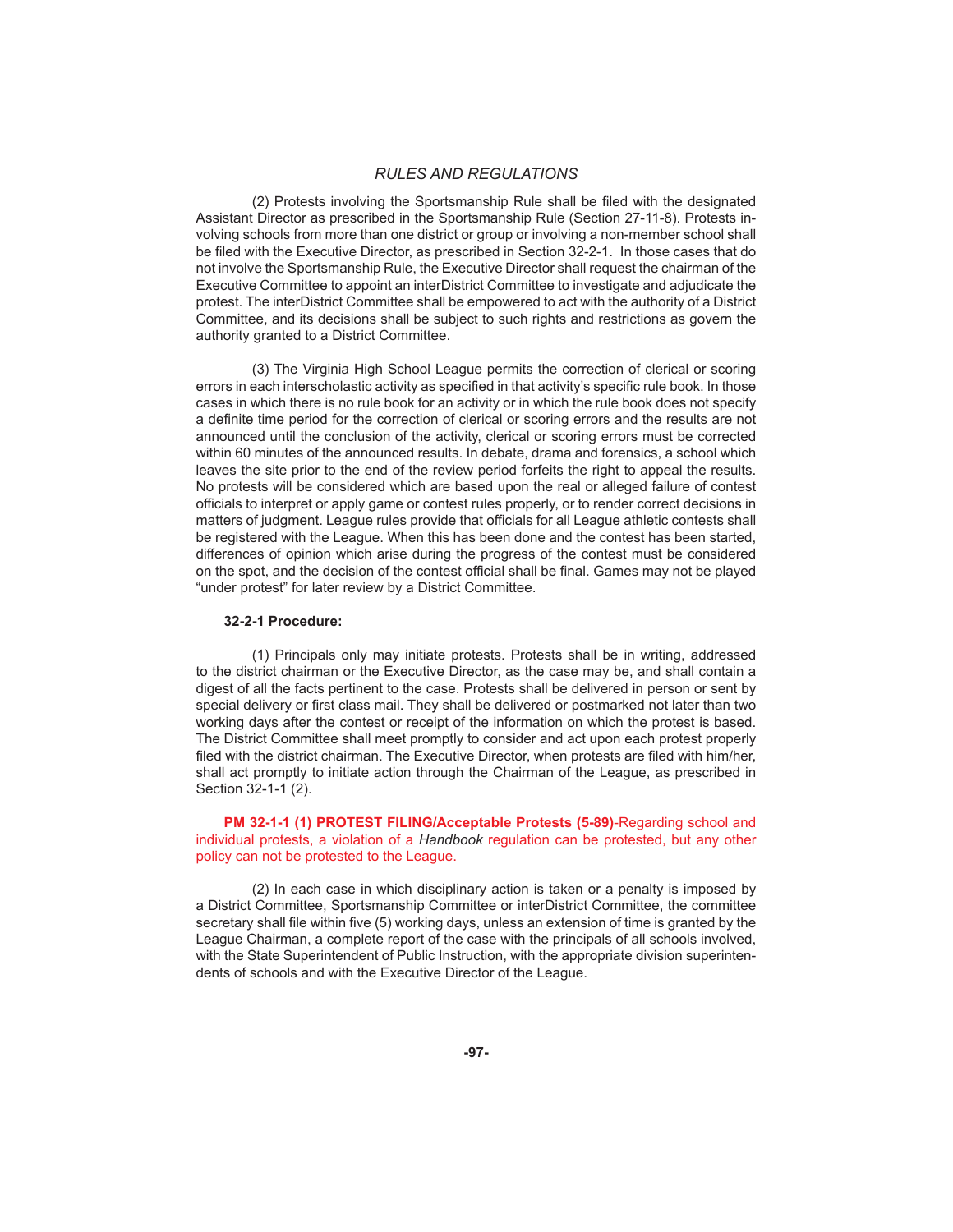(2) Protests involving the Sportsmanship Rule shall be filed with the designated Assistant Director as prescribed in the Sportsmanship Rule (Section 27-11-8). Protests involving schools from more than one district or group or involving a non-member school shall be filed with the Executive Director, as prescribed in Section 32-2-1. In those cases that do not involve the Sportsmanship Rule, the Executive Director shall request the chairman of the Executive Committee to appoint an interDistrict Committee to investigate and adjudicate the protest. The interDistrict Committee shall be empowered to act with the authority of a District Committee, and its decisions shall be subject to such rights and restrictions as govern the authority granted to a District Committee.

 (3) The Virginia High School League permits the correction of clerical or scoring errors in each interscholastic activity as specified in that activity's specific rule book. In those cases in which there is no rule book for an activity or in which the rule book does not specify a definite time period for the correction of clerical or scoring errors and the results are not announced until the conclusion of the activity, clerical or scoring errors must be corrected within 60 minutes of the announced results. In debate, drama and forensics, a school which leaves the site prior to the end of the review period forfeits the right to appeal the results. No protests will be considered which are based upon the real or alleged failure of contest officials to interpret or apply game or contest rules properly, or to render correct decisions in matters of judgment. League rules provide that officials for all League athletic contests shall be registered with the League. When this has been done and the contest has been started, differences of opinion which arise during the progress of the contest must be considered on the spot, and the decision of the contest official shall be final. Games may not be played "under protest" for later review by a District Committee.

#### **32-2-1 Procedure:**

 (1) Principals only may initiate protests. Protests shall be in writing, addressed to the district chairman or the Executive Director, as the case may be, and shall contain a digest of all the facts pertinent to the case. Protests shall be delivered in person or sent by special delivery or first class mail. They shall be delivered or postmarked not later than two working days after the contest or receipt of the information on which the protest is based. The District Committee shall meet promptly to consider and act upon each protest properly filed with the district chairman. The Executive Director, when protests are filed with him/her. shall act promptly to initiate action through the Chairman of the League, as prescribed in Section 32-1-1 (2).

#### **PM 32-1-1 (1) PROTEST FILING/Acceptable Protests (5-89)**-Regarding school and individual protests, a violation of a *Handbook* regulation can be protested, but any other policy can not be protested to the League.

 (2) In each case in which disciplinary action is taken or a penalty is imposed by a District Committee, Sportsmanship Committee or interDistrict Committee, the committee secretary shall file within five (5) working days, unless an extension of time is granted by the League Chairman, a complete report of the case with the principals of all schools involved, with the State Superintendent of Public Instruction, with the appropriate division superintendents of schools and with the Executive Director of the League.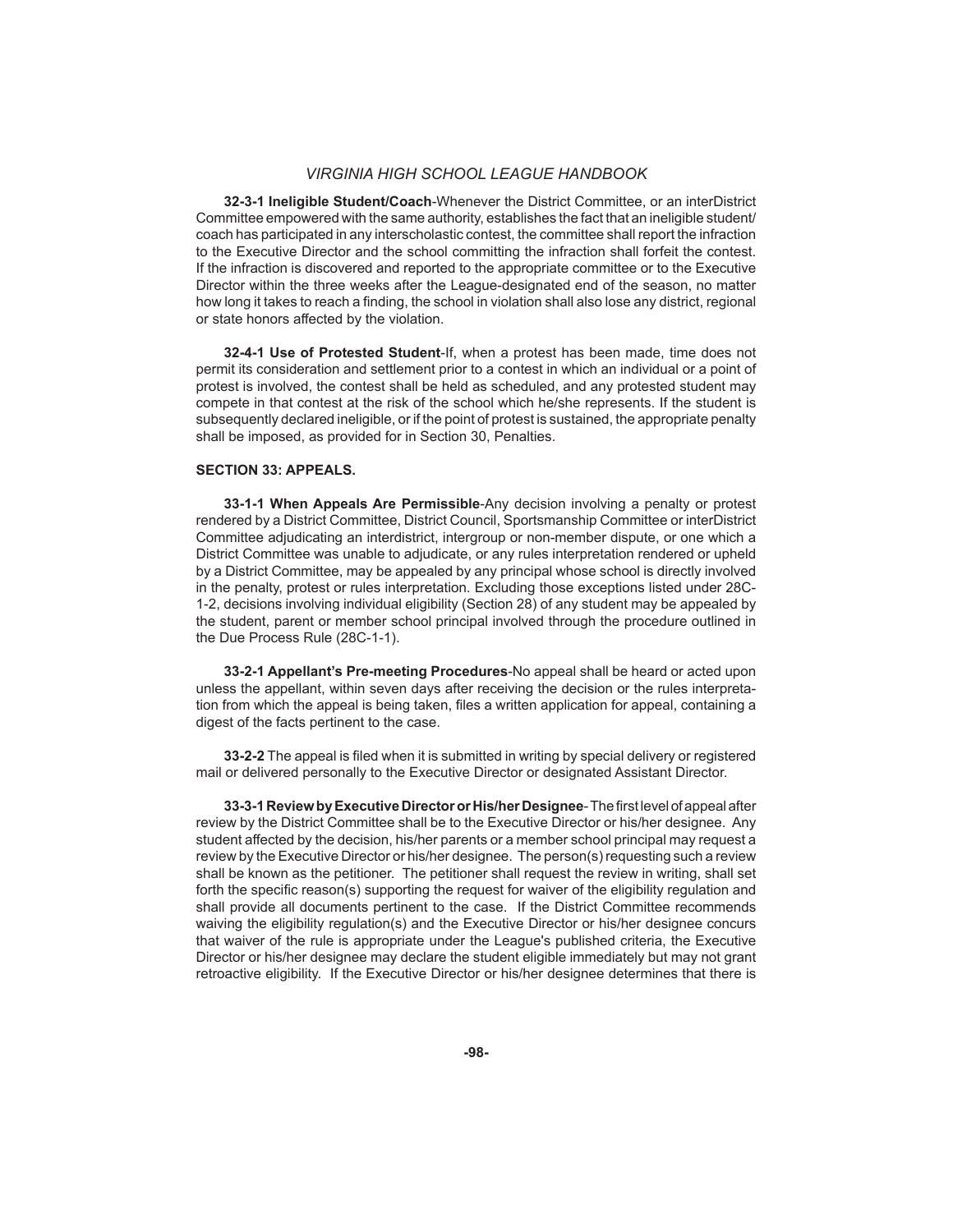**32-3-1 Ineligible Student/Coach**-Whenever the District Committee, or an interDistrict Committee empowered with the same authority, establishes the fact that an ineligible student/ coach has participated in any interscholastic contest, the committee shall report the infraction to the Executive Director and the school committing the infraction shall forfeit the contest. If the infraction is discovered and reported to the appropriate committee or to the Executive Director within the three weeks after the League-designated end of the season, no matter how long it takes to reach a finding, the school in violation shall also lose any district, regional or state honors affected by the violation.

 **32-4-1 Use of Protested Student**-If, when a protest has been made, time does not permit its consideration and settlement prior to a contest in which an individual or a point of protest is involved, the contest shall be held as scheduled, and any protested student may compete in that contest at the risk of the school which he/she represents. If the student is subsequently declared ineligible, or if the point of protest is sustained, the appropriate penalty shall be imposed, as provided for in Section 30, Penalties.

#### **SECTION 33: APPEALS.**

**33-1-1 When Appeals Are Permissible**-Any decision involving a penalty or protest rendered by a District Committee, District Council, Sportsmanship Committee or interDistrict Committee adjudicating an interdistrict, intergroup or non-member dispute, or one which a District Committee was unable to adjudicate, or any rules interpretation rendered or upheld by a District Committee, may be appealed by any principal whose school is directly involved in the penalty, protest or rules interpretation. Excluding those exceptions listed under 28C-1-2, decisions involving individual eligibility (Section 28) of any student may be appealed by the student, parent or member school principal involved through the procedure outlined in the Due Process Rule (28C-1-1).

**33-2-1 Appellant's Pre-meeting Procedures**-No appeal shall be heard or acted upon unless the appellant, within seven days after receiving the decision or the rules interpretation from which the appeal is being taken, files a written application for appeal, containing a digest of the facts pertinent to the case.

**33-2-2** The appeal is filed when it is submitted in writing by special delivery or registered mail or delivered personally to the Executive Director or designated Assistant Director.

**33-3-1 Review by Executive Director or His/her Designee-** The first level of appeal after review by the District Committee shall be to the Executive Director or his/her designee. Any student affected by the decision, his/her parents or a member school principal may request a review by the Executive Director or his/her designee. The person(s) requesting such a review shall be known as the petitioner. The petitioner shall request the review in writing, shall set forth the specific reason(s) supporting the request for waiver of the eligibility regulation and shall provide all documents pertinent to the case. If the District Committee recommends waiving the eligibility regulation(s) and the Executive Director or his/her designee concurs that waiver of the rule is appropriate under the League's published criteria, the Executive Director or his/her designee may declare the student eligible immediately but may not grant retroactive eligibility. If the Executive Director or his/her designee determines that there is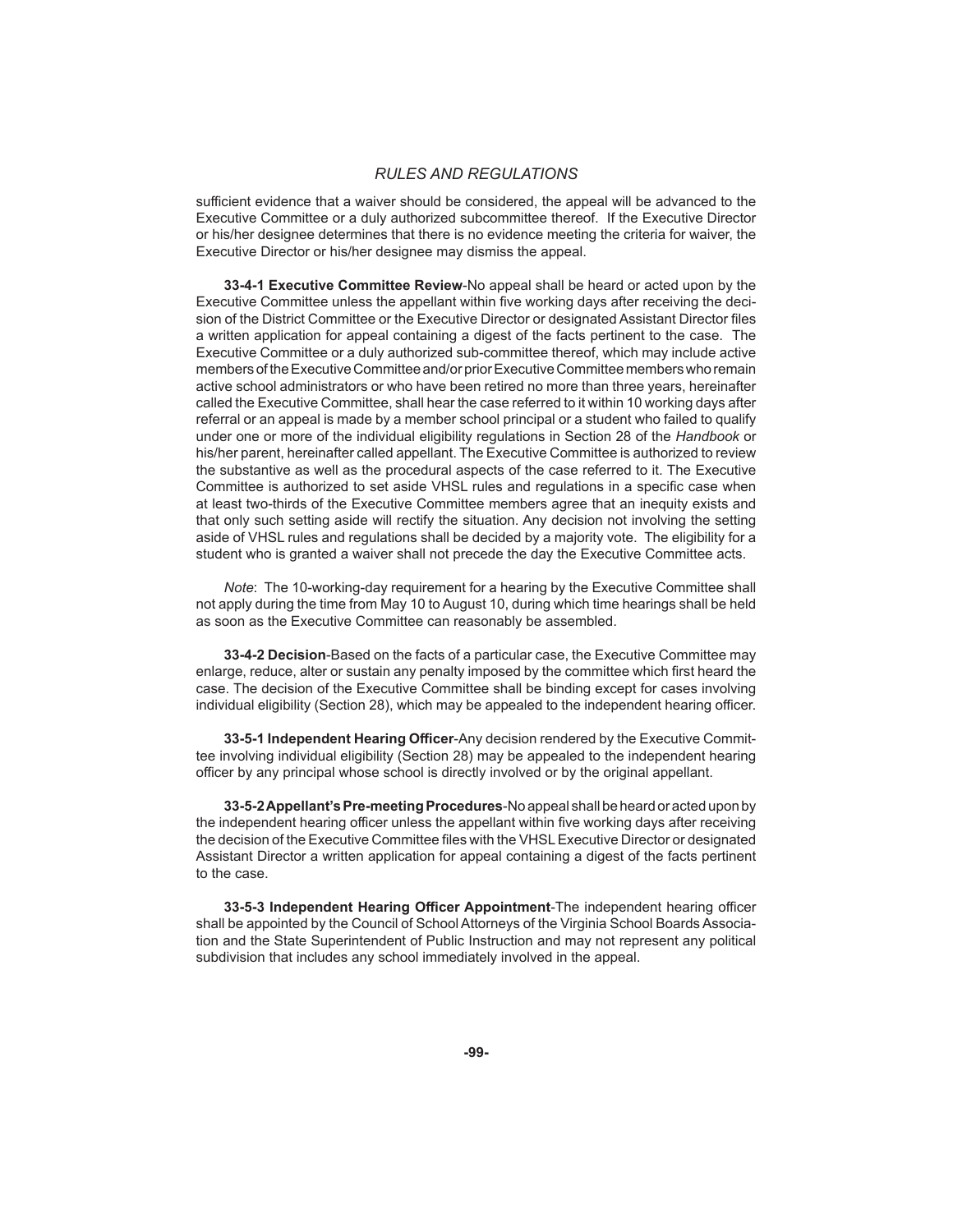sufficient evidence that a waiver should be considered, the appeal will be advanced to the Executive Committee or a duly authorized subcommittee thereof. If the Executive Director or his/her designee determines that there is no evidence meeting the criteria for waiver, the Executive Director or his/her designee may dismiss the appeal.

**33-4-1 Executive Committee Review**-No appeal shall be heard or acted upon by the Executive Committee unless the appellant within five working days after receiving the decision of the District Committee or the Executive Director or designated Assistant Director files a written application for appeal containing a digest of the facts pertinent to the case. The Executive Committee or a duly authorized sub-committee thereof, which may include active members of the Executive Committee and/or prior Executive Committee members who remain active school administrators or who have been retired no more than three years, hereinafter called the Executive Committee, shall hear the case referred to it within 10 working days after referral or an appeal is made by a member school principal or a student who failed to qualify under one or more of the individual eligibility regulations in Section 28 of the *Handbook* or his/her parent, hereinafter called appellant. The Executive Committee is authorized to review the substantive as well as the procedural aspects of the case referred to it. The Executive Committee is authorized to set aside VHSL rules and regulations in a specific case when at least two-thirds of the Executive Committee members agree that an inequity exists and that only such setting aside will rectify the situation. Any decision not involving the setting aside of VHSL rules and regulations shall be decided by a majority vote. The eligibility for a student who is granted a waiver shall not precede the day the Executive Committee acts.

*Note*: The 10-working-day requirement for a hearing by the Executive Committee shall not apply during the time from May 10 to August 10, during which time hearings shall be held as soon as the Executive Committee can reasonably be assembled.

**33-4-2 Decision**-Based on the facts of a particular case, the Executive Committee may enlarge, reduce, alter or sustain any penalty imposed by the committee which first heard the case. The decision of the Executive Committee shall be binding except for cases involving individual eligibility (Section 28), which may be appealed to the independent hearing officer.

**33-5-1 Independent Hearing Officer-Any decision rendered by the Executive Commit**tee involving individual eligibility (Section 28) may be appealed to the independent hearing officer by any principal whose school is directly involved or by the original appellant.

**33-5-2 Appellant's Pre-meeting Procedures**-No appeal shall be heard or acted upon by the independent hearing officer unless the appellant within five working days after receiving the decision of the Executive Committee files with the VHSL Executive Director or designated Assistant Director a written application for appeal containing a digest of the facts pertinent to the case.

**33-5-3 Independent Hearing Officer Appointment-The independent hearing officer** shall be appointed by the Council of School Attorneys of the Virginia School Boards Association and the State Superintendent of Public Instruction and may not represent any political subdivision that includes any school immediately involved in the appeal.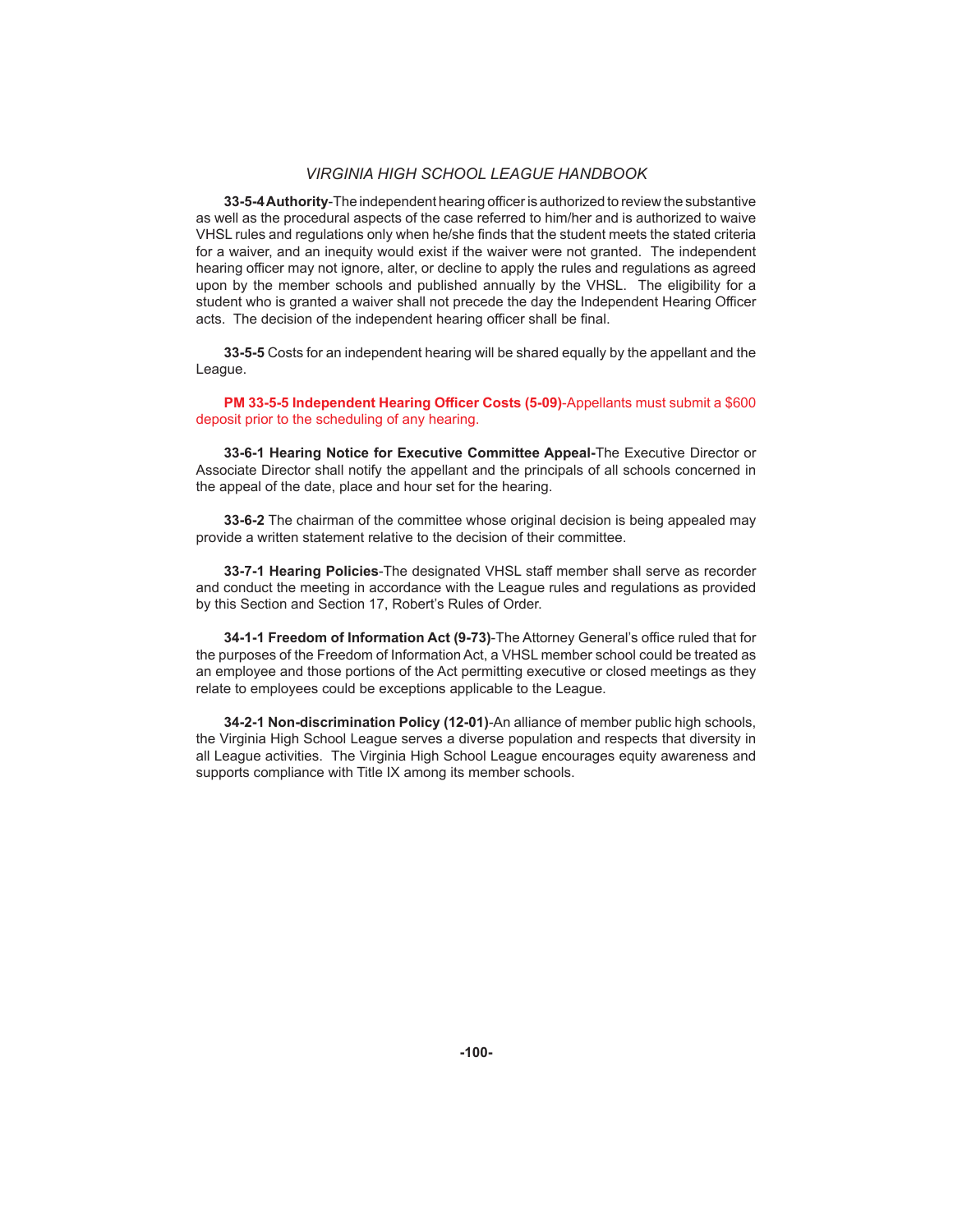**33-5-4 Authority**-The independent hearing officer is authorized to review the substantive as well as the procedural aspects of the case referred to him/her and is authorized to waive VHSL rules and regulations only when he/she finds that the student meets the stated criteria for a waiver, and an inequity would exist if the waiver were not granted. The independent hearing officer may not ignore, alter, or decline to apply the rules and regulations as agreed upon by the member schools and published annually by the VHSL. The eligibility for a student who is granted a waiver shall not precede the day the Independent Hearing Officer acts. The decision of the independent hearing officer shall be final.

**33-5-5** Costs for an independent hearing will be shared equally by the appellant and the League.

**PM 33-5-5 Independent Hearing Officer Costs (5-09)-Appellants must submit a \$600** deposit prior to the scheduling of any hearing.

**33-6-1 Hearing Notice for Executive Committee Appeal-**The Executive Director or Associate Director shall notify the appellant and the principals of all schools concerned in the appeal of the date, place and hour set for the hearing.

**33-6-2** The chairman of the committee whose original decision is being appealed may provide a written statement relative to the decision of their committee.

**33-7-1 Hearing Policies**-The designated VHSL staff member shall serve as recorder and conduct the meeting in accordance with the League rules and regulations as provided by this Section and Section 17, Robert's Rules of Order.

**34-1-1 Freedom of Information Act (9-73)**-The Attorney General's office ruled that for the purposes of the Freedom of Information Act, a VHSL member school could be treated as an employee and those portions of the Act permitting executive or closed meetings as they relate to employees could be exceptions applicable to the League.

 **34-2-1 Non-discrimination Policy (12-01)**-An alliance of member public high schools, the Virginia High School League serves a diverse population and respects that diversity in all League activities. The Virginia High School League encourages equity awareness and supports compliance with Title IX among its member schools.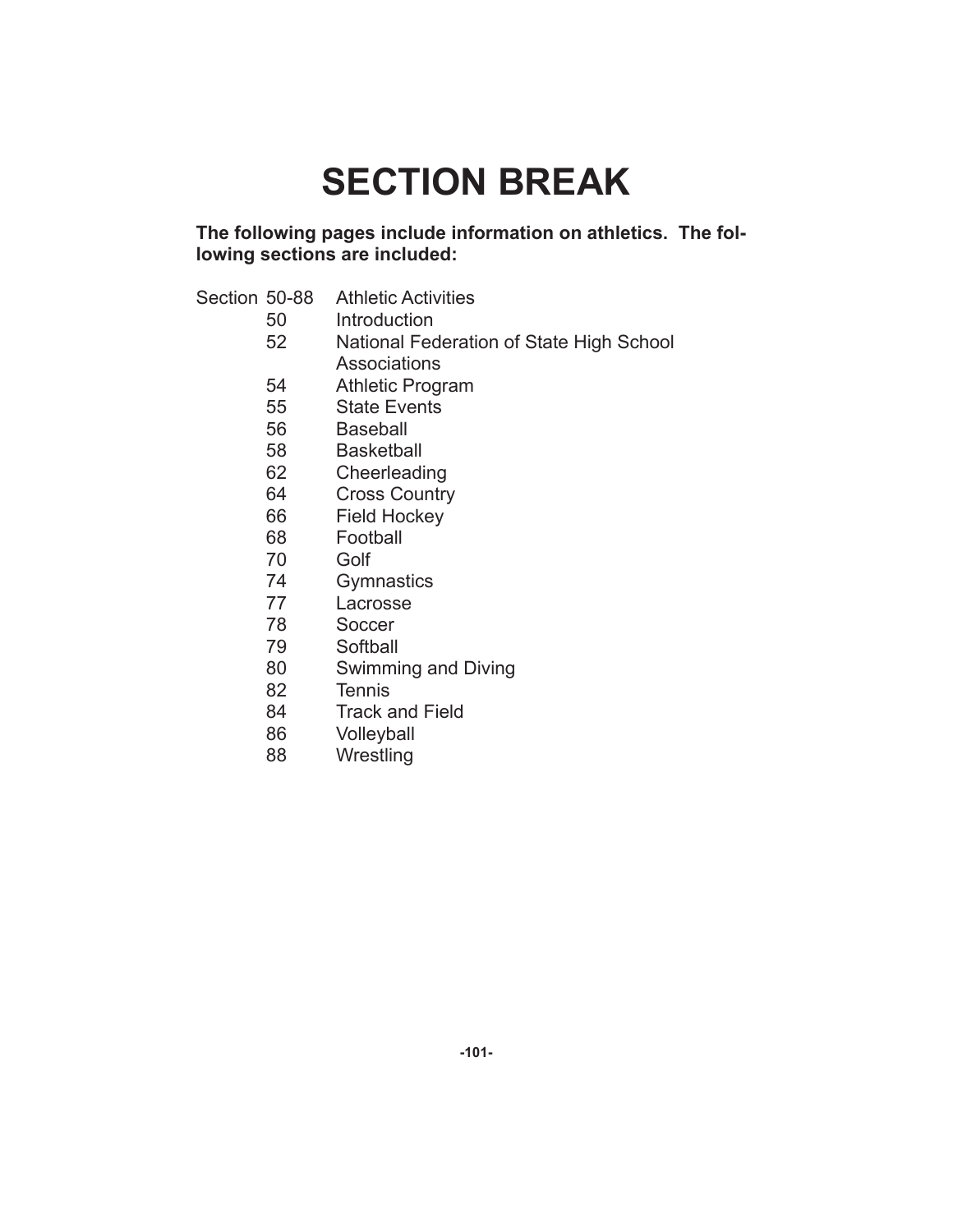# **SECTION BREAK**

**The following pages include information on athletics. The following sections are included:**

- Section 50-88 Athletic Activities
	- 50 Introduction
	- 52 National Federation of State High School Associations
	- 54 Athletic Program
	- 55 State Events
	- 56 Baseball
	- 58 Basketball
	- 62 Cheerleading
	- 64 Cross Country
	- 66 Field Hockey
	- 68 Football
	- 70 Golf
	- 74 Gymnastics
	- 77 Lacrosse
	- 78 Soccer
	- 79 Softball
	- 80 Swimming and Diving
	- 82 Tennis
	- 84 Track and Field
	- 86 Volleyball
	- 88 Wrestling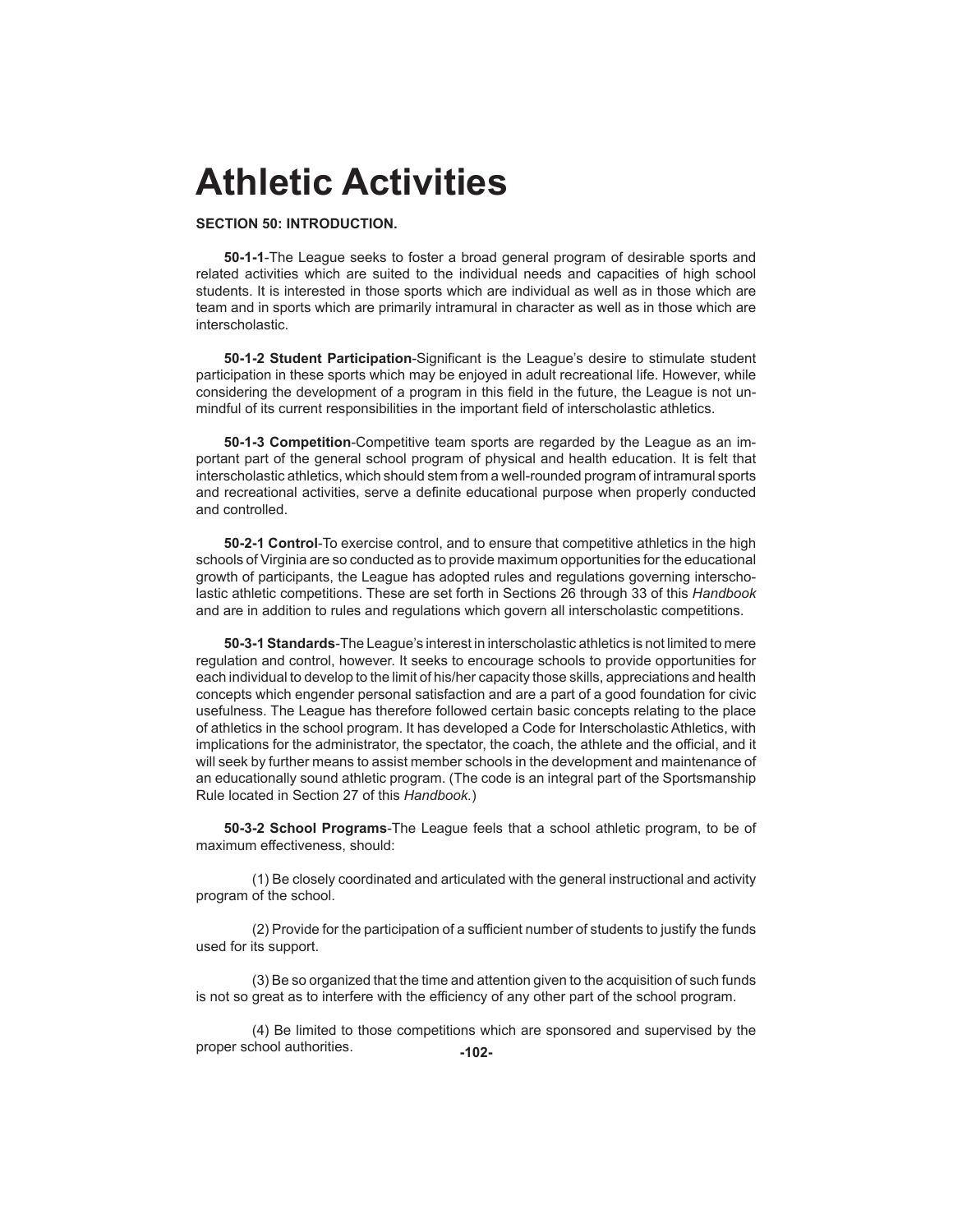## **Athletic Activities**

#### **SECTION 50: INTRODUCTION.**

**50-1-1**-The League seeks to foster a broad general program of desirable sports and related activities which are suited to the individual needs and capacities of high school students. It is interested in those sports which are individual as well as in those which are team and in sports which are primarily intramural in character as well as in those which are interscholastic.

**50-1-2 Student Participation-Significant is the League's desire to stimulate student** participation in these sports which may be enjoyed in adult recreational life. However, while considering the development of a program in this field in the future, the League is not unmindful of its current responsibilities in the important field of interscholastic athletics.

**50-1-3 Competition**-Competitive team sports are regarded by the League as an important part of the general school program of physical and health education. It is felt that interscholastic athletics, which should stem from a well-rounded program of intramural sports and recreational activities, serve a definite educational purpose when properly conducted and controlled.

**50-2-1 Control**-To exercise control, and to ensure that competitive athletics in the high schools of Virginia are so conducted as to provide maximum opportunities for the educational growth of participants, the League has adopted rules and regulations governing interscholastic athletic competitions. These are set forth in Sections 26 through 33 of this *Handbook* and are in addition to rules and regulations which govern all interscholastic competitions.

**50-3-1 Standards**-The League's interest in interscholastic athletics is not limited to mere regulation and control, however. It seeks to encourage schools to provide opportunities for each individual to develop to the limit of his/her capacity those skills, appreciations and health concepts which engender personal satisfaction and are a part of a good foundation for civic usefulness. The League has therefore followed certain basic concepts relating to the place of athletics in the school program. It has developed a Code for Interscholastic Athletics, with implications for the administrator, the spectator, the coach, the athlete and the official, and it will seek by further means to assist member schools in the development and maintenance of an educationally sound athletic program. (The code is an integral part of the Sportsmanship Rule located in Section 27 of this *Handbook.*)

**50-3-2 School Programs**-The League feels that a school athletic program, to be of maximum effectiveness, should:

 (1) Be closely coordinated and articulated with the general instructional and activity program of the school.

(2) Provide for the participation of a sufficient number of students to justify the funds used for its support.

 (3) Be so organized that the time and attention given to the acquisition of such funds is not so great as to interfere with the efficiency of any other part of the school program.

**-102-** (4) Be limited to those competitions which are sponsored and supervised by the proper school authorities.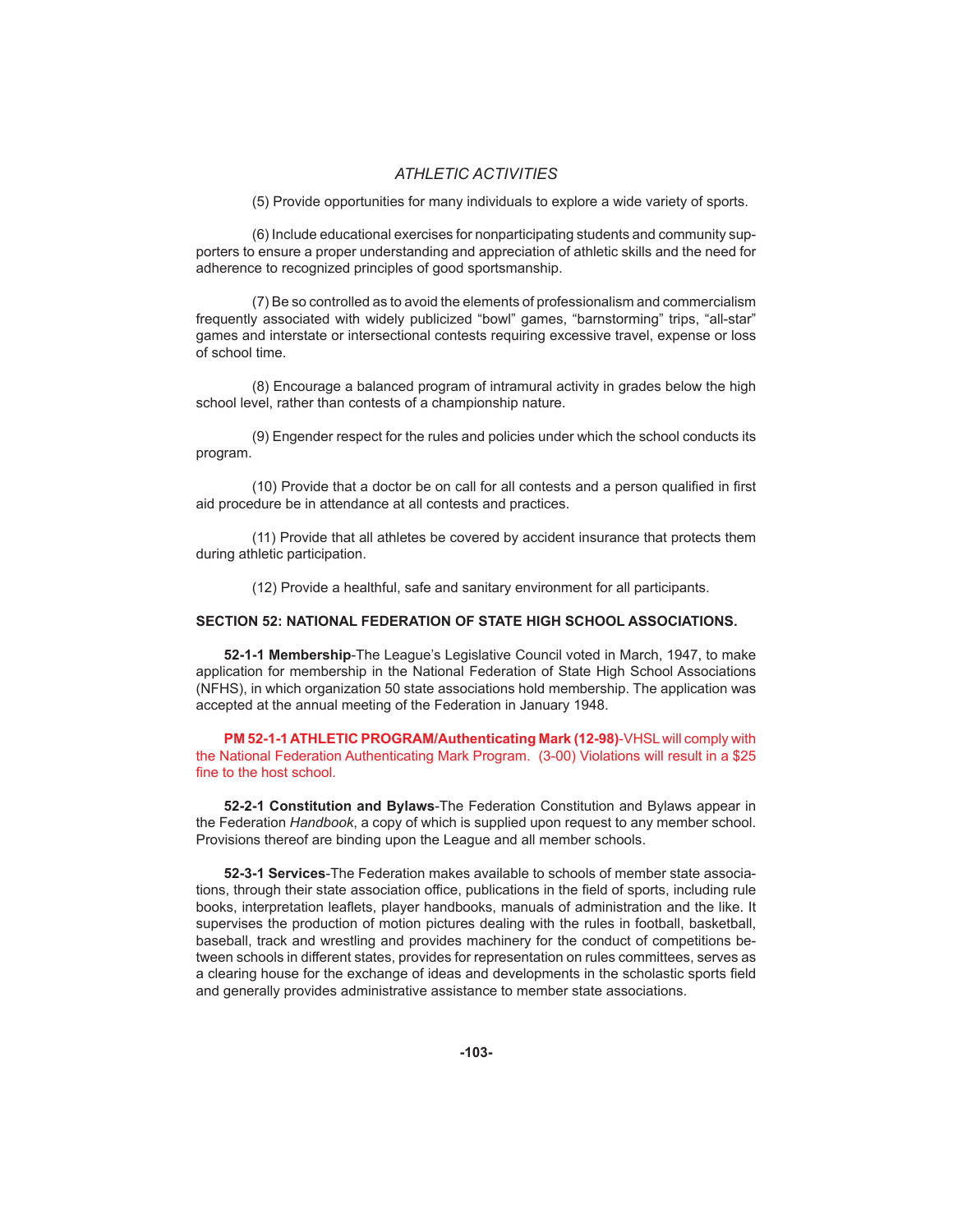## *ATHLETIC ACTIVITIES*

(5) Provide opportunities for many individuals to explore a wide variety of sports.

 (6) Include educational exercises for nonparticipating students and community supporters to ensure a proper understanding and appreciation of athletic skills and the need for adherence to recognized principles of good sportsmanship.

 (7) Be so controlled as to avoid the elements of professionalism and commercialism frequently associated with widely publicized "bowl" games, "barnstorming" trips, "all-star" games and interstate or intersectional contests requiring excessive travel, expense or loss of school time.

 (8) Encourage a balanced program of intramural activity in grades below the high school level, rather than contests of a championship nature.

 (9) Engender respect for the rules and policies under which the school conducts its program.

(10) Provide that a doctor be on call for all contests and a person qualified in first aid procedure be in attendance at all contests and practices.

 (11) Provide that all athletes be covered by accident insurance that protects them during athletic participation.

(12) Provide a healthful, safe and sanitary environment for all participants.

#### **SECTION 52: NATIONAL FEDERATION OF STATE HIGH SCHOOL ASSOCIATIONS.**

**52-1-1 Membership**-The League's Legislative Council voted in March, 1947, to make application for membership in the National Federation of State High School Associations (NFHS), in which organization 50 state associations hold membership. The application was accepted at the annual meeting of the Federation in January 1948.

 **PM 52-1-1 ATHLETIC PROGRAM/Authenticating Mark (12-98)**-VHSL will comply with the National Federation Authenticating Mark Program. (3-00) Violations will result in a \$25 fine to the host school.

**52-2-1 Constitution and Bylaws**-The Federation Constitution and Bylaws appear in the Federation *Handbook*, a copy of which is supplied upon request to any member school. Provisions thereof are binding upon the League and all member schools.

**52-3-1 Services**-The Federation makes available to schools of member state associations, through their state association office, publications in the field of sports, including rule books, interpretation leaflets, player handbooks, manuals of administration and the like. It supervises the production of motion pictures dealing with the rules in football, basketball, baseball, track and wrestling and provides machinery for the conduct of competitions between schools in different states, provides for representation on rules committees, serves as a clearing house for the exchange of ideas and developments in the scholastic sports field and generally provides administrative assistance to member state associations.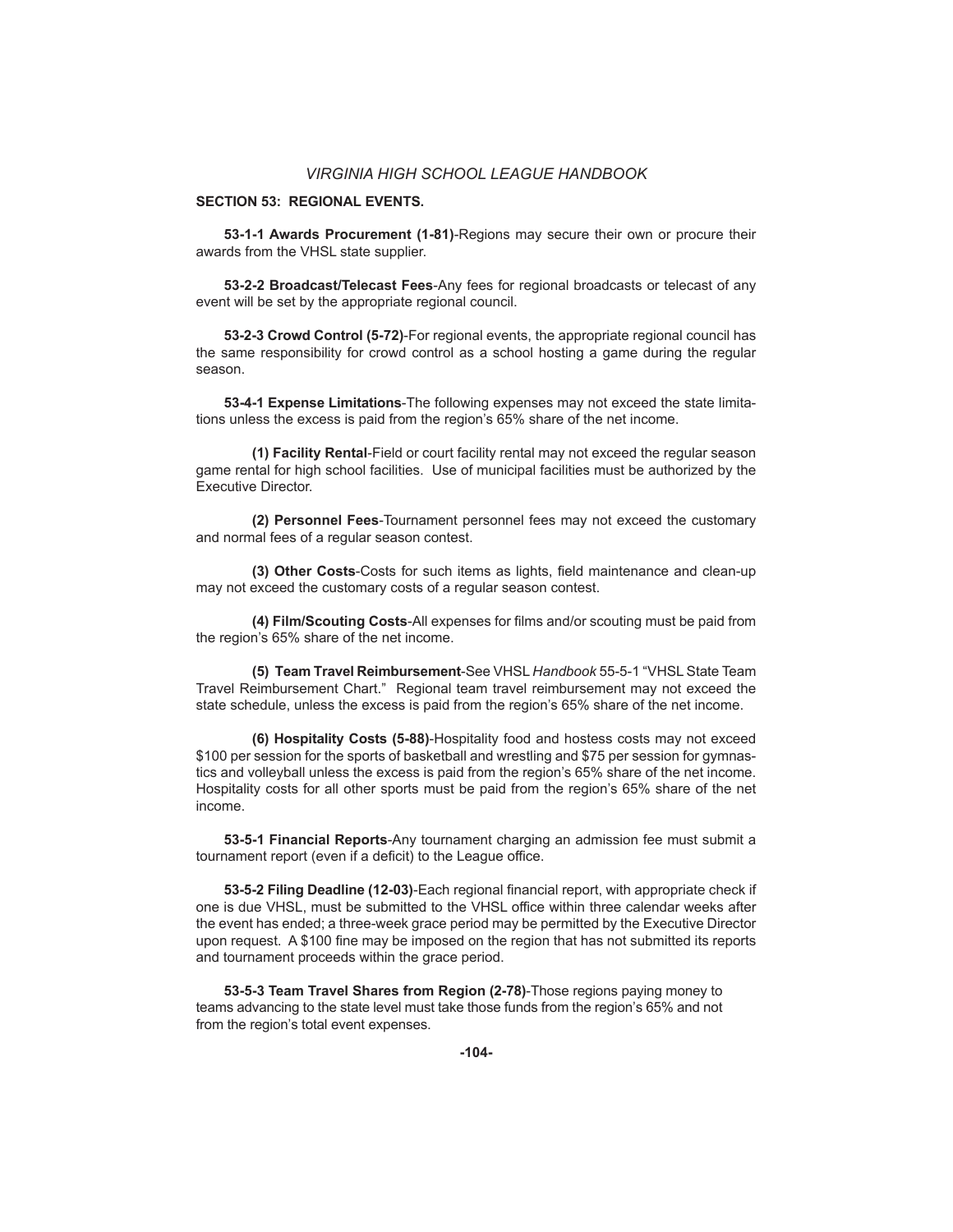#### **SECTION 53: REGIONAL EVENTS.**

 **53-1-1 Awards Procurement (1-81)**-Regions may secure their own or procure their awards from the VHSL state supplier.

 **53-2-2 Broadcast/Telecast Fees**-Any fees for regional broadcasts or telecast of any event will be set by the appropriate regional council.

 **53-2-3 Crowd Control (5-72)**-For regional events, the appropriate regional council has the same responsibility for crowd control as a school hosting a game during the regular season.

 **53-4-1 Expense Limitations**-The following expenses may not exceed the state limitations unless the excess is paid from the region's 65% share of the net income.

 **(1) Facility Rental**-Field or court facility rental may not exceed the regular season game rental for high school facilities. Use of municipal facilities must be authorized by the Executive Director.

 **(2) Personnel Fees**-Tournament personnel fees may not exceed the customary and normal fees of a regular season contest.

**(3) Other Costs-Costs for such items as lights, field maintenance and clean-up** may not exceed the customary costs of a regular season contest.

**(4) Film/Scouting Costs-All expenses for films and/or scouting must be paid from** the region's 65% share of the net income.

 **(5) Team Travel Reimbursement**-See VHSL *Handbook* 55-5-1 "VHSL State Team Travel Reimbursement Chart." Regional team travel reimbursement may not exceed the state schedule, unless the excess is paid from the region's 65% share of the net income.

 **(6) Hospitality Costs (5-88)**-Hospitality food and hostess costs may not exceed \$100 per session for the sports of basketball and wrestling and \$75 per session for gymnastics and volleyball unless the excess is paid from the region's 65% share of the net income. Hospitality costs for all other sports must be paid from the region's 65% share of the net income.

 **53-5-1 Financial Reports**-Any tournament charging an admission fee must submit a tournament report (even if a deficit) to the League office.

53-5-2 Filing Deadline (12-03)-Each regional financial report, with appropriate check if one is due VHSL, must be submitted to the VHSL office within three calendar weeks after the event has ended; a three-week grace period may be permitted by the Executive Director upon request. A \$100 fine may be imposed on the region that has not submitted its reports and tournament proceeds within the grace period.

 **53-5-3 Team Travel Shares from Region (2-78)**-Those regions paying money to teams advancing to the state level must take those funds from the region's 65% and not from the region's total event expenses.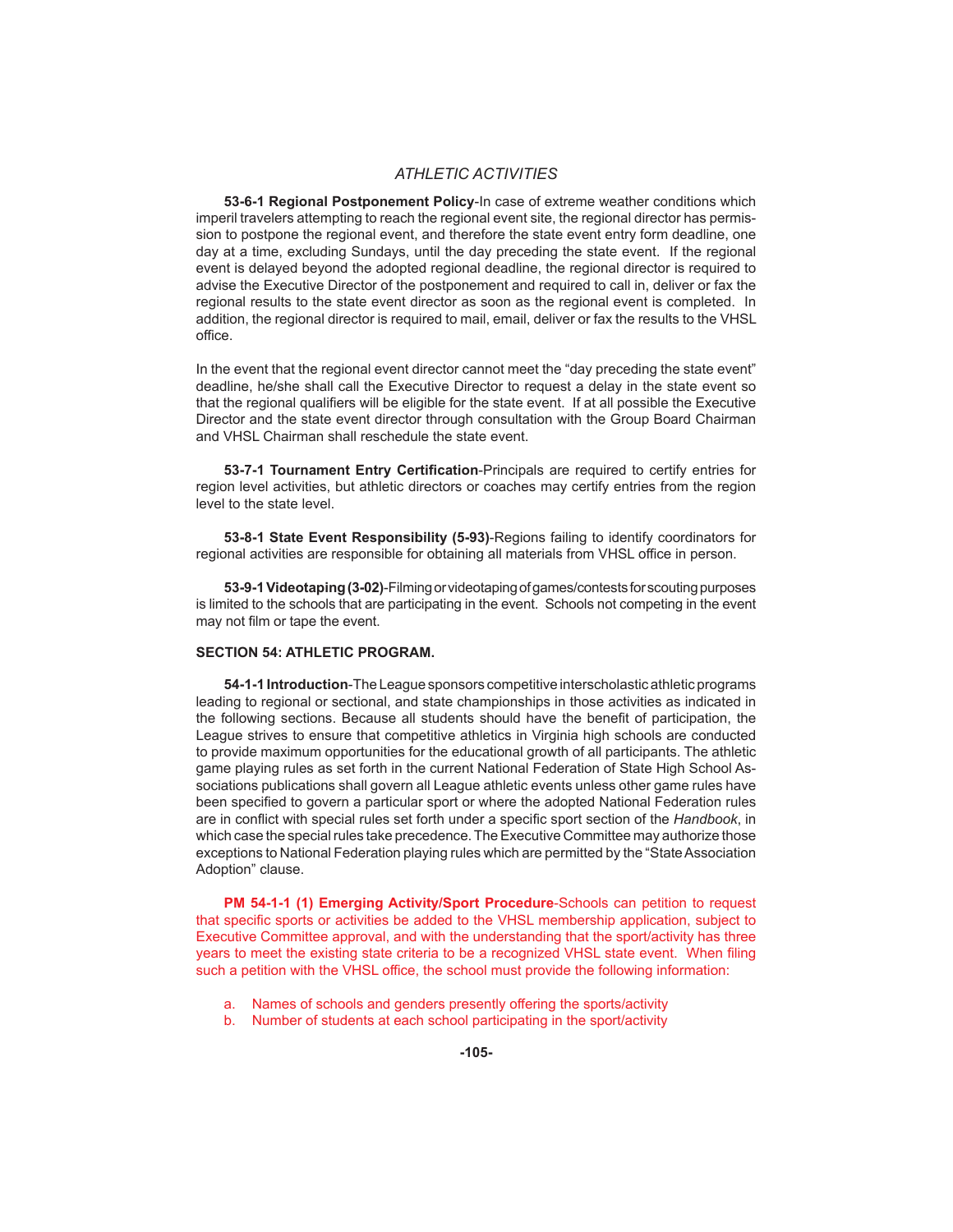## *ATHLETIC ACTIVITIES*

 **53-6-1 Regional Postponement Policy**-In case of extreme weather conditions which imperil travelers attempting to reach the regional event site, the regional director has permission to postpone the regional event, and therefore the state event entry form deadline, one day at a time, excluding Sundays, until the day preceding the state event. If the regional event is delayed beyond the adopted regional deadline, the regional director is required to advise the Executive Director of the postponement and required to call in, deliver or fax the regional results to the state event director as soon as the regional event is completed. In addition, the regional director is required to mail, email, deliver or fax the results to the VHSL office.

In the event that the regional event director cannot meet the "day preceding the state event" deadline, he/she shall call the Executive Director to request a delay in the state event so that the regional qualifiers will be eligible for the state event. If at all possible the Executive Director and the state event director through consultation with the Group Board Chairman and VHSL Chairman shall reschedule the state event.

**53-7-1 Tournament Entry Certification-Principals are required to certify entries for** region level activities, but athletic directors or coaches may certify entries from the region level to the state level.

 **53-8-1 State Event Responsibility (5-93)**-Regions failing to identify coordinators for regional activities are responsible for obtaining all materials from VHSL office in person.

 **53-9-1 Videotaping (3-02)**-Filming or videotaping of games/contests for scouting purposes is limited to the schools that are participating in the event. Schools not competing in the event may not film or tape the event.

#### **SECTION 54: ATHLETIC PROGRAM.**

**54-1-1 Introduction**-The League sponsors competitive interscholastic athletic programs leading to regional or sectional, and state championships in those activities as indicated in the following sections. Because all students should have the benefit of participation, the League strives to ensure that competitive athletics in Virginia high schools are conducted to provide maximum opportunities for the educational growth of all participants. The athletic game playing rules as set forth in the current National Federation of State High School Associations publications shall govern all League athletic events unless other game rules have been specified to govern a particular sport or where the adopted National Federation rules are in conflict with special rules set forth under a specific sport section of the Handbook, in which case the special rules take precedence. The Executive Committee may authorize those exceptions to National Federation playing rules which are permitted by the "State Association Adoption" clause.

**PM 54-1-1 (1) Emerging Activity/Sport Procedure**-Schools can petition to request that specific sports or activities be added to the VHSL membership application, subject to Executive Committee approval, and with the understanding that the sport/activity has three years to meet the existing state criteria to be a recognized VHSL state event. When filing such a petition with the VHSL office, the school must provide the following information:

- a. Names of schools and genders presently offering the sports/activity
- b. Number of students at each school participating in the sport/activity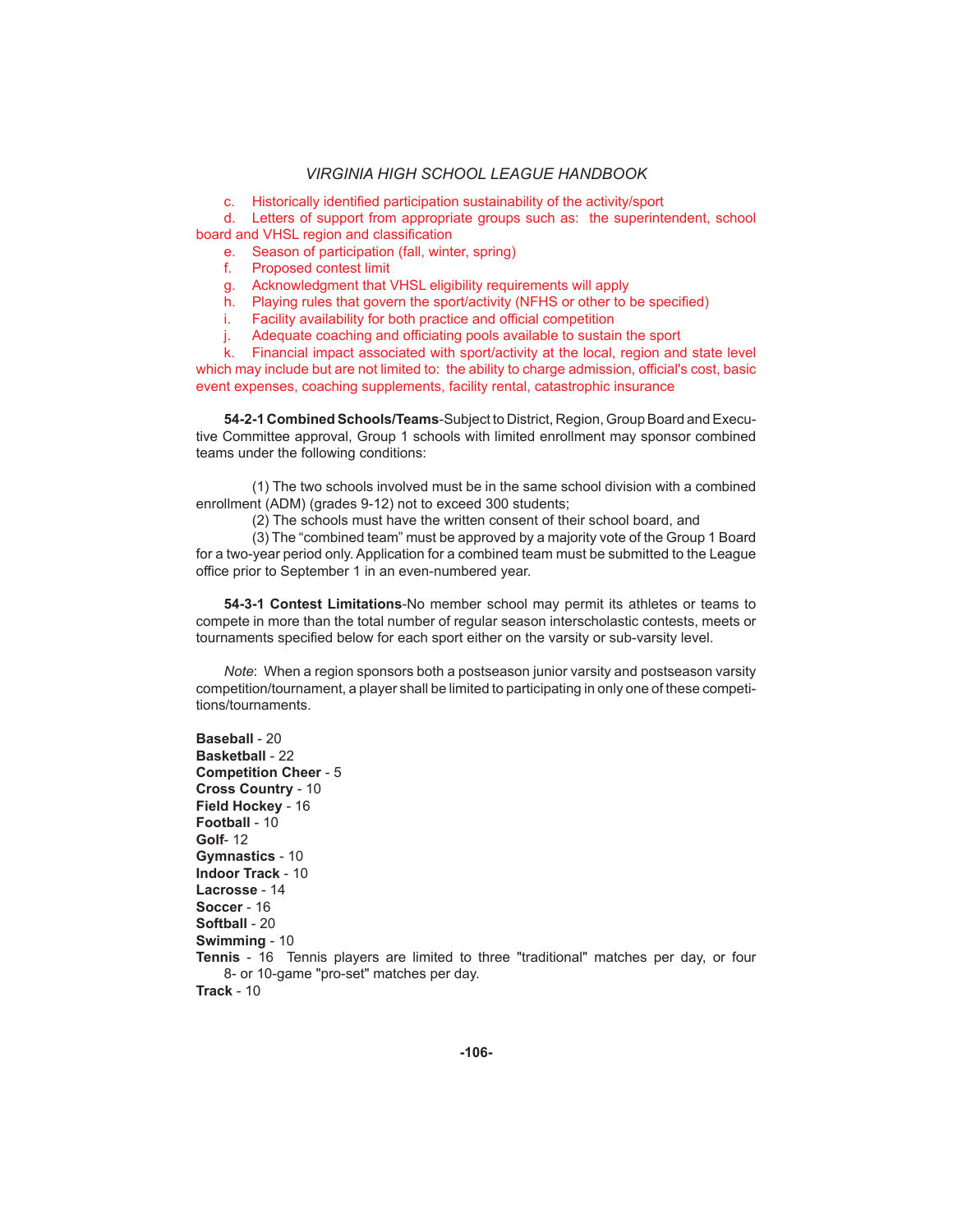c. Historically identified participation sustainability of the activity/sport

 d. Letters of support from appropriate groups such as: the superintendent, school board and VHSL region and classification

e. Season of participation (fall, winter, spring)

f. Proposed contest limit

g. Acknowledgment that VHSL eligibility requirements will apply

h. Playing rules that govern the sport/activity (NFHS or other to be specified)

i. Facility availability for both practice and official competition

j. Adequate coaching and officiating pools available to sustain the sport k. Financial impact associated with sport/activity at the local, region and

Financial impact associated with sport/activity at the local, region and state level which may include but are not limited to: the ability to charge admission, official's cost, basic event expenses, coaching supplements, facility rental, catastrophic insurance

**54-2-1 Combined Schools/Teams**-Subject to District, Region, Group Board and Executive Committee approval, Group 1 schools with limited enrollment may sponsor combined teams under the following conditions:

 (1) The two schools involved must be in the same school division with a combined enrollment (ADM) (grades 9-12) not to exceed 300 students;

(2) The schools must have the written consent of their school board, and

 (3) The "combined team" must be approved by a majority vote of the Group 1 Board for a two-year period only. Application for a combined team must be submitted to the League office prior to September 1 in an even-numbered year.

**54-3-1 Contest Limitations**-No member school may permit its athletes or teams to compete in more than the total number of regular season interscholastic contests, meets or tournaments specified below for each sport either on the varsity or sub-varsity level.

*Note*: When a region sponsors both a postseason junior varsity and postseason varsity competition/tournament, a player shall be limited to participating in only one of these competitions/tournaments.

**Baseball** - 20 **Basketball** - 22 **Competition Cheer** - 5 **Cross Country** - 10 **Field Hockey** - 16 **Football** - 10 **Golf**- 12 **Gymnastics** - 10 **Indoor Track** - 10 **Lacrosse** - 14 **Soccer** - 16 **Softball** - 20 **Swimming** - 10 **Tennis** - 16 Tennis players are limited to three "traditional" matches per day, or four 8- or 10-game "pro-set" matches per day. **Track** - 10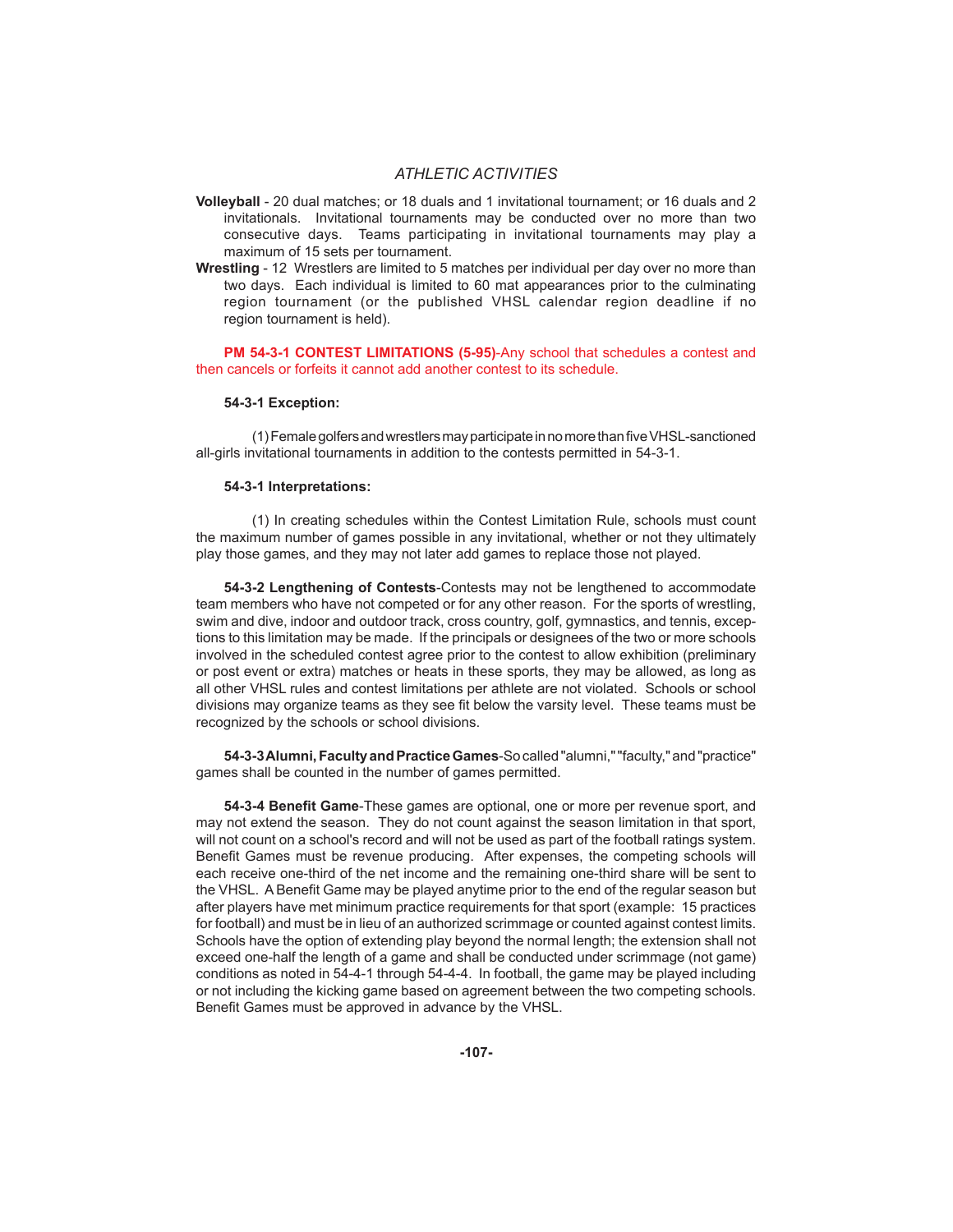## *ATHLETIC ACTIVITIES*

- **Volleyball** 20 dual matches; or 18 duals and 1 invitational tournament; or 16 duals and 2 invitationals. Invitational tournaments may be conducted over no more than two consecutive days. Teams participating in invitational tournaments may play a maximum of 15 sets per tournament.
- **Wrestling** 12 Wrestlers are limited to 5 matches per individual per day over no more than two days. Each individual is limited to 60 mat appearances prior to the culminating region tournament (or the published VHSL calendar region deadline if no region tournament is held).

 **PM 54-3-1 CONTEST LIMITATIONS (5-95)**-Any school that schedules a contest and then cancels or forfeits it cannot add another contest to its schedule.

#### **54-3-1 Exception:**

 (1) Female golfers and wrestlers may participate in no more than fi ve VHSL-sanctioned all-girls invitational tournaments in addition to the contests permitted in 54-3-1.

#### **54-3-1 Interpretations:**

 (1) In creating schedules within the Contest Limitation Rule, schools must count the maximum number of games possible in any invitational, whether or not they ultimately play those games, and they may not later add games to replace those not played.

**54-3-2 Lengthening of Contests**-Contests may not be lengthened to accommodate team members who have not competed or for any other reason. For the sports of wrestling, swim and dive, indoor and outdoor track, cross country, golf, gymnastics, and tennis, exceptions to this limitation may be made. If the principals or designees of the two or more schools involved in the scheduled contest agree prior to the contest to allow exhibition (preliminary or post event or extra) matches or heats in these sports, they may be allowed, as long as all other VHSL rules and contest limitations per athlete are not violated. Schools or school divisions may organize teams as they see fit below the varsity level. These teams must be recognized by the schools or school divisions.

**54-3-3 Alumni, Faculty and Practice Games**-So called "alumni," "faculty," and "practice" games shall be counted in the number of games permitted.

**54-3-4 Benefit Game-**These games are optional, one or more per revenue sport, and may not extend the season. They do not count against the season limitation in that sport, will not count on a school's record and will not be used as part of the football ratings system. Benefit Games must be revenue producing. After expenses, the competing schools will each receive one-third of the net income and the remaining one-third share will be sent to the VHSL. A Benefit Game may be played anytime prior to the end of the regular season but after players have met minimum practice requirements for that sport (example: 15 practices for football) and must be in lieu of an authorized scrimmage or counted against contest limits. Schools have the option of extending play beyond the normal length; the extension shall not exceed one-half the length of a game and shall be conducted under scrimmage (not game) conditions as noted in 54-4-1 through 54-4-4. In football, the game may be played including or not including the kicking game based on agreement between the two competing schools. Benefit Games must be approved in advance by the VHSL.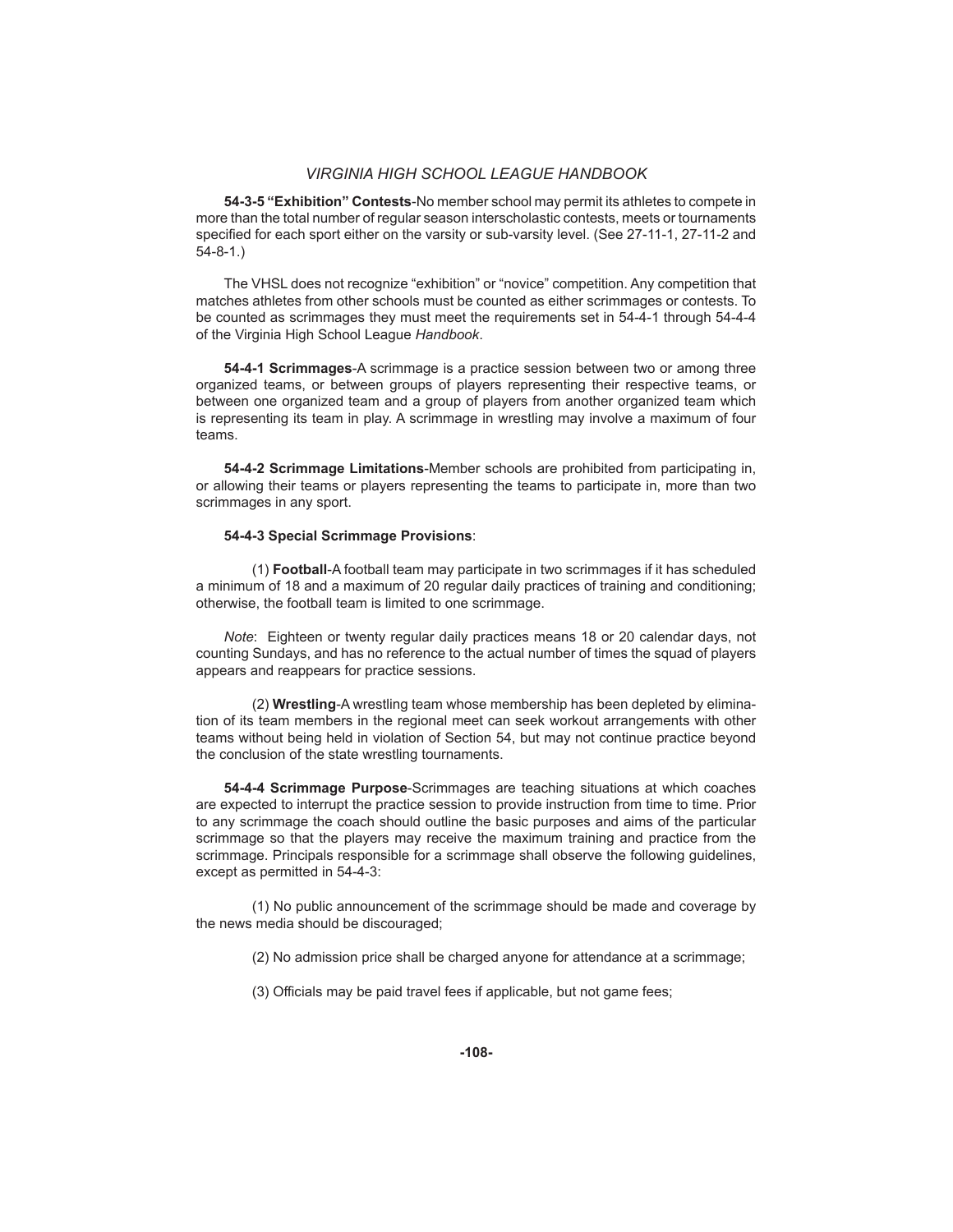**54-3-5 "Exhibition" Contests**-No member school may permit its athletes to compete in more than the total number of regular season interscholastic contests, meets or tournaments specified for each sport either on the varsity or sub-varsity level. (See 27-11-1, 27-11-2 and 54-8-1.)

 The VHSL does not recognize "exhibition" or "novice" competition. Any competition that matches athletes from other schools must be counted as either scrimmages or contests. To be counted as scrimmages they must meet the requirements set in 54-4-1 through 54-4-4 of the Virginia High School League *Handbook*.

**54-4-1 Scrimmages**-A scrimmage is a practice session between two or among three organized teams, or between groups of players representing their respective teams, or between one organized team and a group of players from another organized team which is representing its team in play. A scrimmage in wrestling may involve a maximum of four teams.

**54-4-2 Scrimmage Limitations**-Member schools are prohibited from participating in, or allowing their teams or players representing the teams to participate in, more than two scrimmages in any sport.

#### **54-4-3 Special Scrimmage Provisions**:

 (1) **Football**-A football team may participate in two scrimmages if it has scheduled a minimum of 18 and a maximum of 20 regular daily practices of training and conditioning; otherwise, the football team is limited to one scrimmage.

*Note*: Eighteen or twenty regular daily practices means 18 or 20 calendar days, not counting Sundays, and has no reference to the actual number of times the squad of players appears and reappears for practice sessions.

 (2) **Wrestling**-A wrestling team whose membership has been depleted by elimination of its team members in the regional meet can seek workout arrangements with other teams without being held in violation of Section 54, but may not continue practice beyond the conclusion of the state wrestling tournaments.

**54-4-4 Scrimmage Purpose**-Scrimmages are teaching situations at which coaches are expected to interrupt the practice session to provide instruction from time to time. Prior to any scrimmage the coach should outline the basic purposes and aims of the particular scrimmage so that the players may receive the maximum training and practice from the scrimmage. Principals responsible for a scrimmage shall observe the following guidelines, except as permitted in 54-4-3:

 (1) No public announcement of the scrimmage should be made and coverage by the news media should be discouraged;

(2) No admission price shall be charged anyone for attendance at a scrimmage;

(3) Officials may be paid travel fees if applicable, but not game fees;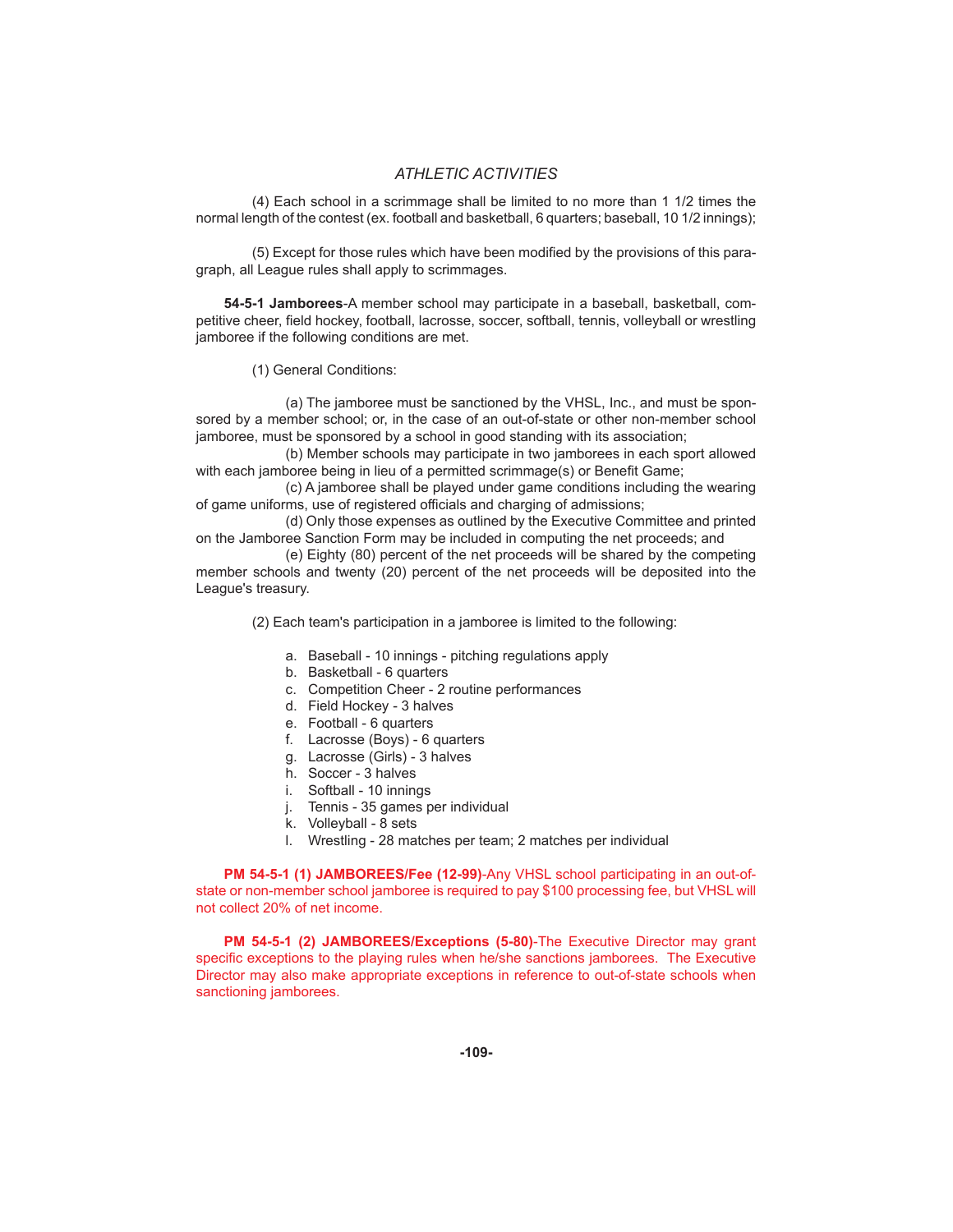(4) Each school in a scrimmage shall be limited to no more than 1 1/2 times the normal length of the contest (ex. football and basketball, 6 quarters; baseball, 10 1/2 innings);

(5) Except for those rules which have been modified by the provisions of this paragraph, all League rules shall apply to scrimmages.

**54-5-1 Jamborees**-A member school may participate in a baseball, basketball, competitive cheer, field hockey, football, lacrosse, soccer, softball, tennis, volleyball or wrestling jamboree if the following conditions are met.

(1) General Conditions:

 (a) The jamboree must be sanctioned by the VHSL, Inc., and must be sponsored by a member school; or, in the case of an out-of-state or other non-member school jamboree, must be sponsored by a school in good standing with its association;

 (b) Member schools may participate in two jamborees in each sport allowed with each jamboree being in lieu of a permitted scrimmage(s) or Benefit Game;

 (c) A jamboree shall be played under game conditions including the wearing of game uniforms, use of registered officials and charging of admissions;

 (d) Only those expenses as outlined by the Executive Committee and printed on the Jamboree Sanction Form may be included in computing the net proceeds; and

 (e) Eighty (80) percent of the net proceeds will be shared by the competing member schools and twenty (20) percent of the net proceeds will be deposited into the League's treasury.

(2) Each team's participation in a jamboree is limited to the following:

- a. Baseball 10 innings pitching regulations apply
- b. Basketball 6 quarters
- c. Competition Cheer 2 routine performances
- d. Field Hockey 3 halves
- e. Football 6 quarters
- f. Lacrosse (Boys) 6 quarters
- g. Lacrosse (Girls) 3 halves
- h. Soccer 3 halves
- i. Softball 10 innings
- j. Tennis 35 games per individual
- k. Volleyball 8 sets
- l. Wrestling 28 matches per team; 2 matches per individual

 **PM 54-5-1 (1) JAMBOREES/Fee (12-99)**-Any VHSL school participating in an out-ofstate or non-member school jamboree is required to pay \$100 processing fee, but VHSL will not collect 20% of net income.

 **PM 54-5-1 (2) JAMBOREES/Exceptions (5-80)**-The Executive Director may grant specific exceptions to the playing rules when he/she sanctions jamborees. The Executive Director may also make appropriate exceptions in reference to out-of-state schools when sanctioning jamborees.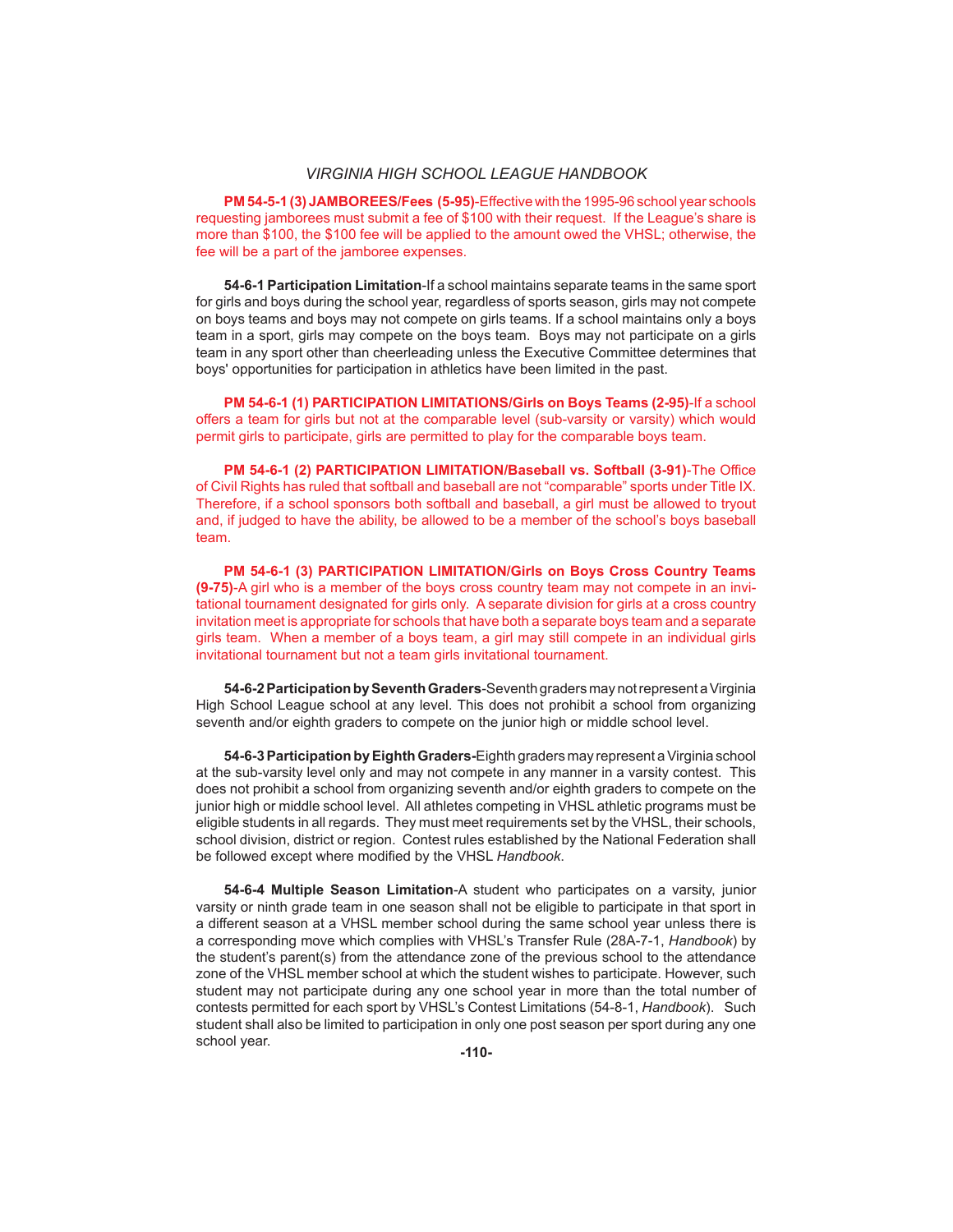**PM 54-5-1 (3) JAMBOREES/Fees (5-95)-Effective with the 1995-96 school year schools** requesting jamborees must submit a fee of \$100 with their request. If the League's share is more than \$100, the \$100 fee will be applied to the amount owed the VHSL; otherwise, the fee will be a part of the jamboree expenses.

**54-6-1 Participation Limitation**-If a school maintains separate teams in the same sport for girls and boys during the school year, regardless of sports season, girls may not compete on boys teams and boys may not compete on girls teams. If a school maintains only a boys team in a sport, girls may compete on the boys team. Boys may not participate on a girls team in any sport other than cheerleading unless the Executive Committee determines that boys' opportunities for participation in athletics have been limited in the past.

 **PM 54-6-1 (1) PARTICIPATION LIMITATIONS/Girls on Boys Teams (2-95)**-If a school offers a team for girls but not at the comparable level (sub-varsity or varsity) which would permit girls to participate, girls are permitted to play for the comparable boys team.

**PM 54-6-1 (2) PARTICIPATION LIMITATION/Baseball vs. Softball (3-91)-The Office** of Civil Rights has ruled that softball and baseball are not "comparable" sports under Title IX. Therefore, if a school sponsors both softball and baseball, a girl must be allowed to tryout and, if judged to have the ability, be allowed to be a member of the school's boys baseball team.

 **PM 54-6-1 (3) PARTICIPATION LIMITATION/Girls on Boys Cross Country Teams (9-75)**-A girl who is a member of the boys cross country team may not compete in an invitational tournament designated for girls only. A separate division for girls at a cross country invitation meet is appropriate for schools that have both a separate boys team and a separate girls team. When a member of a boys team, a girl may still compete in an individual girls invitational tournament but not a team girls invitational tournament.

**54-6-2 Participation by Seventh Graders**-Seventh graders may not represent a Virginia High School League school at any level. This does not prohibit a school from organizing seventh and/or eighth graders to compete on the junior high or middle school level.

 **54-6-3 Participation by Eighth Graders-**Eighth graders may represent a Virginia school at the sub-varsity level only and may not compete in any manner in a varsity contest. This does not prohibit a school from organizing seventh and/or eighth graders to compete on the junior high or middle school level. All athletes competing in VHSL athletic programs must be eligible students in all regards. They must meet requirements set by the VHSL, their schools, school division, district or region. Contest rules established by the National Federation shall be followed except where modified by the VHSL Handbook.

**54-6-4 Multiple Season Limitation**-A student who participates on a varsity, junior varsity or ninth grade team in one season shall not be eligible to participate in that sport in a different season at a VHSL member school during the same school year unless there is a corresponding move which complies with VHSL's Transfer Rule (28A-7-1, *Handbook*) by the student's parent(s) from the attendance zone of the previous school to the attendance zone of the VHSL member school at which the student wishes to participate. However, such student may not participate during any one school year in more than the total number of contests permitted for each sport by VHSL's Contest Limitations (54-8-1, *Handbook*). Such student shall also be limited to participation in only one post season per sport during any one school year.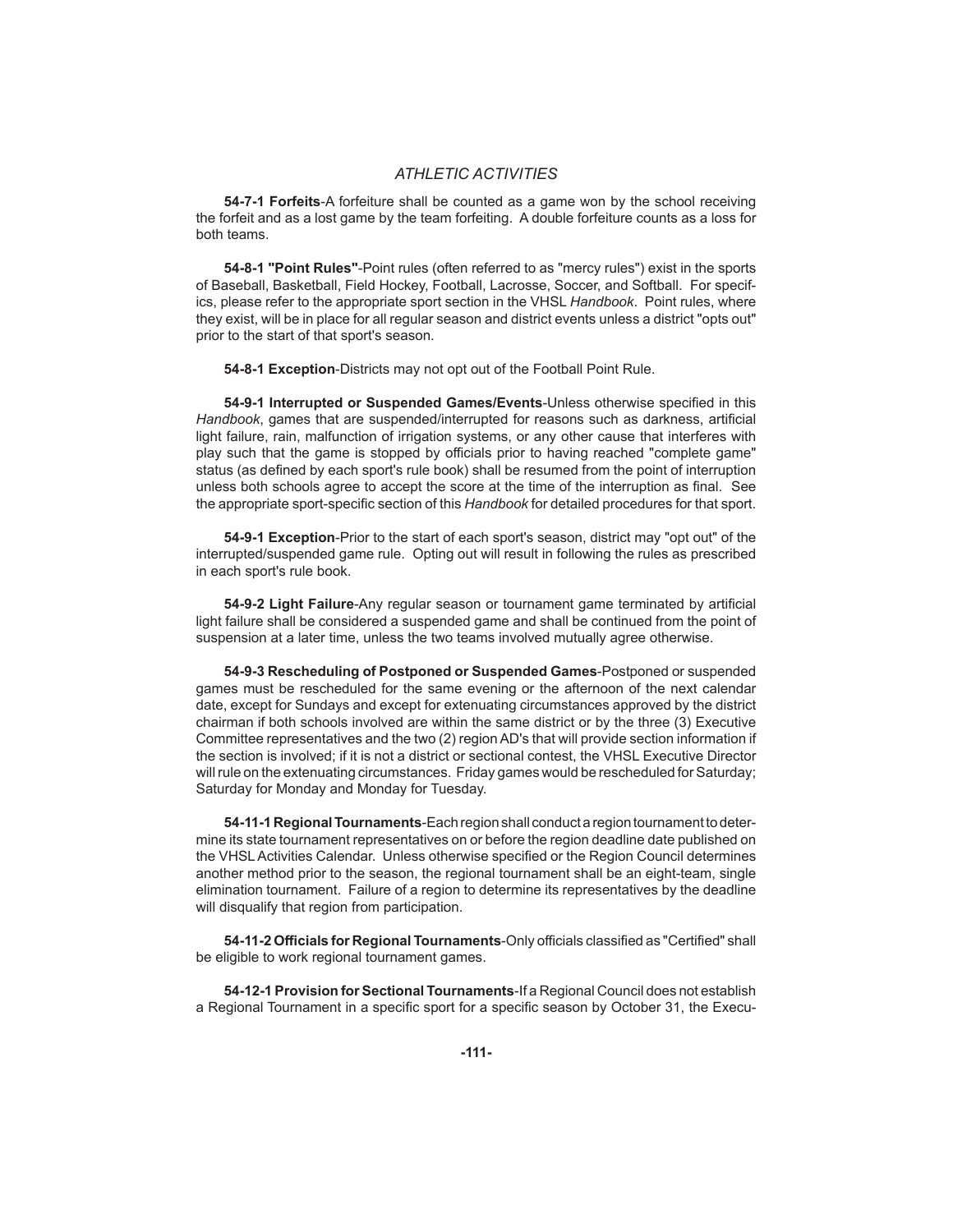**54-7-1 Forfeits**-A forfeiture shall be counted as a game won by the school receiving the forfeit and as a lost game by the team forfeiting. A double forfeiture counts as a loss for both teams.

**54-8-1 "Point Rules"**-Point rules (often referred to as "mercy rules") exist in the sports of Baseball, Basketball, Field Hockey, Football, Lacrosse, Soccer, and Softball. For specifics, please refer to the appropriate sport section in the VHSL *Handbook*. Point rules, where they exist, will be in place for all regular season and district events unless a district "opts out" prior to the start of that sport's season.

**54-8-1 Exception**-Districts may not opt out of the Football Point Rule.

54-9-1 Interrupted or Suspended Games/Events-Unless otherwise specified in this Handbook, games that are suspended/interrupted for reasons such as darkness, artificial light failure, rain, malfunction of irrigation systems, or any other cause that interferes with play such that the game is stopped by officials prior to having reached "complete game" status (as defined by each sport's rule book) shall be resumed from the point of interruption unless both schools agree to accept the score at the time of the interruption as final. See the appropriate sport-specific section of this Handbook for detailed procedures for that sport.

**54-9-1 Exception**-Prior to the start of each sport's season, district may "opt out" of the interrupted/suspended game rule. Opting out will result in following the rules as prescribed in each sport's rule book.

**54-9-2 Light Failure**-Any regular season or tournament game terminated by artificial light failure shall be considered a suspended game and shall be continued from the point of suspension at a later time, unless the two teams involved mutually agree otherwise.

 **54-9-3 Rescheduling of Postponed or Suspended Games**-Postponed or suspended games must be rescheduled for the same evening or the afternoon of the next calendar date, except for Sundays and except for extenuating circumstances approved by the district chairman if both schools involved are within the same district or by the three (3) Executive Committee representatives and the two (2) region AD's that will provide section information if the section is involved; if it is not a district or sectional contest, the VHSL Executive Director will rule on the extenuating circumstances. Friday games would be rescheduled for Saturday; Saturday for Monday and Monday for Tuesday.

**54-11-1 Regional Tournaments**-Each region shall conduct a region tournament to determine its state tournament representatives on or before the region deadline date published on the VHSL Activities Calendar. Unless otherwise specified or the Region Council determines another method prior to the season, the regional tournament shall be an eight-team, single elimination tournament. Failure of a region to determine its representatives by the deadline will disqualify that region from participation.

**54-11-2 Officials for Regional Tournaments-Only officials classified as "Certified" shall** be eligible to work regional tournament games.

**54-12-1 Provision for Sectional Tournaments**-If a Regional Council does not establish a Regional Tournament in a specific sport for a specific season by October 31, the Execu-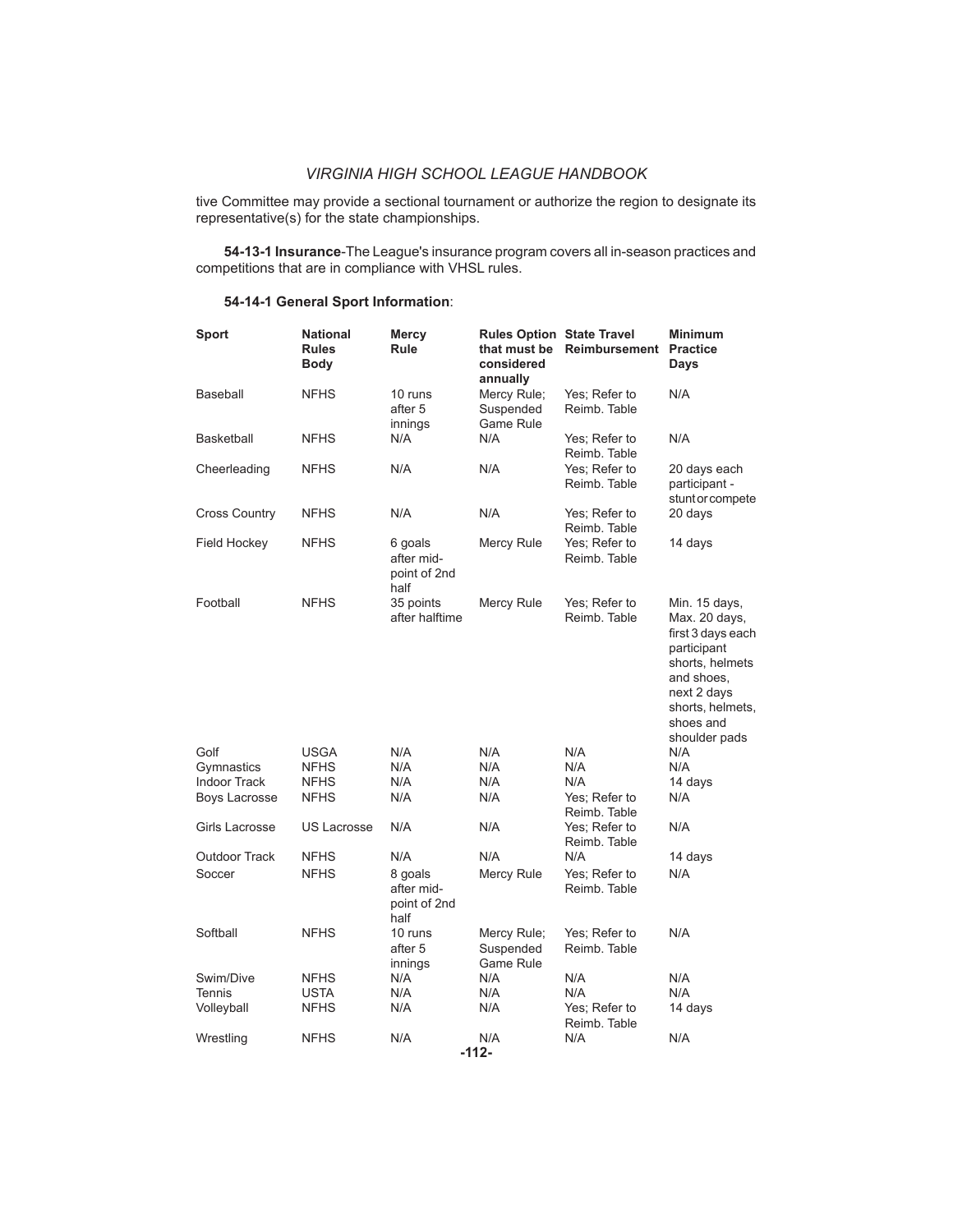tive Committee may provide a sectional tournament or authorize the region to designate its representative(s) for the state championships.

**54-13-1 Insurance**-The League's insurance program covers all in-season practices and competitions that are in compliance with VHSL rules.

## **54-14-1 General Sport Information**:

| <b>Sport</b>         | <b>National</b><br><b>Rules</b><br><b>Body</b> | <b>Mercy</b><br>Rule                          | <b>Rules Option State Travel</b><br>that must be<br>considered<br>annually | <b>Reimbursement Practice</b> | <b>Minimum</b><br>Days                                                                                                                                               |
|----------------------|------------------------------------------------|-----------------------------------------------|----------------------------------------------------------------------------|-------------------------------|----------------------------------------------------------------------------------------------------------------------------------------------------------------------|
| <b>Baseball</b>      | <b>NFHS</b>                                    | 10 runs<br>after 5<br>innings                 | Mercy Rule;<br>Suspended<br><b>Game Rule</b>                               | Yes: Refer to<br>Reimb. Table | N/A                                                                                                                                                                  |
| <b>Basketball</b>    | <b>NFHS</b>                                    | N/A                                           | N/A                                                                        | Yes; Refer to<br>Reimb. Table | N/A                                                                                                                                                                  |
| Cheerleading         | <b>NFHS</b>                                    | N/A                                           | N/A                                                                        | Yes: Refer to<br>Reimb. Table | 20 days each<br>participant -<br>stunt or compete                                                                                                                    |
| <b>Cross Country</b> | <b>NFHS</b>                                    | N/A                                           | N/A                                                                        | Yes; Refer to<br>Reimb. Table | 20 days                                                                                                                                                              |
| Field Hockey         | <b>NFHS</b>                                    | 6 goals<br>after mid-<br>point of 2nd<br>half | Mercy Rule                                                                 | Yes: Refer to<br>Reimb. Table | 14 days                                                                                                                                                              |
| Football             | <b>NFHS</b>                                    | 35 points<br>after halftime                   | Mercy Rule                                                                 | Yes: Refer to<br>Reimb. Table | Min. 15 days,<br>Max. 20 days,<br>first 3 days each<br>participant<br>shorts, helmets<br>and shoes,<br>next 2 days<br>shorts, helmets,<br>shoes and<br>shoulder pads |
| Golf                 | <b>USGA</b>                                    | N/A                                           | N/A                                                                        | N/A                           | N/A                                                                                                                                                                  |
| Gymnastics           | <b>NFHS</b>                                    | N/A                                           | N/A                                                                        | N/A                           | N/A                                                                                                                                                                  |
| <b>Indoor Track</b>  | <b>NFHS</b>                                    | N/A                                           | N/A                                                                        | N/A                           | 14 days                                                                                                                                                              |
| <b>Boys Lacrosse</b> | <b>NFHS</b>                                    | N/A                                           | N/A                                                                        | Yes; Refer to<br>Reimb. Table | N/A                                                                                                                                                                  |
| Girls Lacrosse       | <b>US Lacrosse</b>                             | N/A                                           | N/A                                                                        | Yes; Refer to<br>Reimb. Table | N/A                                                                                                                                                                  |
| <b>Outdoor Track</b> | <b>NFHS</b>                                    | N/A                                           | N/A                                                                        | N/A                           | 14 days                                                                                                                                                              |
| Soccer               | <b>NFHS</b>                                    | 8 goals<br>after mid-<br>point of 2nd<br>half | Mercy Rule                                                                 | Yes: Refer to<br>Reimb. Table | N/A                                                                                                                                                                  |
| Softball             | <b>NFHS</b>                                    | 10 runs<br>after 5<br>innings                 | Mercy Rule;<br>Suspended<br>Game Rule                                      | Yes; Refer to<br>Reimb. Table | N/A                                                                                                                                                                  |
| Swim/Dive            | <b>NFHS</b>                                    | N/A                                           | N/A                                                                        | N/A                           | N/A                                                                                                                                                                  |
| <b>Tennis</b>        | <b>USTA</b>                                    | N/A                                           | N/A                                                                        | N/A                           | N/A                                                                                                                                                                  |
| Volleyball           | <b>NFHS</b>                                    | N/A                                           | N/A                                                                        | Yes: Refer to<br>Reimb. Table | 14 days                                                                                                                                                              |
| Wrestling            | <b>NFHS</b>                                    | N/A                                           | N/A<br>$-112-$                                                             | N/A                           | N/A                                                                                                                                                                  |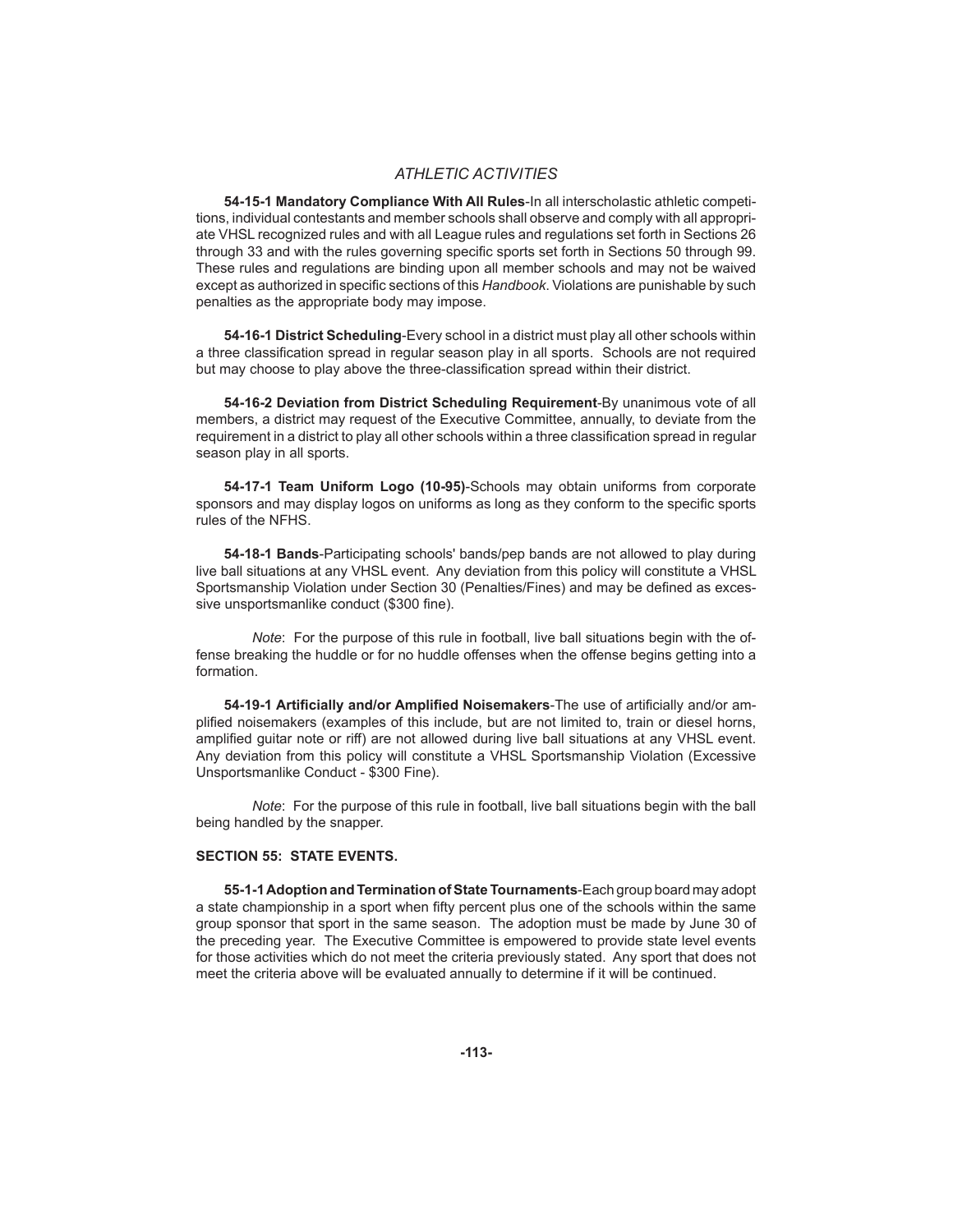**54-15-1 Mandatory Compliance With All Rules**-In all interscholastic athletic competitions, individual contestants and member schools shall observe and comply with all appropriate VHSL recognized rules and with all League rules and regulations set forth in Sections 26 through 33 and with the rules governing specific sports set forth in Sections 50 through 99. These rules and regulations are binding upon all member schools and may not be waived except as authorized in specific sections of this Handbook. Violations are punishable by such penalties as the appropriate body may impose.

**54-16-1 District Scheduling**-Every school in a district must play all other schools within a three classification spread in regular season play in all sports. Schools are not required but may choose to play above the three-classification spread within their district.

**54-16-2 Deviation from District Scheduling Requirement**-By unanimous vote of all members, a district may request of the Executive Committee, annually, to deviate from the requirement in a district to play all other schools within a three classification spread in regular season play in all sports.

 **54-17-1 Team Uniform Logo (10-95)**-Schools may obtain uniforms from corporate sponsors and may display logos on uniforms as long as they conform to the specific sports rules of the NFHS.

**54-18-1 Bands**-Participating schools' bands/pep bands are not allowed to play during live ball situations at any VHSL event. Any deviation from this policy will constitute a VHSL Sportsmanship Violation under Section 30 (Penalties/Fines) and may be defined as excessive unsportsmanlike conduct (\$300 fine).

 *Note*: For the purpose of this rule in football, live ball situations begin with the offense breaking the huddle or for no huddle offenses when the offense begins getting into a formation.

**54-19-1 Artificially and/or Amplified Noisemakers-The use of artificially and/or am**plified noisemakers (examples of this include, but are not limited to, train or diesel horns, amplified quitar note or riff) are not allowed during live ball situations at any VHSL event. Any deviation from this policy will constitute a VHSL Sportsmanship Violation (Excessive Unsportsmanlike Conduct - \$300 Fine).

 *Note*: For the purpose of this rule in football, live ball situations begin with the ball being handled by the snapper.

## **SECTION 55: STATE EVENTS.**

**55-1-1 Adoption and Termination of State Tournaments**-Each group board may adopt a state championship in a sport when fifty percent plus one of the schools within the same group sponsor that sport in the same season. The adoption must be made by June 30 of the preceding year. The Executive Committee is empowered to provide state level events for those activities which do not meet the criteria previously stated. Any sport that does not meet the criteria above will be evaluated annually to determine if it will be continued.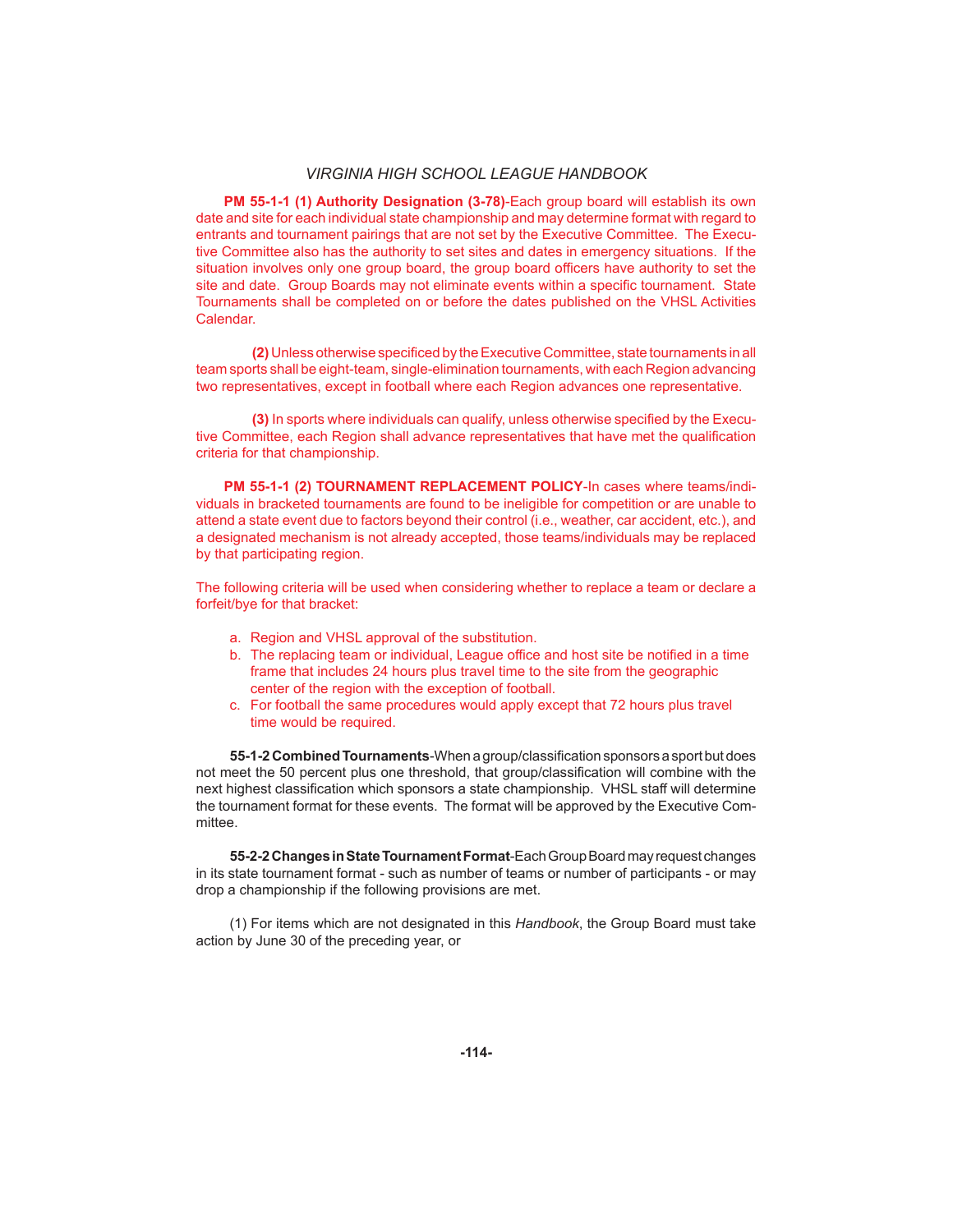**PM 55-1-1 (1) Authority Designation (3-78)**-Each group board will establish its own date and site for each individual state championship and may determine format with regard to entrants and tournament pairings that are not set by the Executive Committee. The Executive Committee also has the authority to set sites and dates in emergency situations. If the situation involves only one group board, the group board officers have authority to set the site and date. Group Boards may not eliminate events within a specific tournament. State Tournaments shall be completed on or before the dates published on the VHSL Activities Calendar.

**(2)** Unless otherwise specificed by the Executive Committee, state tournaments in all team sports shall be eight-team, single-elimination tournaments, with each Region advancing two representatives, except in football where each Region advances one representative.

**(3)** In sports where individuals can qualify, unless otherwise specified by the Executive Committee, each Region shall advance representatives that have met the qualification criteria for that championship.

 **PM 55-1-1 (2) TOURNAMENT REPLACEMENT POLICY**-In cases where teams/individuals in bracketed tournaments are found to be ineligible for competition or are unable to attend a state event due to factors beyond their control (i.e., weather, car accident, etc.), and a designated mechanism is not already accepted, those teams/individuals may be replaced by that participating region.

The following criteria will be used when considering whether to replace a team or declare a forfeit/bye for that bracket:

- a. Region and VHSL approval of the substitution.
- b. The replacing team or individual, League office and host site be notified in a time frame that includes 24 hours plus travel time to the site from the geographic center of the region with the exception of football.
- c. For football the same procedures would apply except that 72 hours plus travel time would be required.

**55-1-2 Combined Tournaments**-When a group/classification sponsors a sport but does not meet the 50 percent plus one threshold, that group/classification will combine with the next highest classification which sponsors a state championship. VHSL staff will determine the tournament format for these events. The format will be approved by the Executive Committee.

**55-2-2 Changes in State Tournament Format**-Each Group Board may request changes in its state tournament format - such as number of teams or number of participants - or may drop a championship if the following provisions are met.

 (1) For items which are not designated in this *Handbook*, the Group Board must take action by June 30 of the preceding year, or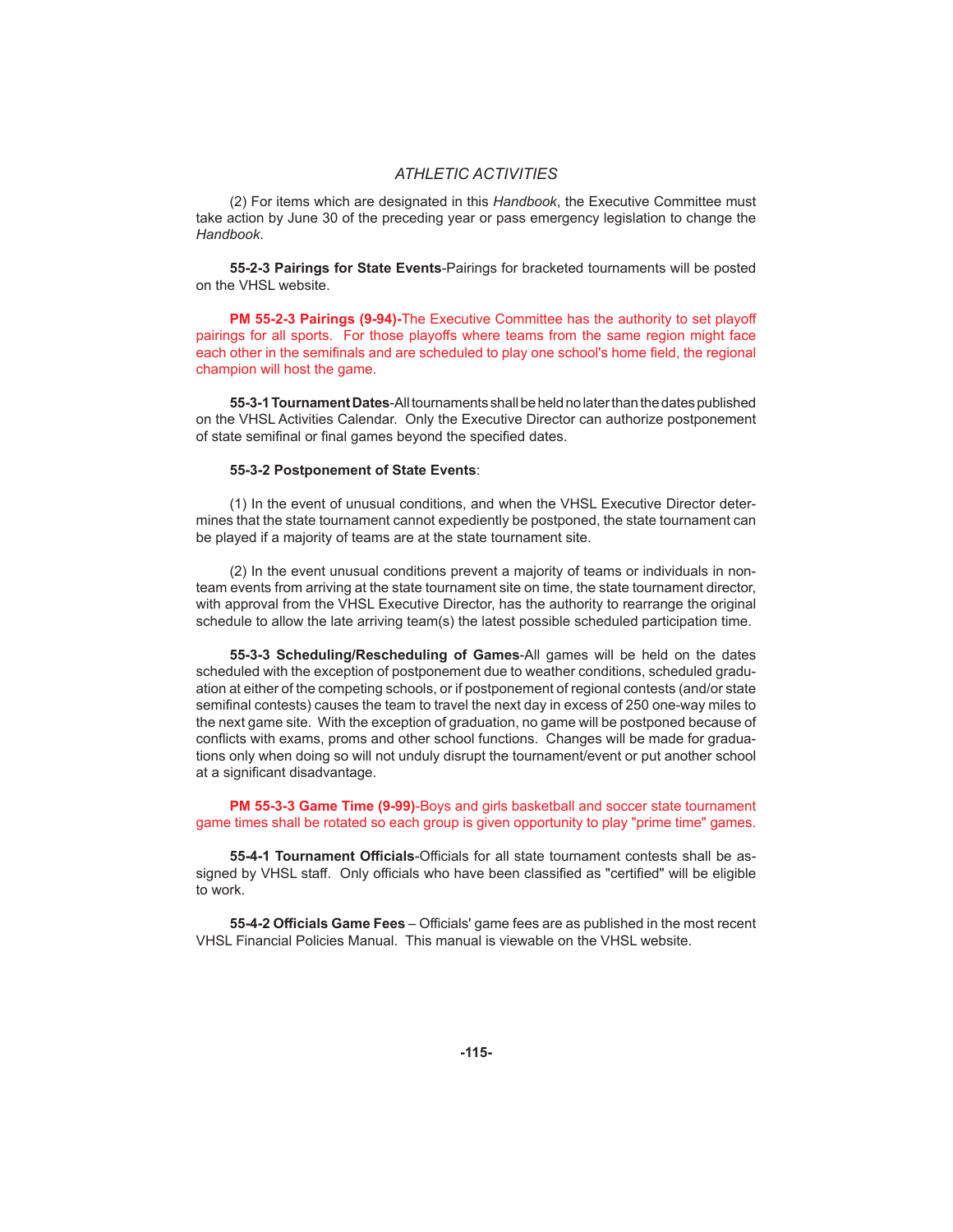(2) For items which are designated in this *Handbook*, the Executive Committee must take action by June 30 of the preceding year or pass emergency legislation to change the *Handbook*.

**55-2-3 Pairings for State Events**-Pairings for bracketed tournaments will be posted on the VHSL website.

**PM 55-2-3 Pairings (9-94)-**The Executive Committee has the authority to set playoff pairings for all sports. For those playoffs where teams from the same region might face each other in the semifinals and are scheduled to play one school's home field, the regional champion will host the game.

**55-3-1 Tournament Dates**-All tournaments shall be held no later than the dates published on the VHSL Activities Calendar. Only the Executive Director can authorize postponement of state semifinal or final games beyond the specified dates.

### **55-3-2 Postponement of State Events**:

 (1) In the event of unusual conditions, and when the VHSL Executive Director determines that the state tournament cannot expediently be postponed, the state tournament can be played if a majority of teams are at the state tournament site.

 (2) In the event unusual conditions prevent a majority of teams or individuals in nonteam events from arriving at the state tournament site on time, the state tournament director, with approval from the VHSL Executive Director, has the authority to rearrange the original schedule to allow the late arriving team(s) the latest possible scheduled participation time.

**55-3-3 Scheduling/Rescheduling of Games**-All games will be held on the dates scheduled with the exception of postponement due to weather conditions, scheduled graduation at either of the competing schools, or if postponement of regional contests (and/or state semifinal contests) causes the team to travel the next day in excess of 250 one-way miles to the next game site. With the exception of graduation, no game will be postponed because of conflicts with exams, proms and other school functions. Changes will be made for graduations only when doing so will not unduly disrupt the tournament/event or put another school at a significant disadvantage.

**PM 55-3-3 Game Time (9-99)**-Boys and girls basketball and soccer state tournament game times shall be rotated so each group is given opportunity to play "prime time" games.

**55-4-1 Tournament Officials**-Officials for all state tournament contests shall be assigned by VHSL staff. Only officials who have been classified as "certified" will be eligible to work.

**55-4-2 Officials Game Fees** – Officials' game fees are as published in the most recent VHSL Financial Policies Manual. This manual is viewable on the VHSL website.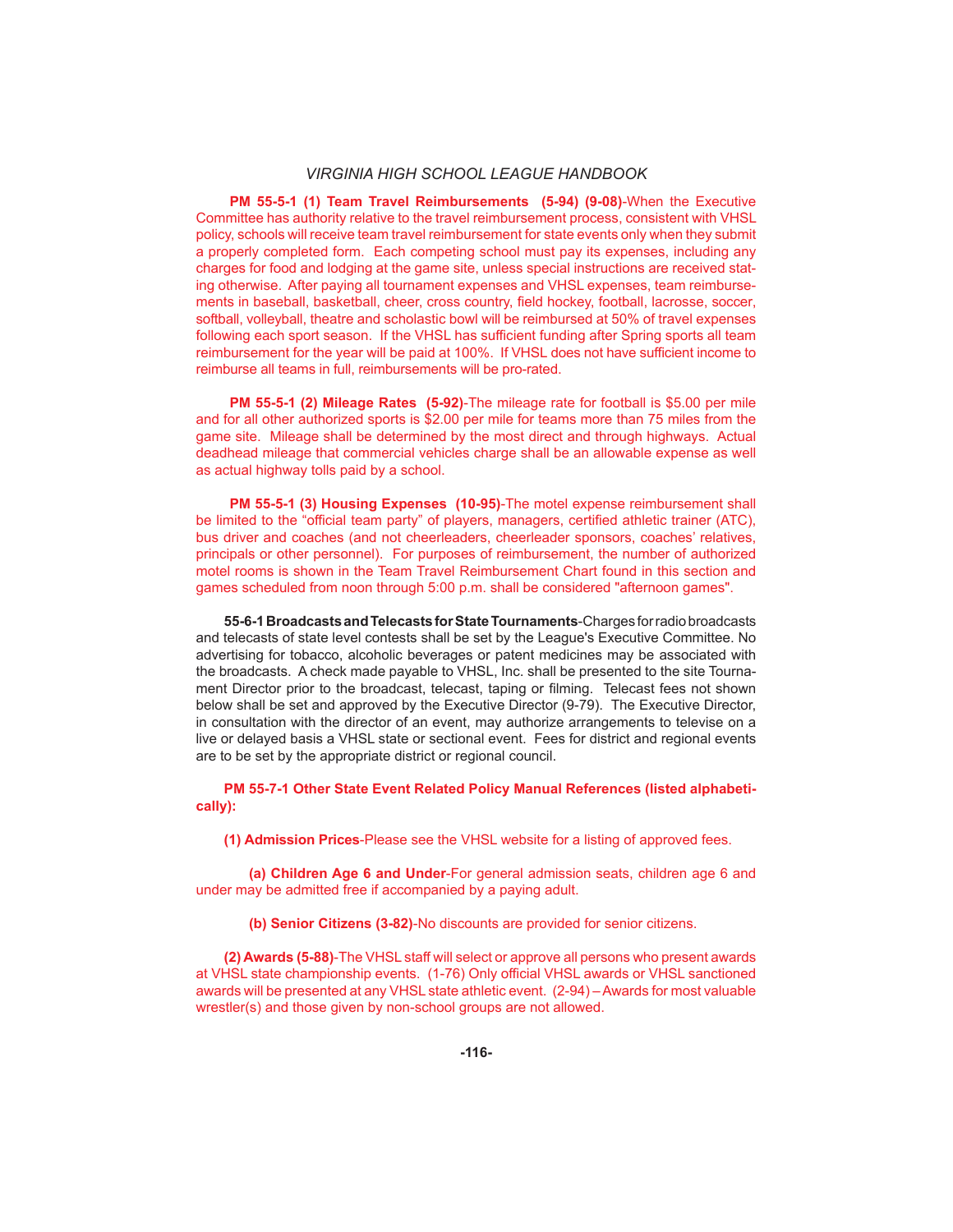**PM 55-5-1 (1) Team Travel Reimbursements (5-94) (9-08)**-When the Executive Committee has authority relative to the travel reimbursement process, consistent with VHSL policy, schools will receive team travel reimbursement for state events only when they submit a properly completed form. Each competing school must pay its expenses, including any charges for food and lodging at the game site, unless special instructions are received stating otherwise. After paying all tournament expenses and VHSL expenses, team reimbursements in baseball, basketball, cheer, cross country, field hockey, football, lacrosse, soccer, softball, volleyball, theatre and scholastic bowl will be reimbursed at 50% of travel expenses following each sport season. If the VHSL has sufficient funding after Spring sports all team reimbursement for the year will be paid at 100%. If VHSL does not have sufficient income to reimburse all teams in full, reimbursements will be pro-rated.

 **PM 55-5-1 (2) Mileage Rates (5-92)**-The mileage rate for football is \$5.00 per mile and for all other authorized sports is \$2.00 per mile for teams more than 75 miles from the game site. Mileage shall be determined by the most direct and through highways. Actual deadhead mileage that commercial vehicles charge shall be an allowable expense as well as actual highway tolls paid by a school.

 **PM 55-5-1 (3) Housing Expenses (10-95)**-The motel expense reimbursement shall be limited to the "official team party" of players, managers, certified athletic trainer (ATC), bus driver and coaches (and not cheerleaders, cheerleader sponsors, coaches' relatives, principals or other personnel). For purposes of reimbursement, the number of authorized motel rooms is shown in the Team Travel Reimbursement Chart found in this section and games scheduled from noon through 5:00 p.m. shall be considered "afternoon games".

**55-6-1 Broadcasts and Telecasts for State Tournaments**-Charges for radio broadcasts and telecasts of state level contests shall be set by the League's Executive Committee. No advertising for tobacco, alcoholic beverages or patent medicines may be associated with the broadcasts. A check made payable to VHSL, Inc. shall be presented to the site Tournament Director prior to the broadcast, telecast, taping or filming. Telecast fees not shown below shall be set and approved by the Executive Director (9-79). The Executive Director, in consultation with the director of an event, may authorize arrangements to televise on a live or delayed basis a VHSL state or sectional event. Fees for district and regional events are to be set by the appropriate district or regional council.

**PM 55-7-1 Other State Event Related Policy Manual References (listed alphabetically):**

**(1) Admission Prices**-Please see the VHSL website for a listing of approved fees.

 **(a) Children Age 6 and Under**-For general admission seats, children age 6 and under may be admitted free if accompanied by a paying adult.

 **(b) Senior Citizens (3-82)**-No discounts are provided for senior citizens.

 **(2) Awards (5-88)**-The VHSL staff will select or approve all persons who present awards at VHSL state championship events. (1-76) Only official VHSL awards or VHSL sanctioned awards will be presented at any VHSL state athletic event. (2-94) – Awards for most valuable wrestler(s) and those given by non-school groups are not allowed.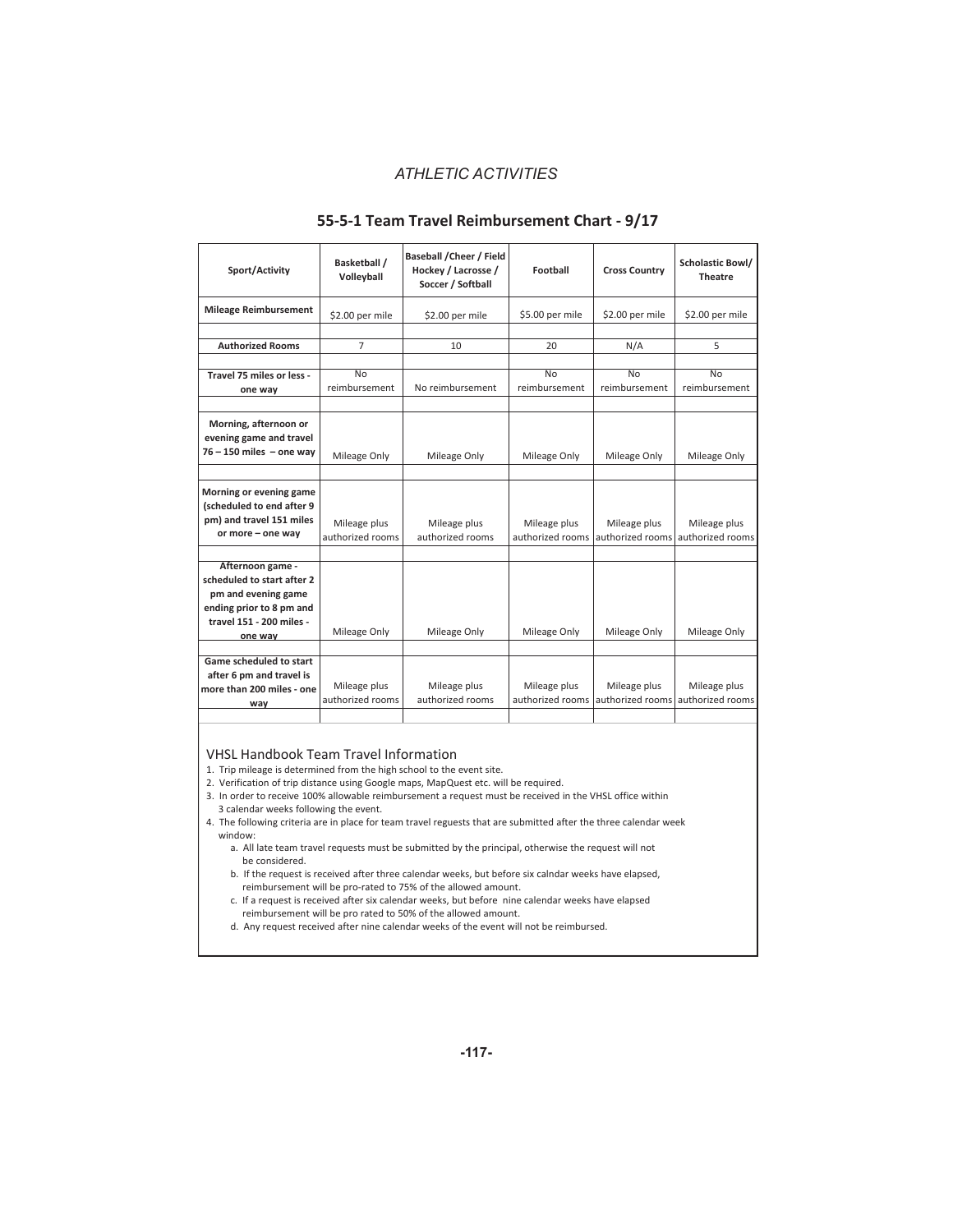## **55Ͳ5Ͳ1 Team Travel Reimbursement ChartͲ9/17**

| Sport/Activity                                                                                        | Basketball /<br>Volleyball       | <b>Baseball / Cheer / Field</b><br>Hockey / Lacrosse /<br>Soccer / Softball | Football                         | <b>Cross Country</b>             | Scholastic Bowl/<br><b>Theatre</b> |
|-------------------------------------------------------------------------------------------------------|----------------------------------|-----------------------------------------------------------------------------|----------------------------------|----------------------------------|------------------------------------|
| <b>Mileage Reimbursement</b>                                                                          | \$2.00 per mile                  | \$2.00 per mile                                                             | \$5.00 per mile                  | \$2.00 per mile                  | \$2.00 per mile                    |
|                                                                                                       |                                  |                                                                             |                                  |                                  |                                    |
| <b>Authorized Rooms</b>                                                                               | $\overline{7}$                   | 10                                                                          | 20                               | N/A                              | 5                                  |
|                                                                                                       |                                  |                                                                             |                                  |                                  |                                    |
| Travel 75 miles or less -                                                                             | <b>No</b><br>reimbursement       | No reimbursement                                                            | <b>No</b><br>reimbursement       | No<br>reimbursement              | <b>No</b><br>reimbursement         |
| one way                                                                                               |                                  |                                                                             |                                  |                                  |                                    |
| Morning, afternoon or<br>evening game and travel<br>$76 - 150$ miles $-$ one way                      | Mileage Only                     | Mileage Only                                                                | Mileage Only                     | Mileage Only                     | Mileage Only                       |
|                                                                                                       |                                  |                                                                             |                                  |                                  |                                    |
| Morning or evening game<br>(scheduled to end after 9<br>pm) and travel 151 miles<br>or more - one way | Mileage plus<br>authorized rooms | Mileage plus<br>authorized rooms                                            | Mileage plus<br>authorized rooms | Mileage plus<br>authorized rooms | Mileage plus<br>authorized rooms   |
| Afternoon game -<br>scheduled to start after 2                                                        |                                  |                                                                             |                                  |                                  |                                    |
| pm and evening game<br>ending prior to 8 pm and                                                       |                                  |                                                                             |                                  |                                  |                                    |
| travel 151 - 200 miles -<br>one way                                                                   | Mileage Only                     | Mileage Only                                                                | Mileage Only                     | Mileage Only                     | Mileage Only                       |
|                                                                                                       |                                  |                                                                             |                                  |                                  |                                    |
| Game scheduled to start                                                                               |                                  |                                                                             |                                  |                                  |                                    |
| after 6 pm and travel is                                                                              | Mileage plus                     | Mileage plus                                                                | Mileage plus                     | Mileage plus                     | Mileage plus                       |
| more than 200 miles - one                                                                             | authorized rooms                 | authorized rooms                                                            | authorized rooms                 | authorized rooms                 | authorized rooms                   |
| way                                                                                                   |                                  |                                                                             |                                  |                                  |                                    |

#### VHSL Handbook Team Travel Information

1.Trip mileage is determined from the high school to the event site.

2.Verification of trip distance using Google maps, MapQuest etc. will be required.

3.In order to receive 100% allowable reimbursement a request must be received in the VHSL office within 3 calendar weeks following the event.

4.The following criteria are in place for team travel reguests that are submitted after the three calendar week window:

a. All late team travel requests must be submitted by the principal, otherwise the request will not be considered.

b. If the request is received after three calendar weeks, but before six calndar weeks have elapsed, reimbursement will be pro-rated to 75% of the allowed amount.

c. If a request is received after six calendar weeks, but before nine calendar weeks have elapsed reimbursement will be pro rated to 50% of the allowed amount.

d.Any request received after nine calendar weeks of the event will not be reimbursed.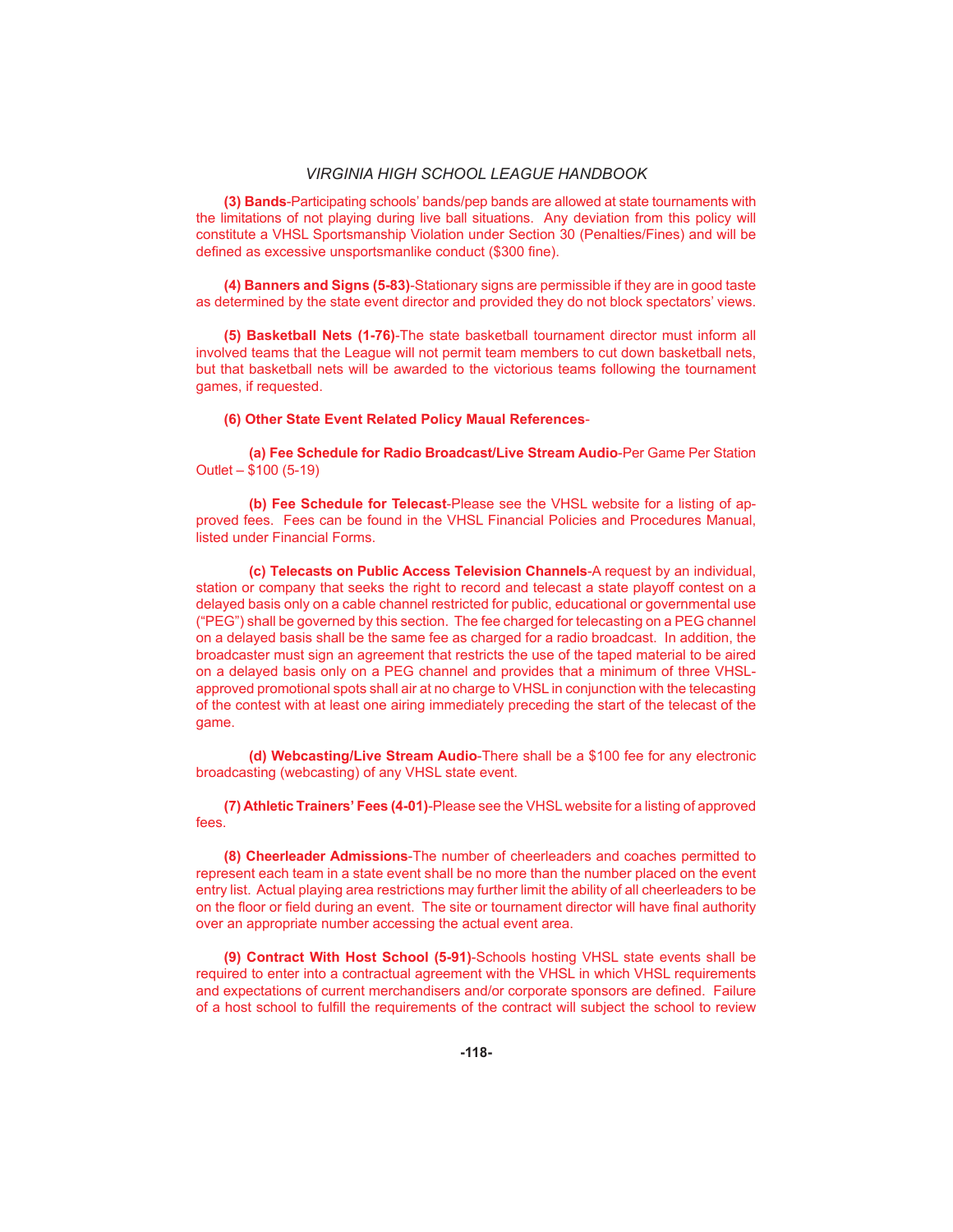**(3) Bands**-Participating schools' bands/pep bands are allowed at state tournaments with the limitations of not playing during live ball situations. Any deviation from this policy will constitute a VHSL Sportsmanship Violation under Section 30 (Penalties/Fines) and will be defined as excessive unsportsmanlike conduct (\$300 fine).

 **(4) Banners and Signs (5-83)**-Stationary signs are permissible if they are in good taste as determined by the state event director and provided they do not block spectators' views.

 **(5) Basketball Nets (1-76)**-The state basketball tournament director must inform all involved teams that the League will not permit team members to cut down basketball nets, but that basketball nets will be awarded to the victorious teams following the tournament games, if requested.

### **(6) Other State Event Related Policy Maual References**-

 **(a) Fee Schedule for Radio Broadcast/Live Stream Audio**-Per Game Per Station Outlet – \$100 (5-19)

 **(b) Fee Schedule for Telecast**-Please see the VHSL website for a listing of approved fees. Fees can be found in the VHSL Financial Policies and Procedures Manual, listed under Financial Forms.

 **(c) Telecasts on Public Access Television Channels**-A request by an individual, station or company that seeks the right to record and telecast a state playoff contest on a delayed basis only on a cable channel restricted for public, educational or governmental use ("PEG") shall be governed by this section. The fee charged for telecasting on a PEG channel on a delayed basis shall be the same fee as charged for a radio broadcast. In addition, the broadcaster must sign an agreement that restricts the use of the taped material to be aired on a delayed basis only on a PEG channel and provides that a minimum of three VHSLapproved promotional spots shall air at no charge to VHSL in conjunction with the telecasting of the contest with at least one airing immediately preceding the start of the telecast of the game.

 **(d) Webcasting/Live Stream Audio**-There shall be a \$100 fee for any electronic broadcasting (webcasting) of any VHSL state event.

 **(7) Athletic Trainers' Fees (4-01)**-Please see the VHSL website for a listing of approved fees.

 **(8) Cheerleader Admissions**-The number of cheerleaders and coaches permitted to represent each team in a state event shall be no more than the number placed on the event entry list. Actual playing area restrictions may further limit the ability of all cheerleaders to be on the floor or field during an event. The site or tournament director will have final authority over an appropriate number accessing the actual event area.

 **(9) Contract With Host School (5-91)**-Schools hosting VHSL state events shall be required to enter into a contractual agreement with the VHSL in which VHSL requirements and expectations of current merchandisers and/or corporate sponsors are defined. Failure of a host school to fulfill the requirements of the contract will subject the school to review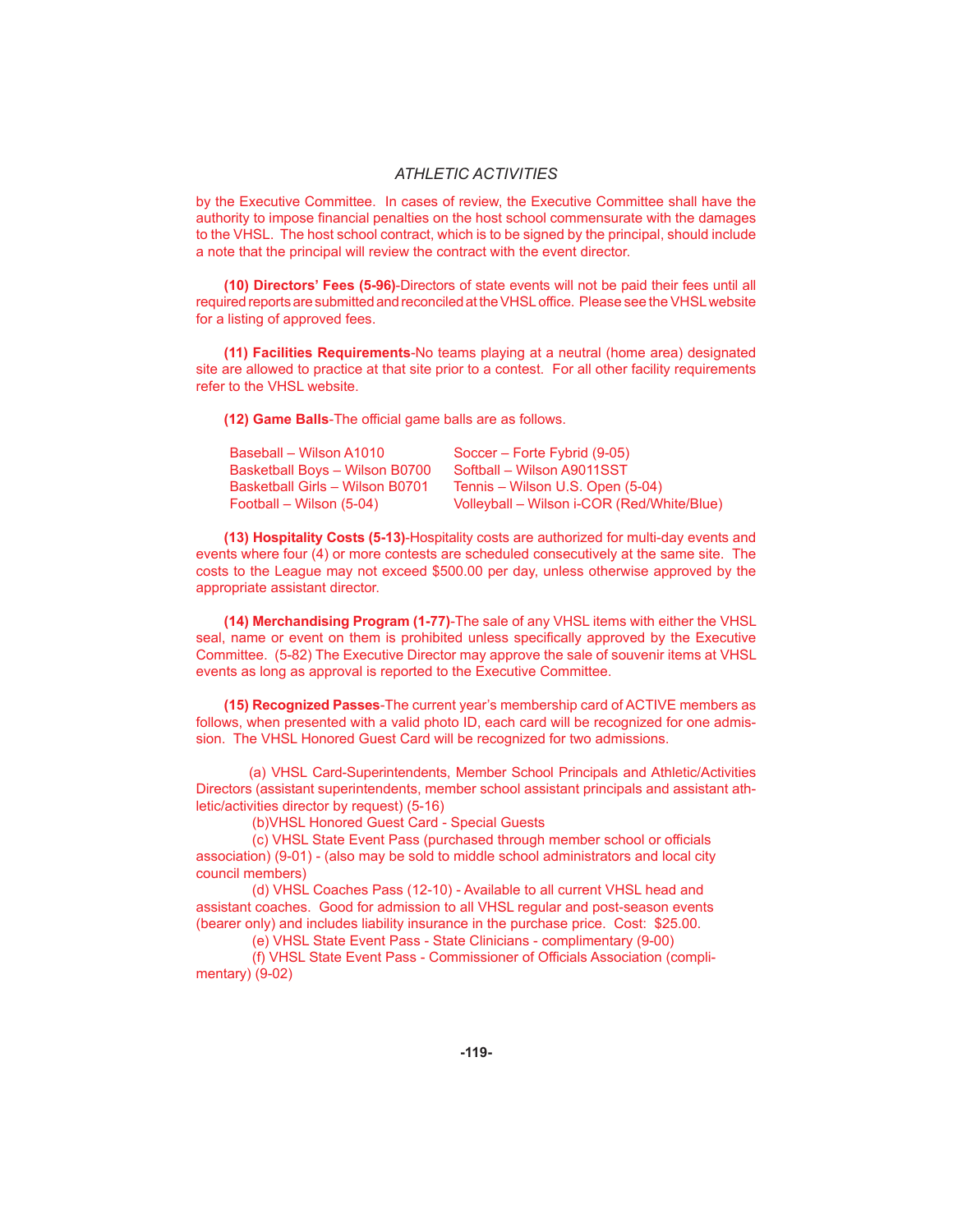by the Executive Committee. In cases of review, the Executive Committee shall have the authority to impose financial penalties on the host school commensurate with the damages to the VHSL. The host school contract, which is to be signed by the principal, should include a note that the principal will review the contract with the event director.

 **(10) Directors' Fees (5-96)**-Directors of state events will not be paid their fees until all required reports are submitted and reconciled at the VHSL office. Please see the VHSL website for a listing of approved fees.

 **(11) Facilities Requirements**-No teams playing at a neutral (home area) designated site are allowed to practice at that site prior to a contest. For all other facility requirements refer to the VHSL website.

**(12) Game Balls-The official game balls are as follows.** 

| Baseball - Wilson A1010         | Soccer – Forte Fybrid (9-05)               |
|---------------------------------|--------------------------------------------|
| Basketball Boys - Wilson B0700  | Softball - Wilson A9011SST                 |
| Basketball Girls - Wilson B0701 | Tennis – Wilson U.S. Open (5-04)           |
| Football – Wilson (5-04)        | Volleyball - Wilson i-COR (Red/White/Blue) |

 **(13) Hospitality Costs (5-13)**-Hospitality costs are authorized for multi-day events and events where four (4) or more contests are scheduled consecutively at the same site. The costs to the League may not exceed \$500.00 per day, unless otherwise approved by the appropriate assistant director.

 **(14) Merchandising Program (1-77)**-The sale of any VHSL items with either the VHSL seal, name or event on them is prohibited unless specifically approved by the Executive Committee. (5-82) The Executive Director may approve the sale of souvenir items at VHSL events as long as approval is reported to the Executive Committee.

 **(15) Recognized Passes**-The current year's membership card of ACTIVE members as follows, when presented with a valid photo ID, each card will be recognized for one admission. The VHSL Honored Guest Card will be recognized for two admissions.

 (a) VHSL Card-Superintendents, Member School Principals and Athletic/Activities Directors (assistant superintendents, member school assistant principals and assistant athletic/activities director by request) (5-16)

(b)VHSL Honored Guest Card - Special Guests

(c) VHSL State Event Pass (purchased through member school or officials association) (9-01) - (also may be sold to middle school administrators and local city council members)

 (d) VHSL Coaches Pass (12-10) - Available to all current VHSL head and assistant coaches. Good for admission to all VHSL regular and post-season events (bearer only) and includes liability insurance in the purchase price. Cost: \$25.00.

(e) VHSL State Event Pass - State Clinicians - complimentary (9-00)

(f) VHSL State Event Pass - Commissioner of Officials Association (complimentary) (9-02)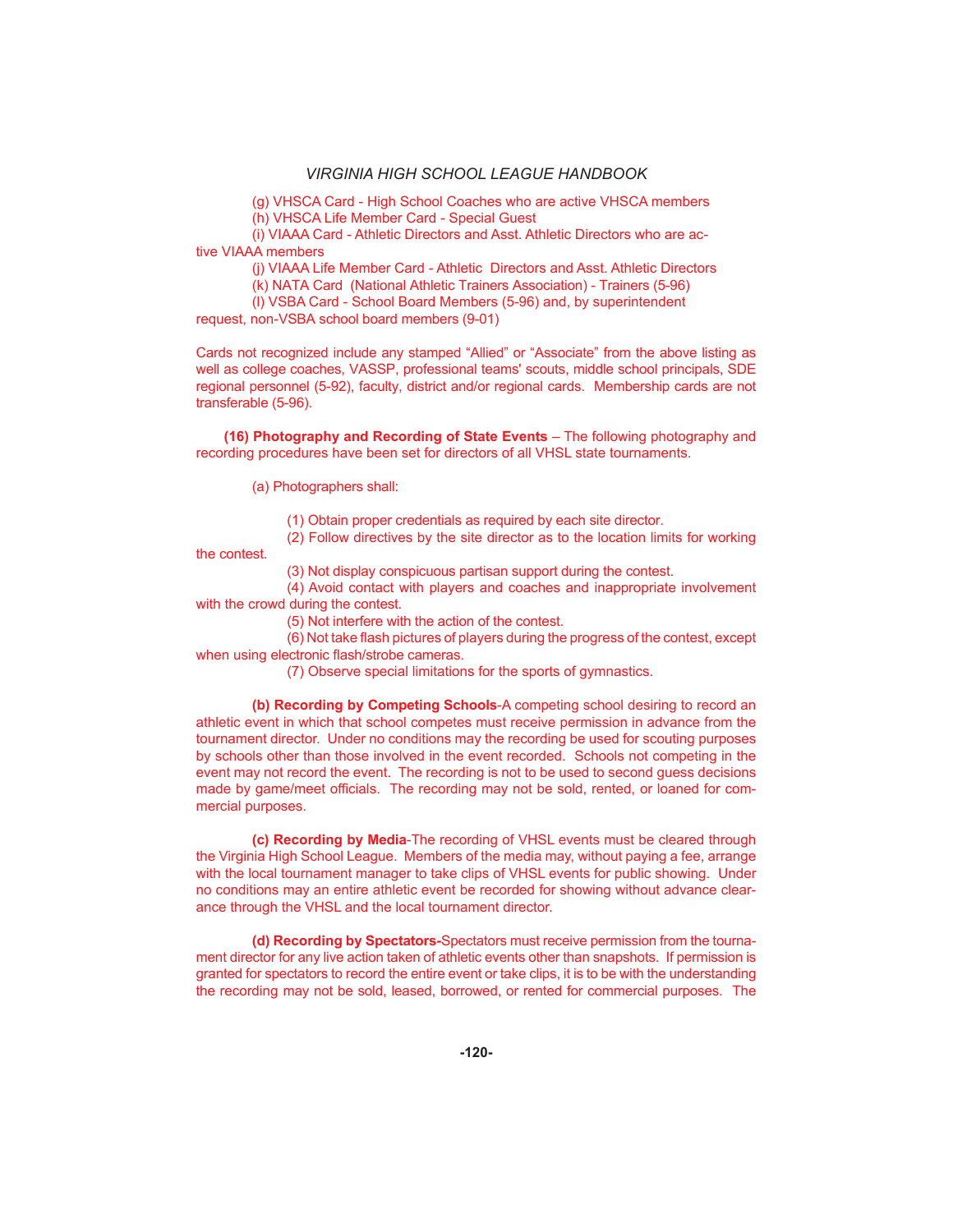(g) VHSCA Card - High School Coaches who are active VHSCA members

(h) VHSCA Life Member Card - Special Guest

 (i) VIAAA Card - Athletic Directors and Asst. Athletic Directors who are active VIAAA members

(j) VIAAA Life Member Card - Athletic Directors and Asst. Athletic Directors

(k) NATA Card (National Athletic Trainers Association) - Trainers (5-96)

(l) VSBA Card - School Board Members (5-96) and, by superintendent

request, non-VSBA school board members (9-01)

Cards not recognized include any stamped "Allied" or "Associate" from the above listing as well as college coaches, VASSP, professional teams' scouts, middle school principals, SDE regional personnel (5-92), faculty, district and/or regional cards. Membership cards are not transferable (5-96).

 **(16) Photography and Recording of State Events** – The following photography and recording procedures have been set for directors of all VHSL state tournaments.

(a) Photographers shall:

the contest.

(1) Obtain proper credentials as required by each site director.

(2) Follow directives by the site director as to the location limits for working

(3) Not display conspicuous partisan support during the contest.

 (4) Avoid contact with players and coaches and inappropriate involvement with the crowd during the contest.

(5) Not interfere with the action of the contest.

(6) Not take flash pictures of players during the progress of the contest, except when using electronic flash/strobe cameras.

(7) Observe special limitations for the sports of gymnastics.

 **(b) Recording by Competing Schools**-A competing school desiring to record an athletic event in which that school competes must receive permission in advance from the tournament director. Under no conditions may the recording be used for scouting purposes by schools other than those involved in the event recorded. Schools not competing in the event may not record the event. The recording is not to be used to second guess decisions made by game/meet officials. The recording may not be sold, rented, or loaned for commercial purposes.

 **(c) Recording by Media**-The recording of VHSL events must be cleared through the Virginia High School League. Members of the media may, without paying a fee, arrange with the local tournament manager to take clips of VHSL events for public showing. Under no conditions may an entire athletic event be recorded for showing without advance clearance through the VHSL and the local tournament director.

 **(d) Recording by Spectators-**Spectators must receive permission from the tournament director for any live action taken of athletic events other than snapshots. If permission is granted for spectators to record the entire event or take clips, it is to be with the understanding the recording may not be sold, leased, borrowed, or rented for commercial purposes. The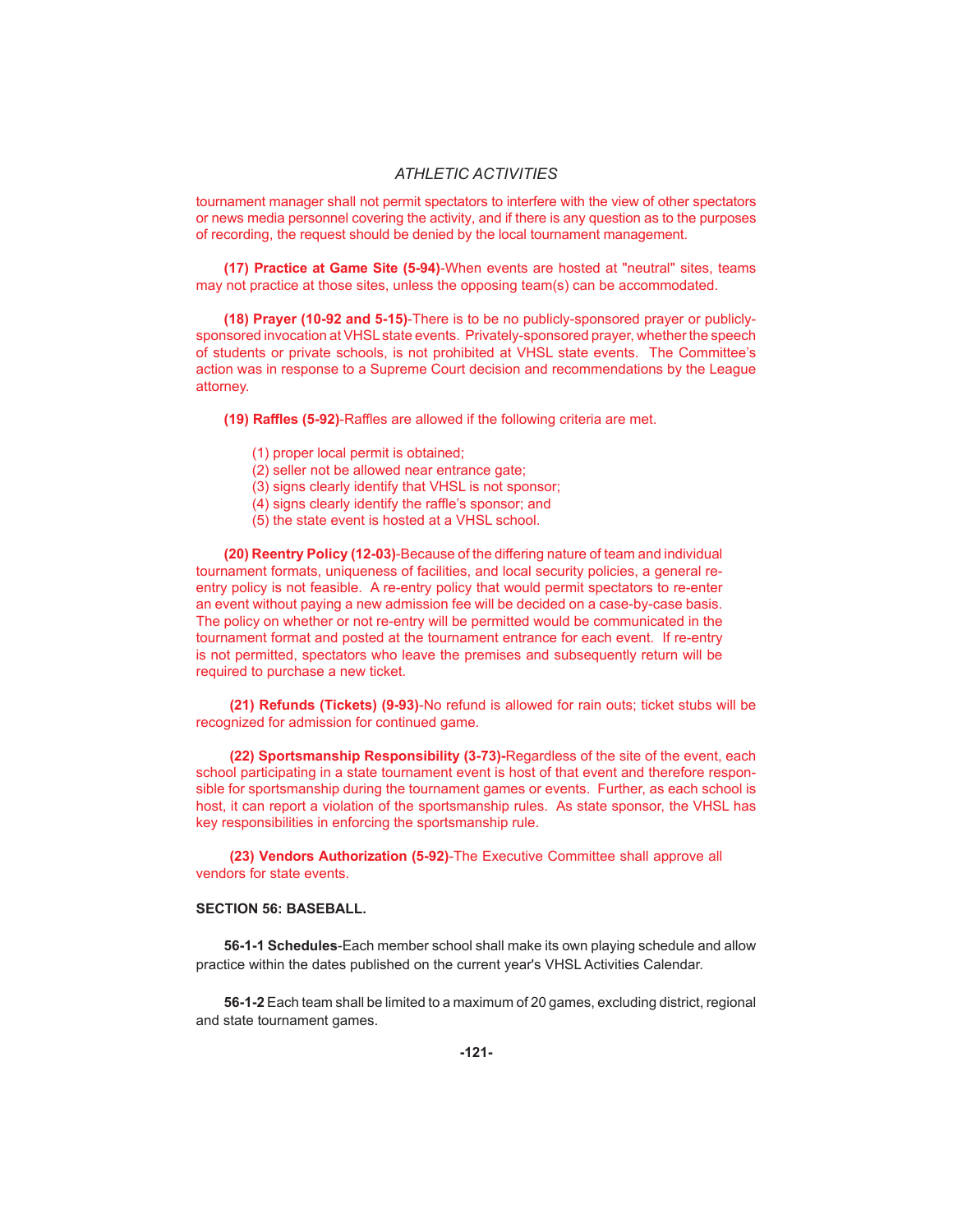tournament manager shall not permit spectators to interfere with the view of other spectators or news media personnel covering the activity, and if there is any question as to the purposes of recording, the request should be denied by the local tournament management.

 **(17) Practice at Game Site (5-94)**-When events are hosted at "neutral" sites, teams may not practice at those sites, unless the opposing team(s) can be accommodated.

 **(18) Prayer (10-92 and 5-15)**-There is to be no publicly-sponsored prayer or publiclysponsored invocation at VHSL state events. Privately-sponsored prayer, whether the speech of students or private schools, is not prohibited at VHSL state events. The Committee's action was in response to a Supreme Court decision and recommendations by the League attorney.

**(19) Raffles (5-92)-Raffles are allowed if the following criteria are met.** 

- (1) proper local permit is obtained;
- (2) seller not be allowed near entrance gate;
- (3) signs clearly identify that VHSL is not sponsor;
- (4) signs clearly identify the raffle's sponsor; and
- (5) the state event is hosted at a VHSL school.

**(20) Reentry Policy (12-03)**-Because of the differing nature of team and individual tournament formats, uniqueness of facilities, and local security policies, a general reentry policy is not feasible. A re-entry policy that would permit spectators to re-enter an event without paying a new admission fee will be decided on a case-by-case basis. The policy on whether or not re-entry will be permitted would be communicated in the tournament format and posted at the tournament entrance for each event. If re-entry is not permitted, spectators who leave the premises and subsequently return will be required to purchase a new ticket.

 **(21) Refunds (Tickets) (9-93)**-No refund is allowed for rain outs; ticket stubs will be recognized for admission for continued game.

 **(22) Sportsmanship Responsibility (3-73)-**Regardless of the site of the event, each school participating in a state tournament event is host of that event and therefore responsible for sportsmanship during the tournament games or events. Further, as each school is host, it can report a violation of the sportsmanship rules. As state sponsor, the VHSL has key responsibilities in enforcing the sportsmanship rule.

 **(23) Vendors Authorization (5-92)**-The Executive Committee shall approve all vendors for state events.

## **SECTION 56: BASEBALL.**

**56-1-1 Schedules**-Each member school shall make its own playing schedule and allow practice within the dates published on the current year's VHSL Activities Calendar.

**56-1-2** Each team shall be limited to a maximum of 20 games, excluding district, regional and state tournament games.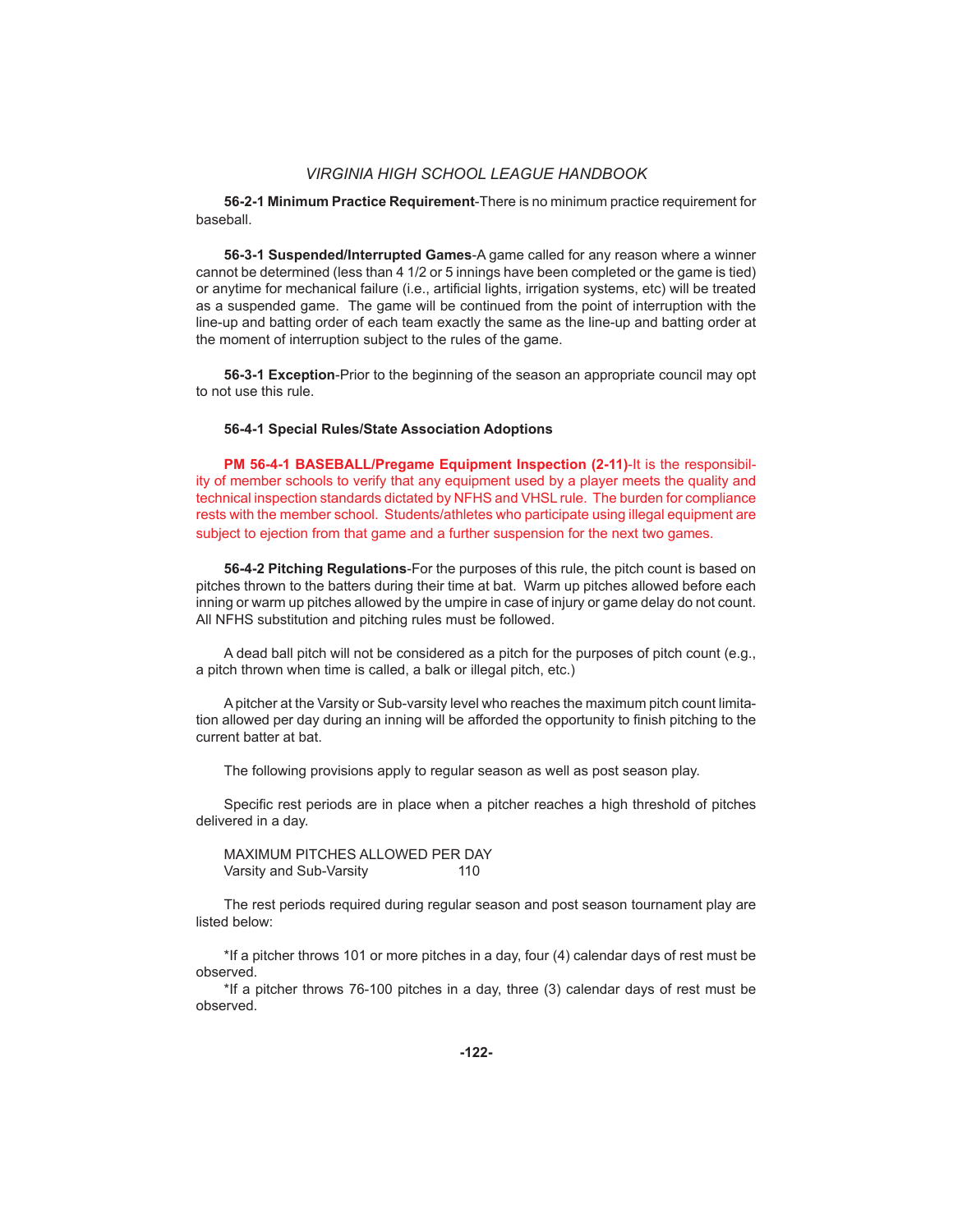**56-2-1 Minimum Practice Requirement**-There is no minimum practice requirement for baseball.

**56-3-1 Suspended/Interrupted Games**-A game called for any reason where a winner cannot be determined (less than 4 1/2 or 5 innings have been completed or the game is tied) or anytime for mechanical failure (i.e., artificial lights, irrigation systems, etc) will be treated as a suspended game. The game will be continued from the point of interruption with the line-up and batting order of each team exactly the same as the line-up and batting order at the moment of interruption subject to the rules of the game.

**56-3-1 Exception**-Prior to the beginning of the season an appropriate council may opt to not use this rule.

#### **56-4-1 Special Rules/State Association Adoptions**

 **PM 56-4-1 BASEBALL/Pregame Equipment Inspection (2-11)**-It is the responsibility of member schools to verify that any equipment used by a player meets the quality and technical inspection standards dictated by NFHS and VHSL rule. The burden for compliance rests with the member school. Students/athletes who participate using illegal equipment are subject to ejection from that game and a further suspension for the next two games.

**56-4-2 Pitching Regulations**-For the purposes of this rule, the pitch count is based on pitches thrown to the batters during their time at bat. Warm up pitches allowed before each inning or warm up pitches allowed by the umpire in case of injury or game delay do not count. All NFHS substitution and pitching rules must be followed.

 A dead ball pitch will not be considered as a pitch for the purposes of pitch count (e.g., a pitch thrown when time is called, a balk or illegal pitch, etc.)

 A pitcher at the Varsity or Sub-varsity level who reaches the maximum pitch count limitation allowed per day during an inning will be afforded the opportunity to finish pitching to the current batter at bat.

The following provisions apply to regular season as well as post season play.

Specific rest periods are in place when a pitcher reaches a high threshold of pitches delivered in a day.

 MAXIMUM PITCHES ALLOWED PER DAY Varsity and Sub-Varsity 110

 The rest periods required during regular season and post season tournament play are listed below:

 \*If a pitcher throws 101 or more pitches in a day, four (4) calendar days of rest must be observed.

 \*If a pitcher throws 76-100 pitches in a day, three (3) calendar days of rest must be observed.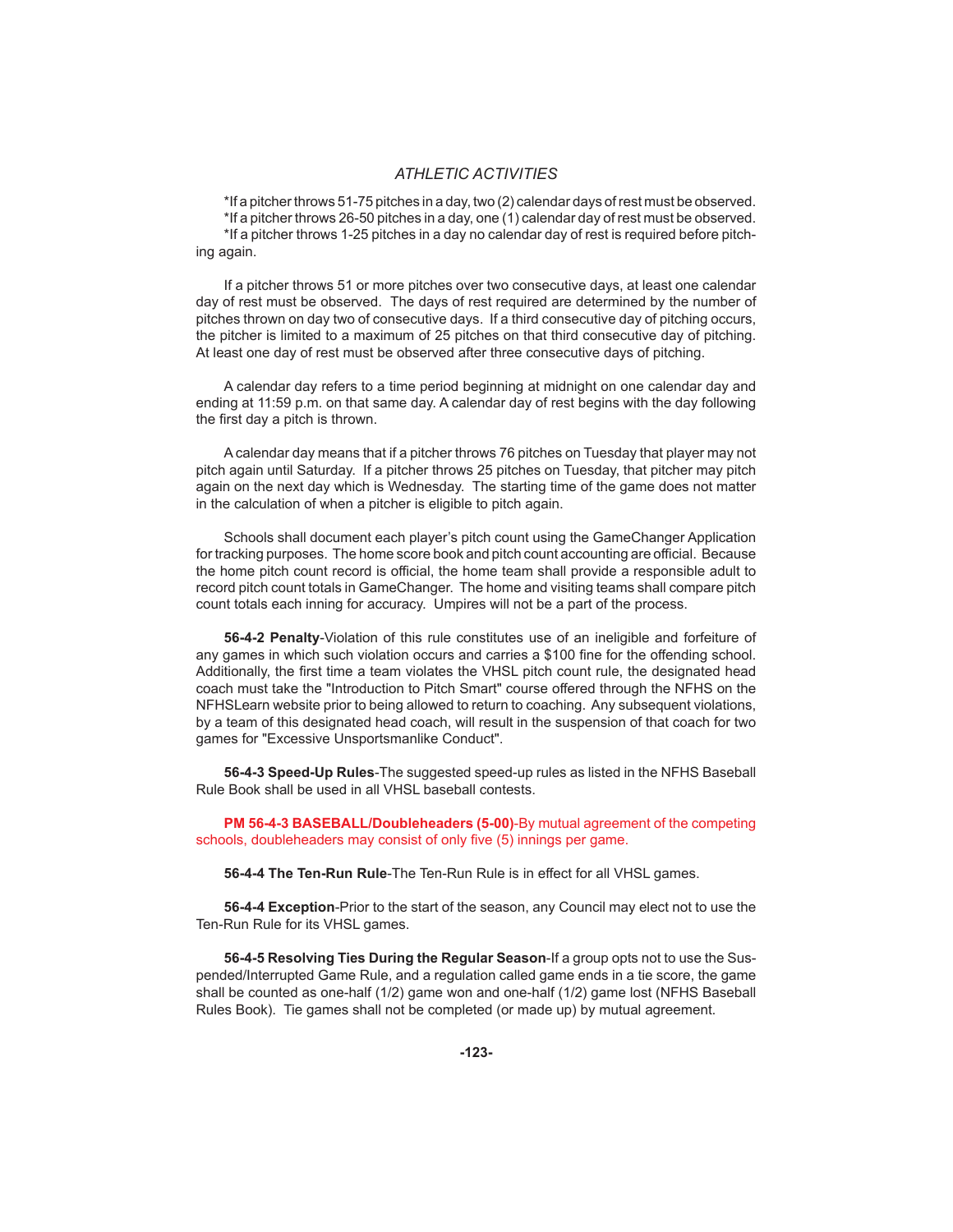\*If a pitcher throws 51-75 pitches in a day, two (2) calendar days of rest must be observed. \*If a pitcher throws 26-50 pitches in a day, one (1) calendar day of rest must be observed. \*If a pitcher throws 1-25 pitches in a day no calendar day of rest is required before pitching again.

 If a pitcher throws 51 or more pitches over two consecutive days, at least one calendar day of rest must be observed. The days of rest required are determined by the number of pitches thrown on day two of consecutive days. If a third consecutive day of pitching occurs, the pitcher is limited to a maximum of 25 pitches on that third consecutive day of pitching. At least one day of rest must be observed after three consecutive days of pitching.

 A calendar day refers to a time period beginning at midnight on one calendar day and ending at 11:59 p.m. on that same day. A calendar day of rest begins with the day following the first day a pitch is thrown.

 A calendar day means that if a pitcher throws 76 pitches on Tuesday that player may not pitch again until Saturday. If a pitcher throws 25 pitches on Tuesday, that pitcher may pitch again on the next day which is Wednesday. The starting time of the game does not matter in the calculation of when a pitcher is eligible to pitch again.

 Schools shall document each player's pitch count using the GameChanger Application for tracking purposes. The home score book and pitch count accounting are official. Because the home pitch count record is official, the home team shall provide a responsible adult to record pitch count totals in GameChanger. The home and visiting teams shall compare pitch count totals each inning for accuracy. Umpires will not be a part of the process.

**56-4-2 Penalty**-Violation of this rule constitutes use of an ineligible and forfeiture of any games in which such violation occurs and carries a \$100 fine for the offending school. Additionally, the first time a team violates the VHSL pitch count rule, the designated head coach must take the "Introduction to Pitch Smart" course offered through the NFHS on the NFHSLearn website prior to being allowed to return to coaching. Any subsequent violations, by a team of this designated head coach, will result in the suspension of that coach for two games for "Excessive Unsportsmanlike Conduct".

**56-4-3 Speed-Up Rules**-The suggested speed-up rules as listed in the NFHS Baseball Rule Book shall be used in all VHSL baseball contests.

 **PM 56-4-3 BASEBALL/Doubleheaders (5-00)**-By mutual agreement of the competing schools, doubleheaders may consist of only five (5) innings per game.

**56-4-4 The Ten-Run Rule-**The Ten-Run Rule is in effect for all VHSL games.

**56-4-4 Exception**-Prior to the start of the season, any Council may elect not to use the Ten-Run Rule for its VHSL games.

**56-4-5 Resolving Ties During the Regular Season**-If a group opts not to use the Suspended/Interrupted Game Rule, and a regulation called game ends in a tie score, the game shall be counted as one-half (1/2) game won and one-half (1/2) game lost (NFHS Baseball Rules Book). Tie games shall not be completed (or made up) by mutual agreement.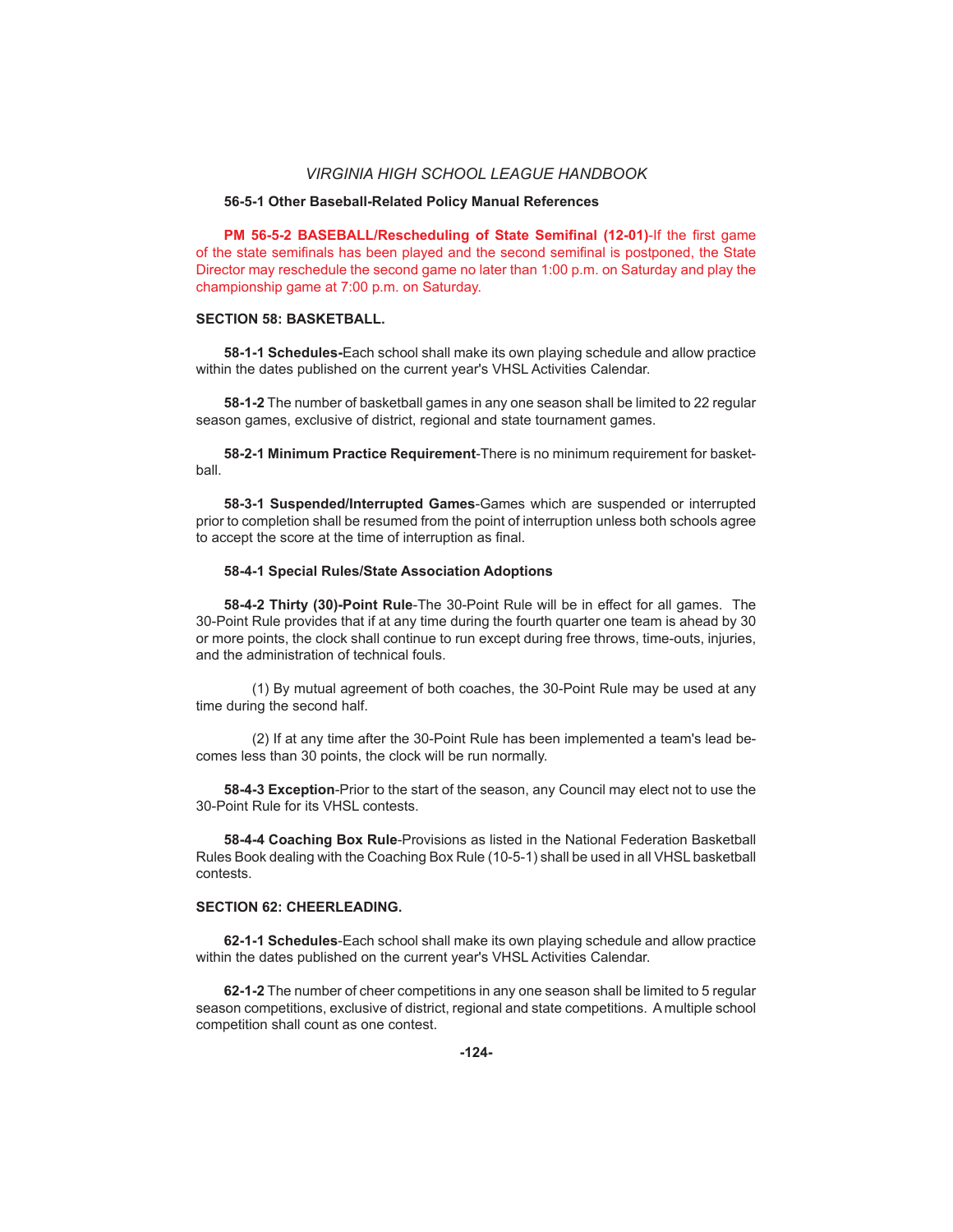### **56-5-1 Other Baseball-Related Policy Manual References**

**PM 56-5-2 BASEBALL/Rescheduling of State Semifinal (12-01)-If the first game** of the state semifinals has been played and the second semifinal is postponed, the State Director may reschedule the second game no later than 1:00 p.m. on Saturday and play the championship game at 7:00 p.m. on Saturday.

### **SECTION 58: BASKETBALL.**

 **58-1-1 Schedules-**Each school shall make its own playing schedule and allow practice within the dates published on the current year's VHSL Activities Calendar.

**58-1-2** The number of basketball games in any one season shall be limited to 22 regular season games, exclusive of district, regional and state tournament games.

**58-2-1 Minimum Practice Requirement**-There is no minimum requirement for basketball.

**58-3-1 Suspended/Interrupted Games**-Games which are suspended or interrupted prior to completion shall be resumed from the point of interruption unless both schools agree to accept the score at the time of interruption as final.

### **58-4-1 Special Rules/State Association Adoptions**

**58-4-2 Thirty (30)-Point Rule-**The 30-Point Rule will be in effect for all games. The 30-Point Rule provides that if at any time during the fourth quarter one team is ahead by 30 or more points, the clock shall continue to run except during free throws, time-outs, injuries, and the administration of technical fouls.

 (1) By mutual agreement of both coaches, the 30-Point Rule may be used at any time during the second half.

 (2) If at any time after the 30-Point Rule has been implemented a team's lead becomes less than 30 points, the clock will be run normally.

**58-4-3 Exception**-Prior to the start of the season, any Council may elect not to use the 30-Point Rule for its VHSL contests.

**58-4-4 Coaching Box Rule**-Provisions as listed in the National Federation Basketball Rules Book dealing with the Coaching Box Rule (10-5-1) shall be used in all VHSL basketball contests.

### **SECTION 62: CHEERLEADING.**

**62-1-1 Schedules**-Each school shall make its own playing schedule and allow practice within the dates published on the current year's VHSL Activities Calendar.

**62-1-2** The number of cheer competitions in any one season shall be limited to 5 regular season competitions, exclusive of district, regional and state competitions. A multiple school competition shall count as one contest.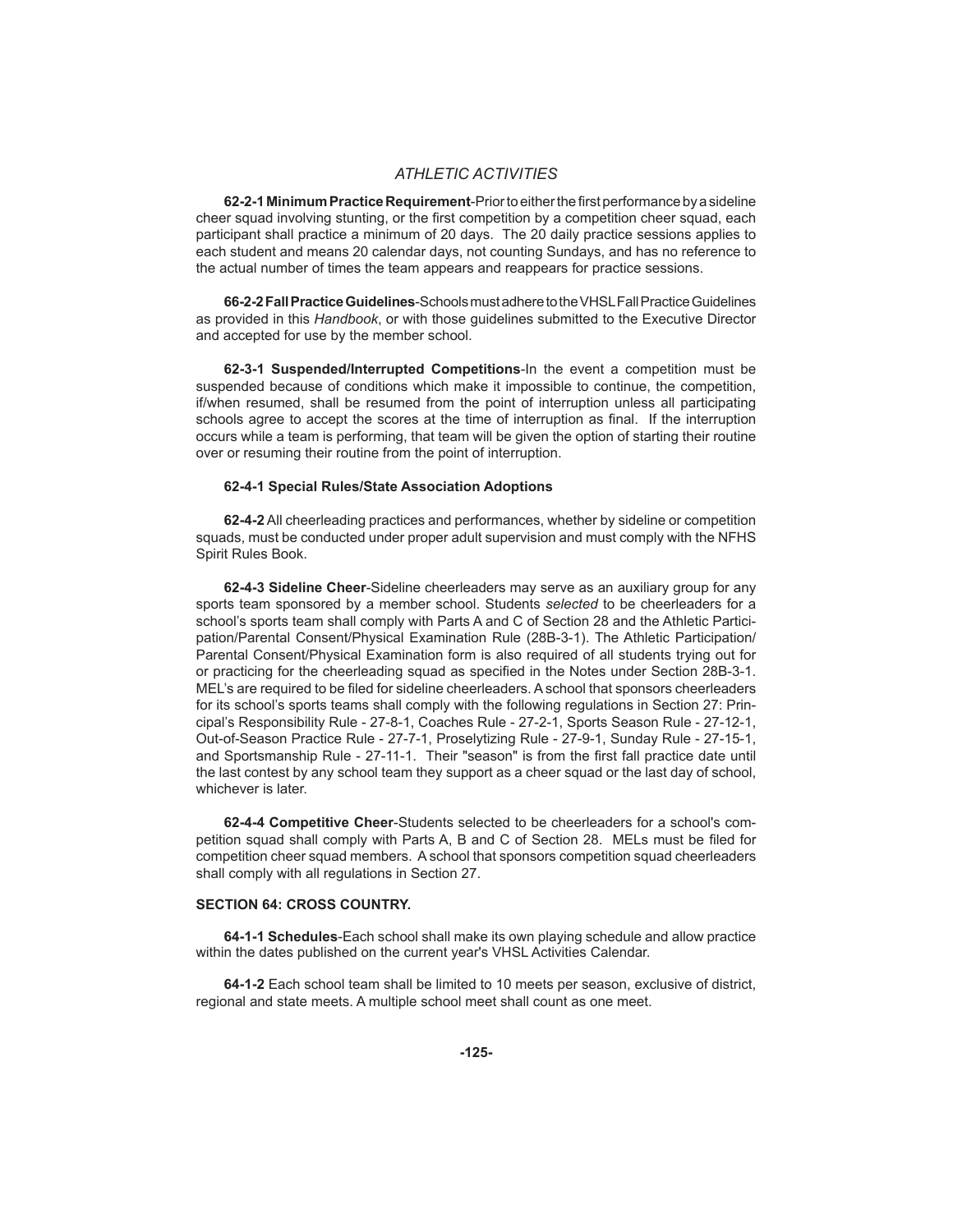**62-2-1 Minimum Practice Requirement-**Prior to either the first performance by a sideline cheer squad involving stunting, or the first competition by a competition cheer squad, each participant shall practice a minimum of 20 days. The 20 daily practice sessions applies to each student and means 20 calendar days, not counting Sundays, and has no reference to the actual number of times the team appears and reappears for practice sessions.

**66-2-2 Fall Practice Guidelines**-Schools must adhere to the VHSL Fall Practice Guidelines as provided in this *Handbook*, or with those guidelines submitted to the Executive Director and accepted for use by the member school.

**62-3-1 Suspended/Interrupted Competitions**-In the event a competition must be suspended because of conditions which make it impossible to continue, the competition, if/when resumed, shall be resumed from the point of interruption unless all participating schools agree to accept the scores at the time of interruption as final. If the interruption occurs while a team is performing, that team will be given the option of starting their routine over or resuming their routine from the point of interruption.

#### **62-4-1 Special Rules/State Association Adoptions**

**62-4-2** All cheerleading practices and performances, whether by sideline or competition squads, must be conducted under proper adult supervision and must comply with the NFHS Spirit Rules Book.

**62-4-3 Sideline Cheer**-Sideline cheerleaders may serve as an auxiliary group for any sports team sponsored by a member school. Students *selected* to be cheerleaders for a school's sports team shall comply with Parts A and C of Section 28 and the Athletic Participation/Parental Consent/Physical Examination Rule (28B-3-1). The Athletic Participation/ Parental Consent/Physical Examination form is also required of all students trying out for or practicing for the cheerleading squad as specified in the Notes under Section 28B-3-1. MEL's are required to be filed for sideline cheerleaders. A school that sponsors cheerleaders for its school's sports teams shall comply with the following regulations in Section 27: Principal's Responsibility Rule - 27-8-1, Coaches Rule - 27-2-1, Sports Season Rule - 27-12-1, Out-of-Season Practice Rule - 27-7-1, Proselytizing Rule - 27-9-1, Sunday Rule - 27-15-1, and Sportsmanship Rule - 27-11-1. Their "season" is from the first fall practice date until the last contest by any school team they support as a cheer squad or the last day of school, whichever is later.

**62-4-4 Competitive Cheer**-Students selected to be cheerleaders for a school's competition squad shall comply with Parts A, B and C of Section 28. MELs must be filed for competition cheer squad members. A school that sponsors competition squad cheerleaders shall comply with all regulations in Section 27.

### **SECTION 64: CROSS COUNTRY.**

**64-1-1 Schedules**-Each school shall make its own playing schedule and allow practice within the dates published on the current year's VHSL Activities Calendar.

**64-1-2** Each school team shall be limited to 10 meets per season, exclusive of district, regional and state meets. A multiple school meet shall count as one meet.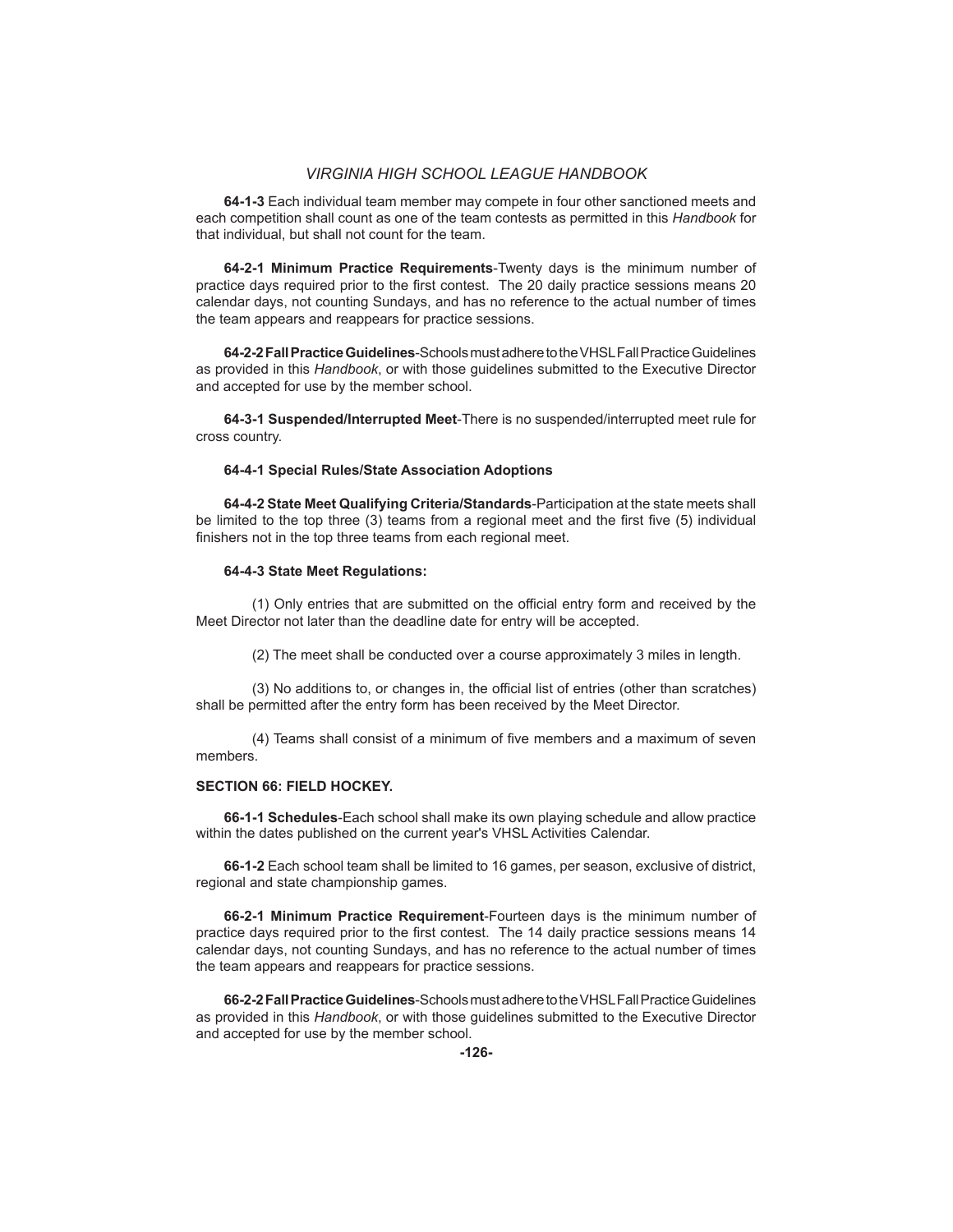**64-1-3** Each individual team member may compete in four other sanctioned meets and each competition shall count as one of the team contests as permitted in this *Handbook* for that individual, but shall not count for the team.

**64-2-1 Minimum Practice Requirements**-Twenty days is the minimum number of practice days required prior to the first contest. The 20 daily practice sessions means 20 calendar days, not counting Sundays, and has no reference to the actual number of times the team appears and reappears for practice sessions.

**64-2-2 Fall Practice Guidelines**-Schools must adhere to the VHSL Fall Practice Guidelines as provided in this *Handbook*, or with those guidelines submitted to the Executive Director and accepted for use by the member school.

**64-3-1 Suspended/Interrupted Meet**-There is no suspended/interrupted meet rule for cross country.

### **64-4-1 Special Rules/State Association Adoptions**

**64-4-2 State Meet Qualifying Criteria/Standards**-Participation at the state meets shall be limited to the top three (3) teams from a regional meet and the first five (5) individual finishers not in the top three teams from each regional meet.

### **64-4-3 State Meet Regulations:**

(1) Only entries that are submitted on the official entry form and received by the Meet Director not later than the deadline date for entry will be accepted.

(2) The meet shall be conducted over a course approximately 3 miles in length.

(3) No additions to, or changes in, the official list of entries (other than scratches) shall be permitted after the entry form has been received by the Meet Director.

(4) Teams shall consist of a minimum of five members and a maximum of seven members.

### **SECTION 66: FIELD HOCKEY.**

**66-1-1 Schedules**-Each school shall make its own playing schedule and allow practice within the dates published on the current year's VHSL Activities Calendar.

**66-1-2** Each school team shall be limited to 16 games, per season, exclusive of district, regional and state championship games.

**66-2-1 Minimum Practice Requirement**-Fourteen days is the minimum number of practice days required prior to the first contest. The 14 daily practice sessions means 14 calendar days, not counting Sundays, and has no reference to the actual number of times the team appears and reappears for practice sessions.

**66-2-2 Fall Practice Guidelines**-Schools must adhere to the VHSL Fall Practice Guidelines as provided in this *Handbook*, or with those guidelines submitted to the Executive Director and accepted for use by the member school.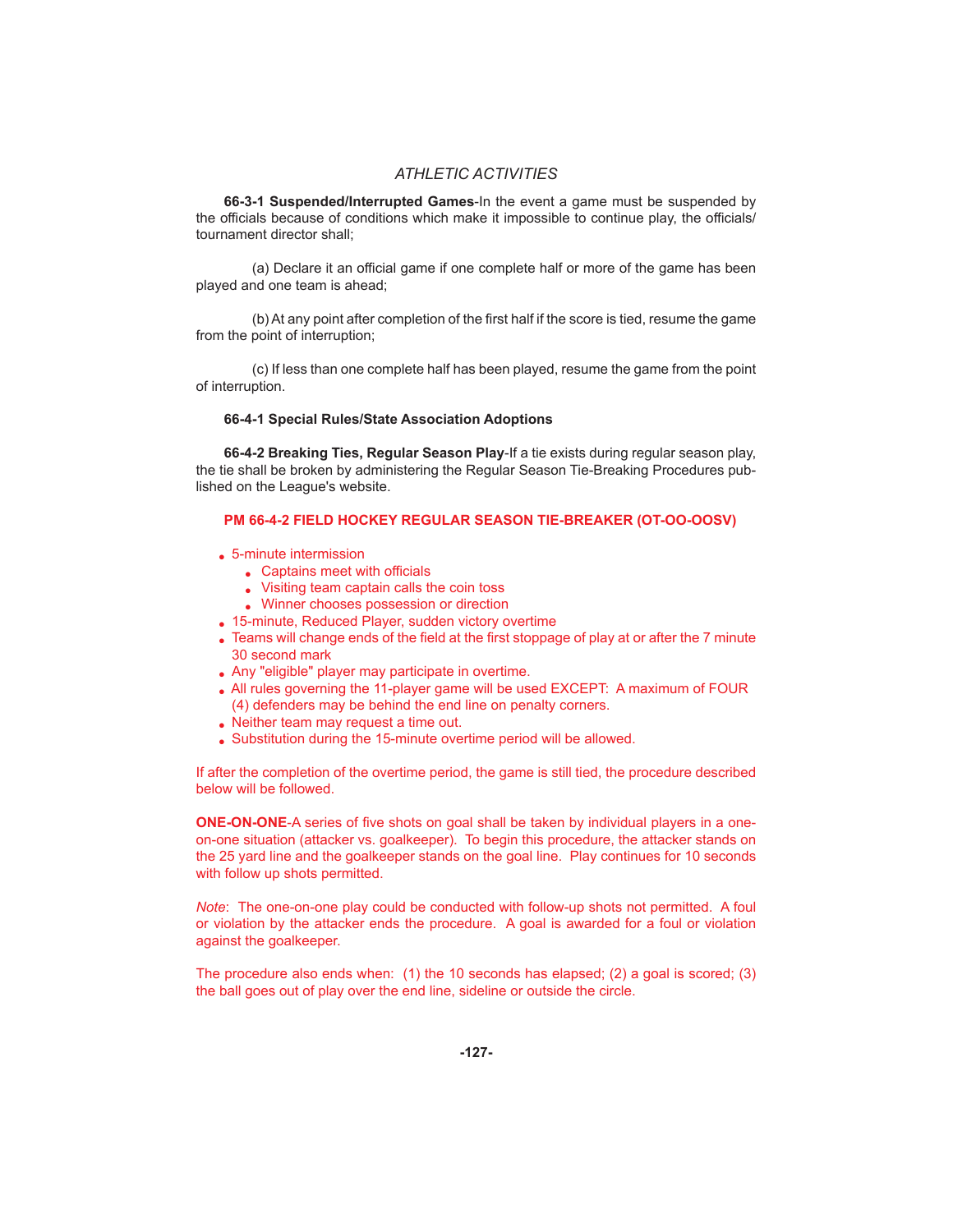**66-3-1 Suspended/Interrupted Games**-In the event a game must be suspended by the officials because of conditions which make it impossible to continue play, the officials/ tournament director shall;

(a) Declare it an official game if one complete half or more of the game has been played and one team is ahead;

(b) At any point after completion of the first half if the score is tied, resume the game from the point of interruption;

 (c) If less than one complete half has been played, resume the game from the point of interruption.

### **66-4-1 Special Rules/State Association Adoptions**

**66-4-2 Breaking Ties, Regular Season Play**-If a tie exists during regular season play, the tie shall be broken by administering the Regular Season Tie-Breaking Procedures published on the League's website.

### **PM 66-4-2 FIELD HOCKEY REGULAR SEASON TIE-BREAKER (OT-OO-OOSV)**

- 5-minute intermission
	- $\bullet$  Captains meet with officials
	- Visiting team captain calls the coin toss
	- Winner chooses possession or direction
- 15-minute, Reduced Player, sudden victory overtime
- $\bullet$  Teams will change ends of the field at the first stoppage of play at or after the 7 minute 30 second mark
- Any "eligible" player may participate in overtime.
- All rules governing the 11-player game will be used EXCEPT: A maximum of FOUR (4) defenders may be behind the end line on penalty corners.
- Neither team may request a time out.
- Substitution during the 15-minute overtime period will be allowed.

If after the completion of the overtime period, the game is still tied, the procedure described below will be followed.

**ONE-ON-ONE-A** series of five shots on goal shall be taken by individual players in a oneon-one situation (attacker vs. goalkeeper). To begin this procedure, the attacker stands on the 25 yard line and the goalkeeper stands on the goal line. Play continues for 10 seconds with follow up shots permitted.

*Note*: The one-on-one play could be conducted with follow-up shots not permitted. A foul or violation by the attacker ends the procedure. A goal is awarded for a foul or violation against the goalkeeper.

The procedure also ends when: (1) the 10 seconds has elapsed; (2) a goal is scored; (3) the ball goes out of play over the end line, sideline or outside the circle.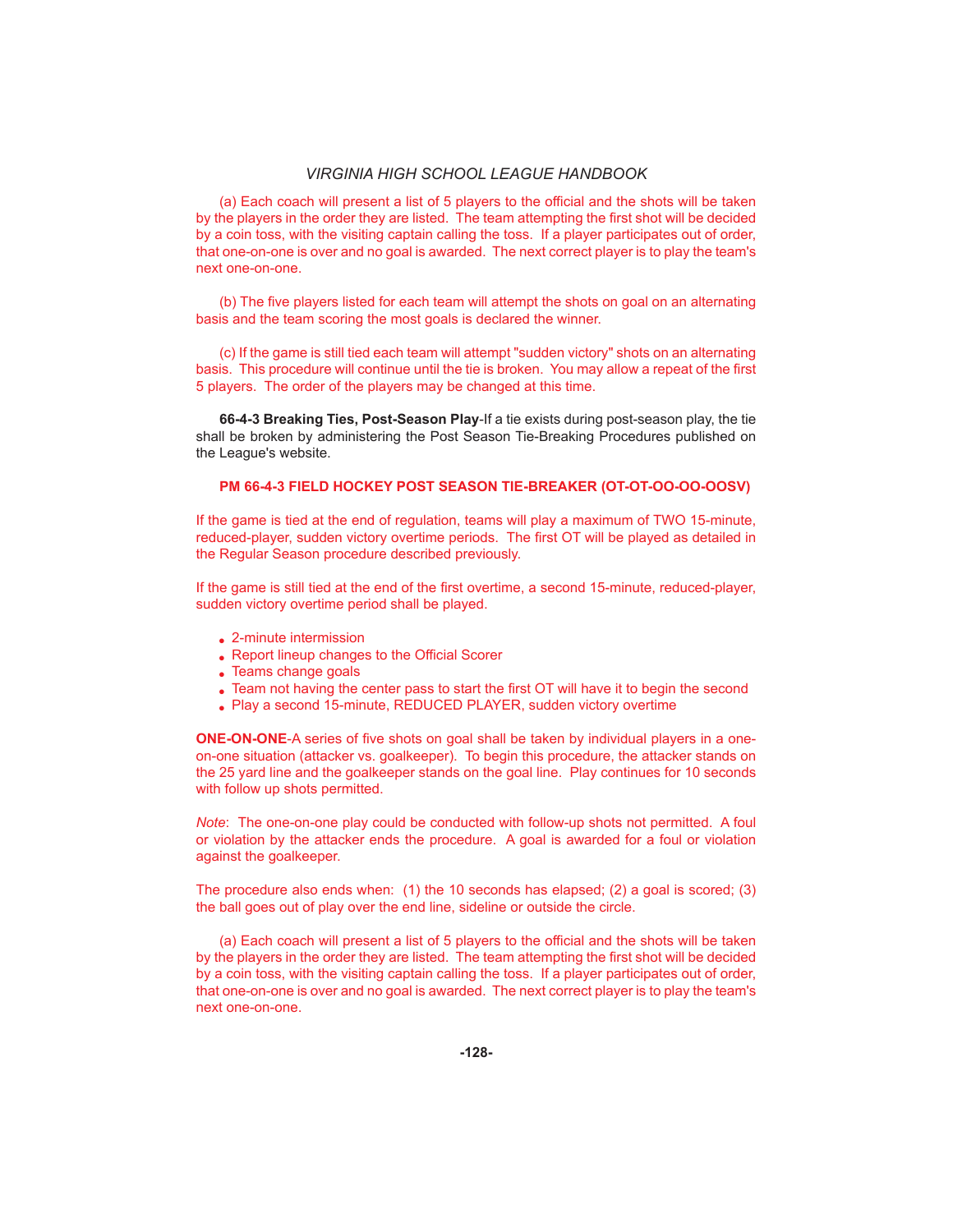(a) Each coach will present a list of 5 players to the official and the shots will be taken by the players in the order they are listed. The team attempting the first shot will be decided by a coin toss, with the visiting captain calling the toss. If a player participates out of order, that one-on-one is over and no goal is awarded. The next correct player is to play the team's next one-on-one.

(b) The five players listed for each team will attempt the shots on goal on an alternating basis and the team scoring the most goals is declared the winner.

 (c) If the game is still tied each team will attempt "sudden victory" shots on an alternating basis. This procedure will continue until the tie is broken. You may allow a repeat of the first 5 players. The order of the players may be changed at this time.

**66-4-3 Breaking Ties, Post-Season Play**-If a tie exists during post-season play, the tie shall be broken by administering the Post Season Tie-Breaking Procedures published on the League's website.

### **PM 66-4-3 FIELD HOCKEY POST SEASON TIE-BREAKER (OT-OT-OO-OO-OOSV)**

If the game is tied at the end of regulation, teams will play a maximum of TWO 15-minute, reduced-player, sudden victory overtime periods. The first OT will be played as detailed in the Regular Season procedure described previously.

If the game is still tied at the end of the first overtime, a second 15-minute, reduced-player, sudden victory overtime period shall be played.

- 2-minute intermission
- Report lineup changes to the Official Scorer
- Teams change goals
- Team not having the center pass to start the first OT will have it to begin the second
- Play a second 15-minute, REDUCED PLAYER, sudden victory overtime

**ONE-ON-ONE-A** series of five shots on goal shall be taken by individual players in a oneon-one situation (attacker vs. goalkeeper). To begin this procedure, the attacker stands on the 25 yard line and the goalkeeper stands on the goal line. Play continues for 10 seconds with follow up shots permitted.

*Note*: The one-on-one play could be conducted with follow-up shots not permitted. A foul or violation by the attacker ends the procedure. A goal is awarded for a foul or violation against the goalkeeper.

The procedure also ends when: (1) the 10 seconds has elapsed; (2) a goal is scored; (3) the ball goes out of play over the end line, sideline or outside the circle.

(a) Each coach will present a list of 5 players to the official and the shots will be taken by the players in the order they are listed. The team attempting the first shot will be decided by a coin toss, with the visiting captain calling the toss. If a player participates out of order, that one-on-one is over and no goal is awarded. The next correct player is to play the team's next one-on-one.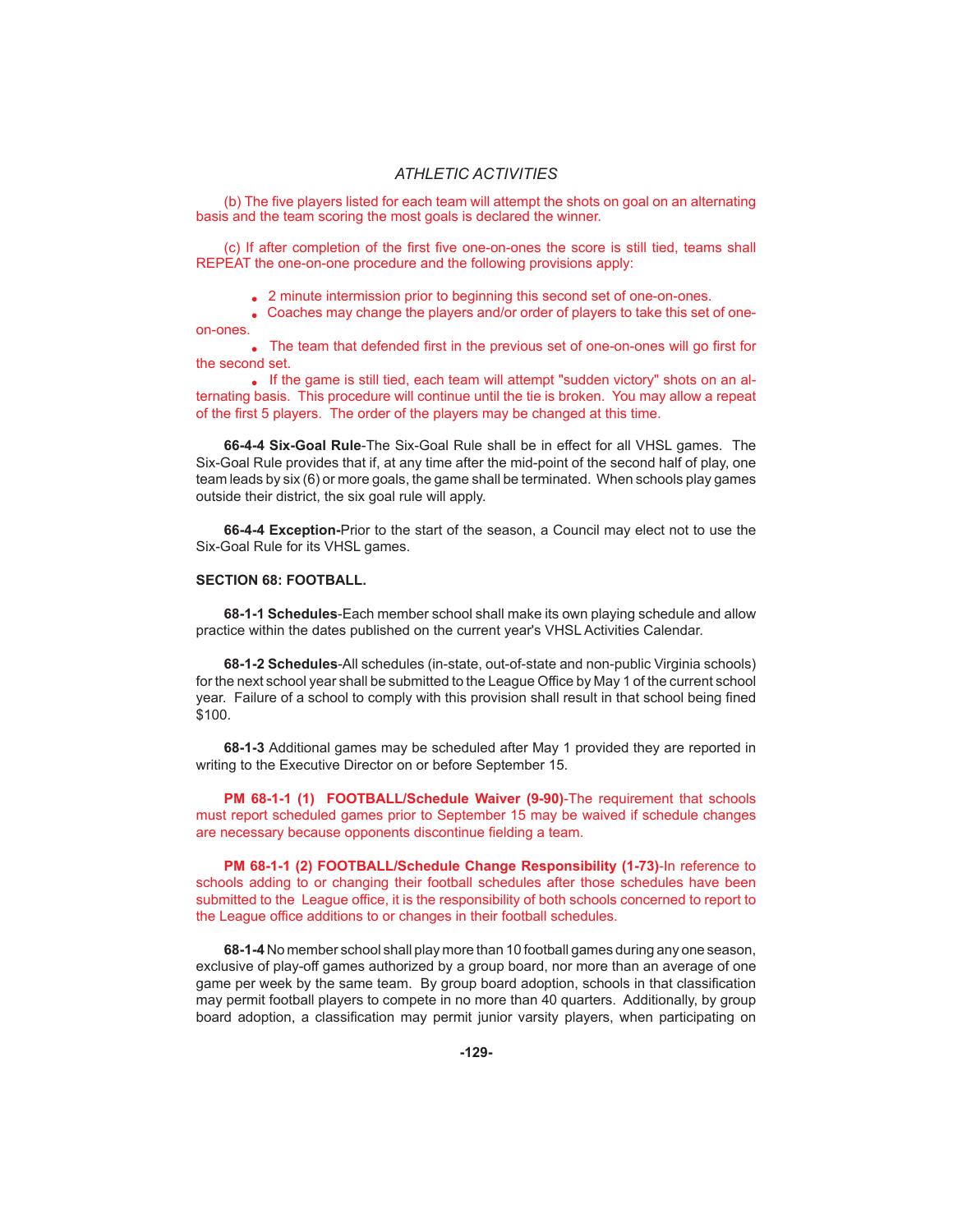(b) The five players listed for each team will attempt the shots on goal on an alternating basis and the team scoring the most goals is declared the winner.

(c) If after completion of the first five one-on-ones the score is still tied, teams shall REPEAT the one-on-one procedure and the following provisions apply:

- 2 minute intermission prior to beginning this second set of one-on-ones.
- Coaches may change the players and/or order of players to take this set of oneon-ones.
- $\bullet$  The team that defended first in the previous set of one-on-ones will go first for the second set.

 If the game is still tied, each team will attempt "sudden victory" shots on an alternating basis. This procedure will continue until the tie is broken. You may allow a repeat of the first 5 players. The order of the players may be changed at this time.

66-4-4 Six-Goal Rule-The Six-Goal Rule shall be in effect for all VHSL games. The Six-Goal Rule provides that if, at any time after the mid-point of the second half of play, one team leads by six (6) or more goals, the game shall be terminated. When schools play games outside their district, the six goal rule will apply.

**66-4-4 Exception-**Prior to the start of the season, a Council may elect not to use the Six-Goal Rule for its VHSL games.

### **SECTION 68: FOOTBALL.**

**68-1-1 Schedules**-Each member school shall make its own playing schedule and allow practice within the dates published on the current year's VHSL Activities Calendar.

**68-1-2 Schedules**-All schedules (in-state, out-of-state and non-public Virginia schools) for the next school year shall be submitted to the League Office by May 1 of the current school year. Failure of a school to comply with this provision shall result in that school being fined \$100.

**68-1-3** Additional games may be scheduled after May 1 provided they are reported in writing to the Executive Director on or before September 15.

 **PM 68-1-1 (1) FOOTBALL/Schedule Waiver (9-90)**-The requirement that schools must report scheduled games prior to September 15 may be waived if schedule changes are necessary because opponents discontinue fielding a team.

 **PM 68-1-1 (2) FOOTBALL/Schedule Change Responsibility (1-73)**-In reference to schools adding to or changing their football schedules after those schedules have been submitted to the League office, it is the responsibility of both schools concerned to report to the League office additions to or changes in their football schedules.

**68-1-4** No member school shall play more than 10 football games during any one season, exclusive of play-off games authorized by a group board, nor more than an average of one game per week by the same team. By group board adoption, schools in that classification may permit football players to compete in no more than 40 quarters. Additionally, by group board adoption, a classification may permit junior varsity players, when participating on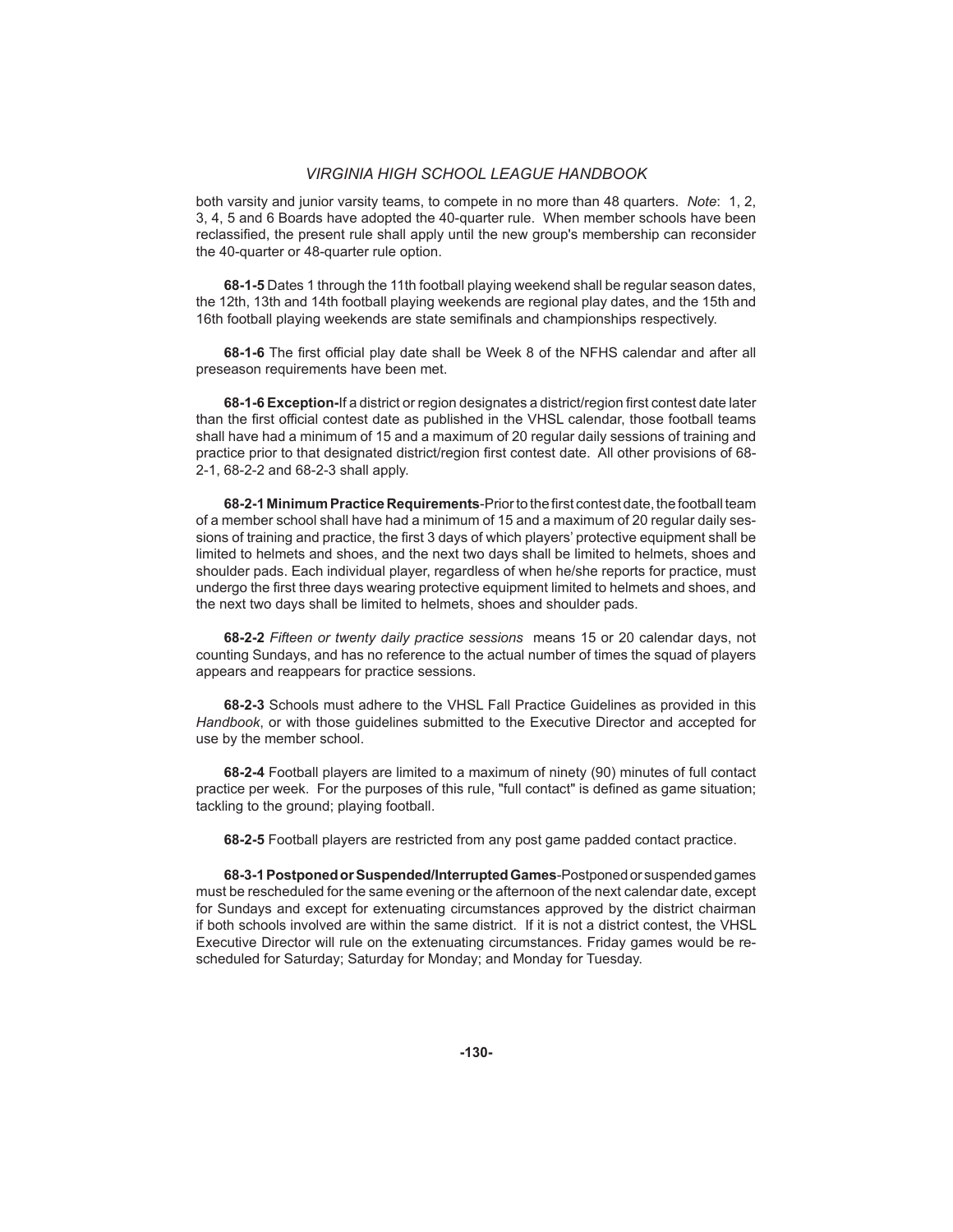both varsity and junior varsity teams, to compete in no more than 48 quarters. *Note*: 1, 2, 3, 4, 5 and 6 Boards have adopted the 40-quarter rule. When member schools have been reclassified, the present rule shall apply until the new group's membership can reconsider the 40-quarter or 48-quarter rule option.

**68-1-5** Dates 1 through the 11th football playing weekend shall be regular season dates, the 12th, 13th and 14th football playing weekends are regional play dates, and the 15th and 16th football playing weekends are state semifinals and championships respectively.

68-1-6 The first official play date shall be Week 8 of the NFHS calendar and after all preseason requirements have been met.

68-1-6 Exception-If a district or region designates a district/region first contest date later than the first official contest date as published in the VHSL calendar, those football teams shall have had a minimum of 15 and a maximum of 20 regular daily sessions of training and practice prior to that designated district/region first contest date. All other provisions of 68-2-1, 68-2-2 and 68-2-3 shall apply.

68-2-1 Minimum Practice Requirements-Prior to the first contest date, the football team of a member school shall have had a minimum of 15 and a maximum of 20 regular daily sessions of training and practice, the first 3 days of which players' protective equipment shall be limited to helmets and shoes, and the next two days shall be limited to helmets, shoes and shoulder pads. Each individual player, regardless of when he/she reports for practice, must undergo the first three days wearing protective equipment limited to helmets and shoes, and the next two days shall be limited to helmets, shoes and shoulder pads.

**68-2-2** *Fifteen or twenty daily practice sessions* means 15 or 20 calendar days, not counting Sundays, and has no reference to the actual number of times the squad of players appears and reappears for practice sessions.

**68-2-3** Schools must adhere to the VHSL Fall Practice Guidelines as provided in this *Handbook*, or with those guidelines submitted to the Executive Director and accepted for use by the member school.

**68-2-4** Football players are limited to a maximum of ninety (90) minutes of full contact practice per week. For the purposes of this rule, "full contact" is defined as game situation; tackling to the ground; playing football.

**68-2-5** Football players are restricted from any post game padded contact practice.

 **68-3-1 Postponed or Suspended/Interrupted Games**-Postponed or suspended games must be rescheduled for the same evening or the afternoon of the next calendar date, except for Sundays and except for extenuating circumstances approved by the district chairman if both schools involved are within the same district. If it is not a district contest, the VHSL Executive Director will rule on the extenuating circumstances. Friday games would be rescheduled for Saturday; Saturday for Monday; and Monday for Tuesday.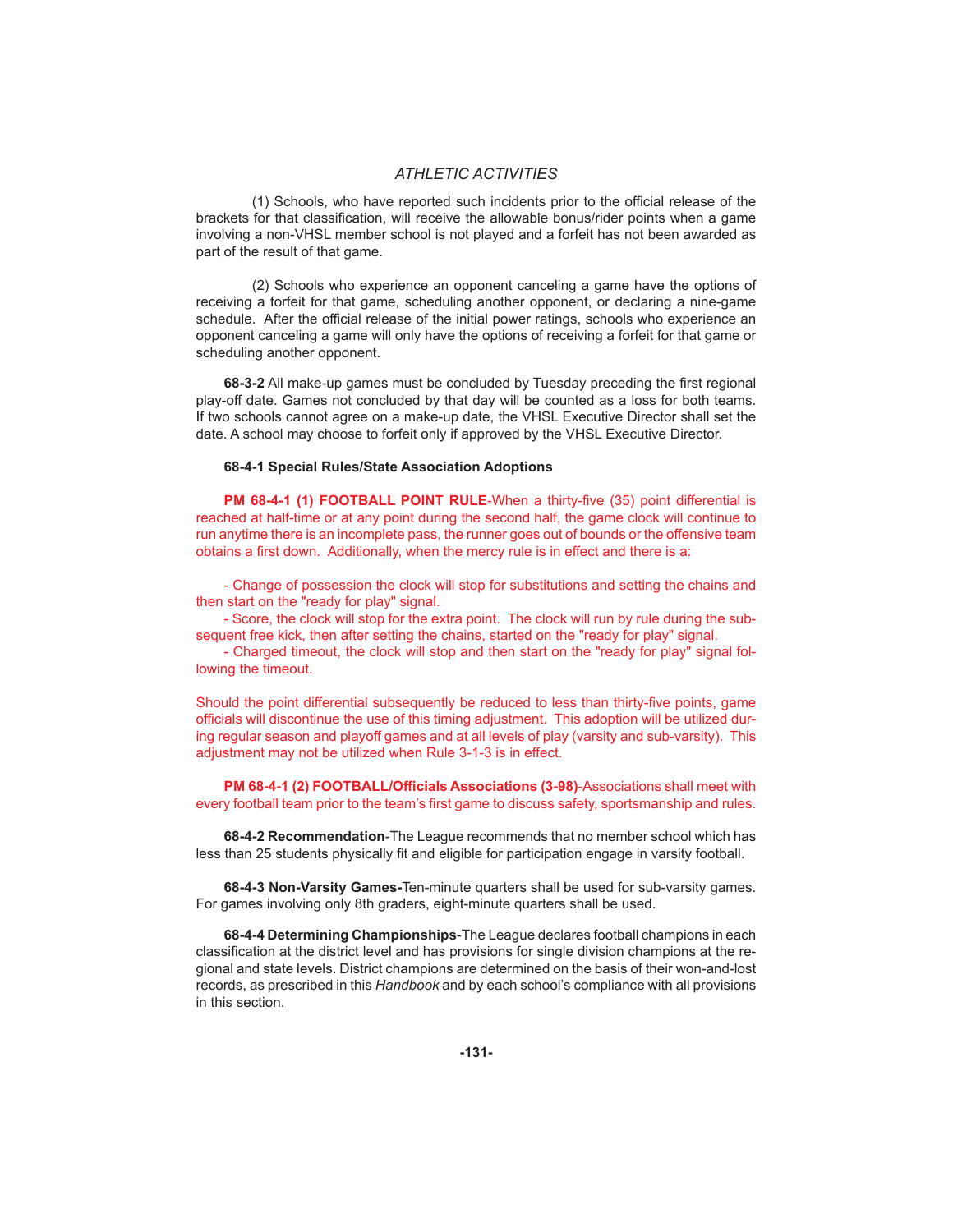(1) Schools, who have reported such incidents prior to the official release of the brackets for that classification, will receive the allowable bonus/rider points when a game involving a non-VHSL member school is not played and a forfeit has not been awarded as part of the result of that game.

 (2) Schools who experience an opponent canceling a game have the options of receiving a forfeit for that game, scheduling another opponent, or declaring a nine-game schedule. After the official release of the initial power ratings, schools who experience an opponent canceling a game will only have the options of receiving a forfeit for that game or scheduling another opponent.

68-3-2 All make-up games must be concluded by Tuesday preceding the first regional play-off date. Games not concluded by that day will be counted as a loss for both teams. If two schools cannot agree on a make-up date, the VHSL Executive Director shall set the date. A school may choose to forfeit only if approved by the VHSL Executive Director.

#### **68-4-1 Special Rules/State Association Adoptions**

**PM 68-4-1 (1) FOOTBALL POINT RULE-When a thirty-five (35) point differential is** reached at half-time or at any point during the second half, the game clock will continue to run anytime there is an incomplete pass, the runner goes out of bounds or the offensive team obtains a first down. Additionally, when the mercy rule is in effect and there is a:

 - Change of possession the clock will stop for substitutions and setting the chains and then start on the "ready for play" signal.

 - Score, the clock will stop for the extra point. The clock will run by rule during the subsequent free kick, then after setting the chains, started on the "ready for play" signal.

 - Charged timeout, the clock will stop and then start on the "ready for play" signal following the timeout.

Should the point differential subsequently be reduced to less than thirty-five points, game officials will discontinue the use of this timing adjustment. This adoption will be utilized during regular season and playoff games and at all levels of play (varsity and sub-varsity). This adjustment may not be utilized when Rule 3-1-3 is in effect.

**PM 68-4-1 (2) FOOTBALL/Officials Associations (3-98)-Associations shall meet with** every football team prior to the team's first game to discuss safety, sportsmanship and rules.

**68-4-2 Recommendation**-The League recommends that no member school which has less than 25 students physically fit and eligible for participation engage in varsity football.

**68-4-3 Non-Varsity Games-**Ten-minute quarters shall be used for sub-varsity games. For games involving only 8th graders, eight-minute quarters shall be used.

**68-4-4 Determining Championships**-The League declares football champions in each classification at the district level and has provisions for single division champions at the regional and state levels. District champions are determined on the basis of their won-and-lost records, as prescribed in this *Handbook* and by each school's compliance with all provisions in this section.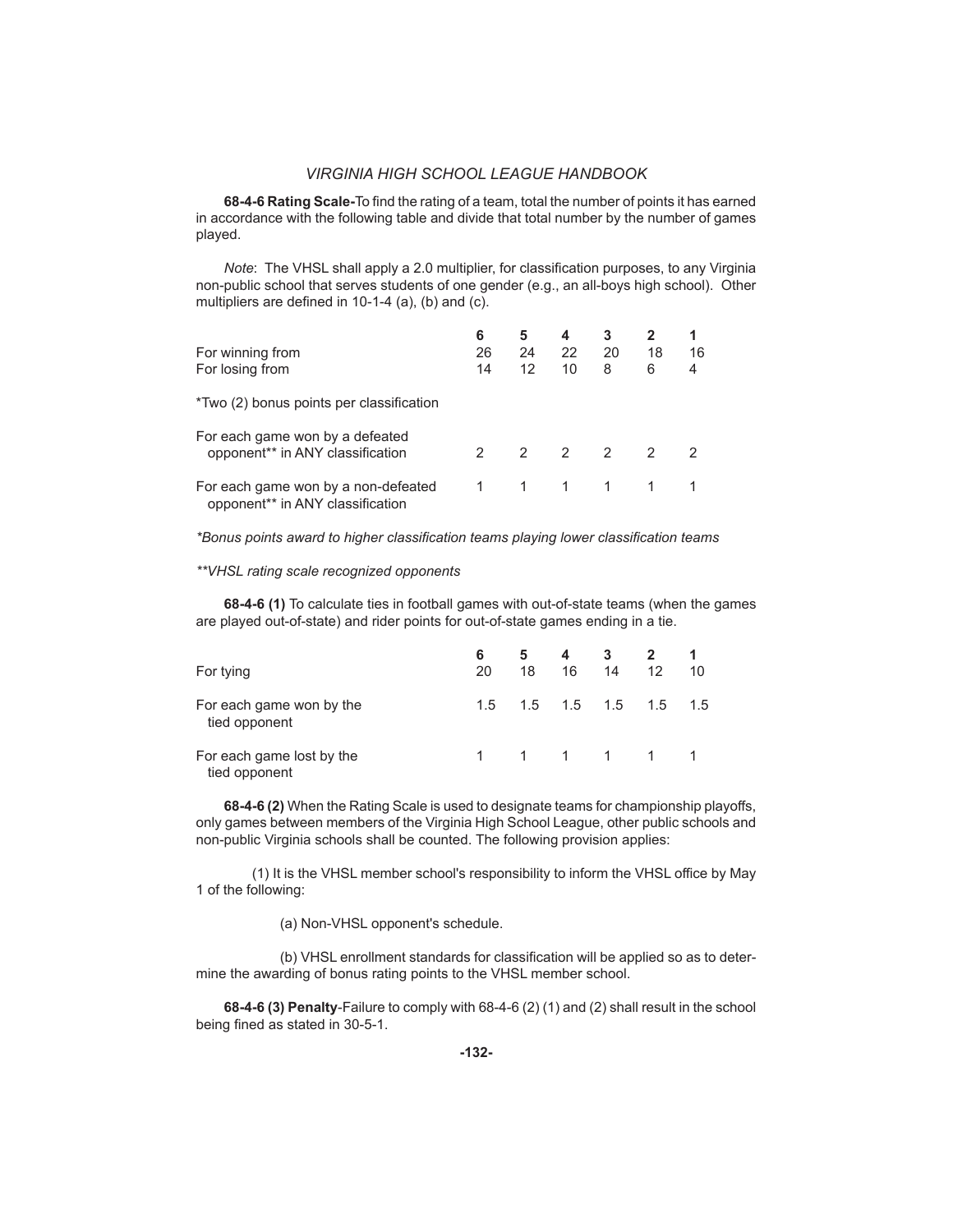**68-4-6 Rating Scale-**To find the rating of a team, total the number of points it has earned in accordance with the following table and divide that total number by the number of games played.

*Note*: The VHSL shall apply a 2.0 multiplier, for classification purposes, to any Virginia non-public school that serves students of one gender (e.g., an all-boys high school). Other multipliers are defined in 10-1-4 (a), (b) and (c).

|                                                                         | 6             | 5             |               | 3             |               |    |
|-------------------------------------------------------------------------|---------------|---------------|---------------|---------------|---------------|----|
| For winning from                                                        | 26            | 24            | 22            | 20            | 18            | 16 |
| For losing from                                                         | 14            | 12            | 10            | 8             | 6             | 4  |
| *Two (2) bonus points per classification                                |               |               |               |               |               |    |
| For each game won by a defeated<br>opponent** in ANY classification     | $\mathcal{P}$ | $\mathcal{P}$ | $\mathcal{P}$ | $\mathcal{P}$ | $\mathcal{P}$ |    |
| For each game won by a non-defeated<br>opponent** in ANY classification | $\mathbf{1}$  | 1             | 1             | -1            |               |    |

*\*Bonus points award to higher classifi cation teams playing lower classifi cation teams*

*\*\*VHSL rating scale recognized opponents*

**68-4-6 (1)** To calculate ties in football games with out-of-state teams (when the games are played out-of-state) and rider points for out-of-state games ending in a tie.

| For tying                                  | 20 | 18 | 16 | 14                  | 12 | 10  |
|--------------------------------------------|----|----|----|---------------------|----|-----|
| For each game won by the<br>tied opponent  |    |    |    | 1.5 1.5 1.5 1.5 1.5 |    | 1.5 |
| For each game lost by the<br>tied opponent |    |    |    | 1 1 1 1             |    |     |

**68-4-6 (2)** When the Rating Scale is used to designate teams for championship playoffs, only games between members of the Virginia High School League, other public schools and non-public Virginia schools shall be counted. The following provision applies:

(1) It is the VHSL member school's responsibility to inform the VHSL office by May 1 of the following:

(a) Non-VHSL opponent's schedule.

(b) VHSL enrollment standards for classification will be applied so as to determine the awarding of bonus rating points to the VHSL member school.

**68-4-6 (3) Penalty**-Failure to comply with 68-4-6 (2) (1) and (2) shall result in the school being fined as stated in 30-5-1.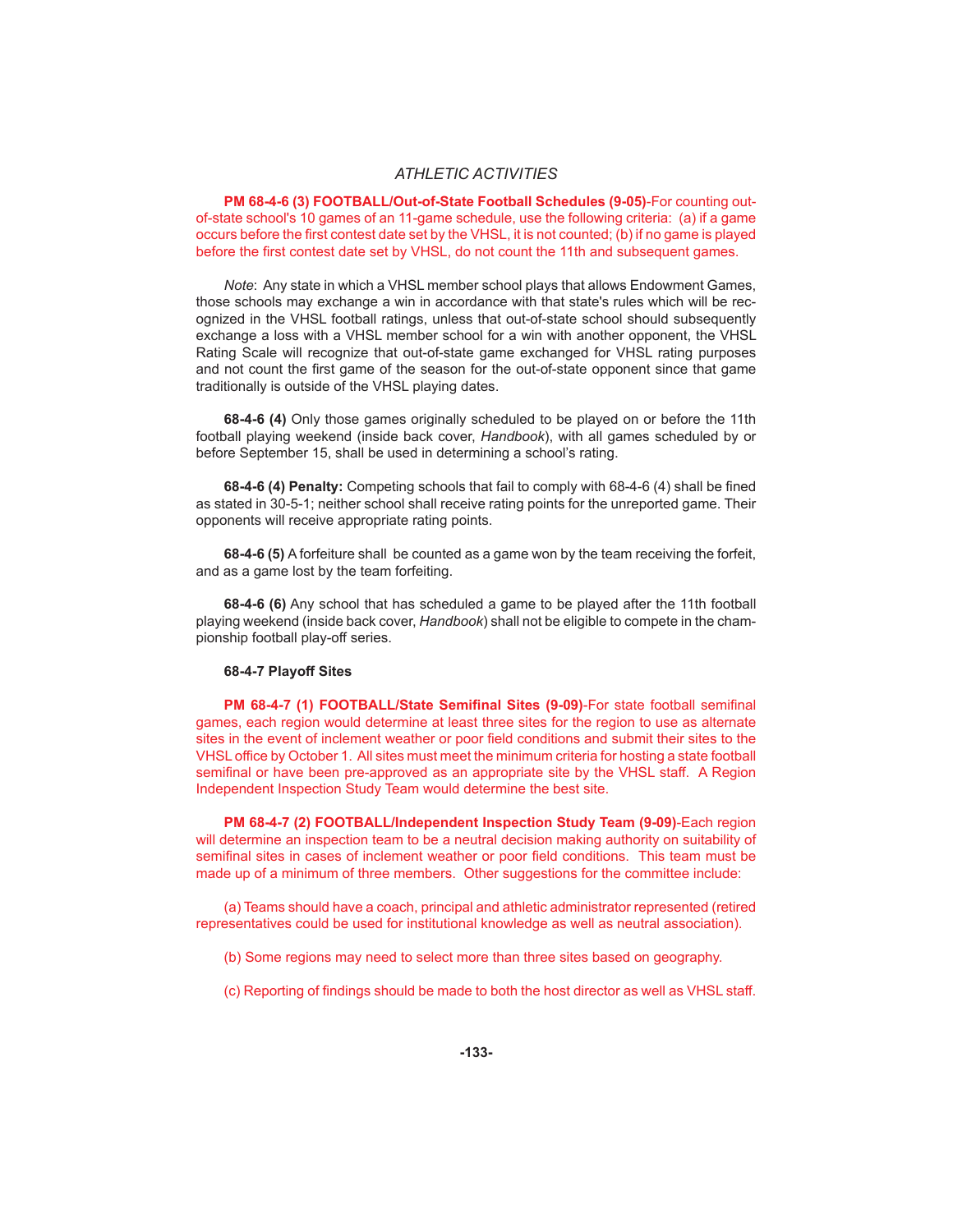**PM 68-4-6 (3) FOOTBALL/Out-of-State Football Schedules (9-05)**-For counting outof-state school's 10 games of an 11-game schedule, use the following criteria: (a) if a game occurs before the first contest date set by the VHSL, it is not counted; (b) if no game is played before the first contest date set by VHSL, do not count the 11th and subsequent games.

*Note*: Any state in which a VHSL member school plays that allows Endowment Games, those schools may exchange a win in accordance with that state's rules which will be recognized in the VHSL football ratings, unless that out-of-state school should subsequently exchange a loss with a VHSL member school for a win with another opponent, the VHSL Rating Scale will recognize that out-of-state game exchanged for VHSL rating purposes and not count the first game of the season for the out-of-state opponent since that game traditionally is outside of the VHSL playing dates.

**68-4-6 (4)** Only those games originally scheduled to be played on or before the 11th football playing weekend (inside back cover, *Handbook*), with all games scheduled by or before September 15, shall be used in determining a school's rating.

**68-4-6 (4) Penalty:** Competing schools that fail to comply with 68-4-6 (4) shall be fined as stated in 30-5-1; neither school shall receive rating points for the unreported game. Their opponents will receive appropriate rating points.

**68-4-6 (5)** A forfeiture shall be counted as a game won by the team receiving the forfeit, and as a game lost by the team forfeiting.

**68-4-6 (6)** Any school that has scheduled a game to be played after the 11th football playing weekend (inside back cover, *Handbook*) shall not be eligible to compete in the championship football play-off series.

### **68-4-7 Playoff Sites**

**PM 68-4-7 (1) FOOTBALL/State Semifinal Sites (9-09)-For state football semifinal** games, each region would determine at least three sites for the region to use as alternate sites in the event of inclement weather or poor field conditions and submit their sites to the VHSL office by October 1. All sites must meet the minimum criteria for hosting a state football semifinal or have been pre-approved as an appropriate site by the VHSL staff. A Region Independent Inspection Study Team would determine the best site.

 **PM 68-4-7 (2) FOOTBALL/Independent Inspection Study Team (9-09)**-Each region will determine an inspection team to be a neutral decision making authority on suitability of semifinal sites in cases of inclement weather or poor field conditions. This team must be made up of a minimum of three members. Other suggestions for the committee include:

 (a) Teams should have a coach, principal and athletic administrator represented (retired representatives could be used for institutional knowledge as well as neutral association).

(b) Some regions may need to select more than three sites based on geography.

(c) Reporting of findings should be made to both the host director as well as VHSL staff.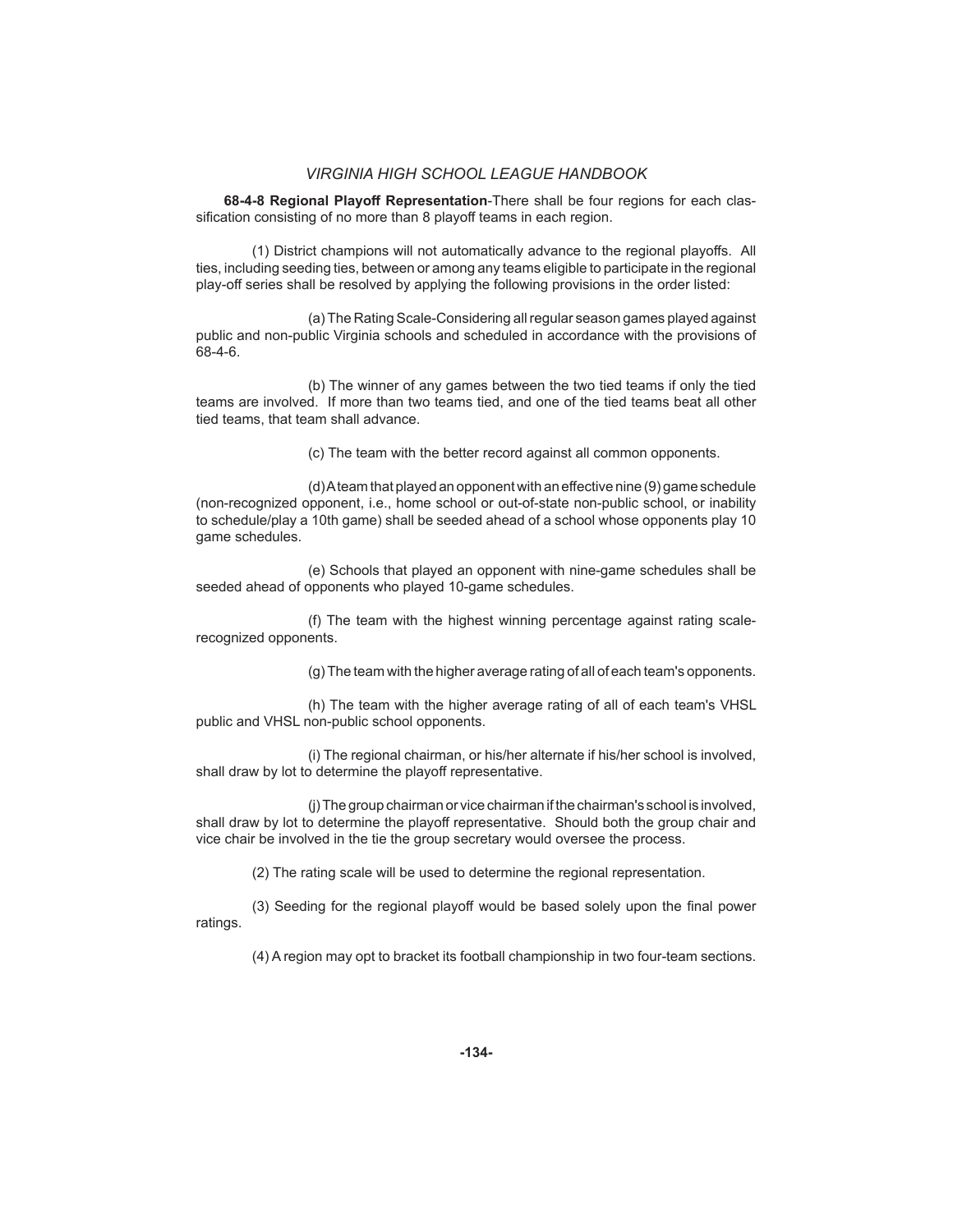**68-4-8 Regional Playoff Representation**-There shall be four regions for each classification consisting of no more than 8 playoff teams in each region.

(1) District champions will not automatically advance to the regional playoffs. All ties, including seeding ties, between or among any teams eligible to participate in the regional play-off series shall be resolved by applying the following provisions in the order listed:

 (a) The Rating Scale-Considering all regular season games played against public and non-public Virginia schools and scheduled in accordance with the provisions of 68-4-6.

 (b) The winner of any games between the two tied teams if only the tied teams are involved. If more than two teams tied, and one of the tied teams beat all other tied teams, that team shall advance.

(c) The team with the better record against all common opponents.

(d) A team that played an opponent with an effective nine (9) game schedule (non-recognized opponent, i.e., home school or out-of-state non-public school, or inability to schedule/play a 10th game) shall be seeded ahead of a school whose opponents play 10 game schedules.

 (e) Schools that played an opponent with nine-game schedules shall be seeded ahead of opponents who played 10-game schedules.

 (f) The team with the highest winning percentage against rating scalerecognized opponents.

(g) The team with the higher average rating of all of each team's opponents.

 (h) The team with the higher average rating of all of each team's VHSL public and VHSL non-public school opponents.

 (i) The regional chairman, or his/her alternate if his/her school is involved, shall draw by lot to determine the playoff representative.

 (j) The group chairman or vice chairman if the chairman's school is involved, shall draw by lot to determine the playoff representative. Should both the group chair and vice chair be involved in the tie the group secretary would oversee the process.

(2) The rating scale will be used to determine the regional representation.

(3) Seeding for the regional playoff would be based solely upon the final power ratings.

(4) A region may opt to bracket its football championship in two four-team sections.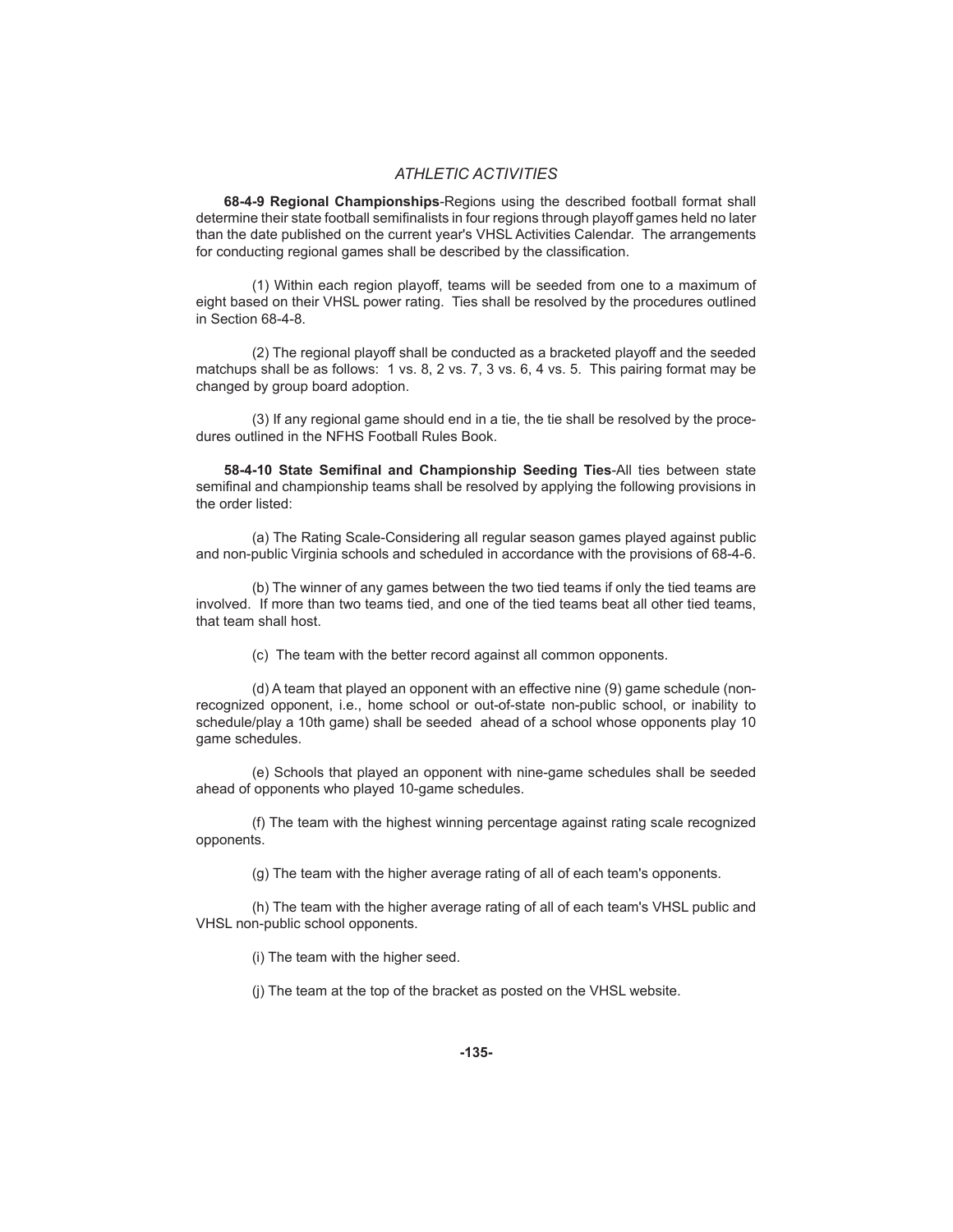**68-4-9 Regional Championships**-Regions using the described football format shall determine their state football semifinalists in four regions through playoff games held no later than the date published on the current year's VHSL Activities Calendar. The arrangements for conducting regional games shall be described by the classification.

 (1) Within each region playoff , teams will be seeded from one to a maximum of eight based on their VHSL power rating. Ties shall be resolved by the procedures outlined in Section 68-4-8.

 (2) The regional playoff shall be conducted as a bracketed playoff and the seeded matchups shall be as follows: 1 vs. 8, 2 vs. 7, 3 vs. 6, 4 vs. 5. This pairing format may be changed by group board adoption.

 (3) If any regional game should end in a tie, the tie shall be resolved by the procedures outlined in the NFHS Football Rules Book.

**58-4-10 State Semifinal and Championship Seeding Ties-All ties between state** semifinal and championship teams shall be resolved by applying the following provisions in the order listed:

 (a) The Rating Scale-Considering all regular season games played against public and non-public Virginia schools and scheduled in accordance with the provisions of 68-4-6.

 (b) The winner of any games between the two tied teams if only the tied teams are involved. If more than two teams tied, and one of the tied teams beat all other tied teams, that team shall host.

(c) The team with the better record against all common opponents.

 $(d)$  A team that played an opponent with an effective nine  $(9)$  game schedule (nonrecognized opponent, i.e., home school or out-of-state non-public school, or inability to schedule/play a 10th game) shall be seeded ahead of a school whose opponents play 10 game schedules.

 (e) Schools that played an opponent with nine-game schedules shall be seeded ahead of opponents who played 10-game schedules.

 (f) The team with the highest winning percentage against rating scale recognized opponents.

(g) The team with the higher average rating of all of each team's opponents.

 (h) The team with the higher average rating of all of each team's VHSL public and VHSL non-public school opponents.

(i) The team with the higher seed.

(j) The team at the top of the bracket as posted on the VHSL website.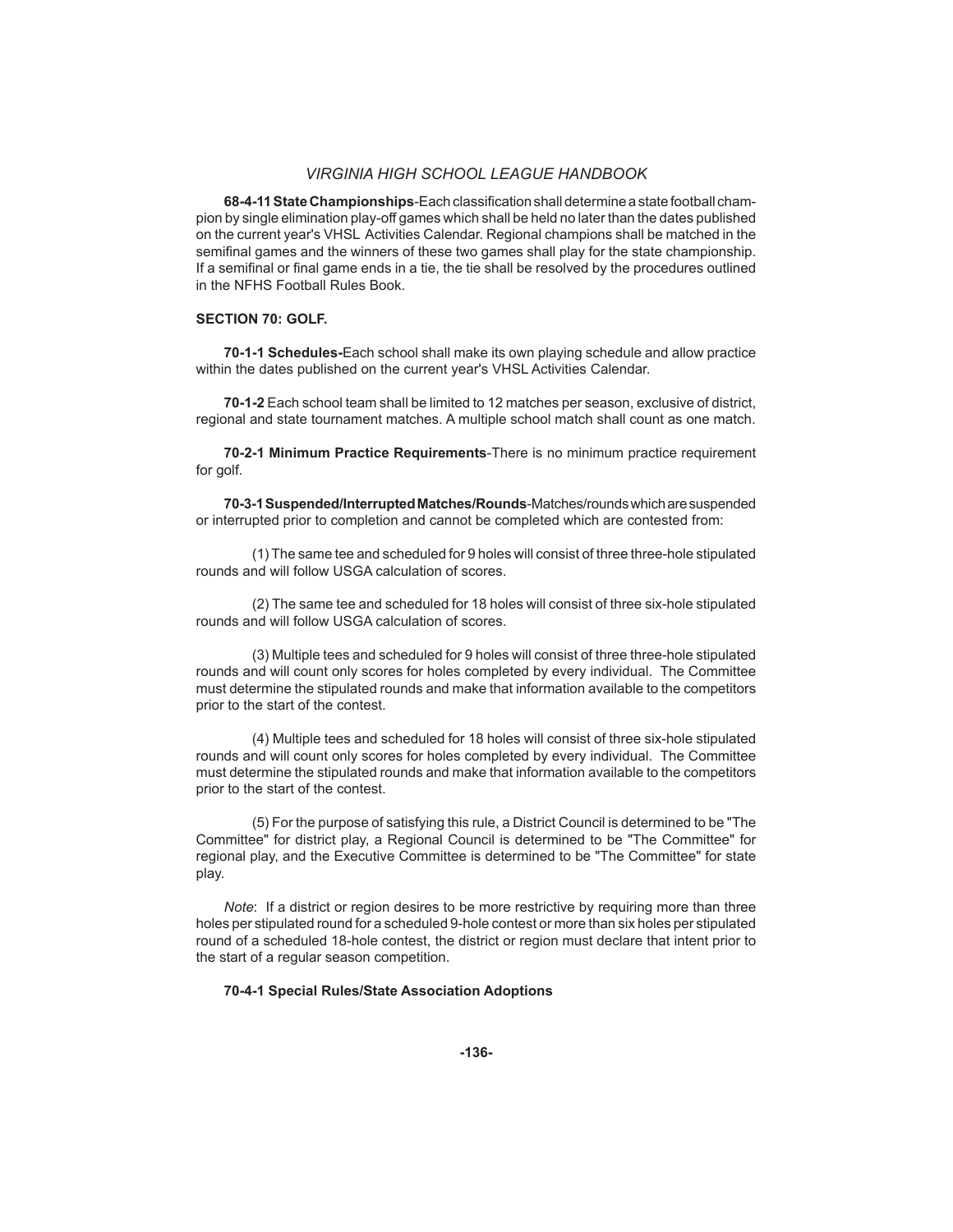**68-4-11 State Championships**-Each classifi cation shall determine a state football champion by single elimination play-off games which shall be held no later than the dates published on the current year's VHSL Activities Calendar. Regional champions shall be matched in the semifinal games and the winners of these two games shall play for the state championship. If a semifinal or final game ends in a tie, the tie shall be resolved by the procedures outlined in the NFHS Football Rules Book.

## **SECTION 70: GOLF.**

**70-1-1 Schedules-**Each school shall make its own playing schedule and allow practice within the dates published on the current year's VHSL Activities Calendar.

**70-1-2** Each school team shall be limited to 12 matches per season, exclusive of district, regional and state tournament matches. A multiple school match shall count as one match.

**70-2-1 Minimum Practice Requirements**-There is no minimum practice requirement for golf.

**70-3-1 Suspended/Interrupted Matches/Rounds**-Matches/rounds which are suspended or interrupted prior to completion and cannot be completed which are contested from:

 (1) The same tee and scheduled for 9 holes will consist of three three-hole stipulated rounds and will follow USGA calculation of scores.

 (2) The same tee and scheduled for 18 holes will consist of three six-hole stipulated rounds and will follow USGA calculation of scores.

 (3) Multiple tees and scheduled for 9 holes will consist of three three-hole stipulated rounds and will count only scores for holes completed by every individual. The Committee must determine the stipulated rounds and make that information available to the competitors prior to the start of the contest.

 (4) Multiple tees and scheduled for 18 holes will consist of three six-hole stipulated rounds and will count only scores for holes completed by every individual. The Committee must determine the stipulated rounds and make that information available to the competitors prior to the start of the contest.

 (5) For the purpose of satisfying this rule, a District Council is determined to be "The Committee" for district play, a Regional Council is determined to be "The Committee" for regional play, and the Executive Committee is determined to be "The Committee" for state play.

*Note*: If a district or region desires to be more restrictive by requiring more than three holes per stipulated round for a scheduled 9-hole contest or more than six holes per stipulated round of a scheduled 18-hole contest, the district or region must declare that intent prior to the start of a regular season competition.

### **70-4-1 Special Rules/State Association Adoptions**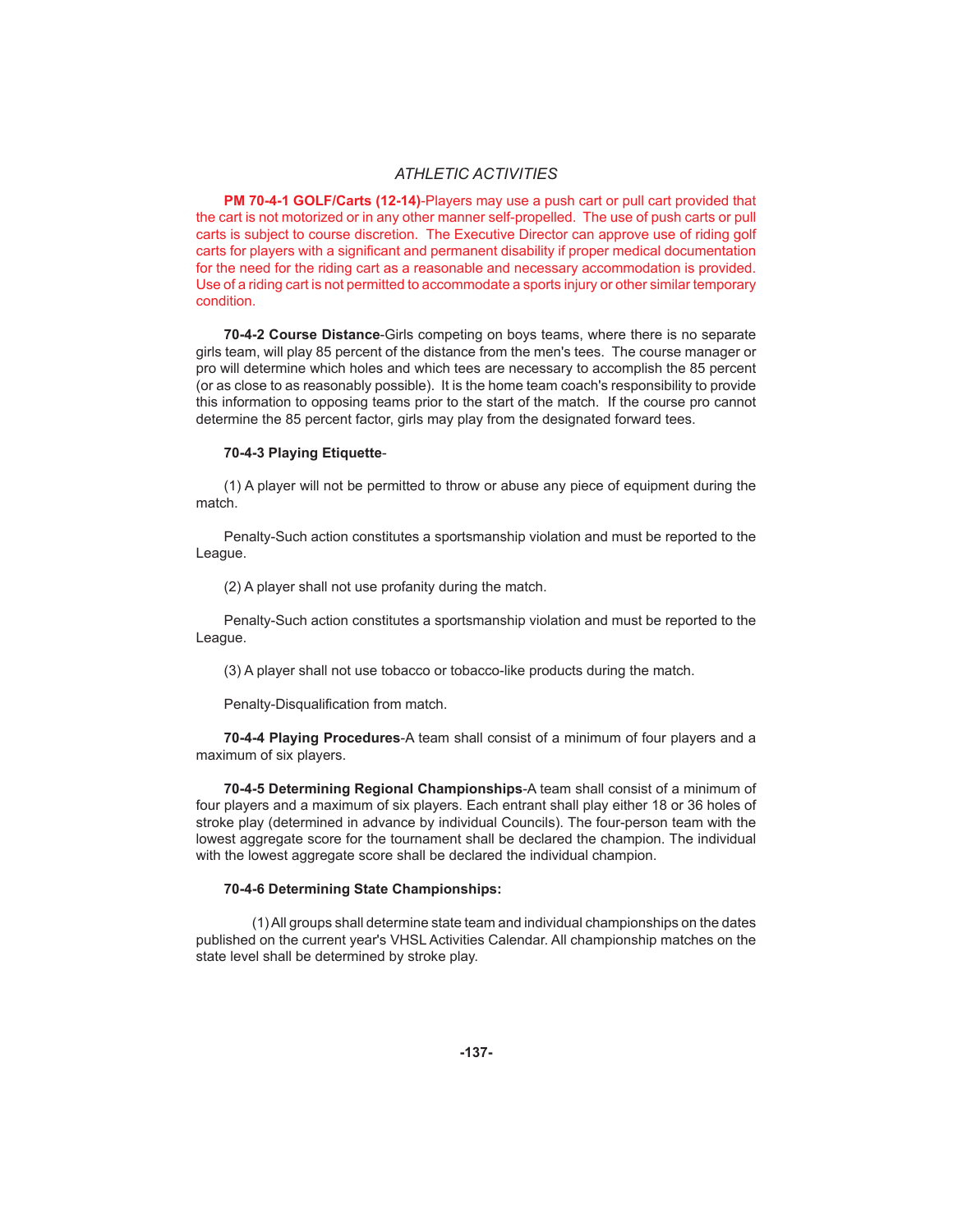**PM 70-4-1 GOLF/Carts (12-14)**-Players may use a push cart or pull cart provided that the cart is not motorized or in any other manner self-propelled. The use of push carts or pull carts is subject to course discretion. The Executive Director can approve use of riding golf carts for players with a significant and permanent disability if proper medical documentation for the need for the riding cart as a reasonable and necessary accommodation is provided. Use of a riding cart is not permitted to accommodate a sports injury or other similar temporary condition.

**70-4-2 Course Distance**-Girls competing on boys teams, where there is no separate girls team, will play 85 percent of the distance from the men's tees. The course manager or pro will determine which holes and which tees are necessary to accomplish the 85 percent (or as close to as reasonably possible). It is the home team coach's responsibility to provide this information to opposing teams prior to the start of the match. If the course pro cannot determine the 85 percent factor, girls may play from the designated forward tees.

#### **70-4-3 Playing Etiquette**-

 (1) A player will not be permitted to throw or abuse any piece of equipment during the match.

 Penalty-Such action constitutes a sportsmanship violation and must be reported to the League.

(2) A player shall not use profanity during the match.

 Penalty-Such action constitutes a sportsmanship violation and must be reported to the League.

(3) A player shall not use tobacco or tobacco-like products during the match.

Penalty-Disqualification from match.

**70-4-4 Playing Procedures**-A team shall consist of a minimum of four players and a maximum of six players.

**70-4-5 Determining Regional Championships**-A team shall consist of a minimum of four players and a maximum of six players. Each entrant shall play either 18 or 36 holes of stroke play (determined in advance by individual Councils). The four-person team with the lowest aggregate score for the tournament shall be declared the champion. The individual with the lowest aggregate score shall be declared the individual champion.

#### **70-4-6 Determining State Championships:**

 (1) All groups shall determine state team and individual championships on the dates published on the current year's VHSL Activities Calendar. All championship matches on the state level shall be determined by stroke play.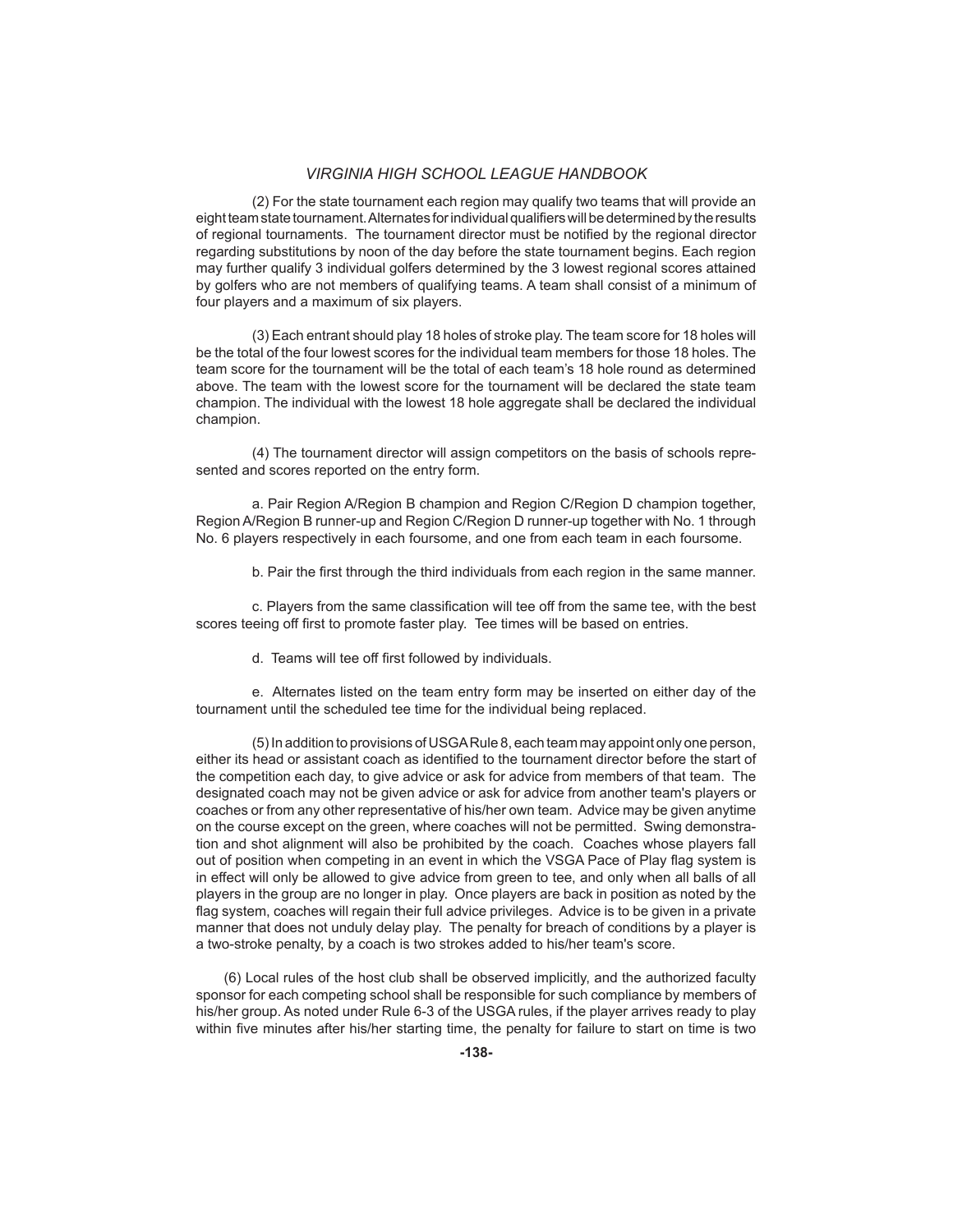(2) For the state tournament each region may qualify two teams that will provide an eight team state tournament. Alternates for individual qualifiers will be determined by the results of regional tournaments. The tournament director must be notified by the regional director regarding substitutions by noon of the day before the state tournament begins. Each region may further qualify 3 individual golfers determined by the 3 lowest regional scores attained by golfers who are not members of qualifying teams. A team shall consist of a minimum of four players and a maximum of six players.

 (3) Each entrant should play 18 holes of stroke play. The team score for 18 holes will be the total of the four lowest scores for the individual team members for those 18 holes. The team score for the tournament will be the total of each team's 18 hole round as determined above. The team with the lowest score for the tournament will be declared the state team champion. The individual with the lowest 18 hole aggregate shall be declared the individual champion.

 (4) The tournament director will assign competitors on the basis of schools represented and scores reported on the entry form.

 a. Pair Region A/Region B champion and Region C/Region D champion together, Region A/Region B runner-up and Region C/Region D runner-up together with No. 1 through No. 6 players respectively in each foursome, and one from each team in each foursome.

b. Pair the first through the third individuals from each region in the same manner.

c. Players from the same classification will tee off from the same tee, with the best scores teeing off first to promote faster play. Tee times will be based on entries.

d. Teams will tee off first followed by individuals.

 e. Alternates listed on the team entry form may be inserted on either day of the tournament until the scheduled tee time for the individual being replaced.

 (5) In addition to provisions of USGA Rule 8, each team may appoint only one person, either its head or assistant coach as identified to the tournament director before the start of the competition each day, to give advice or ask for advice from members of that team. The designated coach may not be given advice or ask for advice from another team's players or coaches or from any other representative of his/her own team. Advice may be given anytime on the course except on the green, where coaches will not be permitted. Swing demonstration and shot alignment will also be prohibited by the coach. Coaches whose players fall out of position when competing in an event in which the VSGA Pace of Play flag system is in effect will only be allowed to give advice from green to tee, and only when all balls of all players in the group are no longer in play. Once players are back in position as noted by the flag system, coaches will regain their full advice privileges. Advice is to be given in a private manner that does not unduly delay play. The penalty for breach of conditions by a player is a two-stroke penalty, by a coach is two strokes added to his/her team's score.

 (6) Local rules of the host club shall be observed implicitly, and the authorized faculty sponsor for each competing school shall be responsible for such compliance by members of his/her group. As noted under Rule 6-3 of the USGA rules, if the player arrives ready to play within five minutes after his/her starting time, the penalty for failure to start on time is two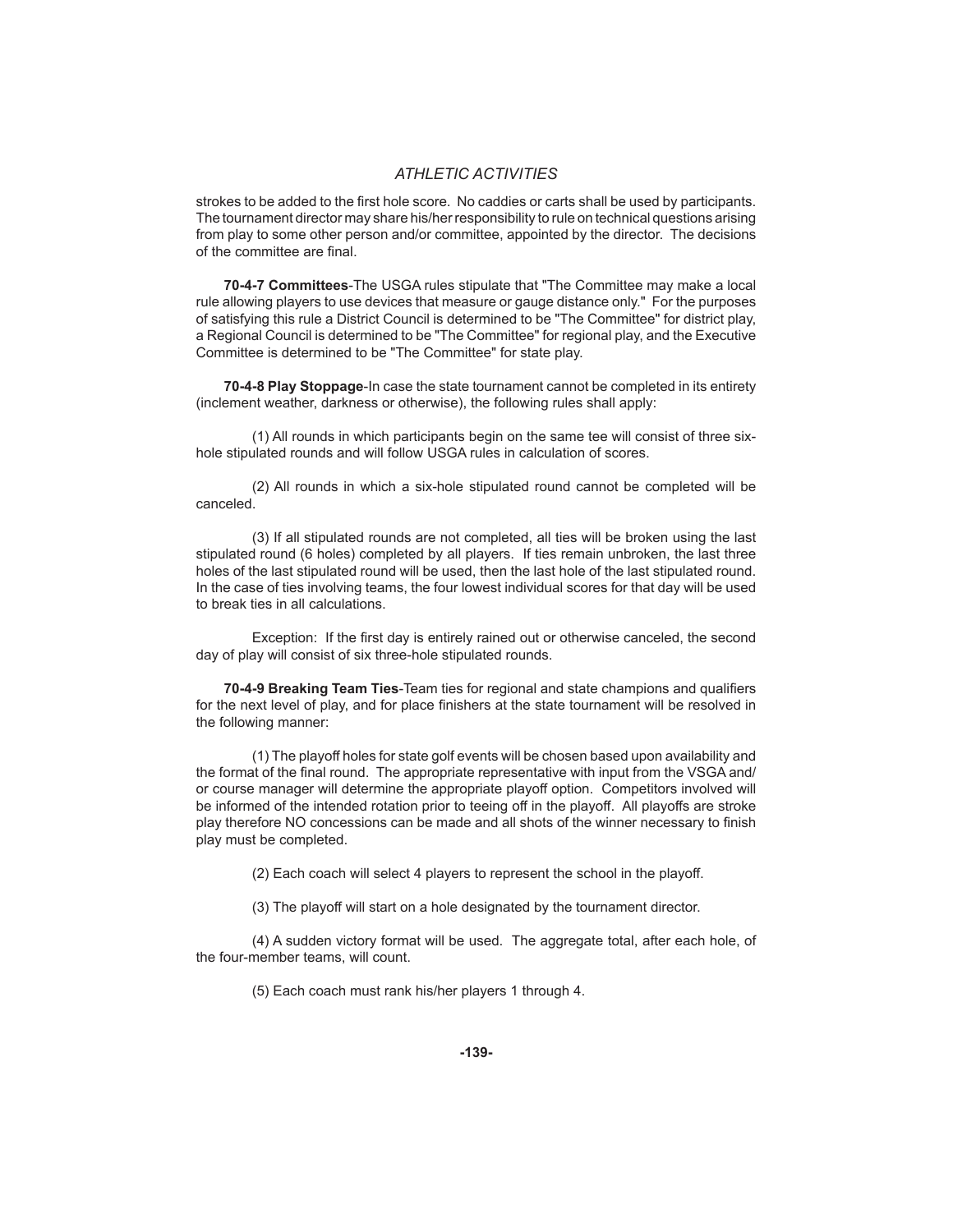strokes to be added to the first hole score. No caddies or carts shall be used by participants. The tournament director may share his/her responsibility to rule on technical questions arising from play to some other person and/or committee, appointed by the director. The decisions of the committee are final.

**70-4-7 Committees**-The USGA rules stipulate that "The Committee may make a local rule allowing players to use devices that measure or gauge distance only." For the purposes of satisfying this rule a District Council is determined to be "The Committee" for district play, a Regional Council is determined to be "The Committee" for regional play, and the Executive Committee is determined to be "The Committee" for state play.

**70-4-8 Play Stoppage**-In case the state tournament cannot be completed in its entirety (inclement weather, darkness or otherwise), the following rules shall apply:

 (1) All rounds in which participants begin on the same tee will consist of three sixhole stipulated rounds and will follow USGA rules in calculation of scores.

 (2) All rounds in which a six-hole stipulated round cannot be completed will be canceled.

 (3) If all stipulated rounds are not completed, all ties will be broken using the last stipulated round (6 holes) completed by all players. If ties remain unbroken, the last three holes of the last stipulated round will be used, then the last hole of the last stipulated round. In the case of ties involving teams, the four lowest individual scores for that day will be used to break ties in all calculations.

Exception: If the first day is entirely rained out or otherwise canceled, the second day of play will consist of six three-hole stipulated rounds.

**70-4-9 Breaking Team Ties-Team ties for regional and state champions and qualifiers** for the next level of play, and for place finishers at the state tournament will be resolved in the following manner:

 (1) The playoff holes for state golf events will be chosen based upon availability and the format of the final round. The appropriate representative with input from the VSGA and/ or course manager will determine the appropriate playoff option. Competitors involved will be informed of the intended rotation prior to teeing off in the playoff. All playoffs are stroke play therefore NO concessions can be made and all shots of the winner necessary to finish play must be completed.

(2) Each coach will select 4 players to represent the school in the playoff .

(3) The playoff will start on a hole designated by the tournament director.

 (4) A sudden victory format will be used. The aggregate total, after each hole, of the four-member teams, will count.

(5) Each coach must rank his/her players 1 through 4.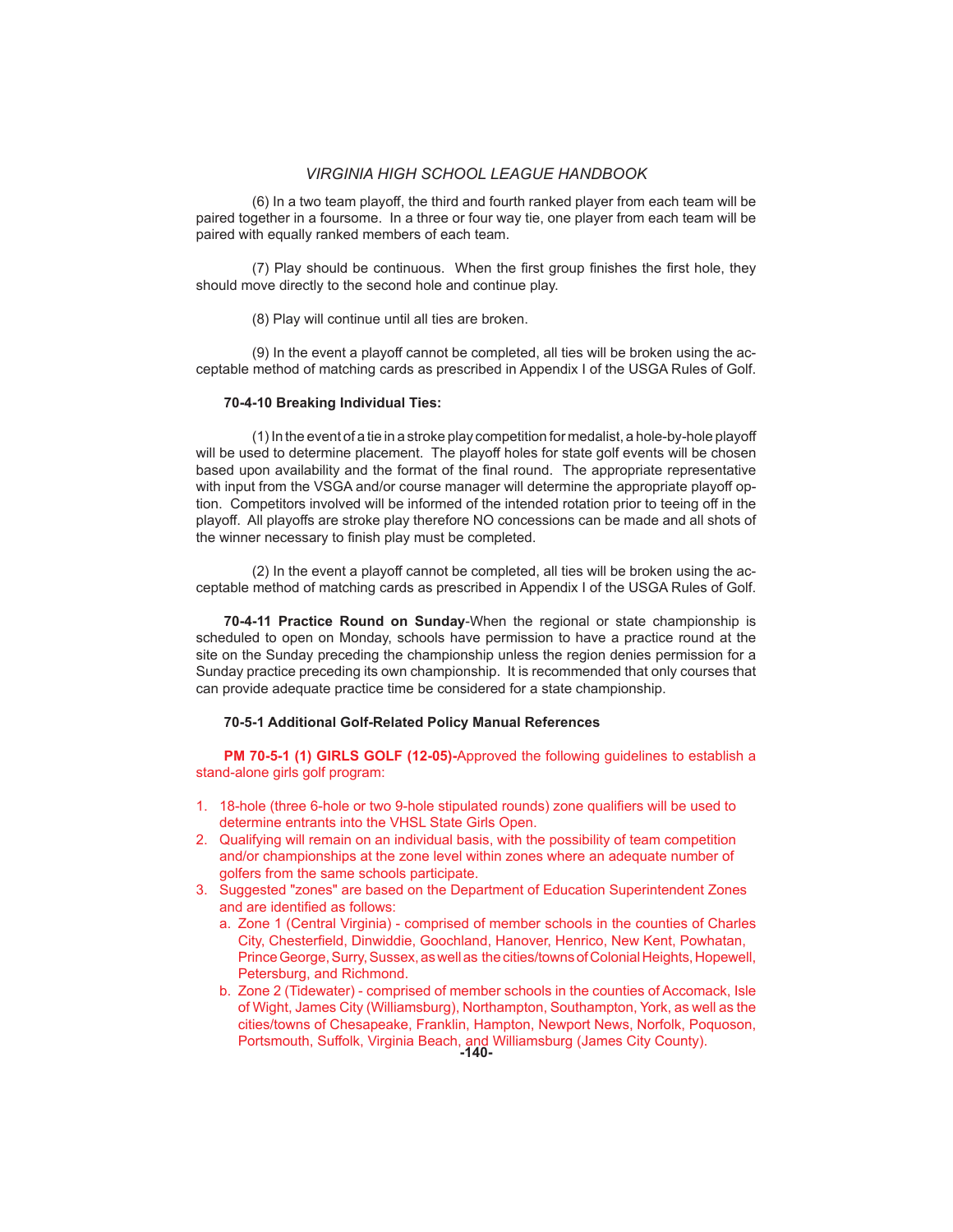(6) In a two team playoff , the third and fourth ranked player from each team will be paired together in a foursome. In a three or four way tie, one player from each team will be paired with equally ranked members of each team.

(7) Play should be continuous. When the first group finishes the first hole, they should move directly to the second hole and continue play.

(8) Play will continue until all ties are broken.

 (9) In the event a playoff cannot be completed, all ties will be broken using the acceptable method of matching cards as prescribed in Appendix I of the USGA Rules of Golf.

#### **70-4-10 Breaking Individual Ties:**

 (1) In the event of a tie in a stroke play competition for medalist, a hole-by-hole playoff will be used to determine placement. The playoff holes for state golf events will be chosen based upon availability and the format of the final round. The appropriate representative with input from the VSGA and/or course manager will determine the appropriate playoff option. Competitors involved will be informed of the intended rotation prior to teeing off in the playoff. All playoffs are stroke play therefore NO concessions can be made and all shots of the winner necessary to finish play must be completed.

 (2) In the event a playoff cannot be completed, all ties will be broken using the acceptable method of matching cards as prescribed in Appendix I of the USGA Rules of Golf.

**70-4-11 Practice Round on Sunday**-When the regional or state championship is scheduled to open on Monday, schools have permission to have a practice round at the site on the Sunday preceding the championship unless the region denies permission for a Sunday practice preceding its own championship. It is recommended that only courses that can provide adequate practice time be considered for a state championship.

#### **70-5-1 Additional Golf-Related Policy Manual References**

 **PM 70-5-1 (1) GIRLS GOLF (12-05)-**Approved the following guidelines to establish a stand-alone girls golf program:

- 1. 18-hole (three 6-hole or two 9-hole stipulated rounds) zone qualifiers will be used to determine entrants into the VHSL State Girls Open.
- 2. Qualifying will remain on an individual basis, with the possibility of team competition and/or championships at the zone level within zones where an adequate number of golfers from the same schools participate.
- 3. Suggested "zones" are based on the Department of Education Superintendent Zones and are identified as follows:
	- a. Zone 1 (Central Virginia) comprised of member schools in the counties of Charles City, Chesterfield, Dinwiddie, Goochland, Hanover, Henrico, New Kent, Powhatan, Prince George, Surry, Sussex, as well as the cities/towns of Colonial Heights, Hopewell, Petersburg, and Richmond.
- Portsmouth, Suffolk, Virginia Beach, and Williamsburg (James City County).<br>**-140** b. Zone 2 (Tidewater) - comprised of member schools in the counties of Accomack, Isle of Wight, James City (Williamsburg), Northampton, Southampton, York, as well as the cities/towns of Chesapeake, Franklin, Hampton, Newport News, Norfolk, Poquoson,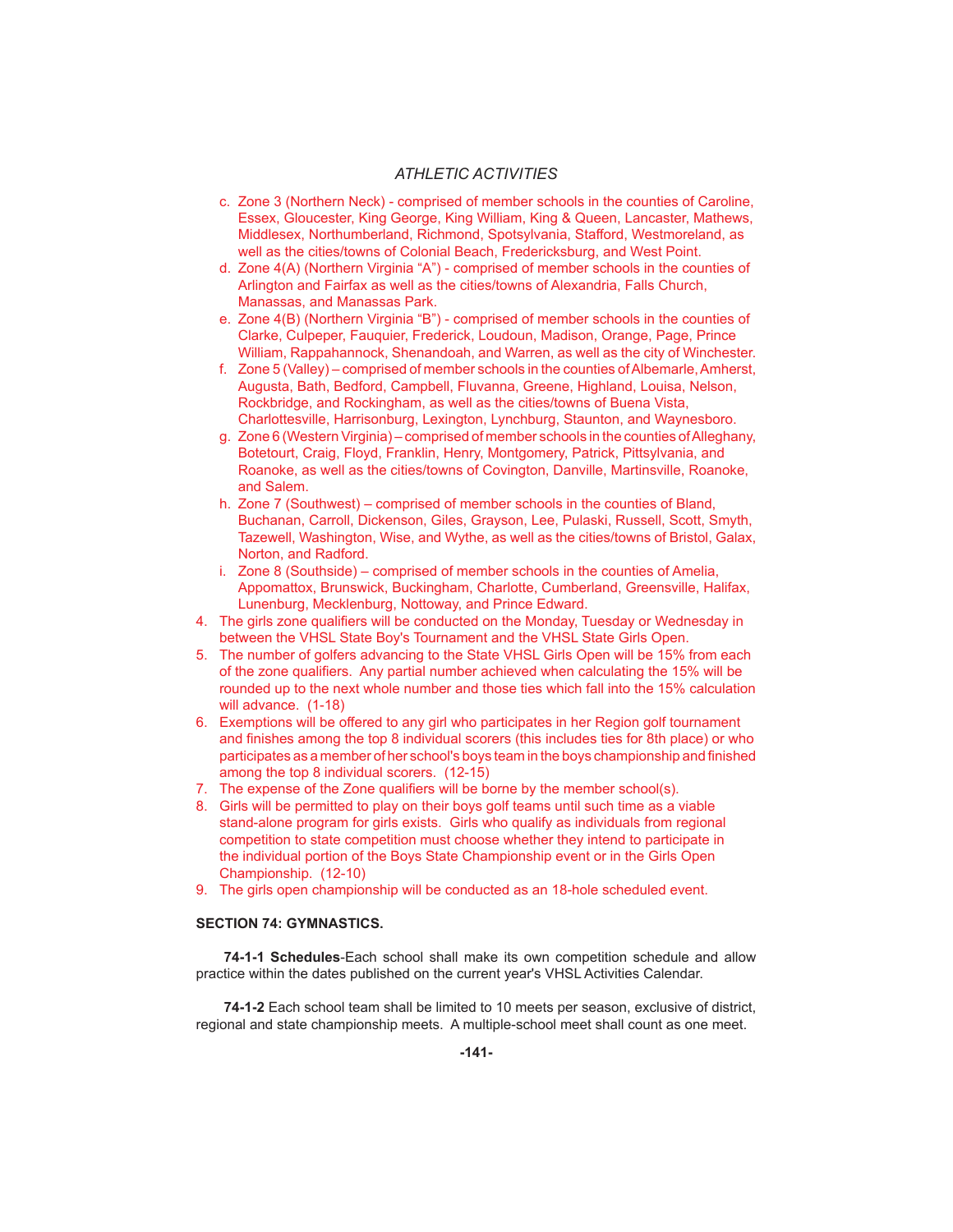- c. Zone 3 (Northern Neck) comprised of member schools in the counties of Caroline, Essex, Gloucester, King George, King William, King & Queen, Lancaster, Mathews, Middlesex, Northumberland, Richmond, Spotsylvania, Stafford, Westmoreland, as well as the cities/towns of Colonial Beach, Fredericksburg, and West Point.
- d. Zone 4(A) (Northern Virginia "A") comprised of member schools in the counties of Arlington and Fairfax as well as the cities/towns of Alexandria, Falls Church, Manassas, and Manassas Park.
- e. Zone 4(B) (Northern Virginia "B") comprised of member schools in the counties of Clarke, Culpeper, Fauquier, Frederick, Loudoun, Madison, Orange, Page, Prince William, Rappahannock, Shenandoah, and Warren, as well as the city of Winchester.
- f. Zone 5 (Valley) comprised of member schools in the counties of Albemarle, Amherst, Augusta, Bath, Bedford, Campbell, Fluvanna, Greene, Highland, Louisa, Nelson, Rockbridge, and Rockingham, as well as the cities/towns of Buena Vista, Charlottesville, Harrisonburg, Lexington, Lynchburg, Staunton, and Waynesboro.
- g. Zone 6 (Western Virginia) comprised of member schools in the counties of Alleghany, Botetourt, Craig, Floyd, Franklin, Henry, Montgomery, Patrick, Pittsylvania, and Roanoke, as well as the cities/towns of Covington, Danville, Martinsville, Roanoke, and Salem.
- h. Zone 7 (Southwest) comprised of member schools in the counties of Bland, Buchanan, Carroll, Dickenson, Giles, Grayson, Lee, Pulaski, Russell, Scott, Smyth, Tazewell, Washington, Wise, and Wythe, as well as the cities/towns of Bristol, Galax, Norton, and Radford.
- i. Zone 8 (Southside) comprised of member schools in the counties of Amelia, Appomattox, Brunswick, Buckingham, Charlotte, Cumberland, Greensville, Halifax, Lunenburg, Mecklenburg, Nottoway, and Prince Edward.
- 4. The girls zone qualifiers will be conducted on the Monday, Tuesday or Wednesday in between the VHSL State Boy's Tournament and the VHSL State Girls Open.
- 5. The number of golfers advancing to the State VHSL Girls Open will be 15% from each of the zone qualifiers. Any partial number achieved when calculating the 15% will be rounded up to the next whole number and those ties which fall into the 15% calculation will advance. (1-18)
- 6. Exemptions will be offered to any girl who participates in her Region golf tournament and finishes among the top 8 individual scorers (this includes ties for 8th place) or who participates as a member of her school's boys team in the boys championship and finished among the top 8 individual scorers. (12-15)
- 7. The expense of the Zone qualifiers will be borne by the member school(s).
- 8. Girls will be permitted to play on their boys golf teams until such time as a viable stand-alone program for girls exists. Girls who qualify as individuals from regional competition to state competition must choose whether they intend to participate in the individual portion of the Boys State Championship event or in the Girls Open Championship. (12-10)
- 9. The girls open championship will be conducted as an 18-hole scheduled event.

### **SECTION 74: GYMNASTICS.**

**74-1-1 Schedules**-Each school shall make its own competition schedule and allow practice within the dates published on the current year's VHSL Activities Calendar.

**74-1-2** Each school team shall be limited to 10 meets per season, exclusive of district, regional and state championship meets. A multiple-school meet shall count as one meet.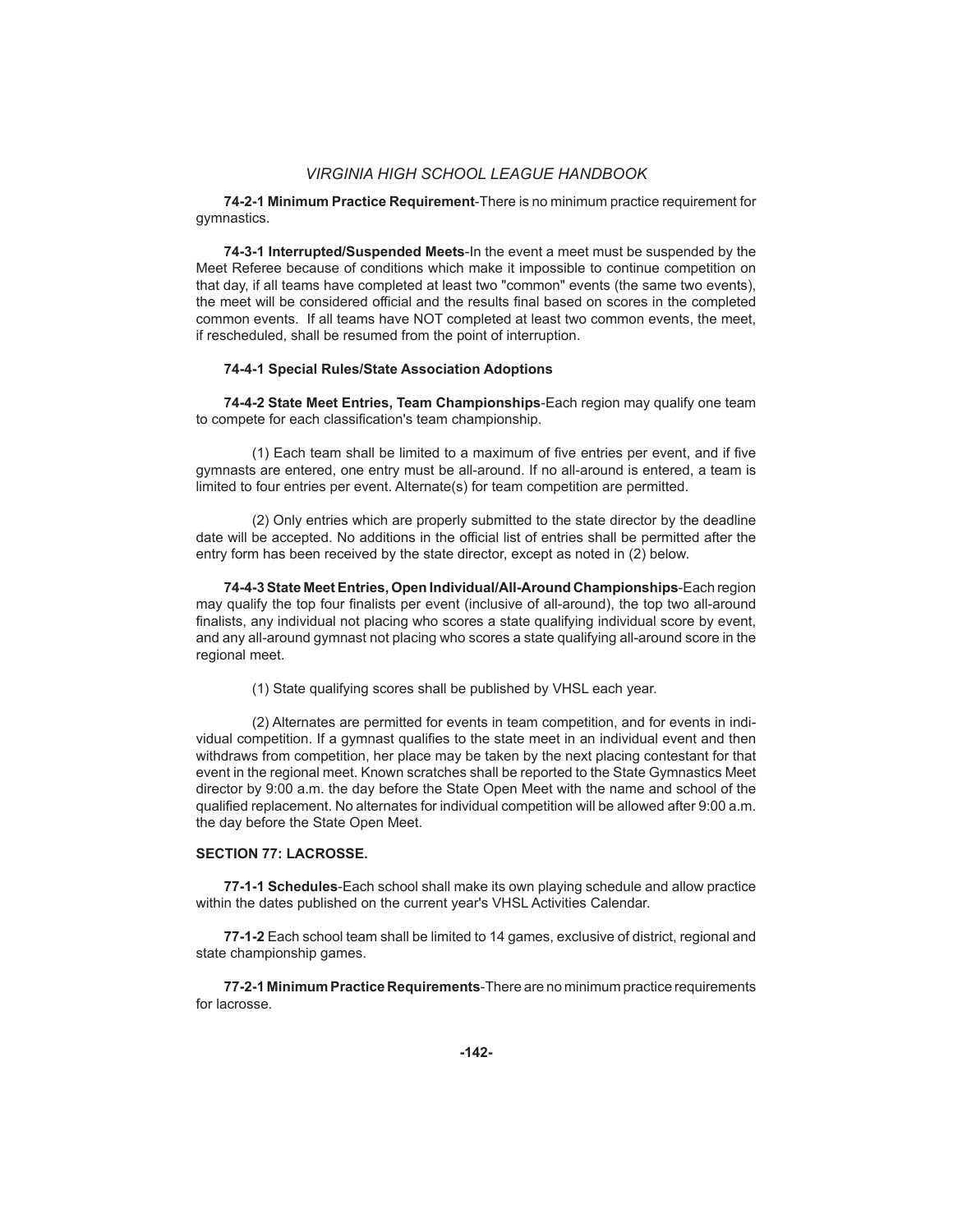**74-2-1 Minimum Practice Requirement**-There is no minimum practice requirement for gymnastics.

 **74-3-1 Interrupted/Suspended Meets**-In the event a meet must be suspended by the Meet Referee because of conditions which make it impossible to continue competition on that day, if all teams have completed at least two "common" events (the same two events), the meet will be considered official and the results final based on scores in the completed common events. If all teams have NOT completed at least two common events, the meet, if rescheduled, shall be resumed from the point of interruption.

#### **74-4-1 Special Rules/State Association Adoptions**

**74-4-2 State Meet Entries, Team Championships**-Each region may qualify one team to compete for each classification's team championship.

(1) Each team shall be limited to a maximum of five entries per event, and if five gymnasts are entered, one entry must be all-around. If no all-around is entered, a team is limited to four entries per event. Alternate(s) for team competition are permitted.

 (2) Only entries which are properly submitted to the state director by the deadline date will be accepted. No additions in the official list of entries shall be permitted after the entry form has been received by the state director, except as noted in (2) below.

**74-4-3 State Meet Entries, Open Individual/All-Around Championships**-Each region may qualify the top four finalists per event (inclusive of all-around), the top two all-around finalists, any individual not placing who scores a state qualifying individual score by event, and any all-around gymnast not placing who scores a state qualifying all-around score in the regional meet.

(1) State qualifying scores shall be published by VHSL each year.

 (2) Alternates are permitted for events in team competition, and for events in individual competition. If a gymnast qualifies to the state meet in an individual event and then withdraws from competition, her place may be taken by the next placing contestant for that event in the regional meet. Known scratches shall be reported to the State Gymnastics Meet director by 9:00 a.m. the day before the State Open Meet with the name and school of the qualified replacement. No alternates for individual competition will be allowed after 9:00 a.m. the day before the State Open Meet.

### **SECTION 77: LACROSSE.**

**77-1-1 Schedules**-Each school shall make its own playing schedule and allow practice within the dates published on the current year's VHSL Activities Calendar.

**77-1-2** Each school team shall be limited to 14 games, exclusive of district, regional and state championship games.

**77-2-1 Minimum Practice Requirements**-There are no minimum practice requirements for lacrosse.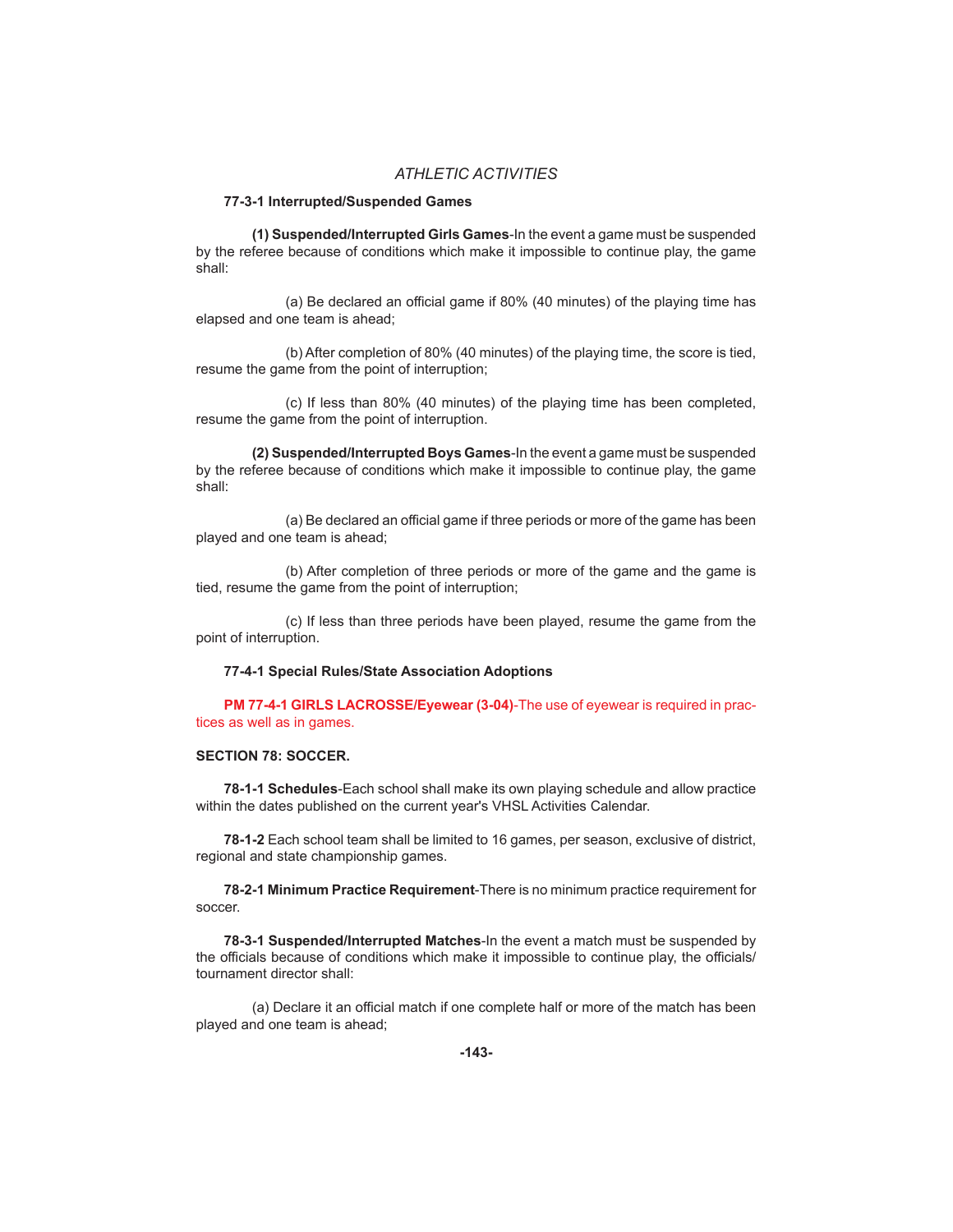### **77-3-1 Interrupted/Suspended Games**

 **(1) Suspended/Interrupted Girls Games**-In the event a game must be suspended by the referee because of conditions which make it impossible to continue play, the game shall:

(a) Be declared an official game if 80% (40 minutes) of the playing time has elapsed and one team is ahead;

 (b) After completion of 80% (40 minutes) of the playing time, the score is tied, resume the game from the point of interruption;

 (c) If less than 80% (40 minutes) of the playing time has been completed, resume the game from the point of interruption.

 **(2) Suspended/Interrupted Boys Games**-In the event a game must be suspended by the referee because of conditions which make it impossible to continue play, the game shall:

(a) Be declared an official game if three periods or more of the game has been played and one team is ahead;

 (b) After completion of three periods or more of the game and the game is tied, resume the game from the point of interruption;

 (c) If less than three periods have been played, resume the game from the point of interruption.

#### **77-4-1 Special Rules/State Association Adoptions**

 **PM 77-4-1 GIRLS LACROSSE/Eyewear (3-04)**-The use of eyewear is required in practices as well as in games.

#### **SECTION 78: SOCCER.**

**78-1-1 Schedules**-Each school shall make its own playing schedule and allow practice within the dates published on the current year's VHSL Activities Calendar.

**78-1-2** Each school team shall be limited to 16 games, per season, exclusive of district, regional and state championship games.

**78-2-1 Minimum Practice Requirement**-There is no minimum practice requirement for soccer.

**78-3-1 Suspended/Interrupted Matches**-In the event a match must be suspended by the officials because of conditions which make it impossible to continue play, the officials/ tournament director shall:

(a) Declare it an official match if one complete half or more of the match has been played and one team is ahead;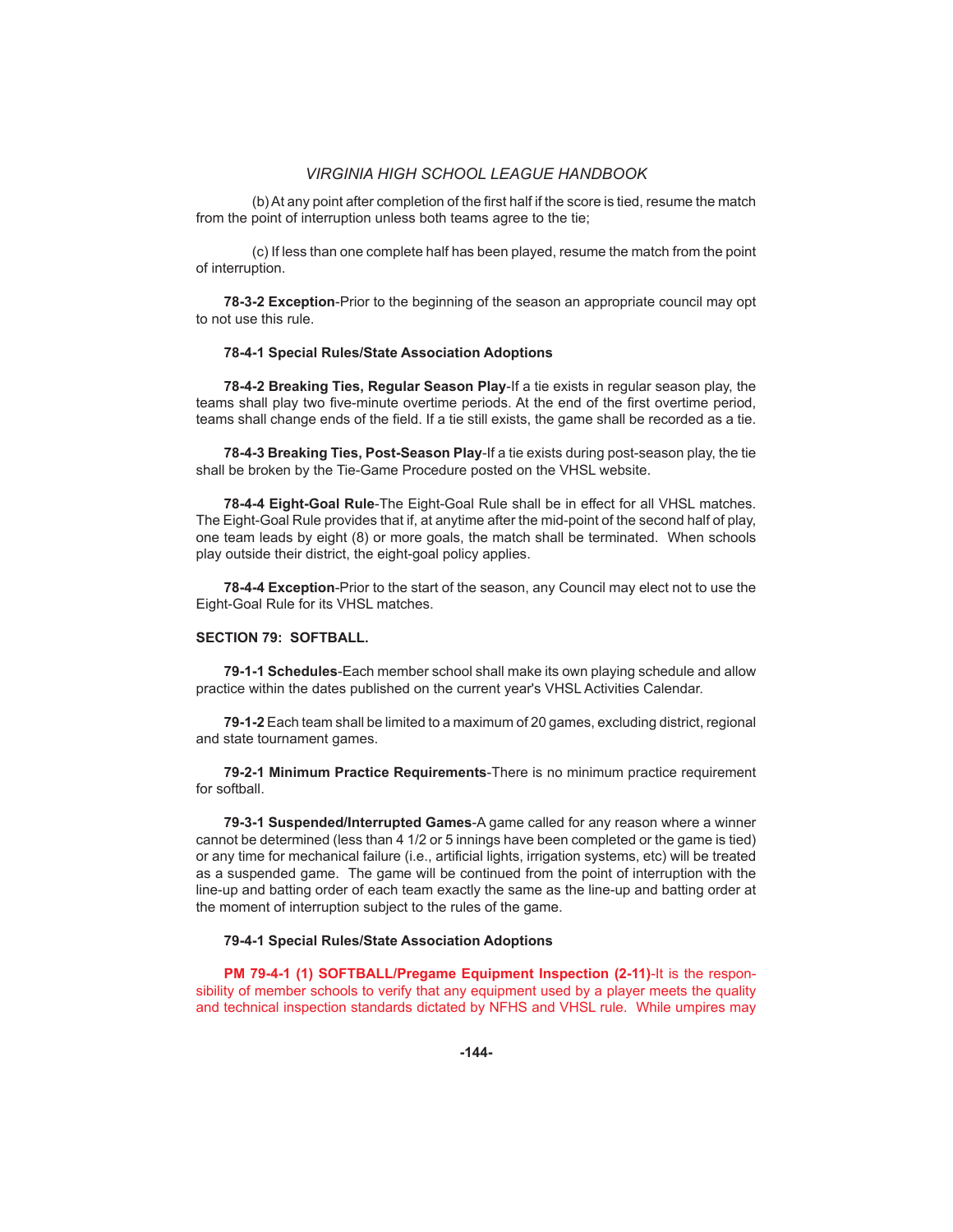(b) At any point after completion of the first half if the score is tied, resume the match from the point of interruption unless both teams agree to the tie;

 (c) If less than one complete half has been played, resume the match from the point of interruption.

**78-3-2 Exception**-Prior to the beginning of the season an appropriate council may opt to not use this rule.

#### **78-4-1 Special Rules/State Association Adoptions**

**78-4-2 Breaking Ties, Regular Season Play**-If a tie exists in regular season play, the teams shall play two five-minute overtime periods. At the end of the first overtime period, teams shall change ends of the field. If a tie still exists, the game shall be recorded as a tie.

**78-4-3 Breaking Ties, Post-Season Play**-If a tie exists during post-season play, the tie shall be broken by the Tie-Game Procedure posted on the VHSL website.

78-4-4 Eight-Goal Rule-The Eight-Goal Rule shall be in effect for all VHSL matches. The Eight-Goal Rule provides that if, at anytime after the mid-point of the second half of play, one team leads by eight (8) or more goals, the match shall be terminated. When schools play outside their district, the eight-goal policy applies.

**78-4-4 Exception**-Prior to the start of the season, any Council may elect not to use the Eight-Goal Rule for its VHSL matches.

### **SECTION 79: SOFTBALL.**

**79-1-1 Schedules**-Each member school shall make its own playing schedule and allow practice within the dates published on the current year's VHSL Activities Calendar.

**79-1-2** Each team shall be limited to a maximum of 20 games, excluding district, regional and state tournament games.

**79-2-1 Minimum Practice Requirements**-There is no minimum practice requirement for softball.

**79-3-1 Suspended/Interrupted Games**-A game called for any reason where a winner cannot be determined (less than 4 1/2 or 5 innings have been completed or the game is tied) or any time for mechanical failure (i.e., artificial lights, irrigation systems, etc) will be treated as a suspended game. The game will be continued from the point of interruption with the line-up and batting order of each team exactly the same as the line-up and batting order at the moment of interruption subject to the rules of the game.

#### **79-4-1 Special Rules/State Association Adoptions**

 **PM 79-4-1 (1) SOFTBALL/Pregame Equipment Inspection (2-11)**-It is the responsibility of member schools to verify that any equipment used by a player meets the quality and technical inspection standards dictated by NFHS and VHSL rule. While umpires may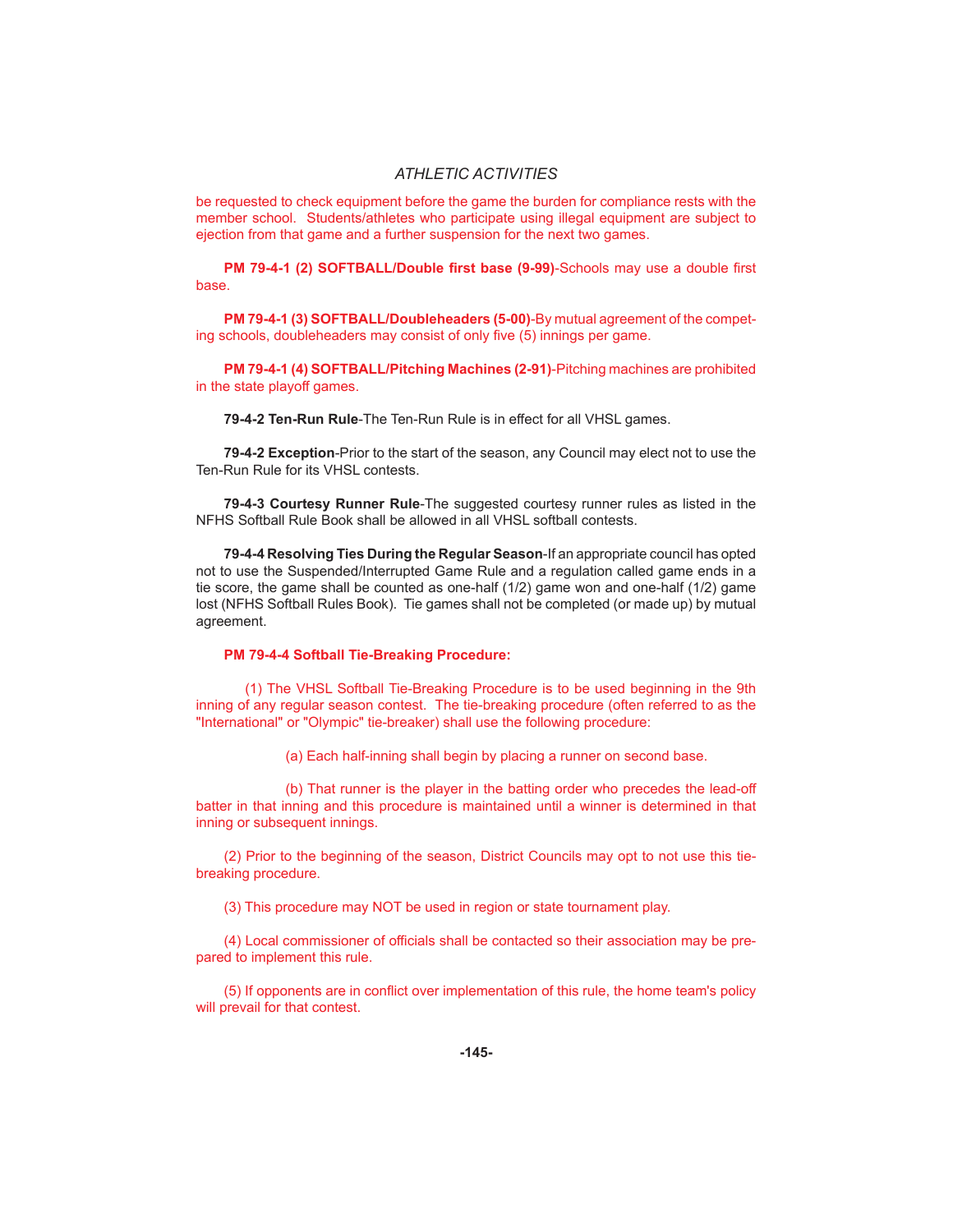be requested to check equipment before the game the burden for compliance rests with the member school. Students/athletes who participate using illegal equipment are subject to ejection from that game and a further suspension for the next two games.

**PM 79-4-1 (2) SOFTBALL/Double first base (9-99)-Schools may use a double first** base.

**PM 79-4-1 (3) SOFTBALL/Doubleheaders (5-00)**-By mutual agreement of the competing schools, doubleheaders may consist of only five (5) innings per game.

**PM 79-4-1 (4) SOFTBALL/Pitching Machines (2-91)**-Pitching machines are prohibited in the state playoff games.

79-4-2 Ten-Run Rule-The Ten-Run Rule is in effect for all VHSL games.

**79-4-2 Exception**-Prior to the start of the season, any Council may elect not to use the Ten-Run Rule for its VHSL contests.

**79-4-3 Courtesy Runner Rule**-The suggested courtesy runner rules as listed in the NFHS Softball Rule Book shall be allowed in all VHSL softball contests.

**79-4-4 Resolving Ties During the Regular Season**-If an appropriate council has opted not to use the Suspended/Interrupted Game Rule and a regulation called game ends in a tie score, the game shall be counted as one-half (1/2) game won and one-half (1/2) game lost (NFHS Softball Rules Book). Tie games shall not be completed (or made up) by mutual agreement.

### **PM 79-4-4 Softball Tie-Breaking Procedure:**

 (1) The VHSL Softball Tie-Breaking Procedure is to be used beginning in the 9th inning of any regular season contest. The tie-breaking procedure (often referred to as the "International" or "Olympic" tie-breaker) shall use the following procedure:

(a) Each half-inning shall begin by placing a runner on second base.

 (b) That runner is the player in the batting order who precedes the lead-off batter in that inning and this procedure is maintained until a winner is determined in that inning or subsequent innings.

 (2) Prior to the beginning of the season, District Councils may opt to not use this tiebreaking procedure.

(3) This procedure may NOT be used in region or state tournament play.

(4) Local commissioner of officials shall be contacted so their association may be prepared to implement this rule.

(5) If opponents are in conflict over implementation of this rule, the home team's policy will prevail for that contest.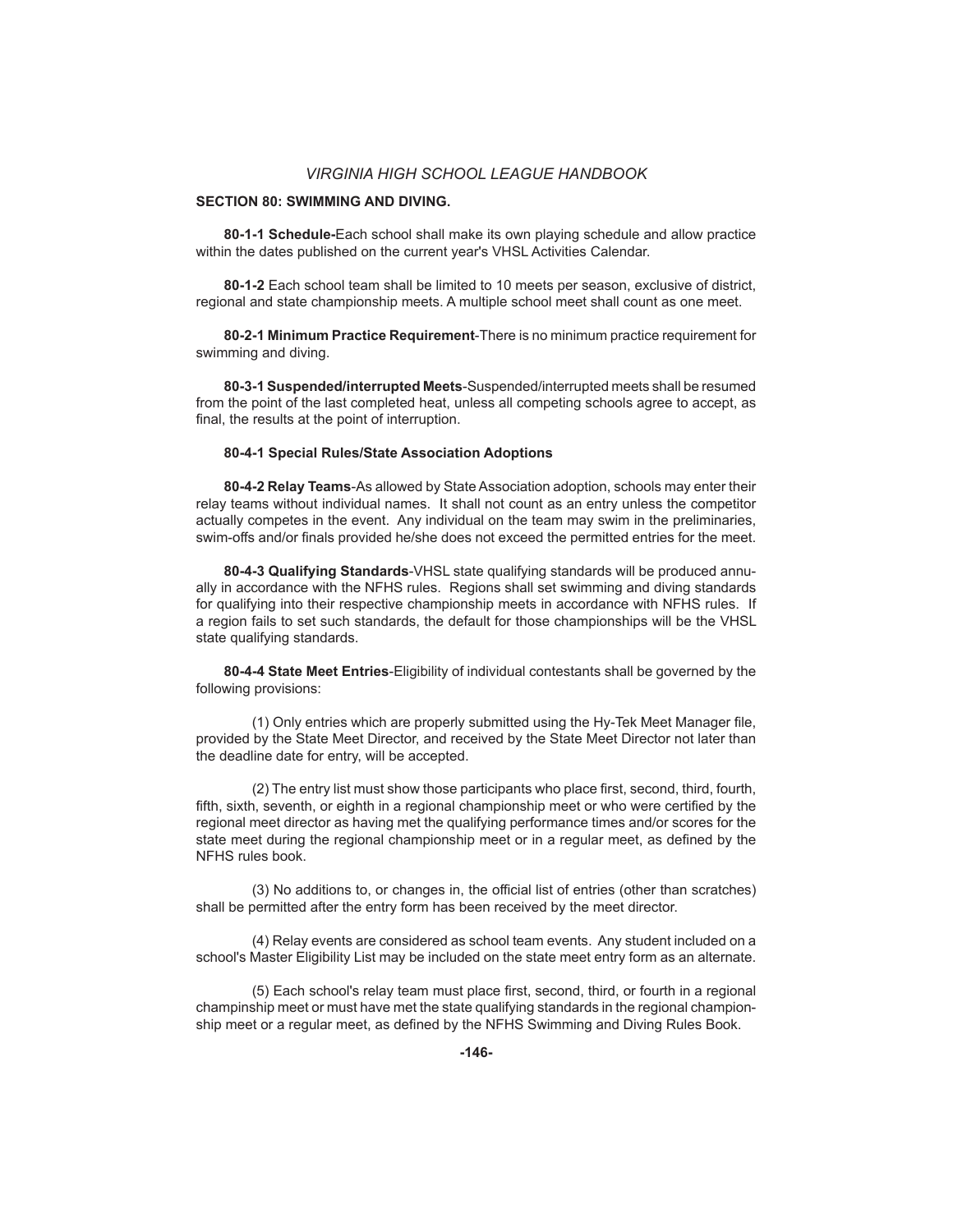### **SECTION 80: SWIMMING AND DIVING.**

**80-1-1 Schedule-**Each school shall make its own playing schedule and allow practice within the dates published on the current year's VHSL Activities Calendar.

**80-1-2** Each school team shall be limited to 10 meets per season, exclusive of district, regional and state championship meets. A multiple school meet shall count as one meet.

**80-2-1 Minimum Practice Requirement**-There is no minimum practice requirement for swimming and diving.

**80-3-1 Suspended/interrupted Meets**-Suspended/interrupted meets shall be resumed from the point of the last completed heat, unless all competing schools agree to accept, as final, the results at the point of interruption.

### **80-4-1 Special Rules/State Association Adoptions**

**80-4-2 Relay Teams**-As allowed by State Association adoption, schools may enter their relay teams without individual names. It shall not count as an entry unless the competitor actually competes in the event. Any individual on the team may swim in the preliminaries, swim-offs and/or finals provided he/she does not exceed the permitted entries for the meet.

**80-4-3 Qualifying Standards**-VHSL state qualifying standards will be produced annually in accordance with the NFHS rules. Regions shall set swimming and diving standards for qualifying into their respective championship meets in accordance with NFHS rules. If a region fails to set such standards, the default for those championships will be the VHSL state qualifying standards.

 **80-4-4 State Meet Entries**-Eligibility of individual contestants shall be governed by the following provisions:

(1) Only entries which are properly submitted using the Hy-Tek Meet Manager file, provided by the State Meet Director, and received by the State Meet Director not later than the deadline date for entry, will be accepted.

(2) The entry list must show those participants who place first, second, third, fourth, fifth, sixth, seventh, or eighth in a regional championship meet or who were certified by the regional meet director as having met the qualifying performance times and/or scores for the state meet during the regional championship meet or in a regular meet, as defined by the NFHS rules book.

(3) No additions to, or changes in, the official list of entries (other than scratches) shall be permitted after the entry form has been received by the meet director.

(4) Relay events are considered as school team events. Any student included on a school's Master Eligibility List may be included on the state meet entry form as an alternate.

(5) Each school's relay team must place first, second, third, or fourth in a regional champinship meet or must have met the state qualifying standards in the regional championship meet or a regular meet, as defined by the NFHS Swimming and Diving Rules Book.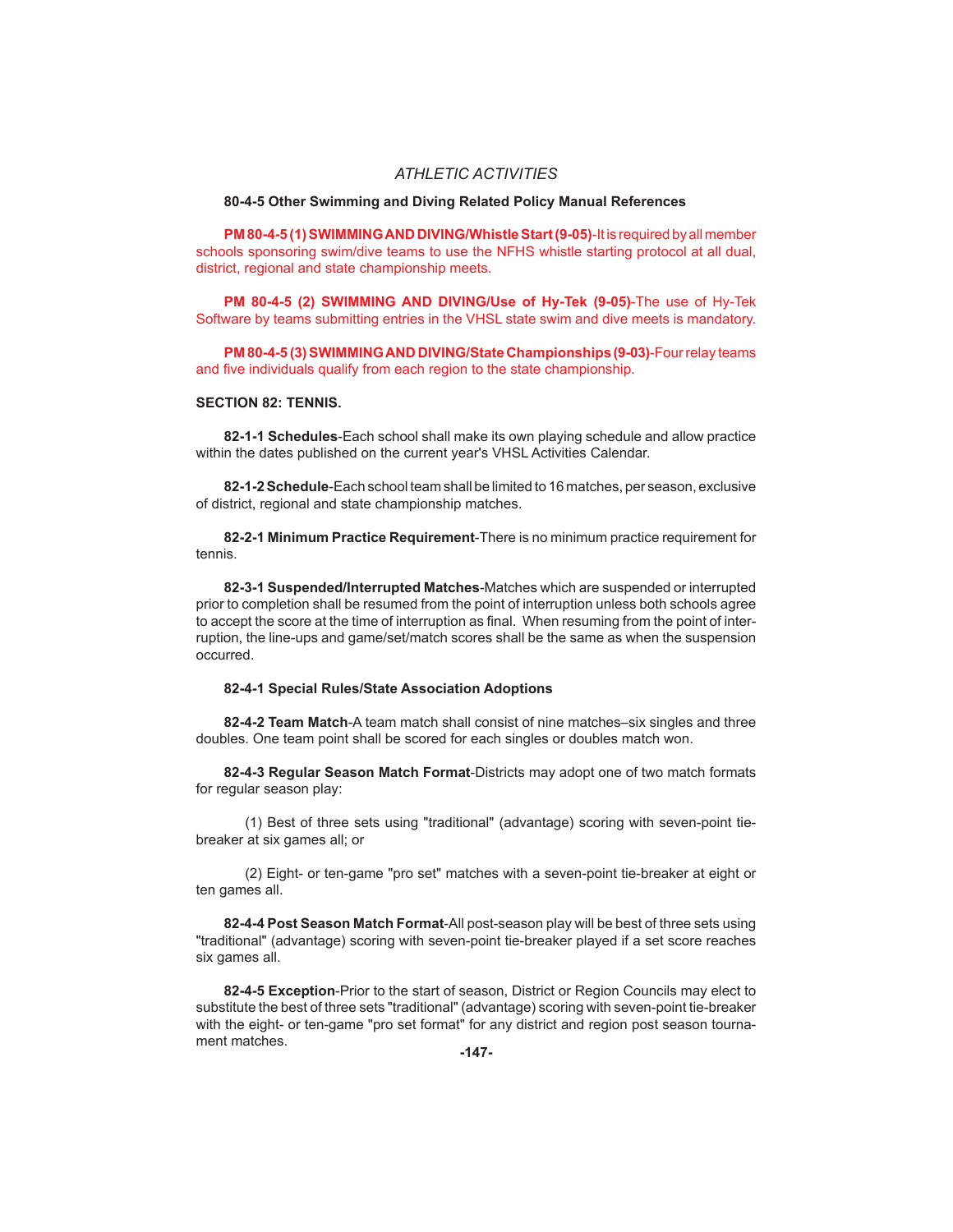### **80-4-5 Other Swimming and Diving Related Policy Manual References**

 **PM 80-4-5 (1) SWIMMING AND DIVING/Whistle Start (9-05)**-It is required by all member schools sponsoring swim/dive teams to use the NFHS whistle starting protocol at all dual, district, regional and state championship meets.

 **PM 80-4-5 (2) SWIMMING AND DIVING/Use of Hy-Tek (9-05)**-The use of Hy-Tek Software by teams submitting entries in the VHSL state swim and dive meets is mandatory.

 **PM 80-4-5 (3) SWIMMING AND DIVING/State Championships (9-03)**-Four relay teams and five individuals qualify from each region to the state championship.

### **SECTION 82: TENNIS.**

**82-1-1 Schedules**-Each school shall make its own playing schedule and allow practice within the dates published on the current year's VHSL Activities Calendar.

**82-1-2 Schedule**-Each school team shall be limited to 16 matches, per season, exclusive of district, regional and state championship matches.

**82-2-1 Minimum Practice Requirement**-There is no minimum practice requirement for tennis.

 **82-3-1 Suspended/Interrupted Matches**-Matches which are suspended or interrupted prior to completion shall be resumed from the point of interruption unless both schools agree to accept the score at the time of interruption as final. When resuming from the point of interruption, the line-ups and game/set/match scores shall be the same as when the suspension occurred.

### **82-4-1 Special Rules/State Association Adoptions**

**82-4-2 Team Match**-A team match shall consist of nine matches–six singles and three doubles. One team point shall be scored for each singles or doubles match won.

**82-4-3 Regular Season Match Format**-Districts may adopt one of two match formats for regular season play:

 (1) Best of three sets using "traditional" (advantage) scoring with seven-point tiebreaker at six games all; or

 (2) Eight- or ten-game "pro set" matches with a seven-point tie-breaker at eight or ten games all.

**82-4-4 Post Season Match Format**-All post-season play will be best of three sets using "traditional" (advantage) scoring with seven-point tie-breaker played if a set score reaches six games all.

**82-4-5 Exception**-Prior to the start of season, District or Region Councils may elect to substitute the best of three sets "traditional" (advantage) scoring with seven-point tie-breaker with the eight- or ten-game "pro set format" for any district and region post season tournament matches.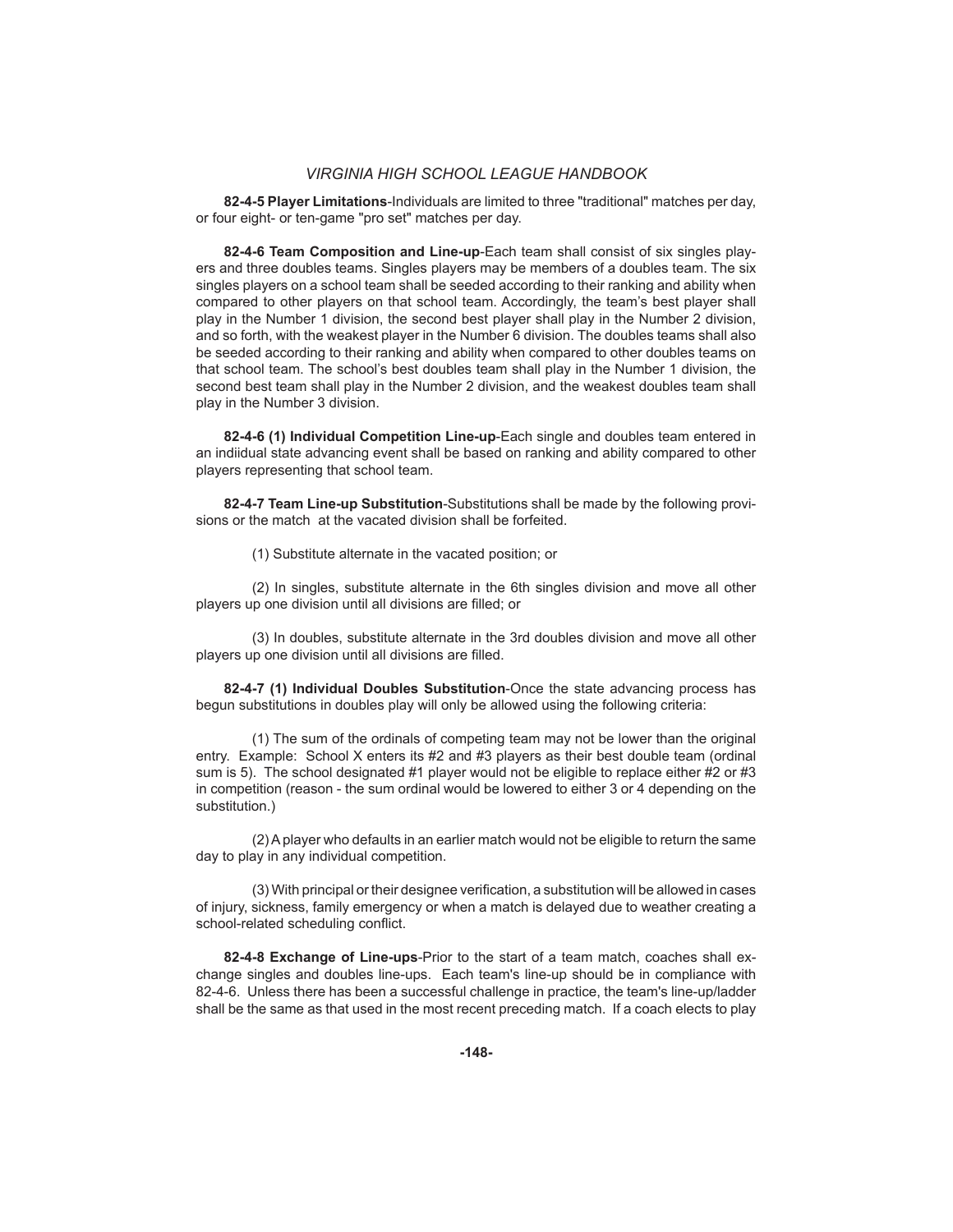**82-4-5 Player Limitations**-Individuals are limited to three "traditional" matches per day, or four eight- or ten-game "pro set" matches per day.

**82-4-6 Team Composition and Line-up**-Each team shall consist of six singles players and three doubles teams. Singles players may be members of a doubles team. The six singles players on a school team shall be seeded according to their ranking and ability when compared to other players on that school team. Accordingly, the team's best player shall play in the Number 1 division, the second best player shall play in the Number 2 division, and so forth, with the weakest player in the Number 6 division. The doubles teams shall also be seeded according to their ranking and ability when compared to other doubles teams on that school team. The school's best doubles team shall play in the Number 1 division, the second best team shall play in the Number 2 division, and the weakest doubles team shall play in the Number 3 division.

**82-4-6 (1) Individual Competition Line-up**-Each single and doubles team entered in an indiidual state advancing event shall be based on ranking and ability compared to other players representing that school team.

**82-4-7 Team Line-up Substitution**-Substitutions shall be made by the following provisions or the match at the vacated division shall be forfeited.

(1) Substitute alternate in the vacated position; or

 (2) In singles, substitute alternate in the 6th singles division and move all other players up one division until all divisions are filled; or

 (3) In doubles, substitute alternate in the 3rd doubles division and move all other players up one division until all divisions are filled.

**82-4-7 (1) Individual Doubles Substitution**-Once the state advancing process has begun substitutions in doubles play will only be allowed using the following criteria:

 (1) The sum of the ordinals of competing team may not be lower than the original entry. Example: School X enters its #2 and #3 players as their best double team (ordinal sum is 5). The school designated  $#1$  player would not be eligible to replace either  $#2$  or  $#3$ in competition (reason - the sum ordinal would be lowered to either 3 or 4 depending on the substitution.)

 (2) A player who defaults in an earlier match would not be eligible to return the same day to play in any individual competition.

(3) With principal or their designee verification, a substitution will be allowed in cases of injury, sickness, family emergency or when a match is delayed due to weather creating a school-related scheduling conflict.

**82-4-8 Exchange of Line-ups**-Prior to the start of a team match, coaches shall exchange singles and doubles line-ups. Each team's line-up should be in compliance with 82-4-6. Unless there has been a successful challenge in practice, the team's line-up/ladder shall be the same as that used in the most recent preceding match. If a coach elects to play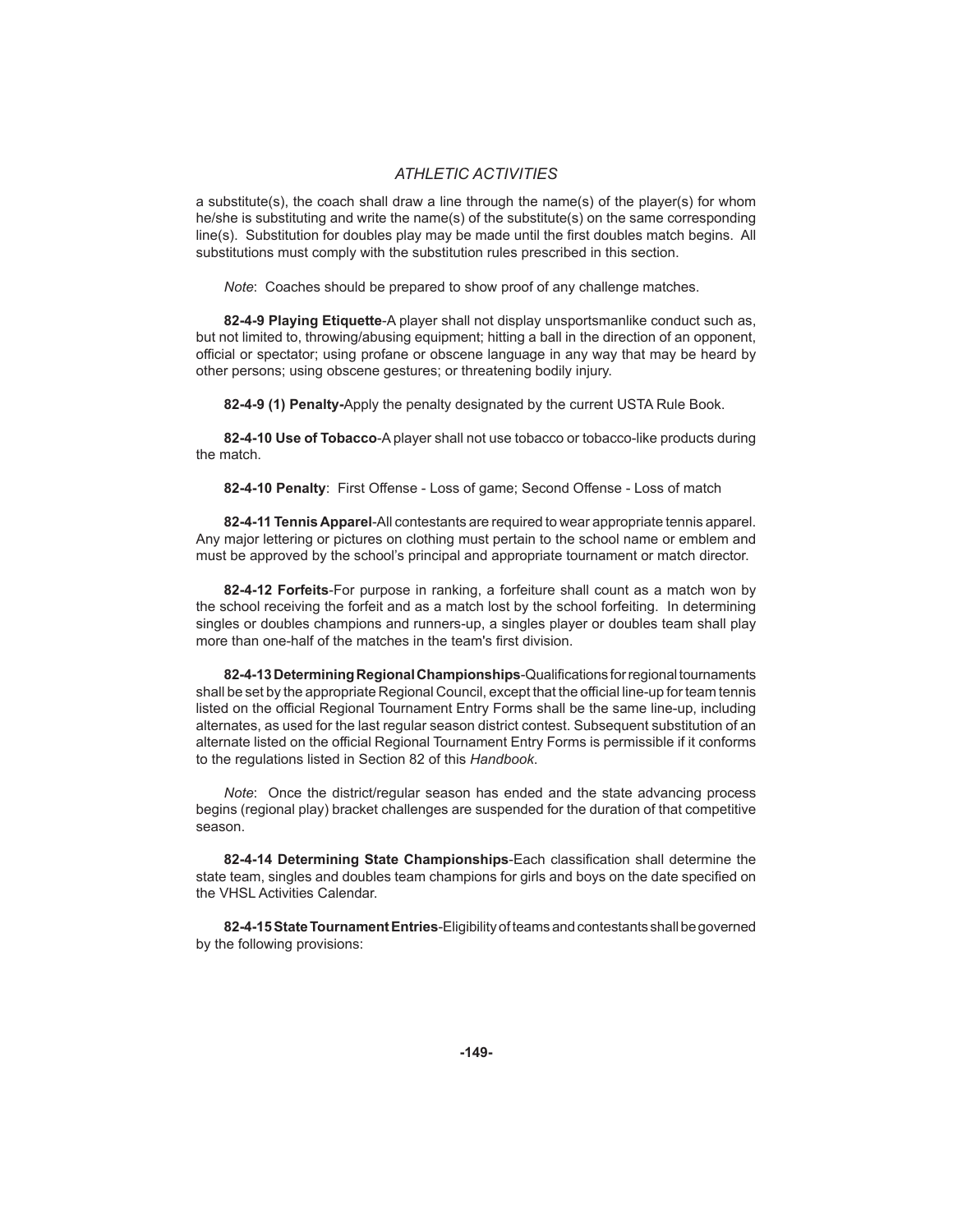a substitute(s), the coach shall draw a line through the name(s) of the player(s) for whom he/she is substituting and write the name(s) of the substitute(s) on the same corresponding line(s). Substitution for doubles play may be made until the first doubles match begins. All substitutions must comply with the substitution rules prescribed in this section.

*Note*: Coaches should be prepared to show proof of any challenge matches.

**82-4-9 Playing Etiquette**-A player shall not display unsportsmanlike conduct such as, but not limited to, throwing/abusing equipment; hitting a ball in the direction of an opponent, official or spectator; using profane or obscene language in any way that may be heard by other persons; using obscene gestures; or threatening bodily injury.

**82-4-9 (1) Penalty-**Apply the penalty designated by the current USTA Rule Book.

**82-4-10 Use of Tobacco**-A player shall not use tobacco or tobacco-like products during the match.

82-4-10 Penalty: First Offense - Loss of game; Second Offense - Loss of match

**82-4-11 Tennis Apparel**-All contestants are required to wear appropriate tennis apparel. Any major lettering or pictures on clothing must pertain to the school name or emblem and must be approved by the school's principal and appropriate tournament or match director.

**82-4-12 Forfeits**-For purpose in ranking, a forfeiture shall count as a match won by the school receiving the forfeit and as a match lost by the school forfeiting. In determining singles or doubles champions and runners-up, a singles player or doubles team shall play more than one-half of the matches in the team's first division.

82-4-13 Determining Regional Championships-Qualifications for regional tournaments shall be set by the appropriate Regional Council, except that the official line-up for team tennis listed on the official Regional Tournament Entry Forms shall be the same line-up, including alternates, as used for the last regular season district contest. Subsequent substitution of an alternate listed on the official Regional Tournament Entry Forms is permissible if it conforms to the regulations listed in Section 82 of this *Handbook*.

*Note*: Once the district/regular season has ended and the state advancing process begins (regional play) bracket challenges are suspended for the duration of that competitive season.

**82-4-14 Determining State Championships-Each classification shall determine the** state team, singles and doubles team champions for girls and boys on the date specified on the VHSL Activities Calendar.

**82-4-15 State Tournament Entries**-Eligibility of teams and contestants shall be governed by the following provisions: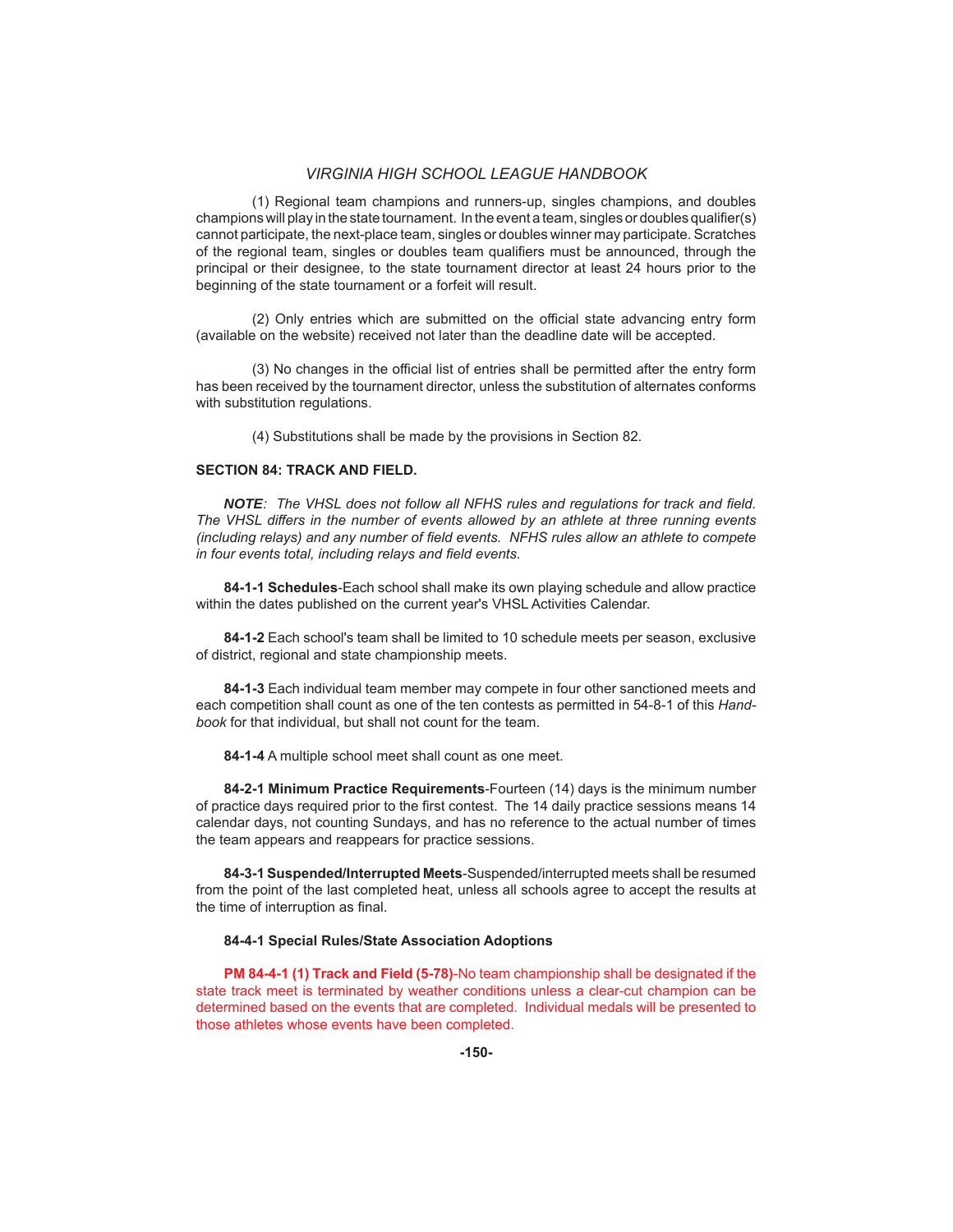(1) Regional team champions and runners-up, singles champions, and doubles champions will play in the state tournament. In the event a team, singles or doubles qualifier(s) cannot participate, the next-place team, singles or doubles winner may participate. Scratches of the regional team, singles or doubles team qualifiers must be announced, through the principal or their designee, to the state tournament director at least 24 hours prior to the beginning of the state tournament or a forfeit will result.

(2) Only entries which are submitted on the official state advancing entry form (available on the website) received not later than the deadline date will be accepted.

(3) No changes in the official list of entries shall be permitted after the entry form has been received by the tournament director, unless the substitution of alternates conforms with substitution regulations.

(4) Substitutions shall be made by the provisions in Section 82.

### **SECTION 84: TRACK AND FIELD.**

**NOTE**: The VHSL does not follow all NFHS rules and regulations for track and field. *The VHSL diff ers in the number of events allowed by an athlete at three running events (including relays) and any number of field events. NFHS rules allow an athlete to compete* in four events total, including relays and field events.

**84-1-1 Schedules**-Each school shall make its own playing schedule and allow practice within the dates published on the current year's VHSL Activities Calendar.

**84-1-2** Each school's team shall be limited to 10 schedule meets per season, exclusive of district, regional and state championship meets.

**84-1-3** Each individual team member may compete in four other sanctioned meets and each competition shall count as one of the ten contests as permitted in 54-8-1 of this *Handbook* for that individual, but shall not count for the team.

**84-1-4** A multiple school meet shall count as one meet.

**84-2-1 Minimum Practice Requirements**-Fourteen (14) days is the minimum number of practice days required prior to the first contest. The 14 daily practice sessions means 14 calendar days, not counting Sundays, and has no reference to the actual number of times the team appears and reappears for practice sessions.

**84-3-1 Suspended/Interrupted Meets**-Suspended/interrupted meets shall be resumed from the point of the last completed heat, unless all schools agree to accept the results at the time of interruption as final.

### **84-4-1 Special Rules/State Association Adoptions**

**PM 84-4-1 (1) Track and Field (5-78)**-No team championship shall be designated if the state track meet is terminated by weather conditions unless a clear-cut champion can be determined based on the events that are completed. Individual medals will be presented to those athletes whose events have been completed.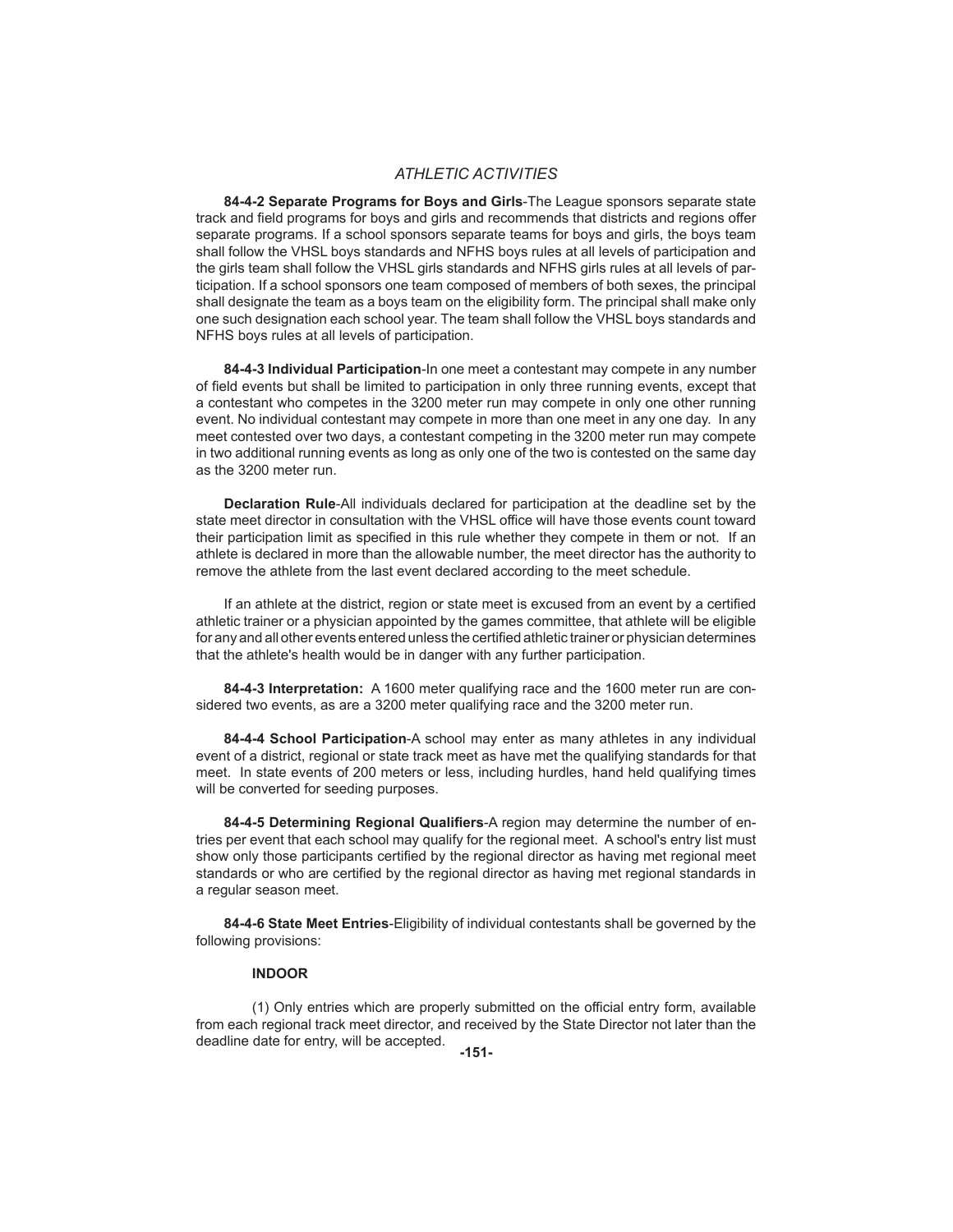**84-4-2 Separate Programs for Boys and Girls**-The League sponsors separate state track and field programs for boys and girls and recommends that districts and regions offer separate programs. If a school sponsors separate teams for boys and girls, the boys team shall follow the VHSL boys standards and NFHS boys rules at all levels of participation and the girls team shall follow the VHSL girls standards and NFHS girls rules at all levels of participation. If a school sponsors one team composed of members of both sexes, the principal shall designate the team as a boys team on the eligibility form. The principal shall make only one such designation each school year. The team shall follow the VHSL boys standards and NFHS boys rules at all levels of participation.

 **84-4-3 Individual Participation**-In one meet a contestant may compete in any number of field events but shall be limited to participation in only three running events, except that a contestant who competes in the 3200 meter run may compete in only one other running event. No individual contestant may compete in more than one meet in any one day. In any meet contested over two days, a contestant competing in the 3200 meter run may compete in two additional running events as long as only one of the two is contested on the same day as the 3200 meter run.

**Declaration Rule**-All individuals declared for participation at the deadline set by the state meet director in consultation with the VHSL office will have those events count toward their participation limit as specified in this rule whether they compete in them or not. If an athlete is declared in more than the allowable number, the meet director has the authority to remove the athlete from the last event declared according to the meet schedule.

If an athlete at the district, region or state meet is excused from an event by a certified athletic trainer or a physician appointed by the games committee, that athlete will be eligible for any and all other events entered unless the certified athletic trainer or physician determines that the athlete's health would be in danger with any further participation.

**84-4-3 Interpretation:** A 1600 meter qualifying race and the 1600 meter run are considered two events, as are a 3200 meter qualifying race and the 3200 meter run.

**84-4-4 School Participation**-A school may enter as many athletes in any individual event of a district, regional or state track meet as have met the qualifying standards for that meet. In state events of 200 meters or less, including hurdles, hand held qualifying times will be converted for seeding purposes.

84-4-5 Determining Regional Qualifiers-A region may determine the number of entries per event that each school may qualify for the regional meet. A school's entry list must show only those participants certified by the regional director as having met regional meet standards or who are certified by the regional director as having met regional standards in a regular season meet.

**84-4-6 State Meet Entries**-Eligibility of individual contestants shall be governed by the following provisions:

### **INDOOR**

(1) Only entries which are properly submitted on the official entry form, available from each regional track meet director, and received by the State Director not later than the deadline date for entry, will be accepted.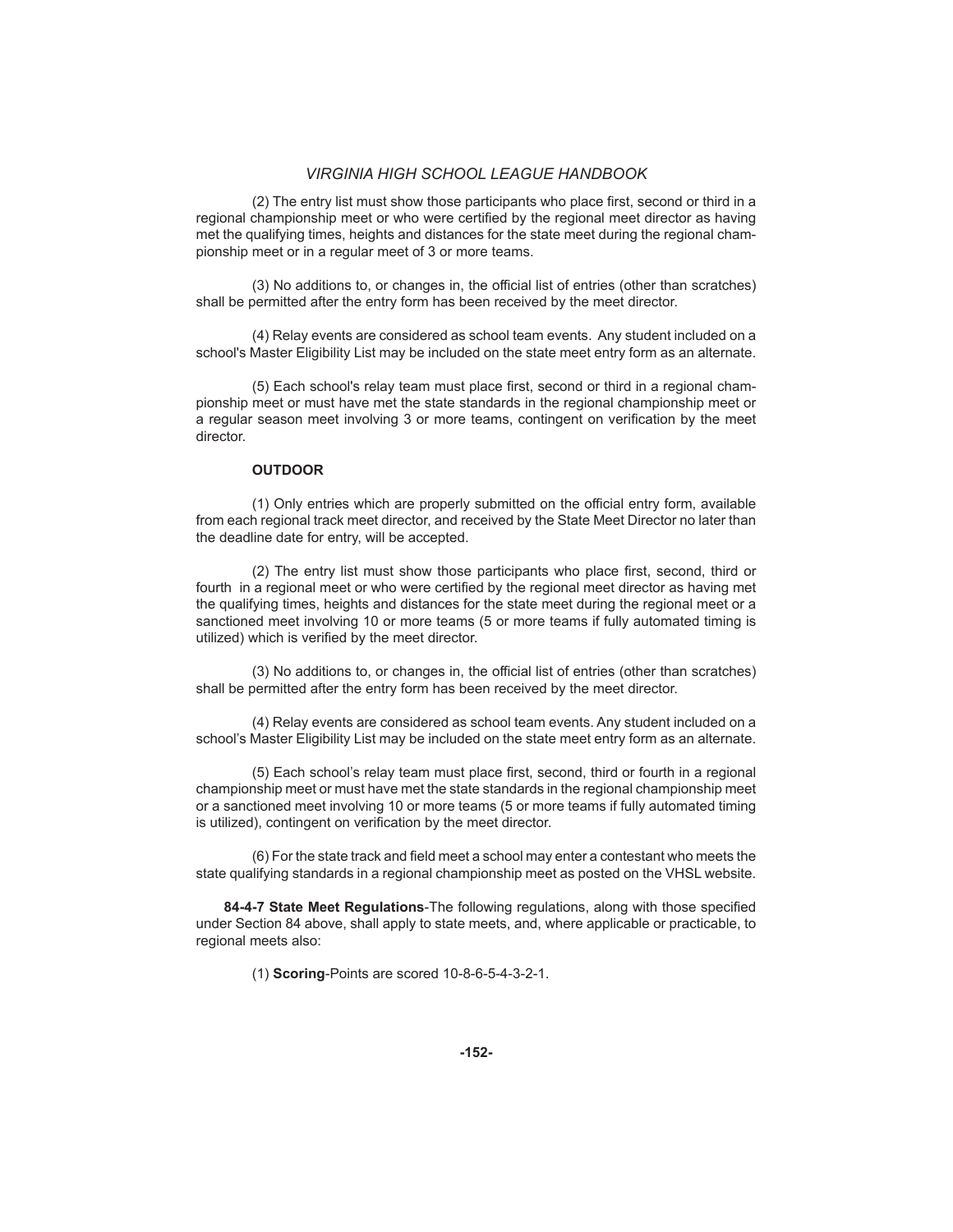(2) The entry list must show those participants who place first, second or third in a regional championship meet or who were certified by the regional meet director as having met the qualifying times, heights and distances for the state meet during the regional championship meet or in a regular meet of 3 or more teams.

(3) No additions to, or changes in, the official list of entries (other than scratches) shall be permitted after the entry form has been received by the meet director.

 (4) Relay events are considered as school team events. Any student included on a school's Master Eligibility List may be included on the state meet entry form as an alternate.

(5) Each school's relay team must place first, second or third in a regional championship meet or must have met the state standards in the regional championship meet or a regular season meet involving 3 or more teams, contingent on verification by the meet director.

### **OUTDOOR**

(1) Only entries which are properly submitted on the official entry form, available from each regional track meet director, and received by the State Meet Director no later than the deadline date for entry, will be accepted.

(2) The entry list must show those participants who place first, second, third or fourth in a regional meet or who were certified by the regional meet director as having met the qualifying times, heights and distances for the state meet during the regional meet or a sanctioned meet involving 10 or more teams (5 or more teams if fully automated timing is utilized) which is verified by the meet director.

(3) No additions to, or changes in, the official list of entries (other than scratches) shall be permitted after the entry form has been received by the meet director.

 (4) Relay events are considered as school team events. Any student included on a school's Master Eligibility List may be included on the state meet entry form as an alternate.

(5) Each school's relay team must place first, second, third or fourth in a regional championship meet or must have met the state standards in the regional championship meet or a sanctioned meet involving 10 or more teams (5 or more teams if fully automated timing is utilized), contingent on verification by the meet director.

(6) For the state track and field meet a school may enter a contestant who meets the state qualifying standards in a regional championship meet as posted on the VHSL website.

84-4-7 State Meet Regulations-The following regulations, along with those specified under Section 84 above, shall apply to state meets, and, where applicable or practicable, to regional meets also:

(1) **Scoring**-Points are scored 10-8-6-5-4-3-2-1.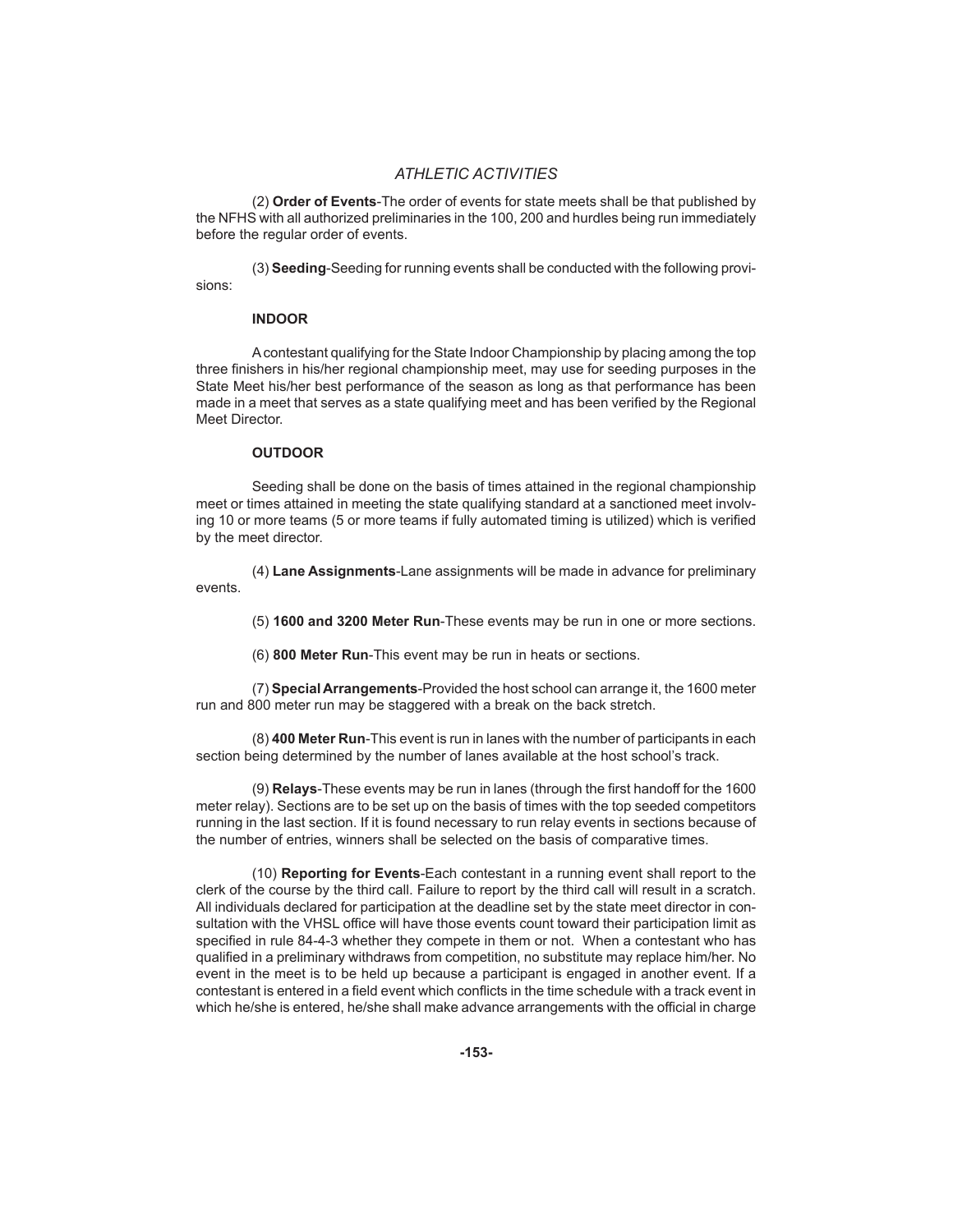(2) **Order of Events**-The order of events for state meets shall be that published by the NFHS with all authorized preliminaries in the 100, 200 and hurdles being run immediately before the regular order of events.

 (3) **Seeding**-Seeding for running events shall be conducted with the following provisions:

### **INDOOR**

 A contestant qualifying for the State Indoor Championship by placing among the top three finishers in his/her regional championship meet, may use for seeding purposes in the State Meet his/her best performance of the season as long as that performance has been made in a meet that serves as a state qualifying meet and has been verified by the Regional Meet Director.

# **OUTDOOR**

 Seeding shall be done on the basis of times attained in the regional championship meet or times attained in meeting the state qualifying standard at a sanctioned meet involving 10 or more teams (5 or more teams if fully automated timing is utilized) which is verified by the meet director.

 (4) **Lane Assignments**-Lane assignments will be made in advance for preliminary events.

(5) **1600 and 3200 Meter Run**-These events may be run in one or more sections.

(6) **800 Meter Run**-This event may be run in heats or sections.

 (7) **Special Arrangements**-Provided the host school can arrange it, the 1600 meter run and 800 meter run may be staggered with a break on the back stretch.

 (8) **400 Meter Run**-This event is run in lanes with the number of participants in each section being determined by the number of lanes available at the host school's track.

(9) **Relays**-These events may be run in lanes (through the first handoff for the 1600 meter relay). Sections are to be set up on the basis of times with the top seeded competitors running in the last section. If it is found necessary to run relay events in sections because of the number of entries, winners shall be selected on the basis of comparative times.

 (10) **Reporting for Events**-Each contestant in a running event shall report to the clerk of the course by the third call. Failure to report by the third call will result in a scratch. All individuals declared for participation at the deadline set by the state meet director in consultation with the VHSL office will have those events count toward their participation limit as specified in rule 84-4-3 whether they compete in them or not. When a contestant who has qualified in a preliminary withdraws from competition, no substitute may replace him/her. No event in the meet is to be held up because a participant is engaged in another event. If a contestant is entered in a field event which conflicts in the time schedule with a track event in which he/she is entered, he/she shall make advance arrangements with the official in charge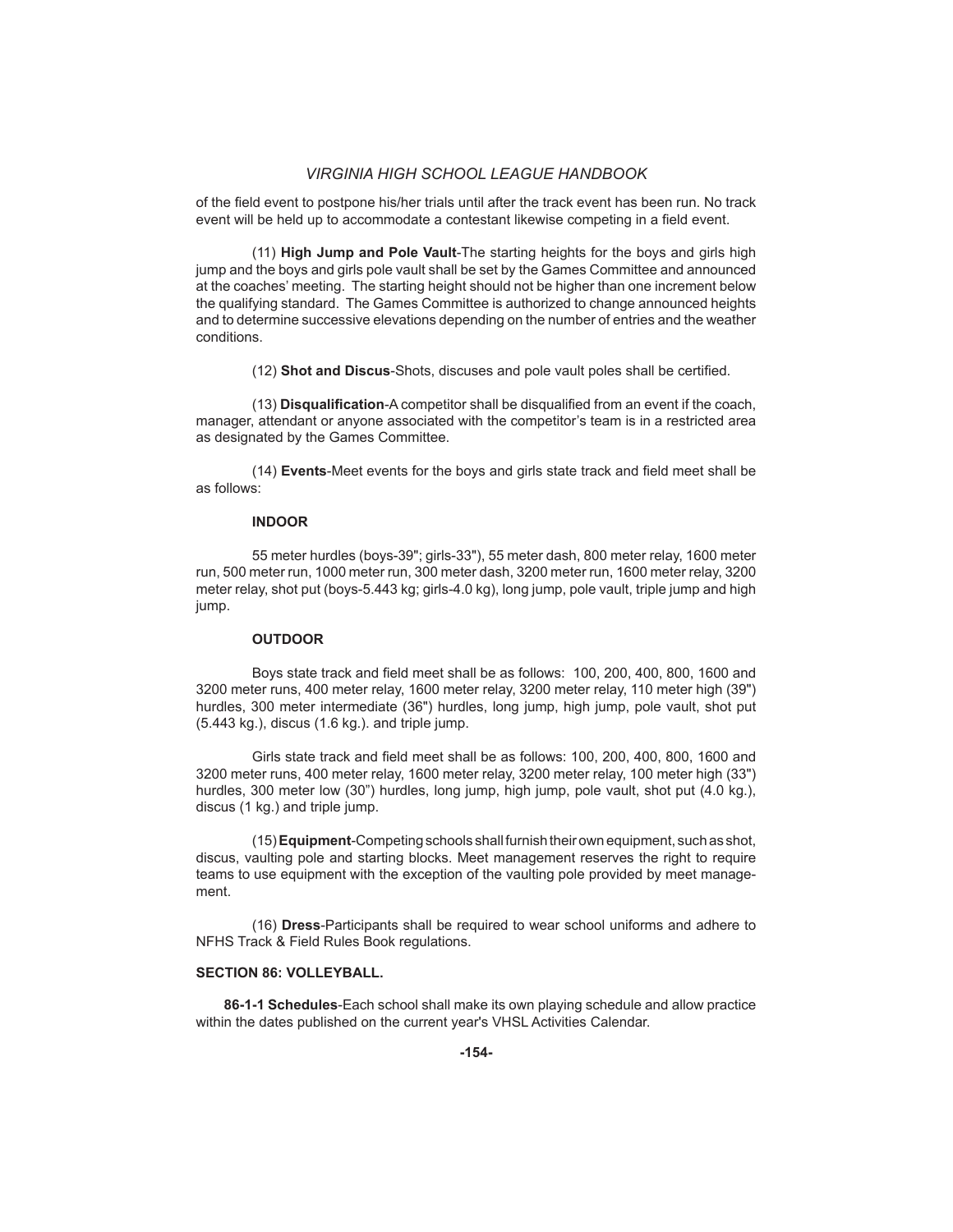of the field event to postpone his/her trials until after the track event has been run. No track event will be held up to accommodate a contestant likewise competing in a field event.

 (11) **High Jump and Pole Vault**-The starting heights for the boys and girls high jump and the boys and girls pole vault shall be set by the Games Committee and announced at the coaches' meeting. The starting height should not be higher than one increment below the qualifying standard. The Games Committee is authorized to change announced heights and to determine successive elevations depending on the number of entries and the weather conditions.

(12) **Shot and Discus-Shots**, discuses and pole vault poles shall be certified.

(13) **Disqualification**-A competitor shall be disqualified from an event if the coach, manager, attendant or anyone associated with the competitor's team is in a restricted area as designated by the Games Committee.

(14) **Events-Meet events for the boys and girls state track and field meet shall be** as follows:

### **INDOOR**

 55 meter hurdles (boys-39"; girls-33"), 55 meter dash, 800 meter relay, 1600 meter run, 500 meter run, 1000 meter run, 300 meter dash, 3200 meter run, 1600 meter relay, 3200 meter relay, shot put (boys-5.443 kg; girls-4.0 kg), long jump, pole vault, triple jump and high jump.

### **OUTDOOR**

Boys state track and field meet shall be as follows: 100, 200, 400, 800, 1600 and 3200 meter runs, 400 meter relay, 1600 meter relay, 3200 meter relay, 110 meter high (39") hurdles, 300 meter intermediate (36") hurdles, long jump, high jump, pole vault, shot put (5.443 kg.), discus (1.6 kg.). and triple jump.

Girls state track and field meet shall be as follows:  $100, 200, 400, 800, 1600$  and 3200 meter runs, 400 meter relay, 1600 meter relay, 3200 meter relay, 100 meter high (33") hurdles, 300 meter low (30") hurdles, long jump, high jump, pole vault, shot put (4.0 kg.), discus (1 kg.) and triple jump.

 (15) **Equipment**-Competing schools shall furnish their own equipment, such as shot, discus, vaulting pole and starting blocks. Meet management reserves the right to require teams to use equipment with the exception of the vaulting pole provided by meet management.

 (16) **Dress**-Participants shall be required to wear school uniforms and adhere to NFHS Track & Field Rules Book regulations.

### **SECTION 86: VOLLEYBALL.**

**86-1-1 Schedules**-Each school shall make its own playing schedule and allow practice within the dates published on the current year's VHSL Activities Calendar.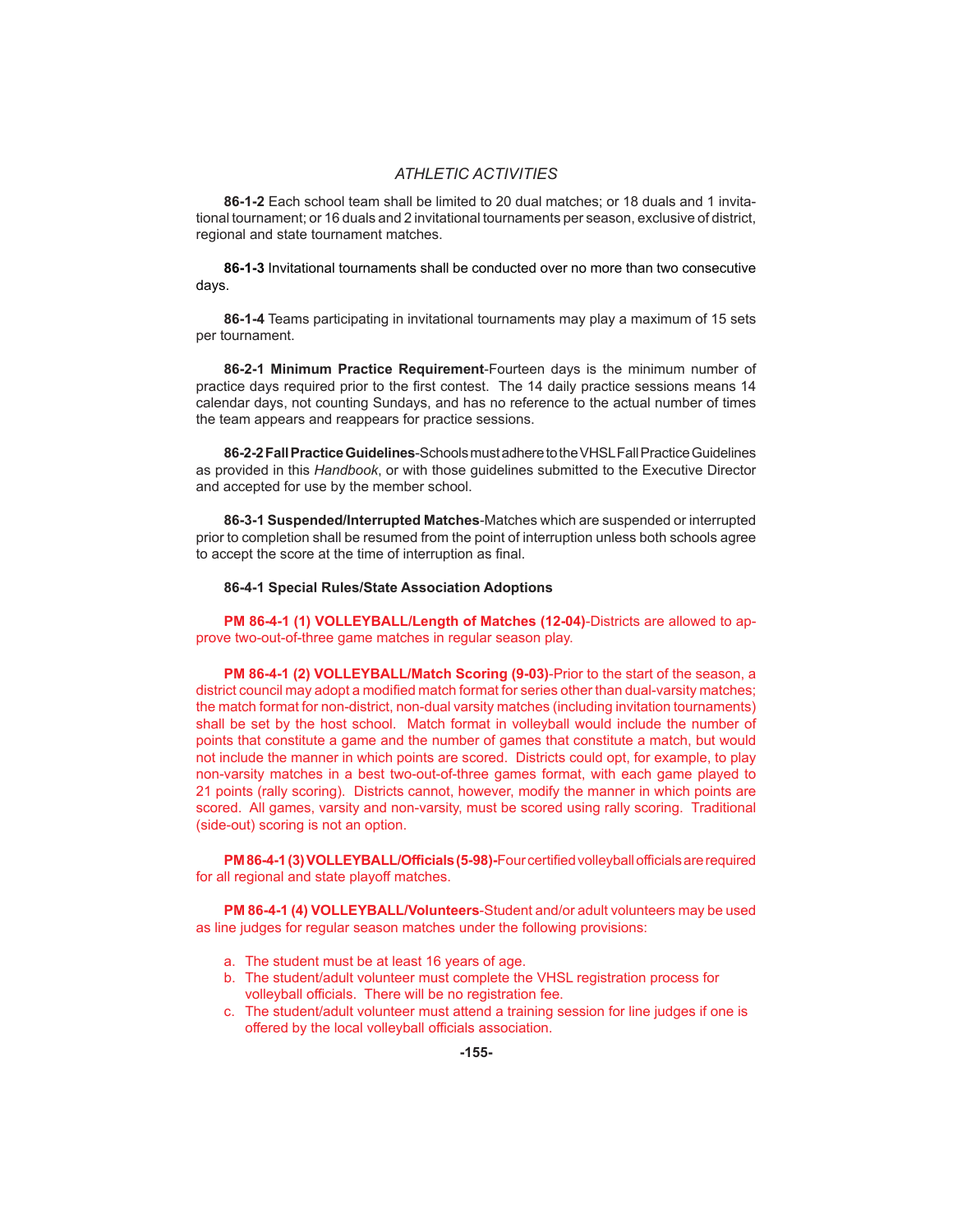**86-1-2** Each school team shall be limited to 20 dual matches; or 18 duals and 1 invitational tournament; or 16 duals and 2 invitational tournaments per season, exclusive of district, regional and state tournament matches.

**86-1-3** Invitational tournaments shall be conducted over no more than two consecutive days.

**86-1-4** Teams participating in invitational tournaments may play a maximum of 15 sets per tournament.

**86-2-1 Minimum Practice Requirement**-Fourteen days is the minimum number of practice days required prior to the first contest. The 14 daily practice sessions means 14 calendar days, not counting Sundays, and has no reference to the actual number of times the team appears and reappears for practice sessions.

**86-2-2 Fall Practice Guidelines**-Schools must adhere to the VHSL Fall Practice Guidelines as provided in this *Handbook*, or with those guidelines submitted to the Executive Director and accepted for use by the member school.

**86-3-1 Suspended/Interrupted Matches**-Matches which are suspended or interrupted prior to completion shall be resumed from the point of interruption unless both schools agree to accept the score at the time of interruption as final.

### **86-4-1 Special Rules/State Association Adoptions**

 **PM 86-4-1 (1) VOLLEYBALL/Length of Matches (12-04)**-Districts are allowed to approve two-out-of-three game matches in regular season play.

 **PM 86-4-1 (2) VOLLEYBALL/Match Scoring (9-03)**-Prior to the start of the season, a district council may adopt a modified match format for series other than dual-varsity matches; the match format for non-district, non-dual varsity matches (including invitation tournaments) shall be set by the host school. Match format in volleyball would include the number of points that constitute a game and the number of games that constitute a match, but would not include the manner in which points are scored. Districts could opt, for example, to play non-varsity matches in a best two-out-of-three games format, with each game played to 21 points (rally scoring). Districts cannot, however, modify the manner in which points are scored. All games, varsity and non-varsity, must be scored using rally scoring. Traditional (side-out) scoring is not an option.

**PM 86-4-1 (3) VOLLEYBALL/Officials (5-98)-Four certified volleyball officials are required** for all regional and state playoff matches.

 **PM 86-4-1 (4) VOLLEYBALL/Volunteers**-Student and/or adult volunteers may be used as line judges for regular season matches under the following provisions:

- a. The student must be at least 16 years of age.
- b. The student/adult volunteer must complete the VHSL registration process for volleyball officials. There will be no registration fee.
- c. The student/adult volunteer must attend a training session for line judges if one is offered by the local volleyball officials association.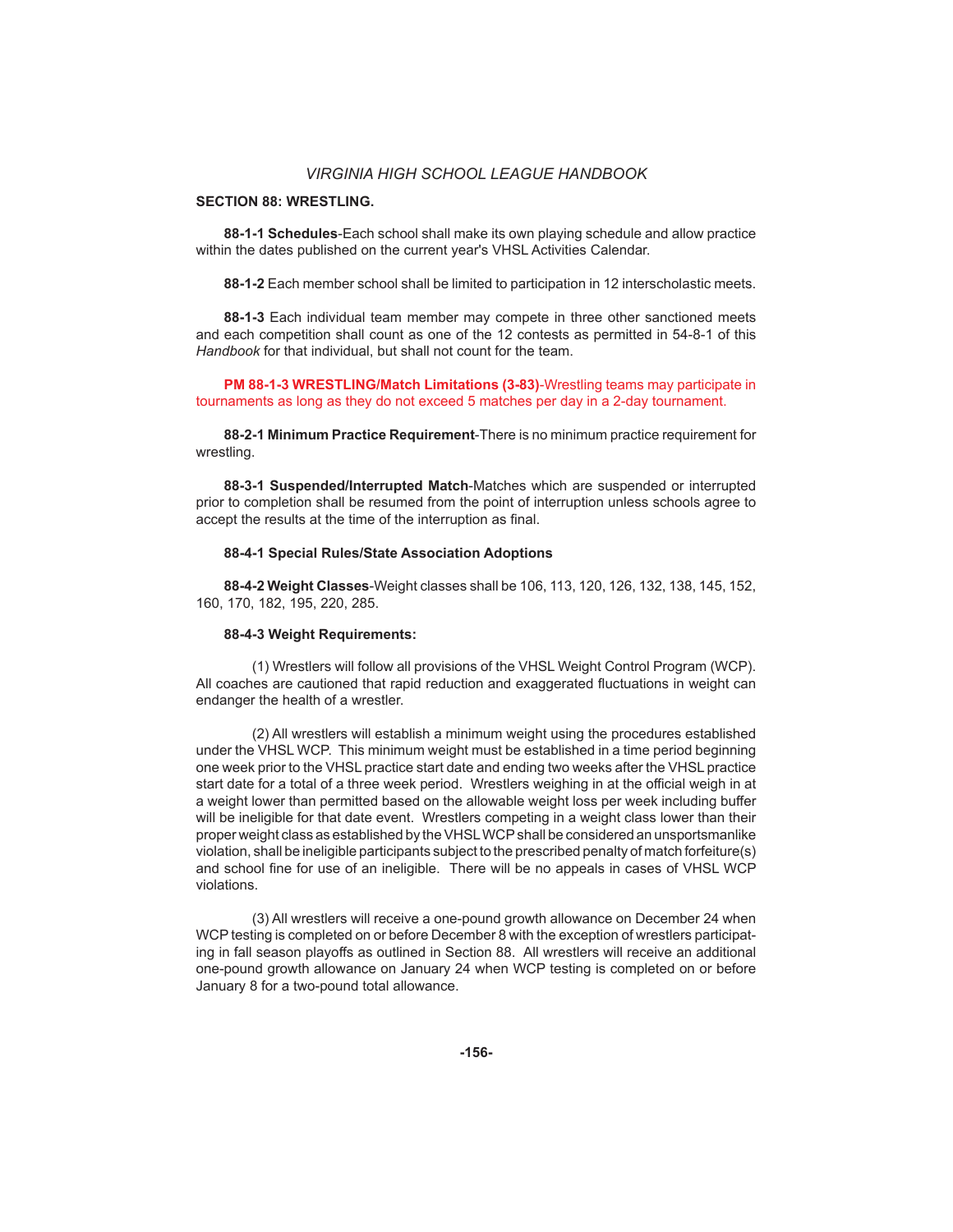### **SECTION 88: WRESTLING.**

**88-1-1 Schedules**-Each school shall make its own playing schedule and allow practice within the dates published on the current year's VHSL Activities Calendar.

**88-1-2** Each member school shall be limited to participation in 12 interscholastic meets.

**88-1-3** Each individual team member may compete in three other sanctioned meets and each competition shall count as one of the 12 contests as permitted in 54-8-1 of this *Handbook* for that individual, but shall not count for the team.

 **PM 88-1-3 WRESTLING/Match Limitations (3-83)**-Wrestling teams may participate in tournaments as long as they do not exceed 5 matches per day in a 2-day tournament.

**88-2-1 Minimum Practice Requirement**-There is no minimum practice requirement for wrestling.

**88-3-1 Suspended/Interrupted Match**-Matches which are suspended or interrupted prior to completion shall be resumed from the point of interruption unless schools agree to accept the results at the time of the interruption as final.

#### **88-4-1 Special Rules/State Association Adoptions**

**88-4-2 Weight Classes**-Weight classes shall be 106, 113, 120, 126, 132, 138, 145, 152, 160, 170, 182, 195, 220, 285.

### **88-4-3 Weight Requirements:**

 (1) Wrestlers will follow all provisions of the VHSL Weight Control Program (WCP). All coaches are cautioned that rapid reduction and exaggerated fluctuations in weight can endanger the health of a wrestler.

 (2) All wrestlers will establish a minimum weight using the procedures established under the VHSL WCP. This minimum weight must be established in a time period beginning one week prior to the VHSL practice start date and ending two weeks after the VHSL practice start date for a total of a three week period. Wrestlers weighing in at the official weigh in at a weight lower than permitted based on the allowable weight loss per week including buffer will be ineligible for that date event. Wrestlers competing in a weight class lower than their proper weight class as established by the VHSL WCP shall be considered an unsportsmanlike violation, shall be ineligible participants subject to the prescribed penalty of match forfeiture(s) and school fine for use of an ineligible. There will be no appeals in cases of VHSL WCP violations.

 (3) All wrestlers will receive a one-pound growth allowance on December 24 when WCP testing is completed on or before December 8 with the exception of wrestlers participating in fall season playoffs as outlined in Section 88. All wrestlers will receive an additional one-pound growth allowance on January 24 when WCP testing is completed on or before January 8 for a two-pound total allowance.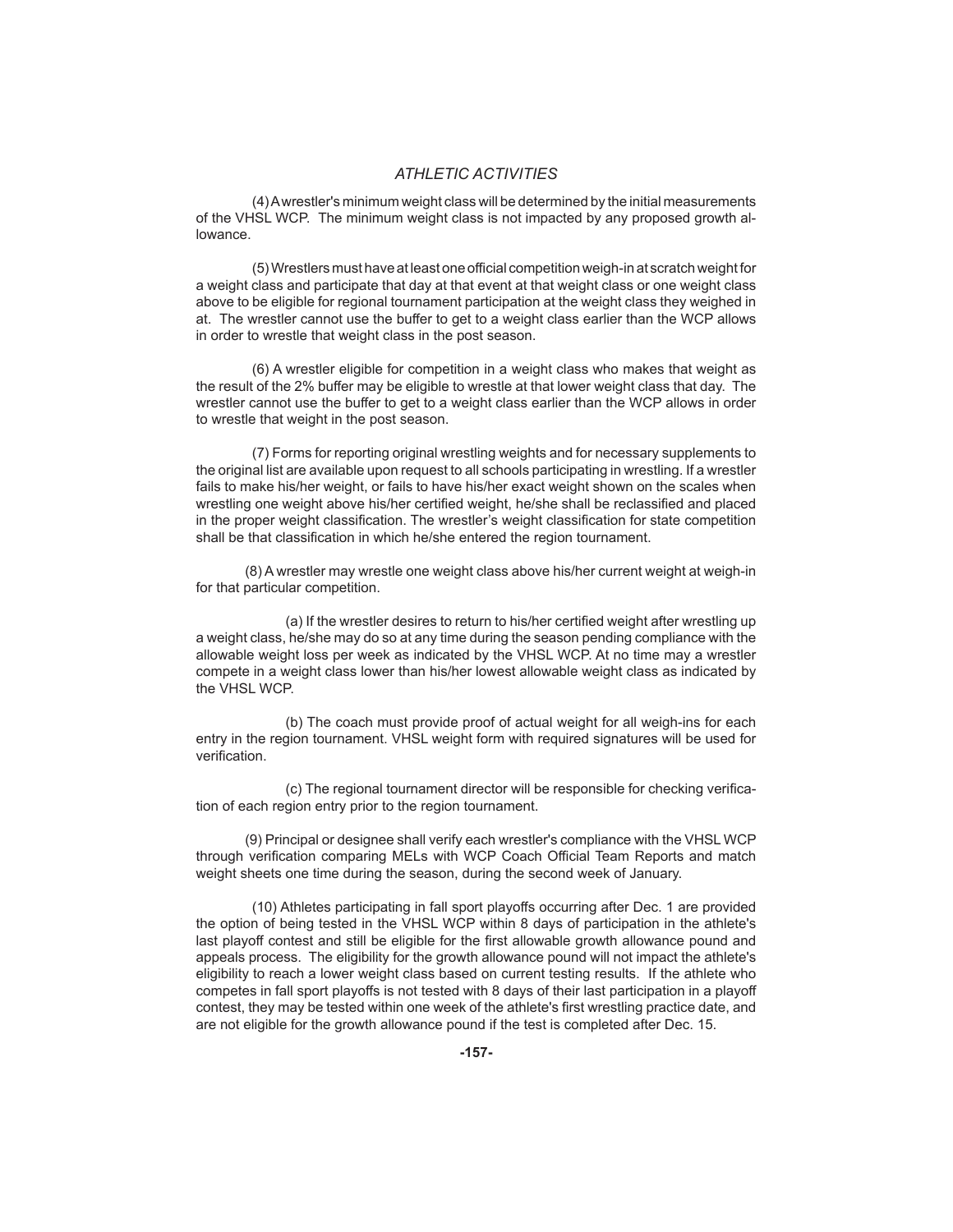(4) A wrestler's minimum weight class will be determined by the initial measurements of the VHSL WCP. The minimum weight class is not impacted by any proposed growth allowance.

(5) Wrestlers must have at least one official competition weigh-in at scratch weight for a weight class and participate that day at that event at that weight class or one weight class above to be eligible for regional tournament participation at the weight class they weighed in at. The wrestler cannot use the buffer to get to a weight class earlier than the WCP allows in order to wrestle that weight class in the post season.

 (6) A wrestler eligible for competition in a weight class who makes that weight as the result of the 2% buffer may be eligible to wrestle at that lower weight class that day. The wrestler cannot use the buffer to get to a weight class earlier than the WCP allows in order to wrestle that weight in the post season.

 (7) Forms for reporting original wrestling weights and for necessary supplements to the original list are available upon request to all schools participating in wrestling. If a wrestler fails to make his/her weight, or fails to have his/her exact weight shown on the scales when wrestling one weight above his/her certified weight, he/she shall be reclassified and placed in the proper weight classification. The wrestler's weight classification for state competition shall be that classification in which he/she entered the region tournament.

 (8) A wrestler may wrestle one weight class above his/her current weight at weigh-in for that particular competition.

(a) If the wrestler desires to return to his/her certified weight after wrestling up a weight class, he/she may do so at any time during the season pending compliance with the allowable weight loss per week as indicated by the VHSL WCP. At no time may a wrestler compete in a weight class lower than his/her lowest allowable weight class as indicated by the VHSL WCP.

 (b) The coach must provide proof of actual weight for all weigh-ins for each entry in the region tournament. VHSL weight form with required signatures will be used for verification.

(c) The regional tournament director will be responsible for checking verification of each region entry prior to the region tournament.

 (9) Principal or designee shall verify each wrestler's compliance with the VHSL WCP through verification comparing MELs with WCP Coach Official Team Reports and match weight sheets one time during the season, during the second week of January.

(10) Athletes participating in fall sport playoffs occurring after Dec. 1 are provided the option of being tested in the VHSL WCP within 8 days of participation in the athlete's last playoff contest and still be eligible for the first allowable growth allowance pound and appeals process. The eligibility for the growth allowance pound will not impact the athlete's eligibility to reach a lower weight class based on current testing results. If the athlete who competes in fall sport playoffs is not tested with 8 days of their last participation in a playoff contest, they may be tested within one week of the athlete's first wrestling practice date, and are not eligible for the growth allowance pound if the test is completed after Dec. 15.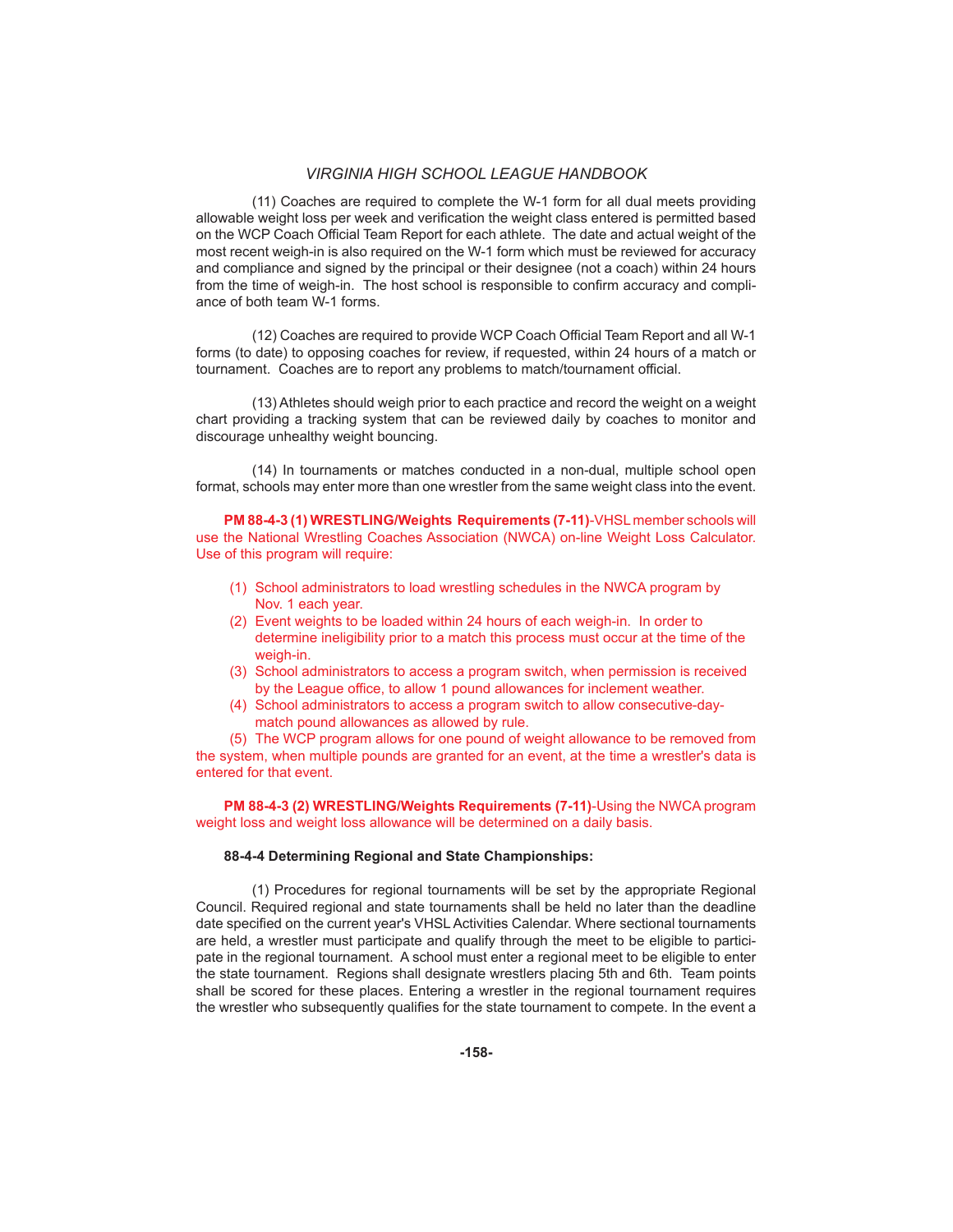(11) Coaches are required to complete the W-1 form for all dual meets providing allowable weight loss per week and verification the weight class entered is permitted based on the WCP Coach Official Team Report for each athlete. The date and actual weight of the most recent weigh-in is also required on the W-1 form which must be reviewed for accuracy and compliance and signed by the principal or their designee (not a coach) within 24 hours from the time of weigh-in. The host school is responsible to confirm accuracy and compliance of both team W-1 forms.

(12) Coaches are required to provide WCP Coach Official Team Report and all W-1 forms (to date) to opposing coaches for review, if requested, within 24 hours of a match or tournament. Coaches are to report any problems to match/tournament official.

 (13) Athletes should weigh prior to each practice and record the weight on a weight chart providing a tracking system that can be reviewed daily by coaches to monitor and discourage unhealthy weight bouncing.

 (14) In tournaments or matches conducted in a non-dual, multiple school open format, schools may enter more than one wrestler from the same weight class into the event.

 **PM 88-4-3 (1) WRESTLING/Weights Requirements (7-11)**-VHSL member schools will use the National Wrestling Coaches Association (NWCA) on-line Weight Loss Calculator. Use of this program will require:

- (1) School administrators to load wrestling schedules in the NWCA program by Nov. 1 each year.
- (2) Event weights to be loaded within 24 hours of each weigh-in. In order to determine ineligibility prior to a match this process must occur at the time of the weigh-in.
- (3) School administrators to access a program switch, when permission is received by the League office, to allow 1 pound allowances for inclement weather.
- (4) School administrators to access a program switch to allow consecutive-day match pound allowances as allowed by rule.

 (5) The WCP program allows for one pound of weight allowance to be removed from the system, when multiple pounds are granted for an event, at the time a wrestler's data is entered for that event.

 **PM 88-4-3 (2) WRESTLING/Weights Requirements (7-11)**-Using the NWCA program weight loss and weight loss allowance will be determined on a daily basis.

### **88-4-4 Determining Regional and State Championships:**

 (1) Procedures for regional tournaments will be set by the appropriate Regional Council. Required regional and state tournaments shall be held no later than the deadline date specified on the current year's VHSL Activities Calendar. Where sectional tournaments are held, a wrestler must participate and qualify through the meet to be eligible to participate in the regional tournament. A school must enter a regional meet to be eligible to enter the state tournament. Regions shall designate wrestlers placing 5th and 6th. Team points shall be scored for these places. Entering a wrestler in the regional tournament requires the wrestler who subsequently qualifies for the state tournament to compete. In the event a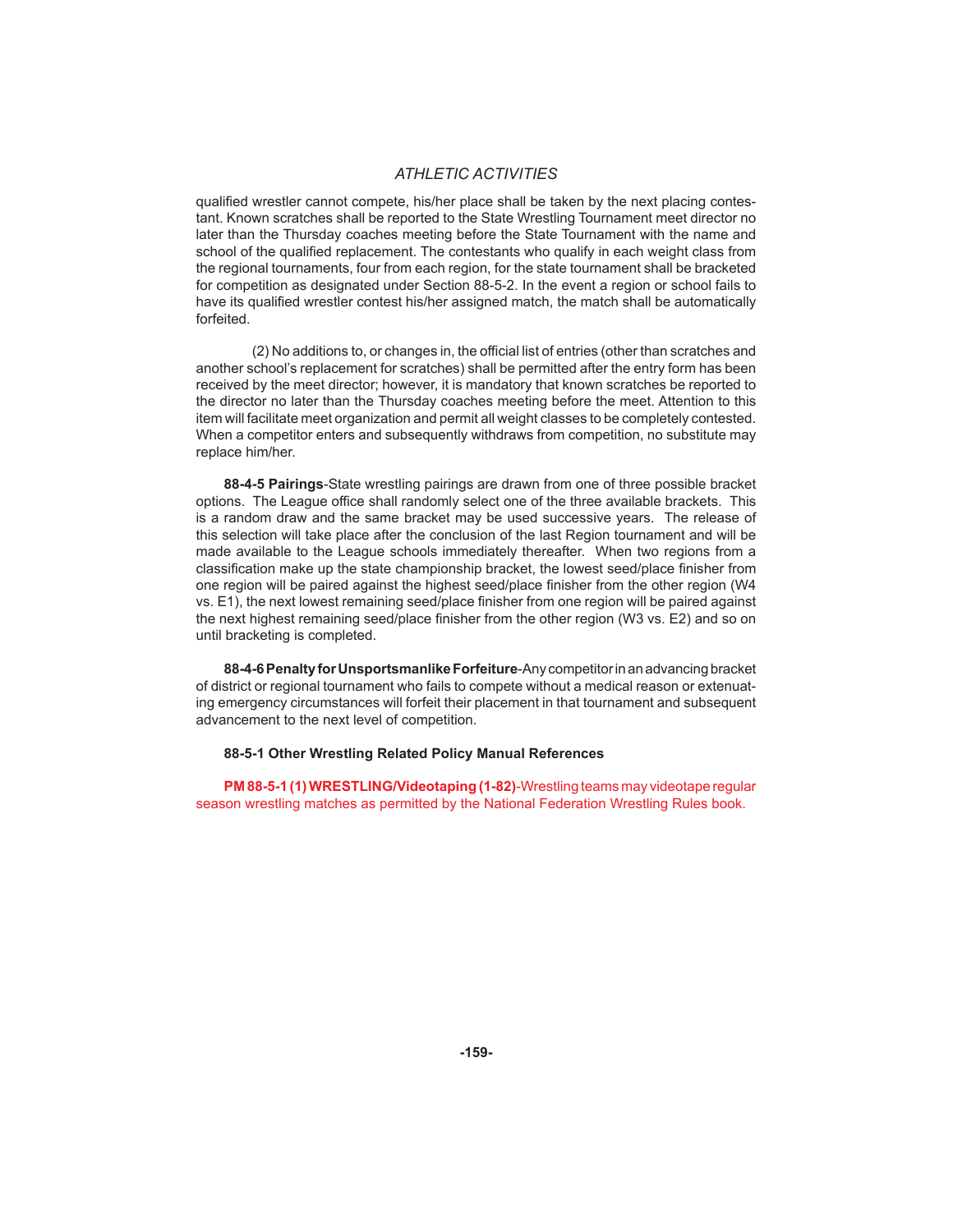qualified wrestler cannot compete, his/her place shall be taken by the next placing contestant. Known scratches shall be reported to the State Wrestling Tournament meet director no later than the Thursday coaches meeting before the State Tournament with the name and school of the qualified replacement. The contestants who qualify in each weight class from the regional tournaments, four from each region, for the state tournament shall be bracketed for competition as designated under Section 88-5-2. In the event a region or school fails to have its qualified wrestler contest his/her assigned match, the match shall be automatically forfeited.

(2) No additions to, or changes in, the official list of entries (other than scratches and another school's replacement for scratches) shall be permitted after the entry form has been received by the meet director; however, it is mandatory that known scratches be reported to the director no later than the Thursday coaches meeting before the meet. Attention to this item will facilitate meet organization and permit all weight classes to be completely contested. When a competitor enters and subsequently withdraws from competition, no substitute may replace him/her.

**88-4-5 Pairings**-State wrestling pairings are drawn from one of three possible bracket options. The League office shall randomly select one of the three available brackets. This is a random draw and the same bracket may be used successive years. The release of this selection will take place after the conclusion of the last Region tournament and will be made available to the League schools immediately thereafter. When two regions from a classification make up the state championship bracket, the lowest seed/place finisher from one region will be paired against the highest seed/place finisher from the other region (W4 vs. E1), the next lowest remaining seed/place finisher from one region will be paired against the next highest remaining seed/place finisher from the other region (W3 vs. E2) and so on until bracketing is completed.

**88-4-6 Penalty for Unsportsmanlike Forfeiture**-Any competitor in an advancing bracket of district or regional tournament who fails to compete without a medical reason or extenuating emergency circumstances will forfeit their placement in that tournament and subsequent advancement to the next level of competition.

### **88-5-1 Other Wrestling Related Policy Manual References**

 **PM 88-5-1 (1) WRESTLING/Videotaping (1-82)**-Wrestling teams may videotape regular season wrestling matches as permitted by the National Federation Wrestling Rules book.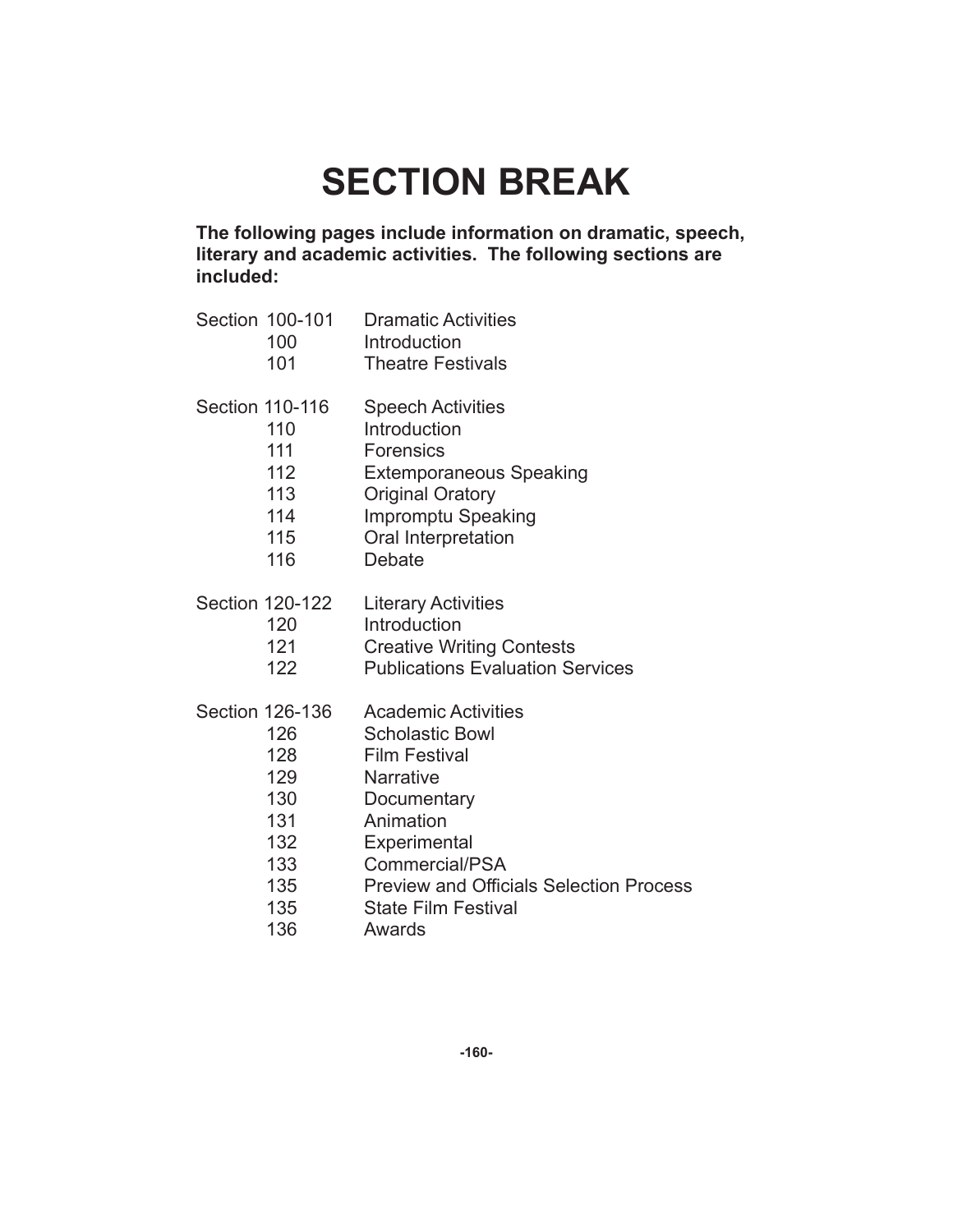# **SECTION BREAK**

**The following pages include information on dramatic, speech, literary and academic activities. The following sections are included:**

- Section 100-101 Dramatic Activities 100 Introduction
	-
	- 101 Theatre Festivals
- Section 110-116 Speech Activities
	- 110 Introduction
		- 111 Forensics
		- 112 Extemporaneous Speaking
		- 113 Original Oratory
		- 114 Impromptu Speaking
	- 115 Oral Interpretation
	- 116 Debate
- Section 120-122 Literary Activities
	- 120 Introduction
	- 121 Creative Writing Contests
	- 122 Publications Evaluation Services
- Section 126-136 Academic Activities
	- 126 Scholastic Bowl
	- 128 Film Festival
	- 129 Narrative
	- 130 Documentary
	- 131 Animation
	- 132 Experimental
	- 133 Commercial/PSA
	- 135 **Preview and Officials Selection Process**
	- 135 State Film Festival
	- 136 Awards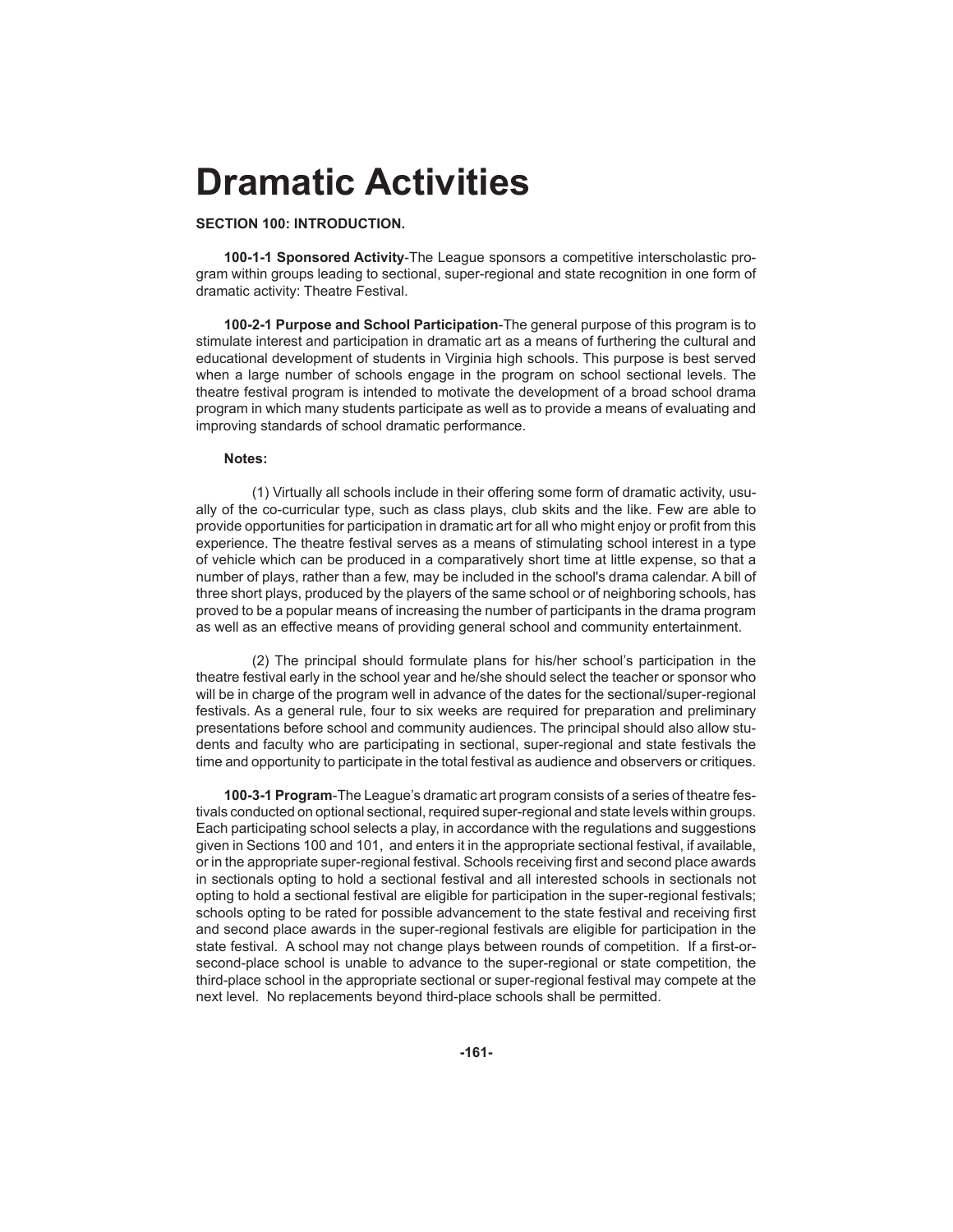# **Dramatic Activities**

### **SECTION 100: INTRODUCTION.**

**100-1-1 Sponsored Activity**-The League sponsors a competitive interscholastic program within groups leading to sectional, super-regional and state recognition in one form of dramatic activity: Theatre Festival.

**100-2-1 Purpose and School Participation**-The general purpose of this program is to stimulate interest and participation in dramatic art as a means of furthering the cultural and educational development of students in Virginia high schools. This purpose is best served when a large number of schools engage in the program on school sectional levels. The theatre festival program is intended to motivate the development of a broad school drama program in which many students participate as well as to provide a means of evaluating and improving standards of school dramatic performance.

### **Notes:**

(1) Virtually all schools include in their offering some form of dramatic activity, usually of the co-curricular type, such as class plays, club skits and the like. Few are able to provide opportunities for participation in dramatic art for all who might enjoy or profit from this experience. The theatre festival serves as a means of stimulating school interest in a type of vehicle which can be produced in a comparatively short time at little expense, so that a number of plays, rather than a few, may be included in the school's drama calendar. A bill of three short plays, produced by the players of the same school or of neighboring schools, has proved to be a popular means of increasing the number of participants in the drama program as well as an effective means of providing general school and community entertainment.

 (2) The principal should formulate plans for his/her school's participation in the theatre festival early in the school year and he/she should select the teacher or sponsor who will be in charge of the program well in advance of the dates for the sectional/super-regional festivals. As a general rule, four to six weeks are required for preparation and preliminary presentations before school and community audiences. The principal should also allow students and faculty who are participating in sectional, super-regional and state festivals the time and opportunity to participate in the total festival as audience and observers or critiques.

**100-3-1 Program**-The League's dramatic art program consists of a series of theatre festivals conducted on optional sectional, required super-regional and state levels within groups. Each participating school selects a play, in accordance with the regulations and suggestions given in Sections 100 and 101, and enters it in the appropriate sectional festival, if available, or in the appropriate super-regional festival. Schools receiving first and second place awards in sectionals opting to hold a sectional festival and all interested schools in sectionals not opting to hold a sectional festival are eligible for participation in the super-regional festivals; schools opting to be rated for possible advancement to the state festival and receiving first and second place awards in the super-regional festivals are eligible for participation in the state festival. A school may not change plays between rounds of competition. If a first-orsecond-place school is unable to advance to the super-regional or state competition, the third-place school in the appropriate sectional or super-regional festival may compete at the next level. No replacements beyond third-place schools shall be permitted.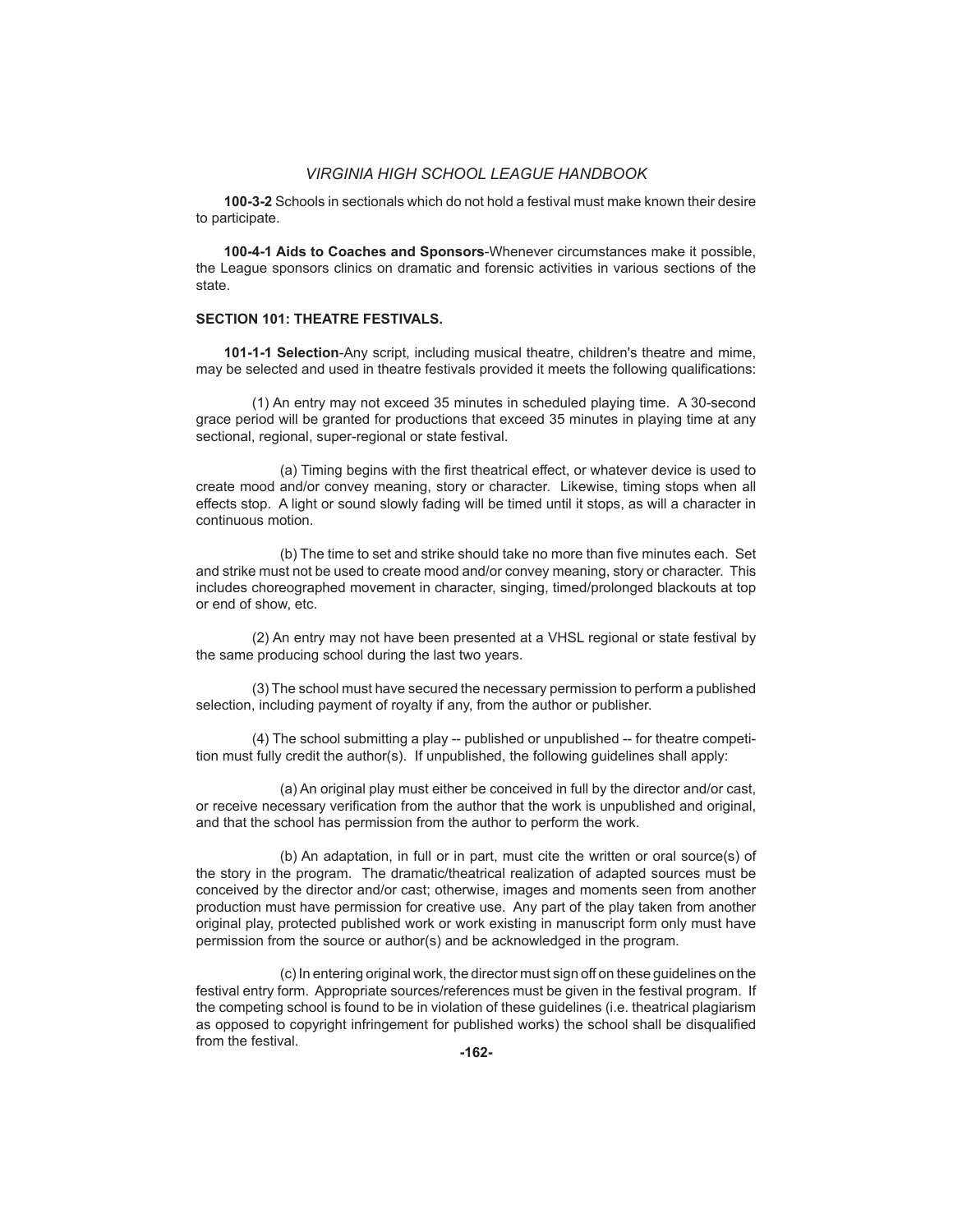**100-3-2** Schools in sectionals which do not hold a festival must make known their desire to participate.

**100-4-1 Aids to Coaches and Sponsors**-Whenever circumstances make it possible, the League sponsors clinics on dramatic and forensic activities in various sections of the state.

# **SECTION 101: THEATRE FESTIVALS.**

**101-1-1 Selection**-Any script, including musical theatre, children's theatre and mime, may be selected and used in theatre festivals provided it meets the following qualifications:

 (1) An entry may not exceed 35 minutes in scheduled playing time. A 30-second grace period will be granted for productions that exceed 35 minutes in playing time at any sectional, regional, super-regional or state festival.

(a) Timing begins with the first theatrical effect, or whatever device is used to create mood and/or convey meaning, story or character. Likewise, timing stops when all effects stop. A light or sound slowly fading will be timed until it stops, as will a character in continuous motion.

(b) The time to set and strike should take no more than five minutes each. Set and strike must not be used to create mood and/or convey meaning, story or character. This includes choreographed movement in character, singing, timed/prolonged blackouts at top or end of show, etc.

 (2) An entry may not have been presented at a VHSL regional or state festival by the same producing school during the last two years.

 (3) The school must have secured the necessary permission to perform a published selection, including payment of royalty if any, from the author or publisher.

 (4) The school submitting a play -- published or unpublished -- for theatre competition must fully credit the author(s). If unpublished, the following guidelines shall apply:

 (a) An original play must either be conceived in full by the director and/or cast, or receive necessary verification from the author that the work is unpublished and original, and that the school has permission from the author to perform the work.

 (b) An adaptation, in full or in part, must cite the written or oral source(s) of the story in the program. The dramatic/theatrical realization of adapted sources must be conceived by the director and/or cast; otherwise, images and moments seen from another production must have permission for creative use. Any part of the play taken from another original play, protected published work or work existing in manuscript form only must have permission from the source or author(s) and be acknowledged in the program.

 (c) In entering original work, the director must sign off on these guidelines on the festival entry form. Appropriate sources/references must be given in the festival program. If the competing school is found to be in violation of these guidelines (i.e. theatrical plagiarism as opposed to copyright infringement for published works) the school shall be disqualified from the festival.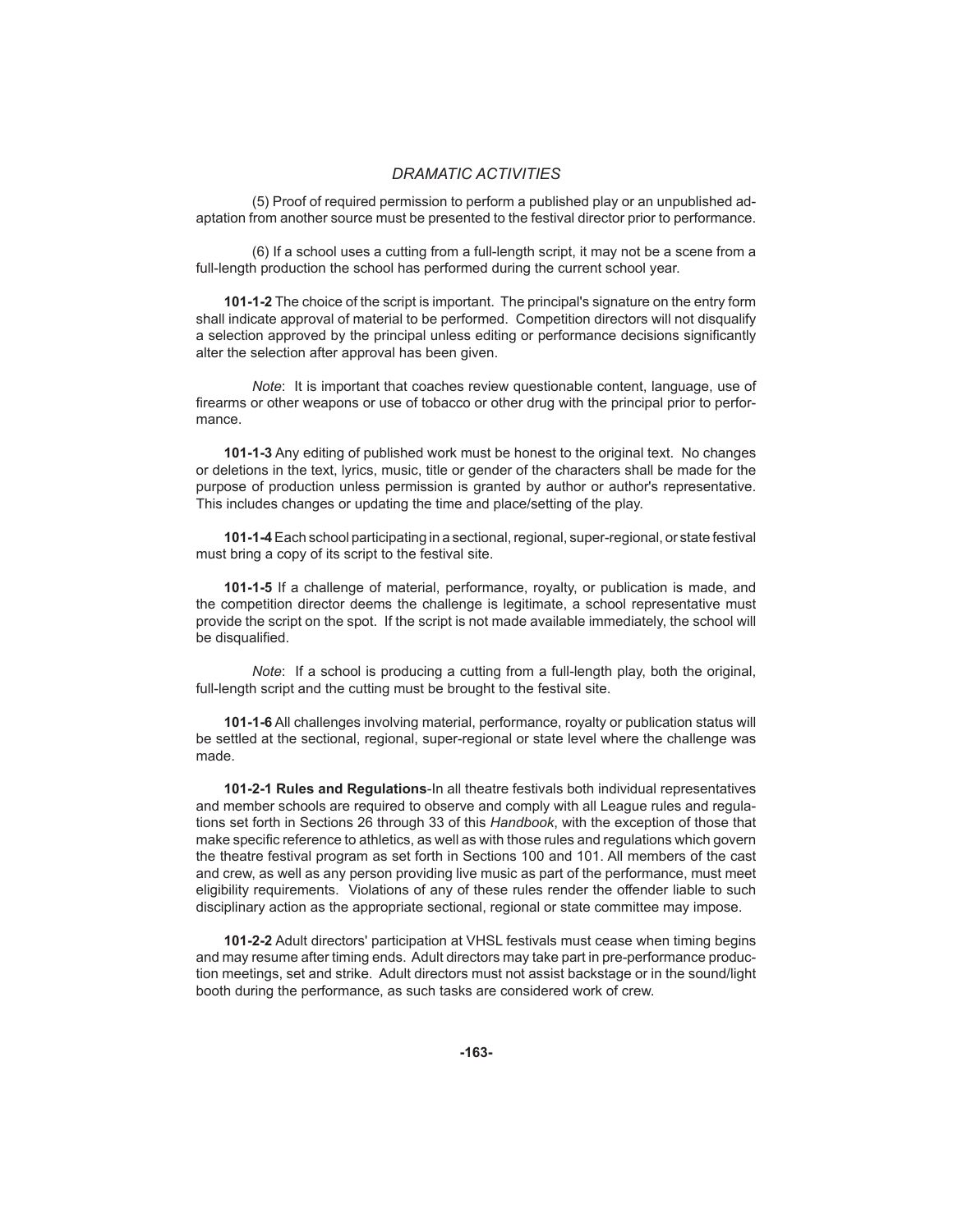# *DRAMATIC ACTIVITIES*

 (5) Proof of required permission to perform a published play or an unpublished adaptation from another source must be presented to the festival director prior to performance.

 (6) If a school uses a cutting from a full-length script, it may not be a scene from a full-length production the school has performed during the current school year.

**101-1-2** The choice of the script is important. The principal's signature on the entry form shall indicate approval of material to be performed. Competition directors will not disqualify a selection approved by the principal unless editing or performance decisions significantly alter the selection after approval has been given.

 *Note*: It is important that coaches review questionable content, language, use of firearms or other weapons or use of tobacco or other drug with the principal prior to performance.

**101-1-3** Any editing of published work must be honest to the original text. No changes or deletions in the text, lyrics, music, title or gender of the characters shall be made for the purpose of production unless permission is granted by author or author's representative. This includes changes or updating the time and place/setting of the play.

**101-1-4** Each school participating in a sectional, regional, super-regional, or state festival must bring a copy of its script to the festival site.

**101-1-5** If a challenge of material, performance, royalty, or publication is made, and the competition director deems the challenge is legitimate, a school representative must provide the script on the spot. If the script is not made available immediately, the school will be disqualified.

 *Note*: If a school is producing a cutting from a full-length play, both the original, full-length script and the cutting must be brought to the festival site.

**101-1-6** All challenges involving material, performance, royalty or publication status will be settled at the sectional, regional, super-regional or state level where the challenge was made.

**101-2-1 Rules and Regulations**-In all theatre festivals both individual representatives and member schools are required to observe and comply with all League rules and regulations set forth in Sections 26 through 33 of this *Handbook*, with the exception of those that make specific reference to athletics, as well as with those rules and regulations which govern the theatre festival program as set forth in Sections 100 and 101. All members of the cast and crew, as well as any person providing live music as part of the performance, must meet eligibility requirements. Violations of any of these rules render the offender liable to such disciplinary action as the appropriate sectional, regional or state committee may impose.

**101-2-2** Adult directors' participation at VHSL festivals must cease when timing begins and may resume after timing ends. Adult directors may take part in pre-performance production meetings, set and strike. Adult directors must not assist backstage or in the sound/light booth during the performance, as such tasks are considered work of crew.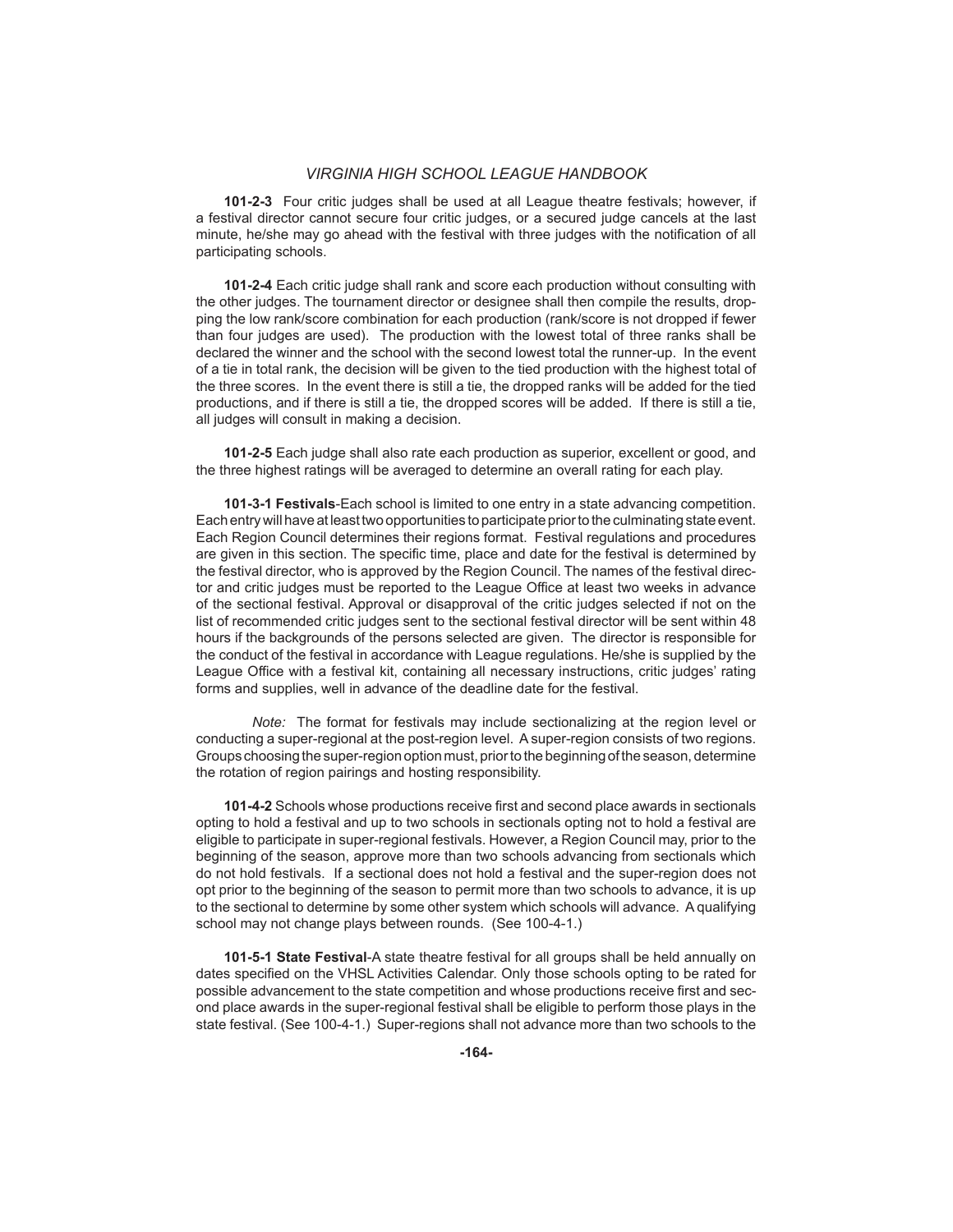**101-2-3** Four critic judges shall be used at all League theatre festivals; however, if a festival director cannot secure four critic judges, or a secured judge cancels at the last minute, he/she may go ahead with the festival with three judges with the notification of all participating schools.

**101-2-4** Each critic judge shall rank and score each production without consulting with the other judges. The tournament director or designee shall then compile the results, dropping the low rank/score combination for each production (rank/score is not dropped if fewer than four judges are used). The production with the lowest total of three ranks shall be declared the winner and the school with the second lowest total the runner-up. In the event of a tie in total rank, the decision will be given to the tied production with the highest total of the three scores. In the event there is still a tie, the dropped ranks will be added for the tied productions, and if there is still a tie, the dropped scores will be added. If there is still a tie, all judges will consult in making a decision.

**101-2-5** Each judge shall also rate each production as superior, excellent or good, and the three highest ratings will be averaged to determine an overall rating for each play.

**101-3-1 Festivals**-Each school is limited to one entry in a state advancing competition. Each entry will have at least two opportunities to participate prior to the culminating state event. Each Region Council determines their regions format. Festival regulations and procedures are given in this section. The specific time, place and date for the festival is determined by the festival director, who is approved by the Region Council. The names of the festival director and critic judges must be reported to the League Office at least two weeks in advance of the sectional festival. Approval or disapproval of the critic judges selected if not on the list of recommended critic judges sent to the sectional festival director will be sent within 48 hours if the backgrounds of the persons selected are given. The director is responsible for the conduct of the festival in accordance with League regulations. He/she is supplied by the League Office with a festival kit, containing all necessary instructions, critic judges' rating forms and supplies, well in advance of the deadline date for the festival.

 *Note:* The format for festivals may include sectionalizing at the region level or conducting a super-regional at the post-region level. A super-region consists of two regions. Groups choosing the super-region option must, prior to the beginning of the season, determine the rotation of region pairings and hosting responsibility.

**101-4-2** Schools whose productions receive first and second place awards in sectionals opting to hold a festival and up to two schools in sectionals opting not to hold a festival are eligible to participate in super-regional festivals. However, a Region Council may, prior to the beginning of the season, approve more than two schools advancing from sectionals which do not hold festivals. If a sectional does not hold a festival and the super-region does not opt prior to the beginning of the season to permit more than two schools to advance, it is up to the sectional to determine by some other system which schools will advance. A qualifying school may not change plays between rounds. (See 100-4-1.)

**101-5-1 State Festival**-A state theatre festival for all groups shall be held annually on dates specified on the VHSL Activities Calendar. Only those schools opting to be rated for possible advancement to the state competition and whose productions receive first and second place awards in the super-regional festival shall be eligible to perform those plays in the state festival. (See 100-4-1.) Super-regions shall not advance more than two schools to the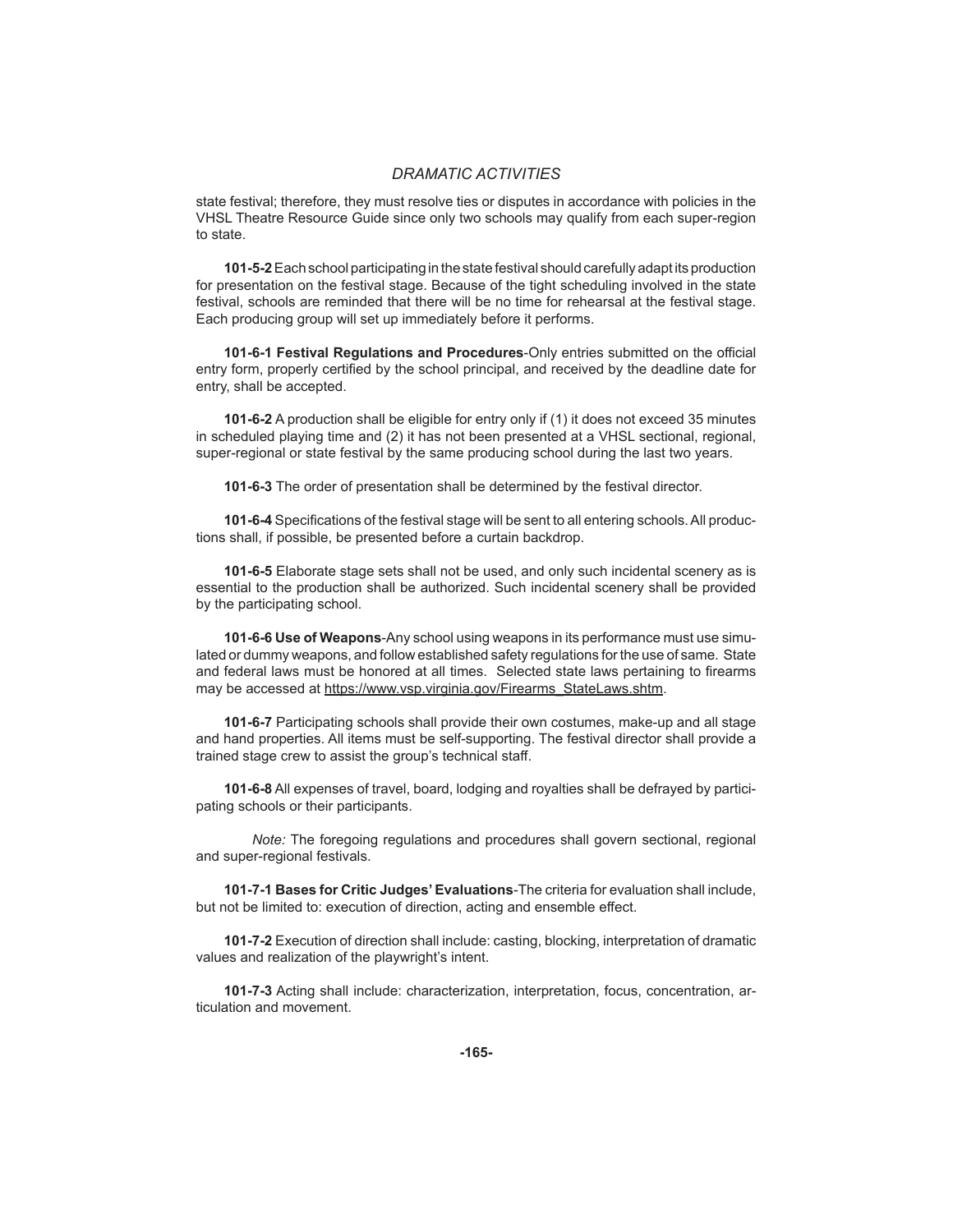# *DRAMATIC ACTIVITIES*

state festival; therefore, they must resolve ties or disputes in accordance with policies in the VHSL Theatre Resource Guide since only two schools may qualify from each super-region to state.

**101-5-2** Each school participating in the state festival should carefully adapt its production for presentation on the festival stage. Because of the tight scheduling involved in the state festival, schools are reminded that there will be no time for rehearsal at the festival stage. Each producing group will set up immediately before it performs.

**101-6-1 Festival Regulations and Procedures-Only entries submitted on the official** entry form, properly certified by the school principal, and received by the deadline date for entry, shall be accepted.

**101-6-2** A production shall be eligible for entry only if (1) it does not exceed 35 minutes in scheduled playing time and (2) it has not been presented at a VHSL sectional, regional, super-regional or state festival by the same producing school during the last two years.

**101-6-3** The order of presentation shall be determined by the festival director.

101-6-4 Specifications of the festival stage will be sent to all entering schools. All productions shall, if possible, be presented before a curtain backdrop.

**101-6-5** Elaborate stage sets shall not be used, and only such incidental scenery as is essential to the production shall be authorized. Such incidental scenery shall be provided by the participating school.

**101-6-6 Use of Weapons**-Any school using weapons in its performance must use simulated or dummy weapons, and follow established safety regulations for the use of same. State and federal laws must be honored at all times. Selected state laws pertaining to firearms may be accessed at https://www.vsp.virginia.gov/Firearms\_StateLaws.shtm.

**101-6-7** Participating schools shall provide their own costumes, make-up and all stage and hand properties. All items must be self-supporting. The festival director shall provide a trained stage crew to assist the group's technical staff.

**101-6-8** All expenses of travel, board, lodging and royalties shall be defrayed by participating schools or their participants.

 *Note:* The foregoing regulations and procedures shall govern sectional, regional and super-regional festivals.

**101-7-1 Bases for Critic Judges' Evaluations**-The criteria for evaluation shall include, but not be limited to: execution of direction, acting and ensemble effect.

**101-7-2** Execution of direction shall include: casting, blocking, interpretation of dramatic values and realization of the playwright's intent.

**101-7-3** Acting shall include: characterization, interpretation, focus, concentration, articulation and movement.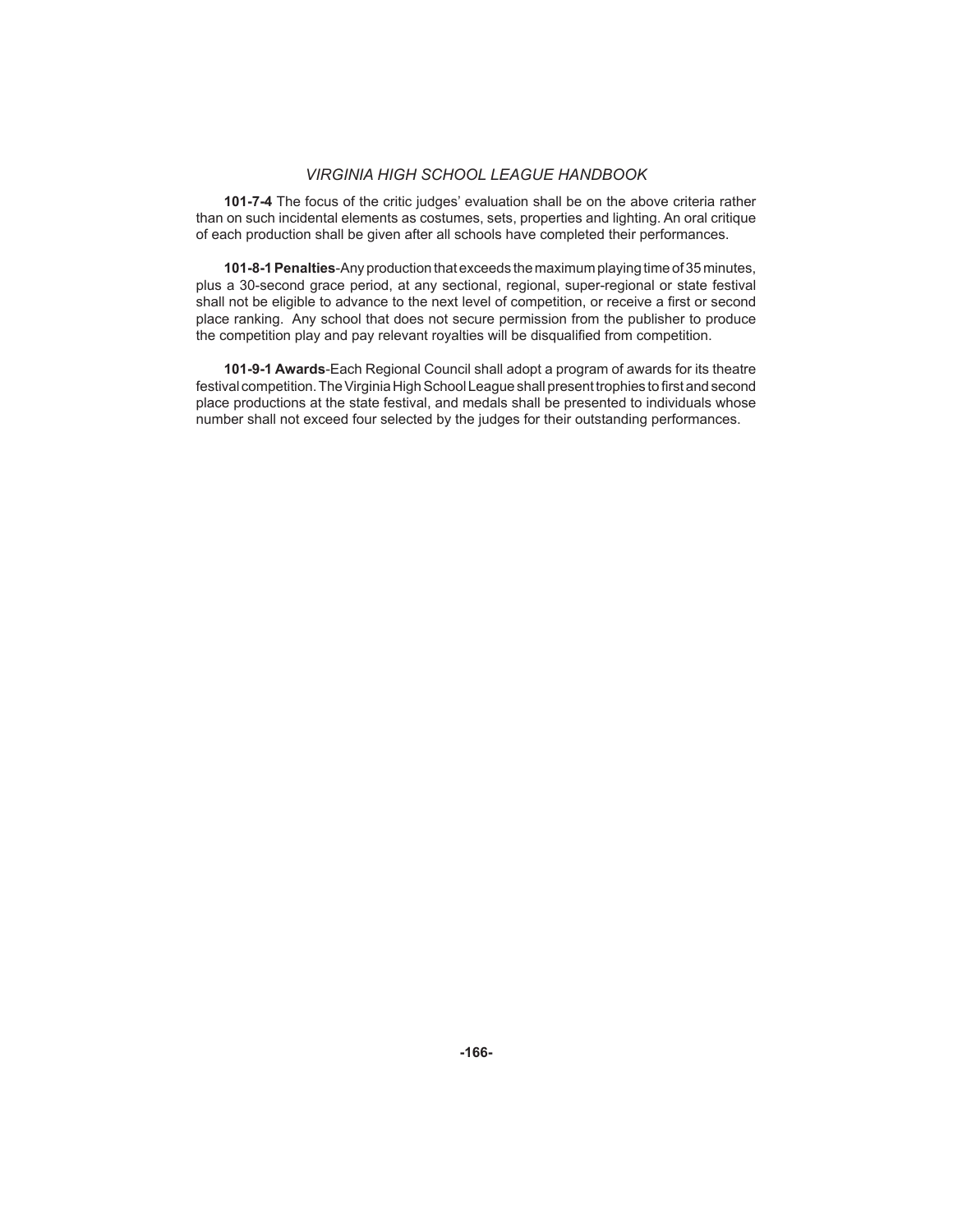**101-7-4** The focus of the critic judges' evaluation shall be on the above criteria rather than on such incidental elements as costumes, sets, properties and lighting. An oral critique of each production shall be given after all schools have completed their performances.

**101-8-1 Penalties**-Any production that exceeds the maximum playing time of 35 minutes, plus a 30-second grace period, at any sectional, regional, super-regional or state festival shall not be eligible to advance to the next level of competition, or receive a first or second place ranking. Any school that does not secure permission from the publisher to produce the competition play and pay relevant royalties will be disqualified from competition.

**101-9-1 Awards**-Each Regional Council shall adopt a program of awards for its theatre festival competition. The Virginia High School League shall present trophies to first and second place productions at the state festival, and medals shall be presented to individuals whose number shall not exceed four selected by the judges for their outstanding performances.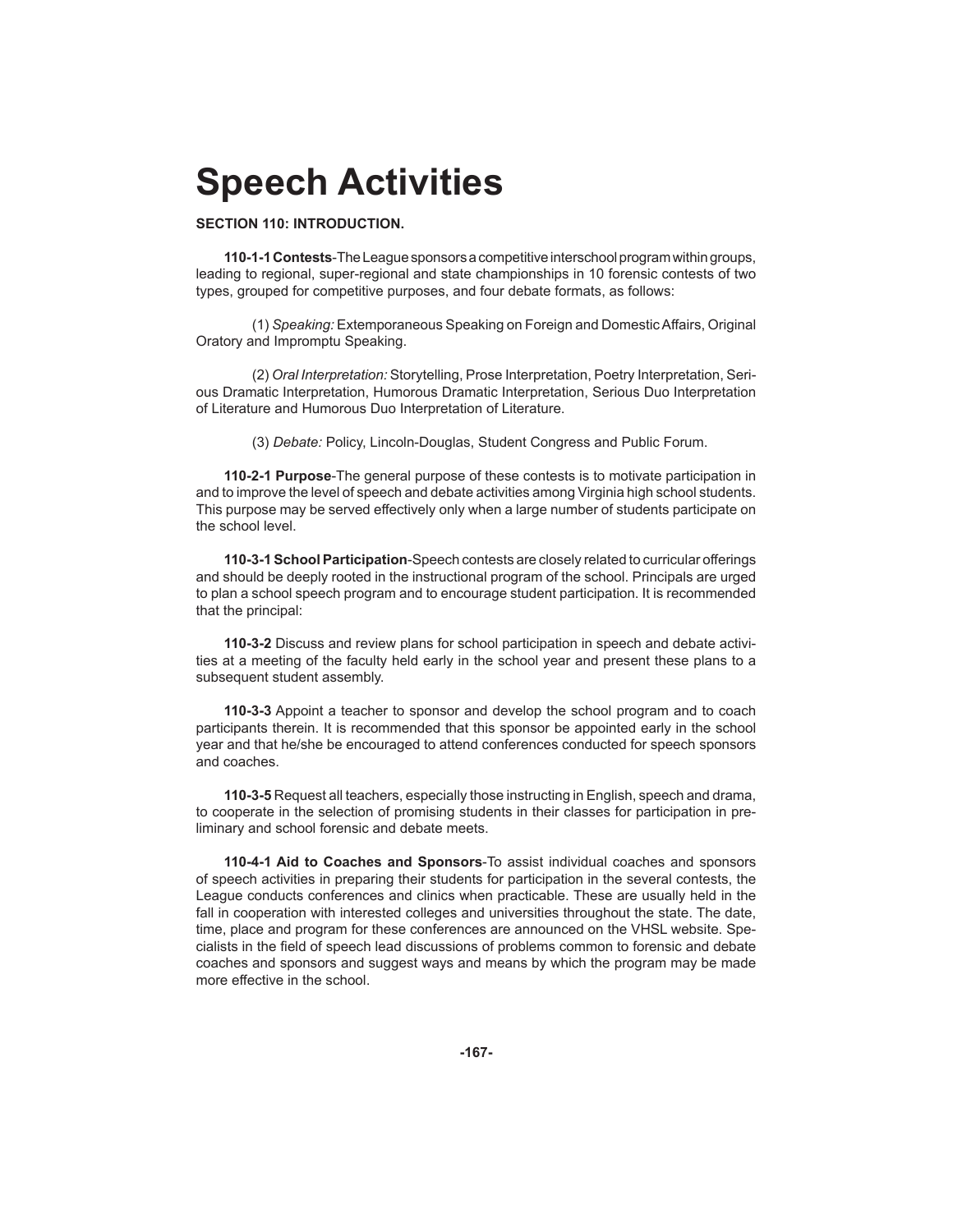# **Speech Activities**

### **SECTION 110: INTRODUCTION.**

**110-1-1 Contests**-The League sponsors a competitive interschool program within groups, leading to regional, super-regional and state championships in 10 forensic contests of two types, grouped for competitive purposes, and four debate formats, as follows:

(1) *Speaking:* Extemporaneous Speaking on Foreign and Domestic Affairs, Original Oratory and Impromptu Speaking.

 (2) *Oral Interpretation:* Storytelling, Prose Interpretation, Poetry Interpretation, Serious Dramatic Interpretation, Humorous Dramatic Interpretation, Serious Duo Interpretation of Literature and Humorous Duo Interpretation of Literature.

(3) *Debate:* Policy, Lincoln-Douglas, Student Congress and Public Forum.

**110-2-1 Purpose**-The general purpose of these contests is to motivate participation in and to improve the level of speech and debate activities among Virginia high school students. This purpose may be served effectively only when a large number of students participate on the school level.

**110-3-1 School Participation**-Speech contests are closely related to curricular offerings and should be deeply rooted in the instructional program of the school. Principals are urged to plan a school speech program and to encourage student participation. It is recommended that the principal:

**110-3-2** Discuss and review plans for school participation in speech and debate activities at a meeting of the faculty held early in the school year and present these plans to a subsequent student assembly.

**110-3-3** Appoint a teacher to sponsor and develop the school program and to coach participants therein. It is recommended that this sponsor be appointed early in the school year and that he/she be encouraged to attend conferences conducted for speech sponsors and coaches.

**110-3-5** Request all teachers, especially those instructing in English, speech and drama, to cooperate in the selection of promising students in their classes for participation in preliminary and school forensic and debate meets.

**110-4-1 Aid to Coaches and Sponsors**-To assist individual coaches and sponsors of speech activities in preparing their students for participation in the several contests, the League conducts conferences and clinics when practicable. These are usually held in the fall in cooperation with interested colleges and universities throughout the state. The date, time, place and program for these conferences are announced on the VHSL website. Specialists in the field of speech lead discussions of problems common to forensic and debate coaches and sponsors and suggest ways and means by which the program may be made more effective in the school.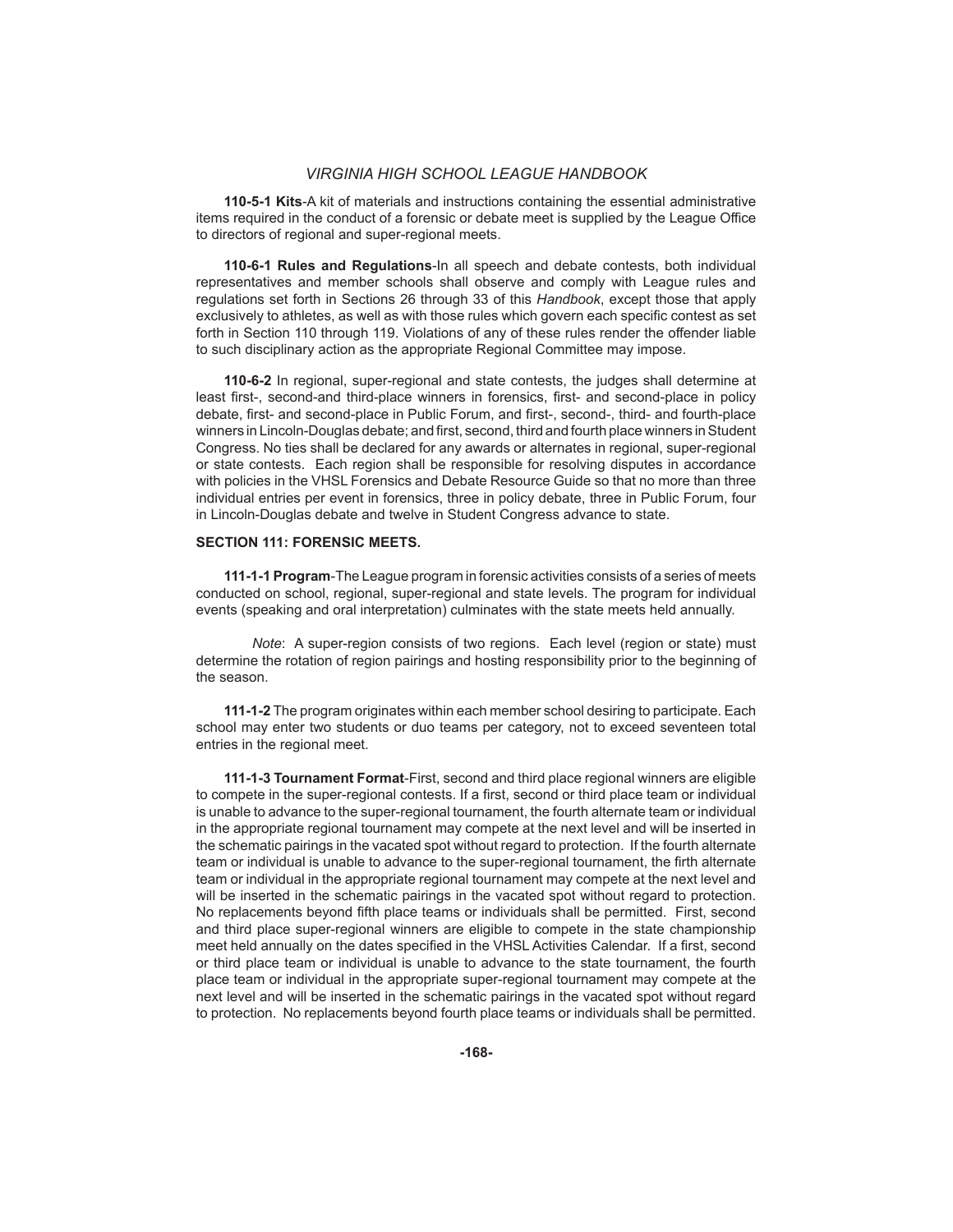**110-5-1 Kits**-A kit of materials and instructions containing the essential administrative items required in the conduct of a forensic or debate meet is supplied by the League Office to directors of regional and super-regional meets.

**110-6-1 Rules and Regulations**-In all speech and debate contests, both individual representatives and member schools shall observe and comply with League rules and regulations set forth in Sections 26 through 33 of this *Handbook*, except those that apply exclusively to athletes, as well as with those rules which govern each specific contest as set forth in Section 110 through 119. Violations of any of these rules render the offender liable to such disciplinary action as the appropriate Regional Committee may impose.

**110-6-2** In regional, super-regional and state contests, the judges shall determine at least first-, second-and third-place winners in forensics, first- and second-place in policy debate, first- and second-place in Public Forum, and first-, second-, third- and fourth-place winners in Lincoln-Douglas debate; and first, second, third and fourth place winners in Student Congress. No ties shall be declared for any awards or alternates in regional, super-regional or state contests. Each region shall be responsible for resolving disputes in accordance with policies in the VHSL Forensics and Debate Resource Guide so that no more than three individual entries per event in forensics, three in policy debate, three in Public Forum, four in Lincoln-Douglas debate and twelve in Student Congress advance to state.

# **SECTION 111: FORENSIC MEETS.**

**111-1-1 Program**-The League program in forensic activities consists of a series of meets conducted on school, regional, super-regional and state levels. The program for individual events (speaking and oral interpretation) culminates with the state meets held annually.

 *Note*: A super-region consists of two regions. Each level (region or state) must determine the rotation of region pairings and hosting responsibility prior to the beginning of the season.

**111-1-2** The program originates within each member school desiring to participate. Each school may enter two students or duo teams per category, not to exceed seventeen total entries in the regional meet.

**111-1-3 Tournament Format**-First, second and third place regional winners are eligible to compete in the super-regional contests. If a first, second or third place team or individual is unable to advance to the super-regional tournament, the fourth alternate team or individual in the appropriate regional tournament may compete at the next level and will be inserted in the schematic pairings in the vacated spot without regard to protection. If the fourth alternate team or individual is unable to advance to the super-regional tournament, the firth alternate team or individual in the appropriate regional tournament may compete at the next level and will be inserted in the schematic pairings in the vacated spot without regard to protection. No replacements beyond fifth place teams or individuals shall be permitted. First, second and third place super-regional winners are eligible to compete in the state championship meet held annually on the dates specified in the VHSL Activities Calendar. If a first, second or third place team or individual is unable to advance to the state tournament, the fourth place team or individual in the appropriate super-regional tournament may compete at the next level and will be inserted in the schematic pairings in the vacated spot without regard to protection. No replacements beyond fourth place teams or individuals shall be permitted.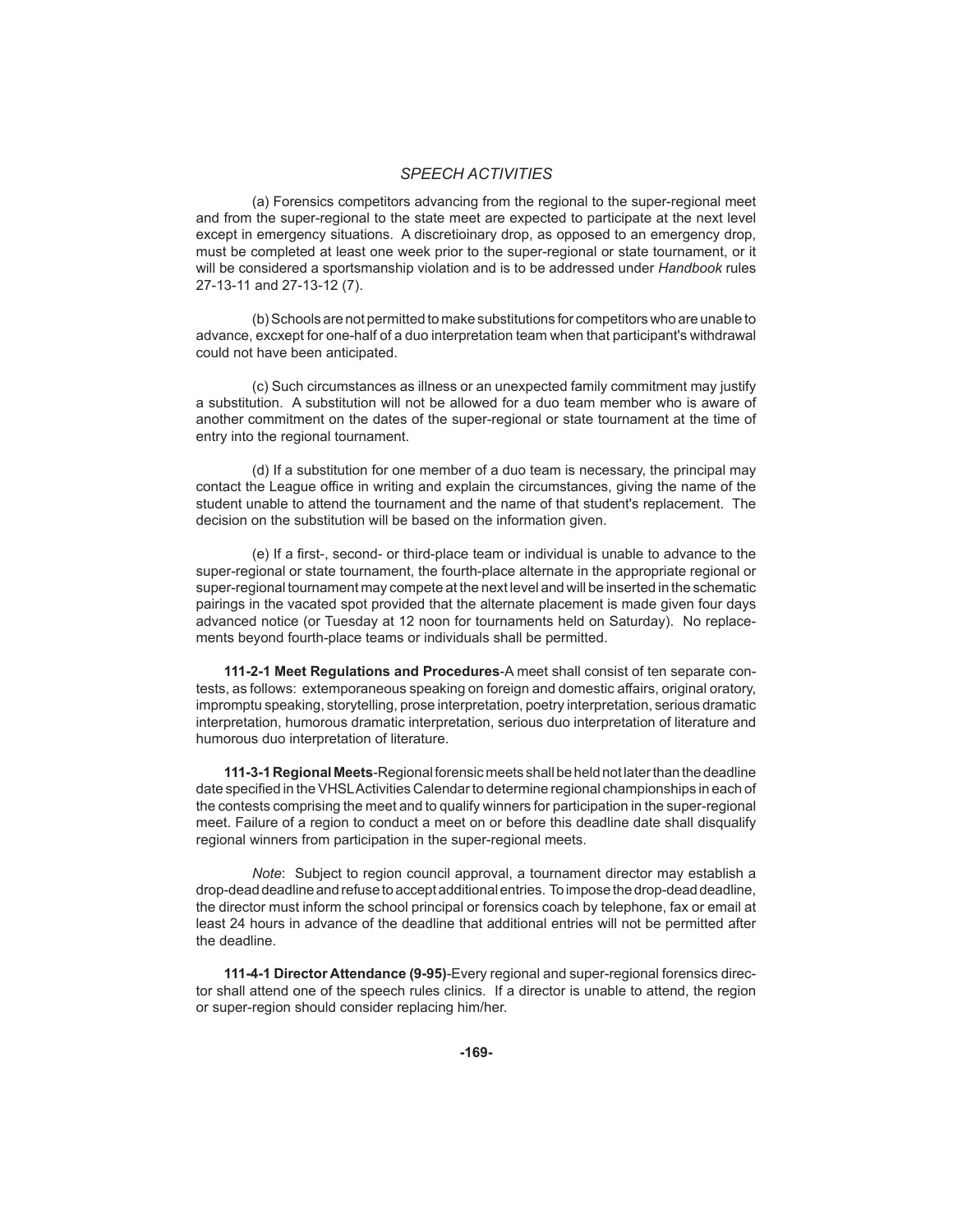# *SPEECH ACTIVITIES*

 (a) Forensics competitors advancing from the regional to the super-regional meet and from the super-regional to the state meet are expected to participate at the next level except in emergency situations. A discretioinary drop, as opposed to an emergency drop, must be completed at least one week prior to the super-regional or state tournament, or it will be considered a sportsmanship violation and is to be addressed under *Handbook* rules 27-13-11 and 27-13-12 (7).

 (b) Schools are not permitted to make substitutions for competitors who are unable to advance, excxept for one-half of a duo interpretation team when that participant's withdrawal could not have been anticipated.

 (c) Such circumstances as illness or an unexpected family commitment may justify a substitution. A substitution will not be allowed for a duo team member who is aware of another commitment on the dates of the super-regional or state tournament at the time of entry into the regional tournament.

 (d) If a substitution for one member of a duo team is necessary, the principal may contact the League office in writing and explain the circumstances, giving the name of the student unable to attend the tournament and the name of that student's replacement. The decision on the substitution will be based on the information given.

(e) If a first-, second- or third-place team or individual is unable to advance to the super-regional or state tournament, the fourth-place alternate in the appropriate regional or super-regional tournament may compete at the next level and will be inserted in the schematic pairings in the vacated spot provided that the alternate placement is made given four days advanced notice (or Tuesday at 12 noon for tournaments held on Saturday). No replacements beyond fourth-place teams or individuals shall be permitted.

**111-2-1 Meet Regulations and Procedures**-A meet shall consist of ten separate contests, as follows: extemporaneous speaking on foreign and domestic affairs, original oratory, impromptu speaking, storytelling, prose interpretation, poetry interpretation, serious dramatic interpretation, humorous dramatic interpretation, serious duo interpretation of literature and humorous duo interpretation of literature.

 **111-3-1 Regional Meets**-Regional forensic meets shall be held not later than the deadline date specified in the VHSL Activities Calendar to determine regional championships in each of the contests comprising the meet and to qualify winners for participation in the super-regional meet. Failure of a region to conduct a meet on or before this deadline date shall disqualify regional winners from participation in the super-regional meets.

 *Note*: Subject to region council approval, a tournament director may establish a drop-dead deadline and refuse to accept additional entries. To impose the drop-dead deadline, the director must inform the school principal or forensics coach by telephone, fax or email at least 24 hours in advance of the deadline that additional entries will not be permitted after the deadline.

 **111-4-1 Director Attendance (9-95)**-Every regional and super-regional forensics director shall attend one of the speech rules clinics. If a director is unable to attend, the region or super-region should consider replacing him/her.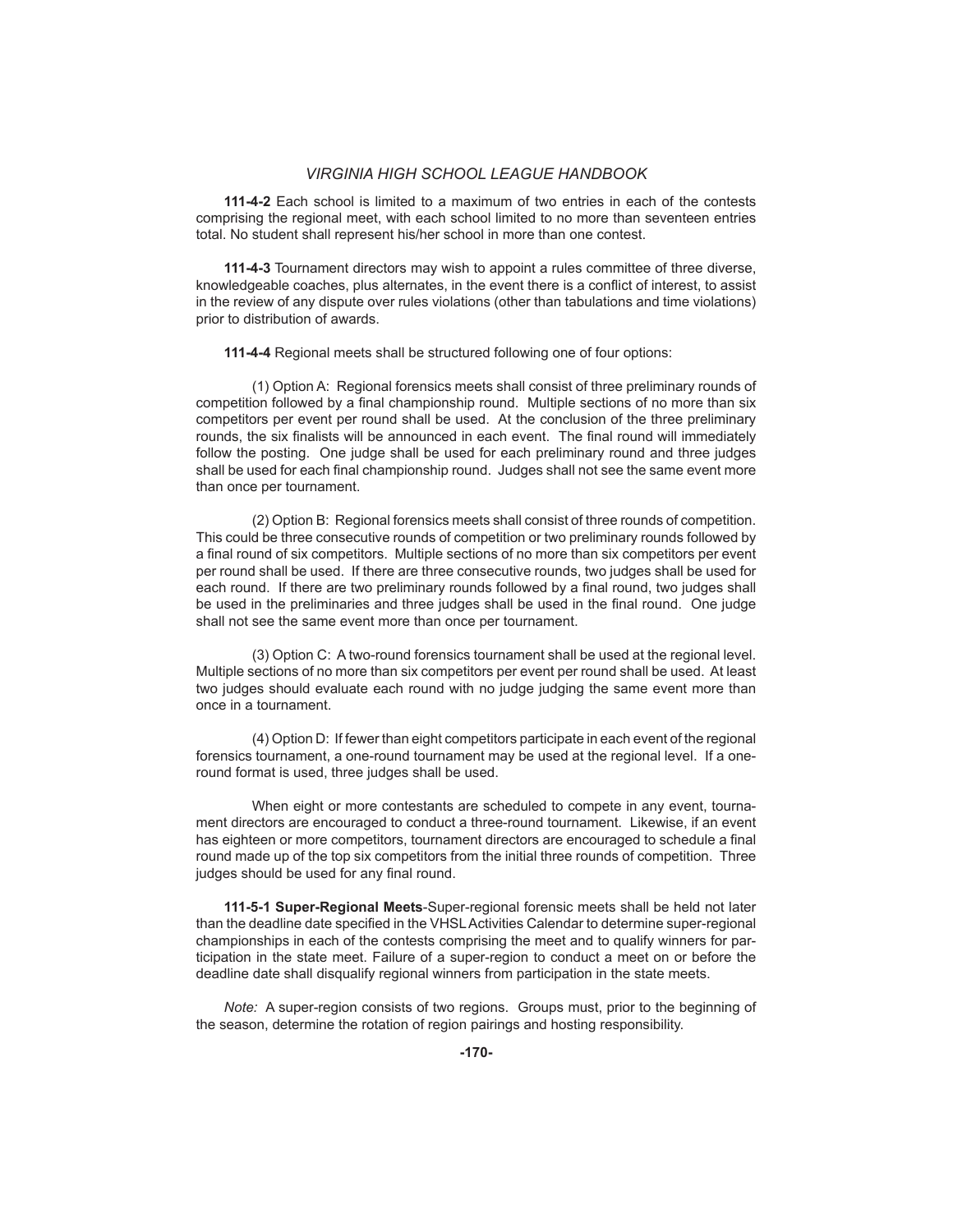**111-4-2** Each school is limited to a maximum of two entries in each of the contests comprising the regional meet, with each school limited to no more than seventeen entries total. No student shall represent his/her school in more than one contest.

**111-4-3** Tournament directors may wish to appoint a rules committee of three diverse, knowledgeable coaches, plus alternates, in the event there is a conflict of interest, to assist in the review of any dispute over rules violations (other than tabulations and time violations) prior to distribution of awards.

**111-4-4** Regional meets shall be structured following one of four options:

 (1) Option A: Regional forensics meets shall consist of three preliminary rounds of competition followed by a final championship round. Multiple sections of no more than six competitors per event per round shall be used. At the conclusion of the three preliminary rounds, the six finalists will be announced in each event. The final round will immediately follow the posting. One judge shall be used for each preliminary round and three judges shall be used for each final championship round. Judges shall not see the same event more than once per tournament.

 (2) Option B: Regional forensics meets shall consist of three rounds of competition. This could be three consecutive rounds of competition or two preliminary rounds followed by a final round of six competitors. Multiple sections of no more than six competitors per event per round shall be used. If there are three consecutive rounds, two judges shall be used for each round. If there are two preliminary rounds followed by a final round, two judges shall be used in the preliminaries and three judges shall be used in the final round. One judge shall not see the same event more than once per tournament.

 (3) Option C: A two-round forensics tournament shall be used at the regional level. Multiple sections of no more than six competitors per event per round shall be used. At least two judges should evaluate each round with no judge judging the same event more than once in a tournament.

 (4) Option D: If fewer than eight competitors participate in each event of the regional forensics tournament, a one-round tournament may be used at the regional level. If a oneround format is used, three judges shall be used.

 When eight or more contestants are scheduled to compete in any event, tournament directors are encouraged to conduct a three-round tournament. Likewise, if an event has eighteen or more competitors, tournament directors are encouraged to schedule a final round made up of the top six competitors from the initial three rounds of competition. Three judges should be used for any final round.

**111-5-1 Super-Regional Meets**-Super-regional forensic meets shall be held not later than the deadline date specified in the VHSL Activities Calendar to determine super-regional championships in each of the contests comprising the meet and to qualify winners for participation in the state meet. Failure of a super-region to conduct a meet on or before the deadline date shall disqualify regional winners from participation in the state meets.

*Note:* A super-region consists of two regions. Groups must, prior to the beginning of the season, determine the rotation of region pairings and hosting responsibility.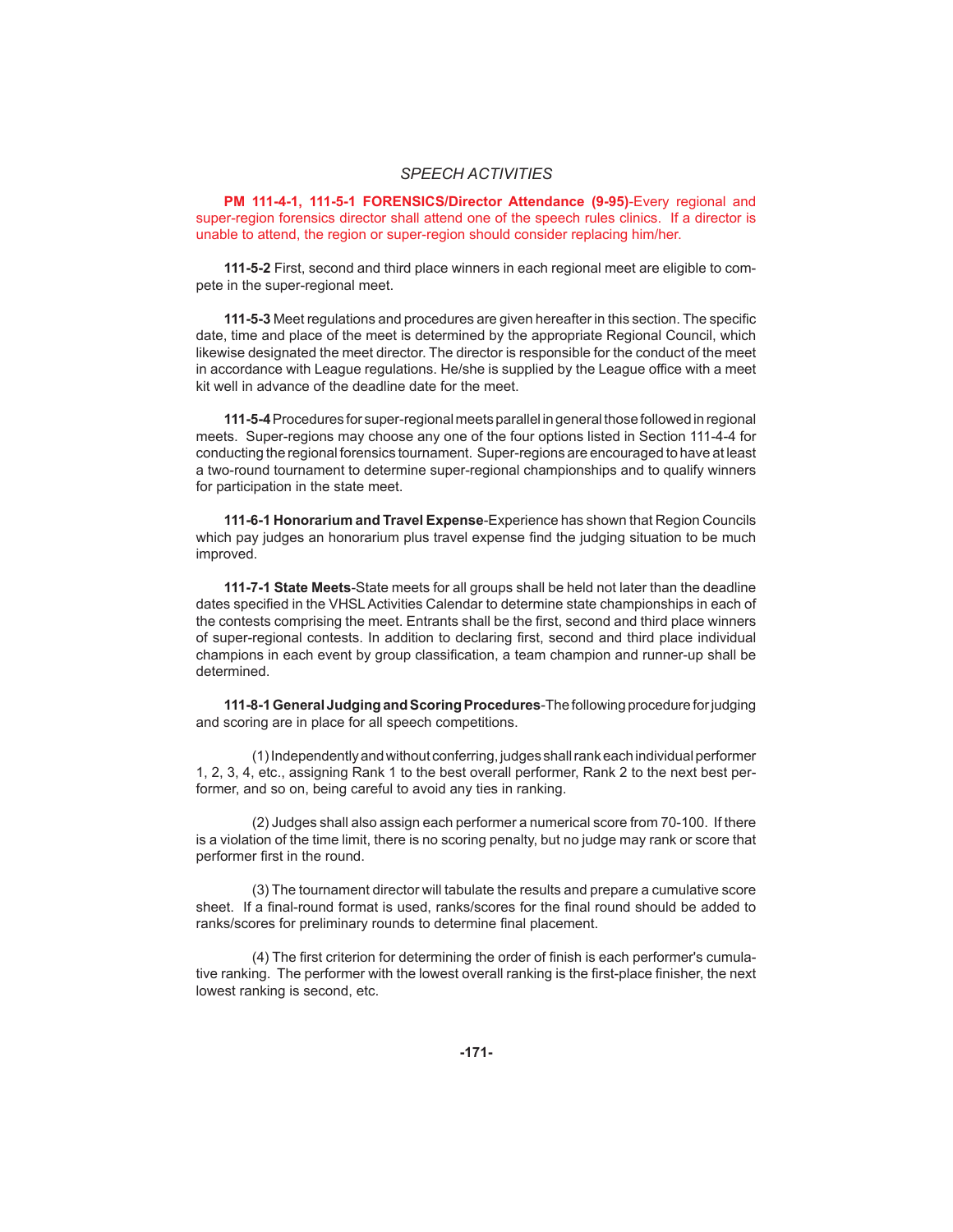# *SPEECH ACTIVITIES*

 **PM 111-4-1, 111-5-1 FORENSICS/Director Attendance (9-95)**-Every regional and super-region forensics director shall attend one of the speech rules clinics. If a director is unable to attend, the region or super-region should consider replacing him/her.

**111-5-2** First, second and third place winners in each regional meet are eligible to compete in the super-regional meet.

**111-5-3** Meet regulations and procedures are given hereafter in this section. The specific date, time and place of the meet is determined by the appropriate Regional Council, which likewise designated the meet director. The director is responsible for the conduct of the meet in accordance with League regulations. He/she is supplied by the League office with a meet kit well in advance of the deadline date for the meet.

**111-5-4** Procedures for super-regional meets parallel in general those followed in regional meets. Super-regions may choose any one of the four options listed in Section 111-4-4 for conducting the regional forensics tournament. Super-regions are encouraged to have at least a two-round tournament to determine super-regional championships and to qualify winners for participation in the state meet.

**111-6-1 Honorarium and Travel Expense**-Experience has shown that Region Councils which pay judges an honorarium plus travel expense find the judging situation to be much improved.

**111-7-1 State Meets**-State meets for all groups shall be held not later than the deadline dates specified in the VHSL Activities Calendar to determine state championships in each of the contests comprising the meet. Entrants shall be the first, second and third place winners of super-regional contests. In addition to declaring first, second and third place individual champions in each event by group classification, a team champion and runner-up shall be determined.

**111-8-1 General Judging and Scoring Procedures**-The following procedure for judging and scoring are in place for all speech competitions.

 (1) Independently and without conferring, judges shall rank each individual performer 1, 2, 3, 4, etc., assigning Rank 1 to the best overall performer, Rank 2 to the next best performer, and so on, being careful to avoid any ties in ranking.

 (2) Judges shall also assign each performer a numerical score from 70-100. If there is a violation of the time limit, there is no scoring penalty, but no judge may rank or score that performer first in the round.

 (3) The tournament director will tabulate the results and prepare a cumulative score sheet. If a final-round format is used, ranks/scores for the final round should be added to ranks/scores for preliminary rounds to determine final placement.

(4) The first criterion for determining the order of finish is each performer's cumulative ranking. The performer with the lowest overall ranking is the first-place finisher, the next lowest ranking is second, etc.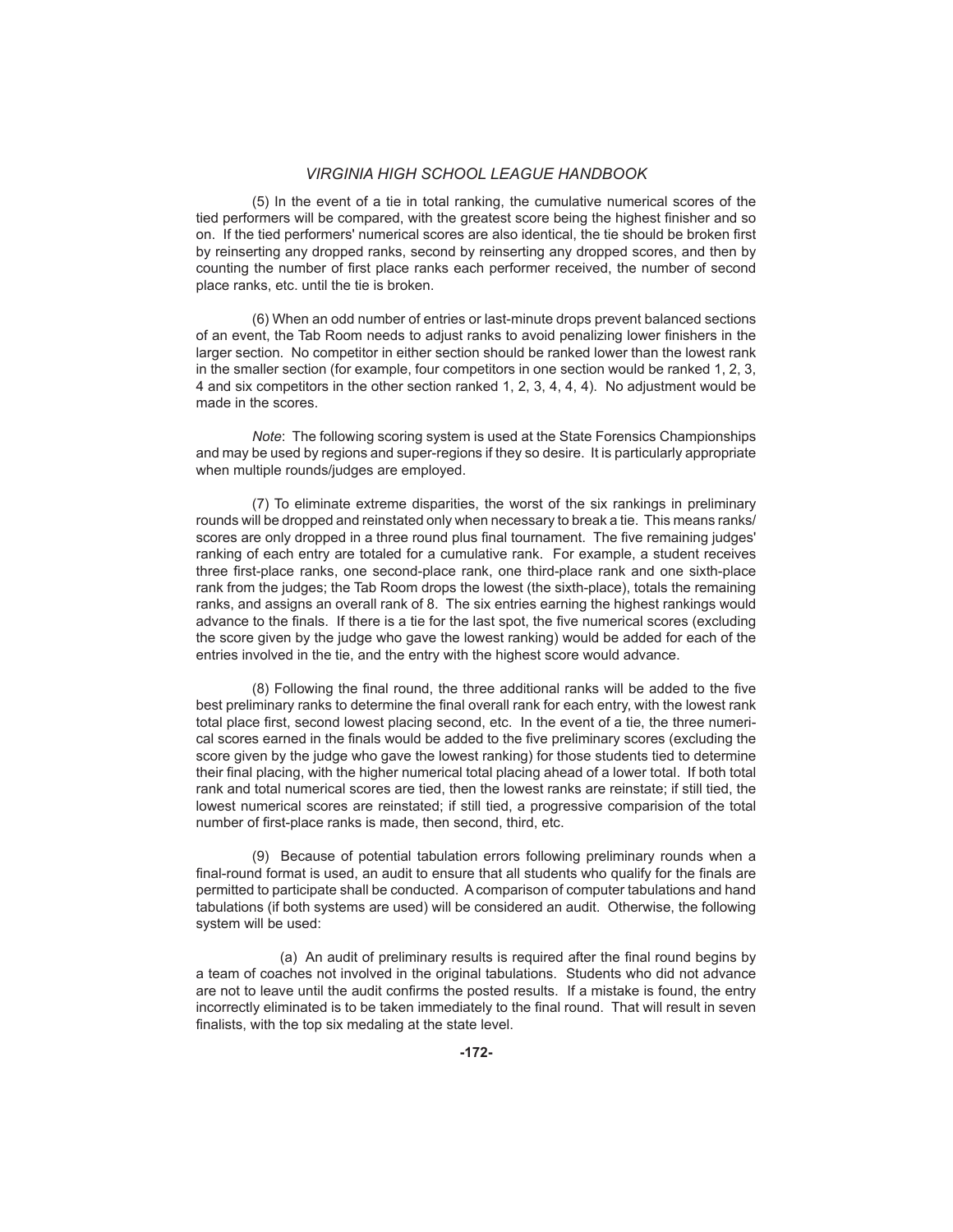(5) In the event of a tie in total ranking, the cumulative numerical scores of the tied performers will be compared, with the greatest score being the highest finisher and so on. If the tied performers' numerical scores are also identical, the tie should be broken first by reinserting any dropped ranks, second by reinserting any dropped scores, and then by counting the number of first place ranks each performer received, the number of second place ranks, etc. until the tie is broken.

 (6) When an odd number of entries or last-minute drops prevent balanced sections of an event, the Tab Room needs to adjust ranks to avoid penalizing lower finishers in the larger section. No competitor in either section should be ranked lower than the lowest rank in the smaller section (for example, four competitors in one section would be ranked 1, 2, 3, 4 and six competitors in the other section ranked 1, 2, 3, 4, 4, 4). No adjustment would be made in the scores.

 *Note*: The following scoring system is used at the State Forensics Championships and may be used by regions and super-regions if they so desire. It is particularly appropriate when multiple rounds/judges are employed.

 (7) To eliminate extreme disparities, the worst of the six rankings in preliminary rounds will be dropped and reinstated only when necessary to break a tie. This means ranks/ scores are only dropped in a three round plus final tournament. The five remaining judges' ranking of each entry are totaled for a cumulative rank. For example, a student receives three first-place ranks, one second-place rank, one third-place rank and one sixth-place rank from the judges; the Tab Room drops the lowest (the sixth-place), totals the remaining ranks, and assigns an overall rank of 8. The six entries earning the highest rankings would advance to the finals. If there is a tie for the last spot, the five numerical scores (excluding the score given by the judge who gave the lowest ranking) would be added for each of the entries involved in the tie, and the entry with the highest score would advance.

(8) Following the final round, the three additional ranks will be added to the five best preliminary ranks to determine the final overall rank for each entry, with the lowest rank total place first, second lowest placing second, etc. In the event of a tie, the three numerical scores earned in the finals would be added to the five preliminary scores (excluding the score given by the judge who gave the lowest ranking) for those students tied to determine their final placing, with the higher numerical total placing ahead of a lower total. If both total rank and total numerical scores are tied, then the lowest ranks are reinstate; if still tied, the lowest numerical scores are reinstated; if still tied, a progressive comparision of the total number of first-place ranks is made, then second, third, etc.

 (9) Because of potential tabulation errors following preliminary rounds when a final-round format is used, an audit to ensure that all students who qualify for the finals are permitted to participate shall be conducted. A comparison of computer tabulations and hand tabulations (if both systems are used) will be considered an audit. Otherwise, the following system will be used:

(a) An audit of preliminary results is required after the final round begins by a team of coaches not involved in the original tabulations. Students who did not advance are not to leave until the audit confirms the posted results. If a mistake is found, the entry incorrectly eliminated is to be taken immediately to the final round. That will result in seven finalists, with the top six medaling at the state level.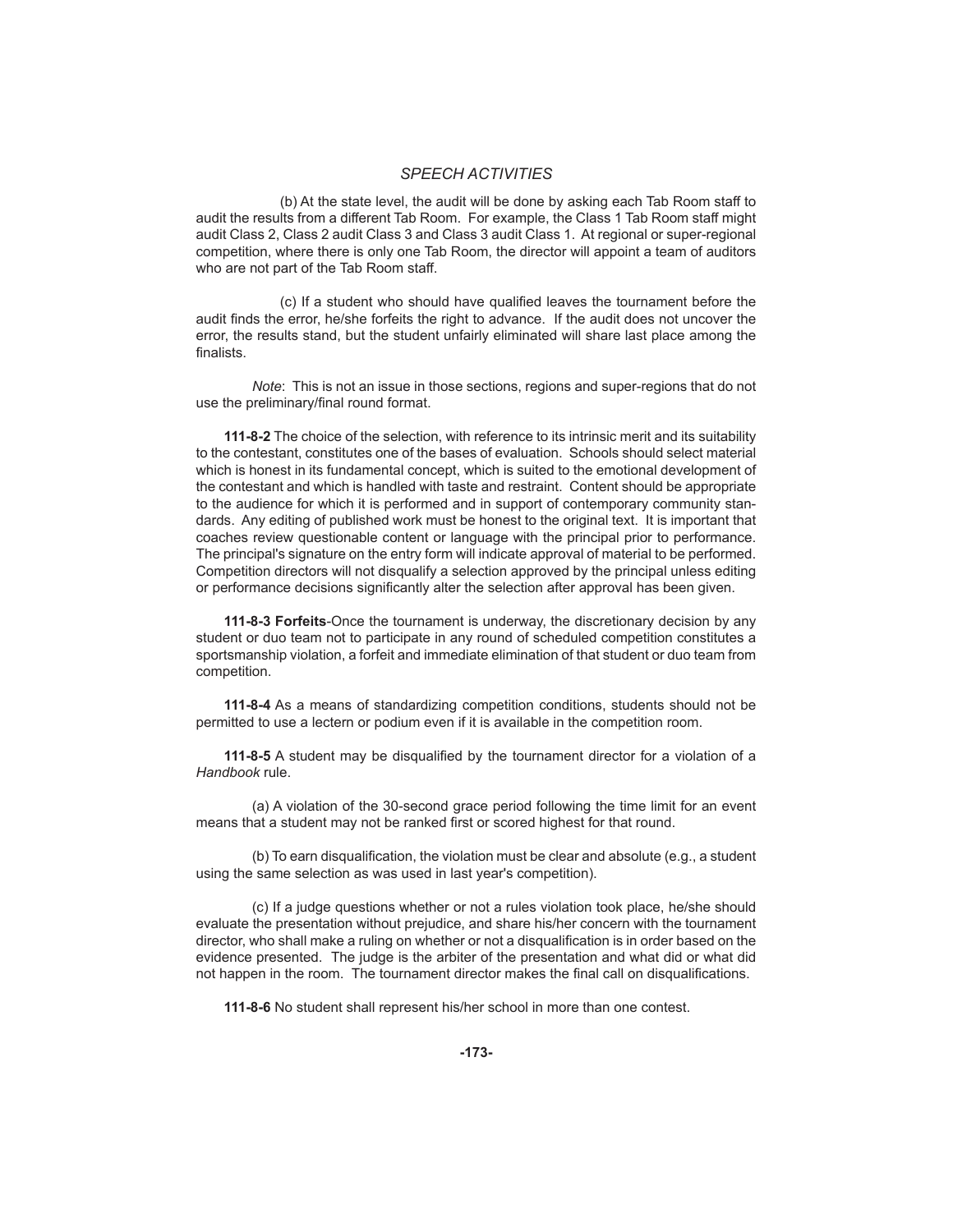# *SPEECH ACTIVITIES*

 (b) At the state level, the audit will be done by asking each Tab Room staff to audit the results from a different Tab Room. For example, the Class 1 Tab Room staff might audit Class 2, Class 2 audit Class 3 and Class 3 audit Class 1. At regional or super-regional competition, where there is only one Tab Room, the director will appoint a team of auditors who are not part of the Tab Room staff.

(c) If a student who should have qualified leaves the tournament before the audit finds the error, he/she forfeits the right to advance. If the audit does not uncover the error, the results stand, but the student unfairly eliminated will share last place among the finalists.

 *Note*: This is not an issue in those sections, regions and super-regions that do not use the preliminary/final round format.

**111-8-2** The choice of the selection, with reference to its intrinsic merit and its suitability to the contestant, constitutes one of the bases of evaluation. Schools should select material which is honest in its fundamental concept, which is suited to the emotional development of the contestant and which is handled with taste and restraint. Content should be appropriate to the audience for which it is performed and in support of contemporary community standards. Any editing of published work must be honest to the original text. It is important that coaches review questionable content or language with the principal prior to performance. The principal's signature on the entry form will indicate approval of material to be performed. Competition directors will not disqualify a selection approved by the principal unless editing or performance decisions significantly alter the selection after approval has been given.

**111-8-3 Forfeits**-Once the tournament is underway, the discretionary decision by any student or duo team not to participate in any round of scheduled competition constitutes a sportsmanship violation, a forfeit and immediate elimination of that student or duo team from competition.

**111-8-4** As a means of standardizing competition conditions, students should not be permitted to use a lectern or podium even if it is available in the competition room.

**111-8-5** A student may be disqualified by the tournament director for a violation of a *Handbook* rule.

 (a) A violation of the 30-second grace period following the time limit for an event means that a student may not be ranked first or scored highest for that round.

(b) To earn disqualification, the violation must be clear and absolute (e.g., a student using the same selection as was used in last year's competition).

 (c) If a judge questions whether or not a rules violation took place, he/she should evaluate the presentation without prejudice, and share his/her concern with the tournament director, who shall make a ruling on whether or not a disqualification is in order based on the evidence presented. The judge is the arbiter of the presentation and what did or what did not happen in the room. The tournament director makes the final call on disqualifications.

**111-8-6** No student shall represent his/her school in more than one contest.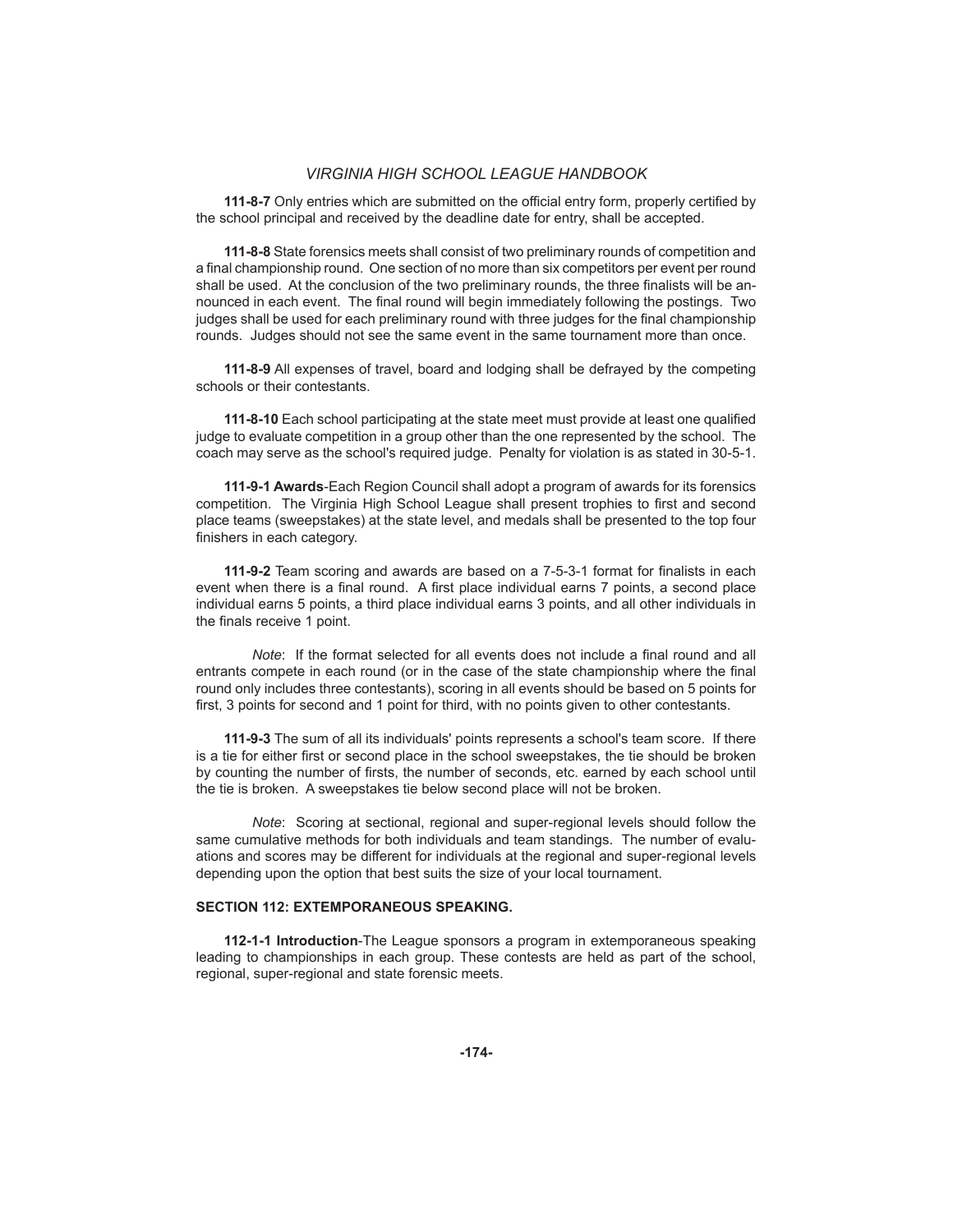**111-8-7** Only entries which are submitted on the official entry form, properly certified by the school principal and received by the deadline date for entry, shall be accepted.

**111-8-8** State forensics meets shall consist of two preliminary rounds of competition and a final championship round. One section of no more than six competitors per event per round shall be used. At the conclusion of the two preliminary rounds, the three finalists will be announced in each event. The final round will begin immediately following the postings. Two judges shall be used for each preliminary round with three judges for the final championship rounds. Judges should not see the same event in the same tournament more than once.

**111-8-9** All expenses of travel, board and lodging shall be defrayed by the competing schools or their contestants.

**111-8-10** Each school participating at the state meet must provide at least one qualified judge to evaluate competition in a group other than the one represented by the school. The coach may serve as the school's required judge. Penalty for violation is as stated in 30-5-1.

**111-9-1 Awards**-Each Region Council shall adopt a program of awards for its forensics competition. The Virginia High School League shall present trophies to first and second place teams (sweepstakes) at the state level, and medals shall be presented to the top four finishers in each category.

**111-9-2** Team scoring and awards are based on a 7-5-3-1 format for finalists in each event when there is a final round. A first place individual earns 7 points, a second place individual earns 5 points, a third place individual earns 3 points, and all other individuals in the finals receive 1 point.

*Note*: If the format selected for all events does not include a final round and all entrants compete in each round (or in the case of the state championship where the final round only includes three contestants), scoring in all events should be based on 5 points for first, 3 points for second and 1 point for third, with no points given to other contestants.

**111-9-3** The sum of all its individuals' points represents a school's team score. If there is a tie for either first or second place in the school sweepstakes, the tie should be broken by counting the number of firsts, the number of seconds, etc. earned by each school until the tie is broken. A sweepstakes tie below second place will not be broken.

 *Note*: Scoring at sectional, regional and super-regional levels should follow the same cumulative methods for both individuals and team standings. The number of evaluations and scores may be different for individuals at the regional and super-regional levels depending upon the option that best suits the size of your local tournament.

### **SECTION 112: EXTEMPORANEOUS SPEAKING.**

**112-1-1 Introduction**-The League sponsors a program in extemporaneous speaking leading to championships in each group. These contests are held as part of the school, regional, super-regional and state forensic meets.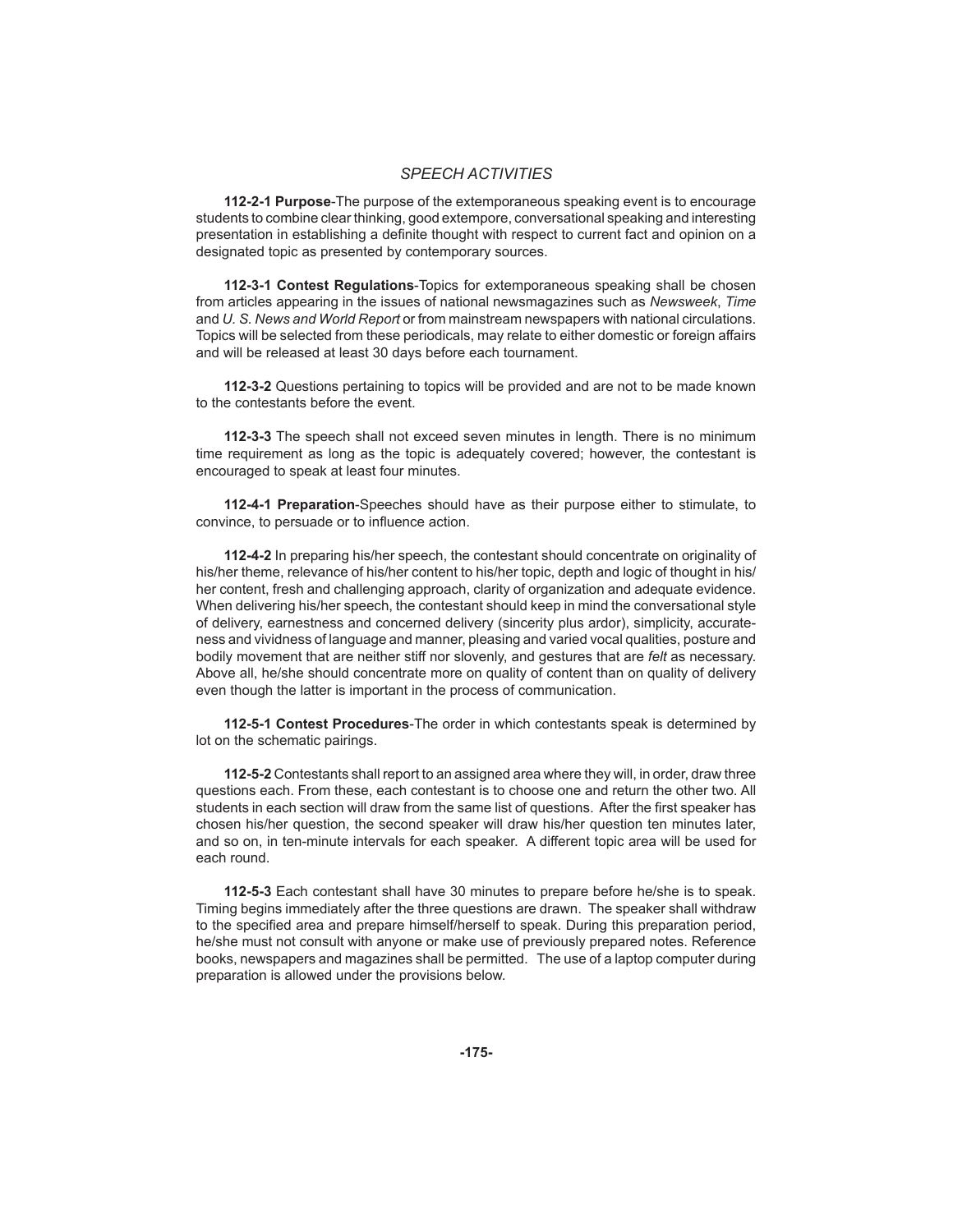# *SPEECH ACTIVITIES*

**112-2-1 Purpose**-The purpose of the extemporaneous speaking event is to encourage students to combine clear thinking, good extempore, conversational speaking and interesting presentation in establishing a definite thought with respect to current fact and opinion on a designated topic as presented by contemporary sources.

**112-3-1 Contest Regulations**-Topics for extemporaneous speaking shall be chosen from articles appearing in the issues of national newsmagazines such as *Newsweek*, *Time* and *U. S. News and World Report* or from mainstream newspapers with national circulations. Topics will be selected from these periodicals, may relate to either domestic or foreign affairs and will be released at least 30 days before each tournament.

**112-3-2** Questions pertaining to topics will be provided and are not to be made known to the contestants before the event.

**112-3-3** The speech shall not exceed seven minutes in length. There is no minimum time requirement as long as the topic is adequately covered; however, the contestant is encouraged to speak at least four minutes.

**112-4-1 Preparation**-Speeches should have as their purpose either to stimulate, to convince, to persuade or to influence action.

**112-4-2** In preparing his/her speech, the contestant should concentrate on originality of his/her theme, relevance of his/her content to his/her topic, depth and logic of thought in his/ her content, fresh and challenging approach, clarity of organization and adequate evidence. When delivering his/her speech, the contestant should keep in mind the conversational style of delivery, earnestness and concerned delivery (sincerity plus ardor), simplicity, accurateness and vividness of language and manner, pleasing and varied vocal qualities, posture and bodily movement that are neither stiff nor slovenly, and gestures that are *felt* as necessary. Above all, he/she should concentrate more on quality of content than on quality of delivery even though the latter is important in the process of communication.

**112-5-1 Contest Procedures**-The order in which contestants speak is determined by lot on the schematic pairings.

**112-5-2** Contestants shall report to an assigned area where they will, in order, draw three questions each. From these, each contestant is to choose one and return the other two. All students in each section will draw from the same list of questions. After the first speaker has chosen his/her question, the second speaker will draw his/her question ten minutes later, and so on, in ten-minute intervals for each speaker. A different topic area will be used for each round.

**112-5-3** Each contestant shall have 30 minutes to prepare before he/she is to speak. Timing begins immediately after the three questions are drawn. The speaker shall withdraw to the specified area and prepare himself/herself to speak. During this preparation period, he/she must not consult with anyone or make use of previously prepared notes. Reference books, newspapers and magazines shall be permitted. The use of a laptop computer during preparation is allowed under the provisions below.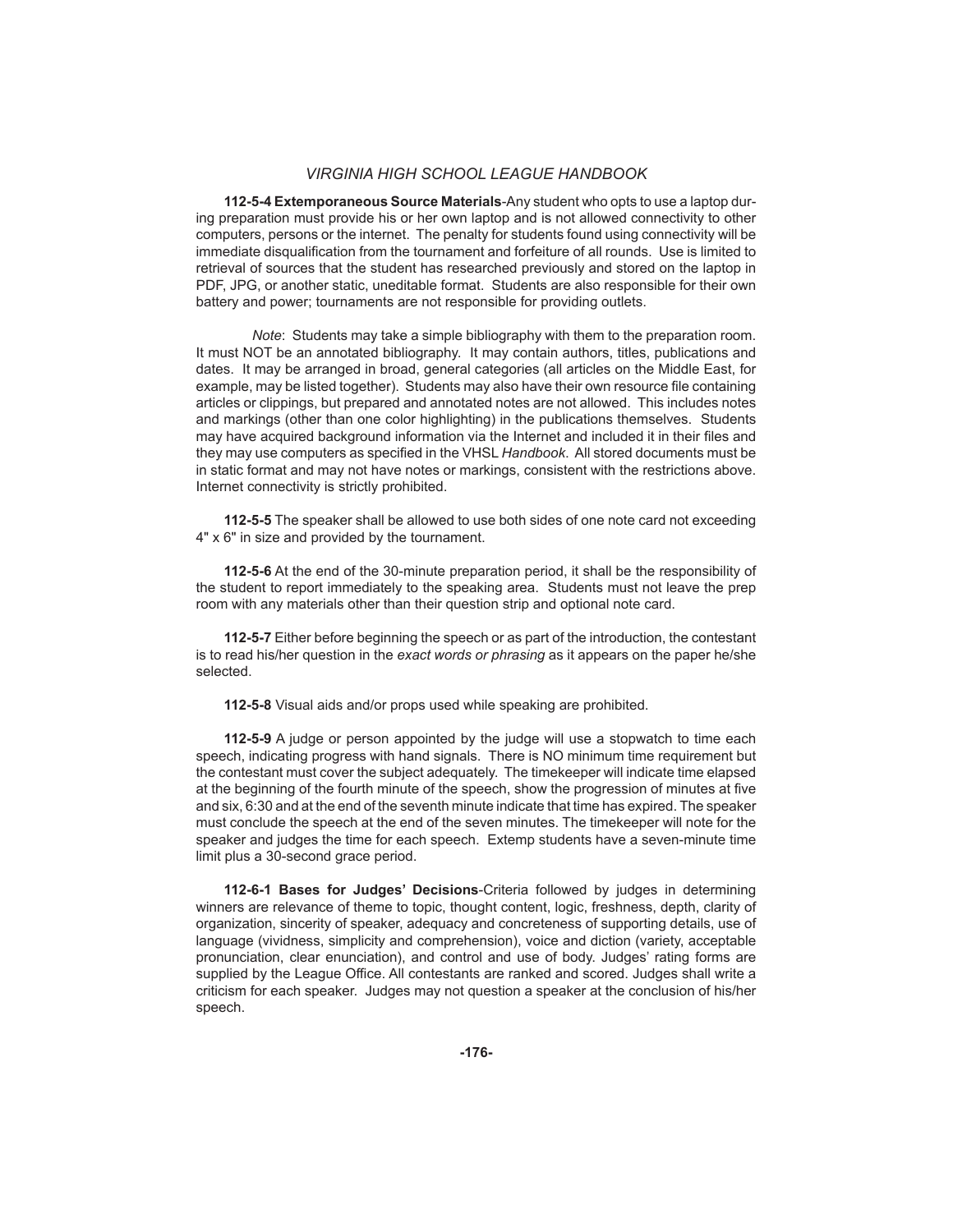**112-5-4 Extemporaneous Source Materials**-Any student who opts to use a laptop during preparation must provide his or her own laptop and is not allowed connectivity to other computers, persons or the internet. The penalty for students found using connectivity will be immediate disqualification from the tournament and forfeiture of all rounds. Use is limited to retrieval of sources that the student has researched previously and stored on the laptop in PDF, JPG, or another static, uneditable format. Students are also responsible for their own battery and power; tournaments are not responsible for providing outlets.

 *Note*: Students may take a simple bibliography with them to the preparation room. It must NOT be an annotated bibliography. It may contain authors, titles, publications and dates. It may be arranged in broad, general categories (all articles on the Middle East, for example, may be listed together). Students may also have their own resource file containing articles or clippings, but prepared and annotated notes are not allowed. This includes notes and markings (other than one color highlighting) in the publications themselves. Students may have acquired background information via the Internet and included it in their files and they may use computers as specified in the VHSL Handbook. All stored documents must be in static format and may not have notes or markings, consistent with the restrictions above. Internet connectivity is strictly prohibited.

**112-5-5** The speaker shall be allowed to use both sides of one note card not exceeding 4" x 6" in size and provided by the tournament.

**112-5-6** At the end of the 30-minute preparation period, it shall be the responsibility of the student to report immediately to the speaking area. Students must not leave the prep room with any materials other than their question strip and optional note card.

**112-5-7** Either before beginning the speech or as part of the introduction, the contestant is to read his/her question in the *exact words or phrasing* as it appears on the paper he/she selected.

**112-5-8** Visual aids and/or props used while speaking are prohibited.

**112-5-9** A judge or person appointed by the judge will use a stopwatch to time each speech, indicating progress with hand signals. There is NO minimum time requirement but the contestant must cover the subject adequately. The timekeeper will indicate time elapsed at the beginning of the fourth minute of the speech, show the progression of minutes at five and six, 6:30 and at the end of the seventh minute indicate that time has expired. The speaker must conclude the speech at the end of the seven minutes. The timekeeper will note for the speaker and judges the time for each speech. Extemp students have a seven-minute time limit plus a 30-second grace period.

**112-6-1 Bases for Judges' Decisions**-Criteria followed by judges in determining winners are relevance of theme to topic, thought content, logic, freshness, depth, clarity of organization, sincerity of speaker, adequacy and concreteness of supporting details, use of language (vividness, simplicity and comprehension), voice and diction (variety, acceptable pronunciation, clear enunciation), and control and use of body. Judges' rating forms are supplied by the League Office. All contestants are ranked and scored. Judges shall write a criticism for each speaker. Judges may not question a speaker at the conclusion of his/her speech.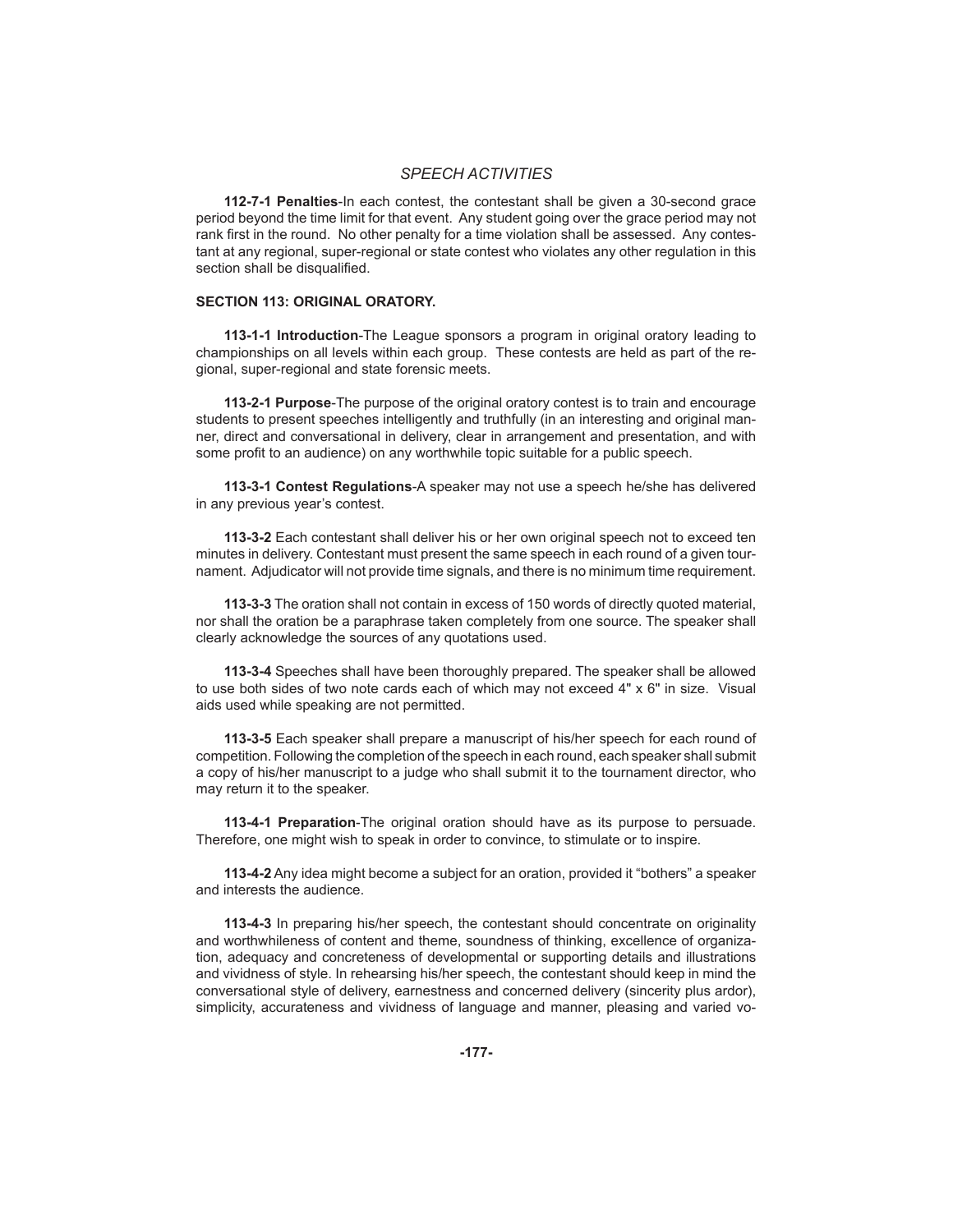# *SPEECH ACTIVITIES*

**112-7-1 Penalties**-In each contest, the contestant shall be given a 30-second grace period beyond the time limit for that event. Any student going over the grace period may not rank first in the round. No other penalty for a time violation shall be assessed. Any contestant at any regional, super-regional or state contest who violates any other regulation in this section shall be disqualified.

### **SECTION 113: ORIGINAL ORATORY.**

**113-1-1 Introduction**-The League sponsors a program in original oratory leading to championships on all levels within each group. These contests are held as part of the regional, super-regional and state forensic meets.

**113-2-1 Purpose**-The purpose of the original oratory contest is to train and encourage students to present speeches intelligently and truthfully (in an interesting and original manner, direct and conversational in delivery, clear in arrangement and presentation, and with some profit to an audience) on any worthwhile topic suitable for a public speech.

**113-3-1 Contest Regulations**-A speaker may not use a speech he/she has delivered in any previous year's contest.

**113-3-2** Each contestant shall deliver his or her own original speech not to exceed ten minutes in delivery. Contestant must present the same speech in each round of a given tournament. Adjudicator will not provide time signals, and there is no minimum time requirement.

**113-3-3** The oration shall not contain in excess of 150 words of directly quoted material, nor shall the oration be a paraphrase taken completely from one source. The speaker shall clearly acknowledge the sources of any quotations used.

**113-3-4** Speeches shall have been thoroughly prepared. The speaker shall be allowed to use both sides of two note cards each of which may not exceed 4" x 6" in size. Visual aids used while speaking are not permitted.

**113-3-5** Each speaker shall prepare a manuscript of his/her speech for each round of competition. Following the completion of the speech in each round, each speaker shall submit a copy of his/her manuscript to a judge who shall submit it to the tournament director, who may return it to the speaker.

**113-4-1 Preparation**-The original oration should have as its purpose to persuade. Therefore, one might wish to speak in order to convince, to stimulate or to inspire.

**113-4-2** Any idea might become a subject for an oration, provided it "bothers" a speaker and interests the audience.

**113-4-3** In preparing his/her speech, the contestant should concentrate on originality and worthwhileness of content and theme, soundness of thinking, excellence of organization, adequacy and concreteness of developmental or supporting details and illustrations and vividness of style. In rehearsing his/her speech, the contestant should keep in mind the conversational style of delivery, earnestness and concerned delivery (sincerity plus ardor), simplicity, accurateness and vividness of language and manner, pleasing and varied vo-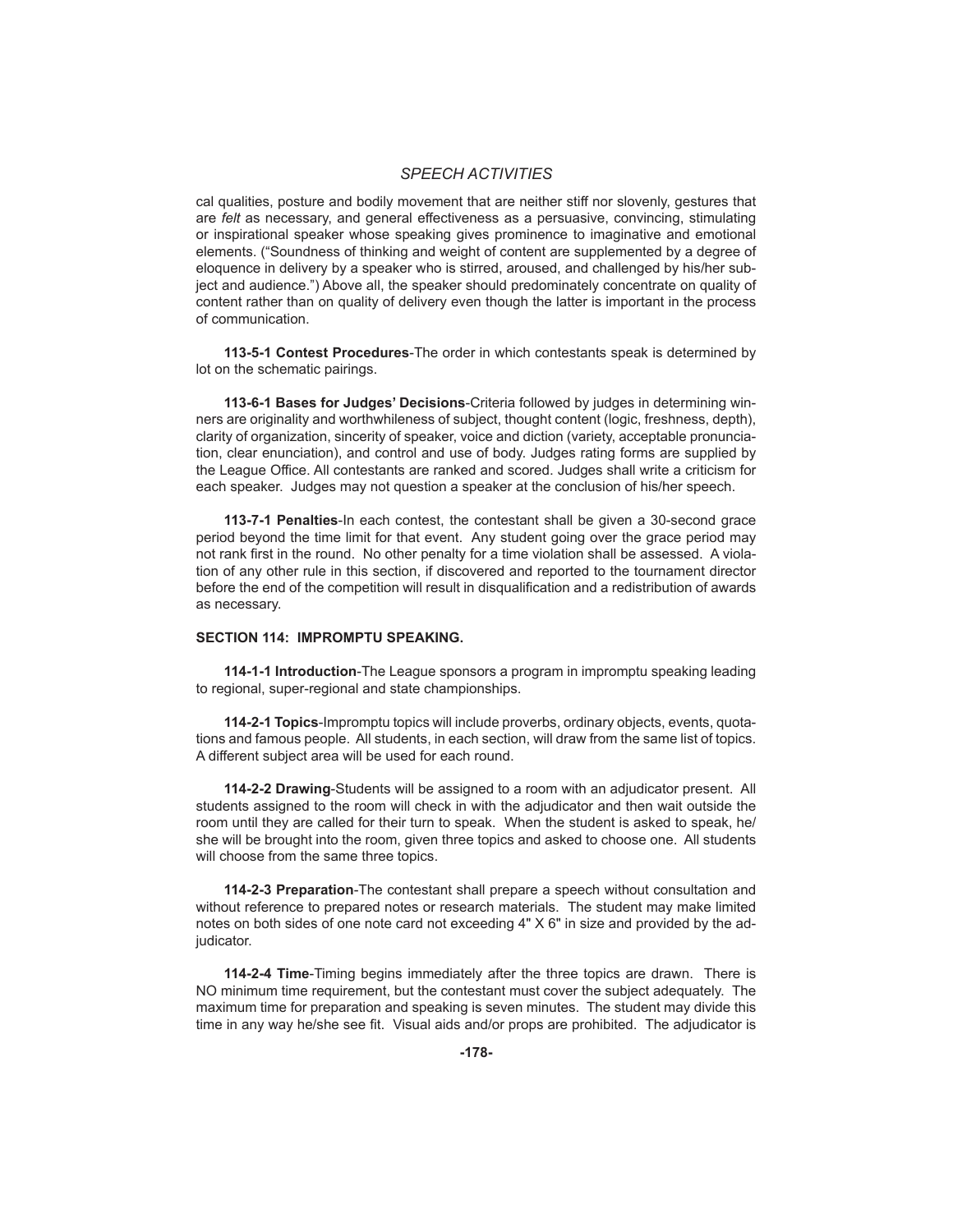# *SPEECH ACTIVITIES*

cal qualities, posture and bodily movement that are neither stiff nor slovenly, gestures that are *felt* as necessary, and general effectiveness as a persuasive, convincing, stimulating or inspirational speaker whose speaking gives prominence to imaginative and emotional elements. ("Soundness of thinking and weight of content are supplemented by a degree of eloquence in delivery by a speaker who is stirred, aroused, and challenged by his/her subject and audience.") Above all, the speaker should predominately concentrate on quality of content rather than on quality of delivery even though the latter is important in the process of communication.

**113-5-1 Contest Procedures**-The order in which contestants speak is determined by lot on the schematic pairings.

**113-6-1 Bases for Judges' Decisions**-Criteria followed by judges in determining winners are originality and worthwhileness of subject, thought content (logic, freshness, depth), clarity of organization, sincerity of speaker, voice and diction (variety, acceptable pronunciation, clear enunciation), and control and use of body. Judges rating forms are supplied by the League Office. All contestants are ranked and scored. Judges shall write a criticism for each speaker. Judges may not question a speaker at the conclusion of his/her speech.

**113-7-1 Penalties**-In each contest, the contestant shall be given a 30-second grace period beyond the time limit for that event. Any student going over the grace period may not rank first in the round. No other penalty for a time violation shall be assessed. A violation of any other rule in this section, if discovered and reported to the tournament director before the end of the competition will result in disqualification and a redistribution of awards as necessary.

### **SECTION 114: IMPROMPTU SPEAKING.**

**114-1-1 Introduction**-The League sponsors a program in impromptu speaking leading to regional, super-regional and state championships.

**114-2-1 Topics**-Impromptu topics will include proverbs, ordinary objects, events, quotations and famous people. All students, in each section, will draw from the same list of topics. A different subject area will be used for each round.

**114-2-2 Drawing**-Students will be assigned to a room with an adjudicator present. All students assigned to the room will check in with the adjudicator and then wait outside the room until they are called for their turn to speak. When the student is asked to speak, he/ she will be brought into the room, given three topics and asked to choose one. All students will choose from the same three topics.

**114-2-3 Preparation**-The contestant shall prepare a speech without consultation and without reference to prepared notes or research materials. The student may make limited notes on both sides of one note card not exceeding 4" X 6" in size and provided by the adjudicator.

**114-2-4 Time**-Timing begins immediately after the three topics are drawn. There is NO minimum time requirement, but the contestant must cover the subject adequately. The maximum time for preparation and speaking is seven minutes. The student may divide this time in any way he/she see fit. Visual aids and/or props are prohibited. The adjudicator is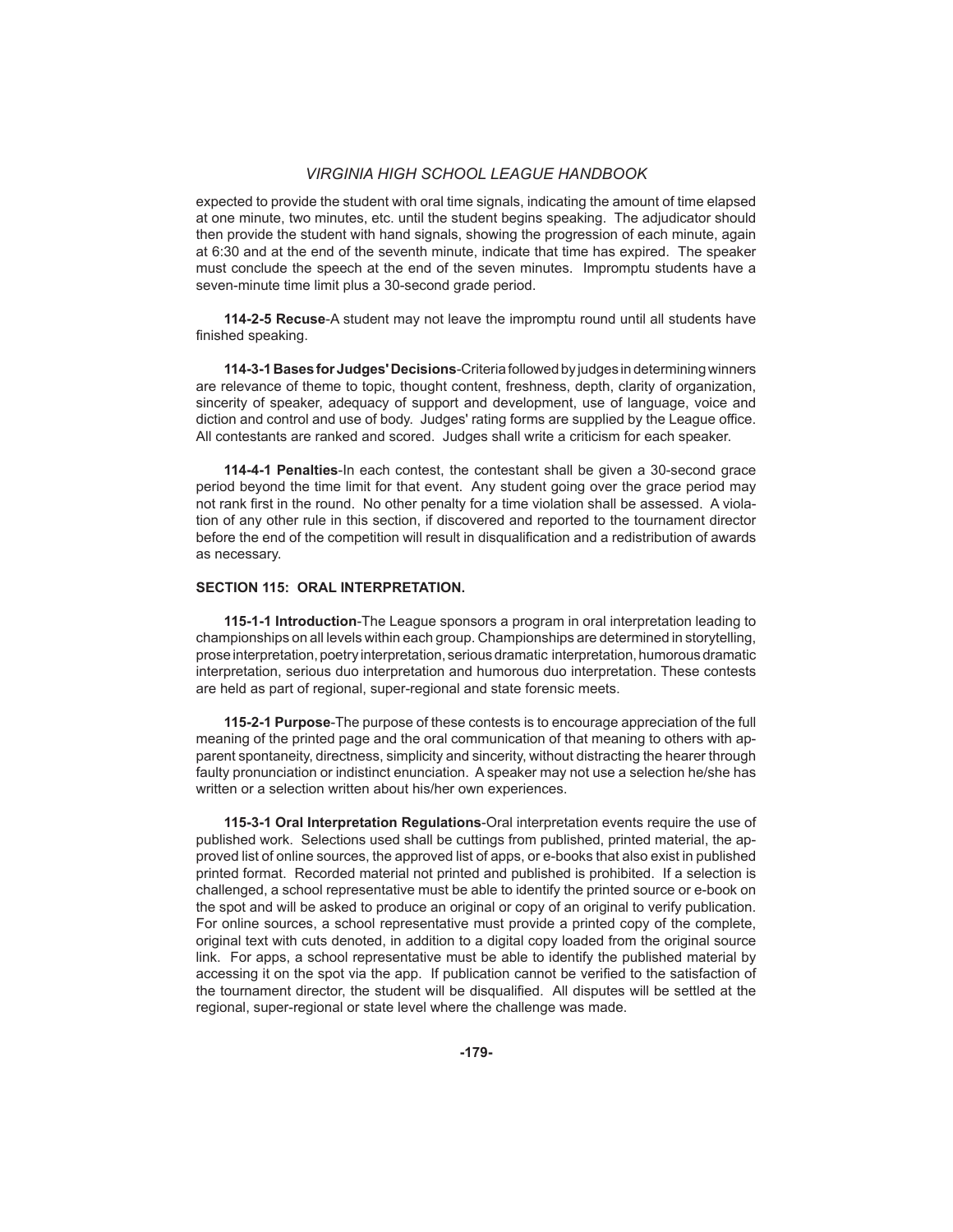expected to provide the student with oral time signals, indicating the amount of time elapsed at one minute, two minutes, etc. until the student begins speaking. The adjudicator should then provide the student with hand signals, showing the progression of each minute, again at 6:30 and at the end of the seventh minute, indicate that time has expired. The speaker must conclude the speech at the end of the seven minutes. Impromptu students have a seven-minute time limit plus a 30-second grade period.

**114-2-5 Recuse**-A student may not leave the impromptu round until all students have finished speaking.

**114-3-1 Bases for Judges' Decisions**-Criteria followed by judges in determining winners are relevance of theme to topic, thought content, freshness, depth, clarity of organization, sincerity of speaker, adequacy of support and development, use of language, voice and diction and control and use of body. Judges' rating forms are supplied by the League office. All contestants are ranked and scored. Judges shall write a criticism for each speaker.

**114-4-1 Penalties**-In each contest, the contestant shall be given a 30-second grace period beyond the time limit for that event. Any student going over the grace period may not rank first in the round. No other penalty for a time violation shall be assessed. A violation of any other rule in this section, if discovered and reported to the tournament director before the end of the competition will result in disqualification and a redistribution of awards as necessary.

### **SECTION 115: ORAL INTERPRETATION.**

**115-1-1 Introduction**-The League sponsors a program in oral interpretation leading to championships on all levels within each group. Championships are determined in storytelling, prose interpretation, poetry interpretation, serious dramatic interpretation, humorous dramatic interpretation, serious duo interpretation and humorous duo interpretation. These contests are held as part of regional, super-regional and state forensic meets.

**115-2-1 Purpose**-The purpose of these contests is to encourage appreciation of the full meaning of the printed page and the oral communication of that meaning to others with apparent spontaneity, directness, simplicity and sincerity, without distracting the hearer through faulty pronunciation or indistinct enunciation. A speaker may not use a selection he/she has written or a selection written about his/her own experiences.

**115-3-1 Oral Interpretation Regulations**-Oral interpretation events require the use of published work. Selections used shall be cuttings from published, printed material, the approved list of online sources, the approved list of apps, or e-books that also exist in published printed format. Recorded material not printed and published is prohibited. If a selection is challenged, a school representative must be able to identify the printed source or e-book on the spot and will be asked to produce an original or copy of an original to verify publication. For online sources, a school representative must provide a printed copy of the complete, original text with cuts denoted, in addition to a digital copy loaded from the original source link. For apps, a school representative must be able to identify the published material by accessing it on the spot via the app. If publication cannot be verified to the satisfaction of the tournament director, the student will be disqualified. All disputes will be settled at the regional, super-regional or state level where the challenge was made.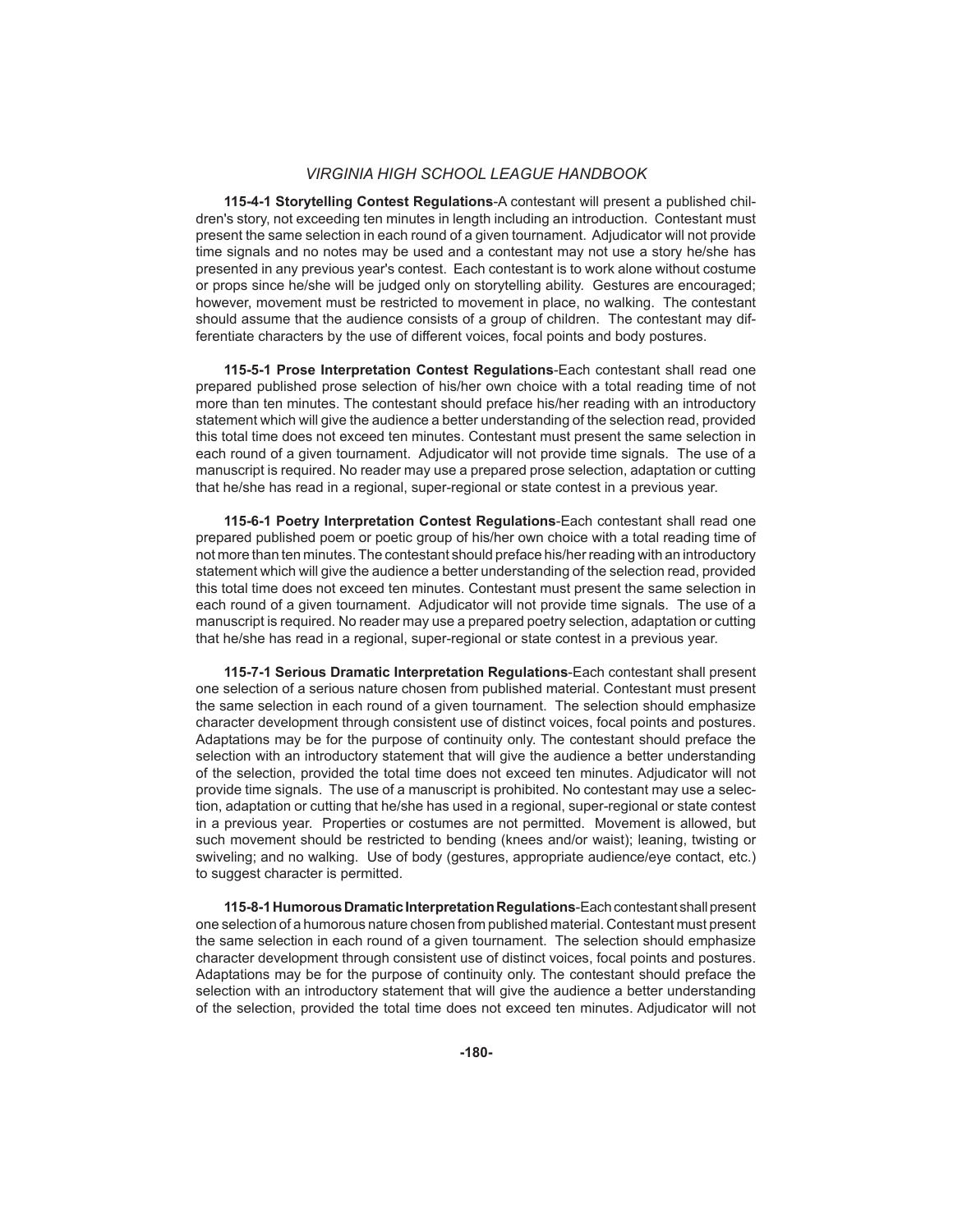**115-4-1 Storytelling Contest Regulations**-A contestant will present a published children's story, not exceeding ten minutes in length including an introduction. Contestant must present the same selection in each round of a given tournament. Adjudicator will not provide time signals and no notes may be used and a contestant may not use a story he/she has presented in any previous year's contest. Each contestant is to work alone without costume or props since he/she will be judged only on storytelling ability. Gestures are encouraged; however, movement must be restricted to movement in place, no walking. The contestant should assume that the audience consists of a group of children. The contestant may differentiate characters by the use of different voices, focal points and body postures.

**115-5-1 Prose Interpretation Contest Regulations**-Each contestant shall read one prepared published prose selection of his/her own choice with a total reading time of not more than ten minutes. The contestant should preface his/her reading with an introductory statement which will give the audience a better understanding of the selection read, provided this total time does not exceed ten minutes. Contestant must present the same selection in each round of a given tournament. Adjudicator will not provide time signals. The use of a manuscript is required. No reader may use a prepared prose selection, adaptation or cutting that he/she has read in a regional, super-regional or state contest in a previous year.

**115-6-1 Poetry Interpretation Contest Regulations**-Each contestant shall read one prepared published poem or poetic group of his/her own choice with a total reading time of not more than ten minutes. The contestant should preface his/her reading with an introductory statement which will give the audience a better understanding of the selection read, provided this total time does not exceed ten minutes. Contestant must present the same selection in each round of a given tournament. Adjudicator will not provide time signals. The use of a manuscript is required. No reader may use a prepared poetry selection, adaptation or cutting that he/she has read in a regional, super-regional or state contest in a previous year.

**115-7-1 Serious Dramatic Interpretation Regulations**-Each contestant shall present one selection of a serious nature chosen from published material. Contestant must present the same selection in each round of a given tournament. The selection should emphasize character development through consistent use of distinct voices, focal points and postures. Adaptations may be for the purpose of continuity only. The contestant should preface the selection with an introductory statement that will give the audience a better understanding of the selection, provided the total time does not exceed ten minutes. Adjudicator will not provide time signals. The use of a manuscript is prohibited. No contestant may use a selection, adaptation or cutting that he/she has used in a regional, super-regional or state contest in a previous year. Properties or costumes are not permitted. Movement is allowed, but such movement should be restricted to bending (knees and/or waist); leaning, twisting or swiveling; and no walking. Use of body (gestures, appropriate audience/eye contact, etc.) to suggest character is permitted.

**115-8-1 Humorous Dramatic Interpretation Regulations**-Each contestant shall present one selection of a humorous nature chosen from published material. Contestant must present the same selection in each round of a given tournament. The selection should emphasize character development through consistent use of distinct voices, focal points and postures. Adaptations may be for the purpose of continuity only. The contestant should preface the selection with an introductory statement that will give the audience a better understanding of the selection, provided the total time does not exceed ten minutes. Adjudicator will not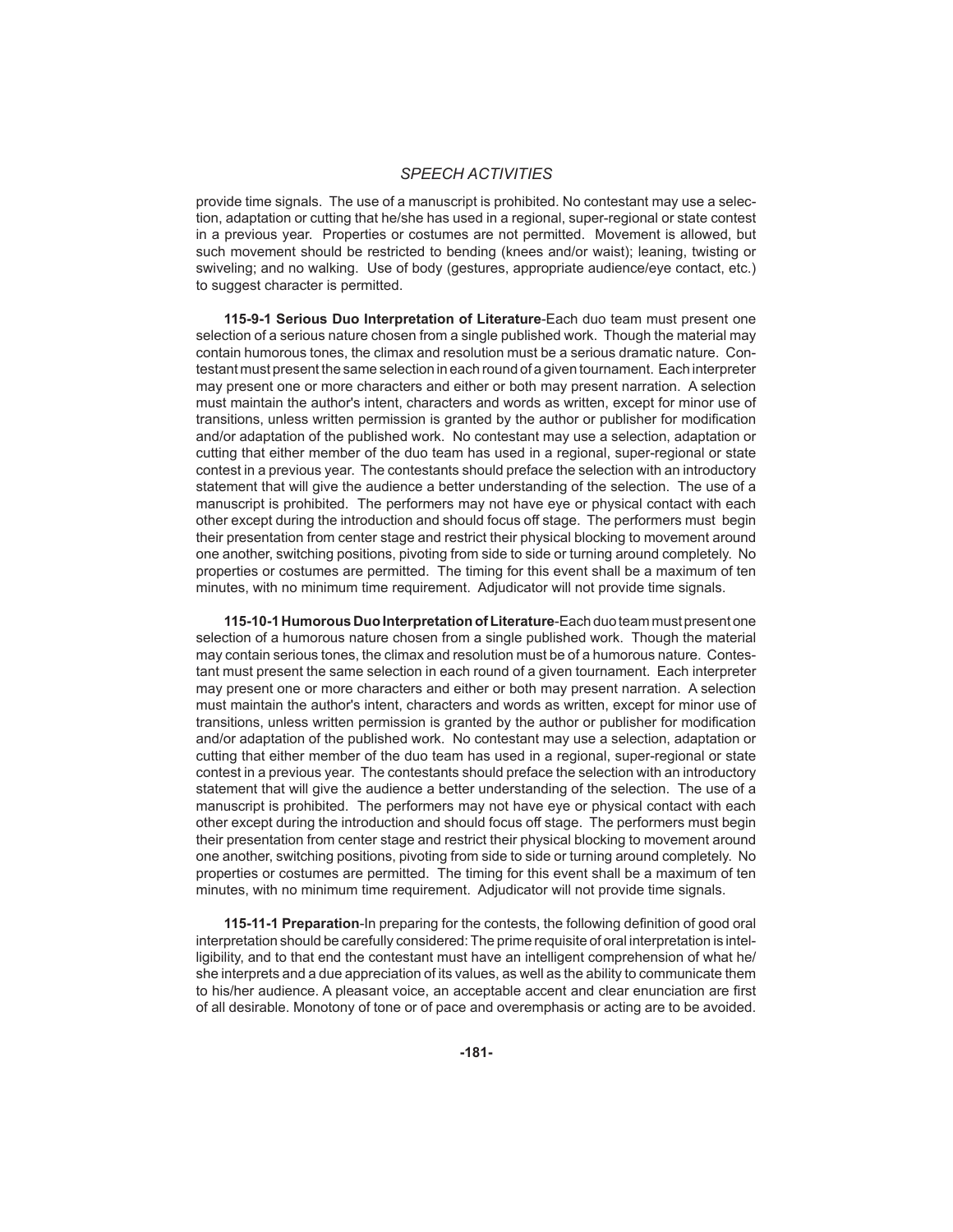# *SPEECH ACTIVITIES*

provide time signals. The use of a manuscript is prohibited. No contestant may use a selection, adaptation or cutting that he/she has used in a regional, super-regional or state contest in a previous year. Properties or costumes are not permitted. Movement is allowed, but such movement should be restricted to bending (knees and/or waist); leaning, twisting or swiveling; and no walking. Use of body (gestures, appropriate audience/eye contact, etc.) to suggest character is permitted.

**115-9-1 Serious Duo Interpretation of Literature**-Each duo team must present one selection of a serious nature chosen from a single published work. Though the material may contain humorous tones, the climax and resolution must be a serious dramatic nature. Contestant must present the same selection in each round of a given tournament. Each interpreter may present one or more characters and either or both may present narration. A selection must maintain the author's intent, characters and words as written, except for minor use of transitions, unless written permission is granted by the author or publisher for modification and/or adaptation of the published work. No contestant may use a selection, adaptation or cutting that either member of the duo team has used in a regional, super-regional or state contest in a previous year. The contestants should preface the selection with an introductory statement that will give the audience a better understanding of the selection. The use of a manuscript is prohibited. The performers may not have eye or physical contact with each other except during the introduction and should focus off stage. The performers must begin their presentation from center stage and restrict their physical blocking to movement around one another, switching positions, pivoting from side to side or turning around completely. No properties or costumes are permitted. The timing for this event shall be a maximum of ten minutes, with no minimum time requirement. Adjudicator will not provide time signals.

**115-10-1 Humorous Duo Interpretation of Literature**-Each duo team must present one selection of a humorous nature chosen from a single published work. Though the material may contain serious tones, the climax and resolution must be of a humorous nature. Contestant must present the same selection in each round of a given tournament. Each interpreter may present one or more characters and either or both may present narration. A selection must maintain the author's intent, characters and words as written, except for minor use of transitions, unless written permission is granted by the author or publisher for modification and/or adaptation of the published work. No contestant may use a selection, adaptation or cutting that either member of the duo team has used in a regional, super-regional or state contest in a previous year. The contestants should preface the selection with an introductory statement that will give the audience a better understanding of the selection. The use of a manuscript is prohibited. The performers may not have eye or physical contact with each other except during the introduction and should focus off stage. The performers must begin their presentation from center stage and restrict their physical blocking to movement around one another, switching positions, pivoting from side to side or turning around completely. No properties or costumes are permitted. The timing for this event shall be a maximum of ten minutes, with no minimum time requirement. Adjudicator will not provide time signals.

**115-11-1 Preparation-**In preparing for the contests, the following definition of good oral interpretation should be carefully considered: The prime requisite of oral interpretation is intelligibility, and to that end the contestant must have an intelligent comprehension of what he/ she interprets and a due appreciation of its values, as well as the ability to communicate them to his/her audience. A pleasant voice, an acceptable accent and clear enunciation are first of all desirable. Monotony of tone or of pace and overemphasis or acting are to be avoided.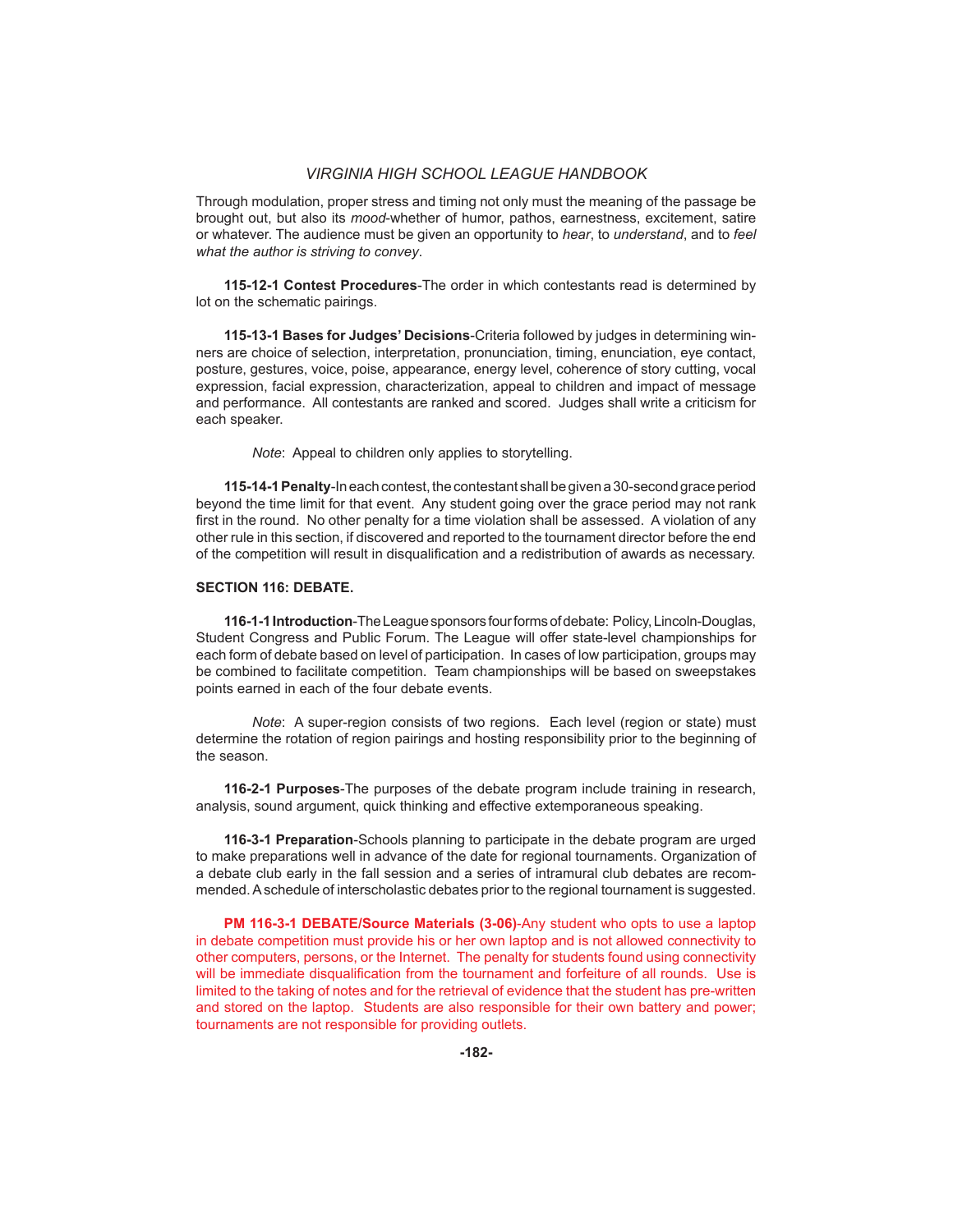Through modulation, proper stress and timing not only must the meaning of the passage be brought out, but also its *mood*-whether of humor, pathos, earnestness, excitement, satire or whatever. The audience must be given an opportunity to *hear*, to *understand*, and to *feel what the author is striving to convey*.

**115-12-1 Contest Procedures**-The order in which contestants read is determined by lot on the schematic pairings.

**115-13-1 Bases for Judges' Decisions**-Criteria followed by judges in determining winners are choice of selection, interpretation, pronunciation, timing, enunciation, eye contact, posture, gestures, voice, poise, appearance, energy level, coherence of story cutting, vocal expression, facial expression, characterization, appeal to children and impact of message and performance. All contestants are ranked and scored. Judges shall write a criticism for each speaker.

*Note*: Appeal to children only applies to storytelling.

**115-14-1 Penalty**-In each contest, the contestant shall be given a 30-second grace period beyond the time limit for that event. Any student going over the grace period may not rank first in the round. No other penalty for a time violation shall be assessed. A violation of any other rule in this section, if discovered and reported to the tournament director before the end of the competition will result in disqualification and a redistribution of awards as necessary.

#### **SECTION 116: DEBATE.**

**116-1-1 Introduction**-The League sponsors four forms of debate: Policy, Lincoln-Douglas, Student Congress and Public Forum. The League will offer state-level championships for each form of debate based on level of participation. In cases of low participation, groups may be combined to facilitate competition. Team championships will be based on sweepstakes points earned in each of the four debate events.

 *Note*: A super-region consists of two regions. Each level (region or state) must determine the rotation of region pairings and hosting responsibility prior to the beginning of the season.

**116-2-1 Purposes**-The purposes of the debate program include training in research, analysis, sound argument, quick thinking and effective extemporaneous speaking.

**116-3-1 Preparation**-Schools planning to participate in the debate program are urged to make preparations well in advance of the date for regional tournaments. Organization of a debate club early in the fall session and a series of intramural club debates are recommended. A schedule of interscholastic debates prior to the regional tournament is suggested.

 **PM 116-3-1 DEBATE/Source Materials (3-06)**-Any student who opts to use a laptop in debate competition must provide his or her own laptop and is not allowed connectivity to other computers, persons, or the Internet. The penalty for students found using connectivity will be immediate disqualification from the tournament and forfeiture of all rounds. Use is limited to the taking of notes and for the retrieval of evidence that the student has pre-written and stored on the laptop. Students are also responsible for their own battery and power; tournaments are not responsible for providing outlets.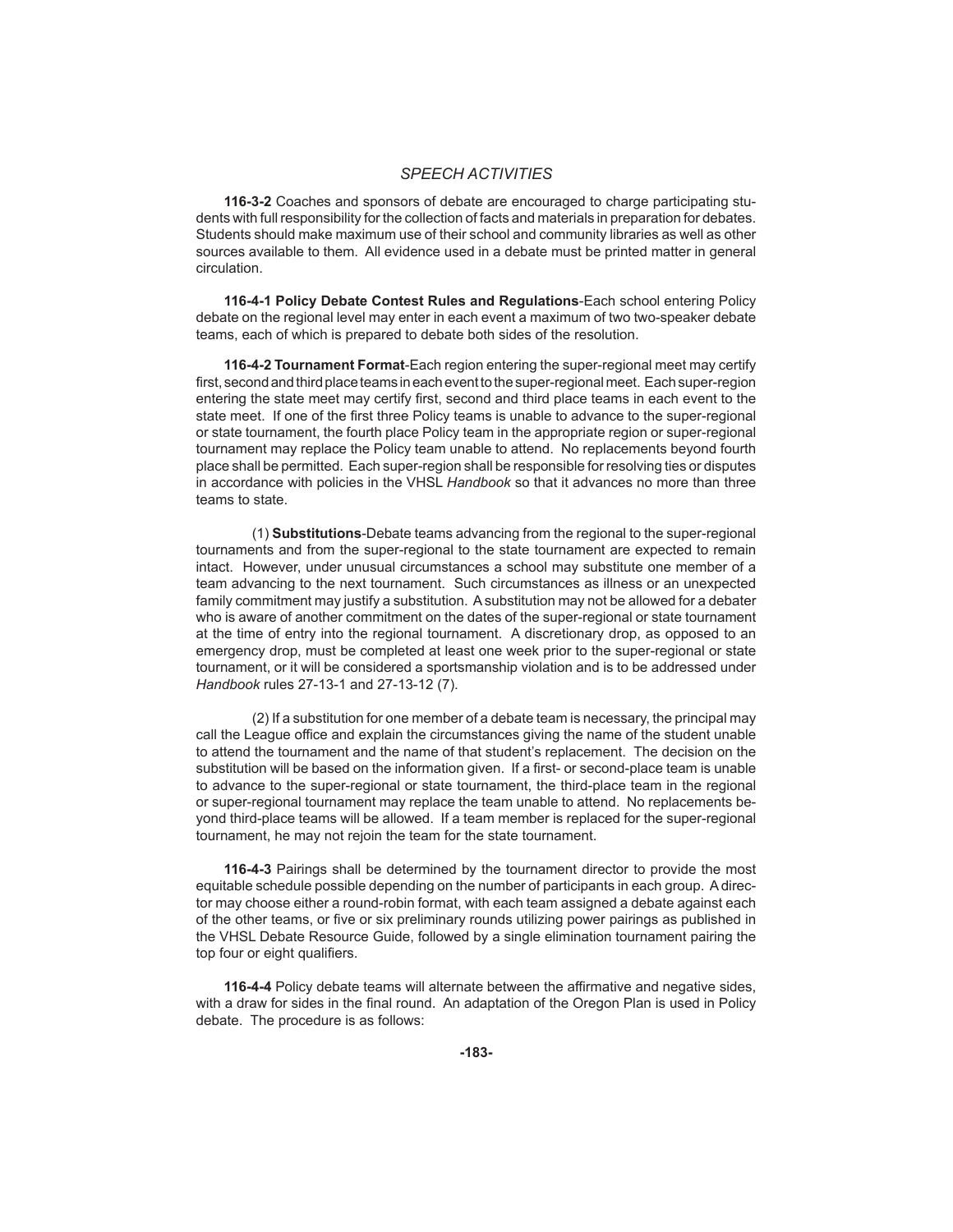# *SPEECH ACTIVITIES*

**116-3-2** Coaches and sponsors of debate are encouraged to charge participating students with full responsibility for the collection of facts and materials in preparation for debates. Students should make maximum use of their school and community libraries as well as other sources available to them. All evidence used in a debate must be printed matter in general circulation.

**116-4-1 Policy Debate Contest Rules and Regulations**-Each school entering Policy debate on the regional level may enter in each event a maximum of two two-speaker debate teams, each of which is prepared to debate both sides of the resolution.

**116-4-2 Tournament Format**-Each region entering the super-regional meet may certify first, second and third place teams in each event to the super-regional meet. Each super-region entering the state meet may certify first, second and third place teams in each event to the state meet. If one of the first three Policy teams is unable to advance to the super-regional or state tournament, the fourth place Policy team in the appropriate region or super-regional tournament may replace the Policy team unable to attend. No replacements beyond fourth place shall be permitted. Each super-region shall be responsible for resolving ties or disputes in accordance with policies in the VHSL *Handbook* so that it advances no more than three teams to state.

(1) **Substitutions**-Debate teams advancing from the regional to the super-regional tournaments and from the super-regional to the state tournament are expected to remain intact. However, under unusual circumstances a school may substitute one member of a team advancing to the next tournament. Such circumstances as illness or an unexpected family commitment may justify a substitution. A substitution may not be allowed for a debater who is aware of another commitment on the dates of the super-regional or state tournament at the time of entry into the regional tournament. A discretionary drop, as opposed to an emergency drop, must be completed at least one week prior to the super-regional or state tournament, or it will be considered a sportsmanship violation and is to be addressed under *Handbook* rules 27-13-1 and 27-13-12 (7).

 (2) If a substitution for one member of a debate team is necessary, the principal may call the League office and explain the circumstances giving the name of the student unable to attend the tournament and the name of that student's replacement. The decision on the substitution will be based on the information given. If a first- or second-place team is unable to advance to the super-regional or state tournament, the third-place team in the regional or super-regional tournament may replace the team unable to attend. No replacements beyond third-place teams will be allowed. If a team member is replaced for the super-regional tournament, he may not rejoin the team for the state tournament.

**116-4-3** Pairings shall be determined by the tournament director to provide the most equitable schedule possible depending on the number of participants in each group. A director may choose either a round-robin format, with each team assigned a debate against each of the other teams, or five or six preliminary rounds utilizing power pairings as published in the VHSL Debate Resource Guide, followed by a single elimination tournament pairing the top four or eight qualifiers.

**116-4-4** Policy debate teams will alternate between the affirmative and negative sides. with a draw for sides in the final round. An adaptation of the Oregon Plan is used in Policy debate. The procedure is as follows: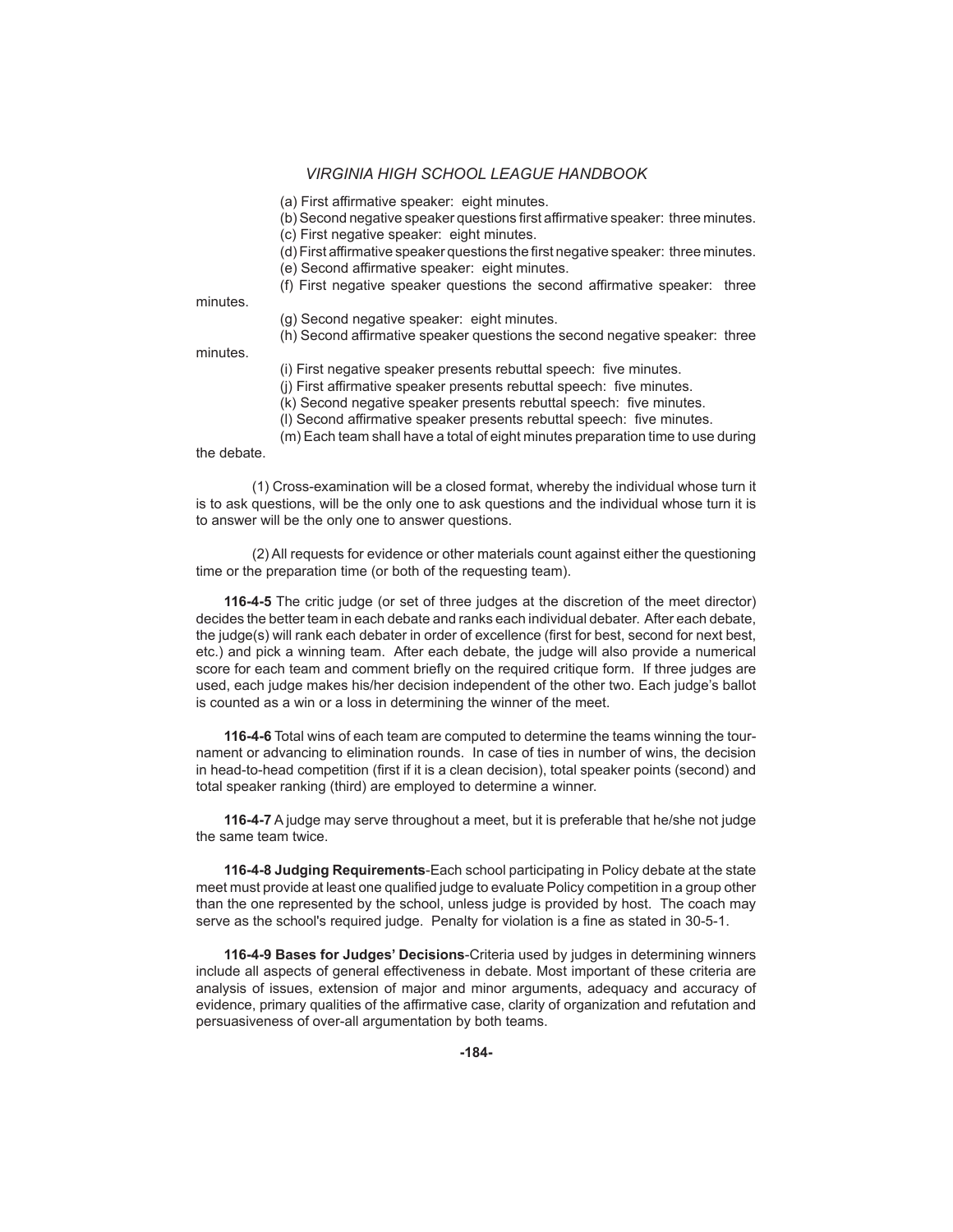(a) First affirmative speaker: eight minutes.

(b) Second negative speaker questions first affirmative speaker: three minutes.

- (c) First negative speaker: eight minutes.
- (d) First affirmative speaker questions the first negative speaker: three minutes.

(e) Second affirmative speaker: eight minutes.

(f) First negative speaker questions the second affirmative speaker: three

minutes.

(g) Second negative speaker: eight minutes.

(h) Second affirmative speaker questions the second negative speaker: three

minutes.

(i) First negative speaker presents rebuttal speech: five minutes.

(i) First affirmative speaker presents rebuttal speech: five minutes.

(k) Second negative speaker presents rebuttal speech: five minutes.

(I) Second affirmative speaker presents rebuttal speech: five minutes.

(m) Each team shall have a total of eight minutes preparation time to use during

the debate.

 (1) Cross-examination will be a closed format, whereby the individual whose turn it is to ask questions, will be the only one to ask questions and the individual whose turn it is to answer will be the only one to answer questions.

 (2) All requests for evidence or other materials count against either the questioning time or the preparation time (or both of the requesting team).

**116-4-5** The critic judge (or set of three judges at the discretion of the meet director) decides the better team in each debate and ranks each individual debater. After each debate, the judge(s) will rank each debater in order of excellence (first for best, second for next best, etc.) and pick a winning team. After each debate, the judge will also provide a numerical score for each team and comment briefly on the required critique form. If three judges are used, each judge makes his/her decision independent of the other two. Each judge's ballot is counted as a win or a loss in determining the winner of the meet.

**116-4-6** Total wins of each team are computed to determine the teams winning the tournament or advancing to elimination rounds. In case of ties in number of wins, the decision in head-to-head competition (first if it is a clean decision), total speaker points (second) and total speaker ranking (third) are employed to determine a winner.

**116-4-7** A judge may serve throughout a meet, but it is preferable that he/she not judge the same team twice.

**116-4-8 Judging Requirements**-Each school participating in Policy debate at the state meet must provide at least one qualified judge to evaluate Policy competition in a group other than the one represented by the school, unless judge is provided by host. The coach may serve as the school's required judge. Penalty for violation is a fine as stated in 30-5-1.

**116-4-9 Bases for Judges' Decisions**-Criteria used by judges in determining winners include all aspects of general effectiveness in debate. Most important of these criteria are analysis of issues, extension of major and minor arguments, adequacy and accuracy of evidence, primary qualities of the affirmative case, clarity of organization and refutation and persuasiveness of over-all argumentation by both teams.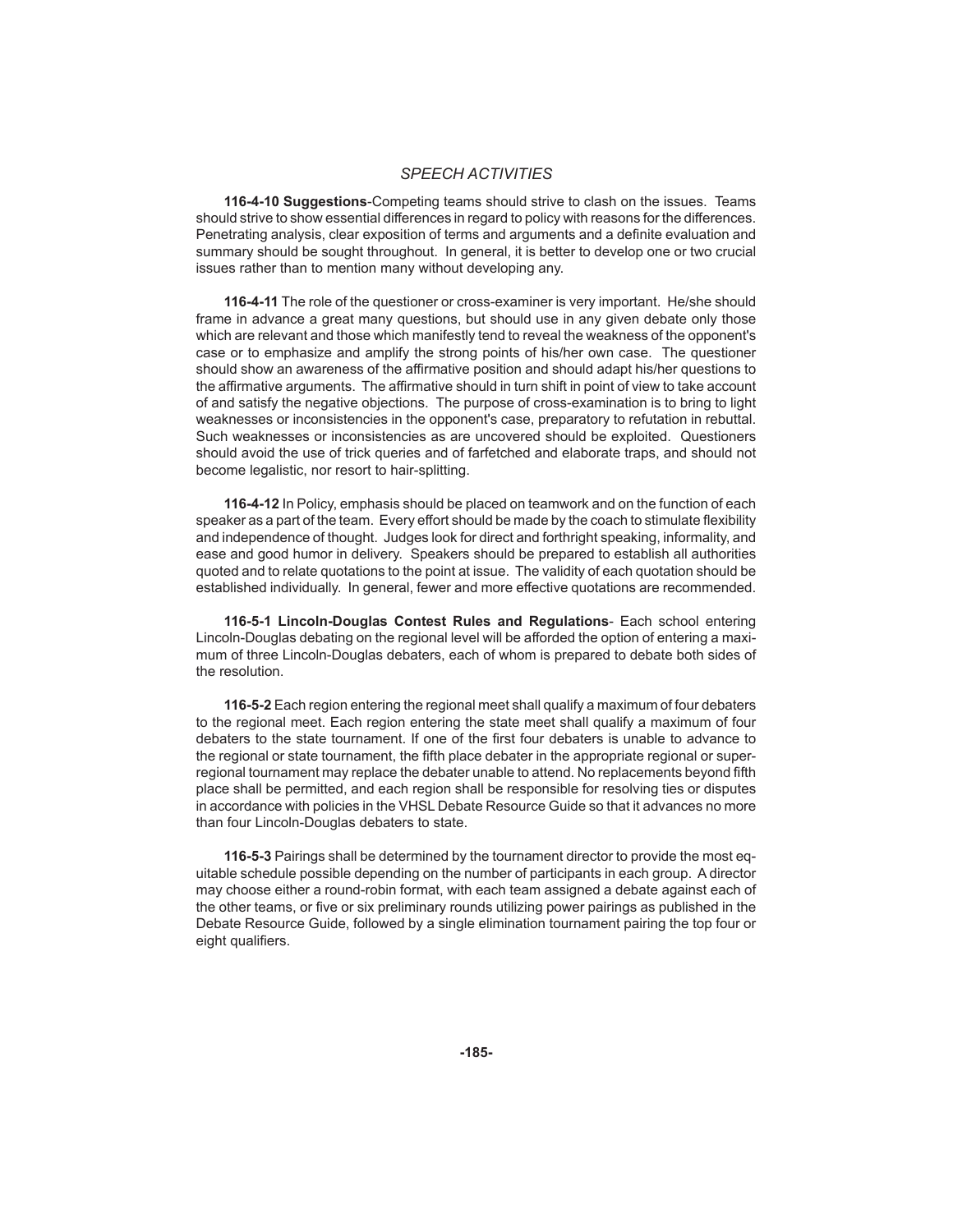# *SPEECH ACTIVITIES*

**116-4-10 Suggestions**-Competing teams should strive to clash on the issues. Teams should strive to show essential differences in regard to policy with reasons for the differences. Penetrating analysis, clear exposition of terms and arguments and a definite evaluation and summary should be sought throughout. In general, it is better to develop one or two crucial issues rather than to mention many without developing any.

**116-4-11** The role of the questioner or cross-examiner is very important. He/she should frame in advance a great many questions, but should use in any given debate only those which are relevant and those which manifestly tend to reveal the weakness of the opponent's case or to emphasize and amplify the strong points of his/her own case. The questioner should show an awareness of the affirmative position and should adapt his/her questions to the affirmative arguments. The affirmative should in turn shift in point of view to take account of and satisfy the negative objections. The purpose of cross-examination is to bring to light weaknesses or inconsistencies in the opponent's case, preparatory to refutation in rebuttal. Such weaknesses or inconsistencies as are uncovered should be exploited. Questioners should avoid the use of trick queries and of farfetched and elaborate traps, and should not become legalistic, nor resort to hair-splitting.

**116-4-12** In Policy, emphasis should be placed on teamwork and on the function of each speaker as a part of the team. Every effort should be made by the coach to stimulate flexibility and independence of thought. Judges look for direct and forthright speaking, informality, and ease and good humor in delivery. Speakers should be prepared to establish all authorities quoted and to relate quotations to the point at issue. The validity of each quotation should be established individually. In general, fewer and more effective quotations are recommended.

**116-5-1 Lincoln-Douglas Contest Rules and Regulations**- Each school entering Lincoln-Douglas debating on the regional level will be afforded the option of entering a maximum of three Lincoln-Douglas debaters, each of whom is prepared to debate both sides of the resolution.

**116-5-2** Each region entering the regional meet shall qualify a maximum of four debaters to the regional meet. Each region entering the state meet shall qualify a maximum of four debaters to the state tournament. If one of the first four debaters is unable to advance to the regional or state tournament, the fifth place debater in the appropriate regional or superregional tournament may replace the debater unable to attend. No replacements beyond fifth place shall be permitted, and each region shall be responsible for resolving ties or disputes in accordance with policies in the VHSL Debate Resource Guide so that it advances no more than four Lincoln-Douglas debaters to state.

**116-5-3** Pairings shall be determined by the tournament director to provide the most equitable schedule possible depending on the number of participants in each group. A director may choose either a round-robin format, with each team assigned a debate against each of the other teams, or five or six preliminary rounds utilizing power pairings as published in the Debate Resource Guide, followed by a single elimination tournament pairing the top four or eight qualifiers.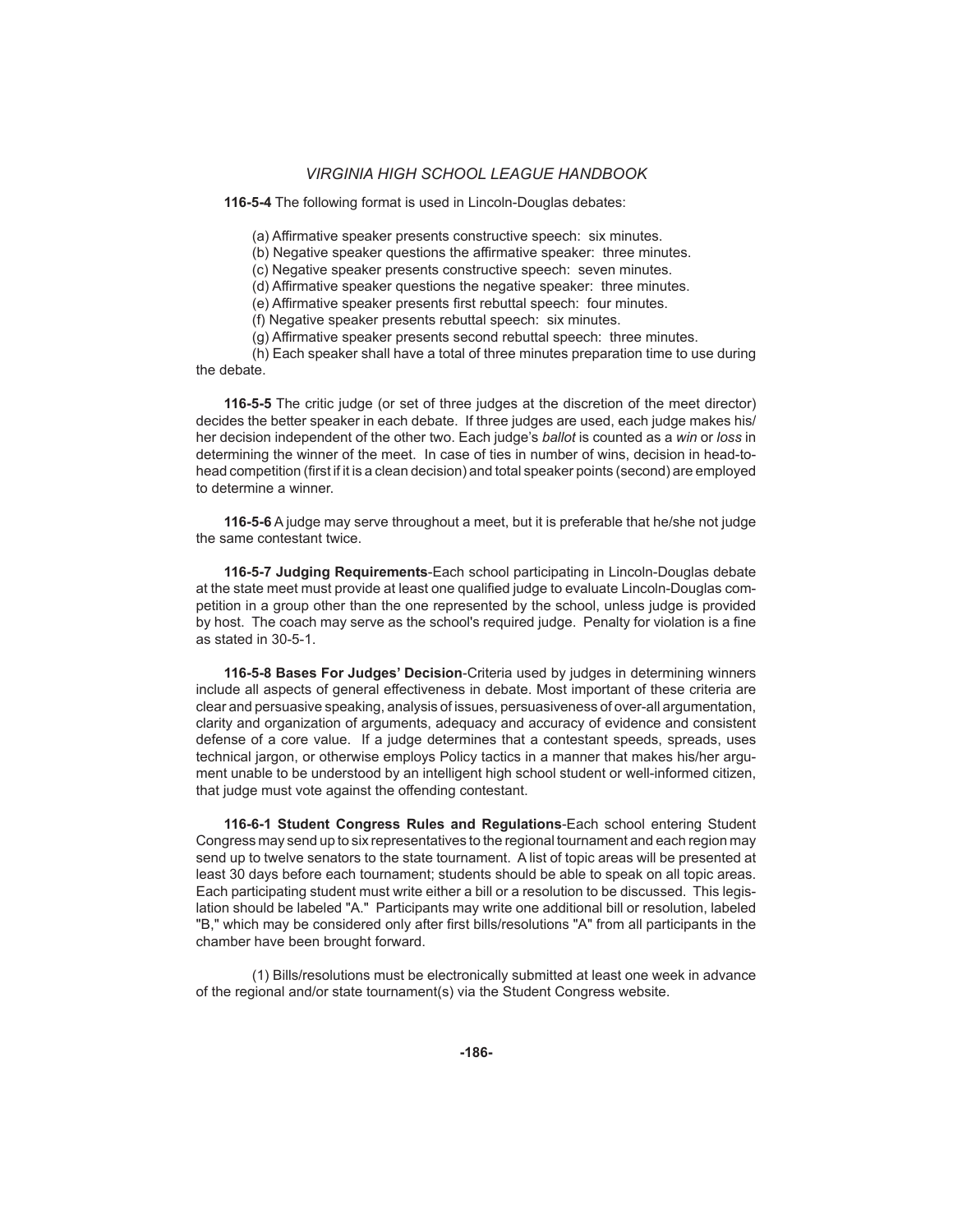**116-5-4** The following format is used in Lincoln-Douglas debates:

(a) Affirmative speaker presents constructive speech: six minutes.

(b) Negative speaker questions the affirmative speaker: three minutes.

(c) Negative speaker presents constructive speech: seven minutes.

(d) Affirmative speaker questions the negative speaker: three minutes.

(e) Affirmative speaker presents first rebuttal speech: four minutes.

(f) Negative speaker presents rebuttal speech: six minutes.

(g) Affirmative speaker presents second rebuttal speech: three minutes.

 (h) Each speaker shall have a total of three minutes preparation time to use during the debate.

**116-5-5** The critic judge (or set of three judges at the discretion of the meet director) decides the better speaker in each debate. If three judges are used, each judge makes his/ her decision independent of the other two. Each judge's *ballot* is counted as a *win* or *loss* in determining the winner of the meet. In case of ties in number of wins, decision in head-tohead competition (first if it is a clean decision) and total speaker points (second) are employed to determine a winner.

**116-5-6** A judge may serve throughout a meet, but it is preferable that he/she not judge the same contestant twice.

**116-5-7 Judging Requirements**-Each school participating in Lincoln-Douglas debate at the state meet must provide at least one qualified judge to evaluate Lincoln-Douglas competition in a group other than the one represented by the school, unless judge is provided by host. The coach may serve as the school's required judge. Penalty for violation is a fine as stated in 30-5-1.

**116-5-8 Bases For Judges' Decision**-Criteria used by judges in determining winners include all aspects of general effectiveness in debate. Most important of these criteria are clear and persuasive speaking, analysis of issues, persuasiveness of over-all argumentation, clarity and organization of arguments, adequacy and accuracy of evidence and consistent defense of a core value. If a judge determines that a contestant speeds, spreads, uses technical jargon, or otherwise employs Policy tactics in a manner that makes his/her argument unable to be understood by an intelligent high school student or well-informed citizen, that judge must vote against the offending contestant.

**116-6-1 Student Congress Rules and Regulations**-Each school entering Student Congress may send up to six representatives to the regional tournament and each region may send up to twelve senators to the state tournament. A list of topic areas will be presented at least 30 days before each tournament; students should be able to speak on all topic areas. Each participating student must write either a bill or a resolution to be discussed. This legislation should be labeled "A." Participants may write one additional bill or resolution, labeled "B," which may be considered only after first bills/resolutions "A" from all participants in the chamber have been brought forward.

 (1) Bills/resolutions must be electronically submitted at least one week in advance of the regional and/or state tournament(s) via the Student Congress website.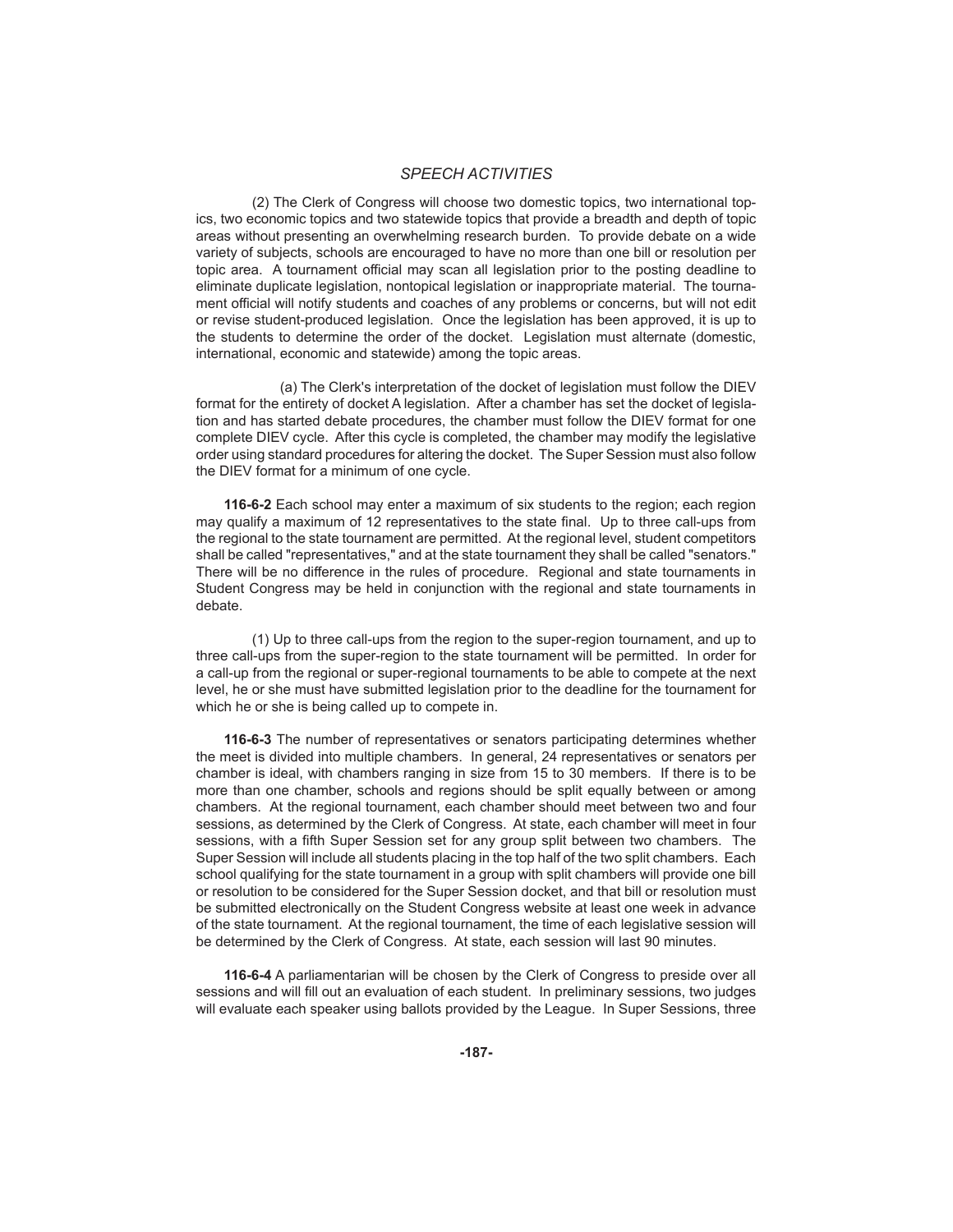# *SPEECH ACTIVITIES*

 (2) The Clerk of Congress will choose two domestic topics, two international topics, two economic topics and two statewide topics that provide a breadth and depth of topic areas without presenting an overwhelming research burden. To provide debate on a wide variety of subjects, schools are encouraged to have no more than one bill or resolution per topic area. A tournament official may scan all legislation prior to the posting deadline to eliminate duplicate legislation, nontopical legislation or inappropriate material. The tournament official will notify students and coaches of any problems or concerns, but will not edit or revise student-produced legislation. Once the legislation has been approved, it is up to the students to determine the order of the docket. Legislation must alternate (domestic, international, economic and statewide) among the topic areas.

 (a) The Clerk's interpretation of the docket of legislation must follow the DIEV format for the entirety of docket A legislation. After a chamber has set the docket of legislation and has started debate procedures, the chamber must follow the DIEV format for one complete DIEV cycle. After this cycle is completed, the chamber may modify the legislative order using standard procedures for altering the docket. The Super Session must also follow the DIEV format for a minimum of one cycle.

**116-6-2** Each school may enter a maximum of six students to the region; each region may qualify a maximum of 12 representatives to the state final. Up to three call-ups from the regional to the state tournament are permitted. At the regional level, student competitors shall be called "representatives," and at the state tournament they shall be called "senators." There will be no difference in the rules of procedure. Regional and state tournaments in Student Congress may be held in conjunction with the regional and state tournaments in debate.

 (1) Up to three call-ups from the region to the super-region tournament, and up to three call-ups from the super-region to the state tournament will be permitted. In order for a call-up from the regional or super-regional tournaments to be able to compete at the next level, he or she must have submitted legislation prior to the deadline for the tournament for which he or she is being called up to compete in.

**116-6-3** The number of representatives or senators participating determines whether the meet is divided into multiple chambers. In general, 24 representatives or senators per chamber is ideal, with chambers ranging in size from 15 to 30 members. If there is to be more than one chamber, schools and regions should be split equally between or among chambers. At the regional tournament, each chamber should meet between two and four sessions, as determined by the Clerk of Congress. At state, each chamber will meet in four sessions, with a fifth Super Session set for any group split between two chambers. The Super Session will include all students placing in the top half of the two split chambers. Each school qualifying for the state tournament in a group with split chambers will provide one bill or resolution to be considered for the Super Session docket, and that bill or resolution must be submitted electronically on the Student Congress website at least one week in advance of the state tournament. At the regional tournament, the time of each legislative session will be determined by the Clerk of Congress. At state, each session will last 90 minutes.

**116-6-4** A parliamentarian will be chosen by the Clerk of Congress to preside over all sessions and will fill out an evaluation of each student. In preliminary sessions, two judges will evaluate each speaker using ballots provided by the League. In Super Sessions, three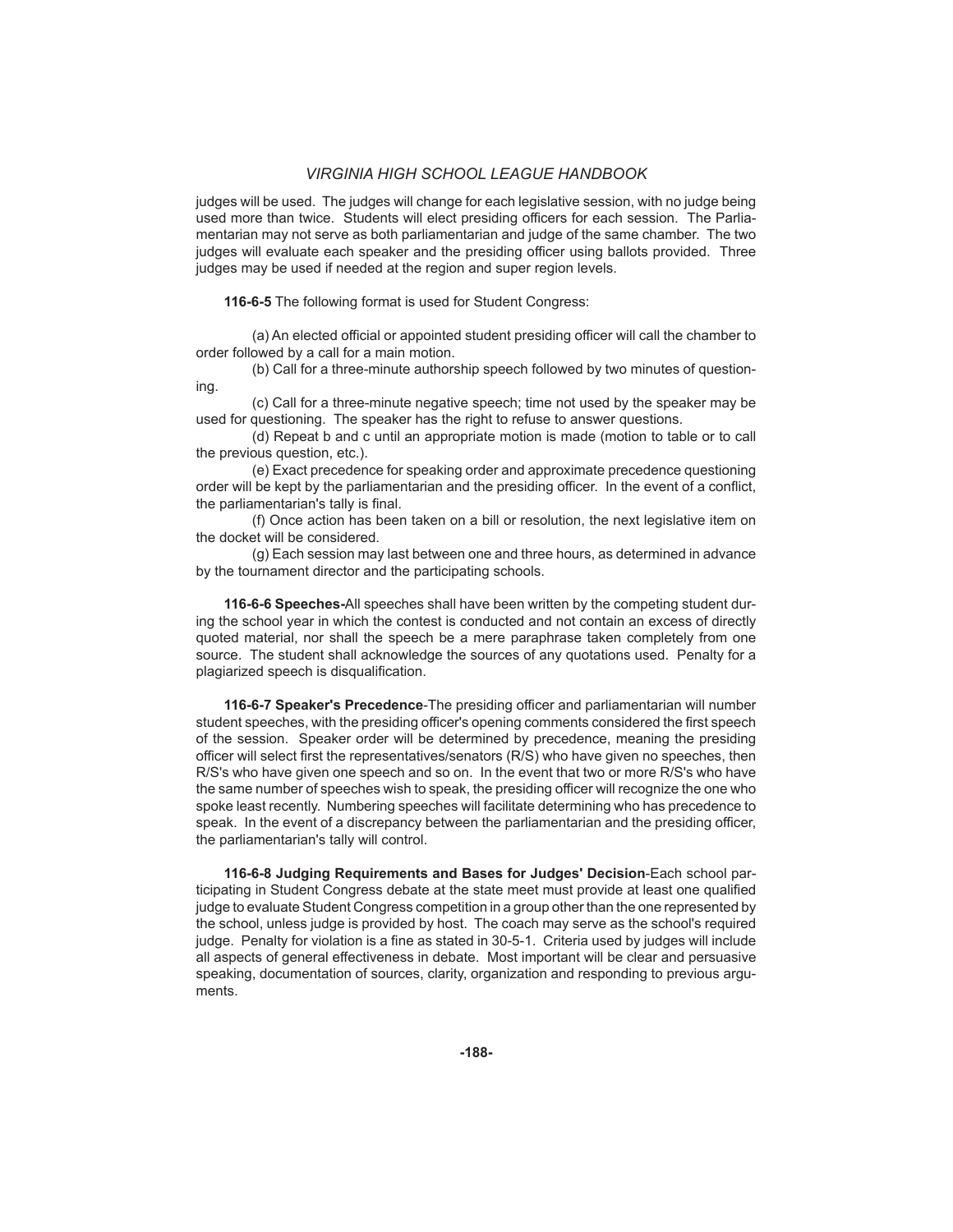judges will be used. The judges will change for each legislative session, with no judge being used more than twice. Students will elect presiding officers for each session. The Parliamentarian may not serve as both parliamentarian and judge of the same chamber. The two judges will evaluate each speaker and the presiding officer using ballots provided. Three judges may be used if needed at the region and super region levels.

**116-6-5** The following format is used for Student Congress:

(a) An elected official or appointed student presiding officer will call the chamber to order followed by a call for a main motion.

 (b) Call for a three-minute authorship speech followed by two minutes of questioning.

 (c) Call for a three-minute negative speech; time not used by the speaker may be used for questioning. The speaker has the right to refuse to answer questions.

 (d) Repeat b and c until an appropriate motion is made (motion to table or to call the previous question, etc.).

 (e) Exact precedence for speaking order and approximate precedence questioning order will be kept by the parliamentarian and the presiding officer. In the event of a conflict, the parliamentarian's tally is final.

 (f) Once action has been taken on a bill or resolution, the next legislative item on the docket will be considered.

 (g) Each session may last between one and three hours, as determined in advance by the tournament director and the participating schools.

**116-6-6 Speeches-**All speeches shall have been written by the competing student during the school year in which the contest is conducted and not contain an excess of directly quoted material, nor shall the speech be a mere paraphrase taken completely from one source. The student shall acknowledge the sources of any quotations used. Penalty for a plagiarized speech is disqualification.

**116-6-7 Speaker's Precedence-**The presiding officer and parliamentarian will number student speeches, with the presiding officer's opening comments considered the first speech of the session. Speaker order will be determined by precedence, meaning the presiding officer will select first the representatives/senators (R/S) who have given no speeches, then R/S's who have given one speech and so on. In the event that two or more R/S's who have the same number of speeches wish to speak, the presiding officer will recognize the one who spoke least recently. Numbering speeches will facilitate determining who has precedence to speak. In the event of a discrepancy between the parliamentarian and the presiding officer, the parliamentarian's tally will control.

**116-6-8 Judging Requirements and Bases for Judges' Decision**-Each school participating in Student Congress debate at the state meet must provide at least one qualified judge to evaluate Student Congress competition in a group other than the one represented by the school, unless judge is provided by host. The coach may serve as the school's required judge. Penalty for violation is a fine as stated in 30-5-1. Criteria used by judges will include all aspects of general effectiveness in debate. Most important will be clear and persuasive speaking, documentation of sources, clarity, organization and responding to previous arguments.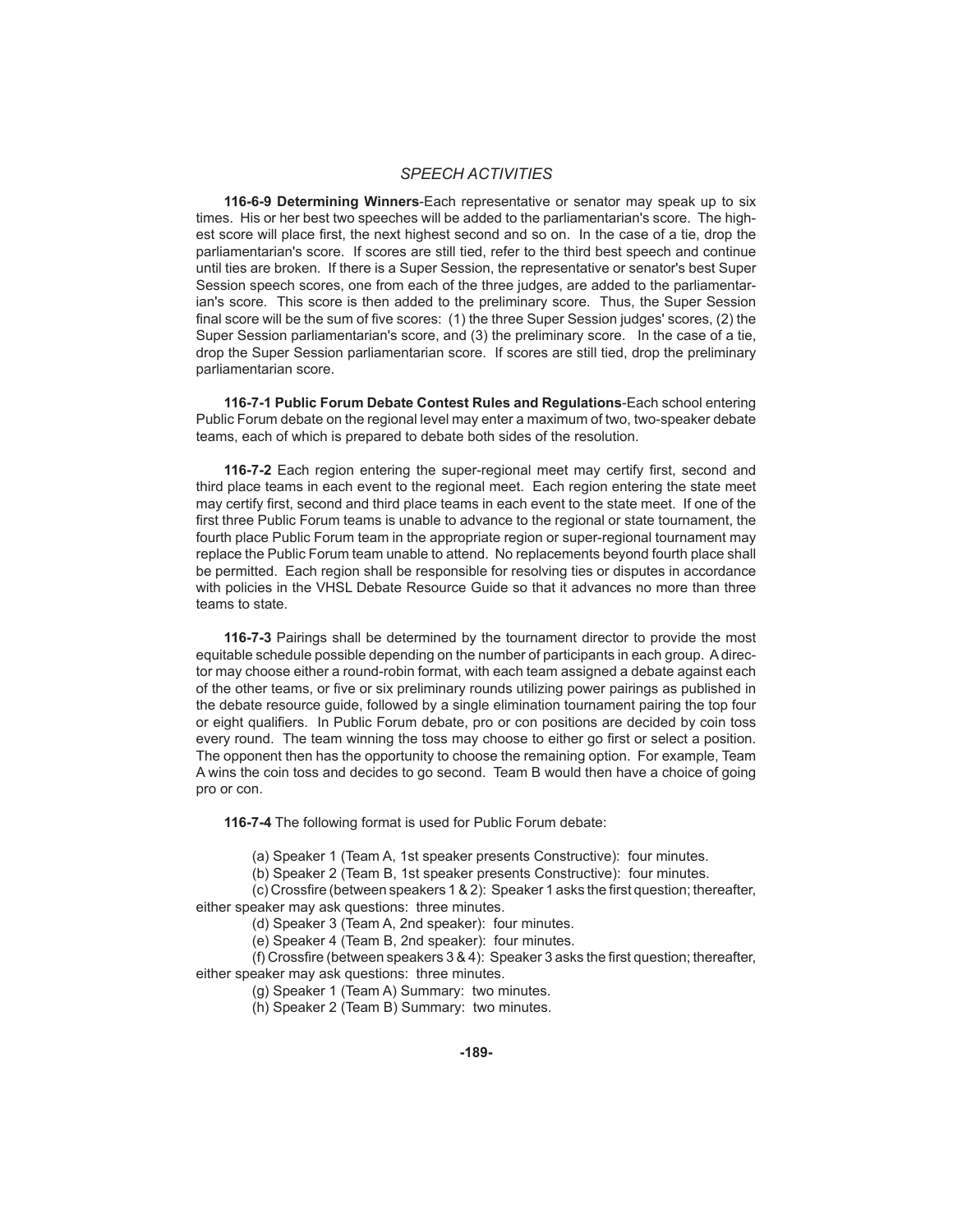# *SPEECH ACTIVITIES*

**116-6-9 Determining Winners**-Each representative or senator may speak up to six times. His or her best two speeches will be added to the parliamentarian's score. The highest score will place first, the next highest second and so on. In the case of a tie, drop the parliamentarian's score. If scores are still tied, refer to the third best speech and continue until ties are broken. If there is a Super Session, the representative or senator's best Super Session speech scores, one from each of the three judges, are added to the parliamentarian's score. This score is then added to the preliminary score. Thus, the Super Session final score will be the sum of five scores: (1) the three Super Session judges' scores, (2) the Super Session parliamentarian's score, and (3) the preliminary score. In the case of a tie, drop the Super Session parliamentarian score. If scores are still tied, drop the preliminary parliamentarian score.

**116-7-1 Public Forum Debate Contest Rules and Regulations**-Each school entering Public Forum debate on the regional level may enter a maximum of two, two-speaker debate teams, each of which is prepared to debate both sides of the resolution.

**116-7-2** Each region entering the super-regional meet may certify first, second and third place teams in each event to the regional meet. Each region entering the state meet may certify first, second and third place teams in each event to the state meet. If one of the first three Public Forum teams is unable to advance to the regional or state tournament, the fourth place Public Forum team in the appropriate region or super-regional tournament may replace the Public Forum team unable to attend. No replacements beyond fourth place shall be permitted. Each region shall be responsible for resolving ties or disputes in accordance with policies in the VHSL Debate Resource Guide so that it advances no more than three teams to state.

**116-7-3** Pairings shall be determined by the tournament director to provide the most equitable schedule possible depending on the number of participants in each group. A director may choose either a round-robin format, with each team assigned a debate against each of the other teams, or five or six preliminary rounds utilizing power pairings as published in the debate resource guide, followed by a single elimination tournament pairing the top four or eight qualifiers. In Public Forum debate, pro or con positions are decided by coin toss every round. The team winning the toss may choose to either go first or select a position. The opponent then has the opportunity to choose the remaining option. For example, Team A wins the coin toss and decides to go second. Team B would then have a choice of going pro or con.

**116-7-4** The following format is used for Public Forum debate:

(a) Speaker 1 (Team A, 1st speaker presents Constructive): four minutes.

(b) Speaker 2 (Team B, 1st speaker presents Constructive): four minutes.

(c) Crossfire (between speakers 1 & 2): Speaker 1 asks the first question; thereafter, either speaker may ask questions: three minutes.

(d) Speaker 3 (Team A, 2nd speaker): four minutes.

(e) Speaker 4 (Team B, 2nd speaker): four minutes.

(f) Crossfire (between speakers  $3 \& 4$ ): Speaker 3 asks the first question; thereafter, either speaker may ask questions: three minutes.

(g) Speaker 1 (Team A) Summary: two minutes.

(h) Speaker 2 (Team B) Summary: two minutes.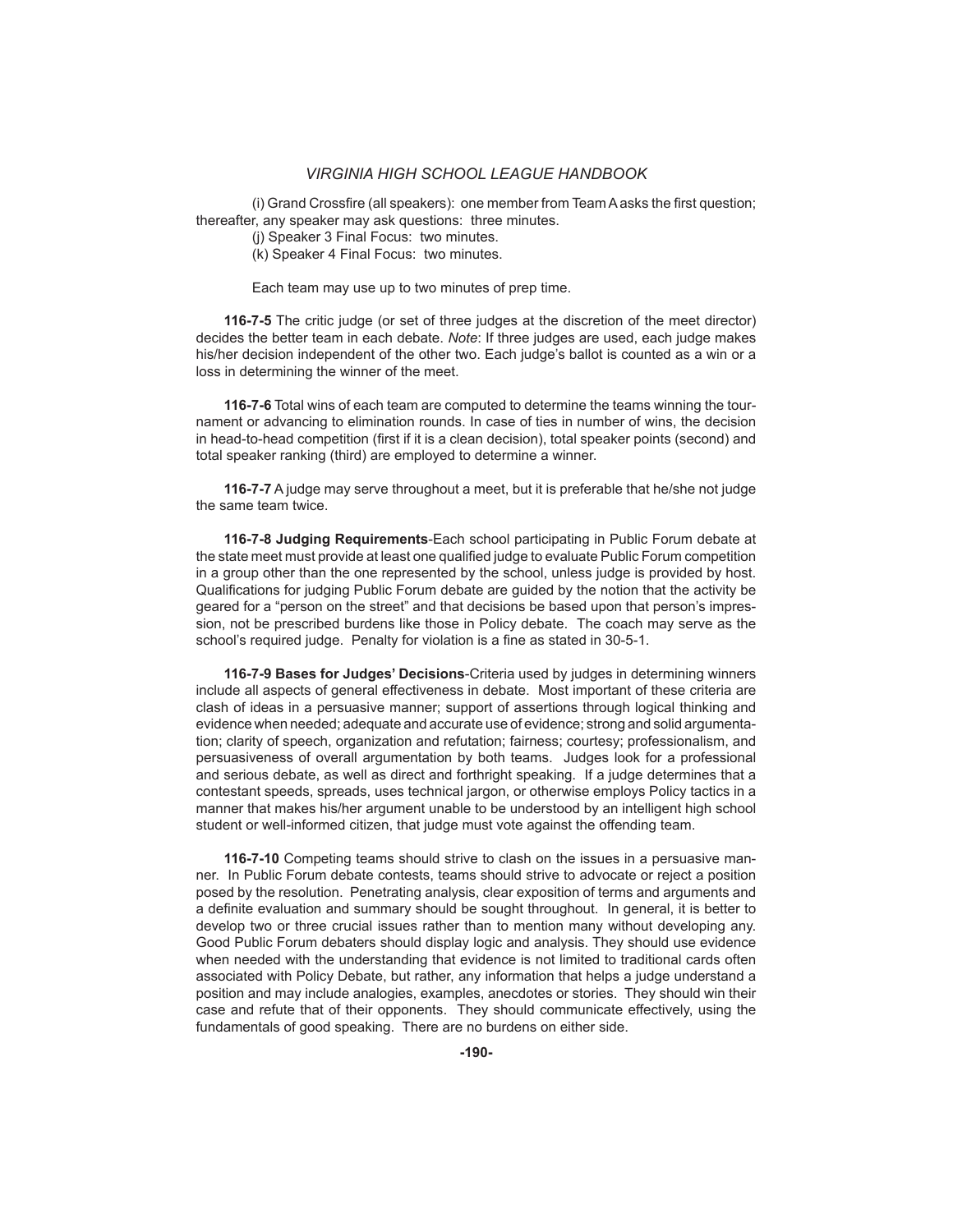(i) Grand Crossfire (all speakers): one member from Team A asks the first question; thereafter, any speaker may ask questions: three minutes.

(j) Speaker 3 Final Focus: two minutes.

(k) Speaker 4 Final Focus: two minutes.

Each team may use up to two minutes of prep time.

**116-7-5** The critic judge (or set of three judges at the discretion of the meet director) decides the better team in each debate. *Note*: If three judges are used, each judge makes his/her decision independent of the other two. Each judge's ballot is counted as a win or a loss in determining the winner of the meet.

**116-7-6** Total wins of each team are computed to determine the teams winning the tournament or advancing to elimination rounds. In case of ties in number of wins, the decision in head-to-head competition (first if it is a clean decision), total speaker points (second) and total speaker ranking (third) are employed to determine a winner.

**116-7-7** A judge may serve throughout a meet, but it is preferable that he/she not judge the same team twice.

**116-7-8 Judging Requirements**-Each school participating in Public Forum debate at the state meet must provide at least one qualified judge to evaluate Public Forum competition in a group other than the one represented by the school, unless judge is provided by host. Qualifications for judging Public Forum debate are guided by the notion that the activity be geared for a "person on the street" and that decisions be based upon that person's impression, not be prescribed burdens like those in Policy debate. The coach may serve as the school's required judge. Penalty for violation is a fine as stated in 30-5-1.

**116-7-9 Bases for Judges' Decisions**-Criteria used by judges in determining winners include all aspects of general effectiveness in debate. Most important of these criteria are clash of ideas in a persuasive manner; support of assertions through logical thinking and evidence when needed; adequate and accurate use of evidence; strong and solid argumentation; clarity of speech, organization and refutation; fairness; courtesy; professionalism, and persuasiveness of overall argumentation by both teams. Judges look for a professional and serious debate, as well as direct and forthright speaking. If a judge determines that a contestant speeds, spreads, uses technical jargon, or otherwise employs Policy tactics in a manner that makes his/her argument unable to be understood by an intelligent high school student or well-informed citizen, that judge must vote against the offending team.

**116-7-10** Competing teams should strive to clash on the issues in a persuasive manner. In Public Forum debate contests, teams should strive to advocate or reject a position posed by the resolution. Penetrating analysis, clear exposition of terms and arguments and a definite evaluation and summary should be sought throughout. In general, it is better to develop two or three crucial issues rather than to mention many without developing any. Good Public Forum debaters should display logic and analysis. They should use evidence when needed with the understanding that evidence is not limited to traditional cards often associated with Policy Debate, but rather, any information that helps a judge understand a position and may include analogies, examples, anecdotes or stories. They should win their case and refute that of their opponents. They should communicate effectively, using the fundamentals of good speaking. There are no burdens on either side.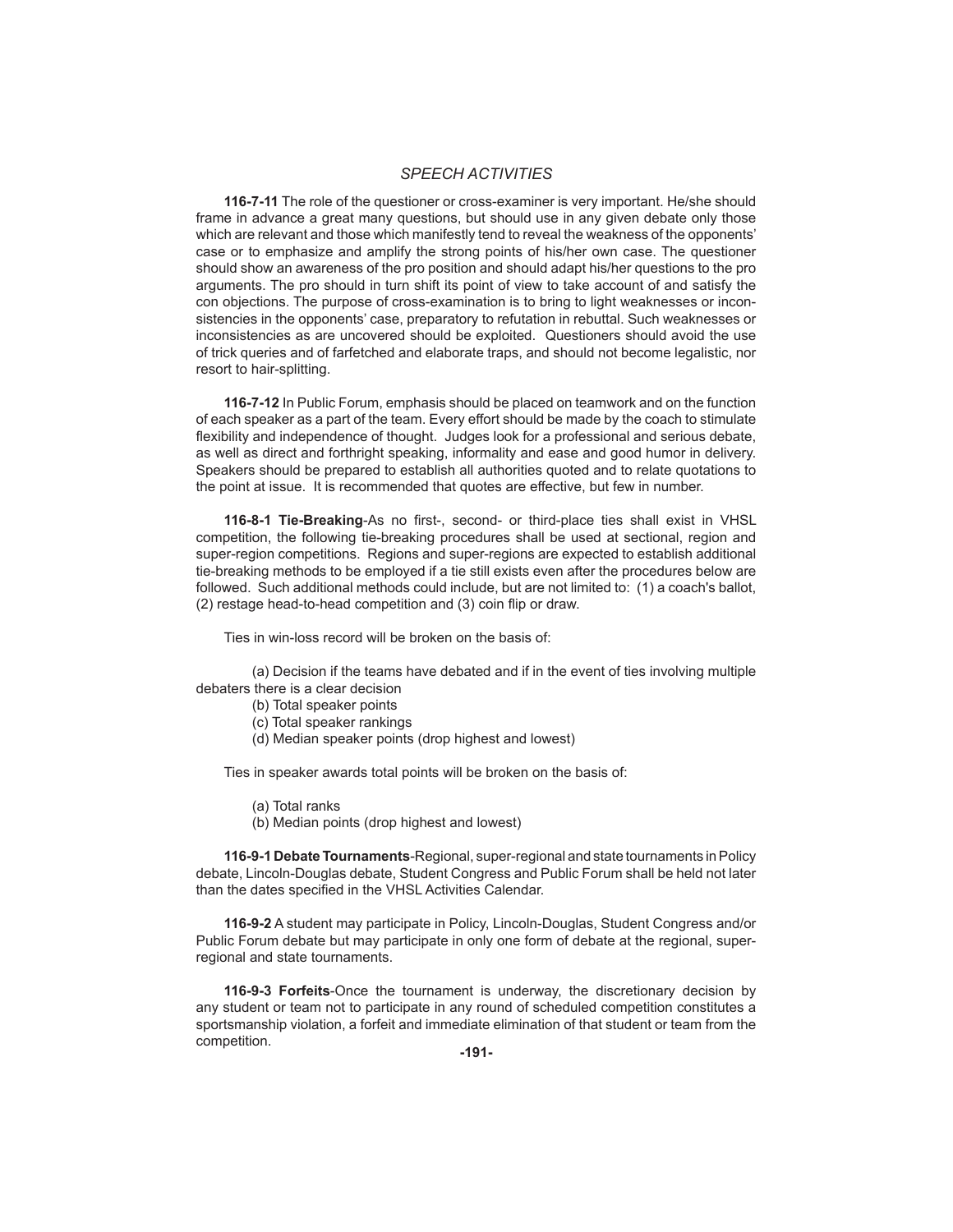# *SPEECH ACTIVITIES*

**116-7-11** The role of the questioner or cross-examiner is very important. He/she should frame in advance a great many questions, but should use in any given debate only those which are relevant and those which manifestly tend to reveal the weakness of the opponents' case or to emphasize and amplify the strong points of his/her own case. The questioner should show an awareness of the pro position and should adapt his/her questions to the pro arguments. The pro should in turn shift its point of view to take account of and satisfy the con objections. The purpose of cross-examination is to bring to light weaknesses or inconsistencies in the opponents' case, preparatory to refutation in rebuttal. Such weaknesses or inconsistencies as are uncovered should be exploited. Questioners should avoid the use of trick queries and of farfetched and elaborate traps, and should not become legalistic, nor resort to hair-splitting.

**116-7-12** In Public Forum, emphasis should be placed on teamwork and on the function of each speaker as a part of the team. Every effort should be made by the coach to stimulate flexibility and independence of thought. Judges look for a professional and serious debate, as well as direct and forthright speaking, informality and ease and good humor in delivery. Speakers should be prepared to establish all authorities quoted and to relate quotations to the point at issue. It is recommended that quotes are effective, but few in number.

**116-8-1 Tie-Breaking-As no first-, second- or third-place ties shall exist in VHSL** competition, the following tie-breaking procedures shall be used at sectional, region and super-region competitions. Regions and super-regions are expected to establish additional tie-breaking methods to be employed if a tie still exists even after the procedures below are followed. Such additional methods could include, but are not limited to: (1) a coach's ballot,  $(2)$  restage head-to-head competition and  $(3)$  coin flip or draw.

Ties in win-loss record will be broken on the basis of:

 (a) Decision if the teams have debated and if in the event of ties involving multiple debaters there is a clear decision

- (b) Total speaker points
- (c) Total speaker rankings
- (d) Median speaker points (drop highest and lowest)

Ties in speaker awards total points will be broken on the basis of:

- (a) Total ranks
- (b) Median points (drop highest and lowest)

**116-9-1 Debate Tournaments**-Regional, super-regional and state tournaments in Policy debate, Lincoln-Douglas debate, Student Congress and Public Forum shall be held not later than the dates specified in the VHSL Activities Calendar.

**116-9-2** A student may participate in Policy, Lincoln-Douglas, Student Congress and/or Public Forum debate but may participate in only one form of debate at the regional, superregional and state tournaments.

**116-9-3 Forfeits**-Once the tournament is underway, the discretionary decision by any student or team not to participate in any round of scheduled competition constitutes a sportsmanship violation, a forfeit and immediate elimination of that student or team from the competition.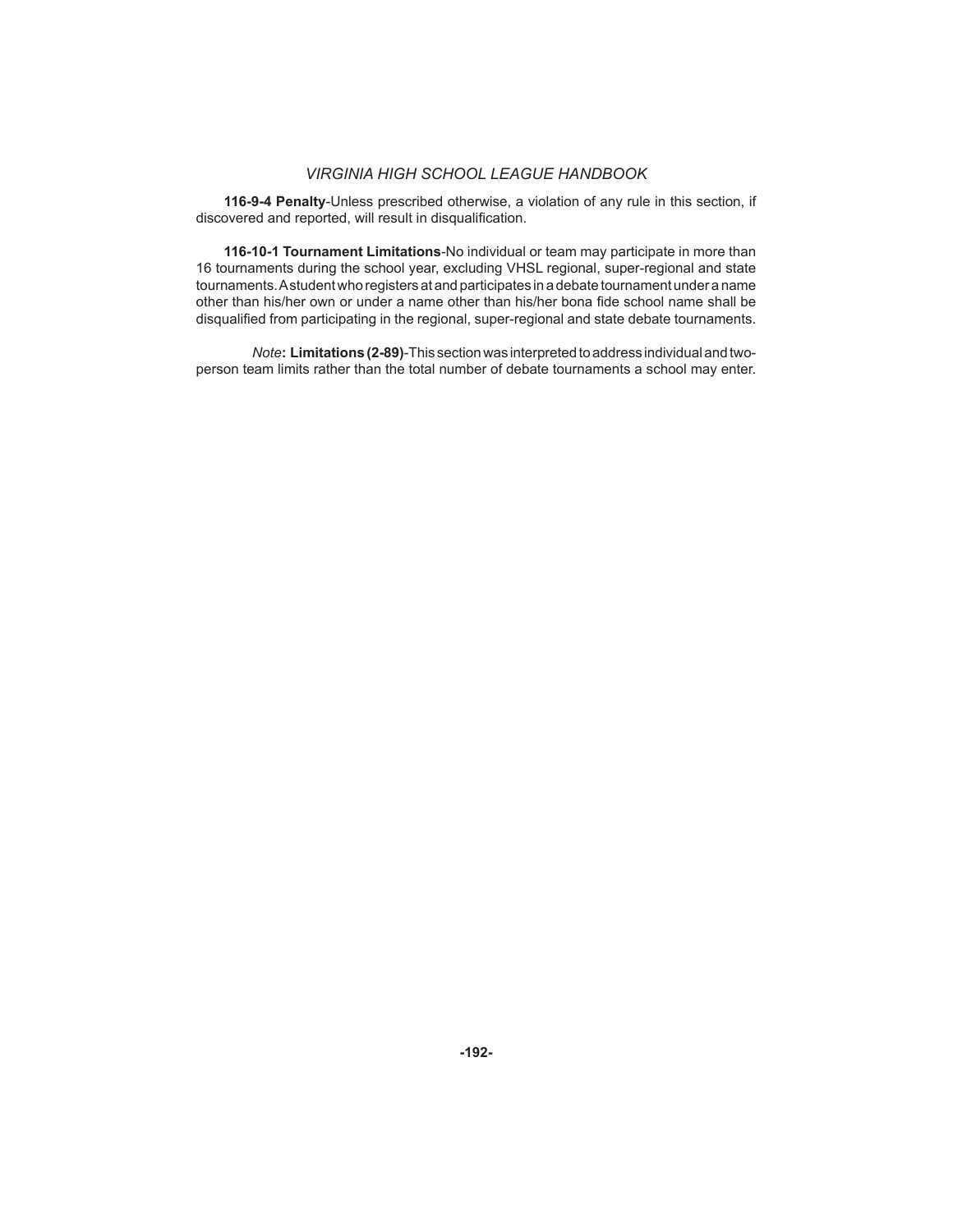**116-9-4 Penalty**-Unless prescribed otherwise, a violation of any rule in this section, if discovered and reported, will result in disqualification.

**116-10-1 Tournament Limitations**-No individual or team may participate in more than 16 tournaments during the school year, excluding VHSL regional, super-regional and state tournaments. A student who registers at and participates in a debate tournament under a name other than his/her own or under a name other than his/her bona fide school name shall be disqualified from participating in the regional, super-regional and state debate tournaments.

*Note***: Limitations (2-89)**-This section was interpreted to address individual and twoperson team limits rather than the total number of debate tournaments a school may enter.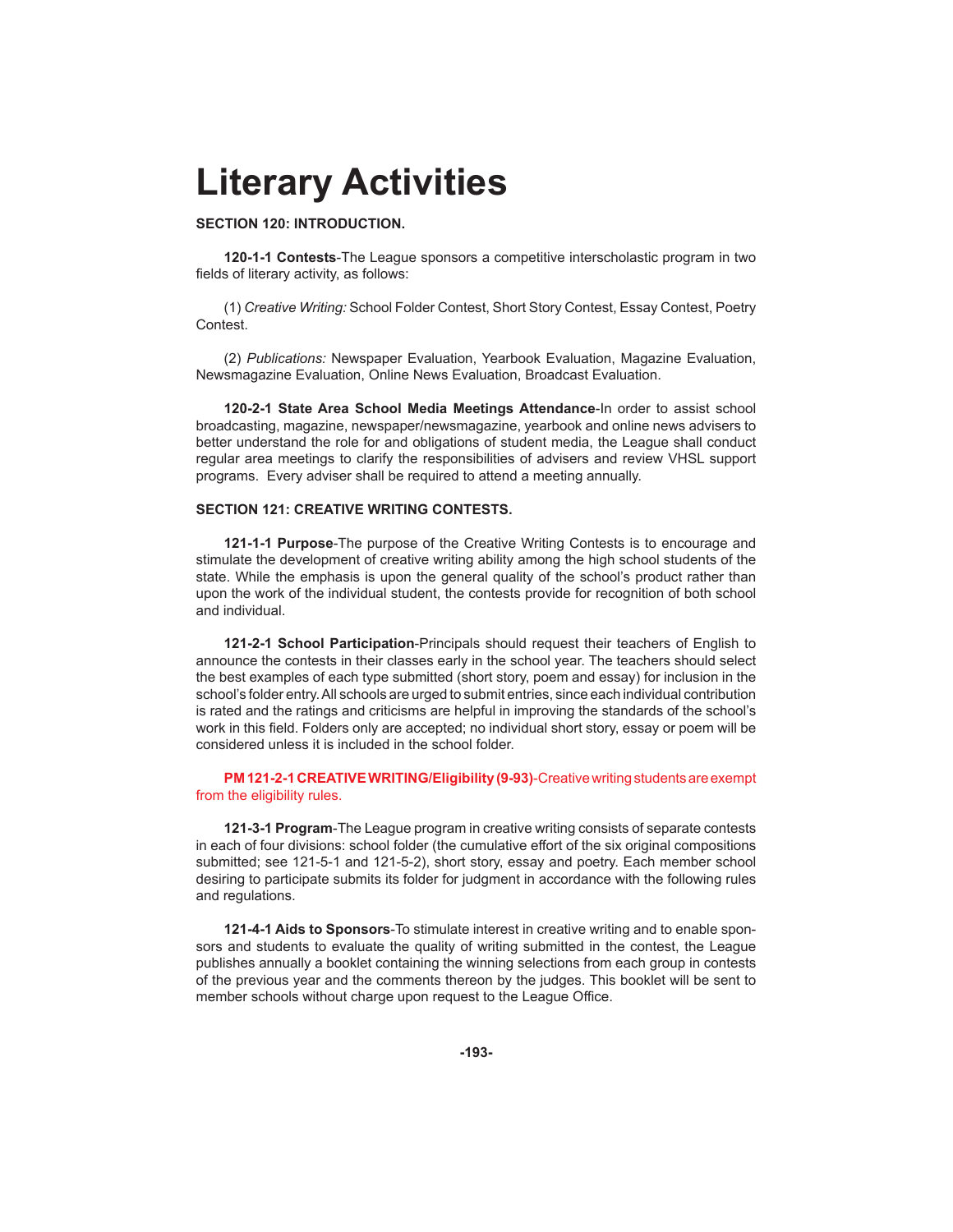# **Literary Activities**

## **SECTION 120: INTRODUCTION.**

**120-1-1 Contests**-The League sponsors a competitive interscholastic program in two fields of literary activity, as follows:

 (1) *Creative Writing:* School Folder Contest, Short Story Contest, Essay Contest, Poetry Contest.

 (2) *Publications:* Newspaper Evaluation, Yearbook Evaluation, Magazine Evaluation, Newsmagazine Evaluation, Online News Evaluation, Broadcast Evaluation.

**120-2-1 State Area School Media Meetings Attendance**-In order to assist school broadcasting, magazine, newspaper/newsmagazine, yearbook and online news advisers to better understand the role for and obligations of student media, the League shall conduct regular area meetings to clarify the responsibilities of advisers and review VHSL support programs. Every adviser shall be required to attend a meeting annually.

#### **SECTION 121: CREATIVE WRITING CONTESTS.**

**121-1-1 Purpose**-The purpose of the Creative Writing Contests is to encourage and stimulate the development of creative writing ability among the high school students of the state. While the emphasis is upon the general quality of the school's product rather than upon the work of the individual student, the contests provide for recognition of both school and individual.

**121-2-1 School Participation**-Principals should request their teachers of English to announce the contests in their classes early in the school year. The teachers should select the best examples of each type submitted (short story, poem and essay) for inclusion in the school's folder entry. All schools are urged to submit entries, since each individual contribution is rated and the ratings and criticisms are helpful in improving the standards of the school's work in this field. Folders only are accepted; no individual short story, essay or poem will be considered unless it is included in the school folder.

**PM 121-2-1 CREATIVE WRITING/Eligibility (9-93)**-Creative writing students are exempt from the eligibility rules.

**121-3-1 Program**-The League program in creative writing consists of separate contests in each of four divisions: school folder (the cumulative effort of the six original compositions submitted; see 121-5-1 and 121-5-2), short story, essay and poetry. Each member school desiring to participate submits its folder for judgment in accordance with the following rules and regulations.

**121-4-1 Aids to Sponsors**-To stimulate interest in creative writing and to enable sponsors and students to evaluate the quality of writing submitted in the contest, the League publishes annually a booklet containing the winning selections from each group in contests of the previous year and the comments thereon by the judges. This booklet will be sent to member schools without charge upon request to the League Office.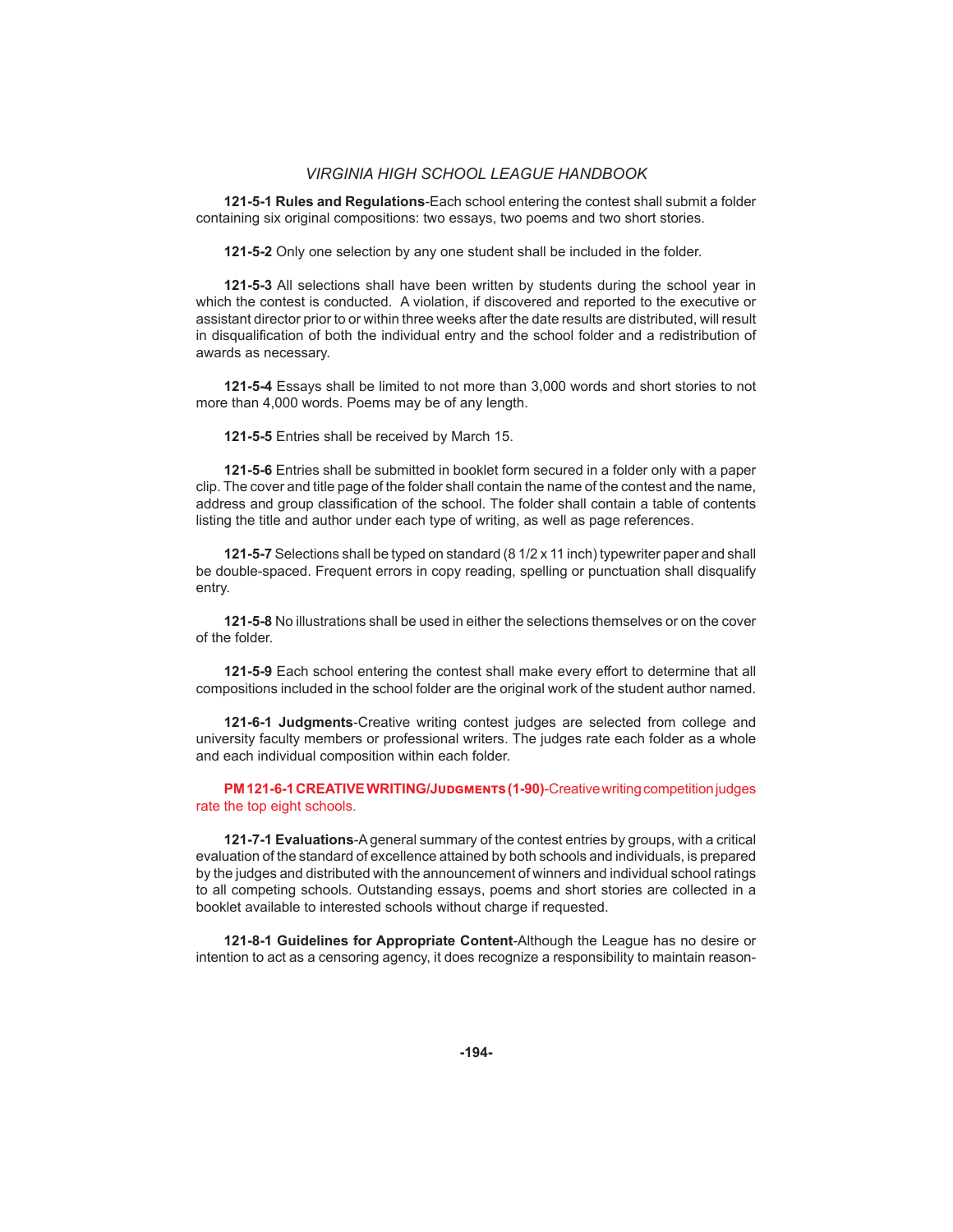**121-5-1 Rules and Regulations**-Each school entering the contest shall submit a folder containing six original compositions: two essays, two poems and two short stories.

**121-5-2** Only one selection by any one student shall be included in the folder.

**121-5-3** All selections shall have been written by students during the school year in which the contest is conducted. A violation, if discovered and reported to the executive or assistant director prior to or within three weeks after the date results are distributed, will result in disqualification of both the individual entry and the school folder and a redistribution of awards as necessary.

**121-5-4** Essays shall be limited to not more than 3,000 words and short stories to not more than 4,000 words. Poems may be of any length.

**121-5-5** Entries shall be received by March 15.

**121-5-6** Entries shall be submitted in booklet form secured in a folder only with a paper clip. The cover and title page of the folder shall contain the name of the contest and the name, address and group classification of the school. The folder shall contain a table of contents listing the title and author under each type of writing, as well as page references.

**121-5-7** Selections shall be typed on standard (8 1/2 x 11 inch) typewriter paper and shall be double-spaced. Frequent errors in copy reading, spelling or punctuation shall disqualify entry.

**121-5-8** No illustrations shall be used in either the selections themselves or on the cover of the folder.

**121-5-9** Each school entering the contest shall make every effort to determine that all compositions included in the school folder are the original work of the student author named.

**121-6-1 Judgments**-Creative writing contest judges are selected from college and university faculty members or professional writers. The judges rate each folder as a whole and each individual composition within each folder.

**PM 121-6-1 CREATIVE WRITING/JUDGMENTS (1-90)-Creative writing competition judges** rate the top eight schools.

**121-7-1 Evaluations**-A general summary of the contest entries by groups, with a critical evaluation of the standard of excellence attained by both schools and individuals, is prepared by the judges and distributed with the announcement of winners and individual school ratings to all competing schools. Outstanding essays, poems and short stories are collected in a booklet available to interested schools without charge if requested.

**121-8-1 Guidelines for Appropriate Content**-Although the League has no desire or intention to act as a censoring agency, it does recognize a responsibility to maintain reason-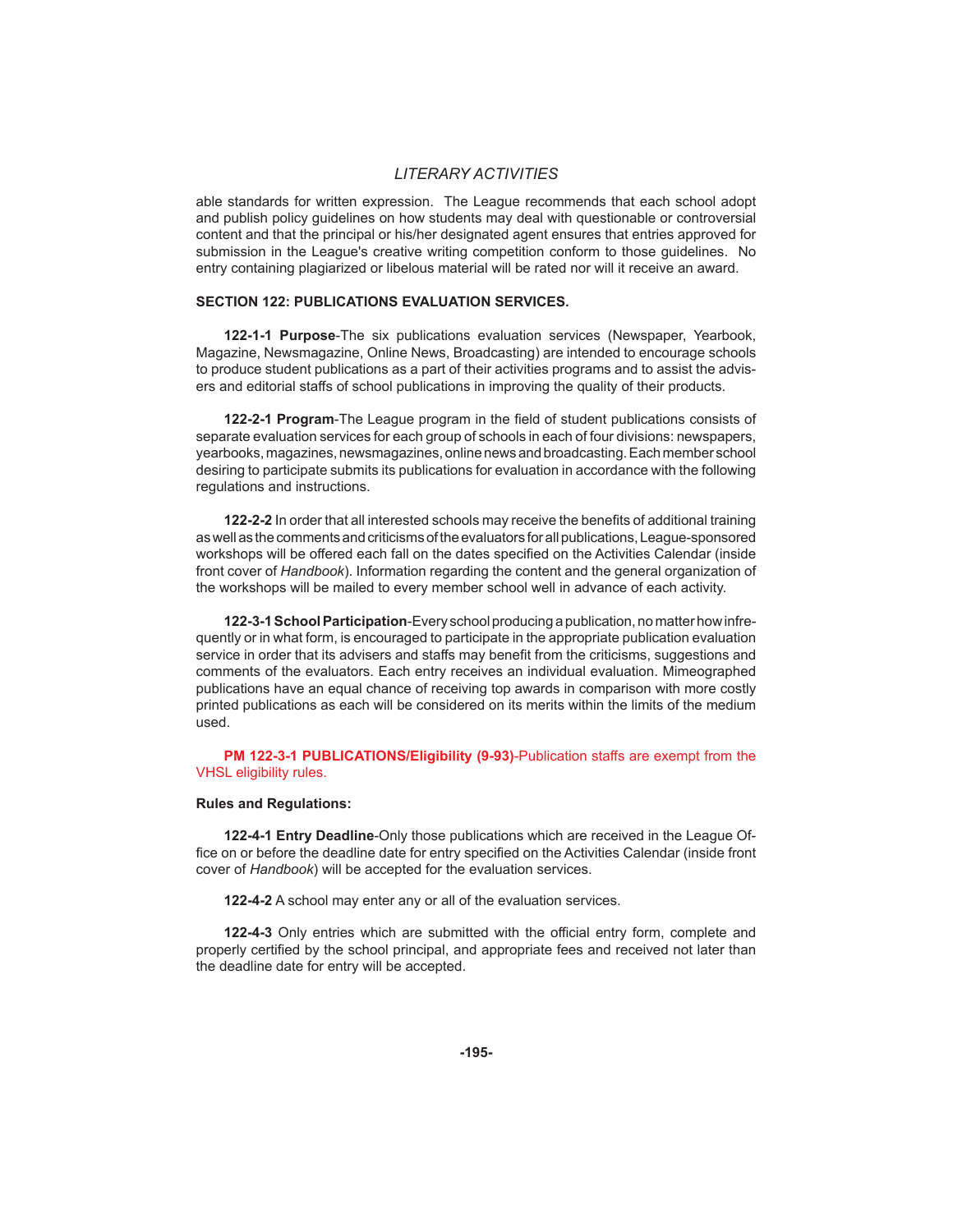## *LITERARY ACTIVITIES*

able standards for written expression. The League recommends that each school adopt and publish policy guidelines on how students may deal with questionable or controversial content and that the principal or his/her designated agent ensures that entries approved for submission in the League's creative writing competition conform to those guidelines. No entry containing plagiarized or libelous material will be rated nor will it receive an award.

## **SECTION 122: PUBLICATIONS EVALUATION SERVICES.**

**122-1-1 Purpose**-The six publications evaluation services (Newspaper, Yearbook, Magazine, Newsmagazine, Online News, Broadcasting) are intended to encourage schools to produce student publications as a part of their activities programs and to assist the advisers and editorial staffs of school publications in improving the quality of their products.

122-2-1 Program-The League program in the field of student publications consists of separate evaluation services for each group of schools in each of four divisions: newspapers, yearbooks, magazines, newsmagazines, online news and broadcasting. Each member school desiring to participate submits its publications for evaluation in accordance with the following regulations and instructions.

**122-2-2** In order that all interested schools may receive the benefits of additional training as well as the comments and criticisms of the evaluators for all publications, League-sponsored workshops will be offered each fall on the dates specified on the Activities Calendar (inside front cover of *Handbook*). Information regarding the content and the general organization of the workshops will be mailed to every member school well in advance of each activity.

**122-3-1 School Participation**-Every school producing a publication, no matter how infrequently or in what form, is encouraged to participate in the appropriate publication evaluation service in order that its advisers and staffs may benefit from the criticisms, suggestions and comments of the evaluators. Each entry receives an individual evaluation. Mimeographed publications have an equal chance of receiving top awards in comparison with more costly printed publications as each will be considered on its merits within the limits of the medium used.

**PM 122-3-1 PUBLICATIONS/Eligibility (9-93)-Publication staffs are exempt from the** VHSL eligibility rules.

#### **Rules and Regulations:**

**122-4-1 Entry Deadline**-Only those publications which are received in the League Office on or before the deadline date for entry specified on the Activities Calendar (inside front cover of *Handbook*) will be accepted for the evaluation services.

**122-4-2** A school may enter any or all of the evaluation services.

**122-4-3** Only entries which are submitted with the official entry form, complete and properly certified by the school principal, and appropriate fees and received not later than the deadline date for entry will be accepted.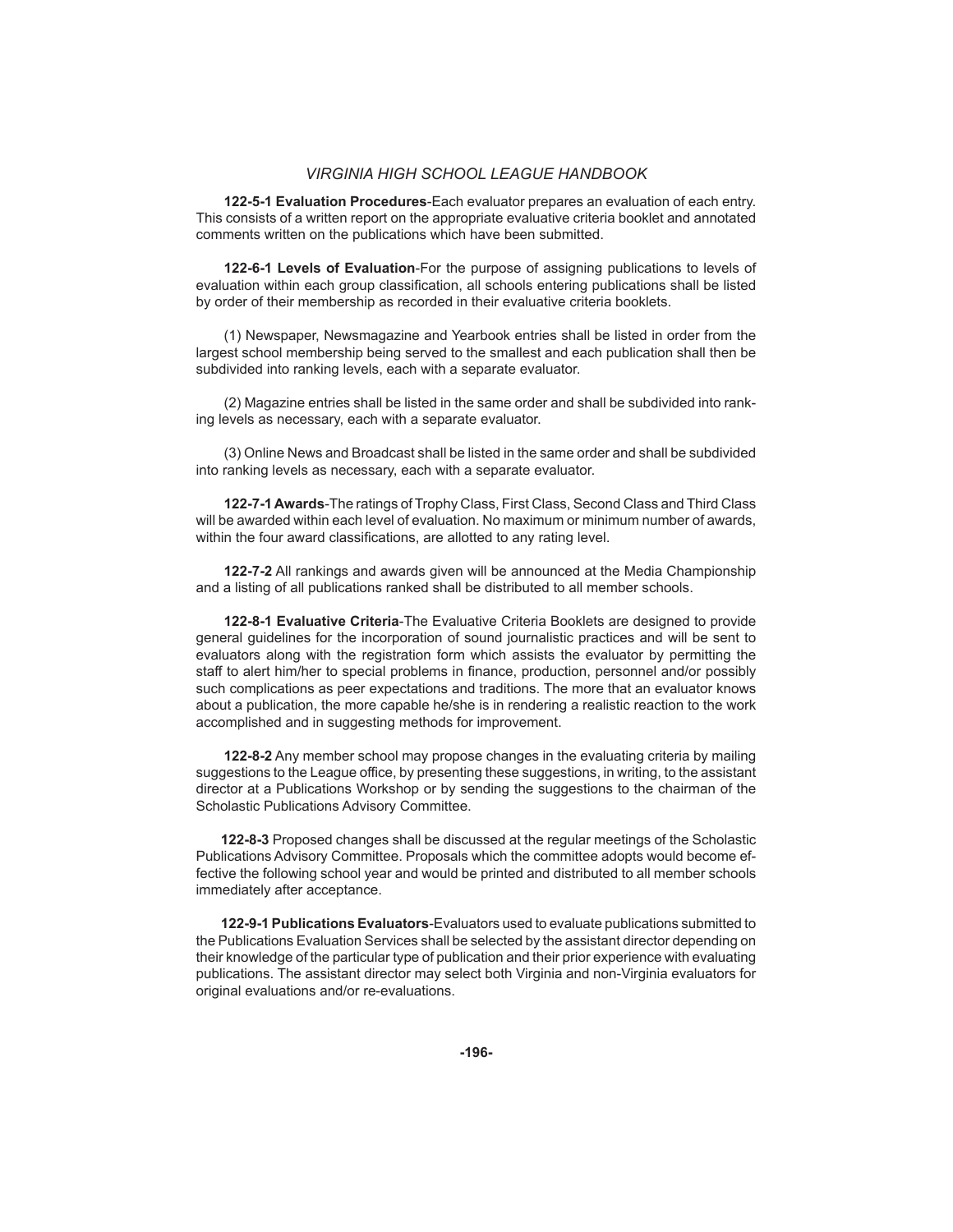**122-5-1 Evaluation Procedures**-Each evaluator prepares an evaluation of each entry. This consists of a written report on the appropriate evaluative criteria booklet and annotated comments written on the publications which have been submitted.

**122-6-1 Levels of Evaluation**-For the purpose of assigning publications to levels of evaluation within each group classification, all schools entering publications shall be listed by order of their membership as recorded in their evaluative criteria booklets.

 (1) Newspaper, Newsmagazine and Yearbook entries shall be listed in order from the largest school membership being served to the smallest and each publication shall then be subdivided into ranking levels, each with a separate evaluator.

 (2) Magazine entries shall be listed in the same order and shall be subdivided into ranking levels as necessary, each with a separate evaluator.

 (3) Online News and Broadcast shall be listed in the same order and shall be subdivided into ranking levels as necessary, each with a separate evaluator.

**122-7-1 Awards**-The ratings of Trophy Class, First Class, Second Class and Third Class will be awarded within each level of evaluation. No maximum or minimum number of awards, within the four award classifications, are allotted to any rating level.

**122-7-2** All rankings and awards given will be announced at the Media Championship and a listing of all publications ranked shall be distributed to all member schools.

**122-8-1 Evaluative Criteria**-The Evaluative Criteria Booklets are designed to provide general guidelines for the incorporation of sound journalistic practices and will be sent to evaluators along with the registration form which assists the evaluator by permitting the staff to alert him/her to special problems in finance, production, personnel and/or possibly such complications as peer expectations and traditions. The more that an evaluator knows about a publication, the more capable he/she is in rendering a realistic reaction to the work accomplished and in suggesting methods for improvement.

**122-8-2** Any member school may propose changes in the evaluating criteria by mailing suggestions to the League office, by presenting these suggestions, in writing, to the assistant director at a Publications Workshop or by sending the suggestions to the chairman of the Scholastic Publications Advisory Committee.

**122-8-3** Proposed changes shall be discussed at the regular meetings of the Scholastic Publications Advisory Committee. Proposals which the committee adopts would become effective the following school year and would be printed and distributed to all member schools immediately after acceptance.

**122-9-1 Publications Evaluators**-Evaluators used to evaluate publications submitted to the Publications Evaluation Services shall be selected by the assistant director depending on their knowledge of the particular type of publication and their prior experience with evaluating publications. The assistant director may select both Virginia and non-Virginia evaluators for original evaluations and/or re-evaluations.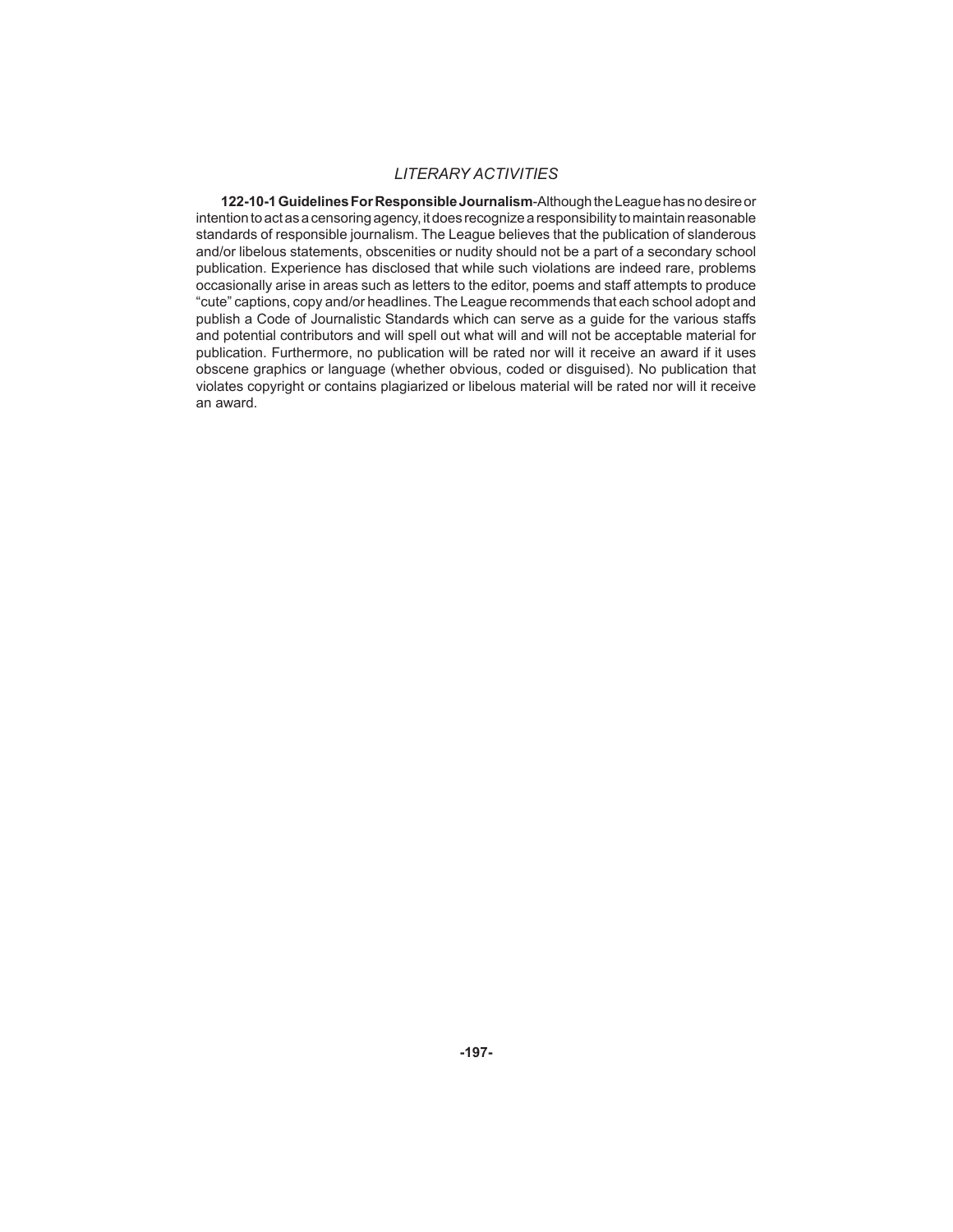# *LITERARY ACTIVITIES*

**122-10-1 Guidelines For Responsible Journalism**-Although the League has no desire or intention to act as a censoring agency, it does recognize a responsibility to maintain reasonable standards of responsible journalism. The League believes that the publication of slanderous and/or libelous statements, obscenities or nudity should not be a part of a secondary school publication. Experience has disclosed that while such violations are indeed rare, problems occasionally arise in areas such as letters to the editor, poems and staff attempts to produce "cute" captions, copy and/or headlines. The League recommends that each school adopt and publish a Code of Journalistic Standards which can serve as a guide for the various staffs and potential contributors and will spell out what will and will not be acceptable material for publication. Furthermore, no publication will be rated nor will it receive an award if it uses obscene graphics or language (whether obvious, coded or disguised). No publication that violates copyright or contains plagiarized or libelous material will be rated nor will it receive an award.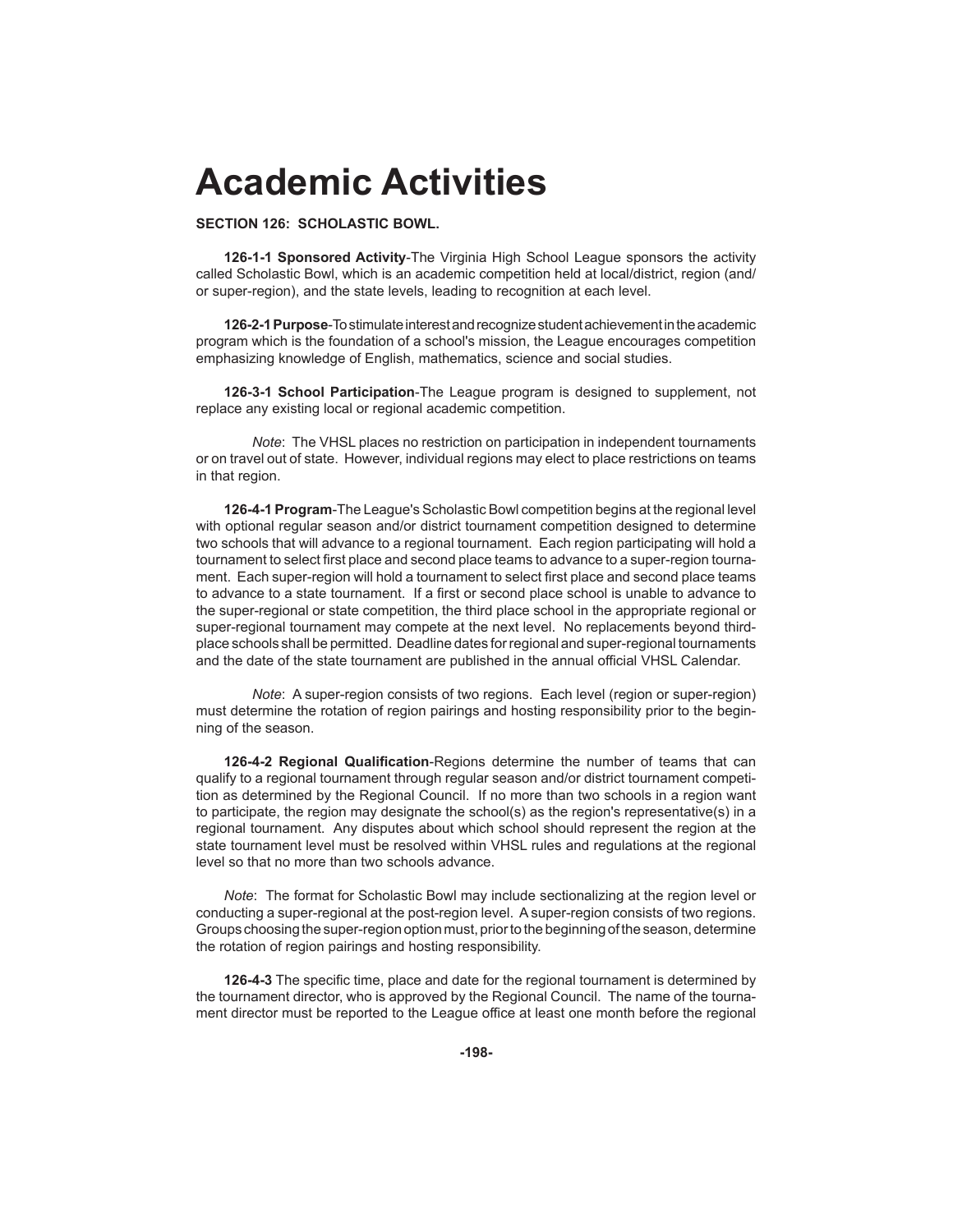# **Academic Activities**

## **SECTION 126: SCHOLASTIC BOWL.**

**126-1-1 Sponsored Activity**-The Virginia High School League sponsors the activity called Scholastic Bowl, which is an academic competition held at local/district, region (and/ or super-region), and the state levels, leading to recognition at each level.

**126-2-1 Purpose**-To stimulate interest and recognize student achievement in the academic program which is the foundation of a school's mission, the League encourages competition emphasizing knowledge of English, mathematics, science and social studies.

**126-3-1 School Participation**-The League program is designed to supplement, not replace any existing local or regional academic competition.

 *Note*: The VHSL places no restriction on participation in independent tournaments or on travel out of state. However, individual regions may elect to place restrictions on teams in that region.

**126-4-1 Program**-The League's Scholastic Bowl competition begins at the regional level with optional regular season and/or district tournament competition designed to determine two schools that will advance to a regional tournament. Each region participating will hold a tournament to select first place and second place teams to advance to a super-region tournament. Each super-region will hold a tournament to select first place and second place teams to advance to a state tournament. If a first or second place school is unable to advance to the super-regional or state competition, the third place school in the appropriate regional or super-regional tournament may compete at the next level. No replacements beyond thirdplace schools shall be permitted. Deadline dates for regional and super-regional tournaments and the date of the state tournament are published in the annual official VHSL Calendar.

 *Note*: A super-region consists of two regions. Each level (region or super-region) must determine the rotation of region pairings and hosting responsibility prior to the beginning of the season.

**126-4-2 Regional Qualification-Regions determine the number of teams that can** qualify to a regional tournament through regular season and/or district tournament competition as determined by the Regional Council. If no more than two schools in a region want to participate, the region may designate the school(s) as the region's representative(s) in a regional tournament. Any disputes about which school should represent the region at the state tournament level must be resolved within VHSL rules and regulations at the regional level so that no more than two schools advance.

*Note*: The format for Scholastic Bowl may include sectionalizing at the region level or conducting a super-regional at the post-region level. A super-region consists of two regions. Groups choosing the super-region option must, prior to the beginning of the season, determine the rotation of region pairings and hosting responsibility.

**126-4-3** The specific time, place and date for the regional tournament is determined by the tournament director, who is approved by the Regional Council. The name of the tournament director must be reported to the League office at least one month before the regional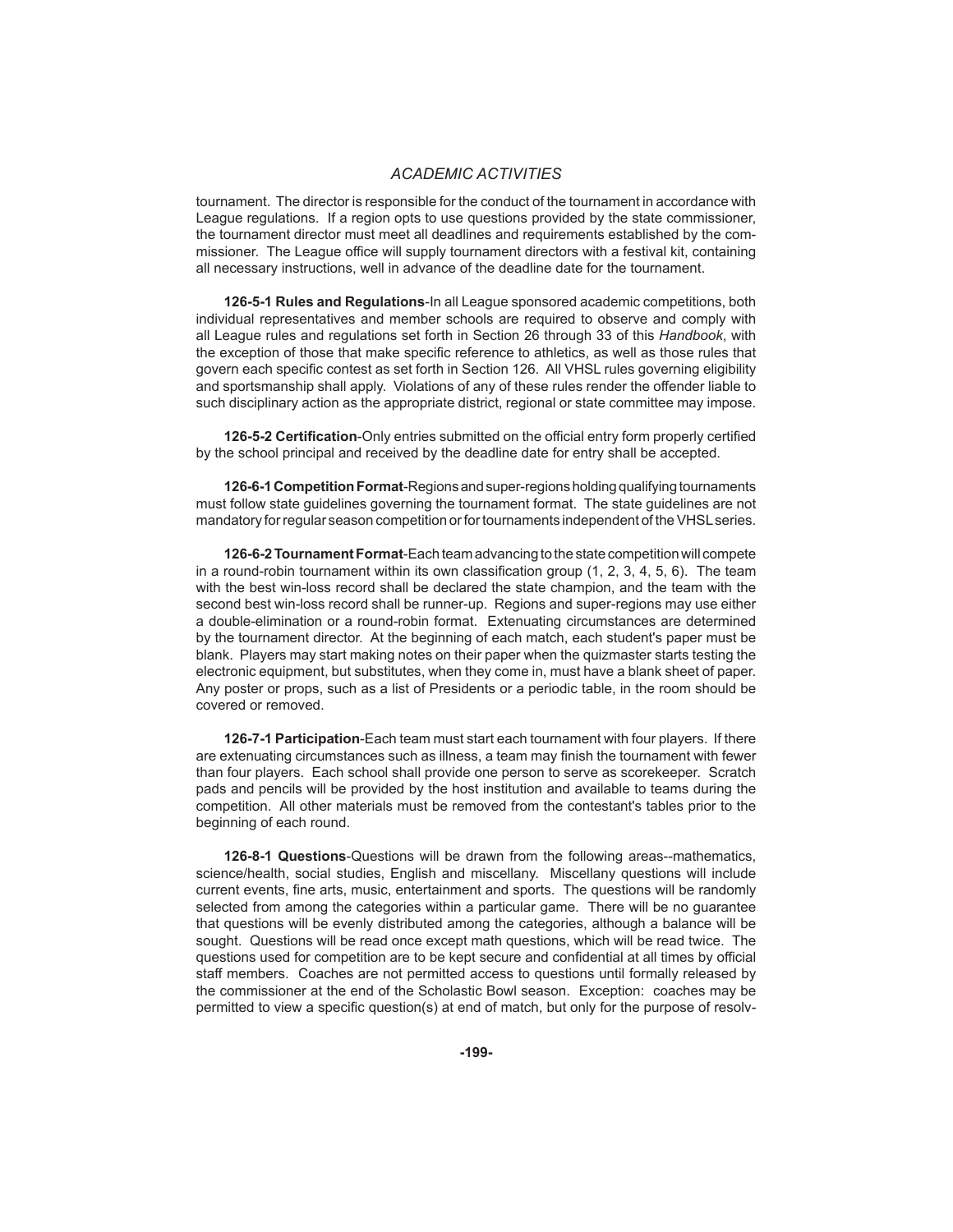# *ACADEMIC ACTIVITIES*

tournament. The director is responsible for the conduct of the tournament in accordance with League regulations. If a region opts to use questions provided by the state commissioner, the tournament director must meet all deadlines and requirements established by the commissioner. The League office will supply tournament directors with a festival kit, containing all necessary instructions, well in advance of the deadline date for the tournament.

**126-5-1 Rules and Regulations**-In all League sponsored academic competitions, both individual representatives and member schools are required to observe and comply with all League rules and regulations set forth in Section 26 through 33 of this *Handbook*, with the exception of those that make specific reference to athletics, as well as those rules that govern each specific contest as set forth in Section 126. All VHSL rules governing eligibility and sportsmanship shall apply. Violations of any of these rules render the offender liable to such disciplinary action as the appropriate district, regional or state committee may impose.

**126-5-2 Certification-Only entries submitted on the official entry form properly certified** by the school principal and received by the deadline date for entry shall be accepted.

**126-6-1 Competition Format**-Regions and super-regions holding qualifying tournaments must follow state guidelines governing the tournament format. The state guidelines are not mandatory for regular season competition or for tournaments independent of the VHSL series.

**126-6-2 Tournament Format**-Each team advancing to the state competition will compete in a round-robin tournament within its own classification group  $(1, 2, 3, 4, 5, 6)$ . The team with the best win-loss record shall be declared the state champion, and the team with the second best win-loss record shall be runner-up. Regions and super-regions may use either a double-elimination or a round-robin format. Extenuating circumstances are determined by the tournament director. At the beginning of each match, each student's paper must be blank. Players may start making notes on their paper when the quizmaster starts testing the electronic equipment, but substitutes, when they come in, must have a blank sheet of paper. Any poster or props, such as a list of Presidents or a periodic table, in the room should be covered or removed.

**126-7-1 Participation**-Each team must start each tournament with four players. If there are extenuating circumstances such as illness, a team may finish the tournament with fewer than four players. Each school shall provide one person to serve as scorekeeper. Scratch pads and pencils will be provided by the host institution and available to teams during the competition. All other materials must be removed from the contestant's tables prior to the beginning of each round.

**126-8-1 Questions**-Questions will be drawn from the following areas--mathematics, science/health, social studies, English and miscellany. Miscellany questions will include current events, fine arts, music, entertainment and sports. The questions will be randomly selected from among the categories within a particular game. There will be no guarantee that questions will be evenly distributed among the categories, although a balance will be sought. Questions will be read once except math questions, which will be read twice. The questions used for competition are to be kept secure and confidential at all times by official staff members. Coaches are not permitted access to questions until formally released by the commissioner at the end of the Scholastic Bowl season. Exception: coaches may be permitted to view a specific question(s) at end of match, but only for the purpose of resolv-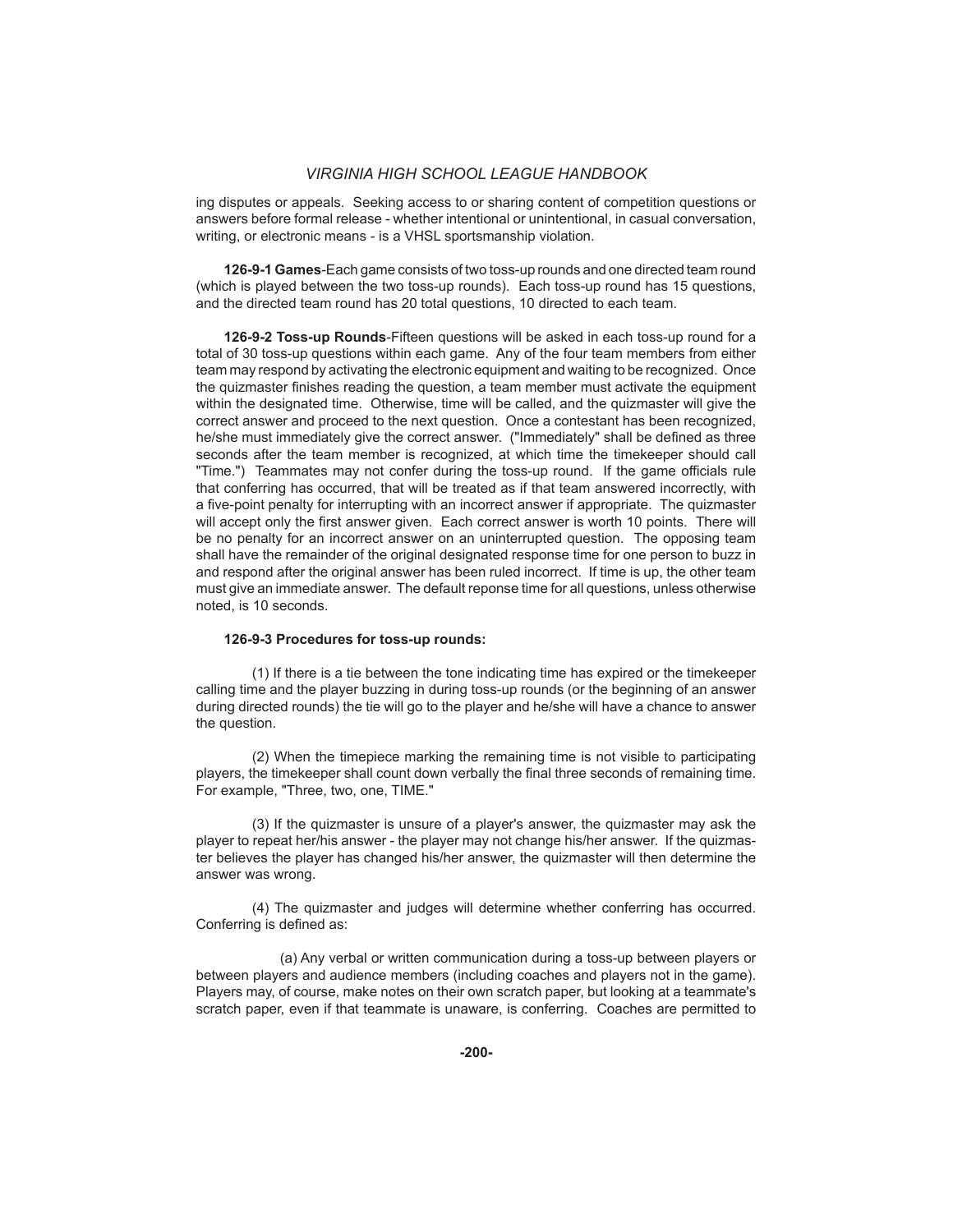ing disputes or appeals. Seeking access to or sharing content of competition questions or answers before formal release - whether intentional or unintentional, in casual conversation, writing, or electronic means - is a VHSL sportsmanship violation.

**126-9-1 Games**-Each game consists of two toss-up rounds and one directed team round (which is played between the two toss-up rounds). Each toss-up round has 15 questions, and the directed team round has 20 total questions, 10 directed to each team.

**126-9-2 Toss-up Rounds**-Fifteen questions will be asked in each toss-up round for a total of 30 toss-up questions within each game. Any of the four team members from either team may respond by activating the electronic equipment and waiting to be recognized. Once the quizmaster finishes reading the question, a team member must activate the equipment within the designated time. Otherwise, time will be called, and the quizmaster will give the correct answer and proceed to the next question. Once a contestant has been recognized, he/she must immediately give the correct answer. ("Immediately" shall be defined as three seconds after the team member is recognized, at which time the timekeeper should call "Time.") Teammates may not confer during the toss-up round. If the game officials rule that conferring has occurred, that will be treated as if that team answered incorrectly, with a five-point penalty for interrupting with an incorrect answer if appropriate. The quizmaster will accept only the first answer given. Each correct answer is worth 10 points. There will be no penalty for an incorrect answer on an uninterrupted question. The opposing team shall have the remainder of the original designated response time for one person to buzz in and respond after the original answer has been ruled incorrect. If time is up, the other team must give an immediate answer. The default reponse time for all questions, unless otherwise noted, is 10 seconds.

#### **126-9-3 Procedures for toss-up rounds:**

 (1) If there is a tie between the tone indicating time has expired or the timekeeper calling time and the player buzzing in during toss-up rounds (or the beginning of an answer during directed rounds) the tie will go to the player and he/she will have a chance to answer the question.

 (2) When the timepiece marking the remaining time is not visible to participating players, the timekeeper shall count down verbally the final three seconds of remaining time. For example, "Three, two, one, TIME."

 (3) If the quizmaster is unsure of a player's answer, the quizmaster may ask the player to repeat her/his answer - the player may not change his/her answer. If the quizmaster believes the player has changed his/her answer, the quizmaster will then determine the answer was wrong.

 (4) The quizmaster and judges will determine whether conferring has occurred. Conferring is defined as:

 (a) Any verbal or written communication during a toss-up between players or between players and audience members (including coaches and players not in the game). Players may, of course, make notes on their own scratch paper, but looking at a teammate's scratch paper, even if that teammate is unaware, is conferring. Coaches are permitted to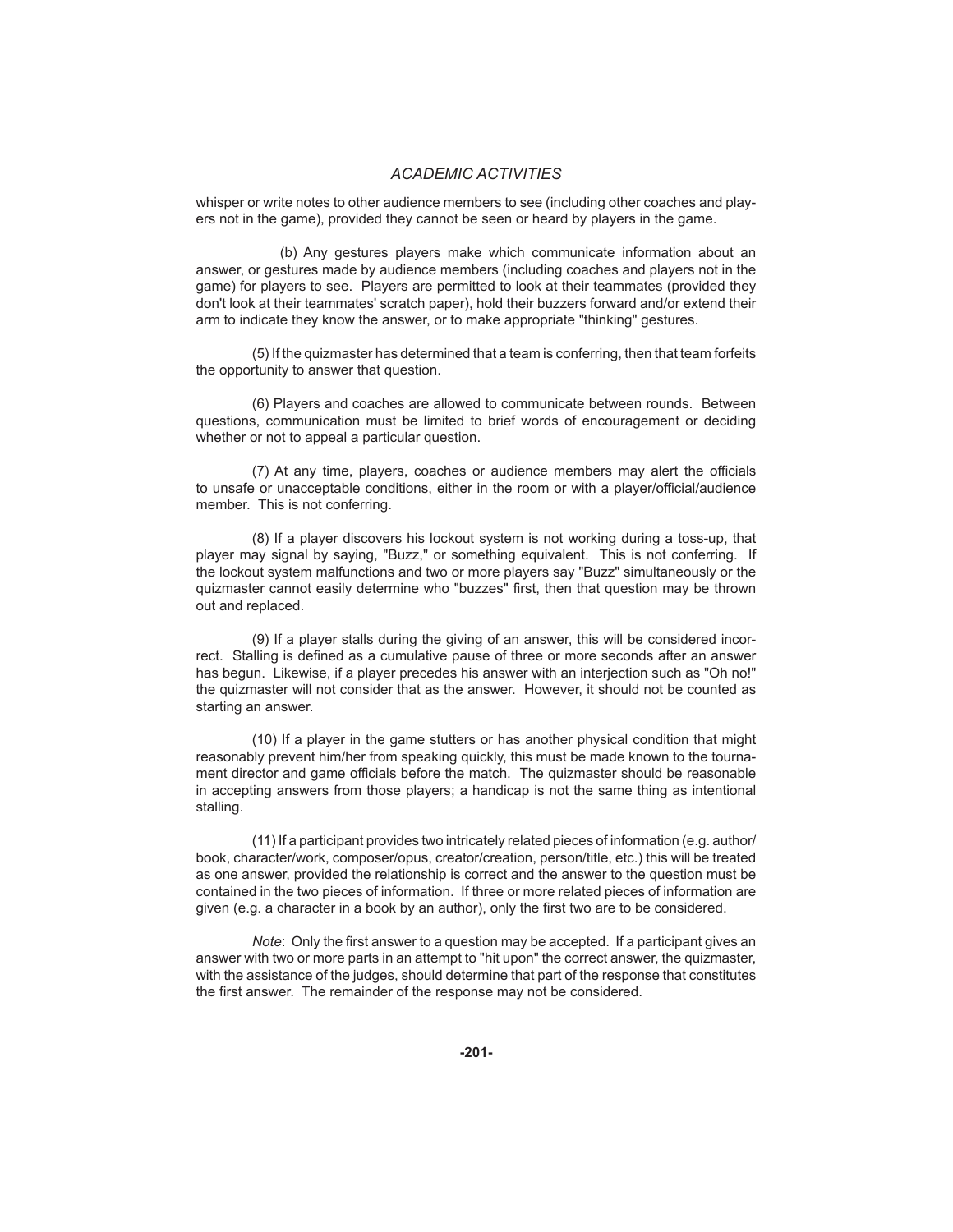# *ACADEMIC ACTIVITIES*

whisper or write notes to other audience members to see (including other coaches and players not in the game), provided they cannot be seen or heard by players in the game.

 (b) Any gestures players make which communicate information about an answer, or gestures made by audience members (including coaches and players not in the game) for players to see. Players are permitted to look at their teammates (provided they don't look at their teammates' scratch paper), hold their buzzers forward and/or extend their arm to indicate they know the answer, or to make appropriate "thinking" gestures.

 (5) If the quizmaster has determined that a team is conferring, then that team forfeits the opportunity to answer that question.

 (6) Players and coaches are allowed to communicate between rounds. Between questions, communication must be limited to brief words of encouragement or deciding whether or not to appeal a particular question.

(7) At any time, players, coaches or audience members may alert the officials to unsafe or unacceptable conditions, either in the room or with a player/official/audience member. This is not conferring.

 (8) If a player discovers his lockout system is not working during a toss-up, that player may signal by saying, "Buzz," or something equivalent. This is not conferring. If the lockout system malfunctions and two or more players say "Buzz" simultaneously or the quizmaster cannot easily determine who "buzzes" first, then that question may be thrown out and replaced.

 (9) If a player stalls during the giving of an answer, this will be considered incorrect. Stalling is defined as a cumulative pause of three or more seconds after an answer has begun. Likewise, if a player precedes his answer with an interjection such as "Oh no!" the quizmaster will not consider that as the answer. However, it should not be counted as starting an answer.

 (10) If a player in the game stutters or has another physical condition that might reasonably prevent him/her from speaking quickly, this must be made known to the tournament director and game officials before the match. The quizmaster should be reasonable in accepting answers from those players; a handicap is not the same thing as intentional stalling.

 (11) If a participant provides two intricately related pieces of information (e.g. author/ book, character/work, composer/opus, creator/creation, person/title, etc.) this will be treated as one answer, provided the relationship is correct and the answer to the question must be contained in the two pieces of information. If three or more related pieces of information are given (e.g. a character in a book by an author), only the first two are to be considered.

*Note*: Only the first answer to a question may be accepted. If a participant gives an answer with two or more parts in an attempt to "hit upon" the correct answer, the quizmaster, with the assistance of the judges, should determine that part of the response that constitutes the first answer. The remainder of the response may not be considered.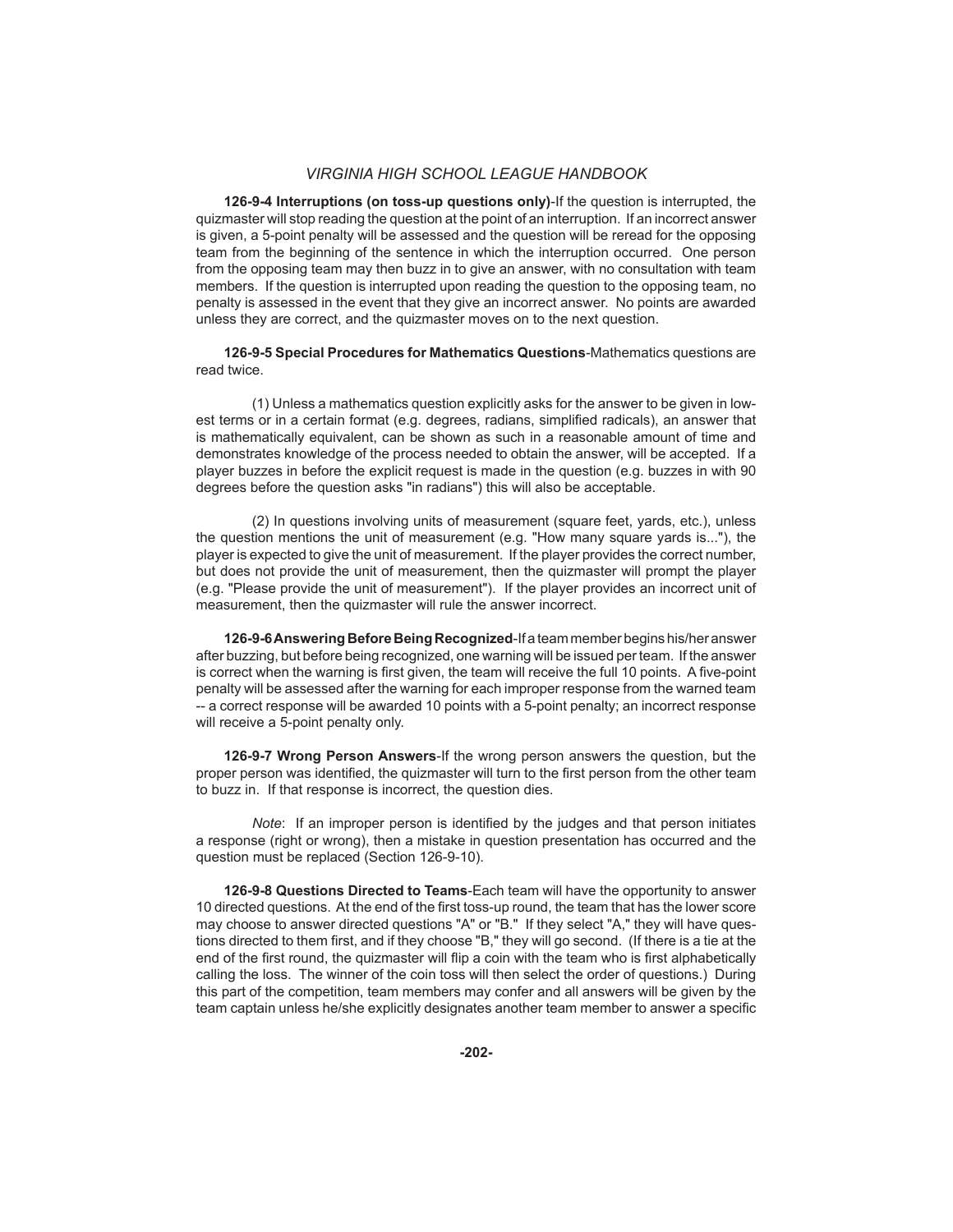**126-9-4 Interruptions (on toss-up questions only)**-If the question is interrupted, the quizmaster will stop reading the question at the point of an interruption. If an incorrect answer is given, a 5-point penalty will be assessed and the question will be reread for the opposing team from the beginning of the sentence in which the interruption occurred. One person from the opposing team may then buzz in to give an answer, with no consultation with team members. If the question is interrupted upon reading the question to the opposing team, no penalty is assessed in the event that they give an incorrect answer. No points are awarded unless they are correct, and the quizmaster moves on to the next question.

**126-9-5 Special Procedures for Mathematics Questions**-Mathematics questions are read twice.

(1) Unless a mathematics question explicitly asks for the answer to be given in lowest terms or in a certain format (e.g. degrees, radians, simplified radicals), an answer that is mathematically equivalent, can be shown as such in a reasonable amount of time and demonstrates knowledge of the process needed to obtain the answer, will be accepted. If a player buzzes in before the explicit request is made in the question (e.g. buzzes in with 90 degrees before the question asks "in radians") this will also be acceptable.

 (2) In questions involving units of measurement (square feet, yards, etc.), unless the question mentions the unit of measurement (e.g. "How many square yards is..."), the player is expected to give the unit of measurement. If the player provides the correct number, but does not provide the unit of measurement, then the quizmaster will prompt the player (e.g. "Please provide the unit of measurement"). If the player provides an incorrect unit of measurement, then the quizmaster will rule the answer incorrect.

**126-9-6 Answering Before Being Recognized**-If a team member begins his/her answer after buzzing, but before being recognized, one warning will be issued per team. If the answer is correct when the warning is first given, the team will receive the full 10 points. A five-point penalty will be assessed after the warning for each improper response from the warned team -- a correct response will be awarded 10 points with a 5-point penalty; an incorrect response will receive a 5-point penalty only.

**126-9-7 Wrong Person Answers**-If the wrong person answers the question, but the proper person was identified, the quizmaster will turn to the first person from the other team to buzz in. If that response is incorrect, the question dies.

*Note*: If an improper person is identified by the judges and that person initiates a response (right or wrong), then a mistake in question presentation has occurred and the question must be replaced (Section 126-9-10).

**126-9-8 Questions Directed to Teams**-Each team will have the opportunity to answer 10 directed questions. At the end of the first toss-up round, the team that has the lower score may choose to answer directed questions "A" or "B." If they select "A," they will have questions directed to them first, and if they choose "B," they will go second. (If there is a tie at the end of the first round, the quizmaster will flip a coin with the team who is first alphabetically calling the loss. The winner of the coin toss will then select the order of questions.) During this part of the competition, team members may confer and all answers will be given by the team captain unless he/she explicitly designates another team member to answer a specific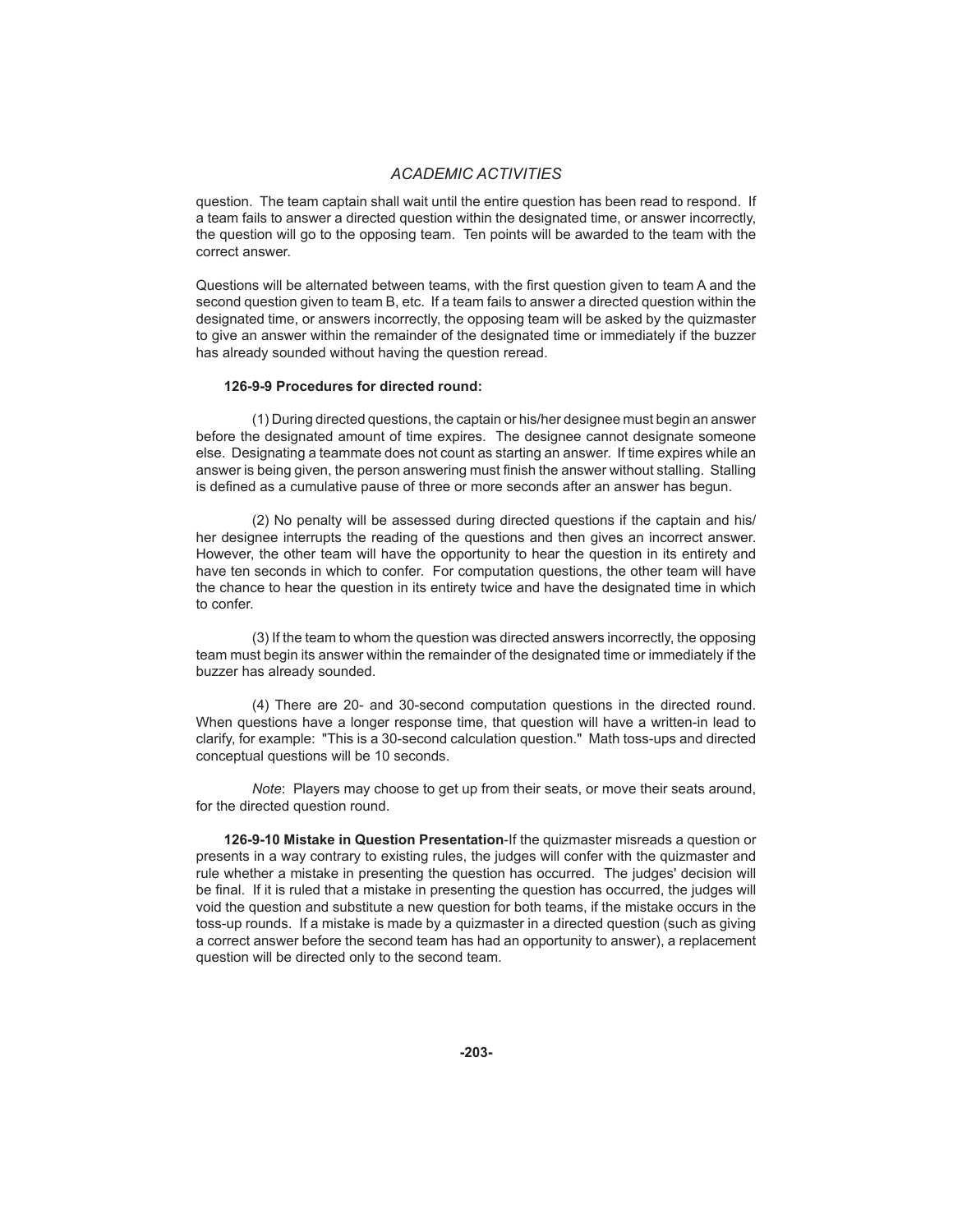# *ACADEMIC ACTIVITIES*

question. The team captain shall wait until the entire question has been read to respond. If a team fails to answer a directed question within the designated time, or answer incorrectly, the question will go to the opposing team. Ten points will be awarded to the team with the correct answer.

Questions will be alternated between teams, with the first question given to team A and the second question given to team B, etc. If a team fails to answer a directed question within the designated time, or answers incorrectly, the opposing team will be asked by the quizmaster to give an answer within the remainder of the designated time or immediately if the buzzer has already sounded without having the question reread.

#### **126-9-9 Procedures for directed round:**

 (1) During directed questions, the captain or his/her designee must begin an answer before the designated amount of time expires. The designee cannot designate someone else. Designating a teammate does not count as starting an answer. If time expires while an answer is being given, the person answering must finish the answer without stalling. Stalling is defined as a cumulative pause of three or more seconds after an answer has begun.

 (2) No penalty will be assessed during directed questions if the captain and his/ her designee interrupts the reading of the questions and then gives an incorrect answer. However, the other team will have the opportunity to hear the question in its entirety and have ten seconds in which to confer. For computation questions, the other team will have the chance to hear the question in its entirety twice and have the designated time in which to confer.

 (3) If the team to whom the question was directed answers incorrectly, the opposing team must begin its answer within the remainder of the designated time or immediately if the buzzer has already sounded.

 (4) There are 20- and 30-second computation questions in the directed round. When questions have a longer response time, that question will have a written-in lead to clarify, for example: "This is a 30-second calculation question." Math toss-ups and directed conceptual questions will be 10 seconds.

 *Note*: Players may choose to get up from their seats, or move their seats around, for the directed question round.

**126-9-10 Mistake in Question Presentation**-If the quizmaster misreads a question or presents in a way contrary to existing rules, the judges will confer with the quizmaster and rule whether a mistake in presenting the question has occurred. The judges' decision will be final. If it is ruled that a mistake in presenting the question has occurred, the judges will void the question and substitute a new question for both teams, if the mistake occurs in the toss-up rounds. If a mistake is made by a quizmaster in a directed question (such as giving a correct answer before the second team has had an opportunity to answer), a replacement question will be directed only to the second team.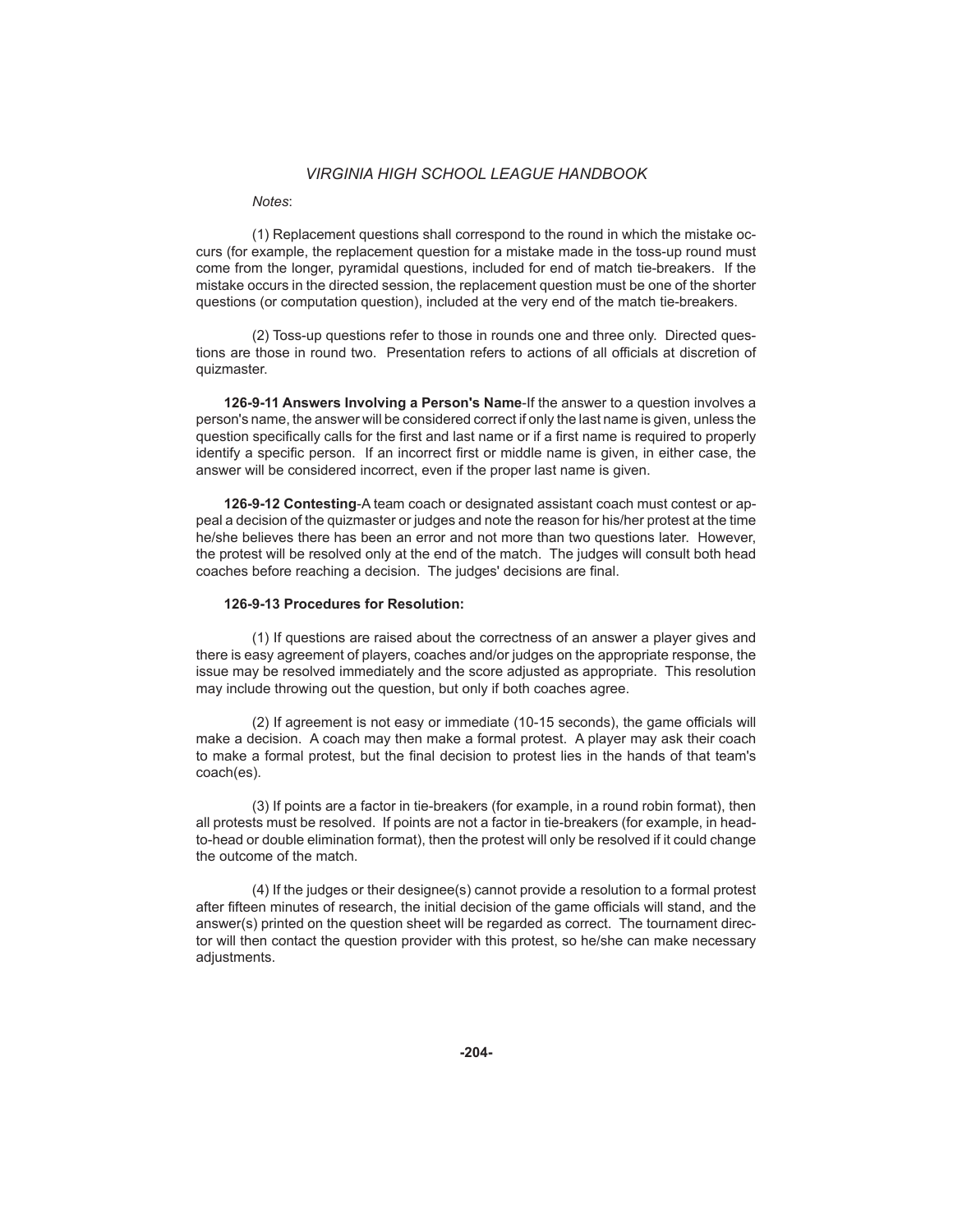#### *Notes*:

 (1) Replacement questions shall correspond to the round in which the mistake occurs (for example, the replacement question for a mistake made in the toss-up round must come from the longer, pyramidal questions, included for end of match tie-breakers. If the mistake occurs in the directed session, the replacement question must be one of the shorter questions (or computation question), included at the very end of the match tie-breakers.

 (2) Toss-up questions refer to those in rounds one and three only. Directed questions are those in round two. Presentation refers to actions of all officials at discretion of quizmaster.

**126-9-11 Answers Involving a Person's Name**-If the answer to a question involves a person's name, the answer will be considered correct if only the last name is given, unless the question specifically calls for the first and last name or if a first name is required to properly identify a specific person. If an incorrect first or middle name is given, in either case, the answer will be considered incorrect, even if the proper last name is given.

**126-9-12 Contesting**-A team coach or designated assistant coach must contest or appeal a decision of the quizmaster or judges and note the reason for his/her protest at the time he/she believes there has been an error and not more than two questions later. However, the protest will be resolved only at the end of the match. The judges will consult both head coaches before reaching a decision. The judges' decisions are final.

#### **126-9-13 Procedures for Resolution:**

 (1) If questions are raised about the correctness of an answer a player gives and there is easy agreement of players, coaches and/or judges on the appropriate response, the issue may be resolved immediately and the score adjusted as appropriate. This resolution may include throwing out the question, but only if both coaches agree.

 $(2)$  If agreement is not easy or immediate  $(10-15$  seconds), the game officials will make a decision. A coach may then make a formal protest. A player may ask their coach to make a formal protest, but the final decision to protest lies in the hands of that team's coach(es).

 (3) If points are a factor in tie-breakers (for example, in a round robin format), then all protests must be resolved. If points are not a factor in tie-breakers (for example, in headto-head or double elimination format), then the protest will only be resolved if it could change the outcome of the match.

 (4) If the judges or their designee(s) cannot provide a resolution to a formal protest after fifteen minutes of research, the initial decision of the game officials will stand, and the answer(s) printed on the question sheet will be regarded as correct. The tournament director will then contact the question provider with this protest, so he/she can make necessary adjustments.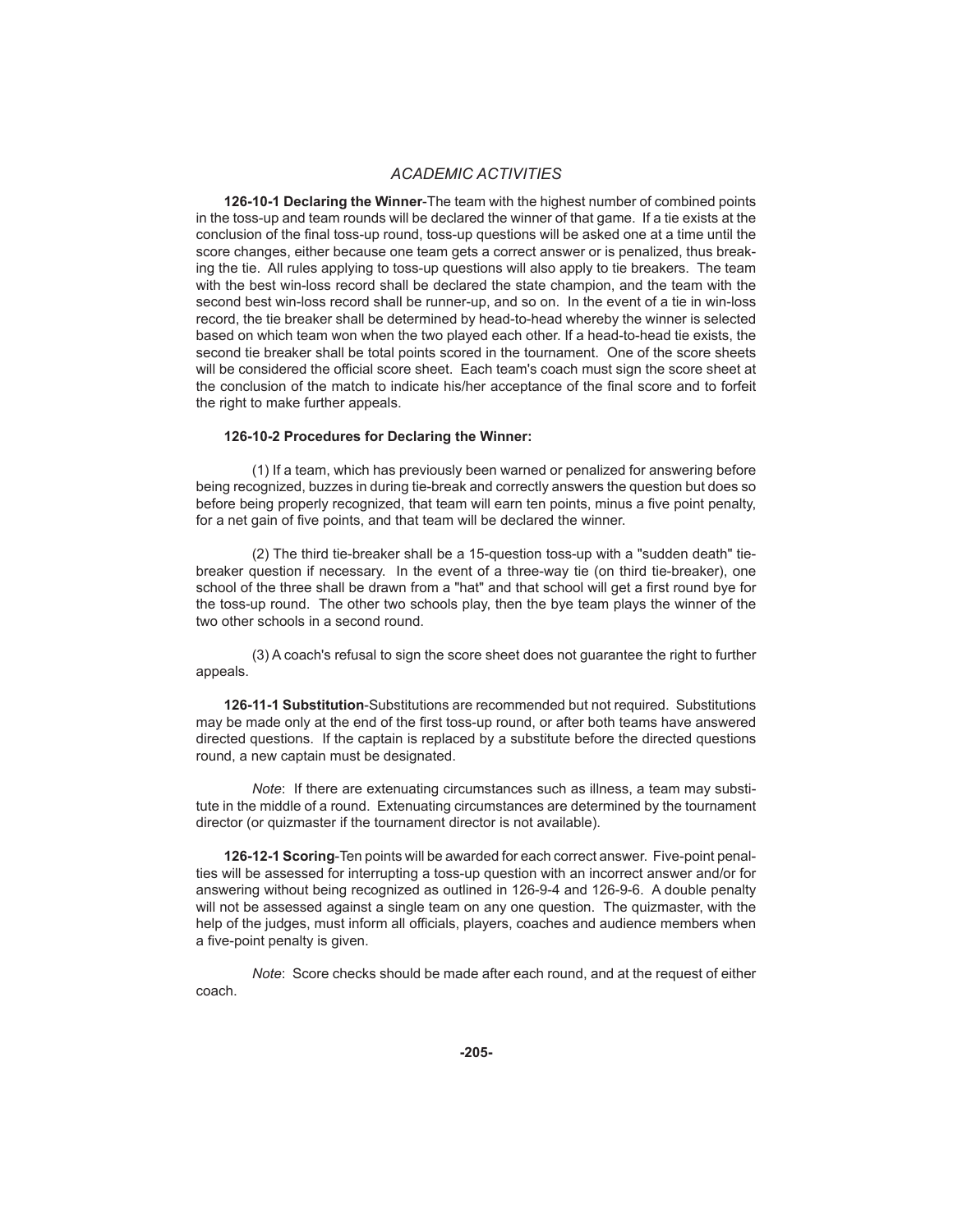# *ACADEMIC ACTIVITIES*

**126-10-1 Declaring the Winner**-The team with the highest number of combined points in the toss-up and team rounds will be declared the winner of that game. If a tie exists at the conclusion of the final toss-up round, toss-up questions will be asked one at a time until the score changes, either because one team gets a correct answer or is penalized, thus breaking the tie. All rules applying to toss-up questions will also apply to tie breakers. The team with the best win-loss record shall be declared the state champion, and the team with the second best win-loss record shall be runner-up, and so on. In the event of a tie in win-loss record, the tie breaker shall be determined by head-to-head whereby the winner is selected based on which team won when the two played each other. If a head-to-head tie exists, the second tie breaker shall be total points scored in the tournament. One of the score sheets will be considered the official score sheet. Each team's coach must sign the score sheet at the conclusion of the match to indicate his/her acceptance of the final score and to forfeit the right to make further appeals.

## **126-10-2 Procedures for Declaring the Winner:**

 (1) If a team, which has previously been warned or penalized for answering before being recognized, buzzes in during tie-break and correctly answers the question but does so before being properly recognized, that team will earn ten points, minus a five point penalty, for a net gain of five points, and that team will be declared the winner.

 (2) The third tie-breaker shall be a 15-question toss-up with a "sudden death" tiebreaker question if necessary. In the event of a three-way tie (on third tie-breaker), one school of the three shall be drawn from a "hat" and that school will get a first round bye for the toss-up round. The other two schools play, then the bye team plays the winner of the two other schools in a second round.

 (3) A coach's refusal to sign the score sheet does not guarantee the right to further appeals.

**126-11-1 Substitution**-Substitutions are recommended but not required. Substitutions may be made only at the end of the first toss-up round, or after both teams have answered directed questions. If the captain is replaced by a substitute before the directed questions round, a new captain must be designated.

 *Note*: If there are extenuating circumstances such as illness, a team may substitute in the middle of a round. Extenuating circumstances are determined by the tournament director (or quizmaster if the tournament director is not available).

**126-12-1 Scoring**-Ten points will be awarded for each correct answer. Five-point penalties will be assessed for interrupting a toss-up question with an incorrect answer and/or for answering without being recognized as outlined in 126-9-4 and 126-9-6. A double penalty will not be assessed against a single team on any one question. The quizmaster, with the help of the judges, must inform all officials, players, coaches and audience members when a five-point penalty is given.

 *Note*: Score checks should be made after each round, and at the request of either coach.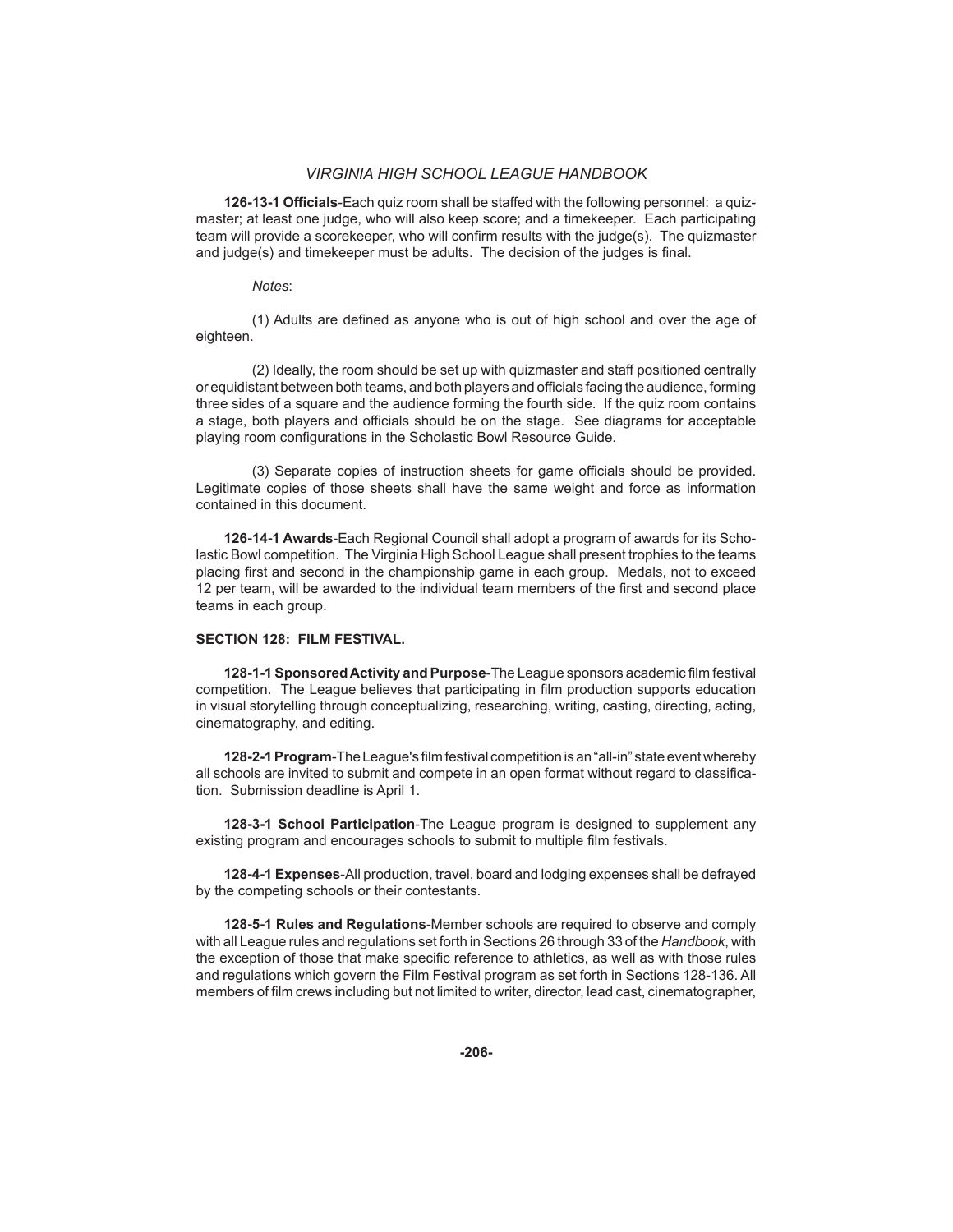**126-13-1 Officials**-Each quiz room shall be staffed with the following personnel: a quizmaster; at least one judge, who will also keep score; and a timekeeper. Each participating team will provide a scorekeeper, who will confirm results with the judge(s). The quizmaster and judge(s) and timekeeper must be adults. The decision of the judges is final.

#### *Notes*:

(1) Adults are defined as anyone who is out of high school and over the age of eighteen.

 (2) Ideally, the room should be set up with quizmaster and staff positioned centrally or equidistant between both teams, and both players and officials facing the audience, forming three sides of a square and the audience forming the fourth side. If the quiz room contains a stage, both players and officials should be on the stage. See diagrams for acceptable playing room configurations in the Scholastic Bowl Resource Guide.

(3) Separate copies of instruction sheets for game officials should be provided. Legitimate copies of those sheets shall have the same weight and force as information contained in this document.

**126-14-1 Awards**-Each Regional Council shall adopt a program of awards for its Scholastic Bowl competition. The Virginia High School League shall present trophies to the teams placing first and second in the championship game in each group. Medals, not to exceed 12 per team, will be awarded to the individual team members of the first and second place teams in each group.

#### **SECTION 128: FILM FESTIVAL.**

**128-1-1 Sponsored Activity and Purpose-**The League sponsors academic film festival competition. The League believes that participating in film production supports education in visual storytelling through conceptualizing, researching, writing, casting, directing, acting, cinematography, and editing.

**128-2-1 Program-**The League's film festival competition is an "all-in" state event whereby all schools are invited to submit and compete in an open format without regard to classification. Submission deadline is April 1.

**128-3-1 School Participation**-The League program is designed to supplement any existing program and encourages schools to submit to multiple film festivals.

**128-4-1 Expenses**-All production, travel, board and lodging expenses shall be defrayed by the competing schools or their contestants.

**128-5-1 Rules and Regulations**-Member schools are required to observe and comply with all League rules and regulations set forth in Sections 26 through 33 of the *Handbook*, with the exception of those that make specific reference to athletics, as well as with those rules and regulations which govern the Film Festival program as set forth in Sections 128-136. All members of film crews including but not limited to writer, director, lead cast, cinematographer,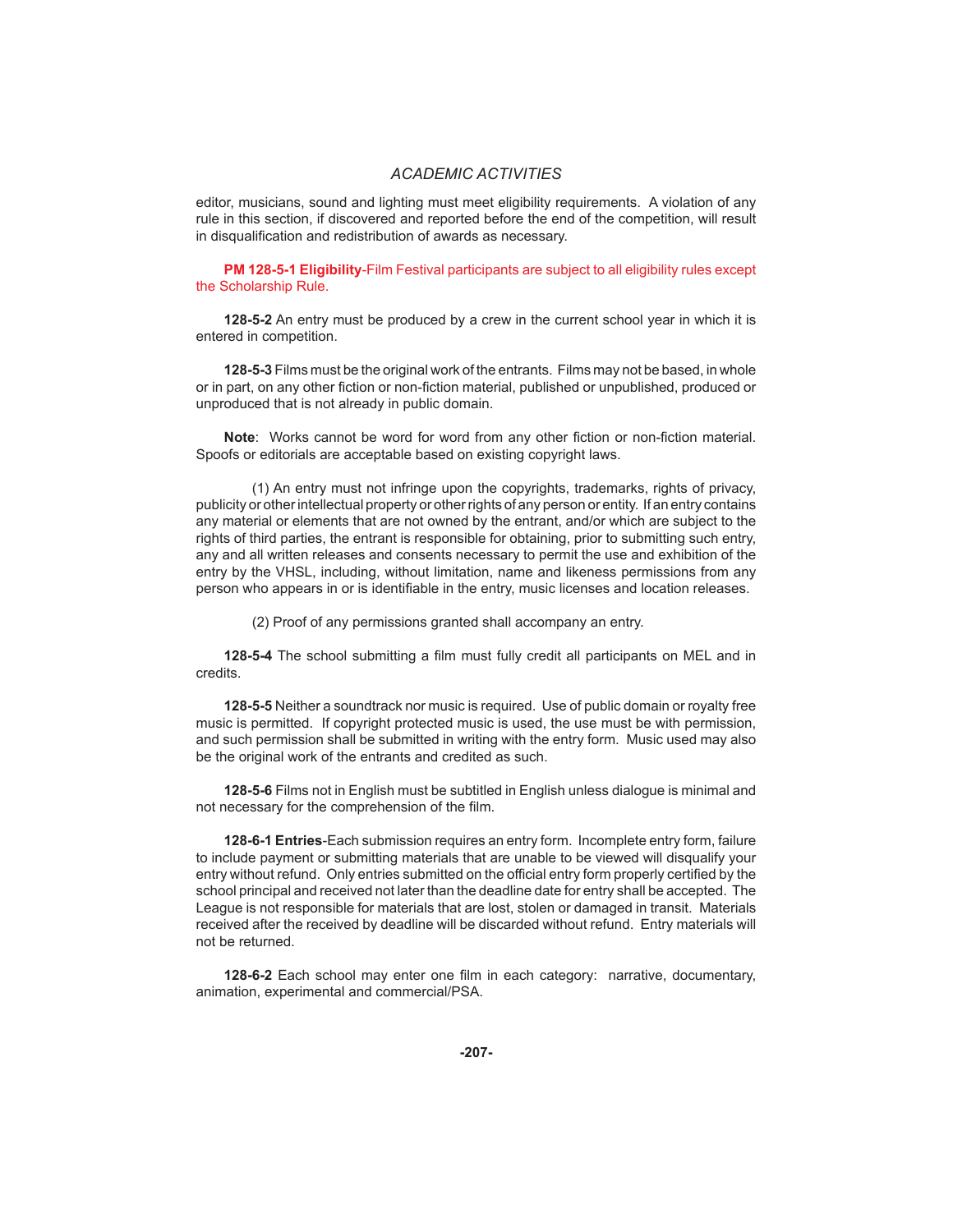# *ACADEMIC ACTIVITIES*

editor, musicians, sound and lighting must meet eligibility requirements. A violation of any rule in this section, if discovered and reported before the end of the competition, will result in disqualification and redistribution of awards as necessary.

**PM 128-5-1 Eligibility**-Film Festival participants are subject to all eligibility rules except the Scholarship Rule.

 **128-5-2** An entry must be produced by a crew in the current school year in which it is entered in competition.

 **128-5-3** Films must be the original work of the entrants. Films may not be based, in whole or in part, on any other fiction or non-fiction material, published or unpublished, produced or unproduced that is not already in public domain.

Note: Works cannot be word for word from any other fiction or non-fiction material. Spoofs or editorials are acceptable based on existing copyright laws.

 (1) An entry must not infringe upon the copyrights, trademarks, rights of privacy, publicity or other intellectual property or other rights of any person or entity. If an entry contains any material or elements that are not owned by the entrant, and/or which are subject to the rights of third parties, the entrant is responsible for obtaining, prior to submitting such entry, any and all written releases and consents necessary to permit the use and exhibition of the entry by the VHSL, including, without limitation, name and likeness permissions from any person who appears in or is identifiable in the entry, music licenses and location releases.

(2) Proof of any permissions granted shall accompany an entry.

**128-5-4** The school submitting a film must fully credit all participants on MEL and in credits.

**128-5-5** Neither a soundtrack nor music is required. Use of public domain or royalty free music is permitted. If copyright protected music is used, the use must be with permission, and such permission shall be submitted in writing with the entry form. Music used may also be the original work of the entrants and credited as such.

**128-5-6** Films not in English must be subtitled in English unless dialogue is minimal and not necessary for the comprehension of the film.

**128-6-1 Entries**-Each submission requires an entry form. Incomplete entry form, failure to include payment or submitting materials that are unable to be viewed will disqualify your entry without refund. Only entries submitted on the official entry form properly certified by the school principal and received not later than the deadline date for entry shall be accepted. The League is not responsible for materials that are lost, stolen or damaged in transit. Materials received after the received by deadline will be discarded without refund. Entry materials will not be returned.

**128-6-2** Each school may enter one film in each category: narrative, documentary, animation, experimental and commercial/PSA.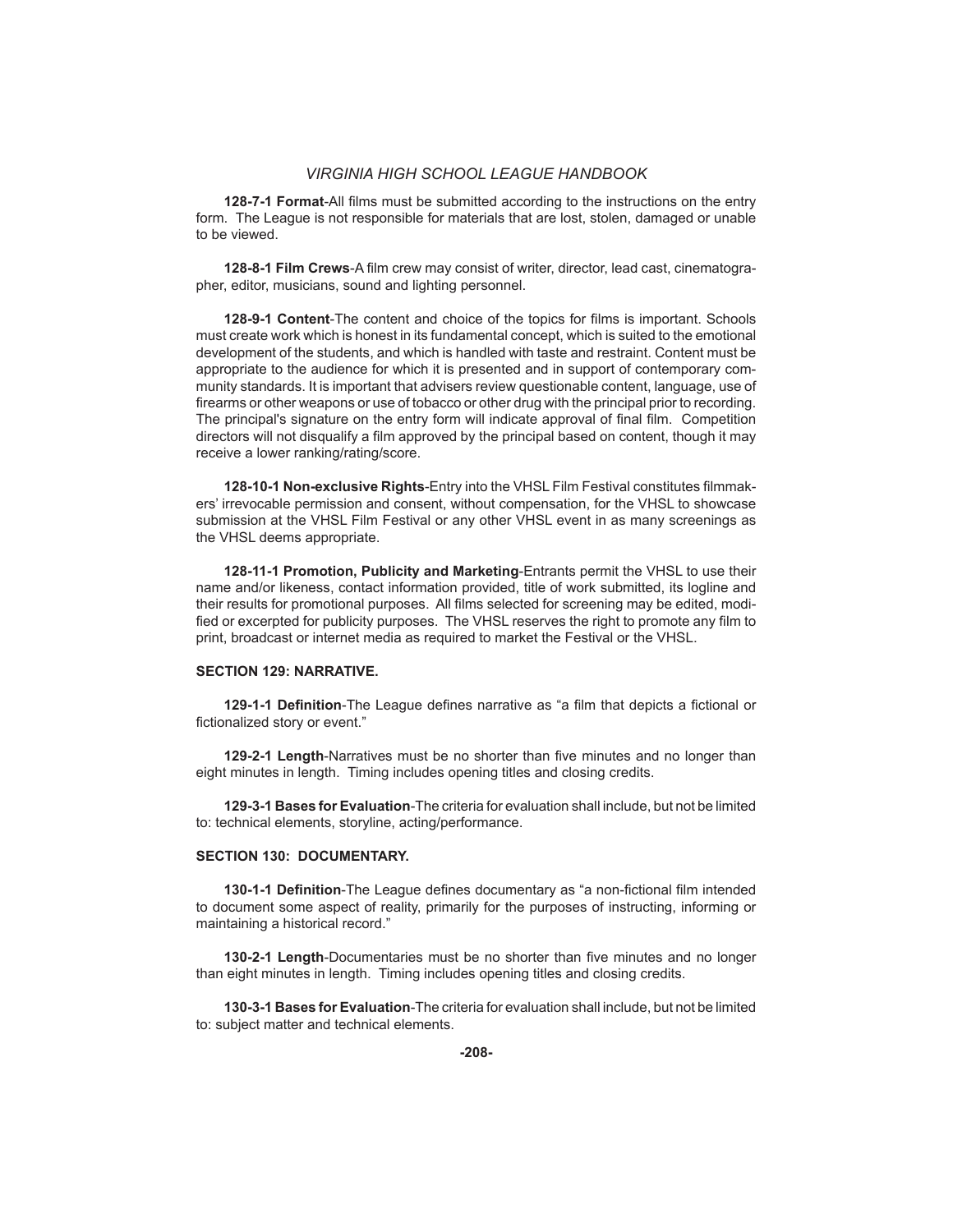**128-7-1 Format-**All films must be submitted according to the instructions on the entry form. The League is not responsible for materials that are lost, stolen, damaged or unable to be viewed.

**128-8-1 Film Crews-A film crew may consist of writer, director, lead cast, cinematogra**pher, editor, musicians, sound and lighting personnel.

**128-9-1 Content-**The content and choice of the topics for films is important. Schools must create work which is honest in its fundamental concept, which is suited to the emotional development of the students, and which is handled with taste and restraint. Content must be appropriate to the audience for which it is presented and in support of contemporary community standards. It is important that advisers review questionable content, language, use of firearms or other weapons or use of tobacco or other drug with the principal prior to recording. The principal's signature on the entry form will indicate approval of final film. Competition directors will not disqualify a film approved by the principal based on content, though it may receive a lower ranking/rating/score.

128-10-1 Non-exclusive Rights-Entry into the VHSL Film Festival constitutes filmmakers' irrevocable permission and consent, without compensation, for the VHSL to showcase submission at the VHSL Film Festival or any other VHSL event in as many screenings as the VHSL deems appropriate.

**128-11-1 Promotion, Publicity and Marketing**-Entrants permit the VHSL to use their name and/or likeness, contact information provided, title of work submitted, its logline and their results for promotional purposes. All films selected for screening may be edited, modified or excerpted for publicity purposes. The VHSL reserves the right to promote any film to print, broadcast or internet media as required to market the Festival or the VHSL.

## **SECTION 129: NARRATIVE.**

**129-1-1 Definition-The League defines narrative as "a film that depicts a fictional or** fictionalized story or event."

**129-2-1 Length-Narratives must be no shorter than five minutes and no longer than** eight minutes in length. Timing includes opening titles and closing credits.

**129-3-1 Bases for Evaluation**-The criteria for evaluation shall include, but not be limited to: technical elements, storyline, acting/performance.

### **SECTION 130: DOCUMENTARY.**

**130-1-1 Definition**-The League defines documentary as "a non-fictional film intended to document some aspect of reality, primarily for the purposes of instructing, informing or maintaining a historical record."

**130-2-1 Length-Documentaries must be no shorter than five minutes and no longer** than eight minutes in length. Timing includes opening titles and closing credits.

**130-3-1 Bases for Evaluation**-The criteria for evaluation shall include, but not be limited to: subject matter and technical elements.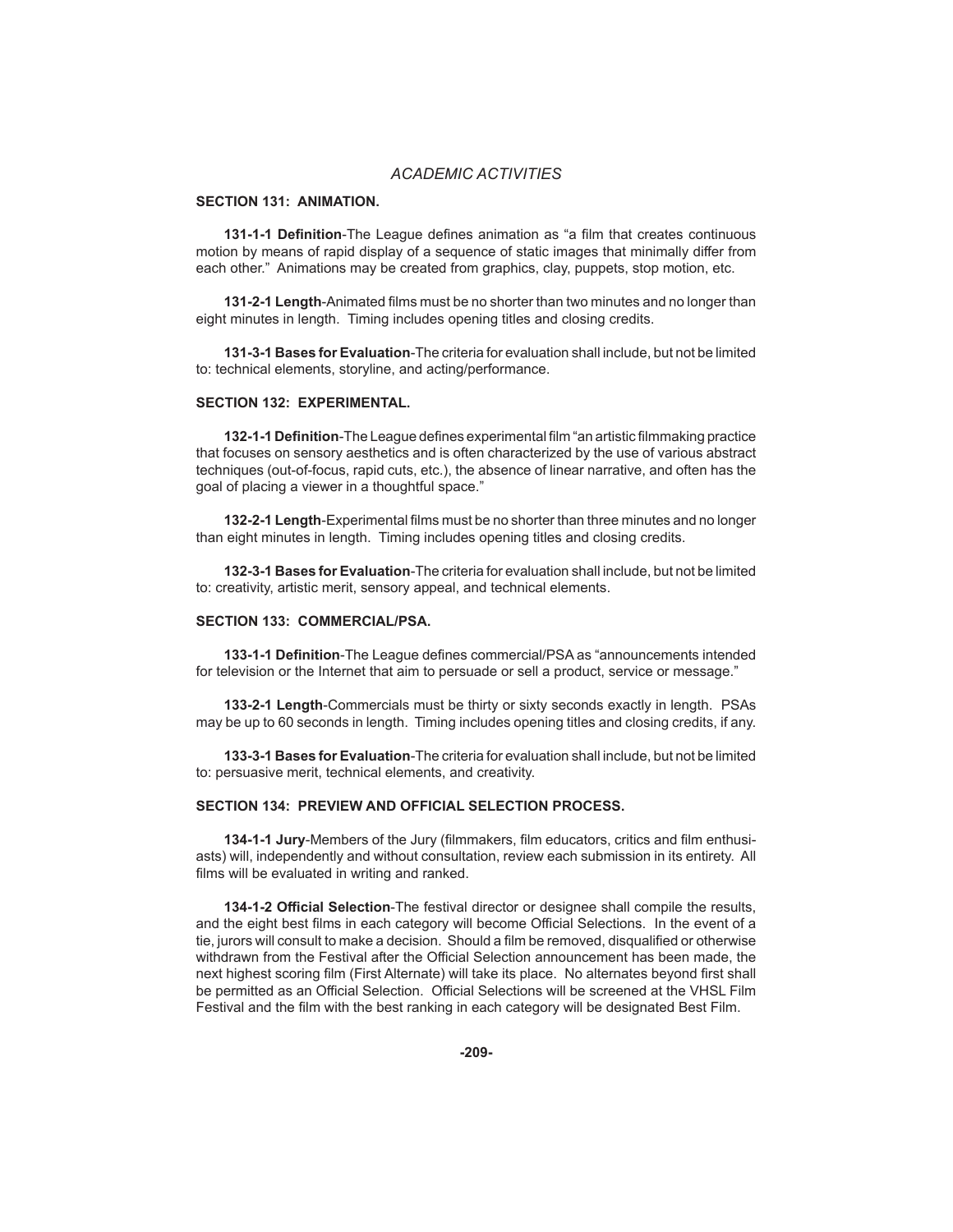## *ACADEMIC ACTIVITIES*

#### **SECTION 131: ANIMATION.**

**131-1-1 Definition-The League defines animation as "a film that creates continuous** motion by means of rapid display of a sequence of static images that minimally differ from each other." Animations may be created from graphics, clay, puppets, stop motion, etc.

**131-2-1 Length-**Animated films must be no shorter than two minutes and no longer than eight minutes in length. Timing includes opening titles and closing credits.

**131-3-1 Bases for Evaluation**-The criteria for evaluation shall include, but not be limited to: technical elements, storyline, and acting/performance.

### **SECTION 132: EXPERIMENTAL.**

**132-1-1 Definition-The League defines experimental film "an artistic filmmaking practice** that focuses on sensory aesthetics and is often characterized by the use of various abstract techniques (out-of-focus, rapid cuts, etc.), the absence of linear narrative, and often has the goal of placing a viewer in a thoughtful space."

**132-2-1 Length-**Experimental films must be no shorter than three minutes and no longer than eight minutes in length. Timing includes opening titles and closing credits.

**132-3-1 Bases for Evaluation**-The criteria for evaluation shall include, but not be limited to: creativity, artistic merit, sensory appeal, and technical elements.

#### **SECTION 133: COMMERCIAL/PSA.**

**133-1-1 Definition-The League defines commercial/PSA as "announcements intended** for television or the Internet that aim to persuade or sell a product, service or message."

**133-2-1 Length**-Commercials must be thirty or sixty seconds exactly in length. PSAs may be up to 60 seconds in length. Timing includes opening titles and closing credits, if any.

**133-3-1 Bases for Evaluation**-The criteria for evaluation shall include, but not be limited to: persuasive merit, technical elements, and creativity.

#### **SECTION 134: PREVIEW AND OFFICIAL SELECTION PROCESS.**

134-1-1 Jury-Members of the Jury (filmmakers, film educators, critics and film enthusiasts) will, independently and without consultation, review each submission in its entirety. All films will be evaluated in writing and ranked.

**134-1-2 Offi cial Selection**-The festival director or designee shall compile the results, and the eight best films in each category will become Official Selections. In the event of a tie, jurors will consult to make a decision. Should a film be removed, disqualified or otherwise withdrawn from the Festival after the Official Selection announcement has been made, the next highest scoring film (First Alternate) will take its place. No alternates beyond first shall be permitted as an Official Selection. Official Selections will be screened at the VHSL Film Festival and the film with the best ranking in each category will be designated Best Film.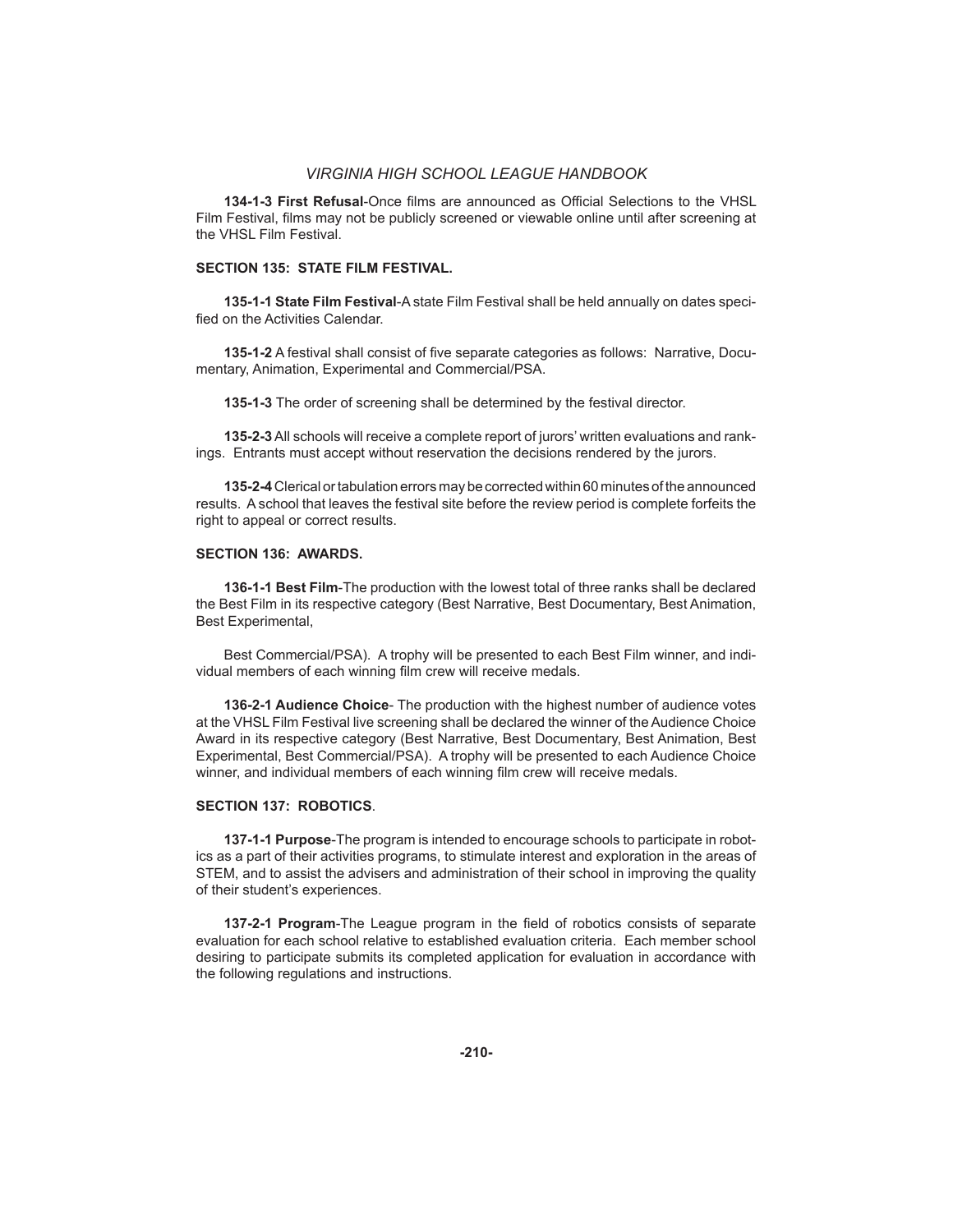**134-1-3 First Refusal-**Once films are announced as Official Selections to the VHSL Film Festival, films may not be publicly screened or viewable online until after screening at the VHSL Film Festival.

#### **SECTION 135: STATE FILM FESTIVAL.**

**135-1-1 State Film Festival**-A state Film Festival shall be held annually on dates specified on the Activities Calendar.

135-1-2 A festival shall consist of five separate categories as follows: Narrative, Documentary, Animation, Experimental and Commercial/PSA.

**135-1-3** The order of screening shall be determined by the festival director.

**135-2-3** All schools will receive a complete report of jurors' written evaluations and rankings. Entrants must accept without reservation the decisions rendered by the jurors.

**135-2-4** Clerical or tabulation errors may be corrected within 60 minutes of the announced results. A school that leaves the festival site before the review period is complete forfeits the right to appeal or correct results.

#### **SECTION 136: AWARDS.**

**136-1-1 Best Film**-The production with the lowest total of three ranks shall be declared the Best Film in its respective category (Best Narrative, Best Documentary, Best Animation, Best Experimental,

 Best Commercial/PSA). A trophy will be presented to each Best Film winner, and individual members of each winning film crew will receive medals.

**136-2-1 Audience Choice**- The production with the highest number of audience votes at the VHSL Film Festival live screening shall be declared the winner of the Audience Choice Award in its respective category (Best Narrative, Best Documentary, Best Animation, Best Experimental, Best Commercial/PSA). A trophy will be presented to each Audience Choice winner, and individual members of each winning film crew will receive medals.

#### **SECTION 137: ROBOTICS**.

**137-1-1 Purpose**-The program is intended to encourage schools to participate in robotics as a part of their activities programs, to stimulate interest and exploration in the areas of STEM, and to assist the advisers and administration of their school in improving the quality of their student's experiences.

**137-2-1 Program-The League program in the field of robotics consists of separate** evaluation for each school relative to established evaluation criteria. Each member school desiring to participate submits its completed application for evaluation in accordance with the following regulations and instructions.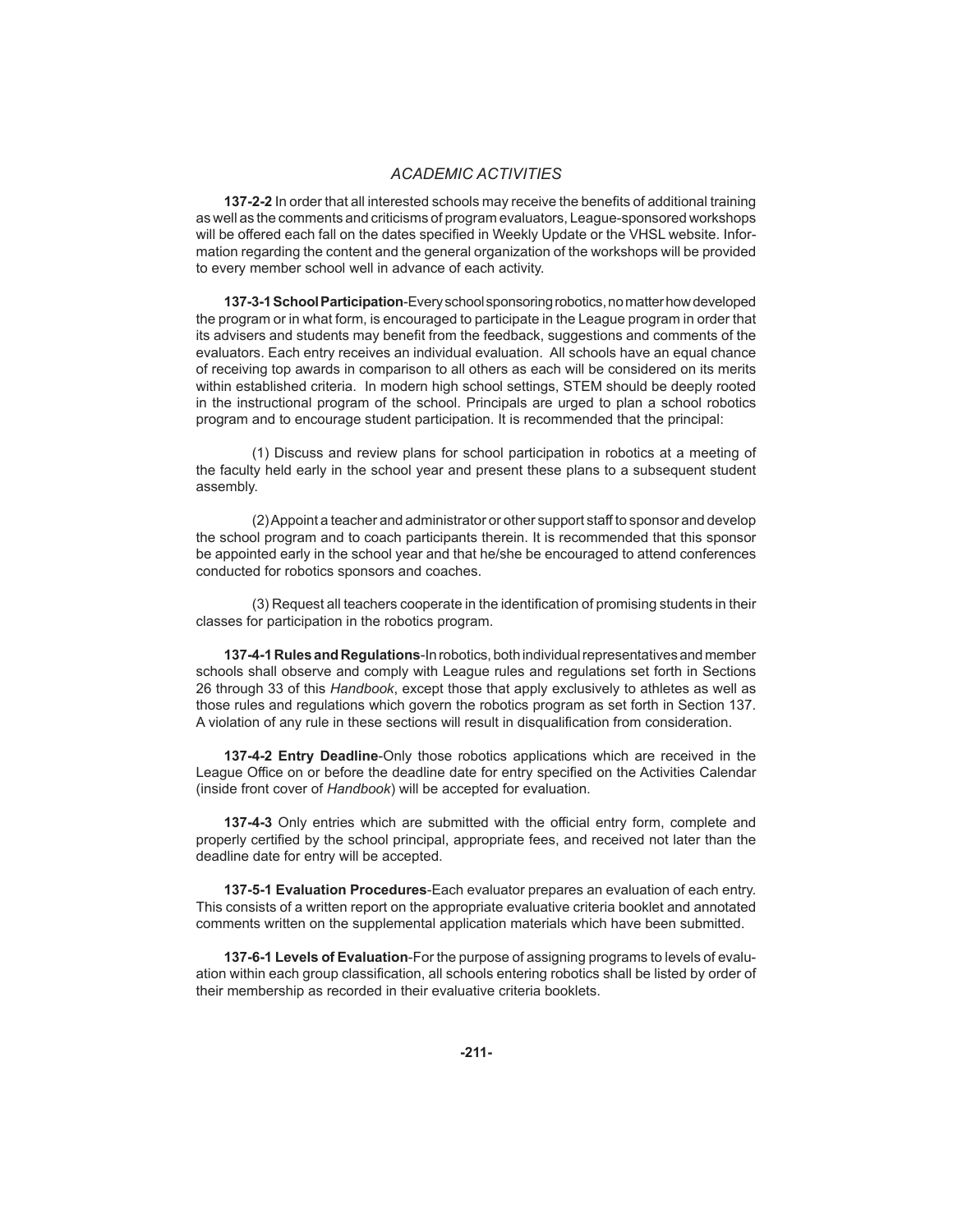# *ACADEMIC ACTIVITIES*

**137-2-2** In order that all interested schools may receive the benefits of additional training as well as the comments and criticisms of program evaluators, League-sponsored workshops will be offered each fall on the dates specified in Weekly Update or the VHSL website. Information regarding the content and the general organization of the workshops will be provided to every member school well in advance of each activity.

**137-3-1 School Participation**-Every school sponsoring robotics, no matter how developed the program or in what form, is encouraged to participate in the League program in order that its advisers and students may benefit from the feedback, suggestions and comments of the evaluators. Each entry receives an individual evaluation. All schools have an equal chance of receiving top awards in comparison to all others as each will be considered on its merits within established criteria. In modern high school settings, STEM should be deeply rooted in the instructional program of the school. Principals are urged to plan a school robotics program and to encourage student participation. It is recommended that the principal:

(1) Discuss and review plans for school participation in robotics at a meeting of the faculty held early in the school year and present these plans to a subsequent student assembly.

 (2) Appoint a teacher and administrator or other support staff to sponsor and develop the school program and to coach participants therein. It is recommended that this sponsor be appointed early in the school year and that he/she be encouraged to attend conferences conducted for robotics sponsors and coaches.

(3) Request all teachers cooperate in the identification of promising students in their classes for participation in the robotics program.

**137-4-1 Rules and Regulations**-In robotics, both individual representatives and member schools shall observe and comply with League rules and regulations set forth in Sections 26 through 33 of this *Handbook*, except those that apply exclusively to athletes as well as those rules and regulations which govern the robotics program as set forth in Section 137. A violation of any rule in these sections will result in disqualification from consideration.

**137-4-2 Entry Deadline**-Only those robotics applications which are received in the League Office on or before the deadline date for entry specified on the Activities Calendar (inside front cover of *Handbook*) will be accepted for evaluation.

**137-4-3** Only entries which are submitted with the official entry form, complete and properly certified by the school principal, appropriate fees, and received not later than the deadline date for entry will be accepted.

**137-5-1 Evaluation Procedures**-Each evaluator prepares an evaluation of each entry. This consists of a written report on the appropriate evaluative criteria booklet and annotated comments written on the supplemental application materials which have been submitted.

**137-6-1 Levels of Evaluation**-For the purpose of assigning programs to levels of evaluation within each group classification, all schools entering robotics shall be listed by order of their membership as recorded in their evaluative criteria booklets.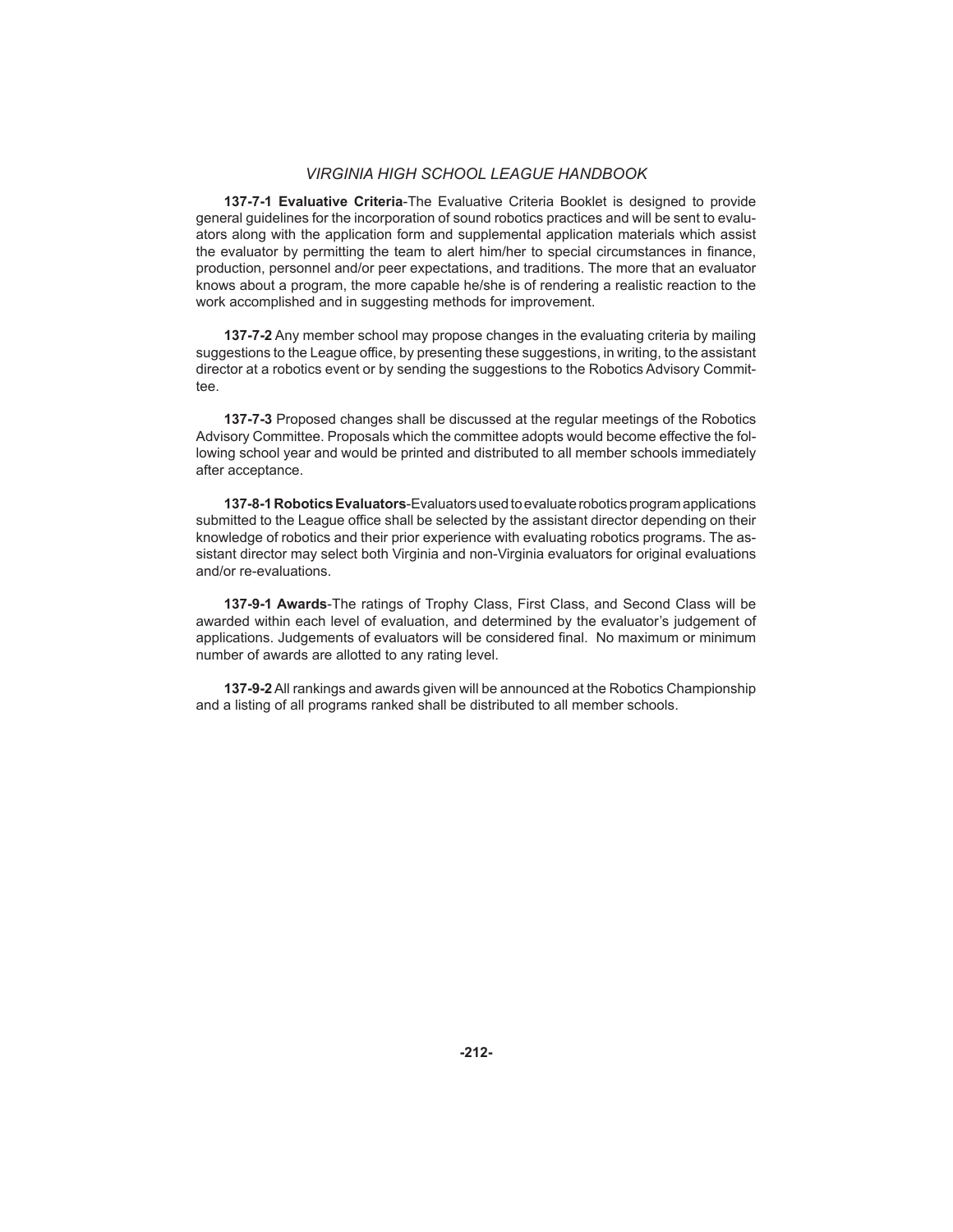**137-7-1 Evaluative Criteria**-The Evaluative Criteria Booklet is designed to provide general guidelines for the incorporation of sound robotics practices and will be sent to evaluators along with the application form and supplemental application materials which assist the evaluator by permitting the team to alert him/her to special circumstances in finance. production, personnel and/or peer expectations, and traditions. The more that an evaluator knows about a program, the more capable he/she is of rendering a realistic reaction to the work accomplished and in suggesting methods for improvement.

**137-7-2** Any member school may propose changes in the evaluating criteria by mailing suggestions to the League office, by presenting these suggestions, in writing, to the assistant director at a robotics event or by sending the suggestions to the Robotics Advisory Committee.

**137-7-3** Proposed changes shall be discussed at the regular meetings of the Robotics Advisory Committee. Proposals which the committee adopts would become effective the following school year and would be printed and distributed to all member schools immediately after acceptance.

**137-8-1 Robotics Evaluators**-Evaluators used to evaluate robotics program applications submitted to the League office shall be selected by the assistant director depending on their knowledge of robotics and their prior experience with evaluating robotics programs. The assistant director may select both Virginia and non-Virginia evaluators for original evaluations and/or re-evaluations.

**137-9-1 Awards**-The ratings of Trophy Class, First Class, and Second Class will be awarded within each level of evaluation, and determined by the evaluator's judgement of applications. Judgements of evaluators will be considered final. No maximum or minimum number of awards are allotted to any rating level.

**137-9-2** All rankings and awards given will be announced at the Robotics Championship and a listing of all programs ranked shall be distributed to all member schools.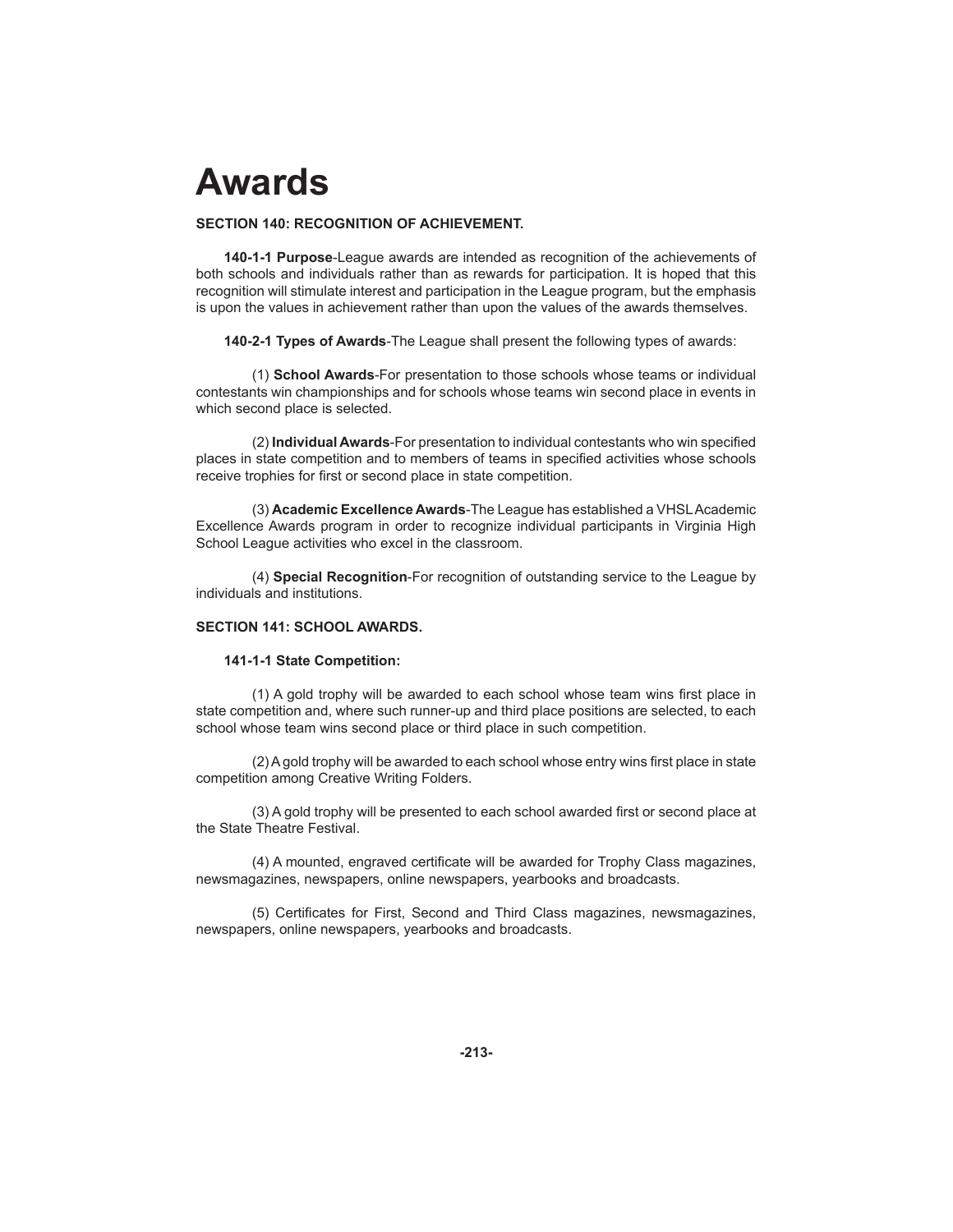# **Awards**

#### **SECTION 140: RECOGNITION OF ACHIEVEMENT.**

**140-1-1 Purpose**-League awards are intended as recognition of the achievements of both schools and individuals rather than as rewards for participation. It is hoped that this recognition will stimulate interest and participation in the League program, but the emphasis is upon the values in achievement rather than upon the values of the awards themselves.

**140-2-1 Types of Awards**-The League shall present the following types of awards:

 (1) **School Awards**-For presentation to those schools whose teams or individual contestants win championships and for schools whose teams win second place in events in which second place is selected.

 (2) **Individual Awards**-For presentation to individual contestants who win specifi ed places in state competition and to members of teams in specified activities whose schools receive trophies for first or second place in state competition.

 (3) **Academic Excellence Awards**-The League has established a VHSL Academic Excellence Awards program in order to recognize individual participants in Virginia High School League activities who excel in the classroom.

 (4) **Special Recognition**-For recognition of outstanding service to the League by individuals and institutions.

## **SECTION 141: SCHOOL AWARDS.**

#### **141-1-1 State Competition:**

 $(1)$  A gold trophy will be awarded to each school whose team wins first place in state competition and, where such runner-up and third place positions are selected, to each school whose team wins second place or third place in such competition.

(2) A gold trophy will be awarded to each school whose entry wins first place in state competition among Creative Writing Folders.

(3) A gold trophy will be presented to each school awarded first or second place at the State Theatre Festival.

(4) A mounted, engraved certificate will be awarded for Trophy Class magazines, newsmagazines, newspapers, online newspapers, yearbooks and broadcasts.

(5) Certificates for First, Second and Third Class magazines, newsmagazines, newspapers, online newspapers, yearbooks and broadcasts.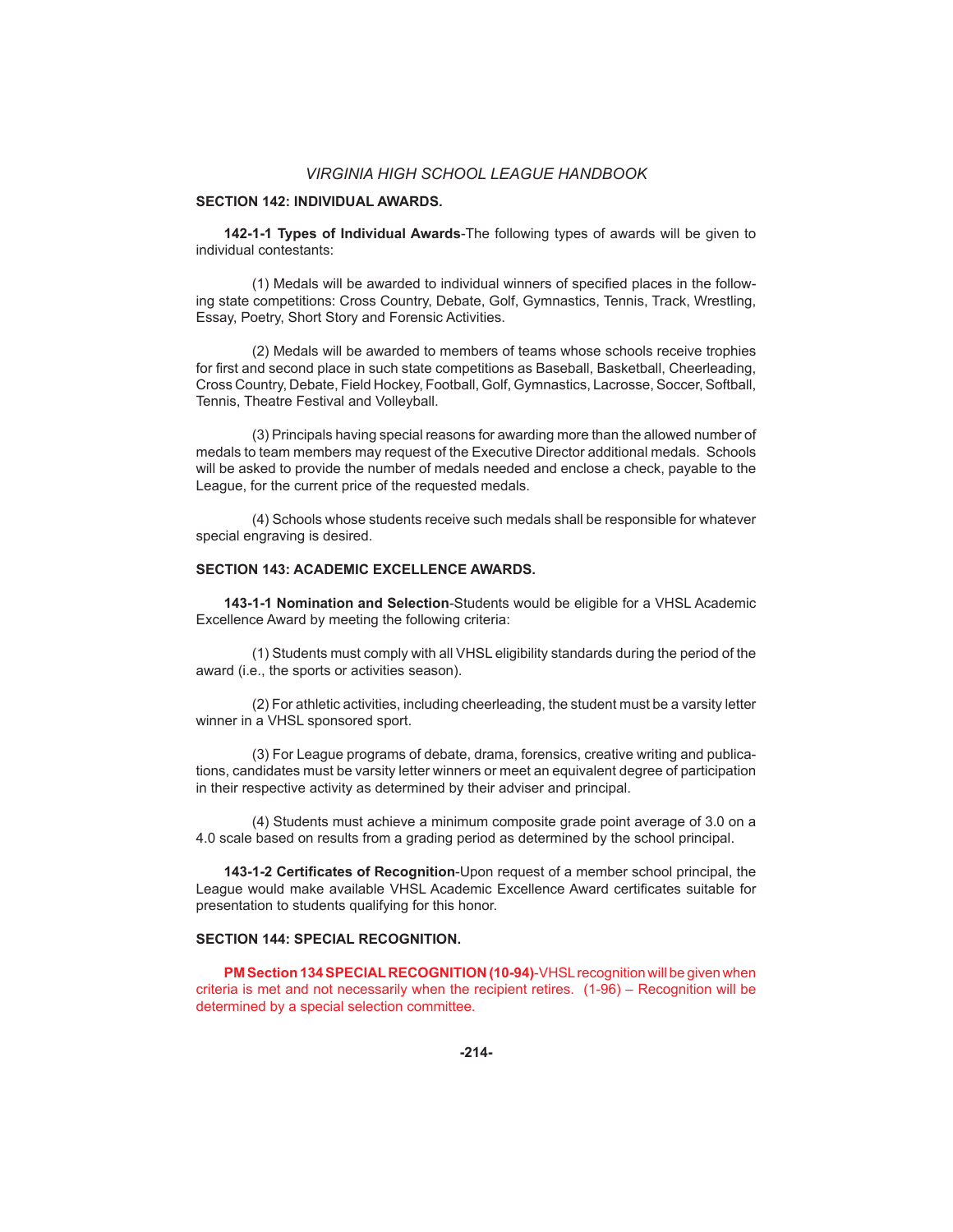#### **SECTION 142: INDIVIDUAL AWARDS.**

**142-1-1 Types of Individual Awards**-The following types of awards will be given to individual contestants:

(1) Medals will be awarded to individual winners of specified places in the following state competitions: Cross Country, Debate, Golf, Gymnastics, Tennis, Track, Wrestling, Essay, Poetry, Short Story and Forensic Activities.

 (2) Medals will be awarded to members of teams whose schools receive trophies for first and second place in such state competitions as Baseball, Basketball, Cheerleading, Cross Country, Debate, Field Hockey, Football, Golf, Gymnastics, Lacrosse, Soccer, Softball, Tennis, Theatre Festival and Volleyball.

 (3) Principals having special reasons for awarding more than the allowed number of medals to team members may request of the Executive Director additional medals. Schools will be asked to provide the number of medals needed and enclose a check, payable to the League, for the current price of the requested medals.

 (4) Schools whose students receive such medals shall be responsible for whatever special engraving is desired.

## **SECTION 143: ACADEMIC EXCELLENCE AWARDS.**

**143-1-1 Nomination and Selection**-Students would be eligible for a VHSL Academic Excellence Award by meeting the following criteria:

 (1) Students must comply with all VHSL eligibility standards during the period of the award (i.e., the sports or activities season).

 (2) For athletic activities, including cheerleading, the student must be a varsity letter winner in a VHSL sponsored sport.

 (3) For League programs of debate, drama, forensics, creative writing and publications, candidates must be varsity letter winners or meet an equivalent degree of participation in their respective activity as determined by their adviser and principal.

 (4) Students must achieve a minimum composite grade point average of 3.0 on a 4.0 scale based on results from a grading period as determined by the school principal.

**143-1-2 Certifi cates of Recognition**-Upon request of a member school principal, the League would make available VHSL Academic Excellence Award certificates suitable for presentation to students qualifying for this honor.

#### **SECTION 144: SPECIAL RECOGNITION.**

**PM Section 134 SPECIAL RECOGNITION (10-94)**-VHSL recognition will be given when criteria is met and not necessarily when the recipient retires. (1-96) – Recognition will be determined by a special selection committee.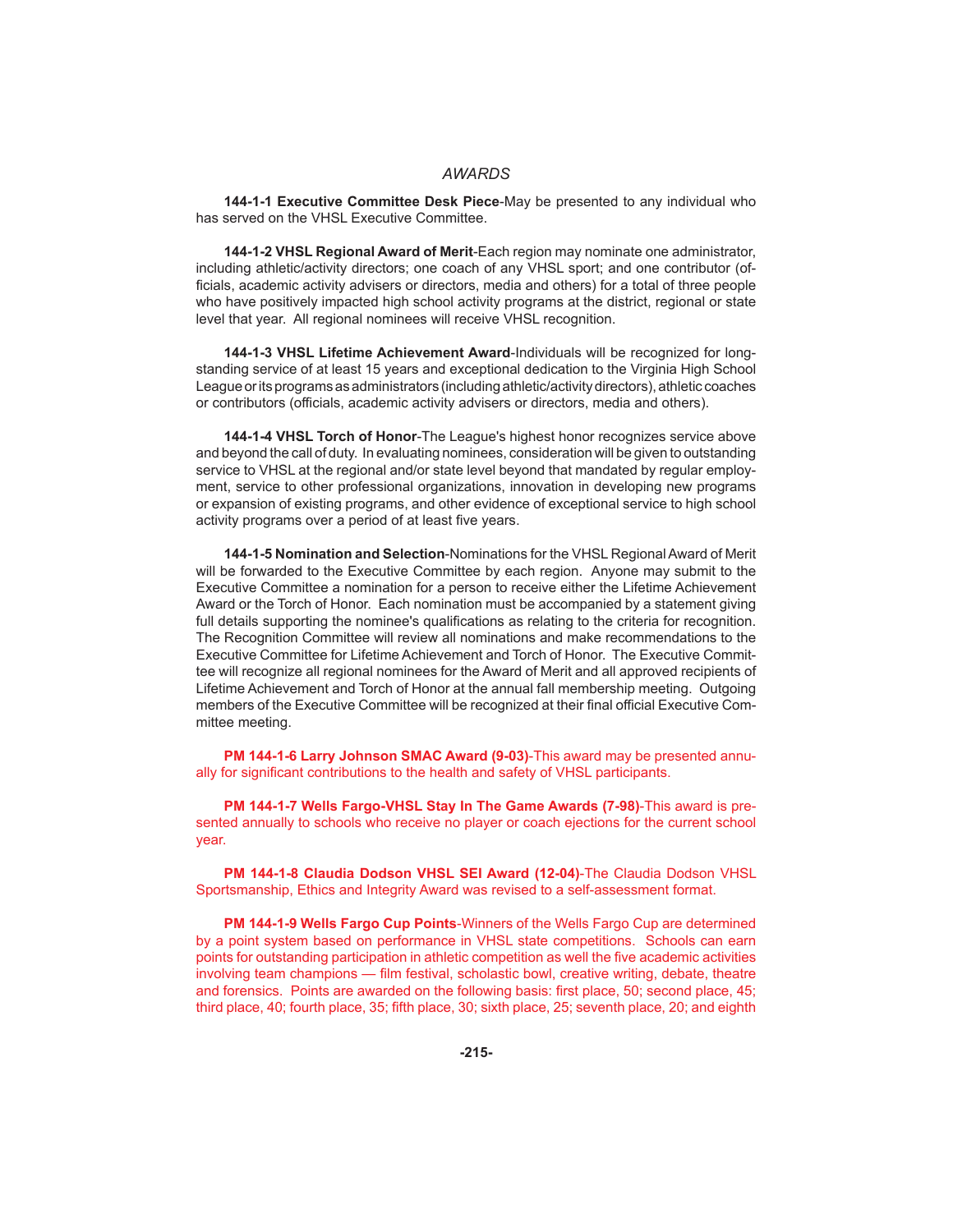#### *AWARDS*

**144-1-1 Executive Committee Desk Piece**-May be presented to any individual who has served on the VHSL Executive Committee.

**144-1-2 VHSL Regional Award of Merit**-Each region may nominate one administrator, including athletic/activity directors; one coach of any VHSL sport; and one contributor (officials, academic activity advisers or directors, media and others) for a total of three people who have positively impacted high school activity programs at the district, regional or state level that year. All regional nominees will receive VHSL recognition.

**144-1-3 VHSL Lifetime Achievement Award**-Individuals will be recognized for longstanding service of at least 15 years and exceptional dedication to the Virginia High School League or its programs as administrators (including athletic/activity directors), athletic coaches or contributors (officials, academic activity advisers or directors, media and others).

**144-1-4 VHSL Torch of Honor**-The League's highest honor recognizes service above and beyond the call of duty. In evaluating nominees, consideration will be given to outstanding service to VHSL at the regional and/or state level beyond that mandated by regular employment, service to other professional organizations, innovation in developing new programs or expansion of existing programs, and other evidence of exceptional service to high school activity programs over a period of at least five years.

**144-1-5 Nomination and Selection**-Nominations for the VHSL Regional Award of Merit will be forwarded to the Executive Committee by each region. Anyone may submit to the Executive Committee a nomination for a person to receive either the Lifetime Achievement Award or the Torch of Honor. Each nomination must be accompanied by a statement giving full details supporting the nominee's qualifications as relating to the criteria for recognition. The Recognition Committee will review all nominations and make recommendations to the Executive Committee for Lifetime Achievement and Torch of Honor. The Executive Committee will recognize all regional nominees for the Award of Merit and all approved recipients of Lifetime Achievement and Torch of Honor at the annual fall membership meeting. Outgoing members of the Executive Committee will be recognized at their final official Executive Committee meeting.

 **PM 144-1-6 Larry Johnson SMAC Award (9-03)**-This award may be presented annually for significant contributions to the health and safety of VHSL participants.

 **PM 144-1-7 Wells Fargo-VHSL Stay In The Game Awards (7-98)**-This award is presented annually to schools who receive no player or coach ejections for the current school year.

 **PM 144-1-8 Claudia Dodson VHSL SEI Award (12-04)**-The Claudia Dodson VHSL Sportsmanship, Ethics and Integrity Award was revised to a self-assessment format.

 **PM 144-1-9 Wells Fargo Cup Points**-Winners of the Wells Fargo Cup are determined by a point system based on performance in VHSL state competitions. Schools can earn points for outstanding participation in athletic competition as well the five academic activities involving team champions — film festival, scholastic bowl, creative writing, debate, theatre and forensics. Points are awarded on the following basis: first place, 50; second place, 45; third place, 40; fourth place, 35; fifth place, 30; sixth place, 25; seventh place, 20; and eighth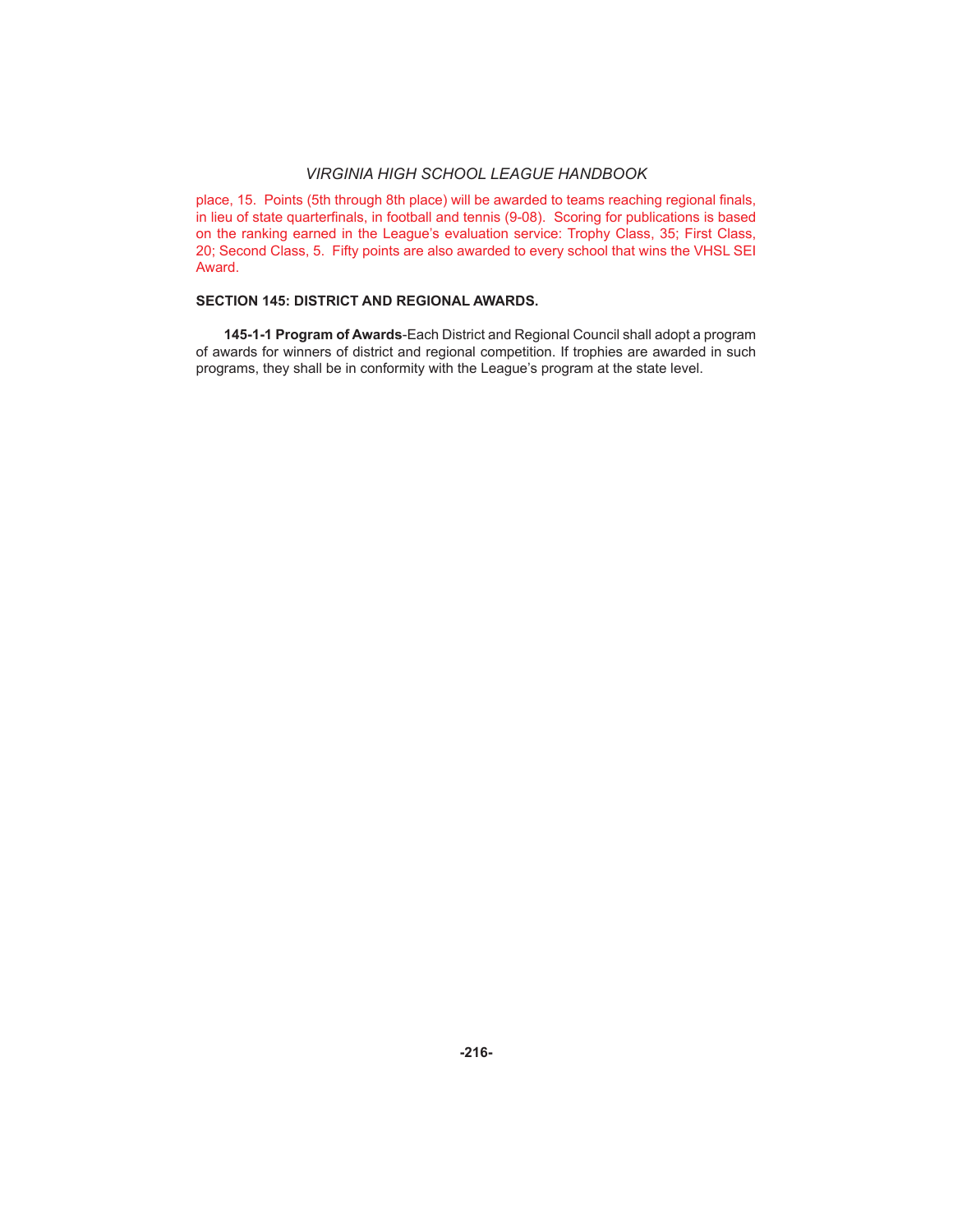place, 15. Points (5th through 8th place) will be awarded to teams reaching regional finals, in lieu of state quarterfinals, in football and tennis (9-08). Scoring for publications is based on the ranking earned in the League's evaluation service: Trophy Class, 35; First Class, 20; Second Class, 5. Fifty points are also awarded to every school that wins the VHSL SEI Award.

## **SECTION 145: DISTRICT AND REGIONAL AWARDS.**

**145-1-1 Program of Awards**-Each District and Regional Council shall adopt a program of awards for winners of district and regional competition. If trophies are awarded in such programs, they shall be in conformity with the League's program at the state level.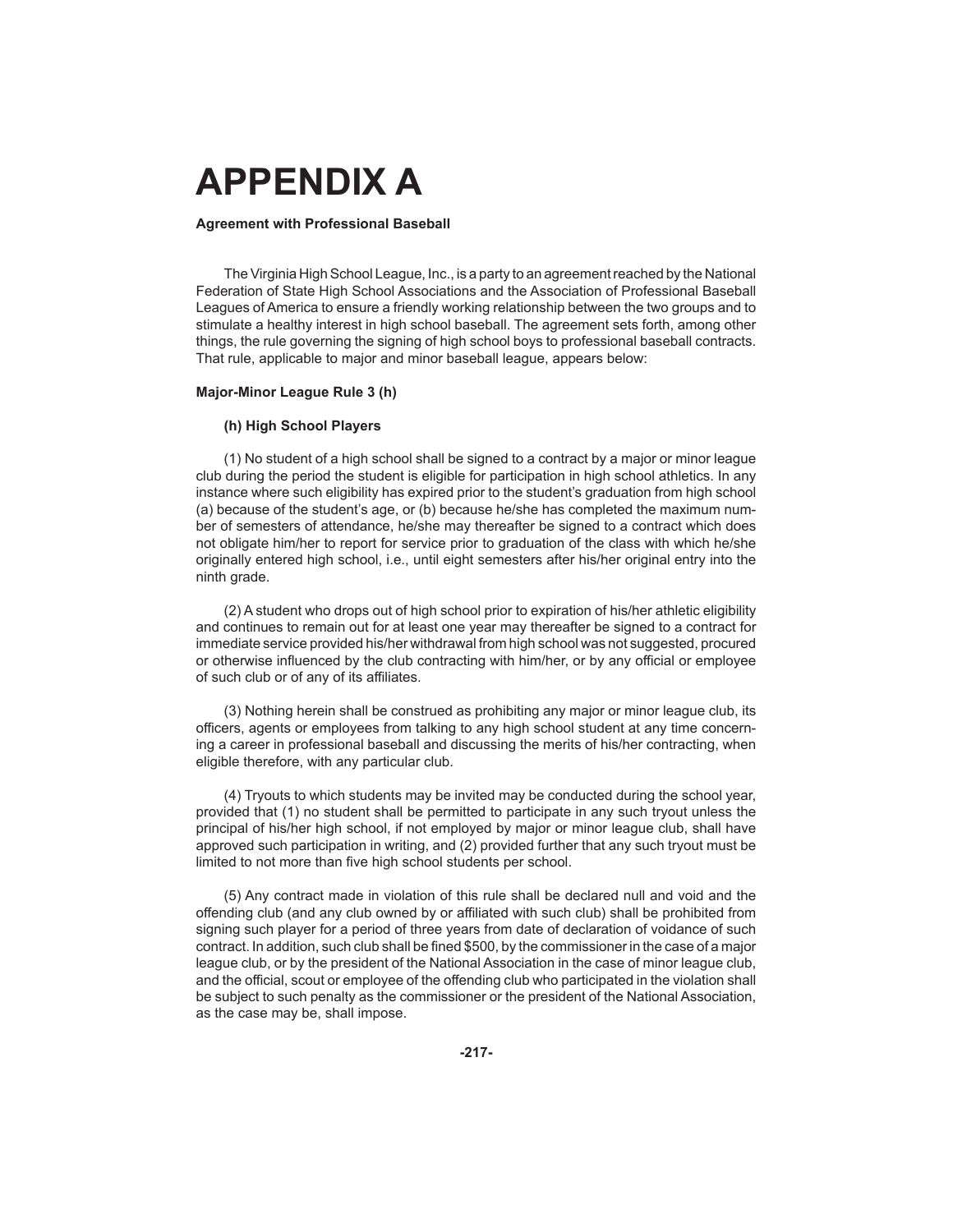# **APPENDIX A**

#### **Agreement with Professional Baseball**

 The Virginia High School League, Inc., is a party to an agreement reached by the National Federation of State High School Associations and the Association of Professional Baseball Leagues of America to ensure a friendly working relationship between the two groups and to stimulate a healthy interest in high school baseball. The agreement sets forth, among other things, the rule governing the signing of high school boys to professional baseball contracts. That rule, applicable to major and minor baseball league, appears below:

#### **Major-Minor League Rule 3 (h)**

#### **(h) High School Players**

 (1) No student of a high school shall be signed to a contract by a major or minor league club during the period the student is eligible for participation in high school athletics. In any instance where such eligibility has expired prior to the student's graduation from high school (a) because of the student's age, or (b) because he/she has completed the maximum number of semesters of attendance, he/she may thereafter be signed to a contract which does not obligate him/her to report for service prior to graduation of the class with which he/she originally entered high school, i.e., until eight semesters after his/her original entry into the ninth grade.

 (2) A student who drops out of high school prior to expiration of his/her athletic eligibility and continues to remain out for at least one year may thereafter be signed to a contract for immediate service provided his/her withdrawal from high school was not suggested, procured or otherwise influenced by the club contracting with him/her, or by any official or employee of such club or of any of its affiliates.

 (3) Nothing herein shall be construed as prohibiting any major or minor league club, its officers, agents or employees from talking to any high school student at any time concerning a career in professional baseball and discussing the merits of his/her contracting, when eligible therefore, with any particular club.

 (4) Tryouts to which students may be invited may be conducted during the school year, provided that (1) no student shall be permitted to participate in any such tryout unless the principal of his/her high school, if not employed by major or minor league club, shall have approved such participation in writing, and (2) provided further that any such tryout must be limited to not more than five high school students per school.

 (5) Any contract made in violation of this rule shall be declared null and void and the offending club (and any club owned by or affiliated with such club) shall be prohibited from signing such player for a period of three years from date of declaration of voidance of such contract. In addition, such club shall be fined \$500, by the commissioner in the case of a major league club, or by the president of the National Association in the case of minor league club, and the official, scout or employee of the offending club who participated in the violation shall be subject to such penalty as the commissioner or the president of the National Association, as the case may be, shall impose.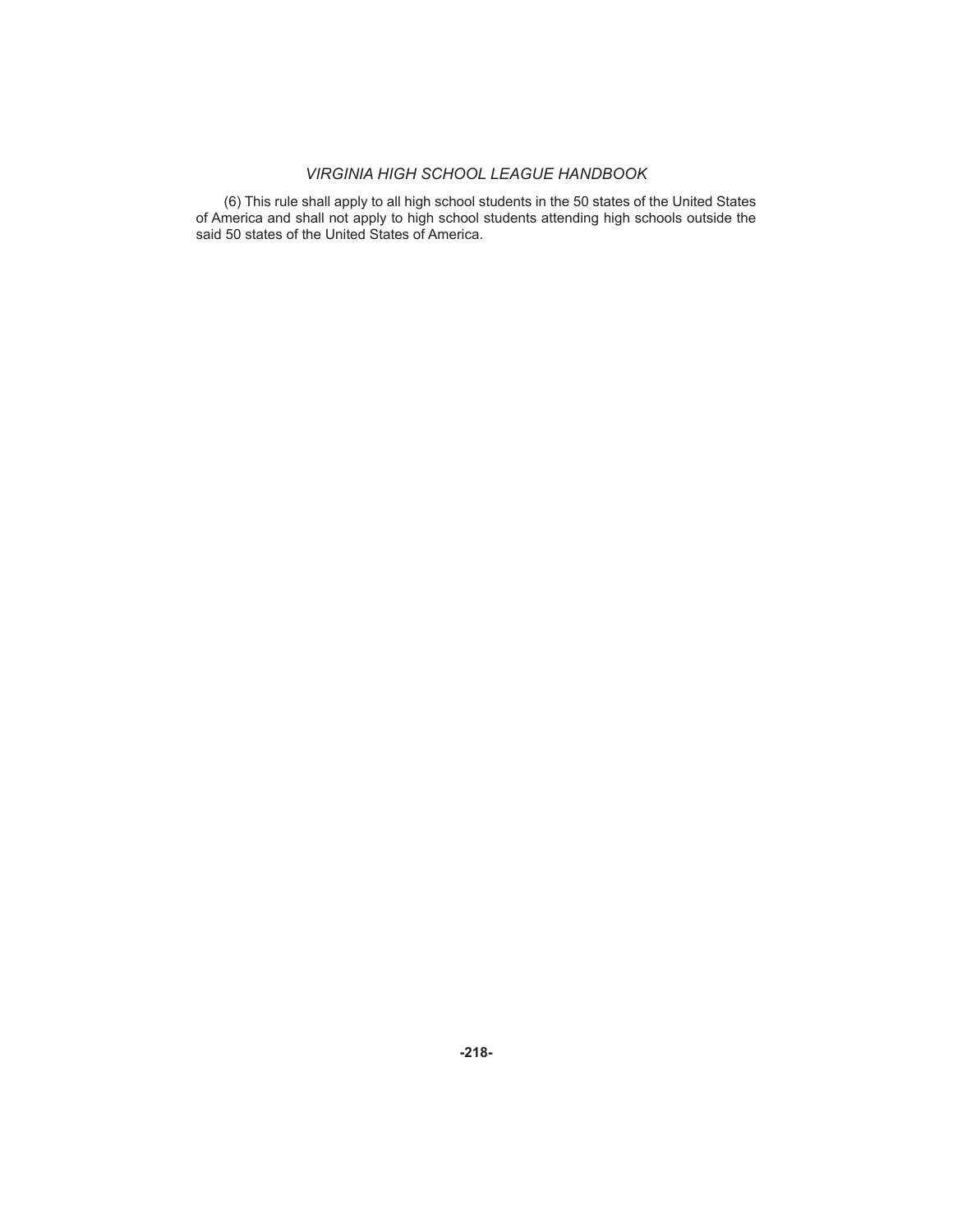(6) This rule shall apply to all high school students in the 50 states of the United States of America and shall not apply to high school students attending high schools outside the said 50 states of the United States of America.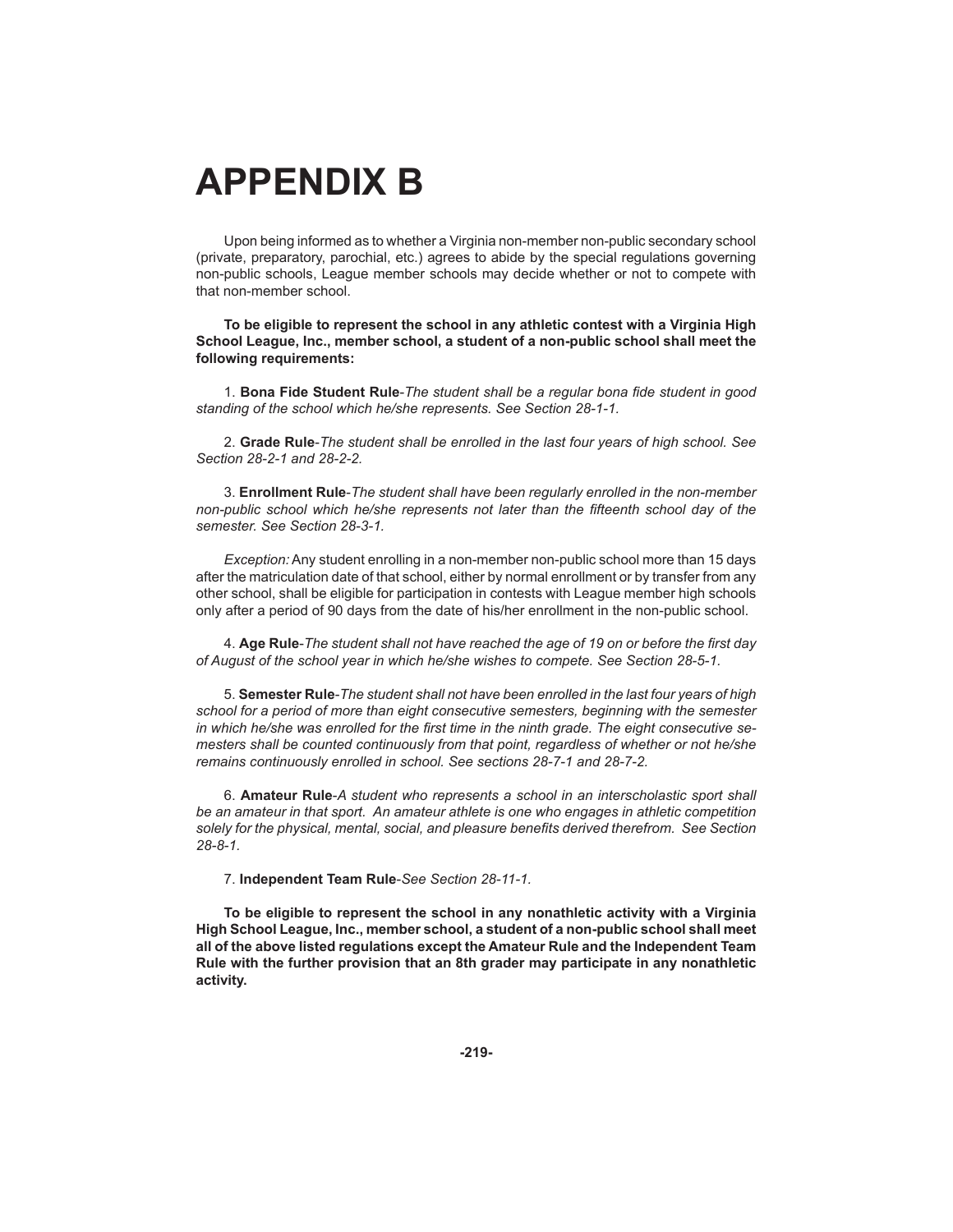# **APPENDIX B**

 Upon being informed as to whether a Virginia non-member non-public secondary school (private, preparatory, parochial, etc.) agrees to abide by the special regulations governing non-public schools, League member schools may decide whether or not to compete with that non-member school.

**To be eligible to represent the school in any athletic contest with a Virginia High School League, Inc., member school, a student of a non-public school shall meet the following requirements:**

1. **Bona Fide Student Rule-***The student shall be a regular bona fide student in good standing of the school which he/she represents. See Section 28-1-1.* 

 2. **Grade Rule**-*The student shall be enrolled in the last four years of high school. See Section 28-2-1 and 28-2-2.* 

 3. **Enrollment Rule**-*The student shall have been regularly enrolled in the non-member non-public school which he/she represents not later than the fi fteenth school day of the semester. See Section 28-3-1.* 

*Exception:* Any student enrolling in a non-member non-public school more than 15 days after the matriculation date of that school, either by normal enrollment or by transfer from any other school, shall be eligible for participation in contests with League member high schools only after a period of 90 days from the date of his/her enrollment in the non-public school.

4. Age Rule-*The student shall not have reached the age of 19 on or before the first day of August of the school year in which he/she wishes to compete. See Section 28-5-1.*

 5. **Semester Rule**-*The student shall not have been enrolled in the last four years of high school for a period of more than eight consecutive semesters, beginning with the semester*  in which he/she was enrolled for the first time in the ninth grade. The eight consecutive se*mesters shall be counted continuously from that point, regardless of whether or not he/she remains continuously enrolled in school. See sections 28-7-1 and 28-7-2.*

 6. **Amateur Rule**-*A student who represents a school in an interscholastic sport shall be an amateur in that sport. An amateur athlete is one who engages in athletic competition*  solely for the physical, mental, social, and pleasure benefits derived therefrom. See Section *28-8-1.*

7. **Independent Team Rule**-*See Section 28-11-1.*

 **To be eligible to represent the school in any nonathletic activity with a Virginia High School League, Inc., member school, a student of a non-public school shall meet all of the above listed regulations except the Amateur Rule and the Independent Team Rule with the further provision that an 8th grader may participate in any nonathletic activity.**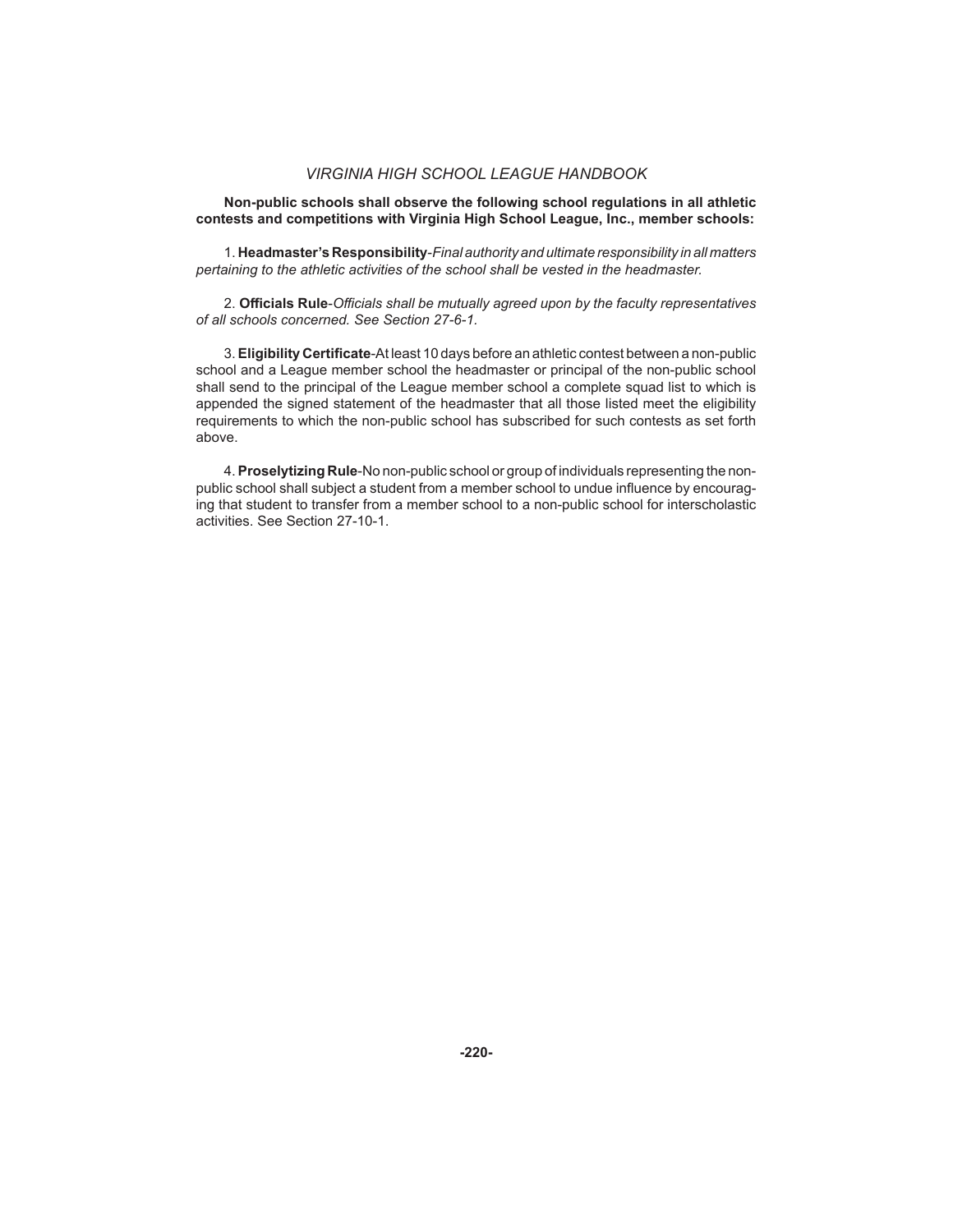**Non-public schools shall observe the following school regulations in all athletic contests and competitions with Virginia High School League, Inc., member schools:** 

 1. **Headmaster's Responsibility**-*Final authority and ultimate responsibility in all matters pertaining to the athletic activities of the school shall be vested in the headmaster.*

 2. **Offi cials Rule**-*Offi cials shall be mutually agreed upon by the faculty representatives of all schools concerned. See Section 27-6-1.* 

 3. **Eligibility Certifi cate**-At least 10 days before an athletic contest between a non-public school and a League member school the headmaster or principal of the non-public school shall send to the principal of the League member school a complete squad list to which is appended the signed statement of the headmaster that all those listed meet the eligibility requirements to which the non-public school has subscribed for such contests as set forth above.

 4. **Proselytizing Rule**-No non-public school or group of individuals representing the nonpublic school shall subject a student from a member school to undue influence by encouraging that student to transfer from a member school to a non-public school for interscholastic activities. See Section 27-10-1.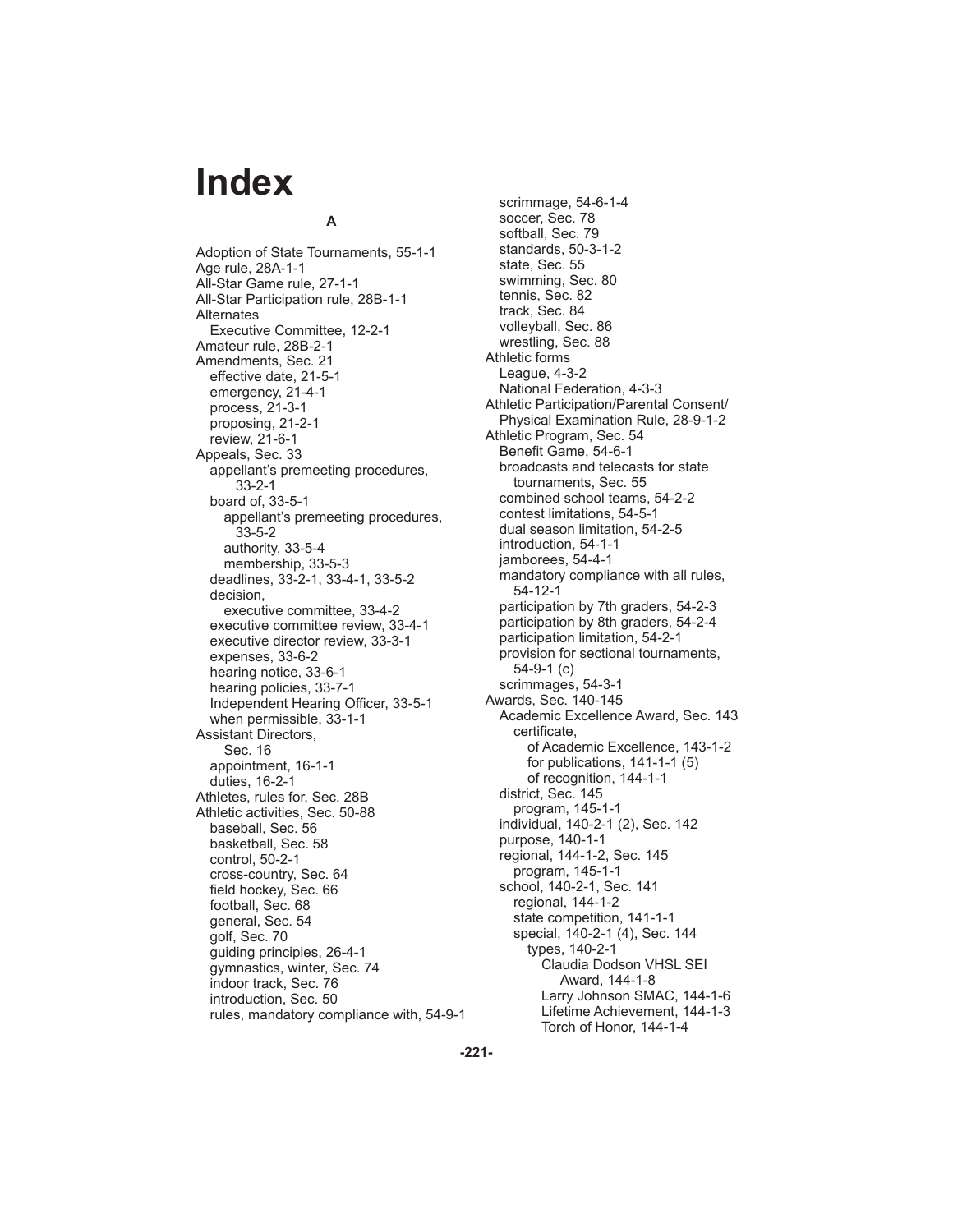# **Index**

#### **A**

Adoption of State Tournaments, 55-1-1 Age rule, 28A-1-1 All-Star Game rule, 27-1-1 All-Star Participation rule, 28B-1-1 Alternates Executive Committee, 12-2-1 Amateur rule, 28B-2-1 Amendments, Sec. 21 effective date, 21-5-1 emergency, 21-4-1 process, 21-3-1 proposing, 21-2-1 review, 21-6-1 Appeals, Sec. 33 appellant's premeeting procedures, 33-2-1 board of, 33-5-1 appellant's premeeting procedures, 33-5-2 authority, 33-5-4 membership, 33-5-3 deadlines, 33-2-1, 33-4-1, 33-5-2 decision, executive committee, 33-4-2 executive committee review, 33-4-1 executive director review, 33-3-1 expenses, 33-6-2 hearing notice, 33-6-1 hearing policies, 33-7-1 Independent Hearing Officer, 33-5-1 when permissible, 33-1-1 Assistant Directors, Sec. 16 appointment, 16-1-1 duties, 16-2-1 Athletes, rules for, Sec. 28B Athletic activities, Sec. 50-88 baseball, Sec. 56 basketball, Sec. 58 control, 50-2-1 cross-country, Sec. 64 field hockey, Sec. 66 football, Sec. 68 general, Sec. 54 golf, Sec. 70 guiding principles, 26-4-1 gymnastics, winter, Sec. 74 indoor track, Sec. 76 introduction, Sec. 50 rules, mandatory compliance with, 54-9-1

 scrimmage, 54-6-1-4 soccer, Sec. 78 softball, Sec. 79 standards, 50-3-1-2 state, Sec. 55 swimming, Sec. 80 tennis, Sec. 82 track, Sec. 84 volleyball, Sec. 86 wrestling, Sec. 88 Athletic forms League, 4-3-2 National Federation, 4-3-3 Athletic Participation/Parental Consent/ Physical Examination Rule, 28-9-1-2 Athletic Program, Sec. 54 Benefit Game, 54-6-1 broadcasts and telecasts for state tournaments, Sec. 55 combined school teams, 54-2-2 contest limitations, 54-5-1 dual season limitation, 54-2-5 introduction, 54-1-1 jamborees, 54-4-1 mandatory compliance with all rules, 54-12-1 participation by 7th graders, 54-2-3 participation by 8th graders, 54-2-4 participation limitation, 54-2-1 provision for sectional tournaments, 54-9-1 (c) scrimmages, 54-3-1 Awards, Sec. 140-145 Academic Excellence Award, Sec. 143 certificate. of Academic Excellence, 143-1-2 for publications, 141-1-1 (5) of recognition, 144-1-1 district, Sec. 145 program, 145-1-1 individual, 140-2-1 (2), Sec. 142 purpose, 140-1-1 regional, 144-1-2, Sec. 145 program, 145-1-1 school, 140-2-1, Sec. 141 regional, 144-1-2 state competition, 141-1-1 special, 140-2-1 (4), Sec. 144 types, 140-2-1 Claudia Dodson VHSL SEI Award, 144-1-8 Larry Johnson SMAC, 144-1-6 Lifetime Achievement, 144-1-3 Torch of Honor, 144-1-4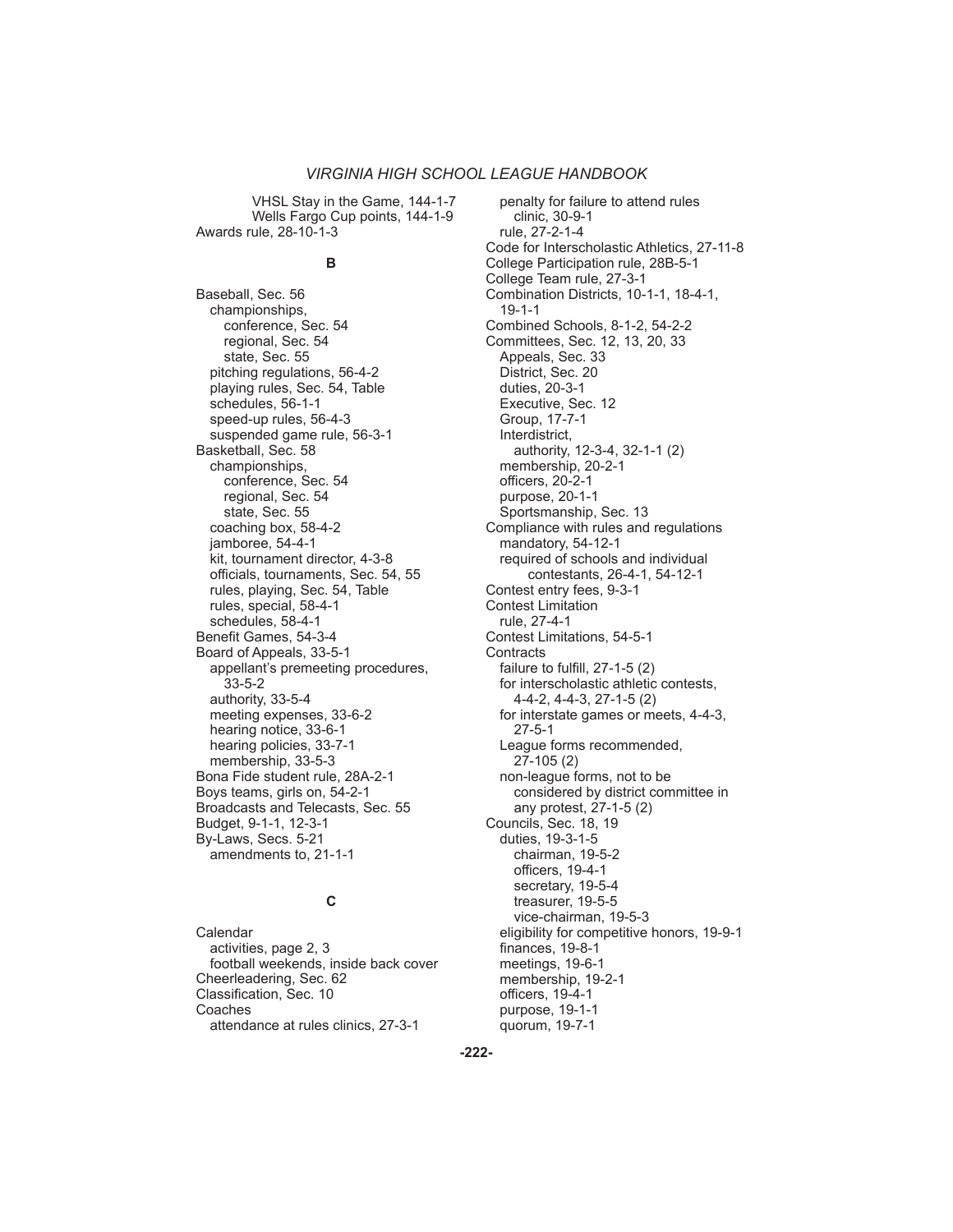VHSL Stay in the Game, 144-1-7 Wells Fargo Cup points, 144-1-9 Awards rule, 28-10-1-3

#### **B**

Baseball, Sec. 56 championships, conference, Sec. 54 regional, Sec. 54 state, Sec. 55 pitching regulations, 56-4-2 playing rules, Sec. 54, Table schedules, 56-1-1 speed-up rules, 56-4-3 suspended game rule, 56-3-1 Basketball, Sec. 58 championships, conference, Sec. 54 regional, Sec. 54 state, Sec. 55 coaching box, 58-4-2 jamboree, 54-4-1 kit, tournament director, 4-3-8 officials, tournaments, Sec. 54, 55 rules, playing, Sec. 54, Table rules, special, 58-4-1 schedules, 58-4-1 Benefit Games, 54-3-4 Board of Appeals, 33-5-1 appellant's premeeting procedures, 33-5-2 authority, 33-5-4 meeting expenses, 33-6-2 hearing notice, 33-6-1 hearing policies, 33-7-1 membership, 33-5-3 Bona Fide student rule, 28A-2-1 Boys teams, girls on, 54-2-1 Broadcasts and Telecasts, Sec. 55 Budget, 9-1-1, 12-3-1 By-Laws, Secs. 5-21 amendments to, 21-1-1

#### **C**

Calendar activities, page 2, 3 football weekends, inside back cover Cheerleadering, Sec. 62 Classification, Sec. 10 Coaches attendance at rules clinics, 27-3-1

 penalty for failure to attend rules clinic, 30-9-1 rule, 27-2-1-4 Code for Interscholastic Athletics, 27-11-8 College Participation rule, 28B-5-1 College Team rule, 27-3-1 Combination Districts, 10-1-1, 18-4-1, 19-1-1 Combined Schools, 8-1-2, 54-2-2 Committees, Sec. 12, 13, 20, 33 Appeals, Sec. 33 District, Sec. 20 duties, 20-3-1 Executive, Sec. 12 Group, 17-7-1 Interdistrict, authority, 12-3-4, 32-1-1 (2) membership, 20-2-1 officers, 20-2-1 purpose, 20-1-1 Sportsmanship, Sec. 13 Compliance with rules and regulations mandatory, 54-12-1 required of schools and individual contestants, 26-4-1, 54-12-1 Contest entry fees, 9-3-1 Contest Limitation rule, 27-4-1 Contest Limitations, 54-5-1 **Contracts** failure to fulfill,  $27-1-5$   $(2)$  for interscholastic athletic contests, 4-4-2, 4-4-3, 27-1-5 (2) for interstate games or meets, 4-4-3, 27-5-1 League forms recommended, 27-105 (2) non-league forms, not to be considered by district committee in any protest, 27-1-5 (2) Councils, Sec. 18, 19 duties, 19-3-1-5 chairman, 19-5-2 officers, 19-4-1 secretary, 19-5-4 treasurer, 19-5-5 vice-chairman, 19-5-3 eligibility for competitive honors, 19-9-1 finances, 19-8-1 meetings, 19-6-1 membership, 19-2-1 officers, 19-4-1 purpose, 19-1-1 quorum, 19-7-1

#### **-222-**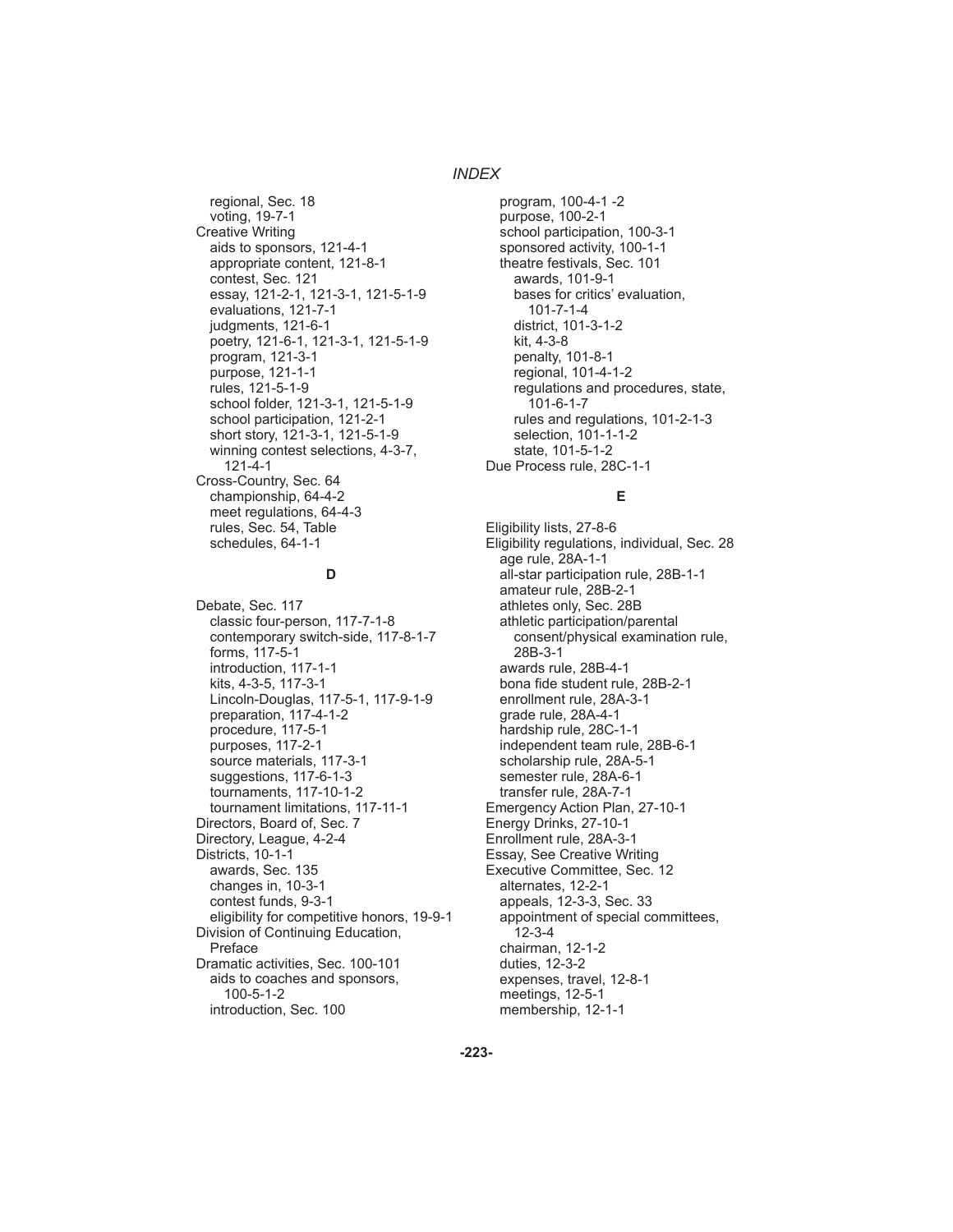regional, Sec. 18 voting, 19-7-1 Creative Writing aids to sponsors, 121-4-1 appropriate content, 121-8-1 contest, Sec. 121 essay, 121-2-1, 121-3-1, 121-5-1-9 evaluations, 121-7-1 judgments, 121-6-1 poetry, 121-6-1, 121-3-1, 121-5-1-9 program, 121-3-1 purpose, 121-1-1 rules, 121-5-1-9 school folder, 121-3-1, 121-5-1-9 school participation, 121-2-1 short story, 121-3-1, 121-5-1-9 winning contest selections, 4-3-7, 121-4-1 Cross-Country, Sec. 64 championship, 64-4-2 meet regulations, 64-4-3 rules, Sec. 54, Table schedules, 64-1-1

#### **D**

Debate, Sec. 117 classic four-person, 117-7-1-8 contemporary switch-side, 117-8-1-7 forms, 117-5-1 introduction, 117-1-1 kits, 4-3-5, 117-3-1 Lincoln-Douglas, 117-5-1, 117-9-1-9 preparation, 117-4-1-2 procedure, 117-5-1 purposes, 117-2-1 source materials, 117-3-1 suggestions, 117-6-1-3 tournaments, 117-10-1-2 tournament limitations, 117-11-1 Directors, Board of, Sec. 7 Directory, League, 4-2-4 Districts, 10-1-1 awards, Sec. 135 changes in, 10-3-1 contest funds, 9-3-1 eligibility for competitive honors, 19-9-1 Division of Continuing Education, Preface Dramatic activities, Sec. 100-101 aids to coaches and sponsors, 100-5-1-2 introduction, Sec. 100

 program, 100-4-1 -2 purpose, 100-2-1 school participation, 100-3-1 sponsored activity, 100-1-1 theatre festivals, Sec. 101 awards, 101-9-1 bases for critics' evaluation, 101-7-1-4 district, 101-3-1-2 kit, 4-3-8 penalty, 101-8-1 regional, 101-4-1-2 regulations and procedures, state, 101-6-1-7 rules and regulations, 101-2-1-3 selection, 101-1-1-2 state, 101-5-1-2 Due Process rule, 28C-1-1

#### **E**

Eligibility lists, 27-8-6 Eligibility regulations, individual, Sec. 28 age rule, 28A-1-1 all-star participation rule, 28B-1-1 amateur rule, 28B-2-1 athletes only, Sec. 28B athletic participation/parental consent/physical examination rule, 28B-3-1 awards rule, 28B-4-1 bona fide student rule, 28B-2-1 enrollment rule, 28A-3-1 grade rule, 28A-4-1 hardship rule, 28C-1-1 independent team rule, 28B-6-1 scholarship rule, 28A-5-1 semester rule, 28A-6-1 transfer rule, 28A-7-1 Emergency Action Plan, 27-10-1 Energy Drinks, 27-10-1 Enrollment rule, 28A-3-1 Essay, See Creative Writing Executive Committee, Sec. 12 alternates, 12-2-1 appeals, 12-3-3, Sec. 33 appointment of special committees, 12-3-4 chairman, 12-1-2 duties, 12-3-2 expenses, travel, 12-8-1 meetings, 12-5-1 membership, 12-1-1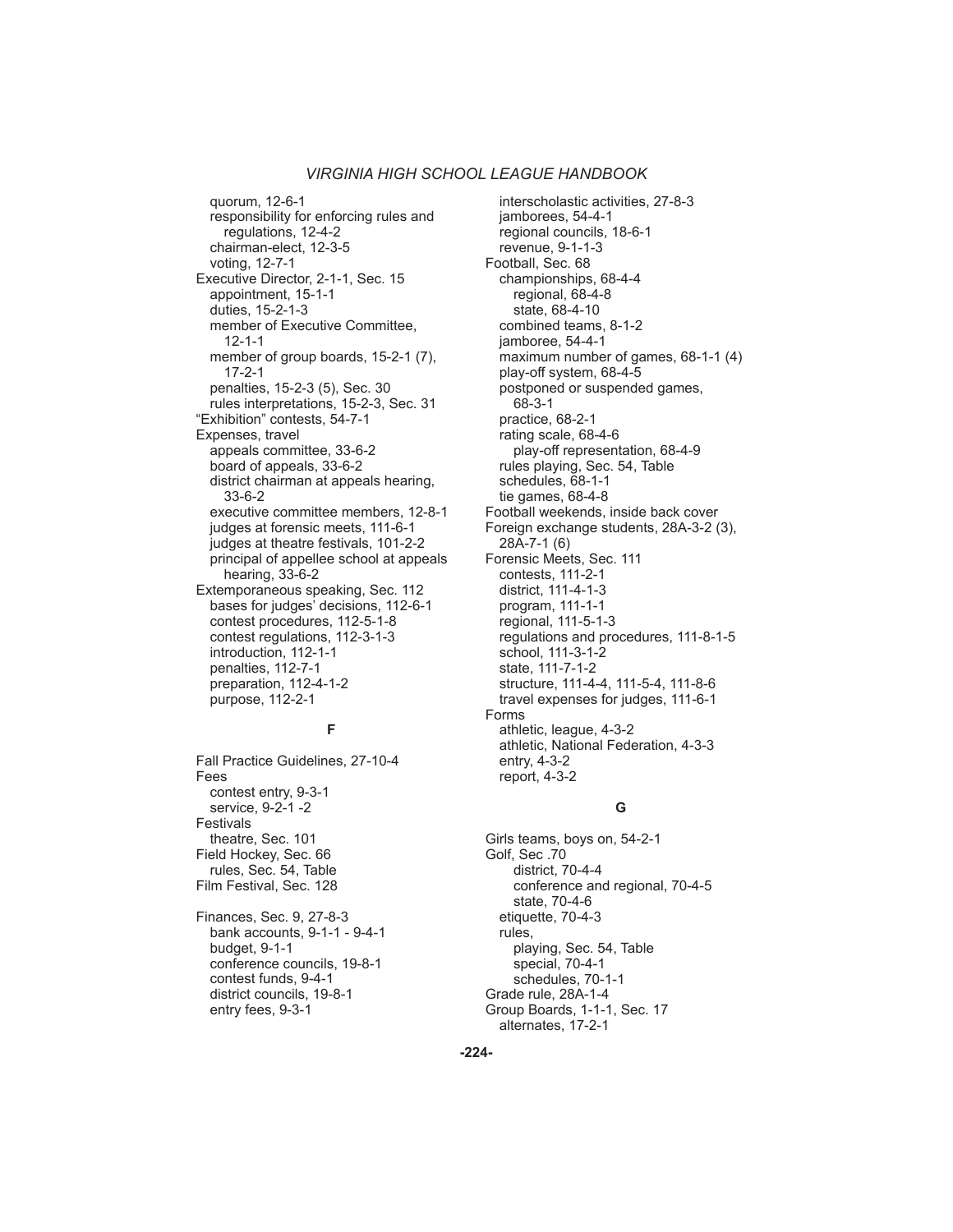quorum, 12-6-1 responsibility for enforcing rules and regulations, 12-4-2 chairman-elect, 12-3-5 voting, 12-7-1 Executive Director, 2-1-1, Sec. 15 appointment, 15-1-1 duties, 15-2-1-3 member of Executive Committee, 12-1-1 member of group boards, 15-2-1 (7), 17-2-1 penalties, 15-2-3 (5), Sec. 30 rules interpretations, 15-2-3, Sec. 31 "Exhibition" contests, 54-7-1 Expenses, travel appeals committee, 33-6-2 board of appeals, 33-6-2 district chairman at appeals hearing, 33-6-2 executive committee members, 12-8-1 judges at forensic meets, 111-6-1 judges at theatre festivals, 101-2-2 principal of appellee school at appeals hearing, 33-6-2 Extemporaneous speaking, Sec. 112 bases for judges' decisions, 112-6-1 contest procedures, 112-5-1-8 contest regulations, 112-3-1-3 introduction, 112-1-1 penalties, 112-7-1 preparation, 112-4-1-2 purpose, 112-2-1

#### **F**

Fall Practice Guidelines, 27-10-4 Fees contest entry, 9-3-1 service, 9-2-1 -2 Festivals theatre, Sec. 101 Field Hockey, Sec. 66 rules, Sec. 54, Table Film Festival, Sec. 128 Finances, Sec. 9, 27-8-3 bank accounts, 9-1-1 - 9-4-1 budget, 9-1-1 conference councils, 19-8-1 contest funds, 9-4-1 district councils, 19-8-1

entry fees, 9-3-1

 interscholastic activities, 27-8-3 jamborees, 54-4-1 regional councils, 18-6-1 revenue, 9-1-1-3 Football, Sec. 68 championships, 68-4-4 regional, 68-4-8 state, 68-4-10 combined teams, 8-1-2 jamboree, 54-4-1 maximum number of games, 68-1-1 (4) play-off system, 68-4-5 postponed or suspended games, 68-3-1 practice, 68-2-1 rating scale, 68-4-6 play-off representation, 68-4-9 rules playing, Sec. 54, Table schedules, 68-1-1 tie games, 68-4-8 Football weekends, inside back cover Foreign exchange students, 28A-3-2 (3), 28A-7-1 (6) Forensic Meets, Sec. 111 contests, 111-2-1 district, 111-4-1-3 program, 111-1-1 regional, 111-5-1-3 regulations and procedures, 111-8-1-5 school, 111-3-1-2 state, 111-7-1-2 structure, 111-4-4, 111-5-4, 111-8-6 travel expenses for judges, 111-6-1 Forms athletic, league, 4-3-2 athletic, National Federation, 4-3-3 entry, 4-3-2 report, 4-3-2

#### **G**

Girls teams, boys on, 54-2-1 Golf, Sec .70 district, 70-4-4 conference and regional, 70-4-5 state, 70-4-6 etiquette, 70-4-3 rules, playing, Sec. 54, Table special, 70-4-1 schedules, 70-1-1 Grade rule, 28A-1-4 Group Boards, 1-1-1, Sec. 17 alternates, 17-2-1

**-224-**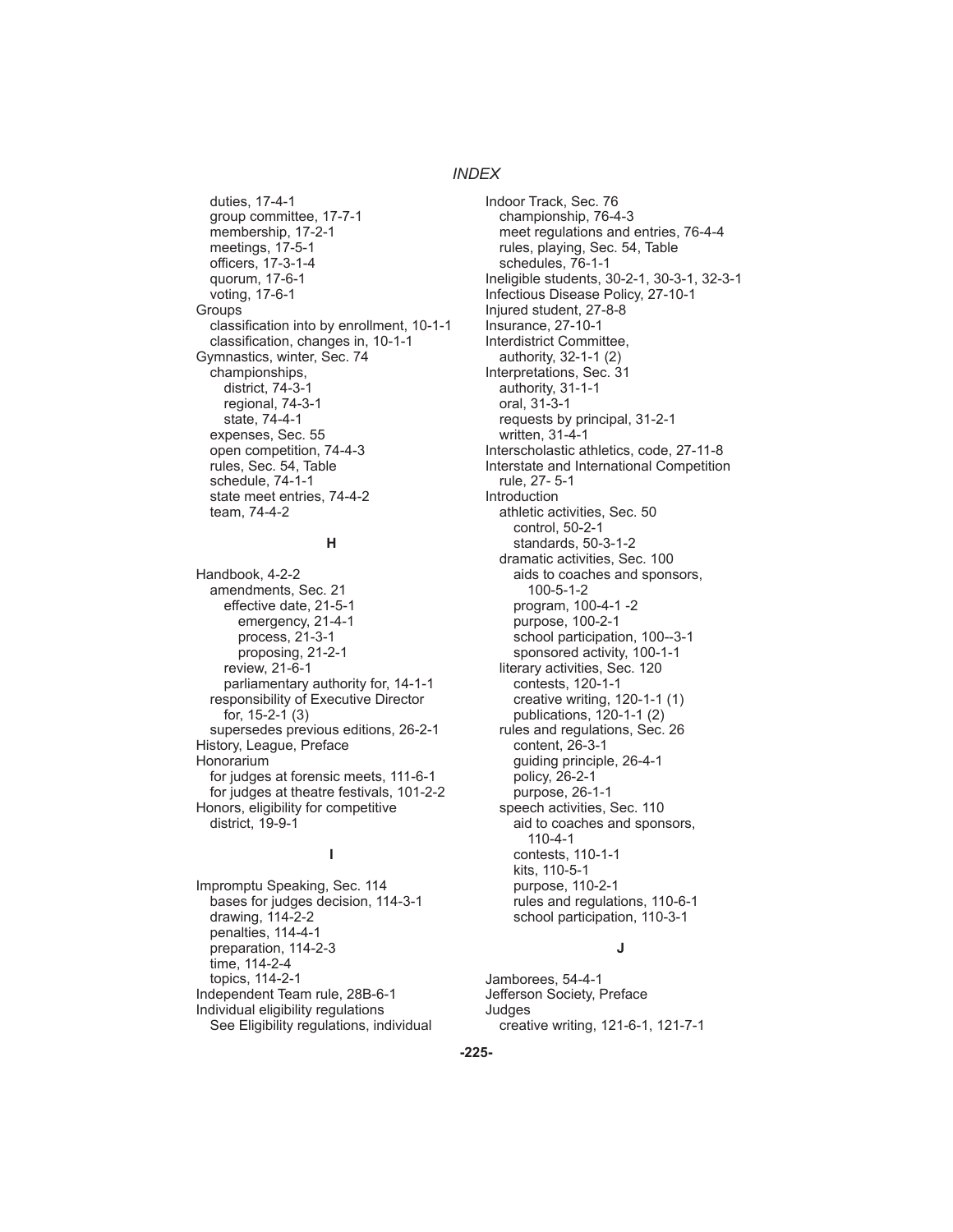duties, 17-4-1 group committee, 17-7-1 membership, 17-2-1 meetings, 17-5-1 officers, 17-3-1-4 quorum, 17-6-1 voting, 17-6-1 **Groups** classification into by enrollment, 10-1-1 classification, changes in, 10-1-1 Gymnastics, winter, Sec. 74 championships, district, 74-3-1 regional, 74-3-1 state, 74-4-1 expenses, Sec. 55 open competition, 74-4-3 rules, Sec. 54, Table schedule, 74-1-1 state meet entries, 74-4-2 team, 74-4-2

#### **H**

Handbook, 4-2-2 amendments, Sec. 21 effective date, 21-5-1 emergency, 21-4-1 process, 21-3-1 proposing, 21-2-1 review, 21-6-1 parliamentary authority for, 14-1-1 responsibility of Executive Director for, 15-2-1 (3) supersedes previous editions, 26-2-1 History, League, Preface **Honorarium**  for judges at forensic meets, 111-6-1 for judges at theatre festivals, 101-2-2 Honors, eligibility for competitive district, 19-9-1

#### **I**

Impromptu Speaking, Sec. 114 bases for judges decision, 114-3-1 drawing, 114-2-2 penalties, 114-4-1 preparation, 114-2-3 time, 114-2-4 topics, 114-2-1 Independent Team rule, 28B-6-1 Individual eligibility regulations See Eligibility regulations, individual Indoor Track, Sec. 76 championship, 76-4-3 meet regulations and entries, 76-4-4 rules, playing, Sec. 54, Table schedules, 76-1-1 Ineligible students, 30-2-1, 30-3-1, 32-3-1 Infectious Disease Policy, 27-10-1 Injured student, 27-8-8 Insurance, 27-10-1 Interdistrict Committee, authority, 32-1-1 (2) Interpretations, Sec. 31 authority, 31-1-1 oral, 31-3-1 requests by principal, 31-2-1 written, 31-4-1 Interscholastic athletics, code, 27-11-8 Interstate and International Competition rule, 27- 5-1 Introduction athletic activities, Sec. 50 control, 50-2-1 standards, 50-3-1-2 dramatic activities, Sec. 100 aids to coaches and sponsors, 100-5-1-2 program, 100-4-1 -2 purpose, 100-2-1 school participation, 100--3-1 sponsored activity, 100-1-1 literary activities, Sec. 120 contests, 120-1-1 creative writing, 120-1-1 (1) publications, 120-1-1 (2) rules and regulations, Sec. 26 content, 26-3-1 guiding principle, 26-4-1 policy, 26-2-1 purpose, 26-1-1 speech activities, Sec. 110 aid to coaches and sponsors, 110-4-1 contests, 110-1-1 kits, 110-5-1 purpose, 110-2-1 rules and regulations, 110-6-1 school participation, 110-3-1

#### **J**

```
Jamborees, 54-4-1
Jefferson Society, Preface
Judges
   creative writing, 121-6-1, 121-7-1
```
#### **-225-**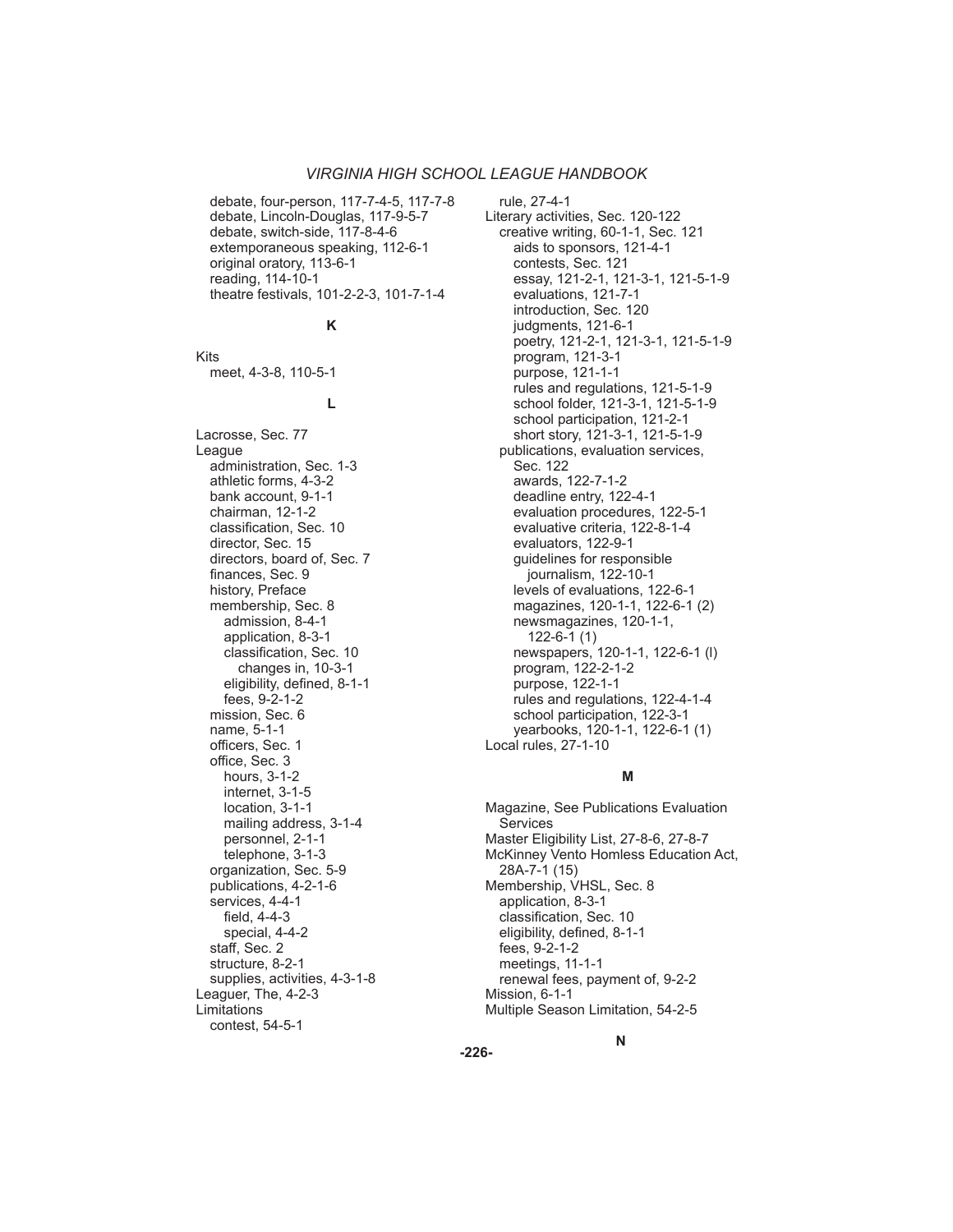debate, four-person, 117-7-4-5, 117-7-8 debate, Lincoln-Douglas, 117-9-5-7 debate, switch-side, 117-8-4-6 extemporaneous speaking, 112-6-1 original oratory, 113-6-1 reading, 114-10-1 theatre festivals, 101-2-2-3, 101-7-1-4

#### **K**

Kits meet, 4-3-8, 110-5-1

#### **L**

Lacrosse, Sec. 77 League administration, Sec. 1-3 athletic forms, 4-3-2 bank account, 9-1-1 chairman, 12-1-2 classification, Sec. 10 director, Sec. 15 directors, board of, Sec. 7 finances, Sec. 9 history, Preface membership, Sec. 8 admission, 8-4-1 application, 8-3-1 classification, Sec. 10 changes in, 10-3-1 eligibility, defined, 8-1-1 fees, 9-2-1-2 mission, Sec. 6 name, 5-1-1 officers, Sec. 1 office, Sec. 3 hours, 3-1-2 internet, 3-1-5 location, 3-1-1 mailing address, 3-1-4 personnel, 2-1-1 telephone, 3-1-3 organization, Sec. 5-9 publications, 4-2-1-6 services, 4-4-1 field, 4-4-3 special, 4-4-2 staff, Sec. 2 structure, 8-2-1 supplies, activities, 4-3-1-8 Leaguer, The, 4-2-3 Limitations contest, 54-5-1

 rule, 27-4-1 Literary activities, Sec. 120-122 creative writing, 60-1-1, Sec. 121 aids to sponsors, 121-4-1 contests, Sec. 121 essay, 121-2-1, 121-3-1, 121-5-1-9 evaluations, 121-7-1 introduction, Sec. 120 judgments, 121-6-1 poetry, 121-2-1, 121-3-1, 121-5-1-9 program, 121-3-1 purpose, 121-1-1 rules and regulations, 121-5-1-9 school folder, 121-3-1, 121-5-1-9 school participation, 121-2-1 short story, 121-3-1, 121-5-1-9 publications, evaluation services, Sec. 122 awards, 122-7-1-2 deadline entry, 122-4-1 evaluation procedures, 122-5-1 evaluative criteria, 122-8-1-4 evaluators, 122-9-1 guidelines for responsible journalism, 122-10-1 levels of evaluations, 122-6-1 magazines, 120-1-1, 122-6-1 (2) newsmagazines, 120-1-1, 122-6-1 (1) newspapers, 120-1-1, 122-6-1 (l) program, 122-2-1-2 purpose, 122-1-1 rules and regulations, 122-4-1-4 school participation, 122-3-1 yearbooks, 120-1-1, 122-6-1 (1) Local rules, 27-1-10

#### **M**

Magazine, See Publications Evaluation **Services** Master Eligibility List, 27-8-6, 27-8-7 McKinney Vento Homless Education Act, 28A-7-1 (15) Membership, VHSL, Sec. 8 application, 8-3-1 classification, Sec. 10 eligibility, defined, 8-1-1 fees, 9-2-1-2 meetings, 11-1-1 renewal fees, payment of, 9-2-2 Mission, 6-1-1 Multiple Season Limitation, 54-2-5

**-226-**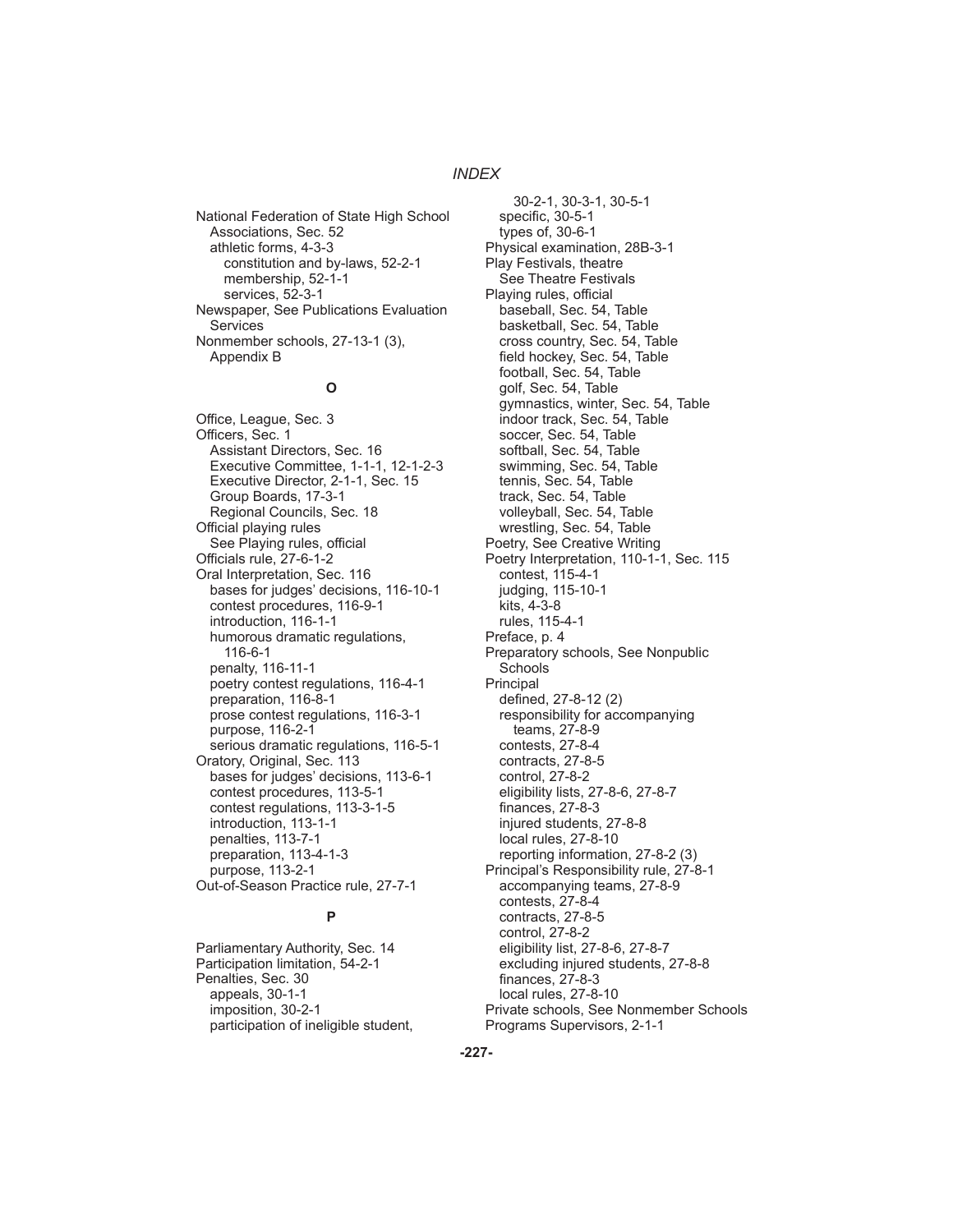National Federation of State High School Associations, Sec. 52 athletic forms, 4-3-3 constitution and by-laws, 52-2-1 membership, 52-1-1 services, 52-3-1 Newspaper, See Publications Evaluation **Services** Nonmember schools, 27-13-1 (3), Appendix B

#### **O**

Office, League, Sec. 3 Officers, Sec. 1 Assistant Directors, Sec. 16 Executive Committee, 1-1-1, 12-1-2-3 Executive Director, 2-1-1, Sec. 15 Group Boards, 17-3-1 Regional Councils, Sec. 18 Official playing rules See Playing rules, official Officials rule, 27-6-1-2 Oral Interpretation, Sec. 116 bases for judges' decisions, 116-10-1 contest procedures, 116-9-1 introduction, 116-1-1 humorous dramatic regulations, 116-6-1 penalty, 116-11-1 poetry contest regulations, 116-4-1 preparation, 116-8-1 prose contest regulations, 116-3-1 purpose, 116-2-1 serious dramatic regulations, 116-5-1 Oratory, Original, Sec. 113 bases for judges' decisions, 113-6-1 contest procedures, 113-5-1 contest regulations, 113-3-1-5 introduction, 113-1-1 penalties, 113-7-1 preparation, 113-4-1-3 purpose, 113-2-1 Out-of-Season Practice rule, 27-7-1

#### **P**

Parliamentary Authority, Sec. 14 Participation limitation, 54-2-1 Penalties, Sec. 30 appeals, 30-1-1 imposition, 30-2-1 participation of ineligible student,

 30-2-1, 30-3-1, 30-5-1 specific, 30-5-1 types of, 30-6-1 Physical examination, 28B-3-1 Play Festivals, theatre See Theatre Festivals Playing rules, official baseball, Sec. 54, Table basketball, Sec. 54, Table cross country, Sec. 54, Table field hockey, Sec. 54, Table football, Sec. 54, Table golf, Sec. 54, Table gymnastics, winter, Sec. 54, Table indoor track, Sec. 54, Table soccer, Sec. 54, Table softball, Sec. 54, Table swimming, Sec. 54, Table tennis, Sec. 54, Table track, Sec. 54, Table volleyball, Sec. 54, Table wrestling, Sec. 54, Table Poetry, See Creative Writing Poetry Interpretation, 110-1-1, Sec. 115 contest, 115-4-1 judging, 115-10-1 kits, 4-3-8 rules, 115-4-1 Preface, p. 4 Preparatory schools, See Nonpublic Schools Principal defined, 27-8-12 (2) responsibility for accompanying teams, 27-8-9 contests, 27-8-4 contracts, 27-8-5 control, 27-8-2 eligibility lists, 27-8-6, 27-8-7 finances,  $27-8-3$  injured students, 27-8-8 local rules, 27-8-10 reporting information, 27-8-2 (3) Principal's Responsibility rule, 27-8-1 accompanying teams, 27-8-9 contests, 27-8-4 contracts, 27-8-5 control, 27-8-2 eligibility list, 27-8-6, 27-8-7 excluding injured students, 27-8-8 finances,  $27-8-3$  local rules, 27-8-10 Private schools, See Nonmember Schools Programs Supervisors, 2-1-1

#### **-227-**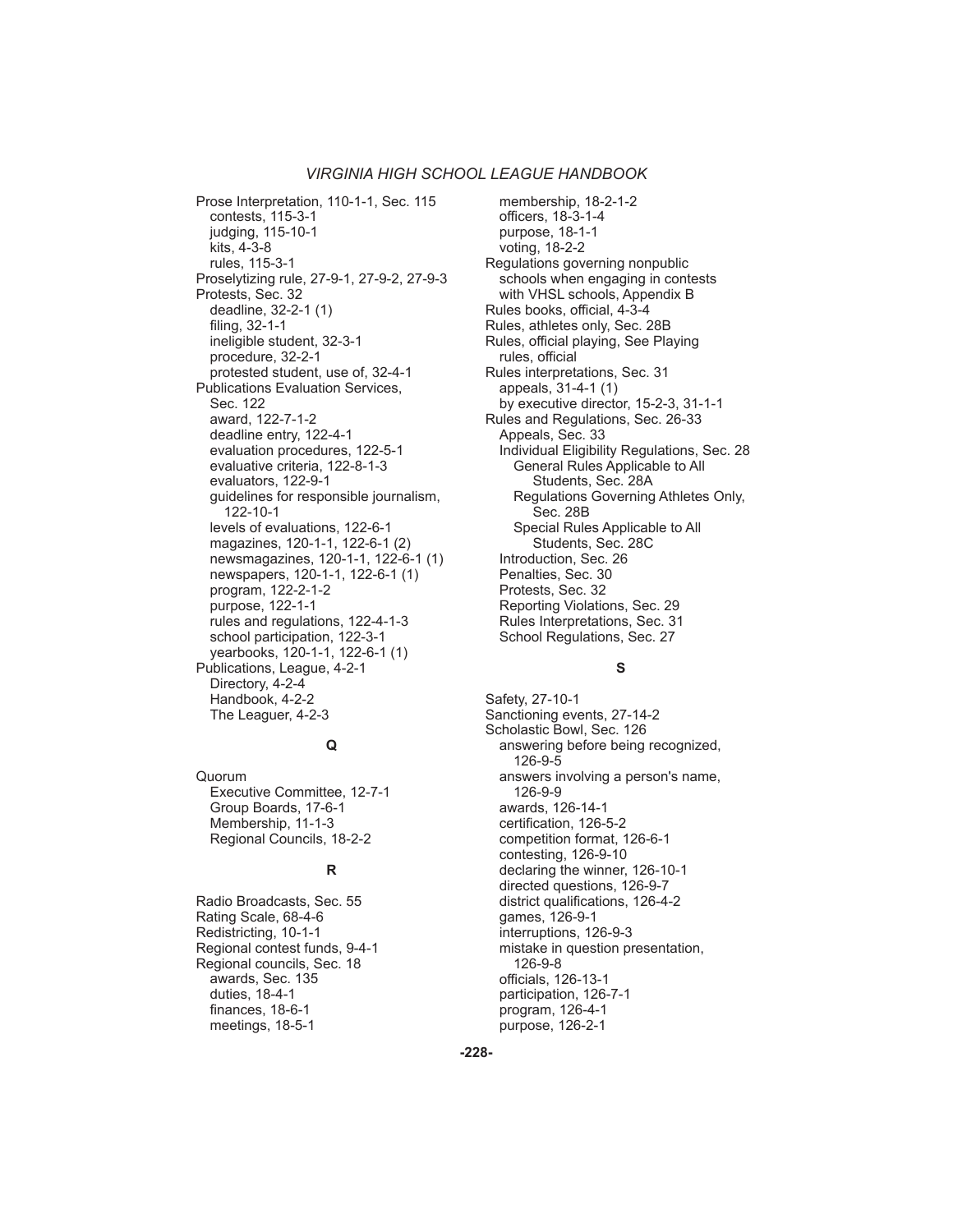Prose Interpretation, 110-1-1, Sec. 115 contests, 115-3-1 judging, 115-10-1 kits, 4-3-8 rules, 115-3-1 Proselytizing rule, 27-9-1, 27-9-2, 27-9-3 Protests, Sec. 32 deadline, 32-2-1 (1) filing, 32-1-1 ineligible student, 32-3-1 procedure, 32-2-1 protested student, use of, 32-4-1 Publications Evaluation Services, Sec. 122 award, 122-7-1-2 deadline entry, 122-4-1 evaluation procedures, 122-5-1 evaluative criteria, 122-8-1-3 evaluators, 122-9-1 guidelines for responsible journalism, 122-10-1 levels of evaluations, 122-6-1 magazines, 120-1-1, 122-6-1 (2) newsmagazines, 120-1-1, 122-6-1 (1) newspapers, 120-1-1, 122-6-1 (1) program, 122-2-1-2 purpose, 122-1-1 rules and regulations, 122-4-1-3 school participation, 122-3-1 yearbooks, 120-1-1, 122-6-1 (1) Publications, League, 4-2-1 Directory, 4-2-4 Handbook, 4-2-2 The Leaguer, 4-2-3

#### **Q**

Quorum Executive Committee, 12-7-1 Group Boards, 17-6-1 Membership, 11-1-3 Regional Councils, 18-2-2

#### **R**

Radio Broadcasts, Sec. 55 Rating Scale, 68-4-6 Redistricting, 10-1-1 Regional contest funds, 9-4-1 Regional councils, Sec. 18 awards, Sec. 135 duties, 18-4-1 finances, 18-6-1 meetings, 18-5-1

 membership, 18-2-1-2 officers, 18-3-1-4 purpose, 18-1-1 voting, 18-2-2 Regulations governing nonpublic schools when engaging in contests with VHSL schools, Appendix B Rules books, official, 4-3-4 Rules, athletes only, Sec. 28B Rules, official playing, See Playing rules, official Rules interpretations, Sec. 31 appeals, 31-4-1 (1) by executive director, 15-2-3, 31-1-1 Rules and Regulations, Sec. 26-33 Appeals, Sec. 33 Individual Eligibility Regulations, Sec. 28 General Rules Applicable to All Students, Sec. 28A Regulations Governing Athletes Only, Sec. 28B Special Rules Applicable to All Students, Sec. 28C Introduction, Sec. 26 Penalties, Sec. 30 Protests, Sec. 32 Reporting Violations, Sec. 29 Rules Interpretations, Sec. 31 School Regulations, Sec. 27

#### **S**

Safety, 27-10-1 Sanctioning events, 27-14-2 Scholastic Bowl, Sec. 126 answering before being recognized, 126-9-5 answers involving a person's name, 126-9-9 awards, 126-14-1 certification, 126-5-2 competition format, 126-6-1 contesting, 126-9-10 declaring the winner, 126-10-1 directed questions, 126-9-7 district qualifications, 126-4-2 games, 126-9-1 interruptions, 126-9-3 mistake in question presentation, 126-9-8 officials, 126-13-1 participation, 126-7-1 program, 126-4-1 purpose, 126-2-1

**-228-**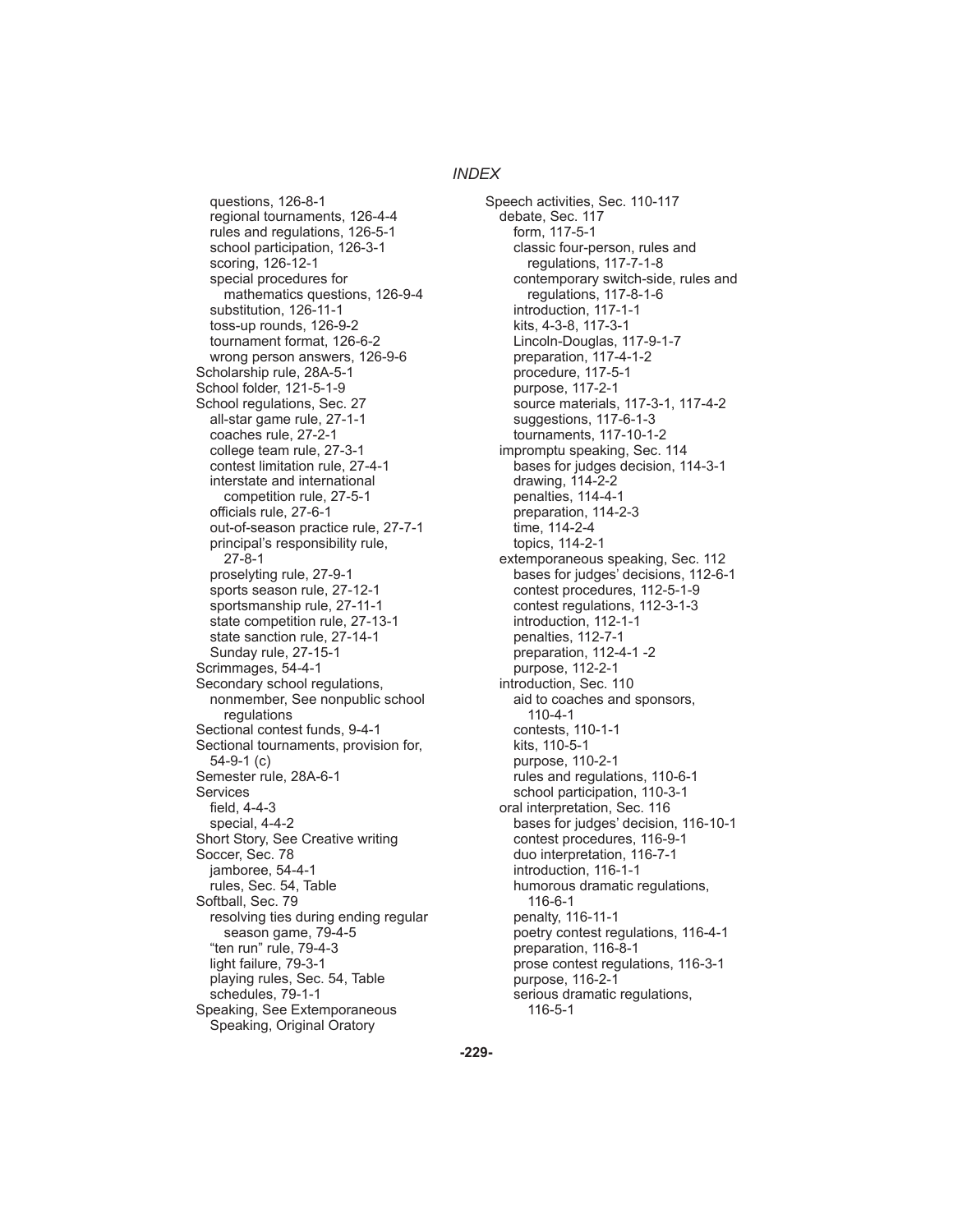questions, 126-8-1 regional tournaments, 126-4-4 rules and regulations, 126-5-1 school participation, 126-3-1 scoring, 126-12-1 special procedures for mathematics questions, 126-9-4 substitution, 126-11-1 toss-up rounds, 126-9-2 tournament format, 126-6-2 wrong person answers, 126-9-6 Scholarship rule, 28A-5-1 School folder, 121-5-1-9 School regulations, Sec. 27 all-star game rule, 27-1-1 coaches rule, 27-2-1 college team rule, 27-3-1 contest limitation rule, 27-4-1 interstate and international competition rule, 27-5-1 officials rule, 27-6-1 out-of-season practice rule, 27-7-1 principal's responsibility rule, 27-8-1 proselyting rule, 27-9-1 sports season rule, 27-12-1 sportsmanship rule, 27-11-1 state competition rule, 27-13-1 state sanction rule, 27-14-1 Sunday rule, 27-15-1 Scrimmages, 54-4-1 Secondary school regulations, nonmember, See nonpublic school regulations Sectional contest funds, 9-4-1 Sectional tournaments, provision for, 54-9-1 (c) Semester rule, 28A-6-1 **Services** field,  $4-4-3$  special, 4-4-2 Short Story, See Creative writing Soccer, Sec. 78 jamboree, 54-4-1 rules, Sec. 54, Table Softball, Sec. 79 resolving ties during ending regular season game, 79-4-5 "ten run" rule, 79-4-3 light failure, 79-3-1 playing rules, Sec. 54, Table schedules, 79-1-1 Speaking, See Extemporaneous Speaking, Original Oratory

Speech activities, Sec. 110-117 debate, Sec. 117 form, 117-5-1 classic four-person, rules and regulations, 117-7-1-8 contemporary switch-side, rules and regulations, 117-8-1-6 introduction, 117-1-1 kits, 4-3-8, 117-3-1 Lincoln-Douglas, 117-9-1-7 preparation, 117-4-1-2 procedure, 117-5-1 purpose, 117-2-1 source materials, 117-3-1, 117-4-2 suggestions, 117-6-1-3 tournaments, 117-10-1-2 impromptu speaking, Sec. 114 bases for judges decision, 114-3-1 drawing, 114-2-2 penalties, 114-4-1 preparation, 114-2-3 time, 114-2-4 topics, 114-2-1 extemporaneous speaking, Sec. 112 bases for judges' decisions, 112-6-1 contest procedures, 112-5-1-9 contest regulations, 112-3-1-3 introduction, 112-1-1 penalties, 112-7-1 preparation, 112-4-1 -2 purpose, 112-2-1 introduction, Sec. 110 aid to coaches and sponsors, 110-4-1 contests, 110-1-1 kits, 110-5-1 purpose, 110-2-1 rules and regulations, 110-6-1 school participation, 110-3-1 oral interpretation, Sec. 116 bases for judges' decision, 116-10-1 contest procedures, 116-9-1 duo interpretation, 116-7-1 introduction, 116-1-1 humorous dramatic regulations, 116-6-1 penalty, 116-11-1 poetry contest regulations, 116-4-1 preparation, 116-8-1 prose contest regulations, 116-3-1 purpose, 116-2-1 serious dramatic regulations, 116-5-1

#### **-229-**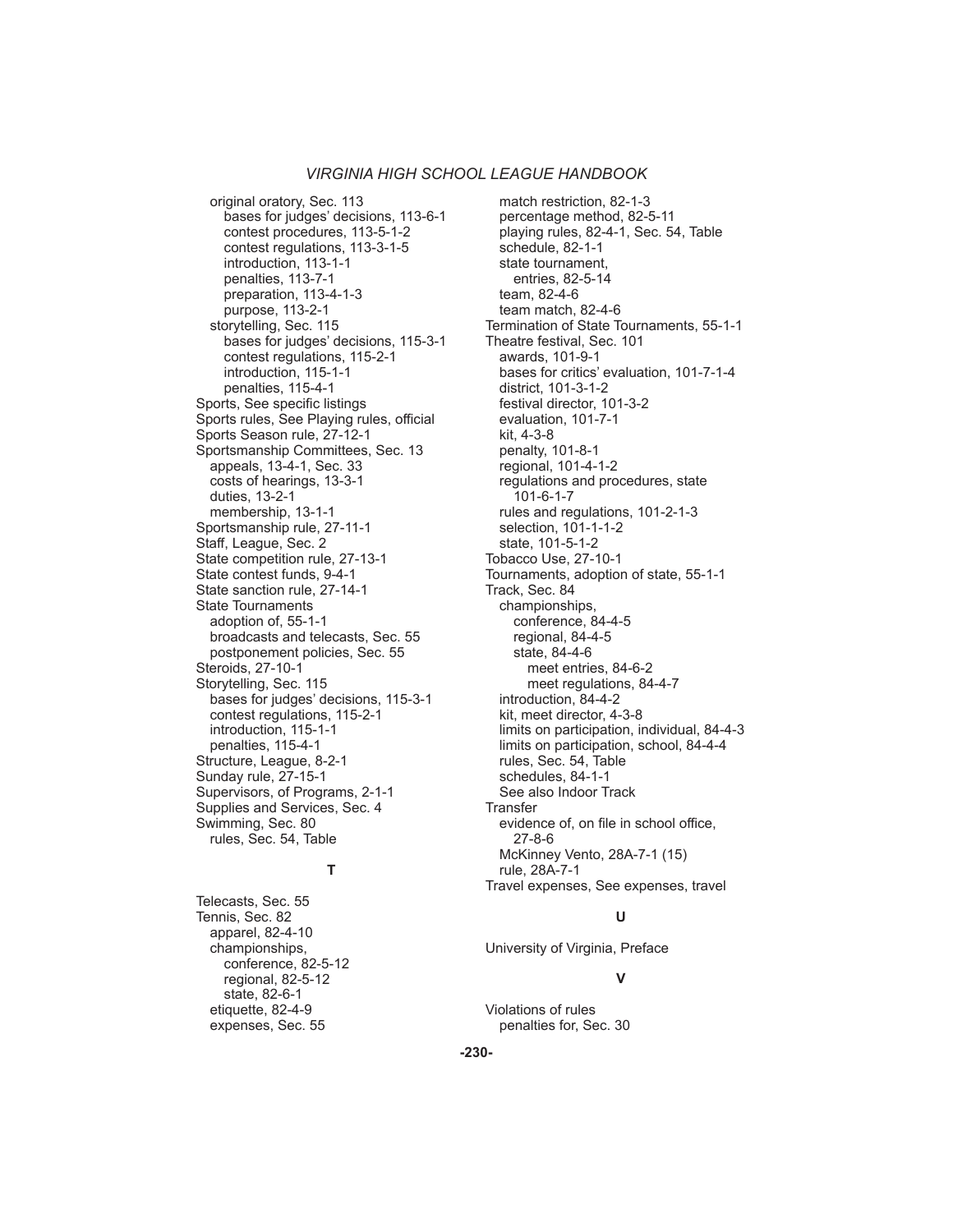original oratory, Sec. 113 bases for judges' decisions, 113-6-1 contest procedures, 113-5-1-2 contest regulations, 113-3-1-5 introduction, 113-1-1 penalties, 113-7-1 preparation, 113-4-1-3 purpose, 113-2-1 storytelling, Sec. 115 bases for judges' decisions, 115-3-1 contest regulations, 115-2-1 introduction, 115-1-1 penalties, 115-4-1 Sports, See specific listings Sports rules, See Playing rules, official Sports Season rule, 27-12-1 Sportsmanship Committees, Sec. 13 appeals, 13-4-1, Sec. 33 costs of hearings, 13-3-1 duties, 13-2-1 membership, 13-1-1 Sportsmanship rule, 27-11-1 Staff, League, Sec. 2 State competition rule, 27-13-1 State contest funds, 9-4-1 State sanction rule, 27-14-1 State Tournaments adoption of, 55-1-1 broadcasts and telecasts, Sec. 55 postponement policies, Sec. 55 Steroids, 27-10-1 Storytelling, Sec. 115 bases for judges' decisions, 115-3-1 contest regulations, 115-2-1 introduction, 115-1-1 penalties, 115-4-1 Structure, League, 8-2-1 Sunday rule, 27-15-1 Supervisors, of Programs, 2-1-1 Supplies and Services, Sec. 4 Swimming, Sec. 80 rules, Sec. 54, Table

#### **T**

Telecasts, Sec. 55 Tennis, Sec. 82 apparel, 82-4-10 championships, conference, 82-5-12 regional, 82-5-12 state, 82-6-1 etiquette, 82-4-9 expenses, Sec. 55

 match restriction, 82-1-3 percentage method, 82-5-11 playing rules, 82-4-1, Sec. 54, Table schedule, 82-1-1 state tournament, entries, 82-5-14 team, 82-4-6 team match, 82-4-6 Termination of State Tournaments, 55-1-1 Theatre festival, Sec. 101 awards, 101-9-1 bases for critics' evaluation, 101-7-1-4 district, 101-3-1-2 festival director, 101-3-2 evaluation, 101-7-1 kit, 4-3-8 penalty, 101-8-1 regional, 101-4-1-2 regulations and procedures, state 101-6-1-7 rules and regulations, 101-2-1-3 selection, 101-1-1-2 state, 101-5-1-2 Tobacco Use, 27-10-1 Tournaments, adoption of state, 55-1-1 Track, Sec. 84 championships, conference, 84-4-5 regional, 84-4-5 state, 84-4-6 meet entries, 84-6-2 meet regulations, 84-4-7 introduction, 84-4-2 kit, meet director, 4-3-8 limits on participation, individual, 84-4-3 limits on participation, school, 84-4-4 rules, Sec. 54, Table schedules, 84-1-1 See also Indoor Track **Transfer** evidence of, on file in school office, 27-8-6 McKinney Vento, 28A-7-1 (15) rule, 28A-7-1 Travel expenses, See expenses, travel

#### **U**

University of Virginia, Preface

#### **V**

Violations of rules penalties for, Sec. 30

#### **-230-**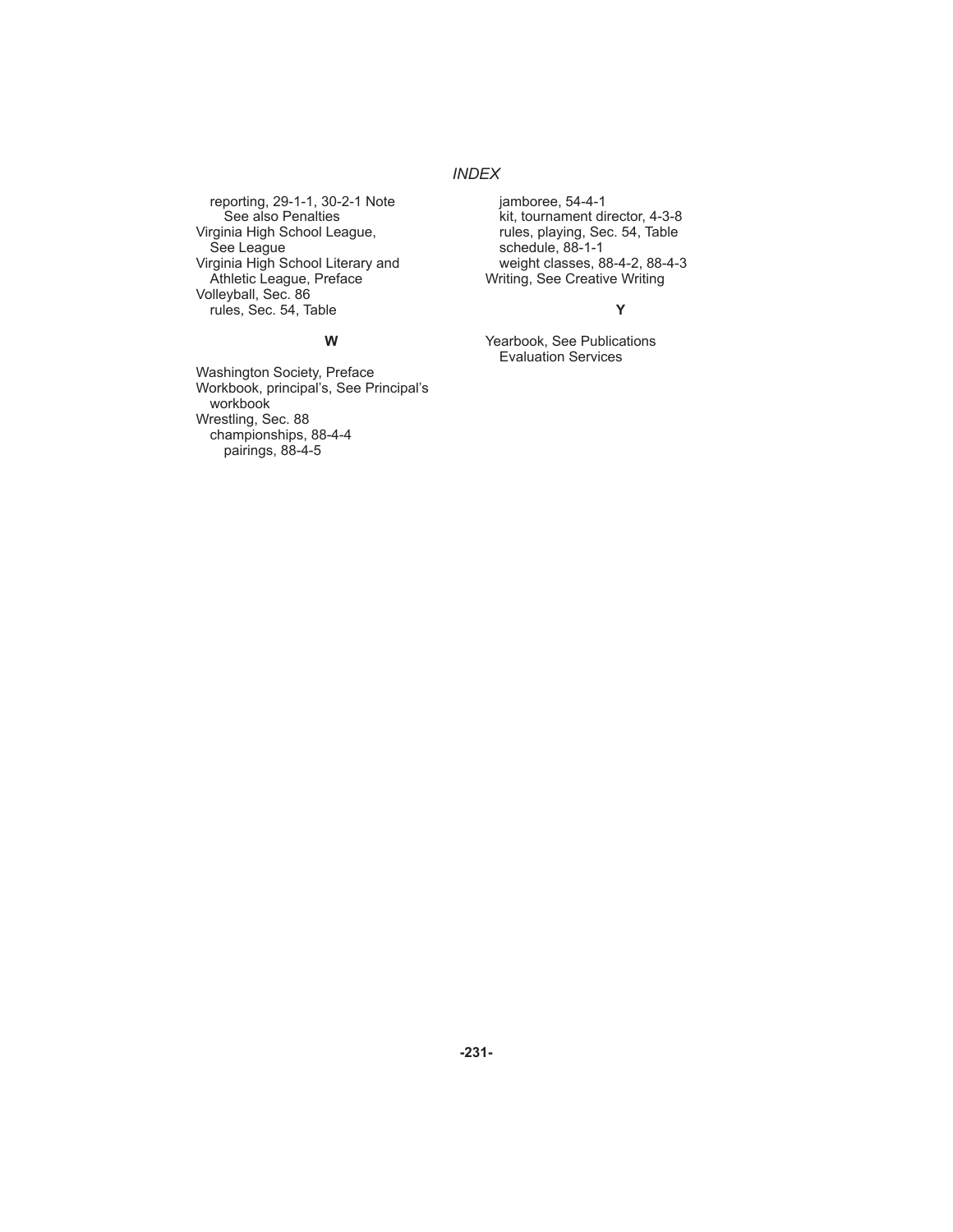reporting, 29-1-1, 30-2-1 Note See also Penalties Virginia High School League, See League Virginia High School Literary and Athletic League, Preface Volleyball, Sec. 86 rules, Sec. 54, Table

#### **W**

Washington Society, Preface Workbook, principal's, See Principal's workbook Wrestling, Sec. 88 championships, 88-4-4 pairings, 88-4-5

 jamboree, 54-4-1 kit, tournament director, 4-3-8 rules, playing, Sec. 54, Table schedule, 88-1-1 weight classes, 88-4-2, 88-4-3 Writing, See Creative Writing

#### **Y**

Yearbook, See Publications Evaluation Services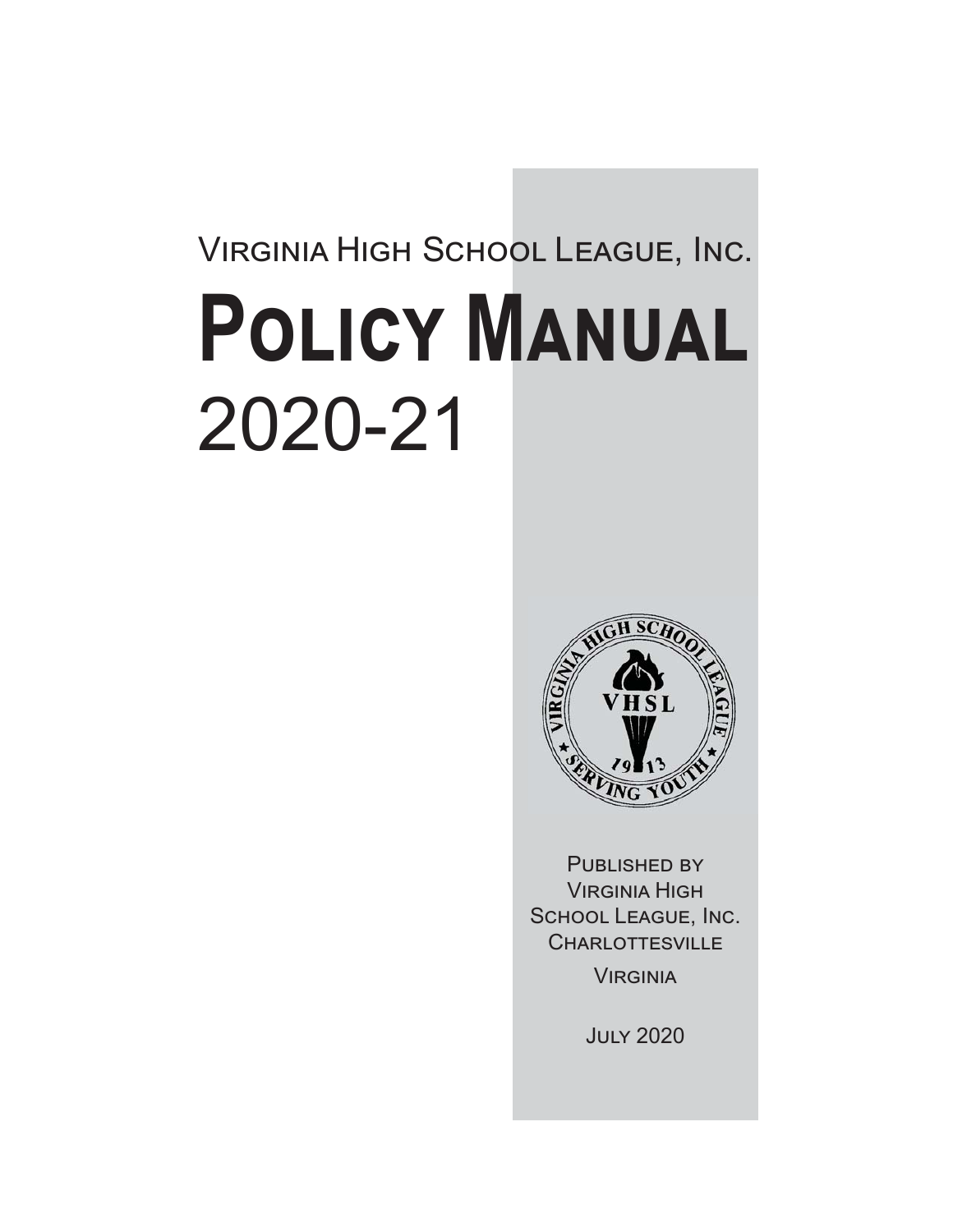# VIRGINIA HIGH SCHOOL LEAGUE, INC. **POLICY MANUAL** 2020-21



**PUBLISHED BY VIRGINIA HIGH** SCHOOL LEAGUE, INC. CHARLOTTESVILLE VIRGINIA

**JULY 2020**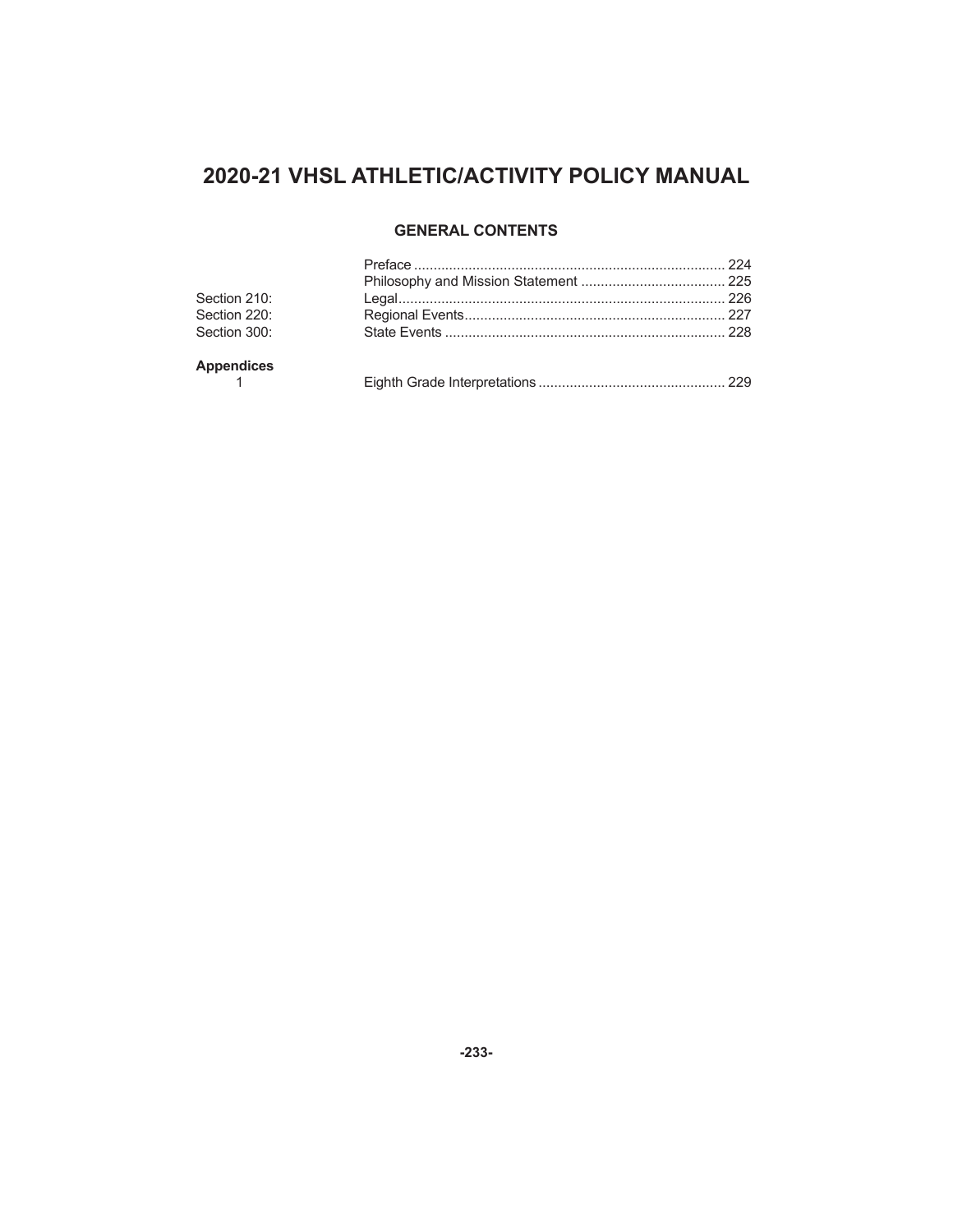## **2020-21 VHSL ATHLETIC/ACTIVITY POLICY MANUAL**

#### **GENERAL CONTENTS**

| Section 210:      |  |
|-------------------|--|
| Section 220:      |  |
| Section 300:      |  |
| <b>Appendices</b> |  |
|                   |  |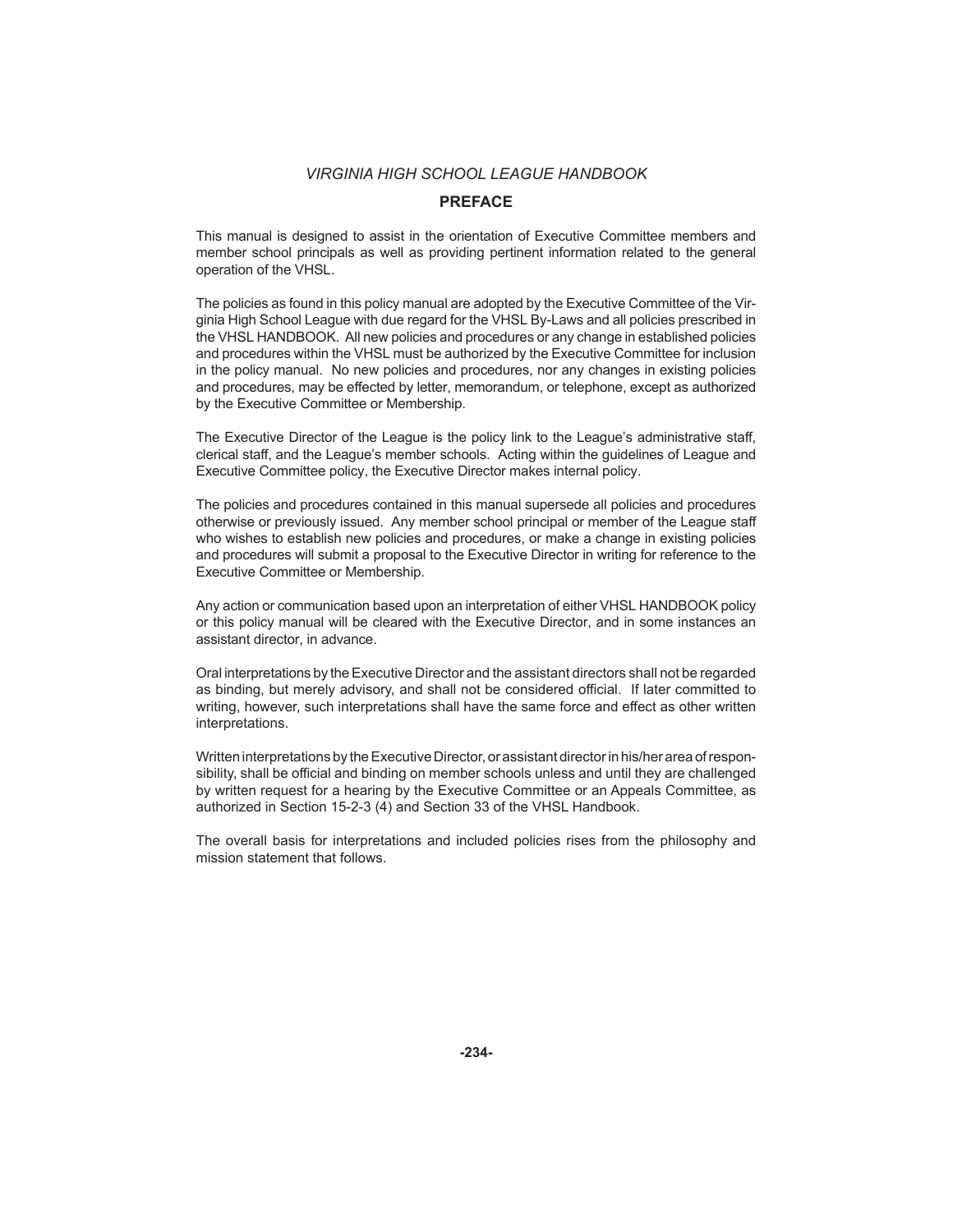#### **PREFACE**

This manual is designed to assist in the orientation of Executive Committee members and member school principals as well as providing pertinent information related to the general operation of the VHSL.

The policies as found in this policy manual are adopted by the Executive Committee of the Virginia High School League with due regard for the VHSL By-Laws and all policies prescribed in the VHSL HANDBOOK. All new policies and procedures or any change in established policies and procedures within the VHSL must be authorized by the Executive Committee for inclusion in the policy manual. No new policies and procedures, nor any changes in existing policies and procedures, may be effected by letter, memorandum, or telephone, except as authorized by the Executive Committee or Membership.

The Executive Director of the League is the policy link to the League's administrative staff, clerical staff, and the League's member schools. Acting within the guidelines of League and Executive Committee policy, the Executive Director makes internal policy.

The policies and procedures contained in this manual supersede all policies and procedures otherwise or previously issued. Any member school principal or member of the League staff who wishes to establish new policies and procedures, or make a change in existing policies and procedures will submit a proposal to the Executive Director in writing for reference to the Executive Committee or Membership.

Any action or communication based upon an interpretation of either VHSL HANDBOOK policy or this policy manual will be cleared with the Executive Director, and in some instances an assistant director, in advance.

Oral interpretations by the Executive Director and the assistant directors shall not be regarded as binding, but merely advisory, and shall not be considered official. If later committed to writing, however, such interpretations shall have the same force and effect as other written interpretations.

Written interpretations by the Executive Director, or assistant director in his/her area of responsibility, shall be official and binding on member schools unless and until they are challenged by written request for a hearing by the Executive Committee or an Appeals Committee, as authorized in Section 15-2-3 (4) and Section 33 of the VHSL Handbook.

The overall basis for interpretations and included policies rises from the philosophy and mission statement that follows.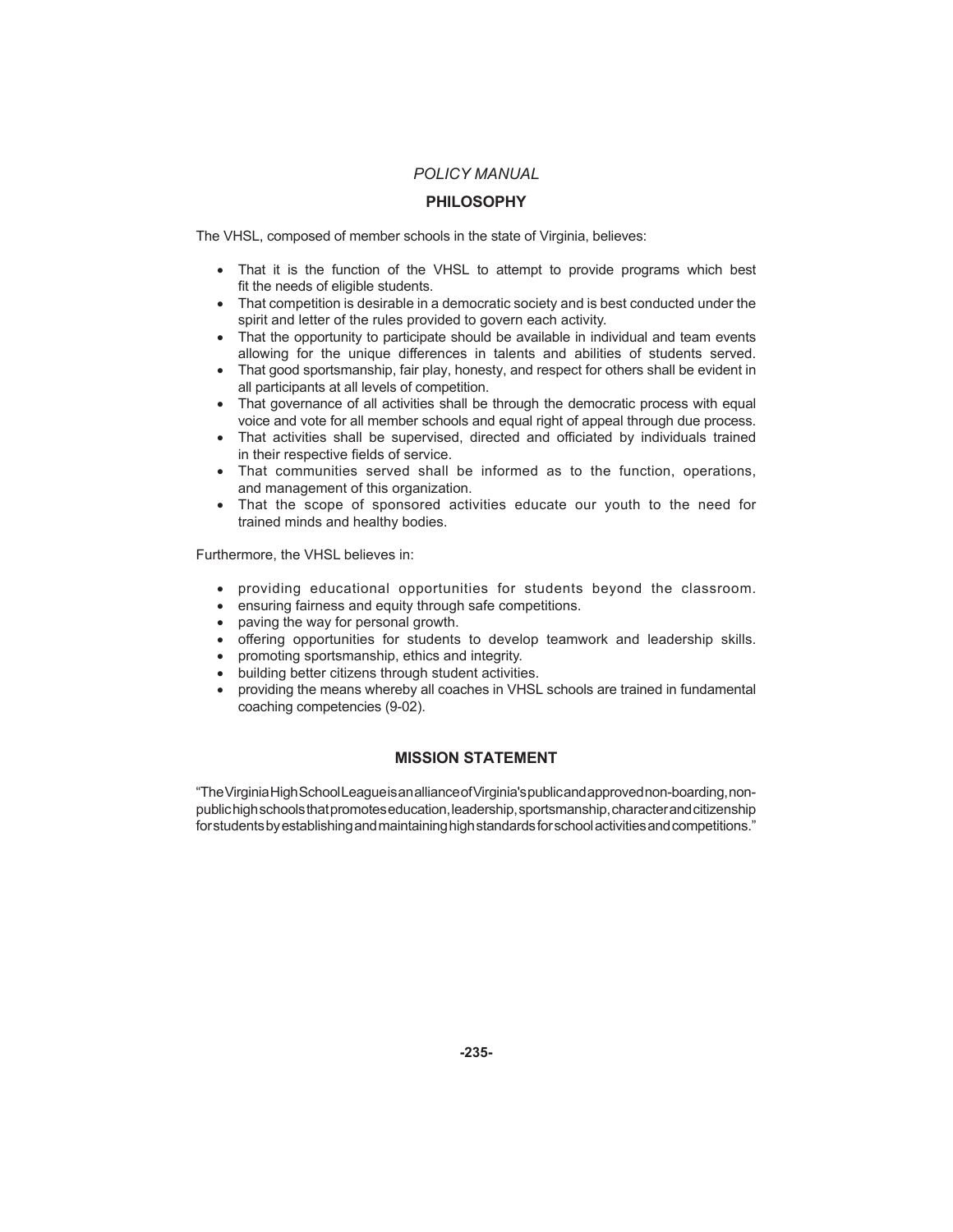#### *POLICY MANUAL*

#### **PHILOSOPHY**

The VHSL, composed of member schools in the state of Virginia, believes:

- That it is the function of the VHSL to attempt to provide programs which best fit the needs of eligible students.
- That competition is desirable in a democratic society and is best conducted under the spirit and letter of the rules provided to govern each activity.
- That the opportunity to participate should be available in individual and team events allowing for the unique differences in talents and abilities of students served.
- That good sportsmanship, fair play, honesty, and respect for others shall be evident in all participants at all levels of competition.
- That governance of all activities shall be through the democratic process with equal voice and vote for all member schools and equal right of appeal through due process.
- That activities shall be supervised, directed and officiated by individuals trained in their respective fields of service.
- That communities served shall be informed as to the function, operations, and management of this organization.
- That the scope of sponsored activities educate our youth to the need for trained minds and healthy bodies.

Furthermore, the VHSL believes in:

- providing educational opportunities for students beyond the classroom.
- ensuring fairness and equity through safe competitions.
- paving the way for personal growth.
- offering opportunities for students to develop teamwork and leadership skills.
- promoting sportsmanship, ethics and integrity.
- building better citizens through student activities.
- providing the means whereby all coaches in VHSL schools are trained in fundamental coaching competencies (9-02).

#### **MISSION STATEMENT**

"The Virginia High School League is an alliance of Virginia's public and approved non-boarding, nonpublic high schools that promotes education, leadership, sportsmanship, character and citizenship for students by establishing and maintaining high standards for school activities and competitions."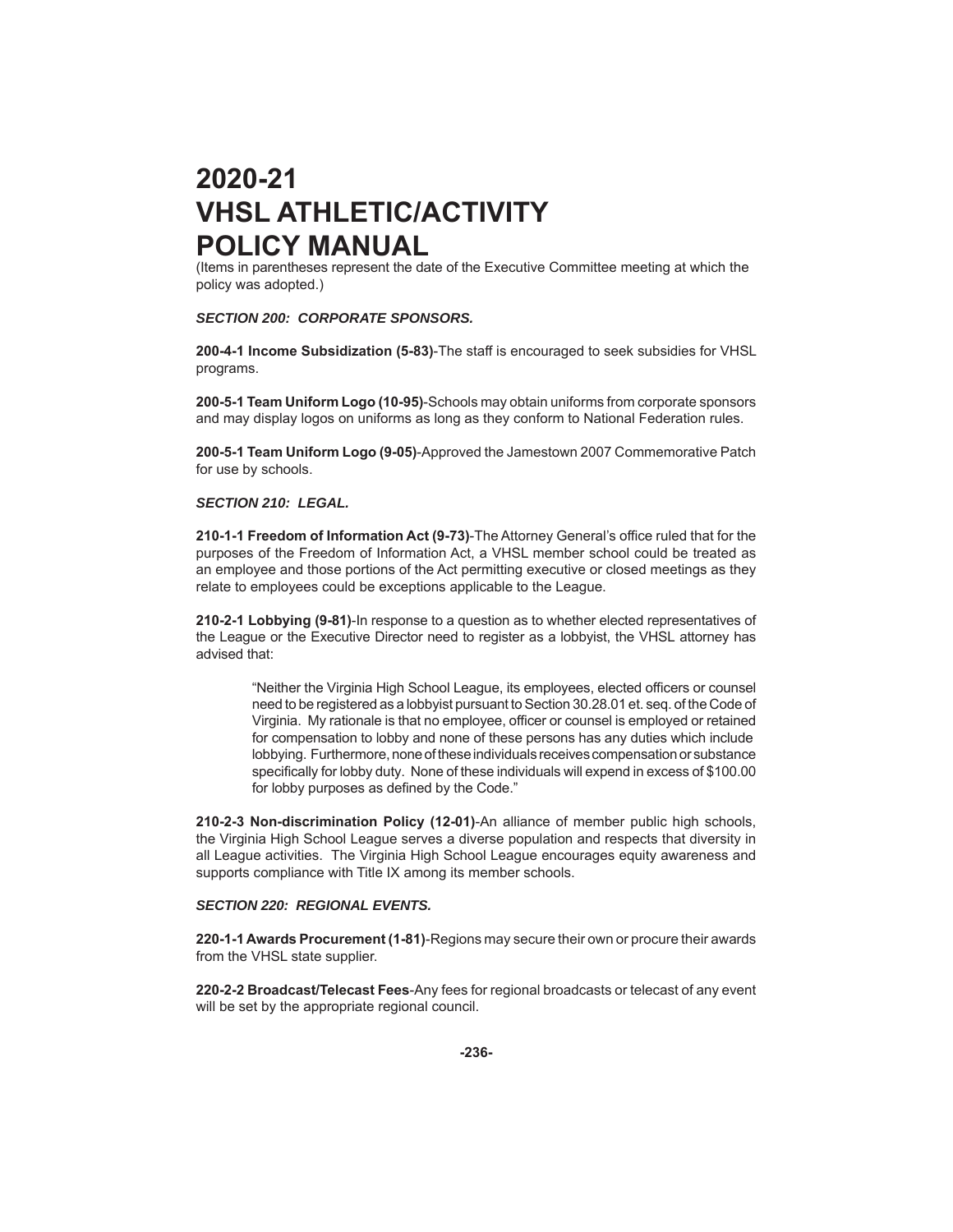## **2020-21 VHSL ATHLETIC/ACTIVITY POLICY MANUAL**

(Items in parentheses represent the date of the Executive Committee meeting at which the policy was adopted.)

#### *SECTION 200: CORPORATE SPONSORS.*

**200-4-1 Income Subsidization (5-83)**-The staff is encouraged to seek subsidies for VHSL programs.

**200-5-1 Team Uniform Logo (10-95)**-Schools may obtain uniforms from corporate sponsors and may display logos on uniforms as long as they conform to National Federation rules.

**200-5-1 Team Uniform Logo (9-05)**-Approved the Jamestown 2007 Commemorative Patch for use by schools.

#### *SECTION 210: LEGAL.*

**210-1-1 Freedom of Information Act (9-73)-The Attorney General's office ruled that for the** purposes of the Freedom of Information Act, a VHSL member school could be treated as an employee and those portions of the Act permitting executive or closed meetings as they relate to employees could be exceptions applicable to the League.

**210-2-1 Lobbying (9-81)**-In response to a question as to whether elected representatives of the League or the Executive Director need to register as a lobbyist, the VHSL attorney has advised that:

"Neither the Virginia High School League, its employees, elected officers or counsel need to be registered as a lobbyist pursuant to Section 30.28.01 et. seq. of the Code of Virginia. My rationale is that no employee, officer or counsel is employed or retained for compensation to lobby and none of these persons has any duties which include lobbying. Furthermore, none of these individuals receives compensation or substance specifically for lobby duty. None of these individuals will expend in excess of \$100.00 for lobby purposes as defined by the Code."

**210-2-3 Non-discrimination Policy (12-01)**-An alliance of member public high schools, the Virginia High School League serves a diverse population and respects that diversity in all League activities. The Virginia High School League encourages equity awareness and supports compliance with Title IX among its member schools.

#### *SECTION 220: REGIONAL EVENTS.*

**220-1-1 Awards Procurement (1-81)**-Regions may secure their own or procure their awards from the VHSL state supplier.

**220-2-2 Broadcast/Telecast Fees**-Any fees for regional broadcasts or telecast of any event will be set by the appropriate regional council.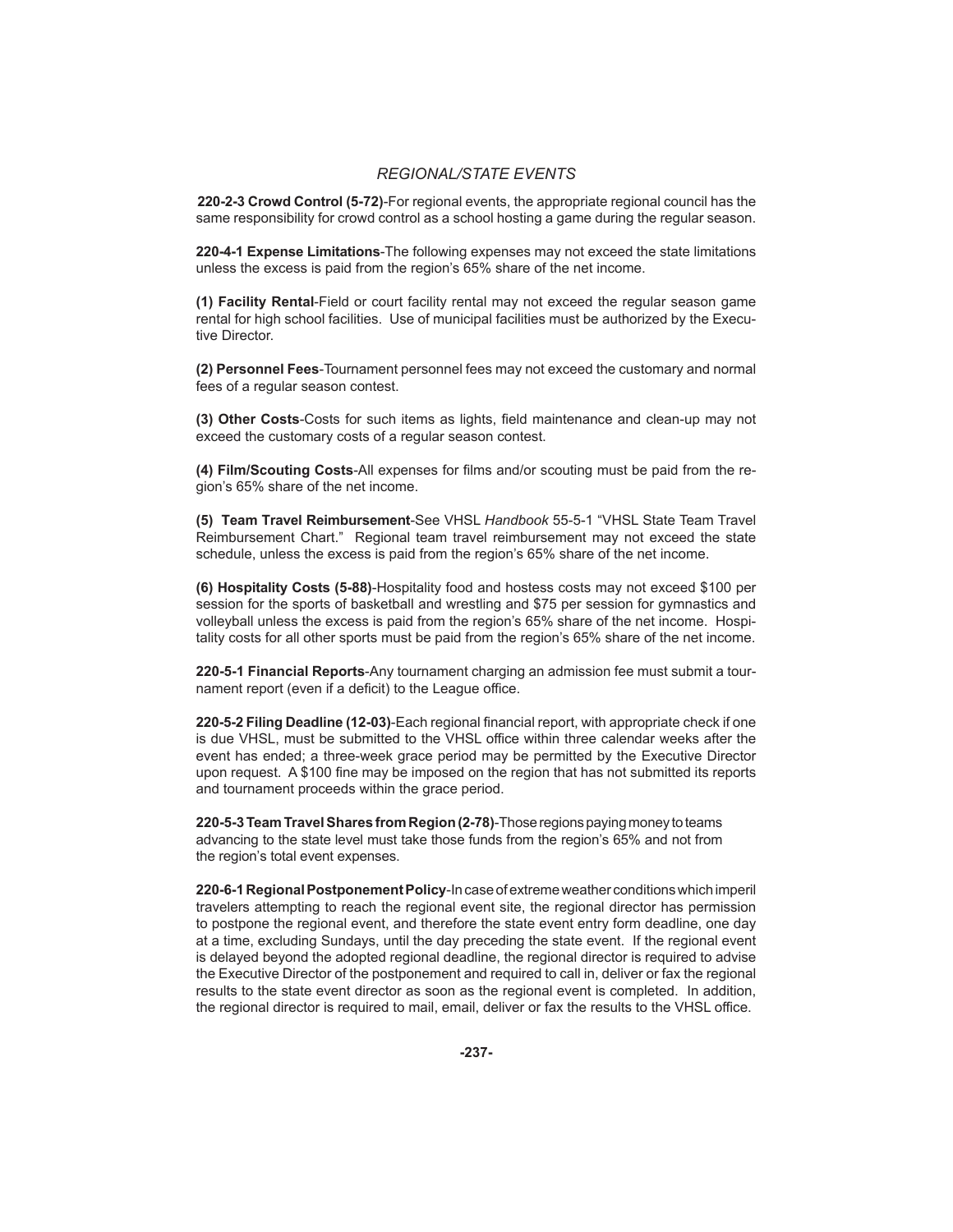#### *REGIONAL/STATE EVENTS*

**220-2-3 Crowd Control (5-72)**-For regional events, the appropriate regional council has the same responsibility for crowd control as a school hosting a game during the regular season.

**220-4-1 Expense Limitations**-The following expenses may not exceed the state limitations unless the excess is paid from the region's 65% share of the net income.

**(1) Facility Rental**-Field or court facility rental may not exceed the regular season game rental for high school facilities. Use of municipal facilities must be authorized by the Executive Director.

**(2) Personnel Fees**-Tournament personnel fees may not exceed the customary and normal fees of a regular season contest.

(3) Other Costs-Costs for such items as lights, field maintenance and clean-up may not exceed the customary costs of a regular season contest.

**(4) Film/Scouting Costs**-All expenses for fi lms and/or scouting must be paid from the region's 65% share of the net income.

**(5) Team Travel Reimbursement**-See VHSL *Handbook* 55-5-1 "VHSL State Team Travel Reimbursement Chart." Regional team travel reimbursement may not exceed the state schedule, unless the excess is paid from the region's 65% share of the net income.

**(6) Hospitality Costs (5-88)**-Hospitality food and hostess costs may not exceed \$100 per session for the sports of basketball and wrestling and \$75 per session for gymnastics and volleyball unless the excess is paid from the region's 65% share of the net income. Hospitality costs for all other sports must be paid from the region's 65% share of the net income.

**220-5-1 Financial Reports**-Any tournament charging an admission fee must submit a tournament report (even if a deficit) to the League office.

**220-5-2 Filing Deadline (12-03)-Each regional financial report, with appropriate check if one** is due VHSL, must be submitted to the VHSL office within three calendar weeks after the event has ended; a three-week grace period may be permitted by the Executive Director upon request. A \$100 fine may be imposed on the region that has not submitted its reports and tournament proceeds within the grace period.

**220-5-3 Team Travel Shares from Region (2-78)**-Those regions paying money to teams advancing to the state level must take those funds from the region's 65% and not from the region's total event expenses.

**220-6-1 Regional Postponement Policy**-In case of extreme weather conditions which imperil travelers attempting to reach the regional event site, the regional director has permission to postpone the regional event, and therefore the state event entry form deadline, one day at a time, excluding Sundays, until the day preceding the state event. If the regional event is delayed beyond the adopted regional deadline, the regional director is required to advise the Executive Director of the postponement and required to call in, deliver or fax the regional results to the state event director as soon as the regional event is completed. In addition, the regional director is required to mail, email, deliver or fax the results to the VHSL office.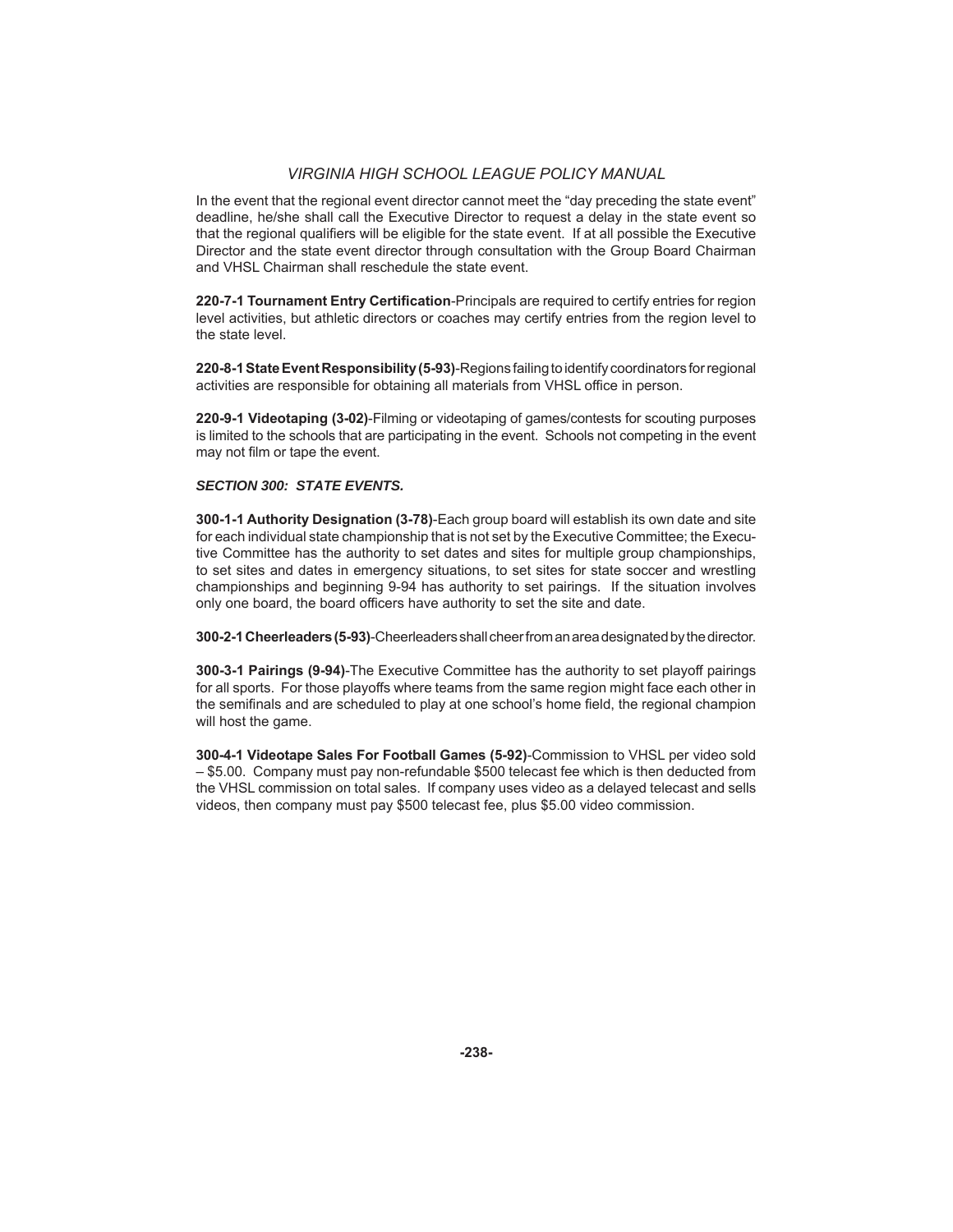#### *VIRGINIA HIGH SCHOOL LEAGUE POLICY MANUAL*

In the event that the regional event director cannot meet the "day preceding the state event" deadline, he/she shall call the Executive Director to request a delay in the state event so that the regional qualifiers will be eligible for the state event. If at all possible the Executive Director and the state event director through consultation with the Group Board Chairman and VHSL Chairman shall reschedule the state event.

**220-7-1 Tournament Entry Certifi cation**-Principals are required to certify entries for region level activities, but athletic directors or coaches may certify entries from the region level to the state level.

**220-8-1 State Event Responsibility (5-93)**-Regions failing to identify coordinators for regional activities are responsible for obtaining all materials from VHSL office in person.

**220-9-1 Videotaping (3-02)**-Filming or videotaping of games/contests for scouting purposes is limited to the schools that are participating in the event. Schools not competing in the event may not film or tape the event.

#### *SECTION 300: STATE EVENTS.*

**300-1-1 Authority Designation (3-78)**-Each group board will establish its own date and site for each individual state championship that is not set by the Executive Committee; the Executive Committee has the authority to set dates and sites for multiple group championships, to set sites and dates in emergency situations, to set sites for state soccer and wrestling championships and beginning 9-94 has authority to set pairings. If the situation involves only one board, the board officers have authority to set the site and date.

**300-2-1 Cheerleaders (5-93)**-Cheerleaders shall cheer from an area designated by the director.

**300-3-1 Pairings (9-94)**-The Executive Committee has the authority to set playoff pairings for all sports. For those playoffs where teams from the same region might face each other in the semifinals and are scheduled to play at one school's home field, the regional champion will host the game.

**300-4-1 Videotape Sales For Football Games (5-92)**-Commission to VHSL per video sold – \$5.00. Company must pay non-refundable \$500 telecast fee which is then deducted from the VHSL commission on total sales. If company uses video as a delayed telecast and sells videos, then company must pay \$500 telecast fee, plus \$5.00 video commission.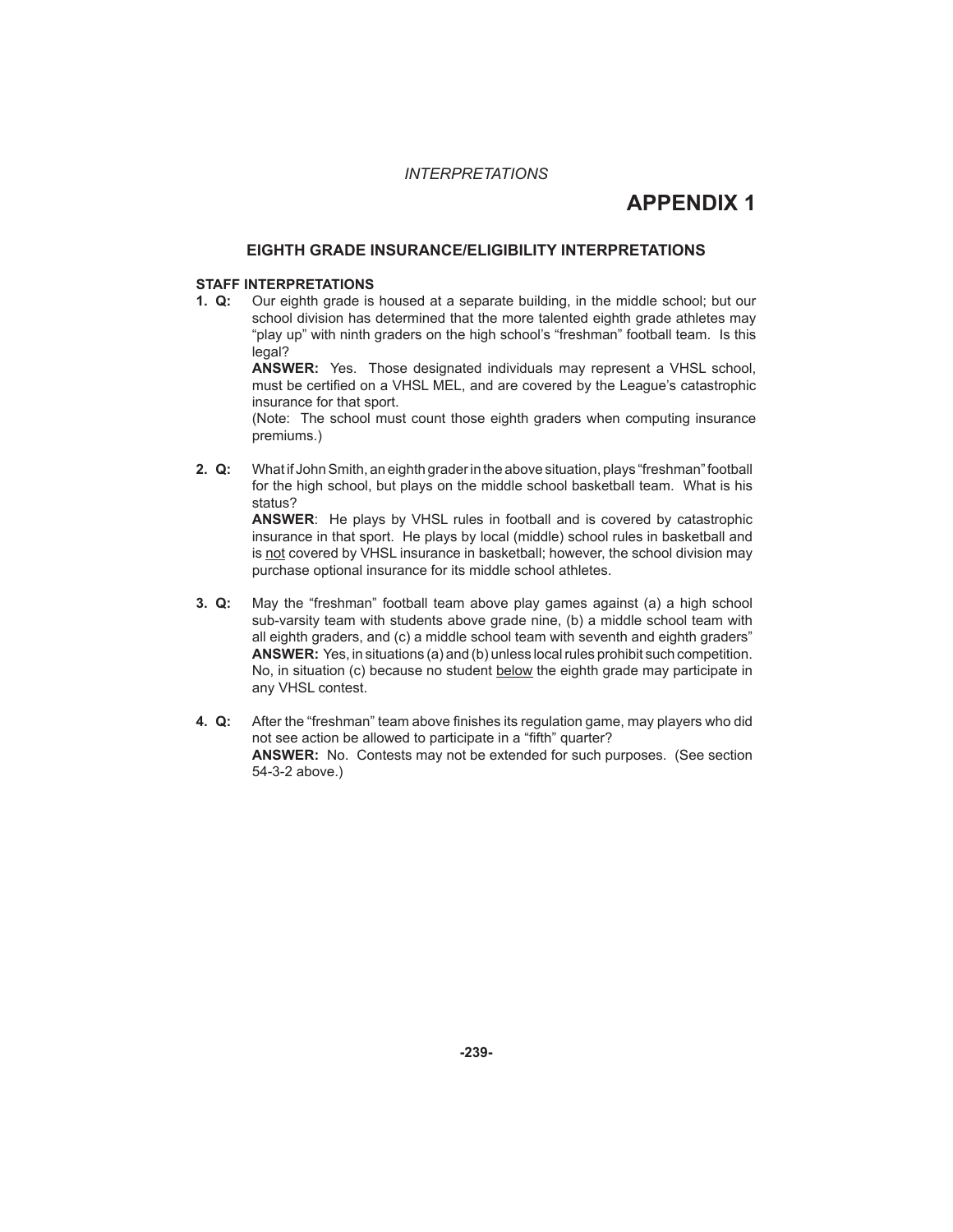#### *INTERPRETATIONS*

## **APPENDIX 1**

#### **EIGHTH GRADE INSURANCE/ELIGIBILITY INTERPRETATIONS**

#### **STAFF INTERPRETATIONS**

**1. Q:** Our eighth grade is housed at a separate building, in the middle school; but our school division has determined that the more talented eighth grade athletes may "play up" with ninth graders on the high school's "freshman" football team. Is this legal?

 **ANSWER:** Yes. Those designated individuals may represent a VHSL school, must be certified on a VHSL MEL, and are covered by the League's catastrophic insurance for that sport.

 (Note: The school must count those eighth graders when computing insurance premiums.)

**2. Q:** What if John Smith, an eighth grader in the above situation, plays "freshman" football for the high school, but plays on the middle school basketball team. What is his status?

 **ANSWER**: He plays by VHSL rules in football and is covered by catastrophic insurance in that sport. He plays by local (middle) school rules in basketball and is not covered by VHSL insurance in basketball; however, the school division may purchase optional insurance for its middle school athletes.

- **3. Q:** May the "freshman" football team above play games against (a) a high school sub-varsity team with students above grade nine, (b) a middle school team with all eighth graders, and (c) a middle school team with seventh and eighth graders"  **ANSWER:** Yes, in situations (a) and (b) unless local rules prohibit such competition. No, in situation (c) because no student below the eighth grade may participate in any VHSL contest.
- **4. Q:** After the "freshman" team above finishes its regulation game, may players who did not see action be allowed to participate in a "fifth" quarter?  **ANSWER:** No. Contests may not be extended for such purposes. (See section 54-3-2 above.)